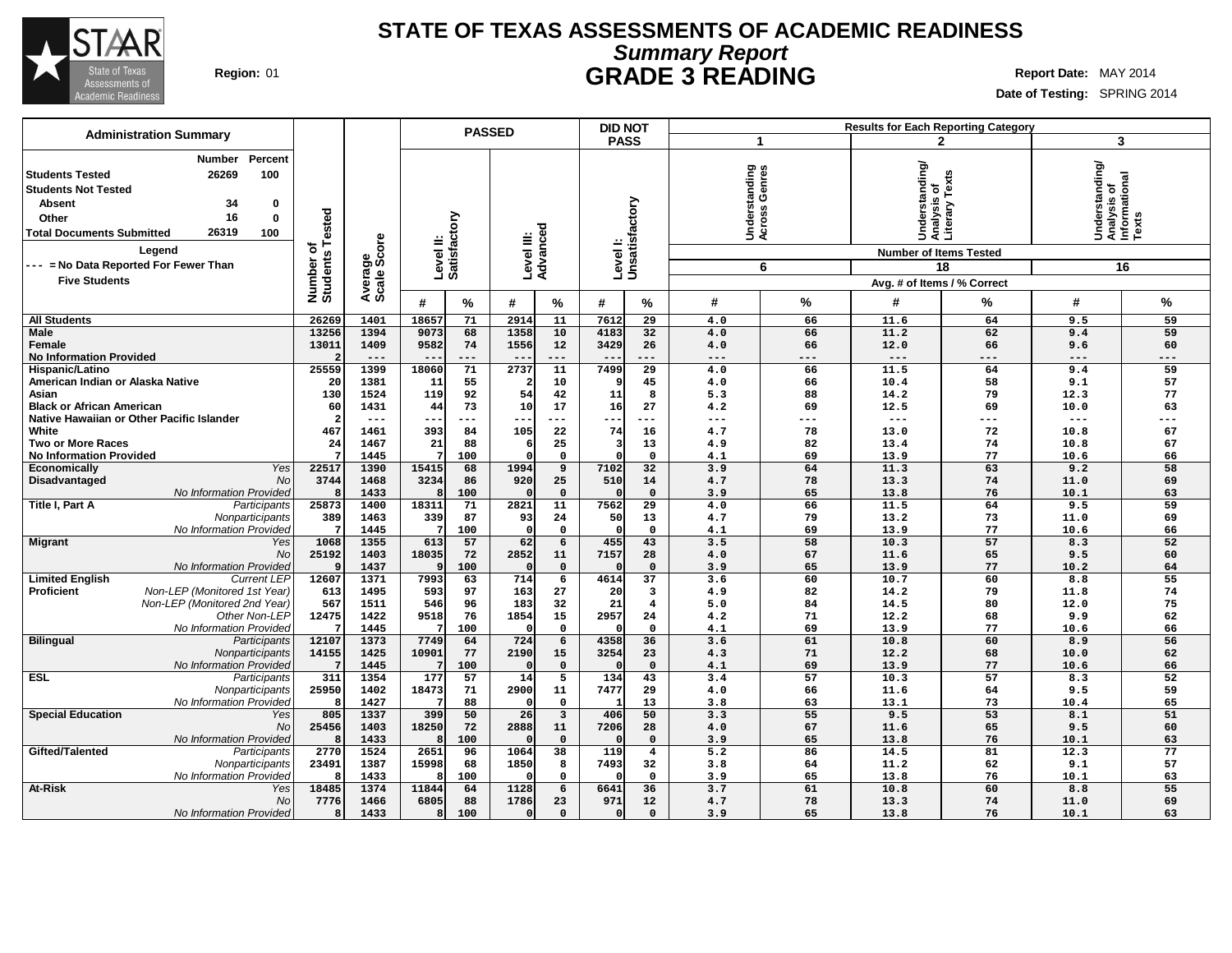

## **Summary Report STATE OF TEXAS ASSESSMENTS OF ACADEMIC READINESS Region:** 01 **GRADE 3 READING Report Date:** MAY 2014

| Date of Testing: SPRING 2014 |
|------------------------------|
|------------------------------|

| <b>Administration Summary</b>                                                                                                                                                                                                                    |                                    |                        |                           | <b>PASSED</b>          |                         |                                     | <b>DID NOT</b>       |                                | <b>Results for Each Reporting Category</b> |                                                                                    |              |                                                                                        |                 |  |
|--------------------------------------------------------------------------------------------------------------------------------------------------------------------------------------------------------------------------------------------------|------------------------------------|------------------------|---------------------------|------------------------|-------------------------|-------------------------------------|----------------------|--------------------------------|--------------------------------------------|------------------------------------------------------------------------------------|--------------|----------------------------------------------------------------------------------------|-----------------|--|
|                                                                                                                                                                                                                                                  |                                    |                        |                           |                        |                         |                                     | <b>PASS</b>          | 1                              |                                            |                                                                                    | $\mathbf{2}$ |                                                                                        | 3               |  |
| Percent<br>Number<br>100<br>26269<br><b>Students Tested</b><br><b>Students Not Tested</b><br>34<br><b>Absent</b><br>0<br>16<br>0<br>Other<br>26319<br>100<br><b>Total Documents Submitted</b><br>Legend<br>--- = No Data Reported For Fewer Than | ested<br>৳<br>Number o<br>Students | Average<br>Scale Score | Level II:<br>Satisfactory | Level III:<br>Advanced |                         | Level I:                            | Unsatisfactory       | Understanding<br>Across Genres | 6                                          | Understanding/<br> Analysis of<br> Literary Texts<br><b>Number of Items Tested</b> | 18           | lerstanding/<br>lysis of<br> Understanding<br> Analysis of<br> Informational<br> Texts | 16              |  |
| <b>Five Students</b>                                                                                                                                                                                                                             |                                    |                        |                           |                        |                         |                                     |                      |                                |                                            | Avg. # of Items / % Correct                                                        |              |                                                                                        |                 |  |
|                                                                                                                                                                                                                                                  |                                    |                        | #<br>%                    | #                      | %                       | #                                   | $\%$                 | #                              | %                                          | #                                                                                  | %            | #                                                                                      | %               |  |
|                                                                                                                                                                                                                                                  | 26269                              | 1401                   | 18657<br>71               | 2914                   | 11                      | 7612                                | 29                   | 4.0                            | 66                                         | 11.6                                                                               | 64           | 9.5                                                                                    | 59              |  |
| <b>All Students</b><br>Male                                                                                                                                                                                                                      | 13256                              | 1394                   | 68<br>9073                | 1358                   | 10                      | 4183                                | 32                   | 4.0                            | 66                                         | 11.2                                                                               | 62           | 9.4                                                                                    | 59              |  |
| Female                                                                                                                                                                                                                                           | 13011                              | 1409                   | 9582<br>74                | 1556                   | 12                      | 3429                                | 26                   | 4.0                            | 66                                         | 12.0                                                                               | 66           | 9.6                                                                                    | 60              |  |
| <b>No Information Provided</b>                                                                                                                                                                                                                   |                                    | $---$                  | ---                       | $- -$                  | $---$                   | $- -$                               | $---$                | $---$                          | ---                                        | $---$                                                                              | $---$        | $---$                                                                                  | ---             |  |
| Hispanic/Latino                                                                                                                                                                                                                                  | 25559                              | 1399                   | 18060<br>71               | 2737                   | $\overline{11}$         | 7499                                | $\overline{29}$      | 4.0                            | 66                                         | 11.5                                                                               | 64           | 9.4                                                                                    | 59              |  |
| American Indian or Alaska Native                                                                                                                                                                                                                 | 20                                 | 1381                   | 55<br>11                  | $\overline{2}$         | 10                      |                                     | 45                   | 4.0                            | 66                                         | 10.4                                                                               | 58           | 9.1                                                                                    | 57              |  |
| Asian                                                                                                                                                                                                                                            | 130                                | 1524                   | 92<br>119                 | 54                     | 42                      | 11                                  | 8                    | 5.3                            | 88                                         | 14.2                                                                               | 79           | 12.3                                                                                   | 77              |  |
| <b>Black or African American</b>                                                                                                                                                                                                                 | 60                                 | 1431                   | 73<br>44                  | 10                     | 17                      | 16                                  | 27                   | 4.2                            | 69                                         | 12.5                                                                               | 69           | 10.0                                                                                   | 63              |  |
| Native Hawaiian or Other Pacific Islander                                                                                                                                                                                                        | $\overline{2}$                     | $---$                  | $- -$<br>---              | --                     | ---                     | --                                  | $---$                | ---                            | ---                                        | $---$                                                                              | $---$        | ---                                                                                    | ---             |  |
| White                                                                                                                                                                                                                                            | 467                                | 1461                   | 393<br>84                 | 105                    | 22                      | 74                                  | 16                   | 4.7                            | 78                                         | 13.0                                                                               | 72           | 10.8                                                                                   | 67              |  |
| <b>Two or More Races</b>                                                                                                                                                                                                                         | 24<br>7                            | 1467<br>1445           | 21<br>88<br>100<br>7      | 6<br>$\Omega$          | 25<br>$\mathbf 0$       | $\overline{\mathbf{3}}$<br>$\Omega$ | 13<br>$\Omega$       | 4.9<br>4.1                     | 82<br>69                                   | 13.4<br>13.9                                                                       | 74<br>77     | 10.8<br>10.6                                                                           | 67<br>66        |  |
| <b>No Information Provided</b><br>Yes<br>Economically                                                                                                                                                                                            | 22517                              | 1390                   | 15415<br>68               | 1994                   | $\overline{9}$          | 7102                                | $\overline{32}$      | 3.9                            | 64                                         | 11.3                                                                               | 63           | 9.2                                                                                    | $\overline{58}$ |  |
| No<br>Disadvantaged                                                                                                                                                                                                                              | 3744                               | 1468                   | 3234<br>86                | 920                    | 25                      | 510                                 | 14                   | 4.7                            | 78                                         | 13.3                                                                               | 74           | 11.0                                                                                   | 69              |  |
| No Information Provided                                                                                                                                                                                                                          | 8                                  | 1433                   | 100                       | n                      | $\mathbf 0$             |                                     | $\mathbf 0$          | 3.9                            | 65                                         | 13.8                                                                               | 76           | 10.1                                                                                   | 63              |  |
| Title I, Part A<br>Participants                                                                                                                                                                                                                  | 25873                              | 1400                   | 18311<br>71               | 2821                   | 11                      | 7562                                | 29                   | 4.0                            | 66                                         | 11.5                                                                               | 64           | 9.5                                                                                    | 59              |  |
| Nonparticipants                                                                                                                                                                                                                                  | 389                                | 1463                   | 339<br>87                 | 93                     | 24                      | 50                                  | 13                   | 4.7                            | 79                                         | 13.2                                                                               | 73           | 11.0                                                                                   | 69              |  |
| No Information Provided                                                                                                                                                                                                                          |                                    | 1445                   | 100                       | $\Omega$               | $\mathbf{o}$            | $\Omega$                            | $\mathbf 0$          | 4.1                            | 69                                         | 13.9                                                                               | 77           | 10.6                                                                                   | 66              |  |
| <b>Migrant</b><br>Yes                                                                                                                                                                                                                            | 1068                               | 1355                   | 613<br>57                 | 62                     | 6                       | 455                                 | 43                   | 3.5                            | 58                                         | 10.3                                                                               | 57           | 8.3                                                                                    | 52              |  |
| <b>No</b>                                                                                                                                                                                                                                        | 25192                              | 1403                   | 18035<br>72               | 2852                   | 11                      | 7157                                | 28                   | 4.0                            | 67                                         | 11.6                                                                               | 65           | 9.5                                                                                    | 60              |  |
| No Information Provided                                                                                                                                                                                                                          |                                    | 1437                   | 100                       | $\Omega$               | $\mathbf 0$             |                                     | $\mathbf 0$          | 3.9                            | 65                                         | 13.9                                                                               | 77           | 10.2                                                                                   | 64              |  |
| <b>Limited English</b><br><b>Current LEP</b>                                                                                                                                                                                                     | 12607                              | 1371                   | 7993<br>63                | 714                    | $\overline{6}$          | 4614                                | 37                   | 3.6                            | 60                                         | 10.7                                                                               | 60           | 8.8                                                                                    | 55              |  |
| Proficient<br>Non-LEP (Monitored 1st Year)                                                                                                                                                                                                       | 613                                | 1495                   | 593<br>97                 | 163                    | 27                      | 20                                  | 3                    | 4.9                            | 82                                         | 14.2                                                                               | 79           | 11.8                                                                                   | 74              |  |
| Non-LEP (Monitored 2nd Year)<br>Other Non-LEP                                                                                                                                                                                                    | 567<br>12475                       | 1511<br>1422           | 546<br>96<br>9518<br>76   | 183<br>1854            | 32<br>15                | 21<br>2957                          | $\overline{4}$<br>24 | 5.0                            | 84<br>71                                   | 14.5                                                                               | 80           | 12.0<br>9.9                                                                            | 75<br>62        |  |
| No Information Provided                                                                                                                                                                                                                          |                                    | 1445                   | 100                       | $\Omega$               | $\mathbf 0$             |                                     | $\mathbf 0$          | 4.2<br>4.1                     | 69                                         | 12.2<br>13.9                                                                       | 68<br>77     | 10.6                                                                                   | 66              |  |
| <b>Bilingual</b><br>Participants                                                                                                                                                                                                                 | 12107                              | 1373                   | 7749<br>64                | 724                    | $6\overline{6}$         | 4358                                | 36                   | 3.6                            | 61                                         | 10.8                                                                               | 60           | 8.9                                                                                    | 56              |  |
| Nonparticipants                                                                                                                                                                                                                                  | 14155                              | 1425                   | 10901<br>77               | 2190                   | 15                      | 3254                                | 23                   | 4.3                            | 71                                         | 12.2                                                                               | 68           | 10.0                                                                                   | 62              |  |
| No Information Provided                                                                                                                                                                                                                          |                                    | 1445                   | 100                       | $\Omega$               | $\mathbf{0}$            |                                     | $\Omega$             | 4.1                            | 69                                         | 13.9                                                                               | 77           | 10.6                                                                                   | 66              |  |
| <b>ESL</b><br>Participants                                                                                                                                                                                                                       | 311                                | 1354                   | 177<br>57                 | 14                     | $\overline{5}$          | 134                                 | 43                   | 3.4                            | $\overline{57}$                            | 10.3                                                                               | 57           | 8.3                                                                                    | 52              |  |
| Nonparticipants                                                                                                                                                                                                                                  | 25950                              | 1402                   | 71<br>18473               | 2900                   | 11                      | 7477                                | 29                   | 4.0                            | 66                                         | 11.6                                                                               | 64           | 9.5                                                                                    | 59              |  |
| No Information Provided                                                                                                                                                                                                                          | я                                  | 1427                   | 88                        | $\Omega$               | $\mathbf 0$             |                                     | 13                   | 3.8                            | 63                                         | 13.1                                                                               | 73           | 10.4                                                                                   | 65              |  |
| <b>Special Education</b><br>Yes                                                                                                                                                                                                                  | 805                                | 1337                   | 399<br>50                 | 26                     | $\overline{\mathbf{3}}$ | 406                                 | 50                   | 3.3                            | 55                                         | 9.5                                                                                | 53           | 8.1                                                                                    | 51              |  |
| <b>No</b>                                                                                                                                                                                                                                        | 25456                              | 1403                   | 18250<br>72               | 2888                   | 11                      | 7206                                | 28                   | 4.0                            | 67                                         | 11.6                                                                               | 65           | 9.5                                                                                    | 60              |  |
| No Information Provided                                                                                                                                                                                                                          |                                    | 1433                   | 100                       | $\epsilon$             | $\mathbf{0}$            |                                     | $\mathbf 0$          | 3.9                            | 65                                         | 13.8                                                                               | 76           | 10.1                                                                                   | 63              |  |
| Gifted/Talented<br>Participants                                                                                                                                                                                                                  | 2770<br>23491                      | 1524<br>1387           | 2651<br>96<br>15998<br>68 | 1064<br>1850           | $\overline{38}$<br>8    | 119<br>7493                         | $\overline{4}$<br>32 | 5.2<br>3.8                     | 86<br>64                                   | 14.5<br>11.2                                                                       | 81<br>62     | 12.3<br>9.1                                                                            | 77<br>57        |  |
| Nonparticipants<br>No Information Provided                                                                                                                                                                                                       | Я.                                 | 1433                   | 100                       | $\Omega$               | $\mathbf 0$             |                                     | $\mathbf 0$          | 3.9                            | 65                                         | 13.8                                                                               | 76           | 10.1                                                                                   | 63              |  |
| At-Risk<br>Yes                                                                                                                                                                                                                                   | 18485                              | 1374                   | 64<br>11844               | 1128                   | $\overline{6}$          | 6641                                | $\overline{36}$      | 3.7                            | 61                                         | 10.8                                                                               | 60           | 8.8                                                                                    | 55              |  |
| <b>No</b>                                                                                                                                                                                                                                        | 7776                               | 1466                   | 88<br>6805                | 1786                   | 23                      | 971                                 | 12                   | 4.7                            | 78                                         | 13.3                                                                               | 74           | 11.0                                                                                   | 69              |  |
| No Information Provided                                                                                                                                                                                                                          | R                                  | 1433                   | 100                       | 0                      | $\mathbf{0}$            | $\Omega$                            | $\Omega$             | 3.9                            | 65                                         | 13.8                                                                               | 76           | 10.1                                                                                   | 63              |  |
|                                                                                                                                                                                                                                                  |                                    |                        |                           |                        |                         |                                     |                      |                                |                                            |                                                                                    |              |                                                                                        |                 |  |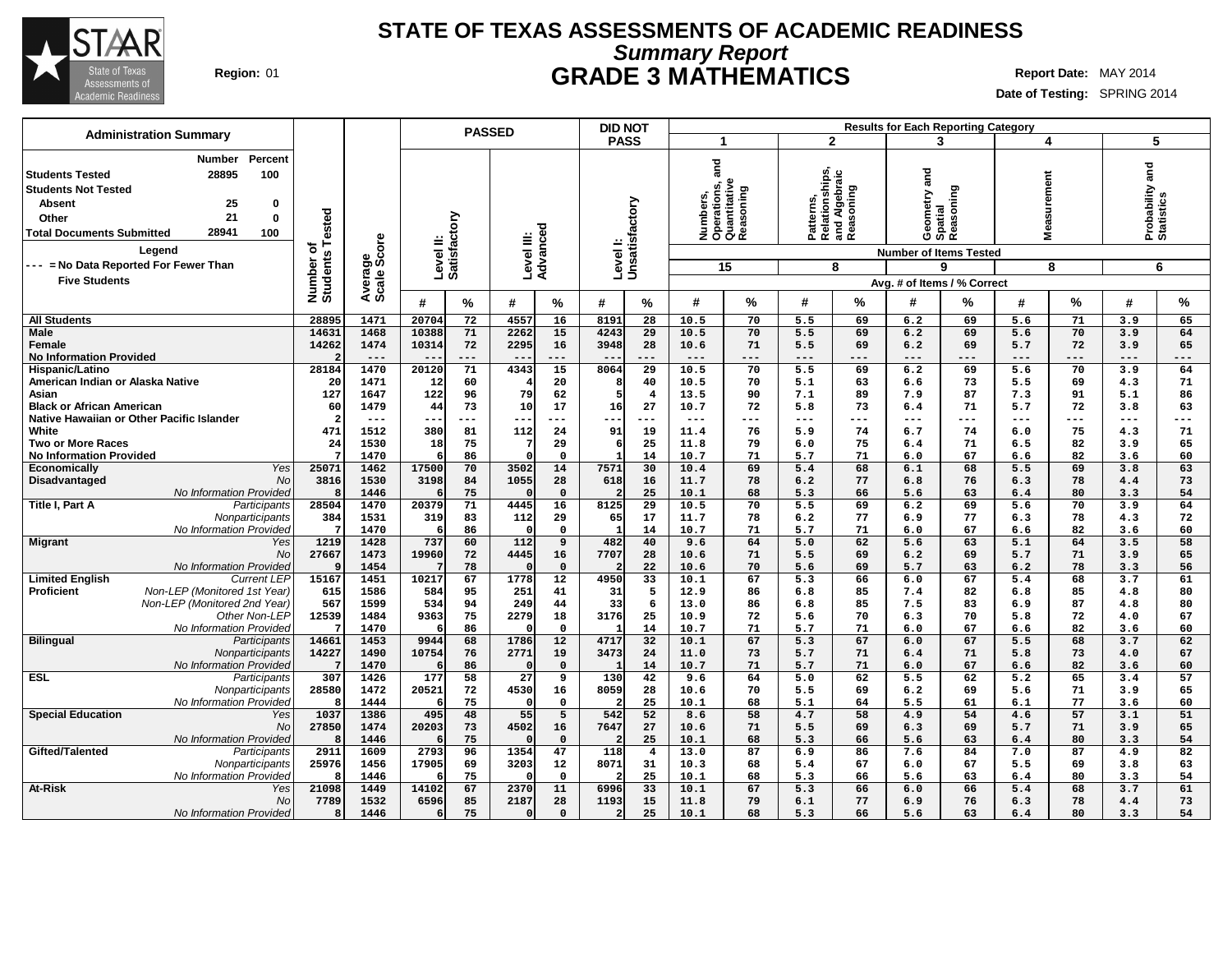

# **Summary Report STATE OF TEXAS ASSESSMENTS OF ACADEMIC READINESS Region:** 01 **GRADE 3 MATHEMATICS Report Date:** MAY 2014

| <b>Administration Summary</b>                                                              |                       |              |                           | <b>PASSED</b> |                        |                             | <b>DID NOT</b>          |                       |              |                                                        |                                                           |          |                  | <b>Results for Each Reporting Category</b> |            |               |                             |          |
|--------------------------------------------------------------------------------------------|-----------------------|--------------|---------------------------|---------------|------------------------|-----------------------------|-------------------------|-----------------------|--------------|--------------------------------------------------------|-----------------------------------------------------------|----------|------------------|--------------------------------------------|------------|---------------|-----------------------------|----------|
|                                                                                            |                       |              |                           |               |                        |                             | <b>PASS</b>             |                       | -1           |                                                        | $\mathbf{2}$                                              |          | 3                |                                            |            | 4             | 5                           |          |
| Percent<br>Number<br>28895<br>100<br><b>Students Tested</b>                                |                       |              |                           |               |                        |                             |                         |                       | and          |                                                        | Patterns,<br>Relationships,<br>and Algebraic<br>Reasoning |          | and              |                                            |            |               | and                         |          |
| <b>Students Not Tested</b>                                                                 |                       |              |                           |               |                        |                             |                         |                       |              | Numbers,<br>Operations, a<br>Quantitative<br>Reasoning |                                                           |          |                  |                                            | surement   |               | Probability a<br>Statistics |          |
| 25<br><b>Absent</b><br>0                                                                   |                       |              |                           |               |                        |                             |                         |                       |              |                                                        |                                                           |          | metry.           | Reasoning                                  |            |               |                             |          |
| 21<br>$\mathbf 0$<br>Other                                                                 |                       |              |                           |               |                        |                             |                         |                       |              |                                                        |                                                           |          |                  |                                            |            |               |                             |          |
| 28941<br>100<br><b>Total Documents Submitted</b>                                           |                       |              |                           |               |                        |                             |                         |                       |              |                                                        |                                                           |          | Geome<br>Spatial |                                            | vea<br>Nea |               |                             |          |
|                                                                                            | Tested                |              |                           |               |                        |                             |                         |                       |              |                                                        |                                                           |          |                  |                                            |            |               |                             |          |
| Legend                                                                                     | ৳                     | ige<br>Score | Level II:<br>Satisfactory |               | Level III:<br>Advanced |                             | Level I:                | Unsatisfactory        |              |                                                        |                                                           |          |                  | <b>Number of Items Tested</b>              |            |               |                             |          |
| --- = No Data Reported For Fewer Than                                                      |                       |              |                           |               |                        |                             |                         |                       |              | 15                                                     |                                                           | 8        |                  | 9                                          |            | 8             |                             | 6        |
| <b>Five Students</b>                                                                       |                       | Average      |                           |               |                        |                             |                         |                       |              |                                                        |                                                           |          |                  | Avg. # of Items / % Correct                |            |               |                             |          |
|                                                                                            | Number of<br>Students |              | #                         | %             | #                      | %                           | #                       | ℅                     | #            | %                                                      | #                                                         | %        | #                | %                                          | #          | $\frac{9}{6}$ | #                           | %        |
| <b>All Students</b>                                                                        | 28895                 | 1471         | 20704                     | 72            | 4557                   | 16                          | 8191                    | 28                    | 10.5         | 70                                                     | 5.5                                                       | 69       | 6.2              | 69                                         | 5.6        | 71            | 3.9                         | 65       |
| <b>Male</b>                                                                                | 14631                 | 1468         | 10388                     | 71            | 2262                   | 15                          | 4243                    | 29                    | 10.5         | 70                                                     | 5.5                                                       | 69       | 6.2              | 69                                         | 5.6        | 70            | 3.9                         | 64       |
| Female                                                                                     | 14262                 | 1474         | 10314                     | 72            | 2295                   | 16                          | 3948                    | 28                    | 10.6         | 71                                                     | 5.5                                                       | 69       | 6.2              | 69                                         | 5.7        | 72            | 3.9                         | 65       |
| <b>No Information Provided</b>                                                             |                       | $---$        | $-$                       | $---$         | $- -$                  | ---                         | $ -$                    | $---$                 | $---$        | $---$                                                  | $---$                                                     | $---$    | $---$            | ---                                        | $---$      | $---$         | $---$                       | ---      |
| Hispanic/Latino                                                                            | 28184                 | 1470         | 20120                     | 71            | 4343                   | 15                          | 8064                    | 29                    | 10.5         | 70                                                     | 5.5                                                       | 69       | 6.2              | 69                                         | 5.6        | 70            | 3.9                         | 64       |
| American Indian or Alaska Native                                                           | 20                    | 1471         | 12                        | 60            |                        | 20                          | -8                      | 40                    | 10.5         | 70                                                     | 5.1                                                       | 63       | 6.6              | 73                                         | 5.5        | 69            | 4.3                         | 71       |
| Asian                                                                                      | 127                   | 1647         | 122                       | 96            | 79                     | 62                          | 5                       | $\overline{4}$        | 13.5         | 90                                                     | 7.1                                                       | 89       | 7.9              | 87                                         | 7.3        | 91            | 5.1                         | 86       |
| <b>Black or African American</b>                                                           | 60                    | 1479         | 44                        | 73            | 10                     | 17                          | 16                      | 27                    | 10.7         | 72                                                     | 5.8                                                       | 73       | 6.4              | 71                                         | 5.7        | 72            | 3.8                         | 63       |
| Native Hawaiian or Other Pacific Islander                                                  | -2                    | $- - -$      | ---                       | ---           | --                     | ---                         | ÷                       | $--$                  | $--$         | $---$                                                  | $---$                                                     | ---      | $---$            | ---                                        | ---        | ---           | $--$                        | ---      |
| White                                                                                      | 471                   | 1512         | 380                       | 81            | 112<br>7               | 24                          | 91                      | 19                    | 11.4         | 76                                                     | 5.9                                                       | 74       | 6.7              | 74                                         | 6.0        | 75            | 4.3                         | 71       |
| <b>Two or More Races</b><br><b>No Information Provided</b>                                 | 24<br>-7              | 1530<br>1470 | 18<br>6                   | 75<br>86      |                        | 29<br>$\mathbf 0$           | 6<br>$\mathbf{1}$       | 25<br>14              | 11.8<br>10.7 | 79<br>71                                               | 6.0<br>5.7                                                | 75<br>71 | 6.4<br>6.0       | 71<br>67                                   | 6.5<br>6.6 | 82<br>82      | 3.9<br>3.6                  | 65<br>60 |
| Yes<br><b>Economically</b>                                                                 | 25071                 | 1462         | 17500                     | 70            | 3502                   | 14                          | 7571                    | 30                    | 10.4         | 69                                                     | 5.4                                                       | 68       | 6.1              | 68                                         | 5.5        | 69            | 3.8                         | 63       |
| <b>No</b><br>Disadvantaged                                                                 | 3816                  | 1530         | 3198                      | 84            | 1055                   | 28                          | 618                     | 16                    | 11.7         | 78                                                     | 6.2                                                       | 77       | 6.8              | 76                                         | 6.3        | 78            | 4.4                         | 73       |
| No Information Provided                                                                    | Я.                    | 1446         |                           | 75            |                        | $\Omega$                    | 2                       | 25                    | 10.1         | 68                                                     | 5.3                                                       | 66       | 5.6              | 63                                         | 6.4        | 80            | 3.3                         | 54       |
| Title I, Part A<br>Participants                                                            | 28504                 | 1470         | 20379                     | 71            | 4445                   | 16                          | 8125                    | 29                    | 10.5         | 70                                                     | 5.5                                                       | 69       | 6.2              | 69                                         | 5.6        | 70            | 3.9                         | 64       |
| Nonparticipants                                                                            | 384                   | 1531         | 319                       | 83            | 112                    | 29                          | 65                      | 17                    | 11.7         | 78                                                     | 6.2                                                       | 77       | 6.9              | 77                                         | 6.3        | 78            | 4.3                         | 72       |
| <b>No Information Provided</b>                                                             |                       | 1470         | 6                         | 86            | $\Omega$               | $\mathbf{0}$                | $\mathbf{1}$            | 14                    | 10.7         | 71                                                     | 5.7                                                       | 71       | 6.0              | 67                                         | 6.6        | 82            | 3.6                         | 60       |
| <b>Migrant</b><br>Yes                                                                      | 1219                  | 1428         | 737                       | 60            | 112                    | $\overline{9}$              | 482                     | 40                    | 9.6          | 64                                                     | 5.0                                                       | 62       | 5.6              | 63                                         | 5.1        | 64            | 3.5                         | 58       |
| <b>No</b>                                                                                  | 27667                 | 1473         | 19960                     | 72            | 4445                   | 16                          | 7707                    | 28                    | 10.6         | 71                                                     | 5.5                                                       | 69       | 6.2              | 69                                         | 5.7        | 71            | 3.9                         | 65       |
| No Information Provided                                                                    | <b>q</b><br>15167     | 1454<br>1451 | 10217                     | 78<br>67      | 1778                   | $\Omega$<br>$\overline{12}$ | 4950                    | 22<br>$\overline{33}$ | 10.6<br>10.1 | 70<br>67                                               | 5.6<br>5.3                                                | 69       | 5.7              | 63<br>67                                   | 6.2        | 78<br>68      | 3.3                         | 56<br>61 |
| <b>Limited English</b><br><b>Current LEP</b><br>Proficient<br>Non-LEP (Monitored 1st Year) | 615                   | 1586         | 584                       | 95            | 251                    | 41                          | 31                      | 5                     | 12.9         | 86                                                     | 6.8                                                       | 66<br>85 | 6.0<br>7.4       | 82                                         | 5.4<br>6.8 | 85            | 3.7<br>4.8                  | 80       |
| Non-LEP (Monitored 2nd Year)                                                               | 567                   | 1599         | 534                       | 94            | 249                    | 44                          | 33                      | 6                     | 13.0         | 86                                                     | 6.8                                                       | 85       | 7.5              | 83                                         | 6.9        | 87            | 4.8                         | 80       |
| Other Non-LEP                                                                              | 12539                 | 1484         | 9363                      | 75            | 2279                   | 18                          | 3176                    | 25                    | 10.9         | 72                                                     | 5.6                                                       | 70       | 6.3              | 70                                         | 5.8        | 72            | 4.0                         | 67       |
| No Information Provided                                                                    |                       | 1470         | 6                         | 86            |                        | $\mathbf{o}$                |                         | 14                    | 10.7         | 71                                                     | 5.7                                                       | 71       | 6.0              | 67                                         | 6.6        | 82            | 3.6                         | 60       |
| <b>Bilingual</b><br>Participants                                                           | 14661                 | 1453         | 9944                      | 68            | 1786                   | 12                          | 4717                    | 32                    | 10.1         | 67                                                     | 5.3                                                       | 67       | 6.0              | 67                                         | 5.5        | 68            | 3.7                         | 62       |
| Nonparticipants                                                                            | 14227                 | 1490         | 10754                     | 76            | 2771                   | 19                          | 3473                    | 24                    | 11.0         | 73                                                     | 5.7                                                       | 71       | 6.4              | 71                                         | 5.8        | 73            | 4.0                         | 67       |
| No Information Provided                                                                    |                       | 1470         | 6                         | 86            | $\Omega$               | $\mathbf 0$                 |                         | 14                    | 10.7         | 71                                                     | 5.7                                                       | 71       | 6.0              | 67                                         | 6.6        | 82            | 3.6                         | 60       |
| <b>ESL</b><br>Participants                                                                 | 307                   | 1426         | 177                       | 58            | 27                     | 9                           | 130                     | 42                    | 9.6          | 64                                                     | 5.0                                                       | 62       | 5.5              | 62                                         | 5.2        | 65            | 3.4                         | 57       |
| Nonparticipants                                                                            | 28580                 | 1472         | 20521                     | 72            | 4530                   | 16                          | 8059                    | 28                    | 10.6         | 70                                                     | 5.5                                                       | 69       | 6.2              | 69                                         | 5.6        | 71            | 3.9                         | 65       |
| No Information Provided                                                                    | -8                    | 1444         | 6                         | 75            | $\Omega$               | $\mathbf 0$                 |                         | 25                    | 10.1         | 68                                                     | 5.1                                                       | 64       | 5.5              | 61                                         | 6.1        | 77            | 3.6                         | 60       |
| <b>Special Education</b><br>Yes                                                            | 1037                  | 1386         | 495                       | 48            | 55                     | 5                           | 542                     | 52                    | 8.6          | 58                                                     | 4.7                                                       | 58       | 4.9              | 54                                         | 4.6        | 57            | 3.1                         | 51       |
| No<br><b>No Information Provided</b>                                                       | 27850<br>Я.           | 1474<br>1446 | 20203<br>6                | 73<br>75      | 4502                   | 16<br>$\mathbf 0$           | 7647                    | 27<br>25              | 10.6<br>10.1 | 71<br>68                                               | 5.5<br>5.3                                                | 69<br>66 | 6.3<br>5.6       | 69<br>63                                   | 5.7<br>6.4 | 71<br>80      | 3.9<br>3.3                  | 65<br>54 |
| Gifted/Talented<br>Participants                                                            | 2911                  | 1609         | 2793                      | 96            | 1354                   | 47                          | 118                     | $\overline{4}$        | 13.0         | 87                                                     | 6.9                                                       | 86       | 7.6              | 84                                         | 7.0        | 87            | 4.9                         | 82       |
| Nonparticipants                                                                            | 25976                 | 1456         | 17905                     | 69            | 3203                   | 12                          | 8071                    | 31                    | 10.3         | 68                                                     | 5.4                                                       | 67       | 6.0              | 67                                         | 5.5        | 69            | 3.8                         | 63       |
| No Information Provided                                                                    | Я.                    | 1446         | 6                         | 75            |                        | $\mathbf 0$                 |                         | 25                    | 10.1         | 68                                                     | 5.3                                                       | 66       | 5.6              | 63                                         | 6.4        | 80            | 3.3                         | 54       |
| At-Risk<br>Yes                                                                             | 21098                 | 1449         | 14102                     | 67            | 2370                   | 11                          | 6996                    | 33                    | 10.1         | 67                                                     | 5.3                                                       | 66       | 6.0              | 66                                         | 5.4        | 68            | 3.7                         | 61       |
| <b>No</b>                                                                                  | 7789                  | 1532         | 6596                      | 85            | 2187                   | 28                          | 1193                    | 15                    | 11.8         | 79                                                     | 6.1                                                       | 77       | 6.9              | 76                                         | 6.3        | 78            | 4.4                         | 73       |
| No Information Provided                                                                    | $\mathbf{a}$          | 1446         | 6                         | 75            | $\Omega$               | $\mathbf{0}$                | $\overline{\mathbf{c}}$ | 25                    | 10.1         | 68                                                     | 5.3                                                       | 66       | 5.6              | 63                                         | 6.4        | 80            | 3.3                         | 54       |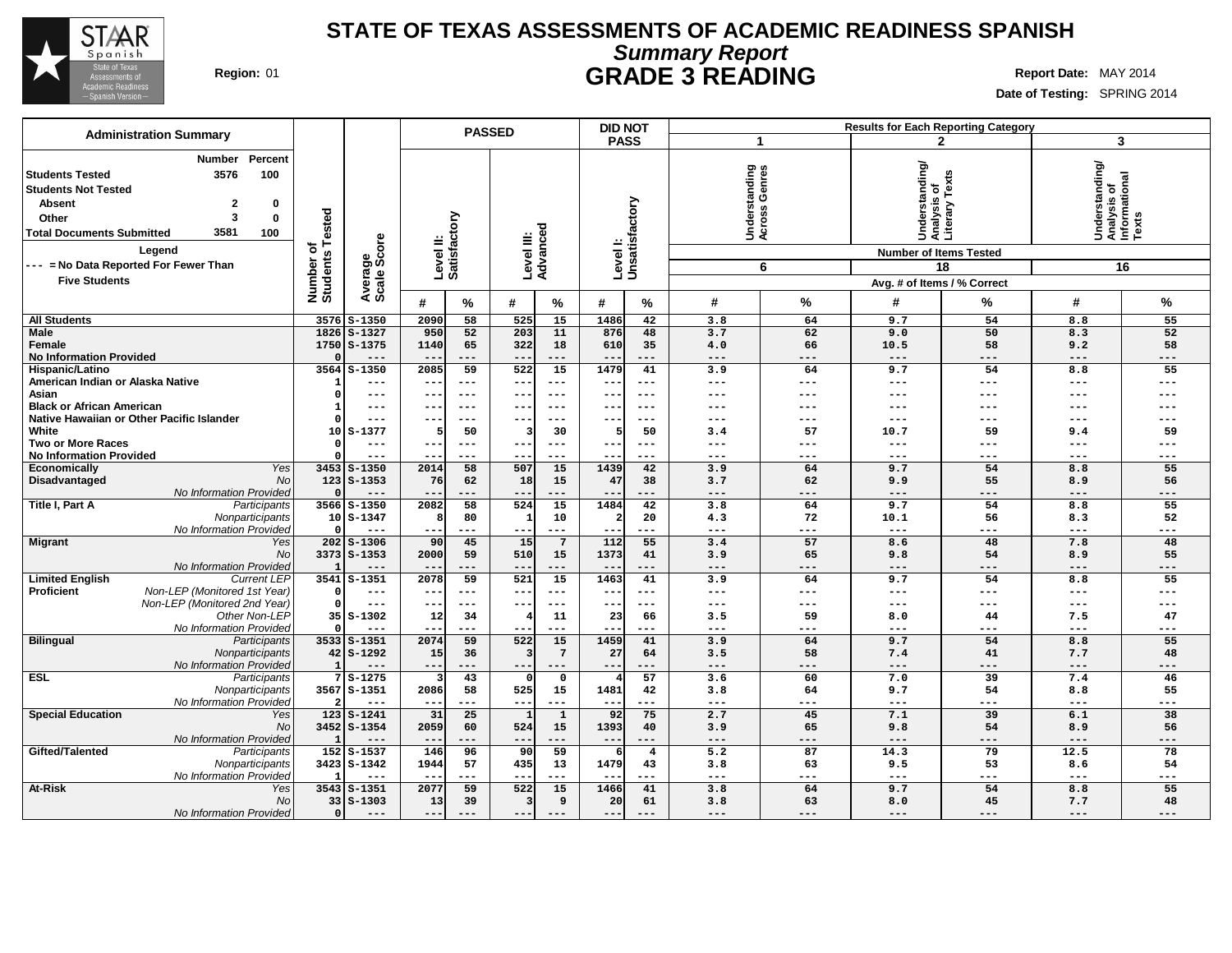

# **Summary Report STATE OF TEXAS ASSESSMENTS OF ACADEMIC READINESS SPANISH Region:** 01 **GRADE 3 READING Report Date:** MAY 2014

| <b>PASS</b><br>3<br>-1<br>$\mathbf{2}$<br>Percent<br>Number<br> Understanding/<br> Analysis of<br>  Informational<br>  Texts<br>Understanding<br>tanding<br>Genres<br>s of<br>Texts<br>3576<br>100<br><b>Students Tested</b><br><b>Students Not Tested</b><br>Analysis <b>o</b><br>Literary T<br>Levell:<br>Unsatisfactory<br>$\mathbf{2}$<br><b>Absent</b><br>0<br>Underst<br>Across (<br>Tested<br>Level II:<br>Satisfactory<br>3<br>$\bf{0}$<br>Other<br>Level III:<br>Advanced<br>3581<br><b>Total Documents Submitted</b><br>100<br>Average<br>Scale Score<br>৳<br>Legend<br><b>Number of Items Tested</b><br>Number o<br>Students<br>--- = No Data Reported For Fewer Than<br>6<br>18<br>16<br><b>Five Students</b><br>Avg. # of Items / % Correct<br>#<br>%<br>%<br>#<br>%<br>#<br>$\frac{0}{0}$<br>#<br>%<br>#<br>%<br>#<br>3576 S-1350<br>58<br>525<br>15<br>1486<br>42<br>3.8<br>9.7<br>54<br>8.8<br>55<br><b>All Students</b><br>2090<br>64<br>62<br>52<br>1826 S-1327<br>950<br>52<br>203<br>11<br>876<br>48<br>3.7<br>9.0<br>50<br>8.3<br><b>Male</b><br>Female<br>1750 S-1375<br>1140<br>65<br>322<br>18<br>610<br>35<br>4.0<br>66<br>58<br>9.2<br>58<br>10.5<br><b>No Information Provided</b><br>$---$<br>$---$<br>$---$<br>$---$<br>$---$<br>$---$<br>$---$<br>$- - -$<br>$-$<br>$- -$<br>---<br>$---$<br>$- -$<br>3564<br>$S - 1350$<br>2085<br>59<br>522<br>15<br>1479<br>55<br>Hispanic/Latino<br>41<br>3.9<br>64<br>9.7<br>54<br>8.8<br>American Indian or Alaska Native<br>---<br>$--$<br>$---$<br>$--$<br>$---$<br>$---$<br>$---$<br>$---$<br>---<br>---<br>$---$<br>---<br>$- -$<br>Asian<br>n<br>---<br>$- -$<br>$---$<br>$- -$<br>$- - -$<br>$---$<br>---<br>$---$<br>---<br>---<br>$---$<br>$- -$<br>---<br><b>Black or African American</b><br>---<br>$--$<br>$---$<br>$---$<br>$---$<br>---<br>---<br>---<br>---<br>$---$<br>$--$<br>--<br>---<br>Native Hawaiian or Other Pacific Islander<br>---<br>---<br>$--$<br>---<br>---<br>---<br>$--$<br>White<br>59<br>10<br>$S-1377$<br>50<br>30<br>50<br>57<br>59<br>9.4<br>5<br>3.4<br>10.7<br>5<br>з<br><b>Two or More Races</b><br>$\qquad \qquad - -$<br>$---$<br>$- - -$<br>$- - -$<br>$---$<br>$---$<br>---<br>---<br>$---$<br>---<br>$- -$<br>$- -$<br>$- - -$<br><b>No Information Provided</b><br>---<br>$- -$<br>$---$<br>$- -$<br>$- - -$<br>$---$<br>$---$<br>$--$<br>---<br>---<br>$---$<br>---<br>$ -$<br>55<br>Yes<br>$3453$ $S-1350$<br>58<br>507<br>15<br>1439<br>42<br>3.9<br>64<br>9.7<br>54<br>8.8<br>Economically<br>2014<br>No<br>$123$ $S-1353$<br>15<br>62<br>55<br>56<br>Disadvantaged<br>76<br>62<br>18<br>47<br>38<br>3.7<br>9.9<br>8.9<br>No Information Provided<br>---<br>$---$<br>$\qquad \qquad - -$<br>---<br>$\qquad \qquad -$<br>$- -$<br>$---$<br>$- -$<br>---<br>$---$<br>---<br>$---$<br>---<br>Title I, Part A<br>58<br>524<br>15<br>1484<br>55<br>Participants<br>3566 S-1350<br>2082<br>42<br>3.8<br>64<br>9.7<br>54<br>8.8<br>52<br>Nonparticipants<br>72<br>$10S - 1347$<br>Я<br>80<br>10<br>$\overline{a}$<br>20<br>4.3<br>10.1<br>56<br>8.3<br>No Information Provided<br>---<br>$\qquad \qquad - -$<br>$---$<br>$---$<br>$---$<br>$---$<br>$---$<br>---<br>$\qquad \qquad - -$<br>---<br>$- -$<br>---<br>$- -$<br>$202$ $S-1306$<br>90<br>45<br>15<br>$7\overline{ }$<br>112<br>55<br>3.4<br>57<br>48<br><b>Migrant</b><br>Yes<br>8.6<br>48<br>7.8<br><b>No</b><br>3373 S-1353<br>65<br>55<br>59<br>510<br>15<br>1373<br>41<br>3.9<br>54<br>8.9<br>2000<br>9.8<br>No Information Provided<br>---<br>---<br>$---$<br>$---$<br>$---$<br>---<br>---<br>$---$<br>---<br>$- -$<br>$- -$<br>---<br>$\overline{59}$<br>521<br>15<br><b>Limited English</b><br><b>Current LEP</b><br>3541<br>$S - 1351$<br>2078<br>1463<br>41<br>3.9<br>64<br>9.7<br>54<br>8.8<br>55<br>Non-LEP (Monitored 1st Year)<br>Proficient<br>$\Omega$<br>---<br>$--$<br>$---$<br>$- -$<br>$---$<br>$---$<br>$---$<br>$---$<br>---<br>---<br>$---$<br>---<br>$- -$<br>Non-LEP (Monitored 2nd Year)<br>$---$<br>$--$<br>$\qquad \qquad - -$<br>$---$<br>$---$<br>$---$<br>$\qquad \qquad - -$<br>---<br>---<br>$---$<br>$--$<br>$- -$<br>---<br>Other Non-LEP<br>$35S - 1302$<br>12<br>34<br>11<br>23<br>3.5<br>59<br>7.5<br>47<br>66<br>8.0<br>44<br>No Information Provided<br>$---$<br>$---$<br>$---$<br>$- - -$<br>$- -$<br>$---$<br>$---$<br>$---$<br>$---$<br>$---$<br>---<br>$- -$<br>$- -$<br>59<br><b>Bilingual</b><br>$3533$ $S-1351$<br>2074<br>522<br>15<br>1459<br>41<br>3.9<br>64<br>9.7<br>54<br>8.8<br>55<br>Participants<br>$7\phantom{.0}$<br>58<br>7.7<br>48<br>Nonparticipants<br>$42$ S-1292<br>15<br>36<br>27<br>64<br>3.5<br>7.4<br>41<br>No Information Provided<br>$---$<br>---<br>$---$<br>$\qquad \qquad - -$<br>$---$<br>$---$<br>---<br>$---$<br>$\qquad \qquad -$<br>$- -$<br>---<br>$---$<br>---<br>ESL<br>$7S-1275$<br>43<br>57<br>3.6<br>60<br>7.0<br>39<br>7.4<br>46<br>Participants<br>0<br>3567 S-1351<br>2086<br>58<br>1481<br>64<br>55<br>Nonparticipants<br>525<br>15<br>42<br>3.8<br>9.7<br>54<br>8.8<br>No Information Provided<br>---<br>---<br>$--$<br>$---$<br>$\qquad \qquad - -$<br>---<br>---<br>$\qquad \qquad - -$<br>---<br>---<br>---<br>$- -$<br><b>Special Education</b><br>Yes<br>123<br>$S - 1241$<br>31<br>25<br>$\mathbf{1}$<br>92<br>75<br>2.7<br>45<br>7.1<br>39<br>38<br>$\mathbf{1}$<br>6.1<br>No<br>3452 S-1354<br>2059<br>60<br>524<br>15<br>1393<br>40<br>3.9<br>65<br>9.8<br>54<br>8.9<br>56<br>No Information Provided<br>---<br>---<br>$---$<br>---<br>---<br>---<br>$---$<br>---<br>--<br>$- -$<br>---<br>78<br>Gifted/Talented<br>$152$ $S-1537$<br>146<br>96<br>59<br>5.2<br>87<br>14.3<br>79<br>12.5<br>90<br>$\overline{4}$<br>Participants<br>-61<br>3423 S-1342<br>1944<br>57<br>435<br>13<br>1479<br>3.8<br>63<br>9.5<br>53<br>54<br>Nonparticipants<br>43<br>8.6<br>No Information Provided<br>---<br>---<br>$---$<br>---<br>$- -$<br>$- - -$<br>$- - -$<br>$- - -$<br>---<br>At-Risk<br>$3543$ $S-1351$<br>59<br>15<br>41<br>55<br>2077<br>522<br>1466<br>3.8<br>64<br>9.7<br>54<br>Yes<br>8.8<br><b>No</b><br>$33   S - 1303$<br>13<br>39<br>9<br>63<br>48<br>20<br>61<br>3.8<br>8.0<br>45<br>7.7<br>з<br>No Information Provided<br>$\Omega$<br>$---$<br>$- - -$<br>$- - -$<br>$- - -$<br>$- - -$<br>$---$<br>$- - -$<br>$- -$<br>$- - -$<br>$- - -$<br>$- - -$<br>$---$<br>$- - -$ | <b>Administration Summary</b> |  |  | <b>PASSED</b> |  | <b>Results for Each Reporting Category</b> |  |  |  |  |
|----------------------------------------------------------------------------------------------------------------------------------------------------------------------------------------------------------------------------------------------------------------------------------------------------------------------------------------------------------------------------------------------------------------------------------------------------------------------------------------------------------------------------------------------------------------------------------------------------------------------------------------------------------------------------------------------------------------------------------------------------------------------------------------------------------------------------------------------------------------------------------------------------------------------------------------------------------------------------------------------------------------------------------------------------------------------------------------------------------------------------------------------------------------------------------------------------------------------------------------------------------------------------------------------------------------------------------------------------------------------------------------------------------------------------------------------------------------------------------------------------------------------------------------------------------------------------------------------------------------------------------------------------------------------------------------------------------------------------------------------------------------------------------------------------------------------------------------------------------------------------------------------------------------------------------------------------------------------------------------------------------------------------------------------------------------------------------------------------------------------------------------------------------------------------------------------------------------------------------------------------------------------------------------------------------------------------------------------------------------------------------------------------------------------------------------------------------------------------------------------------------------------------------------------------------------------------------------------------------------------------------------------------------------------------------------------------------------------------------------------------------------------------------------------------------------------------------------------------------------------------------------------------------------------------------------------------------------------------------------------------------------------------------------------------------------------------------------------------------------------------------------------------------------------------------------------------------------------------------------------------------------------------------------------------------------------------------------------------------------------------------------------------------------------------------------------------------------------------------------------------------------------------------------------------------------------------------------------------------------------------------------------------------------------------------------------------------------------------------------------------------------------------------------------------------------------------------------------------------------------------------------------------------------------------------------------------------------------------------------------------------------------------------------------------------------------------------------------------------------------------------------------------------------------------------------------------------------------------------------------------------------------------------------------------------------------------------------------------------------------------------------------------------------------------------------------------------------------------------------------------------------------------------------------------------------------------------------------------------------------------------------------------------------------------------------------------------------------------------------------------------------------------------------------------------------------------------------------------------------------------------------------------------------------------------------------------------------------------------------------------------------------------------------------------------------------------------------------------------------------------------------------------------------------------------------------------------------------------------------------------------------------------------------------------------------------------------------------------------------------------------------------------------------------------------------------------------------------------------------------------------------------------------------------------------------------------------------------------------------------------------------------------------------------------------------------------------------------------------------------------------------------------------------------------------------------------------------------------------------------------------------------------------------------------------------------------------------------------------------------------------------------------------------------------------------------------------------------------------------------------------------------------------------------------------------------------------------------------------------------------------------------------------------------------------------------------------------------------------|-------------------------------|--|--|---------------|--|--------------------------------------------|--|--|--|--|
|                                                                                                                                                                                                                                                                                                                                                                                                                                                                                                                                                                                                                                                                                                                                                                                                                                                                                                                                                                                                                                                                                                                                                                                                                                                                                                                                                                                                                                                                                                                                                                                                                                                                                                                                                                                                                                                                                                                                                                                                                                                                                                                                                                                                                                                                                                                                                                                                                                                                                                                                                                                                                                                                                                                                                                                                                                                                                                                                                                                                                                                                                                                                                                                                                                                                                                                                                                                                                                                                                                                                                                                                                                                                                                                                                                                                                                                                                                                                                                                                                                                                                                                                                                                                                                                                                                                                                                                                                                                                                                                                                                                                                                                                                                                                                                                                                                                                                                                                                                                                                                                                                                                                                                                                                                                                                                                                                                                                                                                                                                                                                                                                                                                                                                                                                                                                                                                                                                                                                                                                                                                                                                                                                                                                                                                                                                                                                          |                               |  |  |               |  |                                            |  |  |  |  |
|                                                                                                                                                                                                                                                                                                                                                                                                                                                                                                                                                                                                                                                                                                                                                                                                                                                                                                                                                                                                                                                                                                                                                                                                                                                                                                                                                                                                                                                                                                                                                                                                                                                                                                                                                                                                                                                                                                                                                                                                                                                                                                                                                                                                                                                                                                                                                                                                                                                                                                                                                                                                                                                                                                                                                                                                                                                                                                                                                                                                                                                                                                                                                                                                                                                                                                                                                                                                                                                                                                                                                                                                                                                                                                                                                                                                                                                                                                                                                                                                                                                                                                                                                                                                                                                                                                                                                                                                                                                                                                                                                                                                                                                                                                                                                                                                                                                                                                                                                                                                                                                                                                                                                                                                                                                                                                                                                                                                                                                                                                                                                                                                                                                                                                                                                                                                                                                                                                                                                                                                                                                                                                                                                                                                                                                                                                                                                          |                               |  |  |               |  |                                            |  |  |  |  |
|                                                                                                                                                                                                                                                                                                                                                                                                                                                                                                                                                                                                                                                                                                                                                                                                                                                                                                                                                                                                                                                                                                                                                                                                                                                                                                                                                                                                                                                                                                                                                                                                                                                                                                                                                                                                                                                                                                                                                                                                                                                                                                                                                                                                                                                                                                                                                                                                                                                                                                                                                                                                                                                                                                                                                                                                                                                                                                                                                                                                                                                                                                                                                                                                                                                                                                                                                                                                                                                                                                                                                                                                                                                                                                                                                                                                                                                                                                                                                                                                                                                                                                                                                                                                                                                                                                                                                                                                                                                                                                                                                                                                                                                                                                                                                                                                                                                                                                                                                                                                                                                                                                                                                                                                                                                                                                                                                                                                                                                                                                                                                                                                                                                                                                                                                                                                                                                                                                                                                                                                                                                                                                                                                                                                                                                                                                                                                          |                               |  |  |               |  |                                            |  |  |  |  |
|                                                                                                                                                                                                                                                                                                                                                                                                                                                                                                                                                                                                                                                                                                                                                                                                                                                                                                                                                                                                                                                                                                                                                                                                                                                                                                                                                                                                                                                                                                                                                                                                                                                                                                                                                                                                                                                                                                                                                                                                                                                                                                                                                                                                                                                                                                                                                                                                                                                                                                                                                                                                                                                                                                                                                                                                                                                                                                                                                                                                                                                                                                                                                                                                                                                                                                                                                                                                                                                                                                                                                                                                                                                                                                                                                                                                                                                                                                                                                                                                                                                                                                                                                                                                                                                                                                                                                                                                                                                                                                                                                                                                                                                                                                                                                                                                                                                                                                                                                                                                                                                                                                                                                                                                                                                                                                                                                                                                                                                                                                                                                                                                                                                                                                                                                                                                                                                                                                                                                                                                                                                                                                                                                                                                                                                                                                                                                          |                               |  |  |               |  |                                            |  |  |  |  |
|                                                                                                                                                                                                                                                                                                                                                                                                                                                                                                                                                                                                                                                                                                                                                                                                                                                                                                                                                                                                                                                                                                                                                                                                                                                                                                                                                                                                                                                                                                                                                                                                                                                                                                                                                                                                                                                                                                                                                                                                                                                                                                                                                                                                                                                                                                                                                                                                                                                                                                                                                                                                                                                                                                                                                                                                                                                                                                                                                                                                                                                                                                                                                                                                                                                                                                                                                                                                                                                                                                                                                                                                                                                                                                                                                                                                                                                                                                                                                                                                                                                                                                                                                                                                                                                                                                                                                                                                                                                                                                                                                                                                                                                                                                                                                                                                                                                                                                                                                                                                                                                                                                                                                                                                                                                                                                                                                                                                                                                                                                                                                                                                                                                                                                                                                                                                                                                                                                                                                                                                                                                                                                                                                                                                                                                                                                                                                          |                               |  |  |               |  |                                            |  |  |  |  |
|                                                                                                                                                                                                                                                                                                                                                                                                                                                                                                                                                                                                                                                                                                                                                                                                                                                                                                                                                                                                                                                                                                                                                                                                                                                                                                                                                                                                                                                                                                                                                                                                                                                                                                                                                                                                                                                                                                                                                                                                                                                                                                                                                                                                                                                                                                                                                                                                                                                                                                                                                                                                                                                                                                                                                                                                                                                                                                                                                                                                                                                                                                                                                                                                                                                                                                                                                                                                                                                                                                                                                                                                                                                                                                                                                                                                                                                                                                                                                                                                                                                                                                                                                                                                                                                                                                                                                                                                                                                                                                                                                                                                                                                                                                                                                                                                                                                                                                                                                                                                                                                                                                                                                                                                                                                                                                                                                                                                                                                                                                                                                                                                                                                                                                                                                                                                                                                                                                                                                                                                                                                                                                                                                                                                                                                                                                                                                          |                               |  |  |               |  |                                            |  |  |  |  |
|                                                                                                                                                                                                                                                                                                                                                                                                                                                                                                                                                                                                                                                                                                                                                                                                                                                                                                                                                                                                                                                                                                                                                                                                                                                                                                                                                                                                                                                                                                                                                                                                                                                                                                                                                                                                                                                                                                                                                                                                                                                                                                                                                                                                                                                                                                                                                                                                                                                                                                                                                                                                                                                                                                                                                                                                                                                                                                                                                                                                                                                                                                                                                                                                                                                                                                                                                                                                                                                                                                                                                                                                                                                                                                                                                                                                                                                                                                                                                                                                                                                                                                                                                                                                                                                                                                                                                                                                                                                                                                                                                                                                                                                                                                                                                                                                                                                                                                                                                                                                                                                                                                                                                                                                                                                                                                                                                                                                                                                                                                                                                                                                                                                                                                                                                                                                                                                                                                                                                                                                                                                                                                                                                                                                                                                                                                                                                          |                               |  |  |               |  |                                            |  |  |  |  |
|                                                                                                                                                                                                                                                                                                                                                                                                                                                                                                                                                                                                                                                                                                                                                                                                                                                                                                                                                                                                                                                                                                                                                                                                                                                                                                                                                                                                                                                                                                                                                                                                                                                                                                                                                                                                                                                                                                                                                                                                                                                                                                                                                                                                                                                                                                                                                                                                                                                                                                                                                                                                                                                                                                                                                                                                                                                                                                                                                                                                                                                                                                                                                                                                                                                                                                                                                                                                                                                                                                                                                                                                                                                                                                                                                                                                                                                                                                                                                                                                                                                                                                                                                                                                                                                                                                                                                                                                                                                                                                                                                                                                                                                                                                                                                                                                                                                                                                                                                                                                                                                                                                                                                                                                                                                                                                                                                                                                                                                                                                                                                                                                                                                                                                                                                                                                                                                                                                                                                                                                                                                                                                                                                                                                                                                                                                                                                          |                               |  |  |               |  |                                            |  |  |  |  |
|                                                                                                                                                                                                                                                                                                                                                                                                                                                                                                                                                                                                                                                                                                                                                                                                                                                                                                                                                                                                                                                                                                                                                                                                                                                                                                                                                                                                                                                                                                                                                                                                                                                                                                                                                                                                                                                                                                                                                                                                                                                                                                                                                                                                                                                                                                                                                                                                                                                                                                                                                                                                                                                                                                                                                                                                                                                                                                                                                                                                                                                                                                                                                                                                                                                                                                                                                                                                                                                                                                                                                                                                                                                                                                                                                                                                                                                                                                                                                                                                                                                                                                                                                                                                                                                                                                                                                                                                                                                                                                                                                                                                                                                                                                                                                                                                                                                                                                                                                                                                                                                                                                                                                                                                                                                                                                                                                                                                                                                                                                                                                                                                                                                                                                                                                                                                                                                                                                                                                                                                                                                                                                                                                                                                                                                                                                                                                          |                               |  |  |               |  |                                            |  |  |  |  |
|                                                                                                                                                                                                                                                                                                                                                                                                                                                                                                                                                                                                                                                                                                                                                                                                                                                                                                                                                                                                                                                                                                                                                                                                                                                                                                                                                                                                                                                                                                                                                                                                                                                                                                                                                                                                                                                                                                                                                                                                                                                                                                                                                                                                                                                                                                                                                                                                                                                                                                                                                                                                                                                                                                                                                                                                                                                                                                                                                                                                                                                                                                                                                                                                                                                                                                                                                                                                                                                                                                                                                                                                                                                                                                                                                                                                                                                                                                                                                                                                                                                                                                                                                                                                                                                                                                                                                                                                                                                                                                                                                                                                                                                                                                                                                                                                                                                                                                                                                                                                                                                                                                                                                                                                                                                                                                                                                                                                                                                                                                                                                                                                                                                                                                                                                                                                                                                                                                                                                                                                                                                                                                                                                                                                                                                                                                                                                          |                               |  |  |               |  |                                            |  |  |  |  |
|                                                                                                                                                                                                                                                                                                                                                                                                                                                                                                                                                                                                                                                                                                                                                                                                                                                                                                                                                                                                                                                                                                                                                                                                                                                                                                                                                                                                                                                                                                                                                                                                                                                                                                                                                                                                                                                                                                                                                                                                                                                                                                                                                                                                                                                                                                                                                                                                                                                                                                                                                                                                                                                                                                                                                                                                                                                                                                                                                                                                                                                                                                                                                                                                                                                                                                                                                                                                                                                                                                                                                                                                                                                                                                                                                                                                                                                                                                                                                                                                                                                                                                                                                                                                                                                                                                                                                                                                                                                                                                                                                                                                                                                                                                                                                                                                                                                                                                                                                                                                                                                                                                                                                                                                                                                                                                                                                                                                                                                                                                                                                                                                                                                                                                                                                                                                                                                                                                                                                                                                                                                                                                                                                                                                                                                                                                                                                          |                               |  |  |               |  |                                            |  |  |  |  |
|                                                                                                                                                                                                                                                                                                                                                                                                                                                                                                                                                                                                                                                                                                                                                                                                                                                                                                                                                                                                                                                                                                                                                                                                                                                                                                                                                                                                                                                                                                                                                                                                                                                                                                                                                                                                                                                                                                                                                                                                                                                                                                                                                                                                                                                                                                                                                                                                                                                                                                                                                                                                                                                                                                                                                                                                                                                                                                                                                                                                                                                                                                                                                                                                                                                                                                                                                                                                                                                                                                                                                                                                                                                                                                                                                                                                                                                                                                                                                                                                                                                                                                                                                                                                                                                                                                                                                                                                                                                                                                                                                                                                                                                                                                                                                                                                                                                                                                                                                                                                                                                                                                                                                                                                                                                                                                                                                                                                                                                                                                                                                                                                                                                                                                                                                                                                                                                                                                                                                                                                                                                                                                                                                                                                                                                                                                                                                          |                               |  |  |               |  |                                            |  |  |  |  |
|                                                                                                                                                                                                                                                                                                                                                                                                                                                                                                                                                                                                                                                                                                                                                                                                                                                                                                                                                                                                                                                                                                                                                                                                                                                                                                                                                                                                                                                                                                                                                                                                                                                                                                                                                                                                                                                                                                                                                                                                                                                                                                                                                                                                                                                                                                                                                                                                                                                                                                                                                                                                                                                                                                                                                                                                                                                                                                                                                                                                                                                                                                                                                                                                                                                                                                                                                                                                                                                                                                                                                                                                                                                                                                                                                                                                                                                                                                                                                                                                                                                                                                                                                                                                                                                                                                                                                                                                                                                                                                                                                                                                                                                                                                                                                                                                                                                                                                                                                                                                                                                                                                                                                                                                                                                                                                                                                                                                                                                                                                                                                                                                                                                                                                                                                                                                                                                                                                                                                                                                                                                                                                                                                                                                                                                                                                                                                          |                               |  |  |               |  |                                            |  |  |  |  |
|                                                                                                                                                                                                                                                                                                                                                                                                                                                                                                                                                                                                                                                                                                                                                                                                                                                                                                                                                                                                                                                                                                                                                                                                                                                                                                                                                                                                                                                                                                                                                                                                                                                                                                                                                                                                                                                                                                                                                                                                                                                                                                                                                                                                                                                                                                                                                                                                                                                                                                                                                                                                                                                                                                                                                                                                                                                                                                                                                                                                                                                                                                                                                                                                                                                                                                                                                                                                                                                                                                                                                                                                                                                                                                                                                                                                                                                                                                                                                                                                                                                                                                                                                                                                                                                                                                                                                                                                                                                                                                                                                                                                                                                                                                                                                                                                                                                                                                                                                                                                                                                                                                                                                                                                                                                                                                                                                                                                                                                                                                                                                                                                                                                                                                                                                                                                                                                                                                                                                                                                                                                                                                                                                                                                                                                                                                                                                          |                               |  |  |               |  |                                            |  |  |  |  |
|                                                                                                                                                                                                                                                                                                                                                                                                                                                                                                                                                                                                                                                                                                                                                                                                                                                                                                                                                                                                                                                                                                                                                                                                                                                                                                                                                                                                                                                                                                                                                                                                                                                                                                                                                                                                                                                                                                                                                                                                                                                                                                                                                                                                                                                                                                                                                                                                                                                                                                                                                                                                                                                                                                                                                                                                                                                                                                                                                                                                                                                                                                                                                                                                                                                                                                                                                                                                                                                                                                                                                                                                                                                                                                                                                                                                                                                                                                                                                                                                                                                                                                                                                                                                                                                                                                                                                                                                                                                                                                                                                                                                                                                                                                                                                                                                                                                                                                                                                                                                                                                                                                                                                                                                                                                                                                                                                                                                                                                                                                                                                                                                                                                                                                                                                                                                                                                                                                                                                                                                                                                                                                                                                                                                                                                                                                                                                          |                               |  |  |               |  |                                            |  |  |  |  |
|                                                                                                                                                                                                                                                                                                                                                                                                                                                                                                                                                                                                                                                                                                                                                                                                                                                                                                                                                                                                                                                                                                                                                                                                                                                                                                                                                                                                                                                                                                                                                                                                                                                                                                                                                                                                                                                                                                                                                                                                                                                                                                                                                                                                                                                                                                                                                                                                                                                                                                                                                                                                                                                                                                                                                                                                                                                                                                                                                                                                                                                                                                                                                                                                                                                                                                                                                                                                                                                                                                                                                                                                                                                                                                                                                                                                                                                                                                                                                                                                                                                                                                                                                                                                                                                                                                                                                                                                                                                                                                                                                                                                                                                                                                                                                                                                                                                                                                                                                                                                                                                                                                                                                                                                                                                                                                                                                                                                                                                                                                                                                                                                                                                                                                                                                                                                                                                                                                                                                                                                                                                                                                                                                                                                                                                                                                                                                          |                               |  |  |               |  |                                            |  |  |  |  |
|                                                                                                                                                                                                                                                                                                                                                                                                                                                                                                                                                                                                                                                                                                                                                                                                                                                                                                                                                                                                                                                                                                                                                                                                                                                                                                                                                                                                                                                                                                                                                                                                                                                                                                                                                                                                                                                                                                                                                                                                                                                                                                                                                                                                                                                                                                                                                                                                                                                                                                                                                                                                                                                                                                                                                                                                                                                                                                                                                                                                                                                                                                                                                                                                                                                                                                                                                                                                                                                                                                                                                                                                                                                                                                                                                                                                                                                                                                                                                                                                                                                                                                                                                                                                                                                                                                                                                                                                                                                                                                                                                                                                                                                                                                                                                                                                                                                                                                                                                                                                                                                                                                                                                                                                                                                                                                                                                                                                                                                                                                                                                                                                                                                                                                                                                                                                                                                                                                                                                                                                                                                                                                                                                                                                                                                                                                                                                          |                               |  |  |               |  |                                            |  |  |  |  |
|                                                                                                                                                                                                                                                                                                                                                                                                                                                                                                                                                                                                                                                                                                                                                                                                                                                                                                                                                                                                                                                                                                                                                                                                                                                                                                                                                                                                                                                                                                                                                                                                                                                                                                                                                                                                                                                                                                                                                                                                                                                                                                                                                                                                                                                                                                                                                                                                                                                                                                                                                                                                                                                                                                                                                                                                                                                                                                                                                                                                                                                                                                                                                                                                                                                                                                                                                                                                                                                                                                                                                                                                                                                                                                                                                                                                                                                                                                                                                                                                                                                                                                                                                                                                                                                                                                                                                                                                                                                                                                                                                                                                                                                                                                                                                                                                                                                                                                                                                                                                                                                                                                                                                                                                                                                                                                                                                                                                                                                                                                                                                                                                                                                                                                                                                                                                                                                                                                                                                                                                                                                                                                                                                                                                                                                                                                                                                          |                               |  |  |               |  |                                            |  |  |  |  |
|                                                                                                                                                                                                                                                                                                                                                                                                                                                                                                                                                                                                                                                                                                                                                                                                                                                                                                                                                                                                                                                                                                                                                                                                                                                                                                                                                                                                                                                                                                                                                                                                                                                                                                                                                                                                                                                                                                                                                                                                                                                                                                                                                                                                                                                                                                                                                                                                                                                                                                                                                                                                                                                                                                                                                                                                                                                                                                                                                                                                                                                                                                                                                                                                                                                                                                                                                                                                                                                                                                                                                                                                                                                                                                                                                                                                                                                                                                                                                                                                                                                                                                                                                                                                                                                                                                                                                                                                                                                                                                                                                                                                                                                                                                                                                                                                                                                                                                                                                                                                                                                                                                                                                                                                                                                                                                                                                                                                                                                                                                                                                                                                                                                                                                                                                                                                                                                                                                                                                                                                                                                                                                                                                                                                                                                                                                                                                          |                               |  |  |               |  |                                            |  |  |  |  |
|                                                                                                                                                                                                                                                                                                                                                                                                                                                                                                                                                                                                                                                                                                                                                                                                                                                                                                                                                                                                                                                                                                                                                                                                                                                                                                                                                                                                                                                                                                                                                                                                                                                                                                                                                                                                                                                                                                                                                                                                                                                                                                                                                                                                                                                                                                                                                                                                                                                                                                                                                                                                                                                                                                                                                                                                                                                                                                                                                                                                                                                                                                                                                                                                                                                                                                                                                                                                                                                                                                                                                                                                                                                                                                                                                                                                                                                                                                                                                                                                                                                                                                                                                                                                                                                                                                                                                                                                                                                                                                                                                                                                                                                                                                                                                                                                                                                                                                                                                                                                                                                                                                                                                                                                                                                                                                                                                                                                                                                                                                                                                                                                                                                                                                                                                                                                                                                                                                                                                                                                                                                                                                                                                                                                                                                                                                                                                          |                               |  |  |               |  |                                            |  |  |  |  |
|                                                                                                                                                                                                                                                                                                                                                                                                                                                                                                                                                                                                                                                                                                                                                                                                                                                                                                                                                                                                                                                                                                                                                                                                                                                                                                                                                                                                                                                                                                                                                                                                                                                                                                                                                                                                                                                                                                                                                                                                                                                                                                                                                                                                                                                                                                                                                                                                                                                                                                                                                                                                                                                                                                                                                                                                                                                                                                                                                                                                                                                                                                                                                                                                                                                                                                                                                                                                                                                                                                                                                                                                                                                                                                                                                                                                                                                                                                                                                                                                                                                                                                                                                                                                                                                                                                                                                                                                                                                                                                                                                                                                                                                                                                                                                                                                                                                                                                                                                                                                                                                                                                                                                                                                                                                                                                                                                                                                                                                                                                                                                                                                                                                                                                                                                                                                                                                                                                                                                                                                                                                                                                                                                                                                                                                                                                                                                          |                               |  |  |               |  |                                            |  |  |  |  |
|                                                                                                                                                                                                                                                                                                                                                                                                                                                                                                                                                                                                                                                                                                                                                                                                                                                                                                                                                                                                                                                                                                                                                                                                                                                                                                                                                                                                                                                                                                                                                                                                                                                                                                                                                                                                                                                                                                                                                                                                                                                                                                                                                                                                                                                                                                                                                                                                                                                                                                                                                                                                                                                                                                                                                                                                                                                                                                                                                                                                                                                                                                                                                                                                                                                                                                                                                                                                                                                                                                                                                                                                                                                                                                                                                                                                                                                                                                                                                                                                                                                                                                                                                                                                                                                                                                                                                                                                                                                                                                                                                                                                                                                                                                                                                                                                                                                                                                                                                                                                                                                                                                                                                                                                                                                                                                                                                                                                                                                                                                                                                                                                                                                                                                                                                                                                                                                                                                                                                                                                                                                                                                                                                                                                                                                                                                                                                          |                               |  |  |               |  |                                            |  |  |  |  |
|                                                                                                                                                                                                                                                                                                                                                                                                                                                                                                                                                                                                                                                                                                                                                                                                                                                                                                                                                                                                                                                                                                                                                                                                                                                                                                                                                                                                                                                                                                                                                                                                                                                                                                                                                                                                                                                                                                                                                                                                                                                                                                                                                                                                                                                                                                                                                                                                                                                                                                                                                                                                                                                                                                                                                                                                                                                                                                                                                                                                                                                                                                                                                                                                                                                                                                                                                                                                                                                                                                                                                                                                                                                                                                                                                                                                                                                                                                                                                                                                                                                                                                                                                                                                                                                                                                                                                                                                                                                                                                                                                                                                                                                                                                                                                                                                                                                                                                                                                                                                                                                                                                                                                                                                                                                                                                                                                                                                                                                                                                                                                                                                                                                                                                                                                                                                                                                                                                                                                                                                                                                                                                                                                                                                                                                                                                                                                          |                               |  |  |               |  |                                            |  |  |  |  |
|                                                                                                                                                                                                                                                                                                                                                                                                                                                                                                                                                                                                                                                                                                                                                                                                                                                                                                                                                                                                                                                                                                                                                                                                                                                                                                                                                                                                                                                                                                                                                                                                                                                                                                                                                                                                                                                                                                                                                                                                                                                                                                                                                                                                                                                                                                                                                                                                                                                                                                                                                                                                                                                                                                                                                                                                                                                                                                                                                                                                                                                                                                                                                                                                                                                                                                                                                                                                                                                                                                                                                                                                                                                                                                                                                                                                                                                                                                                                                                                                                                                                                                                                                                                                                                                                                                                                                                                                                                                                                                                                                                                                                                                                                                                                                                                                                                                                                                                                                                                                                                                                                                                                                                                                                                                                                                                                                                                                                                                                                                                                                                                                                                                                                                                                                                                                                                                                                                                                                                                                                                                                                                                                                                                                                                                                                                                                                          |                               |  |  |               |  |                                            |  |  |  |  |
|                                                                                                                                                                                                                                                                                                                                                                                                                                                                                                                                                                                                                                                                                                                                                                                                                                                                                                                                                                                                                                                                                                                                                                                                                                                                                                                                                                                                                                                                                                                                                                                                                                                                                                                                                                                                                                                                                                                                                                                                                                                                                                                                                                                                                                                                                                                                                                                                                                                                                                                                                                                                                                                                                                                                                                                                                                                                                                                                                                                                                                                                                                                                                                                                                                                                                                                                                                                                                                                                                                                                                                                                                                                                                                                                                                                                                                                                                                                                                                                                                                                                                                                                                                                                                                                                                                                                                                                                                                                                                                                                                                                                                                                                                                                                                                                                                                                                                                                                                                                                                                                                                                                                                                                                                                                                                                                                                                                                                                                                                                                                                                                                                                                                                                                                                                                                                                                                                                                                                                                                                                                                                                                                                                                                                                                                                                                                                          |                               |  |  |               |  |                                            |  |  |  |  |
|                                                                                                                                                                                                                                                                                                                                                                                                                                                                                                                                                                                                                                                                                                                                                                                                                                                                                                                                                                                                                                                                                                                                                                                                                                                                                                                                                                                                                                                                                                                                                                                                                                                                                                                                                                                                                                                                                                                                                                                                                                                                                                                                                                                                                                                                                                                                                                                                                                                                                                                                                                                                                                                                                                                                                                                                                                                                                                                                                                                                                                                                                                                                                                                                                                                                                                                                                                                                                                                                                                                                                                                                                                                                                                                                                                                                                                                                                                                                                                                                                                                                                                                                                                                                                                                                                                                                                                                                                                                                                                                                                                                                                                                                                                                                                                                                                                                                                                                                                                                                                                                                                                                                                                                                                                                                                                                                                                                                                                                                                                                                                                                                                                                                                                                                                                                                                                                                                                                                                                                                                                                                                                                                                                                                                                                                                                                                                          |                               |  |  |               |  |                                            |  |  |  |  |
|                                                                                                                                                                                                                                                                                                                                                                                                                                                                                                                                                                                                                                                                                                                                                                                                                                                                                                                                                                                                                                                                                                                                                                                                                                                                                                                                                                                                                                                                                                                                                                                                                                                                                                                                                                                                                                                                                                                                                                                                                                                                                                                                                                                                                                                                                                                                                                                                                                                                                                                                                                                                                                                                                                                                                                                                                                                                                                                                                                                                                                                                                                                                                                                                                                                                                                                                                                                                                                                                                                                                                                                                                                                                                                                                                                                                                                                                                                                                                                                                                                                                                                                                                                                                                                                                                                                                                                                                                                                                                                                                                                                                                                                                                                                                                                                                                                                                                                                                                                                                                                                                                                                                                                                                                                                                                                                                                                                                                                                                                                                                                                                                                                                                                                                                                                                                                                                                                                                                                                                                                                                                                                                                                                                                                                                                                                                                                          |                               |  |  |               |  |                                            |  |  |  |  |
|                                                                                                                                                                                                                                                                                                                                                                                                                                                                                                                                                                                                                                                                                                                                                                                                                                                                                                                                                                                                                                                                                                                                                                                                                                                                                                                                                                                                                                                                                                                                                                                                                                                                                                                                                                                                                                                                                                                                                                                                                                                                                                                                                                                                                                                                                                                                                                                                                                                                                                                                                                                                                                                                                                                                                                                                                                                                                                                                                                                                                                                                                                                                                                                                                                                                                                                                                                                                                                                                                                                                                                                                                                                                                                                                                                                                                                                                                                                                                                                                                                                                                                                                                                                                                                                                                                                                                                                                                                                                                                                                                                                                                                                                                                                                                                                                                                                                                                                                                                                                                                                                                                                                                                                                                                                                                                                                                                                                                                                                                                                                                                                                                                                                                                                                                                                                                                                                                                                                                                                                                                                                                                                                                                                                                                                                                                                                                          |                               |  |  |               |  |                                            |  |  |  |  |
|                                                                                                                                                                                                                                                                                                                                                                                                                                                                                                                                                                                                                                                                                                                                                                                                                                                                                                                                                                                                                                                                                                                                                                                                                                                                                                                                                                                                                                                                                                                                                                                                                                                                                                                                                                                                                                                                                                                                                                                                                                                                                                                                                                                                                                                                                                                                                                                                                                                                                                                                                                                                                                                                                                                                                                                                                                                                                                                                                                                                                                                                                                                                                                                                                                                                                                                                                                                                                                                                                                                                                                                                                                                                                                                                                                                                                                                                                                                                                                                                                                                                                                                                                                                                                                                                                                                                                                                                                                                                                                                                                                                                                                                                                                                                                                                                                                                                                                                                                                                                                                                                                                                                                                                                                                                                                                                                                                                                                                                                                                                                                                                                                                                                                                                                                                                                                                                                                                                                                                                                                                                                                                                                                                                                                                                                                                                                                          |                               |  |  |               |  |                                            |  |  |  |  |
|                                                                                                                                                                                                                                                                                                                                                                                                                                                                                                                                                                                                                                                                                                                                                                                                                                                                                                                                                                                                                                                                                                                                                                                                                                                                                                                                                                                                                                                                                                                                                                                                                                                                                                                                                                                                                                                                                                                                                                                                                                                                                                                                                                                                                                                                                                                                                                                                                                                                                                                                                                                                                                                                                                                                                                                                                                                                                                                                                                                                                                                                                                                                                                                                                                                                                                                                                                                                                                                                                                                                                                                                                                                                                                                                                                                                                                                                                                                                                                                                                                                                                                                                                                                                                                                                                                                                                                                                                                                                                                                                                                                                                                                                                                                                                                                                                                                                                                                                                                                                                                                                                                                                                                                                                                                                                                                                                                                                                                                                                                                                                                                                                                                                                                                                                                                                                                                                                                                                                                                                                                                                                                                                                                                                                                                                                                                                                          |                               |  |  |               |  |                                            |  |  |  |  |
|                                                                                                                                                                                                                                                                                                                                                                                                                                                                                                                                                                                                                                                                                                                                                                                                                                                                                                                                                                                                                                                                                                                                                                                                                                                                                                                                                                                                                                                                                                                                                                                                                                                                                                                                                                                                                                                                                                                                                                                                                                                                                                                                                                                                                                                                                                                                                                                                                                                                                                                                                                                                                                                                                                                                                                                                                                                                                                                                                                                                                                                                                                                                                                                                                                                                                                                                                                                                                                                                                                                                                                                                                                                                                                                                                                                                                                                                                                                                                                                                                                                                                                                                                                                                                                                                                                                                                                                                                                                                                                                                                                                                                                                                                                                                                                                                                                                                                                                                                                                                                                                                                                                                                                                                                                                                                                                                                                                                                                                                                                                                                                                                                                                                                                                                                                                                                                                                                                                                                                                                                                                                                                                                                                                                                                                                                                                                                          |                               |  |  |               |  |                                            |  |  |  |  |
|                                                                                                                                                                                                                                                                                                                                                                                                                                                                                                                                                                                                                                                                                                                                                                                                                                                                                                                                                                                                                                                                                                                                                                                                                                                                                                                                                                                                                                                                                                                                                                                                                                                                                                                                                                                                                                                                                                                                                                                                                                                                                                                                                                                                                                                                                                                                                                                                                                                                                                                                                                                                                                                                                                                                                                                                                                                                                                                                                                                                                                                                                                                                                                                                                                                                                                                                                                                                                                                                                                                                                                                                                                                                                                                                                                                                                                                                                                                                                                                                                                                                                                                                                                                                                                                                                                                                                                                                                                                                                                                                                                                                                                                                                                                                                                                                                                                                                                                                                                                                                                                                                                                                                                                                                                                                                                                                                                                                                                                                                                                                                                                                                                                                                                                                                                                                                                                                                                                                                                                                                                                                                                                                                                                                                                                                                                                                                          |                               |  |  |               |  |                                            |  |  |  |  |
|                                                                                                                                                                                                                                                                                                                                                                                                                                                                                                                                                                                                                                                                                                                                                                                                                                                                                                                                                                                                                                                                                                                                                                                                                                                                                                                                                                                                                                                                                                                                                                                                                                                                                                                                                                                                                                                                                                                                                                                                                                                                                                                                                                                                                                                                                                                                                                                                                                                                                                                                                                                                                                                                                                                                                                                                                                                                                                                                                                                                                                                                                                                                                                                                                                                                                                                                                                                                                                                                                                                                                                                                                                                                                                                                                                                                                                                                                                                                                                                                                                                                                                                                                                                                                                                                                                                                                                                                                                                                                                                                                                                                                                                                                                                                                                                                                                                                                                                                                                                                                                                                                                                                                                                                                                                                                                                                                                                                                                                                                                                                                                                                                                                                                                                                                                                                                                                                                                                                                                                                                                                                                                                                                                                                                                                                                                                                                          |                               |  |  |               |  |                                            |  |  |  |  |
|                                                                                                                                                                                                                                                                                                                                                                                                                                                                                                                                                                                                                                                                                                                                                                                                                                                                                                                                                                                                                                                                                                                                                                                                                                                                                                                                                                                                                                                                                                                                                                                                                                                                                                                                                                                                                                                                                                                                                                                                                                                                                                                                                                                                                                                                                                                                                                                                                                                                                                                                                                                                                                                                                                                                                                                                                                                                                                                                                                                                                                                                                                                                                                                                                                                                                                                                                                                                                                                                                                                                                                                                                                                                                                                                                                                                                                                                                                                                                                                                                                                                                                                                                                                                                                                                                                                                                                                                                                                                                                                                                                                                                                                                                                                                                                                                                                                                                                                                                                                                                                                                                                                                                                                                                                                                                                                                                                                                                                                                                                                                                                                                                                                                                                                                                                                                                                                                                                                                                                                                                                                                                                                                                                                                                                                                                                                                                          |                               |  |  |               |  |                                            |  |  |  |  |
|                                                                                                                                                                                                                                                                                                                                                                                                                                                                                                                                                                                                                                                                                                                                                                                                                                                                                                                                                                                                                                                                                                                                                                                                                                                                                                                                                                                                                                                                                                                                                                                                                                                                                                                                                                                                                                                                                                                                                                                                                                                                                                                                                                                                                                                                                                                                                                                                                                                                                                                                                                                                                                                                                                                                                                                                                                                                                                                                                                                                                                                                                                                                                                                                                                                                                                                                                                                                                                                                                                                                                                                                                                                                                                                                                                                                                                                                                                                                                                                                                                                                                                                                                                                                                                                                                                                                                                                                                                                                                                                                                                                                                                                                                                                                                                                                                                                                                                                                                                                                                                                                                                                                                                                                                                                                                                                                                                                                                                                                                                                                                                                                                                                                                                                                                                                                                                                                                                                                                                                                                                                                                                                                                                                                                                                                                                                                                          |                               |  |  |               |  |                                            |  |  |  |  |
|                                                                                                                                                                                                                                                                                                                                                                                                                                                                                                                                                                                                                                                                                                                                                                                                                                                                                                                                                                                                                                                                                                                                                                                                                                                                                                                                                                                                                                                                                                                                                                                                                                                                                                                                                                                                                                                                                                                                                                                                                                                                                                                                                                                                                                                                                                                                                                                                                                                                                                                                                                                                                                                                                                                                                                                                                                                                                                                                                                                                                                                                                                                                                                                                                                                                                                                                                                                                                                                                                                                                                                                                                                                                                                                                                                                                                                                                                                                                                                                                                                                                                                                                                                                                                                                                                                                                                                                                                                                                                                                                                                                                                                                                                                                                                                                                                                                                                                                                                                                                                                                                                                                                                                                                                                                                                                                                                                                                                                                                                                                                                                                                                                                                                                                                                                                                                                                                                                                                                                                                                                                                                                                                                                                                                                                                                                                                                          |                               |  |  |               |  |                                            |  |  |  |  |
|                                                                                                                                                                                                                                                                                                                                                                                                                                                                                                                                                                                                                                                                                                                                                                                                                                                                                                                                                                                                                                                                                                                                                                                                                                                                                                                                                                                                                                                                                                                                                                                                                                                                                                                                                                                                                                                                                                                                                                                                                                                                                                                                                                                                                                                                                                                                                                                                                                                                                                                                                                                                                                                                                                                                                                                                                                                                                                                                                                                                                                                                                                                                                                                                                                                                                                                                                                                                                                                                                                                                                                                                                                                                                                                                                                                                                                                                                                                                                                                                                                                                                                                                                                                                                                                                                                                                                                                                                                                                                                                                                                                                                                                                                                                                                                                                                                                                                                                                                                                                                                                                                                                                                                                                                                                                                                                                                                                                                                                                                                                                                                                                                                                                                                                                                                                                                                                                                                                                                                                                                                                                                                                                                                                                                                                                                                                                                          |                               |  |  |               |  |                                            |  |  |  |  |
|                                                                                                                                                                                                                                                                                                                                                                                                                                                                                                                                                                                                                                                                                                                                                                                                                                                                                                                                                                                                                                                                                                                                                                                                                                                                                                                                                                                                                                                                                                                                                                                                                                                                                                                                                                                                                                                                                                                                                                                                                                                                                                                                                                                                                                                                                                                                                                                                                                                                                                                                                                                                                                                                                                                                                                                                                                                                                                                                                                                                                                                                                                                                                                                                                                                                                                                                                                                                                                                                                                                                                                                                                                                                                                                                                                                                                                                                                                                                                                                                                                                                                                                                                                                                                                                                                                                                                                                                                                                                                                                                                                                                                                                                                                                                                                                                                                                                                                                                                                                                                                                                                                                                                                                                                                                                                                                                                                                                                                                                                                                                                                                                                                                                                                                                                                                                                                                                                                                                                                                                                                                                                                                                                                                                                                                                                                                                                          |                               |  |  |               |  |                                            |  |  |  |  |
|                                                                                                                                                                                                                                                                                                                                                                                                                                                                                                                                                                                                                                                                                                                                                                                                                                                                                                                                                                                                                                                                                                                                                                                                                                                                                                                                                                                                                                                                                                                                                                                                                                                                                                                                                                                                                                                                                                                                                                                                                                                                                                                                                                                                                                                                                                                                                                                                                                                                                                                                                                                                                                                                                                                                                                                                                                                                                                                                                                                                                                                                                                                                                                                                                                                                                                                                                                                                                                                                                                                                                                                                                                                                                                                                                                                                                                                                                                                                                                                                                                                                                                                                                                                                                                                                                                                                                                                                                                                                                                                                                                                                                                                                                                                                                                                                                                                                                                                                                                                                                                                                                                                                                                                                                                                                                                                                                                                                                                                                                                                                                                                                                                                                                                                                                                                                                                                                                                                                                                                                                                                                                                                                                                                                                                                                                                                                                          |                               |  |  |               |  |                                            |  |  |  |  |
|                                                                                                                                                                                                                                                                                                                                                                                                                                                                                                                                                                                                                                                                                                                                                                                                                                                                                                                                                                                                                                                                                                                                                                                                                                                                                                                                                                                                                                                                                                                                                                                                                                                                                                                                                                                                                                                                                                                                                                                                                                                                                                                                                                                                                                                                                                                                                                                                                                                                                                                                                                                                                                                                                                                                                                                                                                                                                                                                                                                                                                                                                                                                                                                                                                                                                                                                                                                                                                                                                                                                                                                                                                                                                                                                                                                                                                                                                                                                                                                                                                                                                                                                                                                                                                                                                                                                                                                                                                                                                                                                                                                                                                                                                                                                                                                                                                                                                                                                                                                                                                                                                                                                                                                                                                                                                                                                                                                                                                                                                                                                                                                                                                                                                                                                                                                                                                                                                                                                                                                                                                                                                                                                                                                                                                                                                                                                                          |                               |  |  |               |  |                                            |  |  |  |  |
|                                                                                                                                                                                                                                                                                                                                                                                                                                                                                                                                                                                                                                                                                                                                                                                                                                                                                                                                                                                                                                                                                                                                                                                                                                                                                                                                                                                                                                                                                                                                                                                                                                                                                                                                                                                                                                                                                                                                                                                                                                                                                                                                                                                                                                                                                                                                                                                                                                                                                                                                                                                                                                                                                                                                                                                                                                                                                                                                                                                                                                                                                                                                                                                                                                                                                                                                                                                                                                                                                                                                                                                                                                                                                                                                                                                                                                                                                                                                                                                                                                                                                                                                                                                                                                                                                                                                                                                                                                                                                                                                                                                                                                                                                                                                                                                                                                                                                                                                                                                                                                                                                                                                                                                                                                                                                                                                                                                                                                                                                                                                                                                                                                                                                                                                                                                                                                                                                                                                                                                                                                                                                                                                                                                                                                                                                                                                                          |                               |  |  |               |  |                                            |  |  |  |  |
|                                                                                                                                                                                                                                                                                                                                                                                                                                                                                                                                                                                                                                                                                                                                                                                                                                                                                                                                                                                                                                                                                                                                                                                                                                                                                                                                                                                                                                                                                                                                                                                                                                                                                                                                                                                                                                                                                                                                                                                                                                                                                                                                                                                                                                                                                                                                                                                                                                                                                                                                                                                                                                                                                                                                                                                                                                                                                                                                                                                                                                                                                                                                                                                                                                                                                                                                                                                                                                                                                                                                                                                                                                                                                                                                                                                                                                                                                                                                                                                                                                                                                                                                                                                                                                                                                                                                                                                                                                                                                                                                                                                                                                                                                                                                                                                                                                                                                                                                                                                                                                                                                                                                                                                                                                                                                                                                                                                                                                                                                                                                                                                                                                                                                                                                                                                                                                                                                                                                                                                                                                                                                                                                                                                                                                                                                                                                                          |                               |  |  |               |  |                                            |  |  |  |  |
|                                                                                                                                                                                                                                                                                                                                                                                                                                                                                                                                                                                                                                                                                                                                                                                                                                                                                                                                                                                                                                                                                                                                                                                                                                                                                                                                                                                                                                                                                                                                                                                                                                                                                                                                                                                                                                                                                                                                                                                                                                                                                                                                                                                                                                                                                                                                                                                                                                                                                                                                                                                                                                                                                                                                                                                                                                                                                                                                                                                                                                                                                                                                                                                                                                                                                                                                                                                                                                                                                                                                                                                                                                                                                                                                                                                                                                                                                                                                                                                                                                                                                                                                                                                                                                                                                                                                                                                                                                                                                                                                                                                                                                                                                                                                                                                                                                                                                                                                                                                                                                                                                                                                                                                                                                                                                                                                                                                                                                                                                                                                                                                                                                                                                                                                                                                                                                                                                                                                                                                                                                                                                                                                                                                                                                                                                                                                                          |                               |  |  |               |  |                                            |  |  |  |  |
|                                                                                                                                                                                                                                                                                                                                                                                                                                                                                                                                                                                                                                                                                                                                                                                                                                                                                                                                                                                                                                                                                                                                                                                                                                                                                                                                                                                                                                                                                                                                                                                                                                                                                                                                                                                                                                                                                                                                                                                                                                                                                                                                                                                                                                                                                                                                                                                                                                                                                                                                                                                                                                                                                                                                                                                                                                                                                                                                                                                                                                                                                                                                                                                                                                                                                                                                                                                                                                                                                                                                                                                                                                                                                                                                                                                                                                                                                                                                                                                                                                                                                                                                                                                                                                                                                                                                                                                                                                                                                                                                                                                                                                                                                                                                                                                                                                                                                                                                                                                                                                                                                                                                                                                                                                                                                                                                                                                                                                                                                                                                                                                                                                                                                                                                                                                                                                                                                                                                                                                                                                                                                                                                                                                                                                                                                                                                                          |                               |  |  |               |  |                                            |  |  |  |  |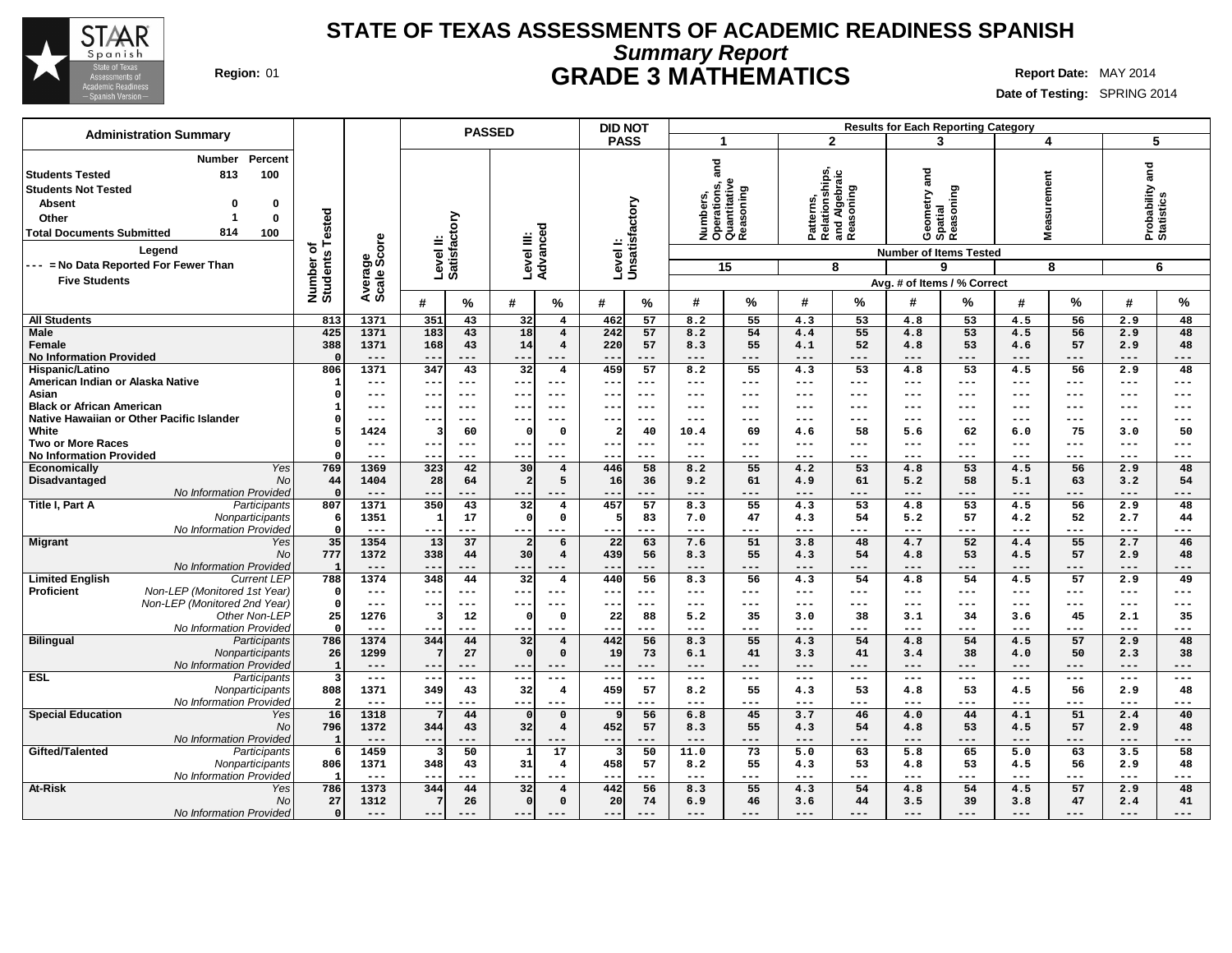

# **Summary Report STATE OF TEXAS ASSESSMENTS OF ACADEMIC READINESS SPANISH Region:** 01 **GRADE 3 MATHEMATICS Report Date:** MAY 2014

| <b>Administration Summary</b>                                                                                                                                                                      |                                           |                        |                               | <b>PASSED</b>     |                         |                                         | <b>DID NOT</b>                   |                   |                                                                                                                                                                                                                                                                                                                                                                                                      |                                                        |                            |                                                           |                              | <b>Results for Each Reporting Category</b> |                            |                           |                                    |                           |
|----------------------------------------------------------------------------------------------------------------------------------------------------------------------------------------------------|-------------------------------------------|------------------------|-------------------------------|-------------------|-------------------------|-----------------------------------------|----------------------------------|-------------------|------------------------------------------------------------------------------------------------------------------------------------------------------------------------------------------------------------------------------------------------------------------------------------------------------------------------------------------------------------------------------------------------------|--------------------------------------------------------|----------------------------|-----------------------------------------------------------|------------------------------|--------------------------------------------|----------------------------|---------------------------|------------------------------------|---------------------------|
|                                                                                                                                                                                                    |                                           |                        |                               |                   |                         |                                         | <b>PASS</b>                      |                   | -1                                                                                                                                                                                                                                                                                                                                                                                                   |                                                        |                            | $\overline{2}$                                            |                              | 3                                          |                            | 4                         |                                    | 5                         |
| Percent<br><b>Number</b><br>100<br>Students Tested<br>813<br><b>Students Not Tested</b><br><b>Absent</b><br>0<br>0<br>-1<br>$\mathbf 0$<br>Other<br>814<br><b>Total Documents Submitted</b><br>100 | Number of<br>Students Tested              |                        | Level II:<br>Satisfactory     |                   |                         | ъ                                       | Levell:<br>Unsatisfactory        |                   | and                                                                                                                                                                                                                                                                                                                                                                                                  | Numbers,<br>Operations, a<br>Quantitative<br>Reasoning |                            | Patterns,<br>Relationships,<br>and Algebraic<br>Reasoning | gue<br>Geometry a<br>Spatial | Reasoning                                  | surement<br>Ë<br>Ś         |                           | and<br>Probability a<br>Statistics |                           |
| Legend                                                                                                                                                                                             |                                           |                        |                               |                   |                         |                                         |                                  |                   |                                                                                                                                                                                                                                                                                                                                                                                                      |                                                        |                            |                                                           |                              | <b>Number of Items Tested</b>              |                            |                           |                                    |                           |
| --- = No Data Reported For Fewer Than                                                                                                                                                              |                                           | Average<br>Scale Score |                               |                   | Level III:<br>Advanceo  |                                         |                                  |                   |                                                                                                                                                                                                                                                                                                                                                                                                      | 15                                                     |                            | 8                                                         |                              | 9                                          |                            | 8                         |                                    | 6                         |
| <b>Five Students</b>                                                                                                                                                                               |                                           |                        |                               |                   |                         |                                         |                                  |                   |                                                                                                                                                                                                                                                                                                                                                                                                      |                                                        |                            |                                                           |                              | Avg. # of Items / % Correct                |                            |                           |                                    |                           |
|                                                                                                                                                                                                    |                                           |                        | #                             | $\%$              | #                       | %                                       | #                                | ℅                 | #                                                                                                                                                                                                                                                                                                                                                                                                    | %                                                      | #                          | %                                                         | #                            | ℅                                          | #                          | $\frac{0}{0}$             | #                                  | $\%$                      |
| <b>All Students</b>                                                                                                                                                                                | 813                                       | 1371                   | 351                           | 43                | 32                      | $\overline{4}$                          | 462                              | 57                | 8.2                                                                                                                                                                                                                                                                                                                                                                                                  | 55                                                     | 4.3                        | 53                                                        | 4.8                          | 53                                         | 4.5                        | 56                        | 2.9                                | 48                        |
| Male<br>Female<br><b>No Information Provided</b>                                                                                                                                                   | 425<br>388<br>- 0                         | 1371<br>1371<br>$---$  | 183<br>168<br>$- -$           | 43<br>43<br>$---$ | 18<br>14<br>--          | $\overline{4}$<br>$\overline{4}$<br>--- | 242<br>220<br>$ -$               | 57<br>57<br>$---$ | 8.2<br>8.3<br>$---$                                                                                                                                                                                                                                                                                                                                                                                  | 54<br>55<br>---                                        | 4.4<br>4.1<br>$---$        | 55<br>52<br>---                                           | 4.8<br>4.8<br>$- - -$        | 53<br>53<br>---                            | 4.5<br>4.6<br>$---$        | 56<br>57<br>---           | 2.9<br>2.9<br>$---$                | 48<br>48<br>---           |
| Hispanic/Latino                                                                                                                                                                                    | 806                                       | 1371                   | 347                           | 43                | $\overline{32}$         | $\overline{\mathbf{4}}$                 | 459                              | 57                | 8.2                                                                                                                                                                                                                                                                                                                                                                                                  | 55                                                     | 4.3                        | 53                                                        | 4.8                          | 53                                         | 4.5                        | 56                        | 2.9<br>---                         | 48                        |
| American Indian or Alaska Native<br>Asian                                                                                                                                                          | $\mathbf{1}$<br>$\Omega$                  | $---$<br>---           | $- - -$<br>$- -$              | $- - -$<br>$---$  | $--$<br>$- -$           | $\qquad \qquad - -$<br>---              | $--$<br>$\overline{\phantom{m}}$ | $---$<br>---      | $---$<br>$---$                                                                                                                                                                                                                                                                                                                                                                                       | ---<br>---                                             | $---$<br>$---$             | ---<br>---                                                | $---$<br>$--$                | ---<br>---                                 | $---$<br>$--$              | $---$<br>$---$            | ---                                | $---$<br>$---$            |
| <b>Black or African American</b>                                                                                                                                                                   | $\mathbf{1}$                              | $---$                  | $--$                          | $---$             | $- - -$                 | $---$                                   | $- -$                            | $- - -$           | $- - -$                                                                                                                                                                                                                                                                                                                                                                                              | ---                                                    | $\frac{1}{2}$              | $---$                                                     | $---$                        | ---                                        | $---$                      | $---$                     | ---                                | $---$                     |
| Native Hawaiian or Other Pacific Islander                                                                                                                                                          | $\Omega$                                  | ---                    | $- - -$                       | $- - -$           | $--$                    | $- - -$                                 | $--$                             | $- - -$           | $- - -$                                                                                                                                                                                                                                                                                                                                                                                              | ---                                                    | $---$                      | ---                                                       | $- - -$                      | ---                                        | $---$                      | $- - -$                   | ---                                | $---$                     |
| White<br><b>Two or More Races</b>                                                                                                                                                                  | 5<br>$\Omega$                             | 1424<br>$---$          | 3<br>$--$                     | 60<br>$---$       | $\Omega$<br>$- - \cdot$ | $\mathbf 0$<br>$---$                    | -2<br>$- -$                      | 40<br>$--$        | 10.4<br>$\frac{1}{2} \frac{1}{2} \frac{1}{2} \frac{1}{2} \frac{1}{2} \frac{1}{2} \frac{1}{2} \frac{1}{2} \frac{1}{2} \frac{1}{2} \frac{1}{2} \frac{1}{2} \frac{1}{2} \frac{1}{2} \frac{1}{2} \frac{1}{2} \frac{1}{2} \frac{1}{2} \frac{1}{2} \frac{1}{2} \frac{1}{2} \frac{1}{2} \frac{1}{2} \frac{1}{2} \frac{1}{2} \frac{1}{2} \frac{1}{2} \frac{1}{2} \frac{1}{2} \frac{1}{2} \frac{1}{2} \frac{$ | 69<br>---                                              | 4.6<br>$---$               | 58<br>---                                                 | 5.6<br>$\qquad \qquad - -$   | 62<br>$---$                                | 6.0<br>$\qquad \qquad - -$ | 75<br>$\qquad \qquad - -$ | 3.0<br>$---$                       | 50<br>$\qquad \qquad - -$ |
| <b>No Information Provided</b>                                                                                                                                                                     | $\Omega$                                  | $---$                  | $- -$                         | $- - -$           | $- -$                   | $---$                                   | $- -$                            | ---               | $- - -$                                                                                                                                                                                                                                                                                                                                                                                              | ---                                                    | $\frac{1}{2}$              | $---$                                                     | $- - -$                      | $---$                                      | $- - -$                    | $- - -$                   | ---                                | $---$                     |
| Yes<br><b>Economically</b>                                                                                                                                                                         | 769                                       | 1369                   | 323                           | 42                | 30                      | $\overline{4}$                          | 446                              | 58                | 8.2                                                                                                                                                                                                                                                                                                                                                                                                  | 55                                                     | 4.2                        | 53                                                        | 4.8                          | 53                                         | 4.5                        | 56                        | 2.9                                | 48                        |
| Disadvantaged<br><b>No</b>                                                                                                                                                                         | 44<br>$\Omega$                            | 1404                   | 28                            | 64                | $\overline{2}$          | 5                                       | 16                               | 36                | 9.2                                                                                                                                                                                                                                                                                                                                                                                                  | 61                                                     | 4.9                        | 61<br>---                                                 | 5.2                          | 58                                         | 5.1                        | 63                        | 3.2                                | 54                        |
| No Information Provided<br>Title I, Part A<br>Participants                                                                                                                                         | 807                                       | $---$<br>1371          | $- -$<br>350                  | ---<br>43         | $- -$<br>32             | $\overline{\mathbf{4}}$                 | --<br>457                        | $---$<br>57       | $---$<br>8.3                                                                                                                                                                                                                                                                                                                                                                                         | ---<br>55                                              | $---$<br>4.3               | 53                                                        | $---$<br>4.8                 | ---<br>53                                  | $---$<br>4.5               | $---$<br>56               | $---$<br>2.9                       | ---<br>48                 |
| Nonparticipants<br>No Information Provided                                                                                                                                                         | - 6<br>$\Omega$                           | 1351<br>$- - -$        | 1<br>$\overline{\phantom{a}}$ | 17<br>---         | $\Omega$<br>--          | $\mathbf 0$<br>---                      | --                               | 83<br>---         | 7.0<br>$---$                                                                                                                                                                                                                                                                                                                                                                                         | 47<br>---                                              | 4.3<br>$---$               | 54<br>---                                                 | 5.2<br>$- - -$               | 57<br>---                                  | 4.2<br>$---$               | 52<br>---                 | 2.7<br>$---$                       | 44<br>---                 |
| <b>Migrant</b><br>Yes                                                                                                                                                                              | 35                                        | 1354                   | 13                            | 37                | $\overline{2}$          | 6                                       | 22                               | 63                | 7.6                                                                                                                                                                                                                                                                                                                                                                                                  | 51                                                     | 3.8                        | 48                                                        | 4.7                          | 52                                         | 4.4                        | 55                        | 2.7                                | 46                        |
| No                                                                                                                                                                                                 | 777<br>-1                                 | 1372<br>---            | 338<br>$\qquad \qquad -$      | 44<br>---         | 30<br>--                | $\overline{4}$                          | 439<br>--                        | 56<br>---         | 8.3<br>$---$                                                                                                                                                                                                                                                                                                                                                                                         | 55<br>---                                              | 4.3<br>$---$               | 54<br>---                                                 | 4.8<br>$---$                 | 53<br>---                                  | 4.5<br>$---$               | 57<br>$---$               | 2.9<br>---                         | 48<br>---                 |
| No Information Provided<br><b>Limited English</b><br>Current LEP                                                                                                                                   | 788                                       | 1374                   | 348                           | 44                | 32                      | $\overline{4}$                          | 440                              | 56                | 8.3                                                                                                                                                                                                                                                                                                                                                                                                  | 56                                                     | 4.3                        | 54                                                        | 4.8                          | 54                                         | 4.5                        | 57                        | 2.9                                | 49                        |
| Non-LEP (Monitored 1st Year)<br><b>Proficient</b>                                                                                                                                                  | $\mathbf 0$                               | $---$                  | $- -$                         | $---$             | ---                     | $\qquad \qquad - -$                     | ---                              | $---$             | $\qquad \qquad - -$                                                                                                                                                                                                                                                                                                                                                                                  | ---                                                    | $- -$                      | ---                                                       | $\qquad \qquad - -$          | $---$                                      | $\qquad \qquad - -$        | $\qquad \qquad - -$       | $---$                              | $\qquad \qquad - -$       |
| Non-LEP (Monitored 2nd Year)<br>Other Non-LEP                                                                                                                                                      | $\Omega$                                  | $---$<br>1276          | 3                             | $---$<br>12       | $- -$<br>$\Omega$       | ---<br>$\mathbf 0$                      | $- -$                            | $---$<br>88       | $---$                                                                                                                                                                                                                                                                                                                                                                                                | ---<br>35                                              | $---$<br>3.0               | ---<br>38                                                 | $- - -$<br>3.1               | ---<br>34                                  | $---$                      | $---$<br>45               | $---$                              | $---$<br>35               |
| No Information Provided                                                                                                                                                                            | 25<br>$\Omega$                            | $- - -$                | $- -$                         | $- - -$           |                         | ---                                     | 22<br>$- -$                      | $- - -$           | 5.2<br>$- - -$                                                                                                                                                                                                                                                                                                                                                                                       | ---                                                    | $- - -$                    | ---                                                       | $- - -$                      | ---                                        | 3.6<br>$- - -$             | $- - -$                   | 2.1<br>---                         | ---                       |
| <b>Bilingual</b><br>Participants                                                                                                                                                                   | 786                                       | 1374                   | 344                           | 44                | 32                      | $\overline{4}$                          | 442                              | 56                | 8.3                                                                                                                                                                                                                                                                                                                                                                                                  | 55                                                     | 4.3                        | 54                                                        | 4.8                          | 54                                         | 4.5                        | 57                        | 2.9                                | 48                        |
| Nonparticipants                                                                                                                                                                                    | 26                                        | 1299                   | 7                             | 27                | $\Omega$                | $\mathbf{o}$                            | 19                               | 73                | 6.1                                                                                                                                                                                                                                                                                                                                                                                                  | 41                                                     | 3.3                        | 41                                                        | 3.4                          | 38                                         | 4.0                        | 50                        | 2.3                                | 38                        |
| No Information Provided<br><b>ESL</b><br>Participants                                                                                                                                              | $\overline{1}$<br>$\overline{\mathbf{3}}$ | $---$<br>$---$         | $---$<br>$- - -$              | $---$<br>$---$    | $- - -$<br>$--$         | $---$<br>---                            | $- -$<br>$--$                    | $---$<br>$--$     | $---$<br>$- - -$                                                                                                                                                                                                                                                                                                                                                                                     | ---<br>---                                             | $---$<br>$\qquad \qquad -$ | ---<br>$---$                                              | $---$<br>$---$               | $- - -$<br>$---$                           | $---$<br>$---$             | $---$<br>$---$            | $---$<br>---                       | $---$<br>$---$            |
| Nonparticipants                                                                                                                                                                                    | 808                                       | 1371                   | 349                           | 43                | 32                      | $\overline{\mathbf{4}}$                 | 459                              | 57                | 8.2                                                                                                                                                                                                                                                                                                                                                                                                  | 55                                                     | 4.3                        | 53                                                        | 4.8                          | 53                                         | 4.5                        | 56                        | 2.9                                | 48                        |
| No Information Provided                                                                                                                                                                            | -2                                        | $---$                  | $- -$                         | $- - -$           | $- -$                   | ---                                     | $ -$                             | $---$             | $---$                                                                                                                                                                                                                                                                                                                                                                                                | ---                                                    | $---$                      | ---                                                       | $---$                        | ---                                        | $---$                      | $---$                     | $---$                              | $---$                     |
| <b>Special Education</b><br>Yes<br><b>No</b>                                                                                                                                                       | 16<br>796                                 | 1318<br>1372           | 7<br>344                      | 44<br>43          | $\Omega$<br>32          | $\mathbf 0$<br>$\overline{4}$           | q<br>452                         | 56<br>57          | 6.8<br>8.3                                                                                                                                                                                                                                                                                                                                                                                           | 45<br>55                                               | 3.7<br>4.3                 | 46<br>54                                                  | 4.0<br>4.8                   | 44<br>53                                   | 4.1<br>4.5                 | 51<br>57                  | 2.4<br>2.9                         | 40<br>48                  |
| No Information Provided                                                                                                                                                                            | $\mathbf{1}$                              | $---$                  | $\qquad \qquad -$             | ---               | --                      | ---                                     | $- -$                            | $---$             | $\qquad \qquad - -$                                                                                                                                                                                                                                                                                                                                                                                  | ---                                                    | $---$                      | ---                                                       | $---$                        | ---                                        | $---$                      | $---$                     | $---$                              | ---                       |
| Gifted/Talented<br>Participants                                                                                                                                                                    | 6                                         | 1459                   | 3                             | 50                | $\mathbf{1}$            | 17                                      | 3                                | 50                | 11.0                                                                                                                                                                                                                                                                                                                                                                                                 | 73                                                     | 5.0                        | 63                                                        | 5.8                          | 65                                         | 5.0                        | 63                        | 3.5                                | 58                        |
| Nonparticipants                                                                                                                                                                                    | 806                                       | 1371                   | 348                           | 43                | 31                      | $\overline{4}$                          | 458                              | 57                | 8.2                                                                                                                                                                                                                                                                                                                                                                                                  | 55                                                     | 4.3                        | 53                                                        | 4.8                          | 53                                         | 4.5                        | 56                        | 2.9                                | 48                        |
| No Information Provided<br><b>At-Risk</b><br>Yes                                                                                                                                                   | $\mathbf{1}$<br>786                       | $---$<br>1373          | 344                           | ---<br>44         | 32                      | $\overline{4}$                          | 442                              | $--$<br>56        | $---$<br>8.3                                                                                                                                                                                                                                                                                                                                                                                         | ---<br>55                                              | $---$<br>4.3               | ---<br>54                                                 | $--$<br>4.8                  | ---<br>54                                  | $\qquad \qquad - -$<br>4.5 | ---<br>57                 | ---<br>2.9                         | ---<br>48                 |
| No                                                                                                                                                                                                 | 27                                        | 1312                   | 7                             | 26                | $\mathbf 0$             | $\mathbf 0$                             | 20                               | 74                | 6.9                                                                                                                                                                                                                                                                                                                                                                                                  | 46                                                     | 3.6                        | 44                                                        | 3.5                          | 39                                         | 3.8                        | 47                        | 2.4                                | 41                        |
| No Information Provided                                                                                                                                                                            | $\mathbf{o}$                              |                        | ---                           |                   | $- -$                   |                                         | --                               | ---               | $---$                                                                                                                                                                                                                                                                                                                                                                                                | ---                                                    | $---$                      | ---                                                       | $---$                        | ---                                        | $---$                      | $---$                     | ---                                |                           |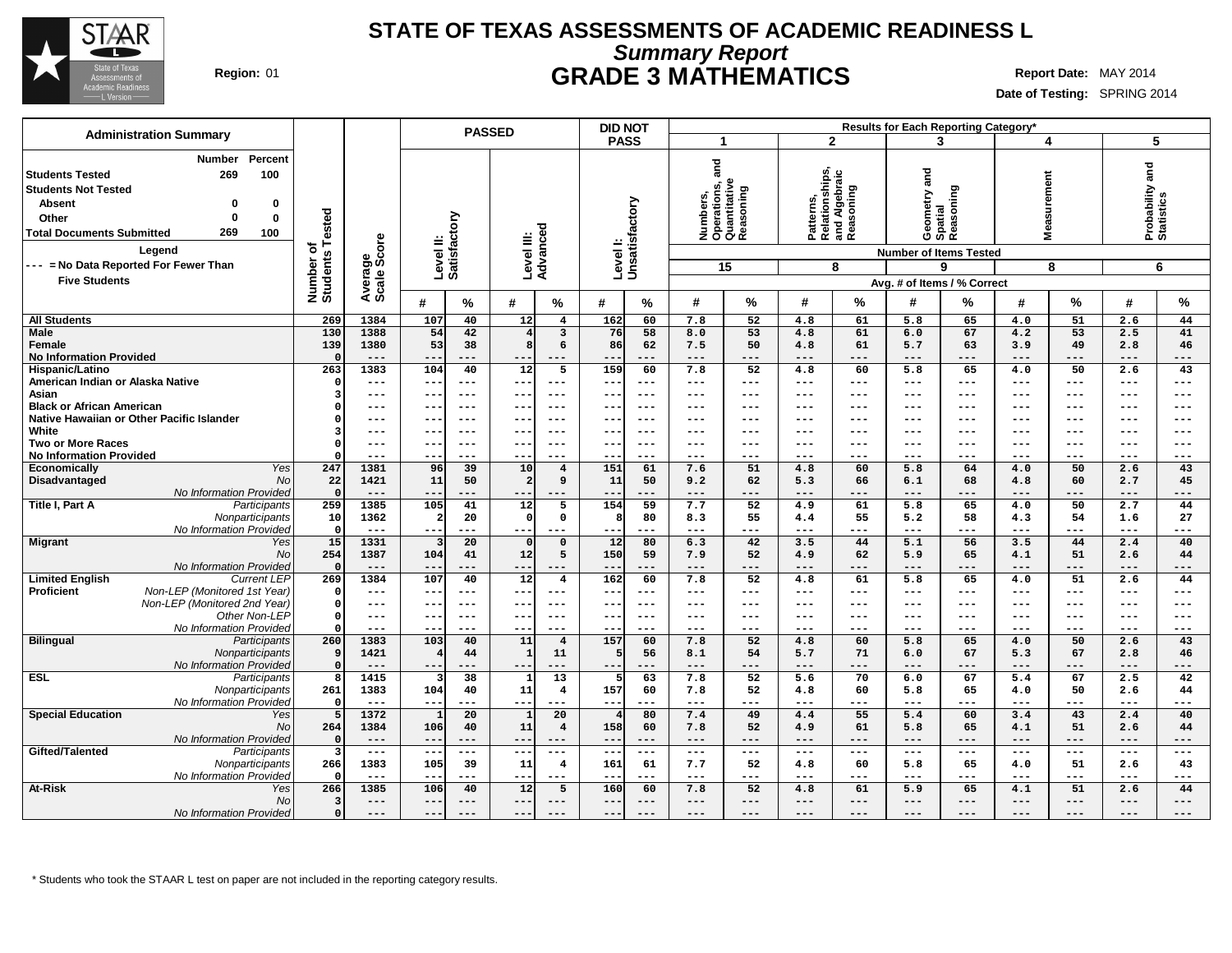

## **Summary Report STATE OF TEXAS ASSESSMENTS OF ACADEMIC READINESS L Region:** 01 **GRADE 3 MATHEMATICS Report Date:** MAY 2014

**Date of Testing:** SPRING 2014

| <b>Administration Summary</b>                                    |                            |               | <b>PASSED</b>                              |                                     | <b>DID NOT</b>             |                                                        |                                                           | Results for Each Reporting Category* |                                            |                               |
|------------------------------------------------------------------|----------------------------|---------------|--------------------------------------------|-------------------------------------|----------------------------|--------------------------------------------------------|-----------------------------------------------------------|--------------------------------------|--------------------------------------------|-------------------------------|
|                                                                  |                            |               |                                            |                                     | <b>PASS</b>                | 1                                                      | $\mathbf{2}$                                              | 3                                    | 4                                          | 5                             |
| Percent<br><b>Number</b><br>100<br><b>Students Tested</b><br>269 |                            |               |                                            |                                     |                            | and                                                    | Patterns,<br>Relationships,<br>and Algebraic<br>Reasoning | and                                  |                                            | Probability and<br>Statistics |
| <b>Students Not Tested</b>                                       |                            |               |                                            |                                     |                            | Numbers,<br>Operations, a<br>Quantitative<br>Reasoning |                                                           | Reasoning                            | surement                                   |                               |
| <b>Absent</b><br>0<br>0                                          |                            |               |                                            |                                     |                            |                                                        |                                                           | Geometry a<br>Spatial                |                                            |                               |
| Other<br>0<br>0                                                  |                            |               |                                            |                                     |                            |                                                        |                                                           |                                      |                                            |                               |
| 269<br><b>Total Documents Submitted</b><br>100                   | Tested                     |               |                                            |                                     |                            |                                                        |                                                           |                                      | Nea:                                       |                               |
| Legend                                                           | ৳<br>Number of<br>Students | ige<br>Score  | Level II:<br>Satisfactory                  | Level III:<br>Advanced              | Level I:<br>Unsatisfactory |                                                        |                                                           | <b>Number of Items Tested</b>        |                                            |                               |
| --- = No Data Reported For Fewer Than                            |                            |               |                                            |                                     |                            | 15                                                     | 8                                                         | 9                                    | 8                                          | 6                             |
| <b>Five Students</b>                                             |                            |               |                                            |                                     |                            |                                                        |                                                           | Avg. # of Items / % Correct          |                                            |                               |
|                                                                  |                            | Average       | #<br>$\%$                                  | #<br>%                              | #<br>%                     | %<br>#                                                 | #<br>%                                                    | #<br>℅                               | %<br>#                                     | %<br>#                        |
| <b>All Students</b>                                              | 269                        | 1384          | 107<br>40                                  | 12<br>$\overline{4}$                | 162<br>60                  | 7.8<br>52                                              | 61<br>4.8                                                 | 5.8<br>65                            | 51<br>4.0                                  | 2.6<br>44                     |
| <b>Male</b>                                                      | 130                        | 1388          | 54<br>42                                   | 3<br>$\overline{4}$                 | 76<br>58                   | 53<br>8.0                                              | 61<br>4.8                                                 | 67<br>6.0                            | 4.2<br>53                                  | 41<br>2.5                     |
| Female                                                           | 139                        | 1380          | 53<br>38                                   | 8<br>6                              | 86<br>62                   | 7.5<br>50                                              | 61<br>4.8                                                 | 5.7<br>63                            | 3.9<br>49                                  | 2.8<br>46                     |
| <b>No Information Provided</b>                                   | $\Omega$                   | $- - -$       | $- -$<br>$- - -$                           | $---$<br>$- -$                      | $- -$<br>$- - -$           | $---$<br>$---$                                         | ---<br>$---$                                              | $---$<br>---                         | $---$<br>$- - -$                           | $---$<br>---                  |
| <b>Hispanic/Latino</b>                                           | 263                        | 1383          | 104<br>40                                  | $\overline{12}$<br>5                | 159<br>60                  | 7.8<br>$\overline{52}$                                 | 4.8<br>60                                                 | 5.8<br>65                            | 50<br>4.0                                  | 2.6<br>43                     |
| American Indian or Alaska Native                                 | $\Omega$                   | ---           | $\overline{\phantom{m}}$<br>$---$          | $- -$<br>$---$                      | $ -$<br>$--$               | $\qquad \qquad - -$<br>$---$                           | ---<br>$\qquad \qquad -$                                  | $\qquad \qquad - -$<br>$---$         | $\qquad \qquad - -$<br>$\qquad \qquad - -$ | $---$<br>---                  |
| Asian                                                            | 3                          | ---           | $- - -$<br>$- -$                           | $- - -$<br>$- -$                    | $- -$<br>$- - -$           | $- - -$<br>---                                         | $---$<br>---                                              | $---$<br>$---$                       | $---$<br>$- - -$                           | $- - -$<br>$---$              |
| <b>Black or African American</b>                                 |                            | ---           | $- -$<br>$---$                             | $---$<br>--                         | $ -$<br>$--$               | $--$<br>---                                            | ---<br>$---$                                              | $---$<br>---                         | $---$<br>$---$                             | $---$<br>---                  |
| Native Hawaiian or Other Pacific Islander                        |                            | ---           | $- - -$<br>--                              | $---$<br>--                         | ---<br>--                  | $--$<br>---                                            | ---<br>$---$                                              | $--$<br>---                          | $---$<br>$---$                             | $---$<br>$--$                 |
| White                                                            | Э                          | ---           | $- -$<br>$---$                             | $- - -$<br>$---$                    | $---$<br>---               | $\frac{1}{2}$<br>---                                   | $---$<br>$---$                                            | $- - -$<br>---                       | $---$<br>$---$                             | $---$<br>$---$                |
| <b>Two or More Races</b>                                         | $\Omega$                   | ---           | $- -$<br>$- - -$                           | $- -$<br>$- - -$                    | $- -$<br>$- - -$           | ---<br>$- - -$                                         | $- - -$<br>---                                            | $---$<br>---                         | $- - -$<br>$---$                           | $- - -$<br>$---$              |
| <b>No Information Provided</b>                                   |                            | ---           | $-1$                                       | ---<br>$- -$                        | $ -$<br>$---$              | $---$<br>$---$                                         | $---$<br>---                                              | $---$<br>---                         | $---$<br>$- - -$                           | $---$<br>$---$                |
| <b>Yes</b><br>Economically                                       | 247                        | 1381          | $\overline{39}$<br>96                      | $\overline{10}$<br>$\overline{4}$   | 151<br>61                  | 7.6<br>51                                              | 4.8<br>60                                                 | 64<br>5.8                            | 4.0<br>50                                  | 43<br>2.6                     |
| Disadvantaged<br>No                                              | 22                         | 1421          | 11<br>50                                   | 9<br>$\overline{\mathbf{2}}$        | 11<br>50                   | 62<br>9.2                                              | 66<br>5.3                                                 | 68<br>6.1                            | 60<br>4.8                                  | 45<br>2.7                     |
| No Information Provided                                          | $\Omega$                   | $---$<br>1385 | $- -$<br>---                               | ---<br>---<br>12                    | ---<br>--                  | $---$<br>---                                           | $---$<br>---<br>61                                        | $---$<br>---                         | ---<br>---                                 | $---$<br>---                  |
| Title I, Part A<br>Participants<br>Nonparticipants               | 259<br>10                  | 1362          | 41<br>105<br>20<br>$\overline{\mathbf{2}}$ | 5<br>$\Omega$<br>$\mathbf{o}$       | 154<br>59<br>80<br>-8      | 7.7<br>52<br>8.3<br>55                                 | 4.9<br>55                                                 | 5.8<br>65<br>5.2<br>58               | 4.0<br>50<br>4.3<br>54                     | 2.7<br>44<br>27               |
| No Information Provided                                          | $\Omega$                   | $---$         | $---$<br>$- - -$                           | $--$<br>---                         | $---$<br>--                | $---$<br>---                                           | 4.4<br>---<br>$---$                                       | $---$<br>---                         | $\qquad \qquad - -$<br>$---$               | 1.6<br>$---$<br>$---$         |
| <b>Migrant</b><br>Yes                                            | 15                         | 1331          | 20                                         | $\mathbf 0$<br>$\Omega$             | 12<br>80                   | 6.3<br>42                                              | 3.5<br>44                                                 | 5.1<br>56                            | 3.5<br>44                                  | 2.4<br>40                     |
| <b>No</b>                                                        | 254                        | 1387          | 41<br>104                                  | 5<br>12                             | 150<br>59                  | 7.9<br>52                                              | 62<br>4.9                                                 | 65<br>5.9                            | 51<br>4.1                                  | 2.6<br>44                     |
| No Information Provided                                          | $\Omega$                   | $---$         | $- -$<br>$---$                             | $--$<br>---                         | --<br>$---$                | $\qquad \qquad - -$<br>---                             | $---$<br>$---$                                            | $\qquad \qquad - -$<br>---           | $---$<br>---                               | $---$<br>---                  |
| <b>Limited English</b><br><b>Current LEP</b>                     | 269                        | 1384          | 40<br>107                                  | $\overline{12}$<br>$\overline{4}$   | 162<br>60                  | 52<br>7.8                                              | 61<br>4.8                                                 | 65<br>5.8                            | 51<br>4.0                                  | 44<br>2.6                     |
| Proficient<br>Non-LEP (Monitored 1st Year)                       | - 0                        | ---           | $--$                                       | --<br>$---$                         | $--$<br>--                 | $--$<br>---                                            | ---<br>$---$                                              | $--$<br>---                          | ---<br>---                                 | $---$<br>---                  |
| Non-LEP (Monitored 2nd Year)                                     | $\Omega$                   | $---$         | $- -$<br>$---$                             | $---$<br>$- -$                      | $--$<br>---                | $- - -$<br>---                                         | $\qquad \qquad - -$<br>$\qquad \qquad -$                  | $\qquad \qquad - -$<br>$---$         | $\qquad \qquad - -$<br>$\qquad \qquad - -$ | $---$<br>$---$                |
| Other Non-LEP                                                    | $\Omega$                   | ---           | $\overline{\phantom{m}}$<br>$- - -$        | $--$<br>$- -$                       | $- - -$<br>--              | ---<br>$- - -$                                         | $\frac{1}{2}$<br>---                                      | $---$<br>---                         | $- - -$<br>$---$                           | $---$<br>$---$                |
| No Information Provided                                          |                            | ---           | $--$<br>--                                 | ---<br>$- -$                        | $ -$<br>$--$               | $---$<br>---                                           | $---$<br>---                                              | $---$<br>---                         | $---$<br>$---$                             | $---$<br>---                  |
| <b>Bilingual</b><br>Participants                                 | 260                        | 1383          | 103<br>40                                  | 11<br>$\overline{4}$                | 157<br>60                  | 52<br>7.8                                              | 60<br>4.8                                                 | 5.8<br>65                            | 4.0<br>50                                  | 2.6<br>43                     |
| Nonparticipants                                                  | <b>g</b>                   | 1421          | 44<br>$\overline{4}$                       | 11<br>1                             | 56                         | 54<br>8.1                                              | 71<br>5.7                                                 | 6.0<br>67                            | 67<br>5.3                                  | 2.8<br>46                     |
| No Information Provided                                          | $\Omega$                   | $---$         | $- -$<br>$- - -$                           | ---<br>$- - -$                      | $- -$<br>$- - -$           | $---$<br>$---$                                         | $---$<br>---                                              | $---$<br>---                         | $---$<br>---                               | $---$<br>---                  |
| <b>ESL</b><br>Participants                                       | 8<br>261                   | 1415<br>1383  | 38                                         | 13<br>11<br>$\overline{\mathbf{4}}$ | 63<br>157<br>60            | 52<br>7.8<br>52<br>7.8                                 | 70<br>5.6<br>4.8<br>60                                    | 6.0<br>67<br>5.8<br>65               | 5.4<br>67<br>50                            | 2.5<br>42<br>2.6<br>44        |
| Nonparticipants<br>No Information Provided                       | $\mathsf{C}$               | $---$         | 104<br>40<br>$- -$<br>---                  | $- - -$<br>$---$                    | $- - -$<br>$- -$           | $---$<br>---                                           | ---<br>$---$                                              | $---$<br>---                         | 4.0<br>---<br>$---$                        | $---$<br>---                  |
| <b>Special Education</b><br>Yes                                  | 5                          | 1372          | $\mathbf{1}$<br>20                         | 20<br>$\mathbf{1}$                  | 80                         | 7.4<br>49                                              | 55<br>4.4                                                 | 5.4<br>60                            | 43<br>3.4                                  | 2.4<br>40                     |
| <b>No</b>                                                        | 264                        | 1384          | 106<br>40                                  | 11<br>$\overline{4}$                | 158<br>60                  | 52<br>7.8                                              | 61<br>4.9                                                 | 5.8<br>65                            | 51<br>4.1                                  | 2.6<br>44                     |
| No Information Provided                                          | $\Omega$                   | ---           | $- -$<br>$---$                             | $---$<br>---                        | $---$<br>$- -$             | $---$<br>$---$                                         | ---<br>$---$                                              | $---$<br>---                         | $---$<br>---                               | $---$<br>$---$                |
| Gifted/Talented<br>Participants                                  | $\overline{\mathbf{3}}$    | $\frac{1}{2}$ | $---$<br>$- -$                             | $---$<br>$- -$                      | $---$<br>$ -$              | $\frac{1}{2}$<br>$---$                                 | $---$<br>$---$                                            | $\frac{1}{2}$<br>$---$               | $\qquad \qquad -$<br>$\frac{1}{2}$         | $---$<br>$---$                |
| Nonparticipants                                                  | 266                        | 1383          | 39<br>105                                  | 11<br>$\overline{4}$                | 61<br>161                  | 52<br>7.7                                              | 60<br>4.8                                                 | 65<br>5.8                            | 51<br>4.0                                  | 2.6<br>43                     |
| No Information Provided                                          | - 0                        | ---           | $\overline{\phantom{m}}$<br>$--$           | $---$<br>$--$                       | $---$<br>$ -$              | $\qquad \qquad - -$<br>---                             | ---<br>$---$                                              | $--$<br>---                          | $\qquad \qquad - -$<br>---                 | $---$<br>---                  |
| At-Risk<br>Yes                                                   | 266                        | 1385          | 106<br>40                                  | 12<br>5                             | 60<br>160                  | 52<br>7.8                                              | 61<br>4.8                                                 | 65<br>5.9                            | 51<br>4.1                                  | 44<br>2.6                     |
| <b>No</b>                                                        | $\overline{\mathbf{3}}$    | ---           | $- -$<br>$---$                             | ---<br>$---$                        | $- -$<br>$- - -$           | $---$<br>$---$                                         | ---<br>$---$                                              | $\qquad \qquad - -$<br>$---$         | $---$<br>$---$                             | $---$<br>$---$                |
| No Information Provided                                          | $\Omega$                   | ---           | $- -$                                      | ---<br>$---$                        | ---<br>$---$               | $---$<br>---                                           | ---<br>---                                                | $---$<br>---                         | $---$<br>$---$                             | ---<br>---                    |

\* Students who took the STAAR L test on paper are not included in the reporting category results.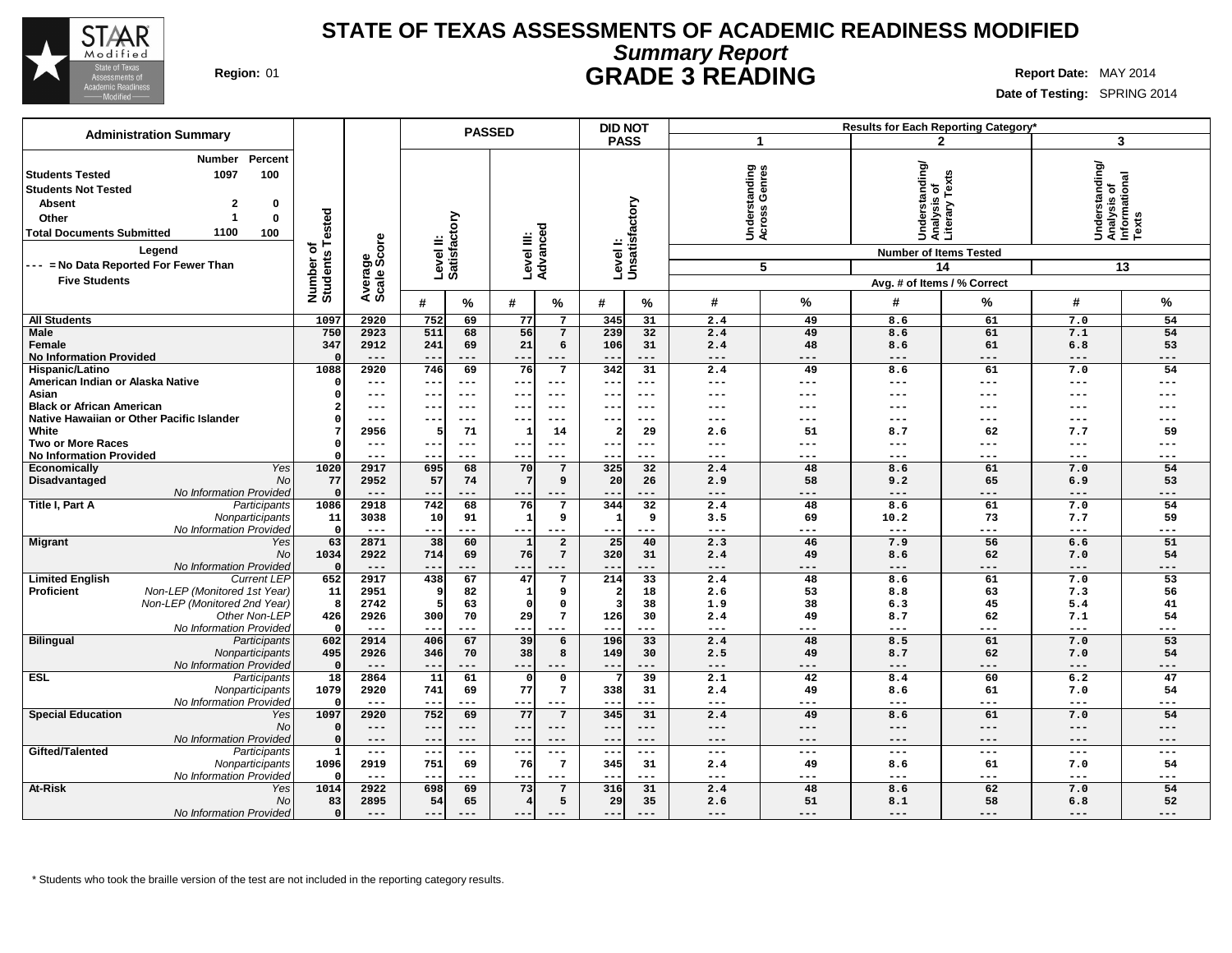

# **Summary Report STATE OF TEXAS ASSESSMENTS OF ACADEMIC READINESS MODIFIED Region:** 01 **GRADE 3 READING Report Date:** MAY 2014

**Date of Testing:** SPRING 2014

| <b>Administration Summary</b>                                                                                                                                                                                                                                                                      |                                      |                        |                           | <b>PASSED</b>             |              |                          | <b>DID NOT</b>             |                           |                                               |             | <b>Results for Each Reporting Category*</b>                                                                       |                     |                                                            |                 |
|----------------------------------------------------------------------------------------------------------------------------------------------------------------------------------------------------------------------------------------------------------------------------------------------------|--------------------------------------|------------------------|---------------------------|---------------------------|--------------|--------------------------|----------------------------|---------------------------|-----------------------------------------------|-------------|-------------------------------------------------------------------------------------------------------------------|---------------------|------------------------------------------------------------|-----------------|
|                                                                                                                                                                                                                                                                                                    |                                      |                        |                           |                           |              |                          | <b>PASS</b>                |                           | -1                                            |             |                                                                                                                   | $\mathbf{2}$        | 3                                                          |                 |
| Percent<br>Number<br>1097<br>100<br><b>Students Tested</b><br><b>Students Not Tested</b><br><b>Absent</b><br>$\overline{\mathbf{2}}$<br>0<br>$\bf{0}$<br>Other<br>-1<br>1100<br><b>Total Documents Submitted</b><br>100<br>Legend<br>--- = No Data Reported For Fewer Than<br><b>Five Students</b> | Tested<br>৳<br>Number o'<br>Students | Average<br>Scale Score | Level II:<br>Satisfactory |                           | Level III:   | Advanced                 | Level I:<br>Unsatisfactory |                           | rstanding<br>ss Genres<br>Underst<br>Across ( | 5           | Understanding/<br> Analysis of<br> Literary Texts<br><b>Number of Items Tested</b><br>Avg. # of Items / % Correct | 14                  | Understanding/<br> Analysis of<br> Informational<br> Texts | 13              |
|                                                                                                                                                                                                                                                                                                    |                                      |                        | #                         | %                         | #            | %                        | #                          | %                         | #                                             | %           | #                                                                                                                 | %                   | #                                                          | %               |
| <b>All Students</b>                                                                                                                                                                                                                                                                                | 1097                                 | 2920                   | 752                       | 69                        | 77           | $7\phantom{.0}$          | 345                        | 31                        | 2.4                                           | 49          | 8.6                                                                                                               | 61                  | 7.0                                                        | 54              |
| <b>Male</b>                                                                                                                                                                                                                                                                                        | 750                                  | 2923                   | 511                       | 68                        | 56           | $\overline{7}$           | 239                        | 32                        | 2.4                                           | 49          | 8.6                                                                                                               | 61                  | 7.1                                                        | 54              |
| Female                                                                                                                                                                                                                                                                                             | 347                                  | 2912                   | 241                       | 69                        | 21           | 6                        | 106                        | 31                        | 2.4                                           | 48          | 8.6                                                                                                               | 61                  | 6.8                                                        | 53              |
| <b>No Information Provided</b>                                                                                                                                                                                                                                                                     |                                      | $---$                  | $- -$                     | $---$                     | $- -$        | $---$                    | $- -$                      | $---$                     | $\cdots$                                      | $---$       | $---$                                                                                                             | $---$               | $---$                                                      | $---$           |
| Hispanic/Latino                                                                                                                                                                                                                                                                                    | 1088                                 | 2920                   | 746                       | 69                        | 76           | 7                        | 342                        | $\overline{31}$           | 2.4                                           | 49          | 8.6                                                                                                               | 61                  | 7.0                                                        | 54              |
| American Indian or Alaska Native                                                                                                                                                                                                                                                                   |                                      | ---                    | ---                       | ---                       | $--$         | $---$                    | ---                        | $---$                     | $---$                                         | $---$       | ---                                                                                                               | ---                 | $---$                                                      | ---             |
| Asian                                                                                                                                                                                                                                                                                              | n                                    | $---$                  | ---                       | $---$                     | $- - -$      | $- - -$                  | $- - -$                    | $---$                     | $---$                                         | $---$       | ---                                                                                                               | ---                 | $--$                                                       |                 |
| <b>Black or African American</b>                                                                                                                                                                                                                                                                   |                                      | $---$                  | ---                       | $---$                     | $- -$        | $---$                    | $- -$                      | $---$                     | $---$                                         | $---$       | ---                                                                                                               | ---                 | $--$                                                       |                 |
| Native Hawaiian or Other Pacific Islander                                                                                                                                                                                                                                                          |                                      | $---$                  | ---                       | $---$                     | --           |                          | --                         | $--$                      | $--$                                          | $--$        | ---                                                                                                               | ---                 | $---$                                                      |                 |
| White                                                                                                                                                                                                                                                                                              |                                      | 2956                   |                           | 71                        |              | 14                       | $\overline{a}$             | 29                        | 2.6                                           | 51          | 8.7                                                                                                               | 62                  | 7.7                                                        | 59              |
| <b>Two or More Races</b>                                                                                                                                                                                                                                                                           | $\Omega$                             | $---$                  | ---                       | $---$                     | $- - \cdot$  | $---$                    | $- - -$                    | $---$                     | $---$                                         | $---$       | ---                                                                                                               | ---                 | $---$                                                      | ---             |
| <b>No Information Provided</b>                                                                                                                                                                                                                                                                     |                                      | $---$                  | ---                       | $---$                     | $- -$        | $---$                    | $- -$                      | $---$                     | $---$                                         | $---$       | $---$                                                                                                             | $---$               | $---$                                                      | $---$           |
| Yes<br><b>Economically</b>                                                                                                                                                                                                                                                                         | 1020                                 | 2917                   | 695                       | 68                        | 70<br>-7     | $\overline{7}$           | 325                        | 32                        | 2.4                                           | 48<br>58    | 8.6                                                                                                               | 61                  | 7.0                                                        | 54<br>53        |
| <b>No</b><br>Disadvantaged<br>No Information Provided                                                                                                                                                                                                                                              | 77                                   | 2952<br>$---$          | 57<br>$--$                | 74<br>---                 | $- - -$      | 9<br>$---$               | 20<br>$- -$                | 26<br>$---$               | 2.9<br>$---$                                  | $---$       | 9.2<br>$---$                                                                                                      | 65<br>$---$         | 6.9<br>$---$                                               | ---             |
| Title I, Part A<br>Participants                                                                                                                                                                                                                                                                    | 1086                                 | 2918                   | 742                       | 68                        | 76           | $7\overline{ }$          | 344                        | 32                        | 2.4                                           | 48          | 8.6                                                                                                               | 61                  | 7.0                                                        | 54              |
| Nonparticipants                                                                                                                                                                                                                                                                                    | 11                                   | 3038                   | 10                        | 91                        | $\mathbf{1}$ | 9                        | 1                          | 9                         | 3.5                                           | 69          | 10.2                                                                                                              | 73                  | 7.7                                                        | 59              |
| No Information Provided                                                                                                                                                                                                                                                                            | $\Omega$                             | $---$                  | ---                       | ---                       | $--$         | $---$                    | ---                        | $---$                     | $---$                                         | $---$       | $---$                                                                                                             | ---                 | $---$                                                      | ---             |
| <b>Migrant</b><br>Yes                                                                                                                                                                                                                                                                              | 63                                   | 2871                   | 38                        | 60                        | $\mathbf{1}$ | $\mathbf{2}$             | 25                         | 40                        | 2.3                                           | 46          | 7.9                                                                                                               | 56                  | 6.6                                                        | 51              |
| No                                                                                                                                                                                                                                                                                                 | 1034                                 | 2922                   | 714                       | 69                        | 76           | $7\phantom{.0}$          | 320                        | 31                        | 2.4                                           | 49          | 8.6                                                                                                               | 62                  | 7.0                                                        | 54              |
| No Information Provided                                                                                                                                                                                                                                                                            | 0                                    | $---$                  | ---                       | ---                       | ---          | ---                      | $---$                      | $---$                     | $---$                                         | $---$       | $---$                                                                                                             | ---                 | $---$                                                      | ---             |
| <b>Limited English</b><br><b>Current LEP</b>                                                                                                                                                                                                                                                       | 652                                  | 2917                   | 438                       | 67                        | 47           | 7                        | 214                        | $\overline{33}$           | 2.4                                           | 48          | 8.6                                                                                                               | 61                  | 7.0                                                        | $\overline{53}$ |
| Proficient<br>Non-LEP (Monitored 1st Year)                                                                                                                                                                                                                                                         | 11                                   | 2951                   | 9                         | 82                        | -1           | 9                        | $\overline{\mathbf{2}}$    | 18                        | 2.6                                           | 53          | 8.8                                                                                                               | 63                  | 7.3                                                        | 56              |
| Non-LEP (Monitored 2nd Year)                                                                                                                                                                                                                                                                       | 8                                    | 2742                   |                           | 63                        | $\Omega$     | $\mathbf 0$              | 3                          | 38                        | 1.9                                           | 38          | 6.3                                                                                                               | 45                  | 5.4                                                        | 41              |
| Other Non-LEP                                                                                                                                                                                                                                                                                      | 426                                  | 2926                   | 300                       | 70                        | 29           | $7\phantom{.0}$          | 126                        | 30                        | 2.4                                           | 49          | 8.7                                                                                                               | 62                  | 7.1                                                        | 54              |
| No Information Provideo                                                                                                                                                                                                                                                                            | $\Omega$                             | $\qquad \qquad - -$    | $- -$                     | ---                       | $--$         | $---$                    | $\qquad \qquad -$          | ---                       | $\qquad \qquad - -$                           | $---$       | $\qquad \qquad - -$                                                                                               | $\qquad \qquad - -$ | $\qquad \qquad - -$                                        | ---             |
| <b>Bilingual</b><br>Participants                                                                                                                                                                                                                                                                   | 602                                  | 2914                   | 406                       | 67                        | 39           | 6                        | 196                        | 33                        | 2.4                                           | 48          | 8.5                                                                                                               | 61                  | 7.0                                                        | 53              |
| Nonparticipants                                                                                                                                                                                                                                                                                    | 495                                  | 2926                   | 346                       | 70                        | 38           | 8                        | 149                        | 30                        | 2.5                                           | 49          | 8.7                                                                                                               | 62                  | 7.0                                                        | 54              |
| No Information Provided                                                                                                                                                                                                                                                                            | $\Omega$                             | $---$                  | $- -$                     | ---                       | $---$        | $---$                    | $--$<br>7                  | $---$<br>$\overline{39}$  | $---$                                         | $---$       | $---$                                                                                                             | ---                 | $---$                                                      | ---             |
| <b>ESL</b><br>Participants                                                                                                                                                                                                                                                                         | $\overline{18}$                      | 2864                   | 11                        | 61                        | $\Omega$     | $\mathbf 0$              |                            |                           | $\overline{2.1}$                              | 42          | 8.4                                                                                                               | 60                  | 6.2                                                        | 47              |
| Nonparticipants                                                                                                                                                                                                                                                                                    | 1079                                 | 2920                   | 741                       | 69                        | 77           | 7                        | 338                        | 31                        | 2.4                                           | 49          | 8.6                                                                                                               | 61                  | 7.0                                                        | 54              |
| No Information Provided<br><b>Special Education</b>                                                                                                                                                                                                                                                |                                      | $---$                  | $- -$                     | ---                       | $--$         | $--$                     | --                         | ---                       | $---$                                         | ---         | $---$                                                                                                             | ---                 | $---$                                                      | ---             |
| Yes<br>No                                                                                                                                                                                                                                                                                          | 1097<br>$\Omega$                     | 2920<br>$---$          | 752<br>$---$              | 69<br>$\qquad \qquad - -$ | 77<br>$--$   | $7\phantom{.0}$<br>$---$ | 345<br>$---$               | 31<br>$\qquad \qquad - -$ | 2.4<br>$\qquad \qquad - -$                    | 49<br>$---$ | 8.6<br>$---$                                                                                                      | 61<br>$---$         | 7.0<br>$---$                                               | 54<br>$---$     |
| No Information Provided                                                                                                                                                                                                                                                                            | $\Omega$                             | $---$                  | $- -$                     | $---$                     | $- -$        | $- - -$                  | $--$                       | $---$                     | $- - -$                                       | $--$        | $---$                                                                                                             | $- - -$             | $---$                                                      | ---             |
| Gifted/Talented<br>Participants                                                                                                                                                                                                                                                                    |                                      | $---$                  | --                        | $---$                     | $--$         | $---$                    | ---                        | $---$                     | $---$                                         | $---$       | ---                                                                                                               | ---                 | $---$                                                      | ---             |
| Nonparticipants                                                                                                                                                                                                                                                                                    | 1096                                 | 2919                   | 751                       | 69                        | 76           | 7                        | 345                        | 31                        | 2.4                                           | 49          | 8.6                                                                                                               | 61                  | 7.0                                                        | 54              |
| No Information Provided                                                                                                                                                                                                                                                                            | $\Omega$                             | $---$                  |                           | ---                       | $- -$        | $- - -$                  |                            | ---                       | $---$                                         | $---$       | ---                                                                                                               | ---                 | $---$                                                      | ---             |
| <b>At-Risk</b><br>Yes                                                                                                                                                                                                                                                                              | 1014                                 | 2922                   | 698                       | 69                        | 73           | 7                        | 316                        | 31                        | 2.4                                           | 48          | 8.6                                                                                                               | 62                  | 7.0                                                        | 54              |
| No                                                                                                                                                                                                                                                                                                 | 83                                   | 2895                   | 54                        | 65                        |              | 5                        | 29                         | 35                        | 2.6                                           | 51          | 8.1                                                                                                               | 58                  | 6.8                                                        | 52              |
| No Information Provided                                                                                                                                                                                                                                                                            | $\circ$                              | $---$                  | ---                       | $---$                     | $- -$        | $---$                    | ---                        | $---$                     | $---$                                         | $---$       | $---$                                                                                                             | $---$               | $---$                                                      | $---$           |
|                                                                                                                                                                                                                                                                                                    |                                      |                        |                           |                           |              |                          |                            |                           |                                               |             |                                                                                                                   |                     |                                                            |                 |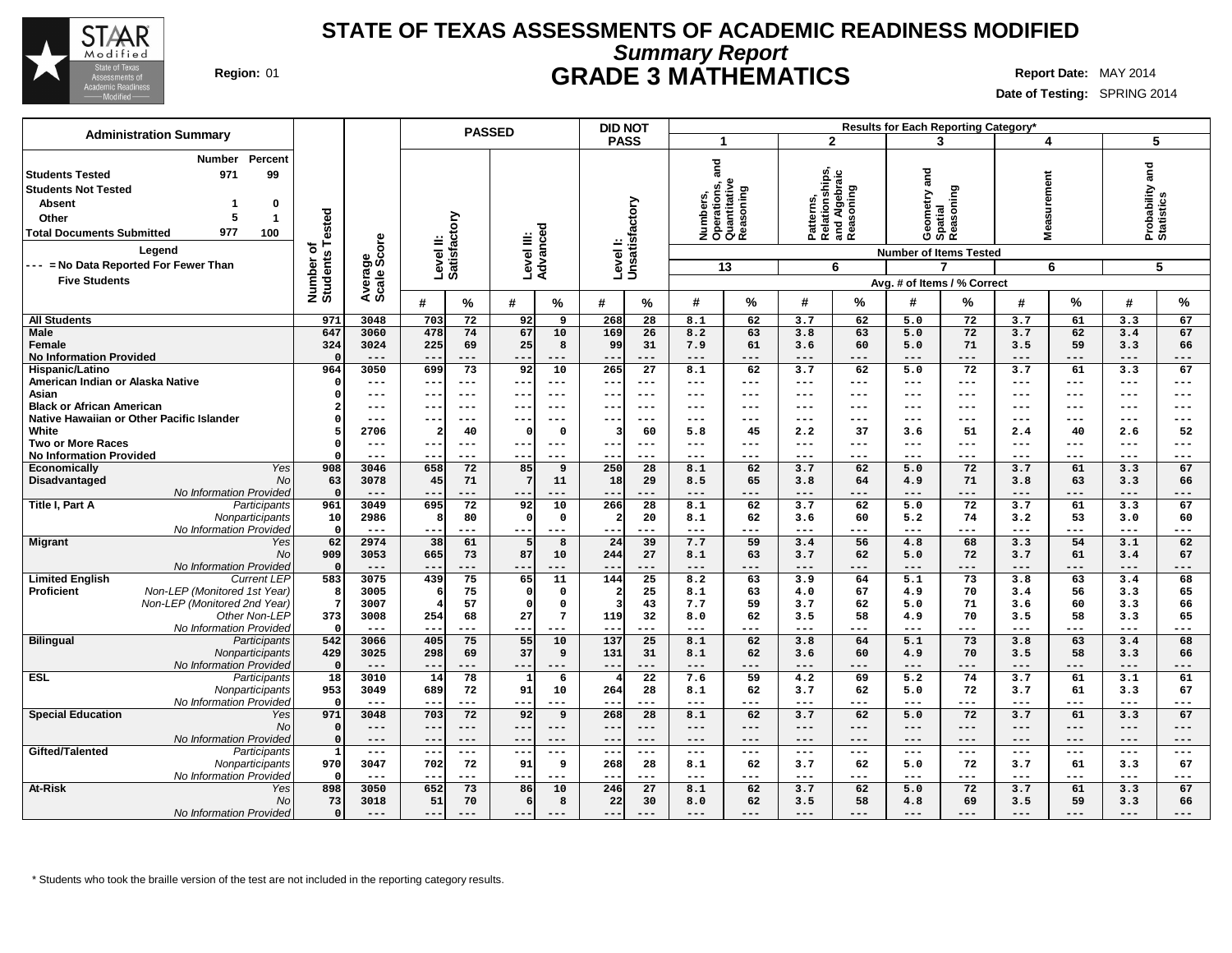

## **Summary Report STATE OF TEXAS ASSESSMENTS OF ACADEMIC READINESS MODIFIED Region:** 01 **GRADE 3 MATHEMATICS Report Date:** MAY 2014

**Date of Testing:** SPRING 2014

| <b>Administration Summary</b>                                                                                                                                                                       |                       |                     | <b>PASSED</b>                                                     |                                  | <b>DID NOT</b>            |                                                               |                                                           | Results for Each Reporting Category*      |                                  |                                    |
|-----------------------------------------------------------------------------------------------------------------------------------------------------------------------------------------------------|-----------------------|---------------------|-------------------------------------------------------------------|----------------------------------|---------------------------|---------------------------------------------------------------|-----------------------------------------------------------|-------------------------------------------|----------------------------------|------------------------------------|
|                                                                                                                                                                                                     |                       |                     |                                                                   |                                  | <b>PASS</b>               | -1                                                            | $\mathbf{2}$                                              | 3                                         | 4                                | 5                                  |
| Percent<br><b>Number</b><br>99<br>971<br><b>Students Tested</b><br><b>Students Not Tested</b><br><b>Absent</b><br>0<br>Other<br>5<br>$\mathbf{1}$<br>977<br><b>Total Documents Submitted</b><br>100 | Tested                |                     | Level II:<br>Satisfactory                                         | Level III:<br>Advanced           | Levell:<br>Unsatisfactory | and<br>Numbers,<br>Operations, a<br>Quantitative<br>Reasoning | Patterns,<br>Relationships,<br>and Algebraic<br>Reasoning | and<br>Reasoning<br>Geometry a<br>Spatial | surement<br>Ë<br>Σ               | and<br>Probability a<br>Statistics |
| Legend                                                                                                                                                                                              | ৳                     | ige<br>Score        |                                                                   |                                  |                           |                                                               |                                                           | <b>Number of Items Tested</b>             |                                  |                                    |
| --- = No Data Reported For Fewer Than                                                                                                                                                               |                       |                     |                                                                   |                                  |                           | 13                                                            | 6                                                         | 7                                         | 6                                | 5                                  |
| <b>Five Students</b>                                                                                                                                                                                | Number of<br>Students | Average             |                                                                   |                                  |                           |                                                               |                                                           | Avg. # of Items / % Correct               |                                  |                                    |
|                                                                                                                                                                                                     |                       |                     |                                                                   |                                  |                           |                                                               | #                                                         |                                           |                                  |                                    |
|                                                                                                                                                                                                     |                       |                     | #<br>$\%$                                                         | #<br>%                           | #<br>℅                    | %<br>#                                                        | %                                                         | ℅<br>#                                    | %<br>#                           | %<br>#                             |
| <b>All Students</b>                                                                                                                                                                                 | 971                   | 3048                | 703<br>72                                                         | 9<br>92                          | 268<br>28                 | 8.1<br>62                                                     | 3.7<br>62                                                 | 5.0<br>72                                 | 3.7<br>61                        | 3.3<br>67                          |
| <b>Male</b>                                                                                                                                                                                         | 647                   | 3060                | 478<br>74                                                         | 67<br>10                         | 169<br>26                 | 8.2<br>63                                                     | 3.8<br>63                                                 | 72<br>5.0                                 | 3.7<br>62                        | 67<br>3.4                          |
| Female<br><b>No Information Provided</b>                                                                                                                                                            | 324<br>- 0            | 3024<br>$---$       | 225<br>69<br>$- -$<br>$---$                                       | 25<br>8<br>---<br>---            | 99<br>31<br>$---$<br>--   | 7.9<br>61<br>$---$<br>---                                     | 60<br>3.6<br>$---$<br>---                                 | 71<br>5.0<br>$---$<br>---                 | 59<br>3.5<br>$---$<br>---        | 3.3<br>66<br>$---$<br>---          |
| Hispanic/Latino                                                                                                                                                                                     | 964                   | 3050                | 73<br>699                                                         | 92<br>10                         | 265<br>$\overline{27}$    | 8.1<br>62                                                     | 62<br>3.7                                                 | 72<br>5.0                                 | 3.7<br>61                        | 3.3<br>67                          |
| American Indian or Alaska Native                                                                                                                                                                    | $\Omega$              | ---                 | $- -$<br>$---$                                                    | $--$<br>$---$                    | --<br>$--$                | $- - -$<br>---                                                | $\qquad \qquad - -$<br>$\qquad \qquad -$                  | $---$<br>$---$                            | $\qquad \qquad - -$<br>$---$     | $---$<br>$---$                     |
| Asian                                                                                                                                                                                               | $\Omega$              | ---                 | --<br>$--$                                                        | ---<br>---                       | --<br>---                 | $---$<br>---                                                  | $---$<br>---                                              | ---<br>---                                | $---$<br>---                     | $-- -$<br>---                      |
| <b>Black or African American</b>                                                                                                                                                                    |                       | ---                 | --<br>$--$                                                        | $---$<br>--                      | $--$<br>--                | $---$<br>---                                                  | $---$<br>---                                              | $--$<br>---                               | $---$<br>$---$                   | $---$<br>$---$                     |
| Native Hawaiian or Other Pacific Islander                                                                                                                                                           |                       | ---                 | --<br>$-- -$                                                      | ---<br>$-- -$                    | ---<br>---                | $-- -$<br>---                                                 | ---<br>$---$                                              | $--$<br>---                               | $---$<br>$---$                   | $---$<br>---                       |
| White                                                                                                                                                                                               |                       | 2706                | $\overline{a}$<br>40                                              | $\Omega$<br>$\mathbf{o}$         | 60<br>-3                  | 5.8<br>45                                                     | 37<br>2.2                                                 | 51<br>3.6                                 | 40<br>2.4                        | 52<br>2.6                          |
| <b>Two or More Races</b>                                                                                                                                                                            | $\Omega$              | ---                 | ---<br>$---$                                                      | $---$                            | $--$<br>$- -$             | $\qquad \qquad - -$<br>---                                    | ---<br>$\qquad \qquad -$                                  | $---$<br>$---$                            | $---$<br>$---$                   | $---$<br>$---$                     |
| <b>No Information Provided</b>                                                                                                                                                                      |                       | ---                 |                                                                   | --<br>---                        | --<br>$--$                | $---$<br>---                                                  | ---<br>$---$                                              | $---$<br>---                              | $---$<br>---                     | ---<br>$---$                       |
| Yes<br>Economically                                                                                                                                                                                 | 908                   | 3046                | 72<br>658                                                         | 85<br>9                          | 250<br>28                 | 62<br>8.1                                                     | 62<br>3.7                                                 | 72<br>5.0                                 | 3.7<br>61                        | 67<br>3.3                          |
| Disadvantaged<br><b>No</b>                                                                                                                                                                          | 63                    | 3078                | 45<br>71                                                          | 7<br>11                          | 29<br>18                  | 8.5<br>65                                                     | 64<br>3.8                                                 | 71<br>4.9                                 | 3.8<br>63                        | 3.3<br>66                          |
| No Information Provided                                                                                                                                                                             | $\Omega$              | ---                 | $- -$<br>---                                                      | ---                              | ---<br>--                 | $---$<br>---                                                  | ---<br>---                                                | $---$<br>---                              | ---<br>---                       | ---<br>$---$                       |
| Title I, Part A<br>Participants                                                                                                                                                                     | 961                   | 3049                | 72<br>695                                                         | 92<br>10                         | 266<br>28                 | 8.1<br>62                                                     | 62<br>3.7                                                 | $\overline{72}$<br>5.0                    | 3.7<br>61                        | 67<br>3.3                          |
| Nonparticipants                                                                                                                                                                                     | 10                    | 2986                | 80<br>8                                                           | $\mathbf 0$<br>$\Omega$          | 20                        | 62<br>8.1                                                     | 60<br>3.6                                                 | 5.2<br>74                                 | 53<br>3.2                        | 3.0<br>60                          |
| No Information Provided                                                                                                                                                                             | $\mathsf{C}$          | $---$               | $- -$<br>---                                                      | $- - -$<br>---                   | $- - -$<br>$- -$          | $- - -$<br>---                                                | ---<br>$---$                                              | $- - -$<br>---                            | $\qquad \qquad -$<br>$- - -$     | ---<br>$---$                       |
| <b>Migrant</b><br>Yes<br><b>No</b>                                                                                                                                                                  | 62<br>909             | 2974<br>3053        | 61<br>38<br>73                                                    | 8<br>5<br>87                     | 39<br>24<br>27            | 7.7<br>59<br>63                                               | 56<br>3.4                                                 | 68<br>4.8<br>72                           | 3.3<br>54<br>61                  | 62<br>3.1<br>67                    |
| No Information Provided                                                                                                                                                                             | $\Omega$              | $---$               | 665<br>$---$<br>$- -$                                             | 10<br>---<br>---                 | 244<br>$---$<br>$- -$     | 8.1<br>$---$<br>$---$                                         | 62<br>3.7<br>---<br>$---$                                 | 5.0<br>$---$<br>---                       | 3.7<br>$---$<br>$---$            | 3.4<br>$---$<br>---                |
| <b>Limited English</b><br><b>Current LEP</b>                                                                                                                                                        | 583                   | 3075                | 75<br>439                                                         | 65<br>$\overline{11}$            | 144<br>$\overline{25}$    | 8.2<br>63                                                     | 64<br>3.9                                                 | 73<br>5.1                                 | 63<br>3.8                        | 68<br>3.4                          |
| <b>Proficient</b><br>Non-LEP (Monitored 1st Year)                                                                                                                                                   | -8                    | 3005                | 75<br>6                                                           | $\Omega$<br>$\mathbf 0$          | 25                        | 8.1<br>63                                                     | 67<br>4.0                                                 | 70<br>4.9                                 | 56<br>3.4                        | 65<br>3.3                          |
| Non-LEP (Monitored 2nd Year)                                                                                                                                                                        | -7                    | 3007                | 57<br>$\overline{4}$                                              | $\Omega$<br>$\mathbf 0$          | 43<br>্ব                  | 7.7<br>59                                                     | 62<br>3.7                                                 | 5.0<br>71                                 | 60<br>3.6                        | 3.3<br>66                          |
| Other Non-LEP                                                                                                                                                                                       | 373                   | 3008                | 254<br>68                                                         | 27<br>$7\phantom{.0}$            | 119<br>32                 | 8.0<br>62                                                     | 58<br>3.5                                                 | 4.9<br>70                                 | 3.5<br>58                        | 3.3<br>65                          |
| No Information Provided                                                                                                                                                                             | $\Omega$              | $---$               | ---<br>$ -$                                                       | $---$<br>---                     | $---$<br>$-$              | $- - -$<br>$---$                                              | $---$<br>---                                              | $---$<br>---                              | $---$<br>---                     | $---$<br>---                       |
| <b>Bilingual</b><br>Participants                                                                                                                                                                    | 542                   | 3066                | 75<br>405                                                         | 55<br>10                         | 137<br>25                 | 62<br>8.1                                                     | 64<br>3.8                                                 | 73<br>5.1                                 | 3.8<br>63                        | 68<br>3.4                          |
| Nonparticipants                                                                                                                                                                                     | 429                   | 3025                | 298<br>69                                                         | 37<br>9                          | 131<br>31                 | 62<br>8.1                                                     | 60<br>3.6                                                 | 70<br>4.9                                 | 58<br>3.5                        | 3.3<br>66                          |
| No Information Provided                                                                                                                                                                             | $\Omega$              | $---$               | $- -$<br>---                                                      | $--$<br>---                      | $- -$<br>$- - -$          | $---$<br>$---$                                                | ---<br>$---$                                              | $---$<br>---                              | $---$<br>$---$                   | $---$<br>---                       |
| <b>ESL</b><br>Participants                                                                                                                                                                          | $\overline{18}$       | 3010                | $\overline{14}$<br>$\overline{78}$                                | 6<br>1                           | $\overline{22}$           | 7.6<br>59                                                     | 69<br>4.2                                                 | $\overline{5.2}$<br>74                    | 3.7<br>61                        | 3.1<br>61                          |
| Nonparticipants                                                                                                                                                                                     | 953                   | 3049                | 72<br>689                                                         | 91<br>10                         | 264<br>28                 | 8.1<br>62                                                     | 62<br>3.7                                                 | 72<br>5.0                                 | 61<br>3.7                        | 3.3<br>67                          |
| No Information Provided                                                                                                                                                                             | $\mathsf{C}$          | $- - -$             | $- - -$<br>$- -$                                                  | $---$<br>$- -$                   | $- -$<br>$- - -$          | $\frac{1}{2}$<br>$---$                                        | ---<br>$---$                                              | $---$<br>---                              | $\qquad \qquad -$<br>$- - -$     | $- - -$<br>---                     |
| <b>Special Education</b><br>Yes                                                                                                                                                                     | 971                   | 3048                | 703<br>72                                                         | 92<br>9                          | 268<br>28                 | 8.1<br>62                                                     | 3.7<br>62                                                 | 72<br>5.0                                 | 3.7<br>61                        | 67<br>3.3                          |
| <b>No</b>                                                                                                                                                                                           | $\Omega$<br>$\Omega$  | ---<br>$---$        | $- -$<br>$---$                                                    | $- -$<br>$---$<br>$---$<br>$---$ | $---$<br>--<br>$---$      | $---$<br>$---$<br>$- - -$<br>$---$                            | $--$<br>---<br>$---$<br>$---$                             | $---$<br>$---$<br>$---$<br>$---$          | $---$<br>$---$<br>$---$<br>$---$ | $---$<br>---<br>$---$<br>$---$     |
| No Information Provided<br>Gifted/Talented<br>Participants                                                                                                                                          | $\mathbf{1}$          | $\qquad \qquad - -$ | $- -$<br>$---$<br>$\qquad \qquad - -$<br>$\overline{\phantom{m}}$ | $---$<br>$- -$                   | $- -$<br>$---$<br>$- -$   | $---$<br>$\qquad \qquad - -$                                  | $\qquad \qquad - -$<br>$\qquad \qquad - -$                | $\qquad \qquad - -$<br>---                | $---$<br>$\qquad \qquad - -$     | $---$<br>$\qquad \qquad - -$       |
| Nonparticipants                                                                                                                                                                                     | 970                   | 3047                | 72<br>702                                                         | 9<br>91                          | 28<br>268                 | 62<br>8.1                                                     | 62<br>3.7                                                 | 72<br>5.0                                 | 61<br>3.7                        | 67<br>3.3                          |
| No Information Provided                                                                                                                                                                             | - 0                   | ---                 | $---$                                                             | ---<br>--                        | $-$<br>---                | $---$<br>---                                                  | $---$<br>---                                              | $---$<br>---                              | $---$<br>---                     | $---$<br>---                       |
| At-Risk<br>Yes                                                                                                                                                                                      | 898                   | 3050                | 652<br>73                                                         | 86<br>10                         | $\overline{27}$<br>246    | 8.1<br>62                                                     | 3.7<br>62                                                 | 72<br>5.0                                 | 3.7<br>61                        | 67<br>3.3                          |
| <b>No</b>                                                                                                                                                                                           | 73                    | 3018                | 51<br>70                                                          | 8<br>6                           | 22<br>30                  | 62<br>8.0                                                     | 58<br>3.5                                                 | 4.8<br>69                                 | 59<br>3.5                        | 3.3<br>66                          |
| No Information Provided                                                                                                                                                                             | $\Omega$              | ---                 | $- -$                                                             | $- -$                            | <u>.</u>                  | $---$<br>---                                                  | ---                                                       | $---$                                     | $---$<br>---                     | ---<br>---                         |
|                                                                                                                                                                                                     |                       |                     |                                                                   |                                  |                           |                                                               |                                                           |                                           |                                  |                                    |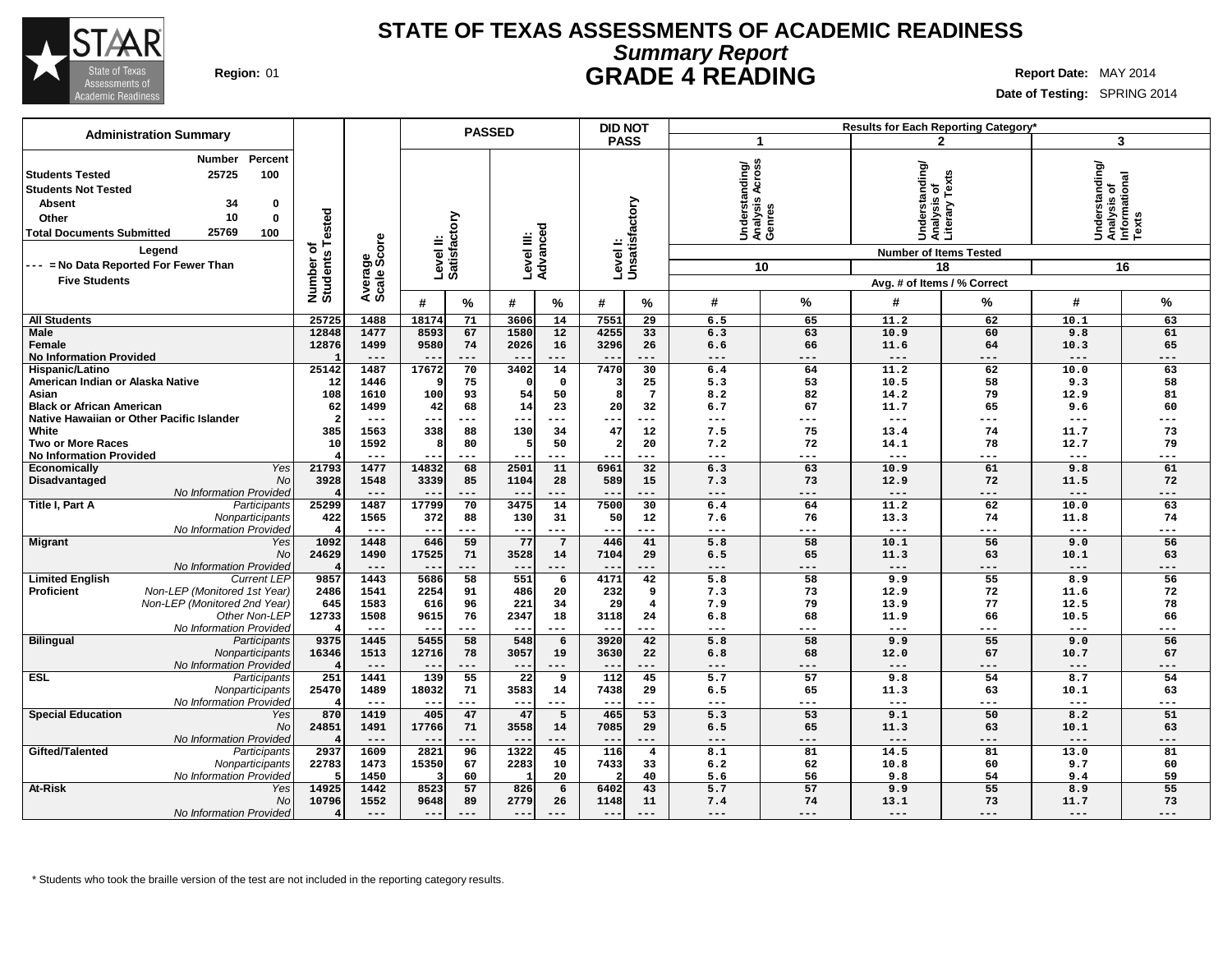

## **Summary Report STATE OF TEXAS ASSESSMENTS OF ACADEMIC READINESS Region:** 01 **GRADE 4 READING Report** Date: MAY 2014

**Date of Testing:** SPRING 2014

| <b>Administration Summary</b>                                                                                                                                                                                                                           |                                      |                        |                           | <b>PASSED</b>   |                                   |                     | <b>DID NOT</b>        |                           |                                                   |                   | <b>Results for Each Reporting Category'</b>                                        |                    |                                                              |                   |  |  |
|---------------------------------------------------------------------------------------------------------------------------------------------------------------------------------------------------------------------------------------------------------|--------------------------------------|------------------------|---------------------------|-----------------|-----------------------------------|---------------------|-----------------------|---------------------------|---------------------------------------------------|-------------------|------------------------------------------------------------------------------------|--------------------|--------------------------------------------------------------|-------------------|--|--|
|                                                                                                                                                                                                                                                         |                                      |                        |                           |                 |                                   |                     | <b>PASS</b>           |                           | 1                                                 |                   |                                                                                    | $\mathbf{2}$       | 3                                                            |                   |  |  |
| Percent<br>Number<br>25725<br>100<br><b>Students Tested</b><br><b>Students Not Tested</b><br>34<br><b>Absent</b><br>0<br>10<br>$\bf{0}$<br>Other<br>25769<br><b>Total Documents Submitted</b><br>100<br>Legend<br>--- = No Data Reported For Fewer Than | Tested<br>৳<br>Number o'<br>Students | Average<br>Scale Score | Level II:<br>Satisfactory |                 | Level III:<br>Advanced            |                     |                       | Levell:<br>Unsatisfactory | SS<br>Understanding/<br>Analysis Across<br>Genres | 10                | Understanding/<br> Analysis of<br> Literary Texts<br><b>Number of Items Tested</b> | 18                 | Understanding/<br> Analysis of<br>  Informational<br>  Texts | 16                |  |  |
| <b>Five Students</b>                                                                                                                                                                                                                                    |                                      |                        |                           |                 |                                   |                     |                       |                           |                                                   |                   | Avg. # of Items / % Correct                                                        |                    |                                                              |                   |  |  |
|                                                                                                                                                                                                                                                         |                                      |                        | #                         | $\%$            | #                                 | $\frac{0}{0}$       | #                     | %                         | #                                                 | %                 | #                                                                                  | %                  | #                                                            | %                 |  |  |
| <b>All Students</b>                                                                                                                                                                                                                                     | 25725                                | 1488                   | 18174                     | 71              | 3606                              | 14                  | 7551                  | 29                        | 6.5                                               | 65                | 11.2                                                                               | 62                 | 10.1                                                         | 63                |  |  |
| <b>Male</b><br>Female<br><b>No Information Provided</b>                                                                                                                                                                                                 | 12848<br>12876                       | 1477<br>1499<br>$---$  | 8593<br>9580              | 67<br>74<br>--- | 1580<br>2026<br>$\qquad \qquad -$ | 12<br>16<br>$---$   | 4255<br>3296<br>$- -$ | 33<br>26<br>---           | 6.3<br>6.6<br>$---$                               | 63<br>66<br>$---$ | 10.9<br>11.6<br>$---$                                                              | 60<br>64<br>$-- -$ | 9.8<br>10.3<br>$---$                                         | 61<br>65<br>$---$ |  |  |
| Hispanic/Latino                                                                                                                                                                                                                                         | 25142                                | 1487                   | 17672                     | 70              | 3402                              | 14                  | 7470                  | 30                        | 6.4                                               | 64                | 11.2                                                                               | 62                 | 10.0                                                         | 63                |  |  |
| American Indian or Alaska Native                                                                                                                                                                                                                        | 12                                   | 1446                   |                           | 75              | n                                 | 0                   |                       | 25                        | 5.3                                               | 53                | 10.5                                                                               | 58                 | 9.3                                                          | 58                |  |  |
| Asian                                                                                                                                                                                                                                                   | 108                                  | 1610                   | 100                       | 93              | 54                                | 50                  | 8                     | $7\phantom{.0}$           | 8.2                                               | 82                | 14.2                                                                               | 79                 | 12.9                                                         | 81                |  |  |
| <b>Black or African American</b>                                                                                                                                                                                                                        | 62                                   | 1499                   | 42                        | 68              | 14                                | 23                  | 20                    | 32                        | 6.7                                               | 67                | 11.7                                                                               | 65                 | 9.6                                                          | 60                |  |  |
| Native Hawaiian or Other Pacific Islander                                                                                                                                                                                                               | 2                                    | $---$                  | $--$                      | ---             | --                                | $---$               |                       | ---                       | $--$                                              | $---$             | $\qquad \qquad - -$                                                                | ---                | $---$                                                        | ---               |  |  |
| White                                                                                                                                                                                                                                                   | 385                                  | 1563                   | 338                       | 88              | 130                               | 34                  | 47                    | 12                        | 7.5                                               | 75                | 13.4                                                                               | 74                 | 11.7                                                         | 73                |  |  |
| <b>Two or More Races</b>                                                                                                                                                                                                                                | 10                                   | 1592                   | 8                         | 80              | 5                                 | 50                  | $\overline{a}$        | 20                        | 7.2                                               | 72                | 14.1                                                                               | 78                 | 12.7                                                         | 79                |  |  |
| <b>No Information Provided</b>                                                                                                                                                                                                                          |                                      | $\frac{1}{2}$          | $- - -$                   | $---$           | $- -$                             | $---$               | $- -$                 | ---                       | $\frac{1}{2}$                                     | $---$             | $\frac{1}{2}$                                                                      | ---                | $---$                                                        | $---$             |  |  |
| <b>Yes</b><br>Economically                                                                                                                                                                                                                              | 21793                                | 1477                   | 14832                     | 68              | 2501                              | 11                  | 6961                  | $\overline{32}$           | 6.3                                               | 63                | 10.9                                                                               | 61                 | 9.8                                                          | 61                |  |  |
| No<br>Disadvantaged                                                                                                                                                                                                                                     | 3928                                 | 1548                   | 3339                      | 85              | 1104                              | 28                  | 589                   | 15                        | 7.3                                               | 73                | 12.9                                                                               | 72                 | 11.5                                                         | 72                |  |  |
| No Information Provided<br>Title I, Part A<br>Participants                                                                                                                                                                                              | 25299                                | $---$<br>1487          | $- -$<br>17799            | ---<br>70       | $\qquad \qquad -$<br>3475         | $---$<br>14         | --<br>7500            | ---<br>30                 | $---$<br>6.4                                      | $---$<br>64       | $---$<br>11.2                                                                      | ---<br>62          | $---$<br>10.0                                                | ---<br>63         |  |  |
| Nonparticipants                                                                                                                                                                                                                                         | 422                                  | 1565                   | 372                       | 88              | 130                               | 31                  | 50                    | 12                        | 7.6                                               | 76                | 13.3                                                                               | 74                 | 11.8                                                         | 74                |  |  |
| No Information Provided                                                                                                                                                                                                                                 |                                      | $---$                  | $- -$                     | ---             | $\qquad \qquad -$                 | $\qquad \qquad - -$ | ---                   |                           | $---$                                             | $---$             | $---$                                                                              | ---                | $---$                                                        | ---               |  |  |
| <b>Migrant</b><br>Yes                                                                                                                                                                                                                                   | 1092                                 | 1448                   | 646                       | 59              | 77                                | $7\overline{ }$     | 446                   | 41                        | 5.8                                               | 58                | 10.1                                                                               | 56                 | 9.0                                                          | 56                |  |  |
| No                                                                                                                                                                                                                                                      | 24629                                | 1490                   | 17525                     | 71              | 3528                              | 14                  | 7104                  | 29                        | 6.5                                               | 65                | 11.3                                                                               | 63                 | 10.1                                                         | 63                |  |  |
| No Information Provideo                                                                                                                                                                                                                                 |                                      | $---$                  |                           | $- - -$         | $- -$                             | $---$               |                       |                           | $---$                                             | $---$             | $---$                                                                              | ---                | $---$                                                        | ---               |  |  |
| <b>Limited English</b><br><b>Current LEP</b>                                                                                                                                                                                                            | 9857                                 | 1443                   | 5686                      | 58              | 551                               | 6                   | 4171                  | 42                        | $\overline{5.8}$                                  | 58                | 9.9                                                                                | 55                 | 8.9                                                          | 56                |  |  |
| Non-LEP (Monitored 1st Year)<br>Proficient                                                                                                                                                                                                              | 2486                                 | 1541                   | 2254                      | 91              | 486                               | 20                  | 232                   | 9                         | 7.3                                               | 73                | 12.9                                                                               | 72                 | 11.6                                                         | 72                |  |  |
| Non-LEP (Monitored 2nd Year)                                                                                                                                                                                                                            | 645                                  | 1583                   | 616                       | 96              | 221                               | 34                  | 29                    | $\overline{4}$            | 7.9                                               | 79                | 13.9                                                                               | 77                 | 12.5                                                         | 78                |  |  |
| Other Non-LEP                                                                                                                                                                                                                                           | 12733                                | 1508                   | 9615                      | 76              | 2347                              | 18                  | 3118                  | 24                        | 6.8                                               | 68                | 11.9                                                                               | 66                 | 10.5                                                         | 66                |  |  |
| No Information Provideo                                                                                                                                                                                                                                 |                                      | $---$                  |                           | ---             | $\qquad \qquad -$                 | $---$               |                       |                           | $---$                                             | $---$             | $---$                                                                              | ---                | $---$                                                        | ---               |  |  |
| <b>Bilingual</b><br>Participants                                                                                                                                                                                                                        | 9375                                 | 1445                   | 5455                      | 58              | 548                               | 6                   | 3920                  | 42                        | 5.8                                               | 58                | 9.9                                                                                | 55                 | 9.0                                                          | 56                |  |  |
| Nonparticipants<br>No Information Provideo                                                                                                                                                                                                              | 16346                                | 1513<br>$---$          | 12716<br>$-$              | 78<br>---       | 3057<br>$--$                      | 19<br>$---$         | 3630<br>$- -$         | 22<br>---                 | 6.8<br>$---$                                      | 68<br>$---$       | 12.0<br>$---$                                                                      | 67<br>---          | 10.7<br>$---$                                                | 67<br>---         |  |  |
| <b>ESL</b><br>Participants                                                                                                                                                                                                                              | 251                                  | 1441                   | 139                       | 55              | 22                                | $\overline{9}$      | 112                   | 45                        | 5.7                                               | 57                | 9.8                                                                                | 54                 | 8.7                                                          | 54                |  |  |
| Nonparticipants                                                                                                                                                                                                                                         | 25470                                | 1489                   | 18032                     | 71              | 3583                              | 14                  | 7438                  | 29                        | 6.5                                               | 65                | 11.3                                                                               | 63                 | 10.1                                                         | 63                |  |  |
| No Information Provideo                                                                                                                                                                                                                                 |                                      | $- - -$                | $- -$                     | ---             | $- -$                             | $- - -$             |                       | $- - -$                   | $- - -$                                           | $- - -$           | $- - -$                                                                            | ---                | $- - -$                                                      | ---               |  |  |
| <b>Special Education</b><br>Yes                                                                                                                                                                                                                         | 870                                  | 1419                   | 405                       | 47              | 47                                | 5                   | 465                   | 53                        | 5.3                                               | 53                | 9.1                                                                                | 50                 | 8.2                                                          | 51                |  |  |
| No                                                                                                                                                                                                                                                      | 24851                                | 1491                   | 17766                     | 71              | 3558                              | 14                  | 7085                  | 29                        | 6.5                                               | 65                | 11.3                                                                               | 63                 | 10.1                                                         | 63                |  |  |
| No Information Provided                                                                                                                                                                                                                                 |                                      | $---$                  | $\qquad \qquad -$         | ---             | $\qquad \qquad -$                 | $---$               | $- -$                 | ---                       | $---$                                             | $---$             | $---$                                                                              | ---                | $---$                                                        | ---               |  |  |
| Gifted/Talented<br>Participants                                                                                                                                                                                                                         | 2937                                 | 1609                   | 2821                      | 96              | 1322                              | 45                  | 116                   | $\overline{4}$            | 8.1                                               | 81                | 14.5                                                                               | 81                 | 13.0                                                         | 81                |  |  |
| Nonparticipants                                                                                                                                                                                                                                         | 22783                                | 1473                   | 15350                     | 67              | 2283                              | 10                  | 7433                  | 33                        | 6.2                                               | 62                | 10.8                                                                               | 60                 | 9.7                                                          | 60                |  |  |
| No Information Provideo                                                                                                                                                                                                                                 | 5                                    | 1450                   | ß                         | 60              | -1                                | 20                  | 2                     | 40                        | 5.6                                               | 56                | 9.8                                                                                | 54                 | 9.4                                                          | 59                |  |  |
| <b>At-Risk</b><br>Yes                                                                                                                                                                                                                                   | 14925                                | 1442                   | 8523                      | 57              | 826                               | 6                   | 6402                  | 43                        | 5.7                                               | 57                | 9.9                                                                                | 55                 | 8.9                                                          | $\overline{55}$   |  |  |
| No                                                                                                                                                                                                                                                      | 10796                                | 1552                   | 9648                      | 89              | 2779                              | 26                  | 1148                  | 11                        | 7.4                                               | 74                | 13.1                                                                               | 73                 | 11.7                                                         | 73                |  |  |
| No Information Provided                                                                                                                                                                                                                                 |                                      | $---$                  | $---$                     | $---$           | $- -$                             | $---$               | $- -$                 | ---                       | $---$                                             | $---$             | $---$                                                                              | ---                | $---$                                                        | $---$             |  |  |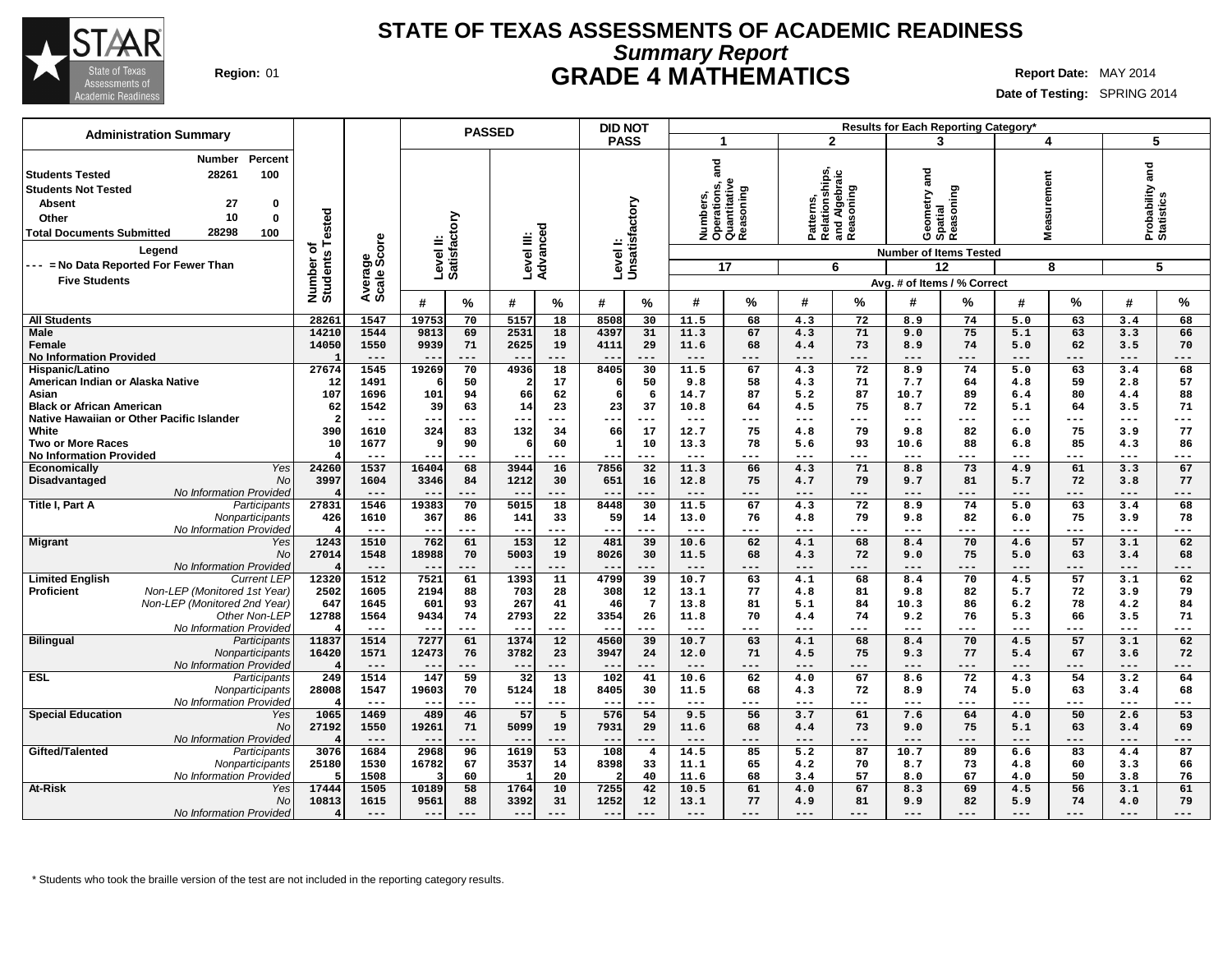

# **Summary Report STATE OF TEXAS ASSESSMENTS OF ACADEMIC READINESS Region:** 01 **GRADE 4 MATHEMATICS Report Date:** MAY 2014

**Date of Testing:** SPRING 2014

| <b>Administration Summary</b>                                                                                                                                                                                               |                              |                 | <b>PASSED</b>                              |                                  | <b>DID NOT</b>                        |                                                                        |                                                           | Results for Each Reporting Category*                                        |                             |                                    |
|-----------------------------------------------------------------------------------------------------------------------------------------------------------------------------------------------------------------------------|------------------------------|-----------------|--------------------------------------------|----------------------------------|---------------------------------------|------------------------------------------------------------------------|-----------------------------------------------------------|-----------------------------------------------------------------------------|-----------------------------|------------------------------------|
|                                                                                                                                                                                                                             |                              |                 |                                            |                                  | <b>PASS</b>                           | 1                                                                      | $\mathbf{2}$                                              | 3                                                                           | 4                           | 5                                  |
| Percent<br>Number<br>28261<br>100<br><b>Students Tested</b><br><b>Students Not Tested</b><br><b>Absent</b><br>27<br>$\mathbf 0$<br>10<br>$\mathbf 0$<br>Other<br>28298<br>100<br><b>Total Documents Submitted</b><br>Legend | Number of<br>Students Tested | core<br>Φ       | Satisfactory<br>Level II:                  | 73<br>Level III:<br>Advance      | Level I:<br>Unsatisfactory            | and<br>Numbers,<br>Operations, a<br>Quantitative<br>Reasoning<br>oning | Patterns,<br>Relationships,<br>and Algebraic<br>Reasoning | and<br>Geometry ar<br>Spatial<br>Reasoning<br><b>Number of Items Tested</b> | surement<br>ී               | and<br>Probability a<br>Statistics |
| --- = No Data Reported For Fewer Than                                                                                                                                                                                       |                              | ౚఀఀఀ            |                                            |                                  |                                       | 17                                                                     | 6                                                         | 12                                                                          | 8                           | 5                                  |
| <b>Five Students</b>                                                                                                                                                                                                        |                              | Avera<br>Scale  |                                            |                                  |                                       |                                                                        |                                                           | Avg. # of Items / % Correct                                                 |                             |                                    |
|                                                                                                                                                                                                                             |                              |                 | %<br>#                                     | #<br>%                           | #<br>%                                | %<br>#                                                                 | %<br>#                                                    | %<br>#                                                                      | $\frac{0}{0}$<br>#          | %<br>#                             |
| <b>All Students</b>                                                                                                                                                                                                         | 28261                        | 1547            | 19753<br>70                                | 5157<br>18                       | 8508<br>30                            | 11.5<br>68                                                             | 4.3<br>72                                                 | 8.9<br>74                                                                   | 63<br>5.0                   | 3.4<br>68                          |
| <b>Male</b>                                                                                                                                                                                                                 | 14210                        | 1544            | 9813<br>69                                 | 2531<br>18                       | 4397<br>31                            | 11.3<br>67                                                             | 71<br>4.3                                                 | 75<br>9.0                                                                   | 5.1<br>63                   | 66<br>3.3                          |
| Female<br><b>No Information Provided</b>                                                                                                                                                                                    | 14050                        | 1550<br>$- - -$ | 9939<br>71<br>$- -$<br>$---$               | 2625<br>19<br>---                | 4111<br>29<br>$- -$<br>---            | 11.6<br>68<br>$---$<br>---                                             | 73<br>4.4<br>---<br>$---$                                 | 8.9<br>74<br>$---$<br>---                                                   | 62<br>5.0<br>$---$<br>---   | 3.5<br>70<br>---<br>.              |
| Hispanic/Latino                                                                                                                                                                                                             | 27674                        | 1545            | 19269<br>70                                | 4936<br>$\overline{18}$          | 8405<br>30                            | 11.5<br>67                                                             | 72<br>4.3                                                 | 8.9<br>74                                                                   | $\overline{5.0}$<br>63      | 68<br>3.4                          |
| American Indian or Alaska Native                                                                                                                                                                                            | 12                           | 1491            | 50                                         | 17<br>2                          | 50<br>6                               | 58<br>9.8                                                              | 71<br>4.3                                                 | 7.7<br>64                                                                   | 59<br>4.8                   | 57<br>2.8                          |
| Asian                                                                                                                                                                                                                       | 107                          | 1696            | 101<br>94                                  | 66<br>62                         | 6<br>6                                | 14.7<br>87                                                             | 87<br>5.2                                                 | 10.7<br>89                                                                  | 80<br>6.4                   | 88<br>4.4                          |
| <b>Black or African American</b>                                                                                                                                                                                            | 62                           | 1542            | 39<br>63                                   | 14<br>23                         | 23<br>37                              | 10.8<br>64                                                             | 75<br>4.5                                                 | 8.7<br>72                                                                   | 5.1<br>64                   | 3.5<br>71                          |
| Native Hawaiian or Other Pacific Islander                                                                                                                                                                                   | $\mathcal{L}$                |                 |                                            | $- -$<br>---                     | <u>. .</u>                            | $- - -$<br>---                                                         | $---$<br>---                                              | $---$<br>---                                                                | $---$<br>---                | ---<br>$---$                       |
| White                                                                                                                                                                                                                       | 390                          | 1610            | 83<br>324                                  | $132$<br>34                      | 66<br>17                              | 12.7<br>75                                                             | 4.8<br>79                                                 | 9.8<br>82                                                                   | 75<br>6.0                   | 3.9<br>77                          |
| <b>Two or More Races</b>                                                                                                                                                                                                    | 10                           | 1677            | 90<br>q                                    | 60<br>6                          | $\mathbf{1}$<br>10                    | 13.3<br>78                                                             | 93<br>5.6                                                 | 10.6<br>88                                                                  | 6.8<br>85                   | 4.3<br>86                          |
| <b>No Information Provided</b><br><b>Yes</b><br><b>Economically</b>                                                                                                                                                         | 24260                        | $---$<br>1537   | $---$<br>$-$<br>68<br>16404                | ---<br>$- -$<br>3944<br>16       | ---<br>---<br>7856<br>$\overline{32}$ | $---$<br>---<br>11.3<br>66                                             | ---<br>---<br>71<br>4.3                                   | $---$<br>---<br>73<br>8.8                                                   | $---$<br>---<br>61<br>4.9   | $---$<br>---<br>67<br>3.3          |
| Disadvantaged<br>No                                                                                                                                                                                                         | 3997                         | 1604            | 3346<br>84                                 | 1212<br>30                       | 651<br>16                             | 12.8<br>75                                                             | 79<br>4.7                                                 | 9.7<br>81                                                                   | 5.7<br>72                   | 3.8<br>77                          |
| No Information Provided                                                                                                                                                                                                     |                              | $---$           | $-\,-$<br>---                              | ---                              | $---$<br>---                          | $---$<br>---                                                           | ---<br>---                                                | $---$<br>---                                                                | $---$<br>---                | ---<br>---                         |
| Title I, Part A<br>Participants                                                                                                                                                                                             | 27831                        | 1546            | 19383<br>70                                | 5015<br>18                       | 8448<br>30                            | 11.5<br>67                                                             | 72<br>4.3                                                 | 74<br>8.9                                                                   | 5.0<br>63                   | 3.4<br>68                          |
| Nonparticipants                                                                                                                                                                                                             | 426                          | 1610            | 367<br>86                                  | 141<br>33                        | 59<br>14                              | 13.0<br>76                                                             | 79<br>4.8                                                 | 9.8<br>82                                                                   | 6.0<br>75                   | 3.9<br>78                          |
| No Information Provided                                                                                                                                                                                                     |                              | $---$           | $- -$<br>$---$                             | ---<br>$- -$                     | $- - -$<br>---                        | $- - -$<br>---                                                         | ---<br>$---$                                              | $---$<br>---                                                                | $---$<br>$---$              | $---$<br>---                       |
| Migrant<br>Yes                                                                                                                                                                                                              | 1243                         | 1510            | 762<br>61                                  | 153<br>12                        | 481<br>39                             | 10.6<br>62                                                             | 68<br>4.1                                                 | 70<br>8.4                                                                   | 57<br>4.6                   | 62<br>3.1                          |
| <b>No</b><br>No Information Provided                                                                                                                                                                                        | 27014                        | 1548<br>$---$   | 18988<br>70<br>$\qquad \qquad - -$<br>$--$ | 19<br>5003<br>---<br>$- -$       | 30<br>8026<br>---<br>$---$            | 11.5<br>68<br>$- -$<br>---                                             | 72<br>4.3<br>---<br>$---$                                 | 75<br>9.0<br>$---$<br>---                                                   | 63<br>5.0<br>$---$<br>$---$ | 3.4<br>68<br>$---$<br>---          |
| <b>Limited English</b><br><b>Current LEP</b>                                                                                                                                                                                | 12320                        | 1512            | 7521<br>61                                 | 1393<br>11                       | 4799<br>39                            | 10.7<br>63                                                             | 68<br>4.1                                                 | 70<br>8.4                                                                   | 57<br>4.5                   | 62<br>3.1                          |
| <b>Proficient</b><br>Non-LEP (Monitored 1st Year)                                                                                                                                                                           | 2502                         | 1605            | 88<br>2194                                 | 703<br>28                        | 308<br>12                             | 77<br>13.1                                                             | 81<br>4.8                                                 | 9.8<br>82                                                                   | 5.7<br>72                   | 79<br>3.9                          |
| Non-LEP (Monitored 2nd Year)                                                                                                                                                                                                | 647                          | 1645            | 601<br>93                                  | 267<br>41                        | $7\phantom{.0}$<br>46                 | 13.8<br>81                                                             | 84<br>5.1                                                 | 10.3<br>86                                                                  | 78<br>6.2                   | 84<br>4.2                          |
| Other Non-LEP                                                                                                                                                                                                               | 12788                        | 1564            | 9434<br>74                                 | 2793<br>22                       | 26<br>3354                            | 11.8<br>70                                                             | 74<br>4.4                                                 | 9.2<br>76                                                                   | 5.3<br>66                   | 71<br>3.5                          |
| No Information Provided                                                                                                                                                                                                     |                              | $- - -$         | $---$<br>$- -$                             | ---                              | $- -$<br>---                          | $- - -$<br>---                                                         | ---<br>---                                                | $--$<br>---                                                                 | $---$<br>---                | ---<br>---                         |
| <b>Bilingual</b><br>Participants                                                                                                                                                                                            | 11837                        | 1514            | 7277<br>61                                 | 1374<br>12                       | 4560<br>39                            | 10.7<br>63                                                             | 68<br>4.1                                                 | 8.4<br>70                                                                   | 57<br>4.5                   | 62<br>3.1                          |
| Nonparticipants                                                                                                                                                                                                             | 16420                        | 1571<br>$---$   | 12473<br>76<br>$- -$<br>$---$              | 23<br>3782<br>$---$<br>$- -$     | 3947<br>24<br>$- -$<br>---            | 12.0<br>71<br>$---$<br>---                                             | 75<br>4.5<br>---<br>$---$                                 | 9.3<br>77<br>$---$<br>---                                                   | 67<br>5.4<br>$---$<br>$---$ | 3.6<br>72<br>$---$<br>---          |
| No Information Provided<br><b>ESL</b><br>Participants                                                                                                                                                                       | 249                          | 1514            | 147<br>59                                  | $\overline{32}$<br>13            | 102<br>41                             | 10.6<br>62                                                             | 67<br>4.0                                                 | 8.6<br>72                                                                   | 4.3<br>54                   | 3.2<br>64                          |
| Nonparticipants                                                                                                                                                                                                             | 28008                        | 1547            | 19603<br>70                                | 5124<br>18                       | 8405<br>30                            | 11.5<br>68                                                             | 72<br>4.3                                                 | 8.9<br>74                                                                   | 63<br>5.0                   | 68<br>3.4                          |
| No Information Provideo                                                                                                                                                                                                     |                              | $- - -$         | $- -$<br>$- - -$                           | ---<br>$- -$                     | $- -$<br>---                          | $---$<br>---                                                           | ---<br>$- - -$                                            | $---$<br>---                                                                | $---$<br>$---$              | $---$<br>---                       |
| <b>Special Education</b><br>Yes                                                                                                                                                                                             | 1065                         | 1469            | 489<br>46                                  | 57<br>5                          | 576<br>54                             | 9.5<br>56                                                              | 61<br>3.7                                                 | 7.6<br>64                                                                   | 50<br>4.0                   | 53<br>2.6                          |
| <b>No</b>                                                                                                                                                                                                                   | 27192                        | 1550            | 19261<br>71                                | 5099<br>19                       | 7931<br>29                            | 11.6<br>68                                                             | 73<br>4.4                                                 | 9.0<br>75                                                                   | 5.1<br>63                   | 69<br>3.4                          |
| No Information Provided                                                                                                                                                                                                     |                              | $---$           | $- -$<br>$---$                             | ---<br>$- -$                     | $---$<br>---                          | $---$<br>---                                                           | ---<br>---                                                | $---$<br>---                                                                | $---$<br>---                | $---$<br>---                       |
| Gifted/Talented<br>Participants                                                                                                                                                                                             | 3076                         | 1684            | 2968<br>96                                 | 53<br>1619                       | 108<br>$\overline{4}$                 | 14.5<br>85                                                             | 87<br>5.2                                                 | 10.7<br>89                                                                  | 83<br>6.6                   | 87<br>4.4                          |
| Nonparticipants<br>No Information Provideo                                                                                                                                                                                  | 25180                        | 1530<br>1508    | 16782<br>67<br>60                          | 3537<br>14<br>20<br>$\mathbf{1}$ | 8398<br>33<br>40                      | 11.1<br>65<br>11.6<br>68                                               | 4.2<br>70<br>57<br>3.4                                    | 8.7<br>73<br>67<br>8.0                                                      | 4.8<br>60<br>50<br>4.0      | 3.3<br>66<br>3.8<br>76             |
| At-Risk<br>Yes                                                                                                                                                                                                              | 17444                        | 1505            | 58<br>10189                                | 10<br>1764                       | 42<br>7255                            | 10.5<br>61                                                             | 67<br>4.0                                                 | 69<br>8.3                                                                   | $\overline{56}$<br>4.5      | 61<br>3.1                          |
| <b>No</b>                                                                                                                                                                                                                   | 10813                        | 1615            | 9561<br>88                                 | 3392<br>31                       | 1252<br>12                            | 13.1<br>77                                                             | 81<br>4.9                                                 | 9.9<br>82                                                                   | 5.9<br>74                   | 79<br>4.0                          |
| <b>No Information Provided</b>                                                                                                                                                                                              |                              | $---$           | $---$<br>$\qquad \qquad - -$               | $---$                            | $---$<br>---                          | $\qquad \qquad - -$<br>---                                             | ---<br>---                                                | $---$                                                                       | $---$<br>$---$              | $---$<br>---                       |
|                                                                                                                                                                                                                             |                              |                 |                                            |                                  |                                       |                                                                        |                                                           |                                                                             |                             |                                    |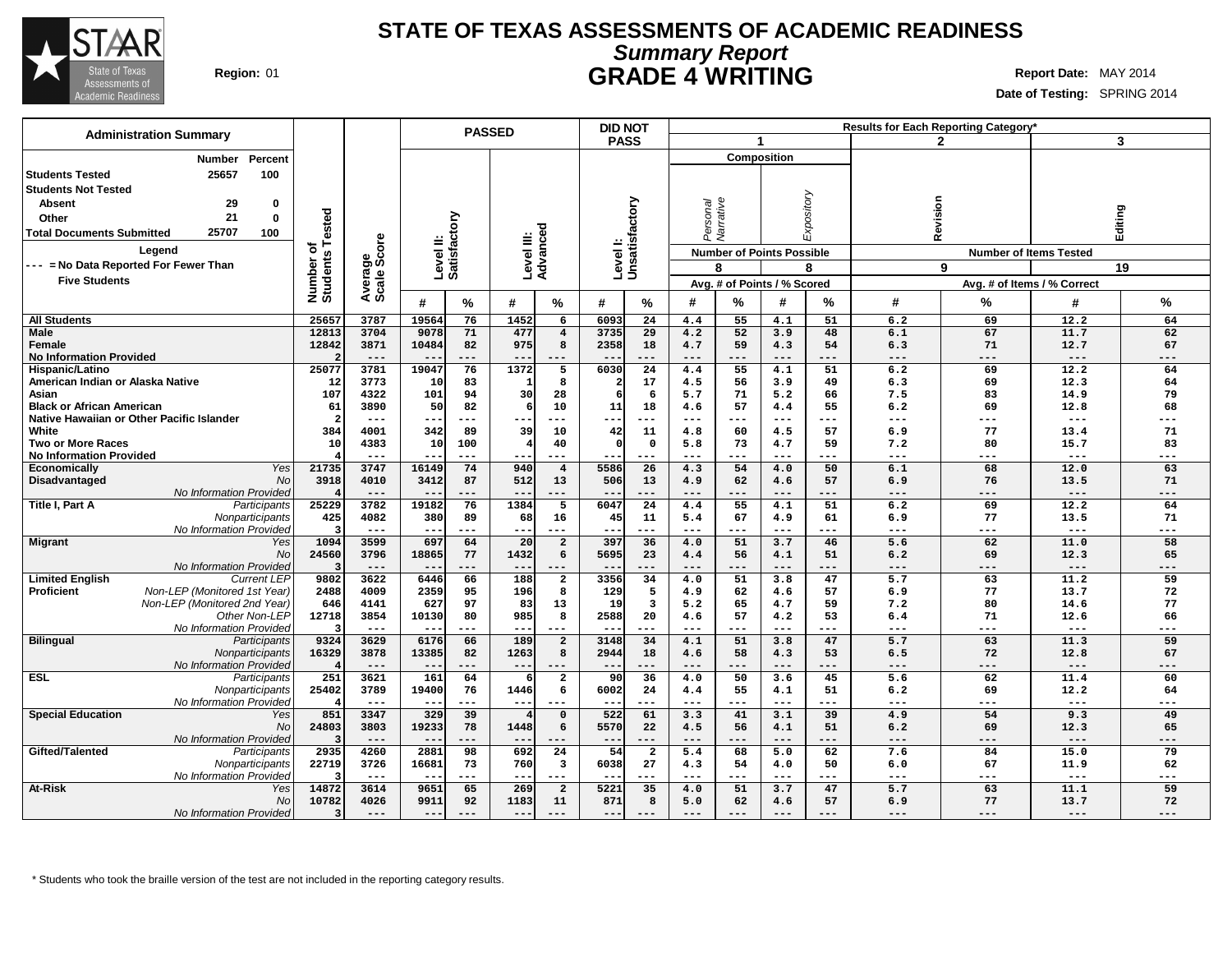

## **Summary Report STATE OF TEXAS ASSESSMENTS OF ACADEMIC READINESS Region:** 01 **GRADE 4 WRITING Report Date:** MAY 2014

**Date of Testing:** SPRING 2014

| <b>Administration Summary</b>                                           |                    |                     |              |                        | <b>PASSED</b>  |                         |               | <b>DID NOT</b>             |              |              |                                  |             |              | <b>Results for Each Reporting Category</b> |                     |           |
|-------------------------------------------------------------------------|--------------------|---------------------|--------------|------------------------|----------------|-------------------------|---------------|----------------------------|--------------|--------------|----------------------------------|-------------|--------------|--------------------------------------------|---------------------|-----------|
|                                                                         |                    |                     |              |                        |                |                         | <b>PASS</b>   |                            |              | $\mathbf{1}$ |                                  |             |              | 2                                          |                     | 3         |
| Percent<br>Number                                                       |                    |                     |              |                        |                |                         |               |                            |              |              | <b>Composition</b>               |             |              |                                            |                     |           |
| 25657<br>100<br><b>Students Tested</b>                                  |                    |                     |              |                        |                |                         |               |                            |              |              |                                  |             |              |                                            |                     |           |
| <b>Students Not Tested</b>                                              |                    |                     |              |                        |                |                         |               |                            |              |              |                                  |             |              |                                            |                     |           |
|                                                                         |                    |                     |              |                        |                |                         |               |                            |              |              |                                  |             |              |                                            |                     |           |
| 29<br><b>Absent</b><br>0                                                |                    |                     |              |                        |                |                         |               |                            | rsonal       | Varrative    |                                  | Expository  |              |                                            |                     |           |
| 21<br>$\bf{0}$<br>Other                                                 |                    |                     |              | ξā                     |                |                         |               |                            |              |              |                                  |             |              |                                            |                     |           |
| 25707<br>100<br><b>Total Documents Submitted</b>                        | ested              |                     |              | ទ្ល                    |                |                         |               |                            | ෫            |              |                                  |             | Revision     |                                            | Editing             |           |
| Legend                                                                  | ፝፝፝፝፝፝፝፝፝፝<br>w    | ige<br>Score        |              | Level II:<br>Satisfact |                | Level III:<br>Advanced  |               | Level I:<br>Unsatisfactory |              |              | <b>Number of Points Possible</b> |             |              | <b>Number of Items Tested</b>              |                     |           |
| --- = No Data Reported For Fewer Than                                   |                    |                     |              |                        |                |                         |               |                            |              | 8            |                                  | 8           |              | 9                                          |                     | 19        |
| <b>Five Students</b>                                                    |                    |                     |              |                        |                |                         |               |                            |              |              | Avg. # of Points / % Scored      |             |              | Avg. # of Items / % Correct                |                     |           |
|                                                                         | Number<br>Students | Avera<br>Scale      | #            | %                      | #              | ℅                       | #             | %                          | #            | %            | #                                | %           | #            | %                                          | #                   | %         |
|                                                                         |                    |                     |              |                        |                |                         |               |                            |              |              |                                  |             |              |                                            |                     |           |
| <b>All Students</b>                                                     | 2565               | 3787                | 1956         | 76                     | 1452           | 6                       | 6093          | 24                         | 4.4          | 55           | 4.1                              | 51          | 6.2          | 69                                         | 12.2                | 64        |
| Male                                                                    | 12813              | 3704                | 9078         | 71                     | 477            | $\overline{4}$          | 3735          | 29                         | 4.2          | 52           | 3.9                              | 48          | 6.1          | 67                                         | 11.7                | 62        |
| Female<br><b>No Information Provided</b>                                | 12842              | 3871<br>$---$       | 10484<br>$-$ | 82<br>$---$            | 975<br>$- -$   | 8<br>$---$              | 2358<br>$- -$ | 18<br>$---$                | 4.7<br>$---$ | 59<br>$---$  | 4.3<br>$---$                     | 54<br>$---$ | 6.3<br>$---$ | 71<br>$---$                                | 12.7<br>$---$       | 67<br>--- |
| Hispanic/Latino                                                         | 25077              | 3781                | 19047        | 76                     | 1372           | $\overline{5}$          | 6030          | 24                         | 4.4          | 55           | 4.1                              | 51          | 6.2          | 69                                         | 12.2                | 64        |
| American Indian or Alaska Native                                        | 12                 | 3773                | 10           | 83                     | 1              | 8                       |               | 17                         | 4.5          | 56           | 3.9                              | 49          | 6.3          | 69                                         | 12.3                | 64        |
| Asian                                                                   | 107                | 4322                | 101          | 94                     | 30             | 28                      | 6             | 6                          | 5.7          | 71           | 5.2                              | 66          | 7.5          | 83                                         | 14.9                | 79        |
| <b>Black or African American</b>                                        | 61                 | 3890                | 50           | 82                     | 6              | 10                      | 11            | 18                         | 4.6          | 57           | 4.4                              | 55          | 6.2          | 69                                         | 12.8                | 68        |
| Native Hawaiian or Other Pacific Islander                               | $\mathbf{z}$       | $---$               |              | ---                    |                |                         | ---           | $- -$                      | $---$        | ---          | $---$                            | ---         | ---          | $---$                                      | $---$               | ---       |
| White                                                                   | 384                | 4001                | 342          | 89                     | 39             | 10                      | 42            | 11                         | 4.8          | 60           | 4.5                              | 57          | 6.9          | 77                                         | 13.4                | 71        |
| <b>Two or More Races</b>                                                | 10                 | 4383                | 10           | 100                    | 4              | 40                      | $\Omega$      | $\mathbf 0$                | 5.8          | 73           | 4.7                              | 59          | 7.2          | 80                                         | 15.7                | 83        |
| <b>No Information Provided</b>                                          |                    | $- - -$             | $ -$         | $- - -$                | $- -$          | ---                     |               | $- - -$                    | $---$        | ---          | $- - -$                          | $- - -$     | $- - -$      | $- - -$                                    | $- - -$             | ---       |
| Yes<br><b>Economically</b>                                              | 21735              | 3747                | 16149        | 74                     | 940            | $\overline{4}$          | 5586          | 26                         | 4.3          | 54           | 4.0                              | 50          | 6.1          | 68                                         | 12.0                | 63        |
| No<br>Disadvantaged                                                     | 3918               | 4010                | 3412         | 87                     | 512            | 13                      | 506           | 13                         | 4.9          | 62           | 4.6                              | 57          | 6.9          | 76                                         | 13.5                | 71        |
| No Information Provided                                                 |                    | $---$               | $- -$        | $---$                  | $- -$          | $---$                   | $- -$         | $---$                      | $---$        | $---$        | $---$                            | $---$       | $---$        | $---$                                      | $---$               | ---       |
| Title I, Part A<br>Participants                                         | 25229              | 3782                | 19182        | 76                     | 1384           | 5                       | 6047          | 24                         | 4.4          | 55           | 4.1                              | 51          | 6.2          | 69                                         | 12.2                | 64        |
| Nonparticipants                                                         | 425                | 4082                | 380          | 89                     | 68             | 16                      | 45            | 11                         | 5.4          | 67           | 4.9                              | 61          | 6.9          | 77                                         | 13.5                | 71        |
| No Information Provided                                                 | з                  | $\qquad \qquad - -$ | $-$          | $---$                  | $--$           | $---$                   | ---           | $---$                      | $---$        | ---          | $---$                            | $---$       | $---$        | $---$                                      | $\qquad \qquad - -$ | ---       |
| Migrant<br>Yes                                                          | 1094               | 3599                | 697          | 64                     | 20             | $\overline{a}$          | 397           | 36                         | 4.0          | 51           | 3.7                              | 46          | 5.6          | 62                                         | 11.0                | 58        |
| <b>No</b>                                                               | 24560              | 3796<br>$---$       | 18865        | 77<br>$---$            | 1432<br>$- -$  | 6                       | 5695          | 23                         | 4.4<br>$---$ | 56<br>---    | 4.1<br>$---$                     | 51<br>---   | 6.2<br>---   | 69<br>---                                  | 12.3<br>$---$       | 65<br>--- |
| No Information Provided<br><b>Limited English</b><br><b>Current LEP</b> | 9802               | 3622                | 6446         | 66                     | 188            | $\overline{2}$          | 3356          | 34                         | 4.0          | 51           | 3.8                              | 47          | 5.7          | 63                                         | 11.2                | 59        |
| Proficient<br>Non-LEP (Monitored 1st Year)                              | 2488               | 4009                | 2359         | 95                     | 196            | 8                       | 129           | 5                          | 4.9          | 62           | 4.6                              | 57          | 6.9          | 77                                         | 13.7                | 72        |
| Non-LEP (Monitored 2nd Year)                                            | 646                | 4141                | 627          | 97                     | 83             | 13                      | 19            | $\overline{\mathbf{3}}$    | 5.2          | 65           | 4.7                              | 59          | 7.2          | 80                                         | 14.6                | 77        |
| Other Non-LEP                                                           | 12718              | 3854                | 10130        | 80                     | 985            | 8                       | 2588          | 20                         | 4.6          | 57           | 4.2                              | 53          | 6.4          | 71                                         | 12.6                | 66        |
| No Information Provideo                                                 |                    | $---$               | $- -$        | $---$                  | $- -$          | $---$                   | $- -$         | $- - -$                    | $---$        | ---          | $---$                            | $---$       | $---$        | $---$                                      | $---$               | ---       |
| <b>Bilingual</b><br>Participants                                        | 9324               | 3629                | 6176         | 66                     | 189            | $\overline{2}$          | 3148          | 34                         | 4.1          | 51           | 3.8                              | 47          | 5.7          | 63                                         | 11.3                | 59        |
| <b>Nonparticipants</b>                                                  | 16329              | 3878                | 13385        | 82                     | 1263           | 8                       | 2944          | 18                         | 4.6          | 58           | 4.3                              | 53          | 6.5          | 72                                         | 12.8                | 67        |
| No Information Provided                                                 | 4                  | $---$               | $ -$         | ---                    | $- -$          |                         | $- -$         | $---$                      | ---          | ---          | ---                              | ---         | ---          | ---                                        | $---$               | ---       |
| <b>ESL</b><br>Participants                                              | 251                | 3621                | 161          | 64                     | 6              | $\mathbf{2}$            | 90            | 36                         | 4.0          | 50           | 3.6                              | 45          | 5.6          | 62                                         | 11.4                | 60        |
| Nonparticipants                                                         | 25402              | 3789                | 19400        | 76                     | 1446           | 6                       | 6002          | 24                         | 4.4          | 55           | 4.1                              | 51          | 6.2          | 69                                         | 12.2                | 64        |
| No Information Provideo                                                 | 4                  | $---$               |              | ---                    | $- -$          |                         |               | $---$                      | ---          | ---          | ---                              | ---         | ---          | ---                                        | $---$               | ---       |
| <b>Special Education</b><br>Yes                                         | 851                | 3347                | 329          | 39                     | $\overline{4}$ | $\mathbf 0$             | 522           | 61                         | 3.3          | 41           | 3.1                              | 39          | 4.9          | 54                                         | 9.3                 | 49        |
| No                                                                      | 24803              | 3803                | 19233        | 78                     | 1448           | 6                       | 5570          | 22                         | 4.5          | 56           | 4.1                              | 51          | 6.2          | 69                                         | 12.3                | 65        |
| No Information Provided                                                 | 3                  | $---$               |              | $---$                  | $- -$          |                         | --            | $---$                      | ---          | ---          | ---                              | ---         | ---          | ---                                        | $---$               | ---       |
| Gifted/Talented<br>Participants                                         | 2935               | 4260                | 2881         | 98                     | 692            | 24                      | 54            | $\overline{a}$             | 5.4          | 68           | 5.0                              | 62          | 7.6          | 84                                         | 15.0                | 79        |
| Nonparticipants                                                         | 22719              | 3726                | 16681        | 73                     | 760            | $\overline{\mathbf{3}}$ | 6038          | 27                         | 4.3          | 54           | 4.0                              | 50          | 6.0          | 67                                         | 11.9                | 62        |
| No Information Provideo                                                 | 3                  | $---$               | $ -$         | $---$                  | $ -$           | $---$                   | --            | $- - -$                    | $---$        | ---          | $- - -$                          | $---$       | $---$        | $---$                                      | $---$               | ---       |
| At-Risk<br>Yes                                                          | 14872              | 3614                | 9651         | 65                     | 269            | $\overline{2}$          | 5221          | 35                         | 4.0          | 51           | 3.7                              | 47          | 5.7          | 63                                         | 11.1                | 59        |
| <b>No</b>                                                               | 10782              | 4026                | 9911         | 92                     | 1183           | 11                      | 871           | 8                          | 5.0          | 62           | 4.6                              | 57          | 6.9          | 77                                         | 13.7                | 72        |
| No Information Provided                                                 | 3                  | $---$               | $- -$        | ---                    | $- -$          | $- - -$                 | ---           |                            | $- - -$      | ---          | $- - -$                          | $- - -$     | ---          | $---$                                      | $---$               | ---       |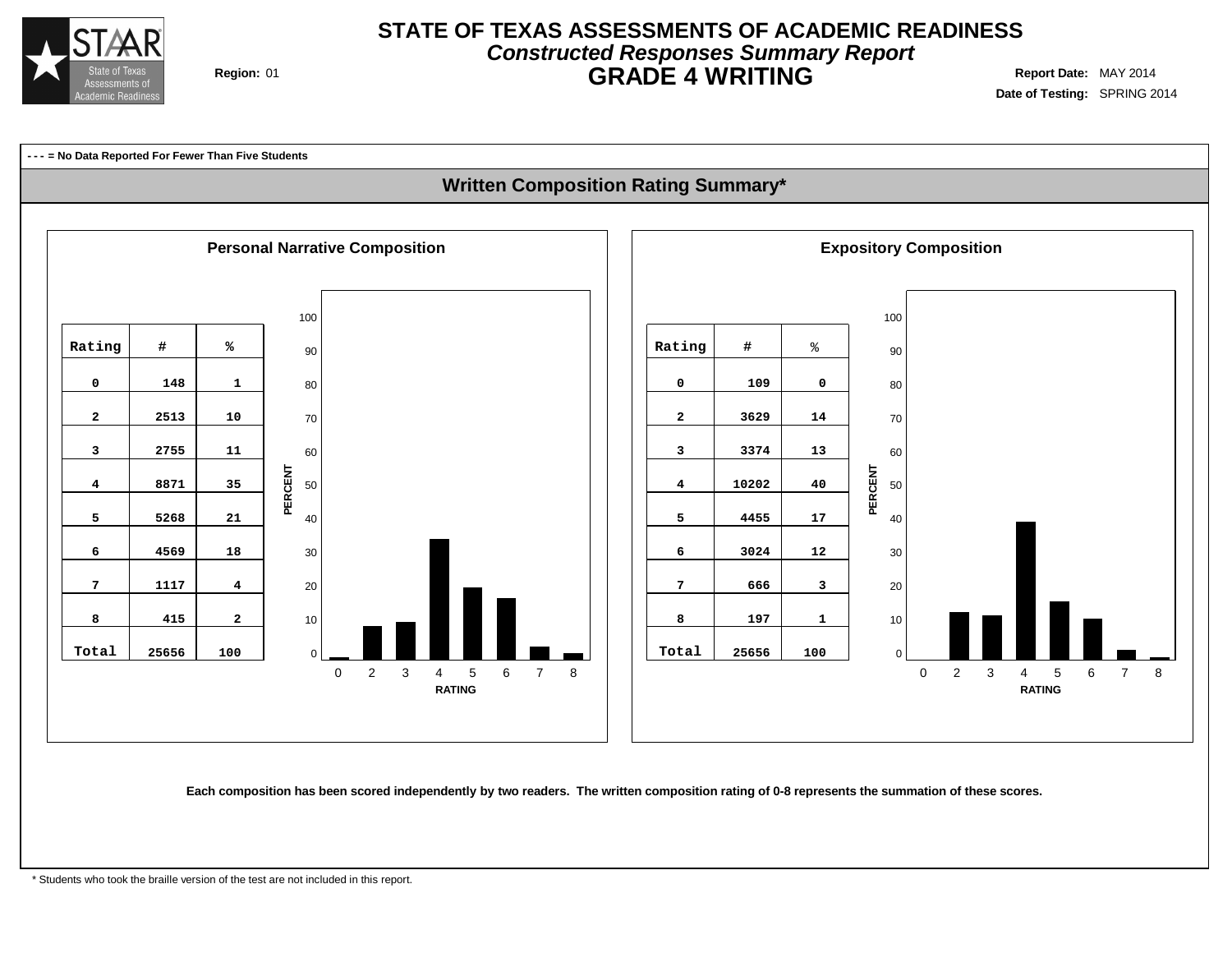

## **Constructed Responses Summary Report STATE OF TEXAS ASSESSMENTS OF ACADEMIC READINESS GRADE 4 WRITING** Region: 01

**Date of Testing:** SPRING 2014

## **--- = No Data Reported For Fewer Than Five Students Written Composition Rating Summary\* Personal Narrative Composition Exposition Expository Composition**   $\Omega$  2 3 4 5 6 7 8 **RATING**  $\Omega$  2 3 4 5 6 7 8 **RATING PERCENT PERCENT Rating # % 148 1 2513 10 2755 11 8871 35 5268 21 4569 18 1117 4 415 2 Total 25656 100 Rating #** % **109 0 3629 14 3374 13 10202 40 4455 17 3024 12 666 3 197 1 Total 25656 100**

Each composition has been scored independently by two readers. The written composition rating of 0-8 represents the summation of these scores.

\* Students who took the braille version of the test are not included in this report.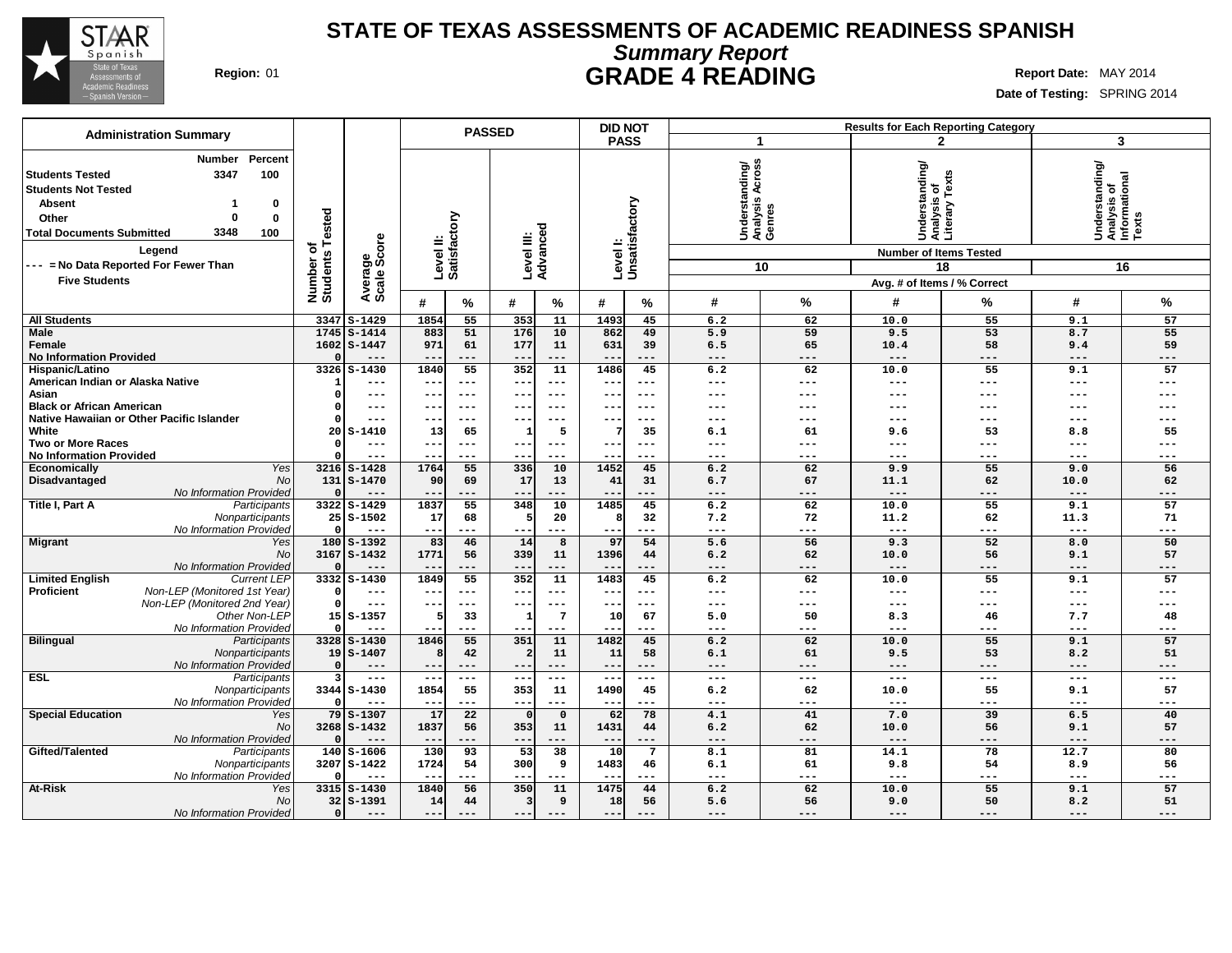

# **Summary Report STATE OF TEXAS ASSESSMENTS OF ACADEMIC READINESS SPANISH Region:** 01 **GRADE 4 READING Report** Date: MAY 2014

| <b>Administration Summary</b>                                                                                                                                         |                                                                       |                                             |                                      |                           |                 | <b>PASSED</b>          | <b>DID NOT</b><br>Results for Each Reporting Category |                            |                           |                                                       |                     |                                                                                  |                 |                                                            |                     |
|-----------------------------------------------------------------------------------------------------------------------------------------------------------------------|-----------------------------------------------------------------------|---------------------------------------------|--------------------------------------|---------------------------|-----------------|------------------------|-------------------------------------------------------|----------------------------|---------------------------|-------------------------------------------------------|---------------------|----------------------------------------------------------------------------------|-----------------|------------------------------------------------------------|---------------------|
|                                                                                                                                                                       |                                                                       |                                             |                                      |                           |                 |                        |                                                       | <b>PASS</b>                |                           | -1                                                    |                     |                                                                                  | $\mathbf{2}$    | 3                                                          |                     |
| <b>Students Tested</b><br><b>Students Not Tested</b><br><b>Absent</b><br>Other<br><b>Total Documents Submitted</b><br>Legend<br>--- = No Data Reported For Fewer Than | Percent<br>Number<br>3347<br>100<br>0<br>$\bf{0}$<br>0<br>3348<br>100 | <b>Tested</b><br>৳<br>Number of<br>Students | Average<br>Scale Score               | Level II:<br>Satisfactory |                 | Level III:<br>Advanced |                                                       |                            | Levell:<br>Unsatisfactory | Across<br>Understanding/<br>Analysis Across<br>Genres | 10                  | Understanding/<br>Analysis of<br>Literary Texts<br><b>Number of Items Tested</b> | 18              | Understanding/<br> Analysis of<br> Informational<br> Texts | 16                  |
| <b>Five Students</b>                                                                                                                                                  |                                                                       |                                             |                                      |                           |                 |                        |                                                       |                            |                           |                                                       |                     | Avg. # of Items / % Correct                                                      |                 |                                                            |                     |
|                                                                                                                                                                       |                                                                       |                                             |                                      | #                         | %               | #                      | $\%$                                                  | #                          | %                         | #                                                     | %                   | #                                                                                | %               | #                                                          | %                   |
| <b>All Students</b>                                                                                                                                                   |                                                                       | 3347                                        | $S-1429$                             | 1854                      | 55              | 353                    | 11                                                    | 1493                       | 45                        | 6.2                                                   | 62                  | 10.0                                                                             | 55              | 9.1                                                        | 57                  |
| Male<br>Female<br><b>No Information Provided</b>                                                                                                                      |                                                                       | 1745                                        | $S - 1414$<br>$1602$ S-1447<br>$---$ | 883<br>971<br>$-$         | 51<br>61<br>--- | 176<br>177<br>$- -$    | 10<br>11<br>$---$                                     | 862<br>631                 | 49<br>39<br>---           | 5.9<br>6.5<br>$---$                                   | 59<br>65<br>$---$   | 9.5<br>10.4<br>$---$                                                             | 53<br>58<br>--- | 8.7<br>9.4<br>$---$                                        | 55<br>59<br>$---$   |
| Hispanic/Latino                                                                                                                                                       |                                                                       | 3326                                        | $S - 1430$                           | 1840                      | 55              | 352                    | 11                                                    | 1486                       | 45                        | 6.2                                                   | 62                  | 10.0                                                                             | 55              | 9.1                                                        | 57                  |
| American Indian or Alaska Native<br>Asian                                                                                                                             |                                                                       |                                             | $---$<br>---                         | $- -$<br>$- -$            | ---<br>$---$    | $- -$<br>--            | $\qquad \qquad - -$<br>$---$                          | $\qquad \qquad -$<br>$- -$ | $---$<br>$--$             | $---$<br>---                                          | $---$<br>$---$      | $---$<br>---                                                                     | ---<br>---      | $\qquad \qquad - -$<br>---                                 | ---<br>---          |
| <b>Black or African American</b>                                                                                                                                      |                                                                       |                                             | ---                                  | $\overline{\phantom{m}}$  | ---             | --                     |                                                       |                            | $--$                      | ---                                                   | ---                 | ---                                                                              |                 |                                                            |                     |
| Native Hawaiian or Other Pacific Islander                                                                                                                             |                                                                       |                                             | ---                                  | $- -$                     | ---             | --                     | $- - -$                                               | --                         | ---                       | ---                                                   | $---$               | $---$                                                                            | ---             | $-- -$                                                     | ---                 |
| White                                                                                                                                                                 |                                                                       | 20                                          | $S-1410$                             | 13                        | 65              | ำ                      | 5                                                     | 7                          | 35                        | 6.1                                                   | 61                  | 9.6                                                                              | 53              | 8.8                                                        | 55                  |
| <b>Two or More Races</b>                                                                                                                                              |                                                                       |                                             | $---$                                | $- -$                     | $---$           | --                     | $---$                                                 | $--$                       | ---                       | $---$                                                 | $---$               | ---                                                                              | ---             | $---$                                                      | ---                 |
| <b>No Information Provided</b>                                                                                                                                        |                                                                       |                                             | ---<br>$3216$ S-1428                 | ---<br>1764               | ---<br>55       | --<br>336              | ---<br>10                                             | $\qquad \qquad -$<br>1452  | ---                       | $--$<br>6.2                                           | $--$<br>62          | $---$<br>9.9                                                                     | ---<br>55       | $--$<br>9.0                                                | ---<br>56           |
| Economically<br>Disadvantaged                                                                                                                                         | Yes<br>No                                                             | 131                                         | $S - 1470$                           | 90                        | 69              | 17                     | 13                                                    | 41                         | 45<br>31                  | 6.7                                                   | 67                  | 11.1                                                                             | 62              | 10.0                                                       | 62                  |
|                                                                                                                                                                       | No Information Provided                                               |                                             | ---                                  |                           | ---             | --                     |                                                       |                            | ---                       | $---$                                                 | $---$               | $---$                                                                            | ---             | $---$                                                      | ---                 |
| Title I, Part A                                                                                                                                                       | Participants                                                          |                                             | 3322 S-1429                          | 1837                      | 55              | 348                    | 10                                                    | 1485                       | 45                        | 6.2                                                   | 62                  | 10.0                                                                             | 55              | 9.1                                                        | 57                  |
|                                                                                                                                                                       | Nonparticipants                                                       |                                             | $25S - 1502$                         | 17                        | 68              | 5                      | 20                                                    | 8                          | 32                        | 7.2                                                   | 72                  | 11.2                                                                             | 62              | 11.3                                                       | 71                  |
|                                                                                                                                                                       | No Information Provided                                               |                                             | $---$                                | $- -$                     | ---             | $ -$                   | $\qquad \qquad - -$                                   |                            | ---                       | $---$                                                 | $---$               | $\qquad \qquad - -$                                                              | ---             | $\qquad \qquad - -$                                        | ---                 |
| <b>Migrant</b>                                                                                                                                                        | Yes                                                                   |                                             | $180$ S-1392                         | 83                        | 46              | 14                     | 8                                                     | 97                         | 54                        | 5.6                                                   | 56<br>62            | 9.3                                                                              | 52<br>56        | 8.0                                                        | 50<br>57            |
|                                                                                                                                                                       | <b>No</b><br>No Information Provided                                  |                                             | $3167$ S-1432<br>$---$               | 1771                      | 56<br>---       | 339<br>$- -$           | 11<br>$---$                                           | 1396                       | 44<br>---                 | 6.2<br>$---$                                          | $---$               | 10.0<br>$---$                                                                    | ---             | 9.1<br>$---$                                               | $---$               |
| <b>Limited English</b>                                                                                                                                                | <b>Current LEP</b>                                                    |                                             | 3332 S-1430                          | 1849                      | 55              | 352                    | $\overline{11}$                                       | 1483                       | 45                        | 6.2                                                   | 62                  | 10.0                                                                             | 55              | 9.1                                                        | 57                  |
| Proficient                                                                                                                                                            | Non-LEP (Monitored 1st Year)                                          |                                             | $---$                                | $- -$                     | ---             | --                     | $---$                                                 | $\qquad \qquad -$          | $--$                      | $---$                                                 | $\qquad \qquad - -$ | $\qquad \qquad - -$                                                              | ---             | $---$                                                      | $\qquad \qquad - -$ |
|                                                                                                                                                                       | Non-LEP (Monitored 2nd Year)                                          | $\Omega$                                    | $---$                                | $---$                     | $---$           | $- -$                  | $---$                                                 | $- -$                      | $---$                     | $- - -$                                               | $\frac{1}{2}$       | $\frac{1}{2}$                                                                    | ---             | $\frac{1}{2}$                                              | $---$               |
|                                                                                                                                                                       | Other Non-LEF                                                         |                                             | $15S - 1357$                         | 5                         | 33              |                        | $7\phantom{.0}$                                       | 10                         | 67                        | 5.0                                                   | 50                  | 8.3                                                                              | 46              | 7.7                                                        | 48                  |
|                                                                                                                                                                       | No Information Provideo                                               |                                             | $---$                                |                           | ---             | 351                    | $---$                                                 | $--$<br>1482               | ---                       | $---$                                                 | $--$                | $---$                                                                            | ---<br>55       | $---$                                                      | ---                 |
| <b>Bilingual</b>                                                                                                                                                      | Participants<br>Nonparticipants                                       |                                             | $3328$ $S-1430$<br>$19S - 1407$      | 1846<br>8                 | 55<br>42        |                        | 11<br>11                                              | 11                         | 45<br>58                  | 6.2<br>6.1                                            | 62<br>61            | 10.0<br>9.5                                                                      | 53              | 9.1<br>8.2                                                 | 57<br>51            |
|                                                                                                                                                                       | No Information Provideo                                               |                                             | $---$                                | $- -$                     | ---             | $- -$                  | $---$                                                 | $- -$                      | $---$                     | $---$                                                 | $---$               | $---$                                                                            | ---             | $---$                                                      | $---$               |
| <b>ESL</b>                                                                                                                                                            | Participants                                                          | ર                                           | $---$                                | $---$                     | $- - -$         | $- -$                  | $\frac{1}{2}$                                         | $---$                      | $---$                     | $---$                                                 | $\frac{1}{2}$       | $---$                                                                            | ---             | $\frac{1}{2}$                                              | $\cdots$            |
|                                                                                                                                                                       | Nonparticipants                                                       |                                             | 3344 S-1430                          | 1854                      | 55              | 353                    | 11                                                    | 1490                       | 45                        | 6.2                                                   | 62                  | 10.0                                                                             | 55              | 9.1                                                        | 57                  |
|                                                                                                                                                                       | No Information Provided                                               |                                             | $---$                                | $- -$                     | ---             | $\sim$ $\sim$          | $- - -$                                               | $- -$                      | ---                       | $- - -$                                               | $---$               | $\frac{1}{2}$                                                                    | ---             | $---$                                                      | $- - -$             |
| <b>Special Education</b>                                                                                                                                              | Yes                                                                   | 79                                          | $S - 1307$                           | 17                        | 22              | $\Omega$               | $\mathbf 0$                                           | 62                         | 78                        | 4.1                                                   | 41                  | 7.0                                                                              | 39              | 6.5                                                        | 40                  |
|                                                                                                                                                                       | <b>No</b>                                                             |                                             | 3268 S-1432                          | 1837                      | 56              | 353                    | 11<br>$- - -$                                         | 1431                       | 44                        | 6.2                                                   | 62                  | 10.0                                                                             | 56              | 9.1                                                        | 57                  |
| Gifted/Talented                                                                                                                                                       | No Information Provided<br>Participants                               | 140                                         | $---$<br>$S - 1606$                  | $-$<br>130                | ---<br>93       | $- -$<br>53            | 38                                                    | $- -$<br>10                | ---<br>$\overline{7}$     | $---$<br>8.1                                          | $---$<br>81         | $---$<br>14.1                                                                    | ---<br>78       | $\qquad \qquad - -$<br>12.7                                | $---$<br>80         |
|                                                                                                                                                                       | Nonparticipants                                                       |                                             | 3207 S-1422                          | 1724                      | 54              | 300                    | 9                                                     | 1483                       | 46                        | 6.1                                                   | 61                  | 9.8                                                                              | 54              | 8.9                                                        | 56                  |
|                                                                                                                                                                       | No Information Provided                                               |                                             | $---$                                |                           | ---             | $- -$                  | $---$                                                 | $- -$                      | ---                       | $---$                                                 | ---                 | $---$                                                                            | ---             | $\qquad \qquad - -$                                        | $---$               |
| At-Risk                                                                                                                                                               | Yes                                                                   |                                             | $3315$ $S-1430$                      | 1840                      | 56              | 350                    | 11                                                    | 1475                       | 44                        | 6.2                                                   | 62                  | 10.0                                                                             | 55              | 9.1                                                        | 57                  |
|                                                                                                                                                                       | No                                                                    |                                             | $32 S-1391$                          | 14                        | 44              | 3                      | 9                                                     | 18                         | 56                        | 5.6                                                   | 56                  | 9.0                                                                              | 50              | 8.2                                                        | 51                  |
|                                                                                                                                                                       | No Information Provided                                               |                                             | ---                                  | $---$                     |                 | $- -$                  | $---$                                                 | $- -$                      | ---                       | $---$                                                 | $---$               | $---$                                                                            | ---             | $---$                                                      | $---$               |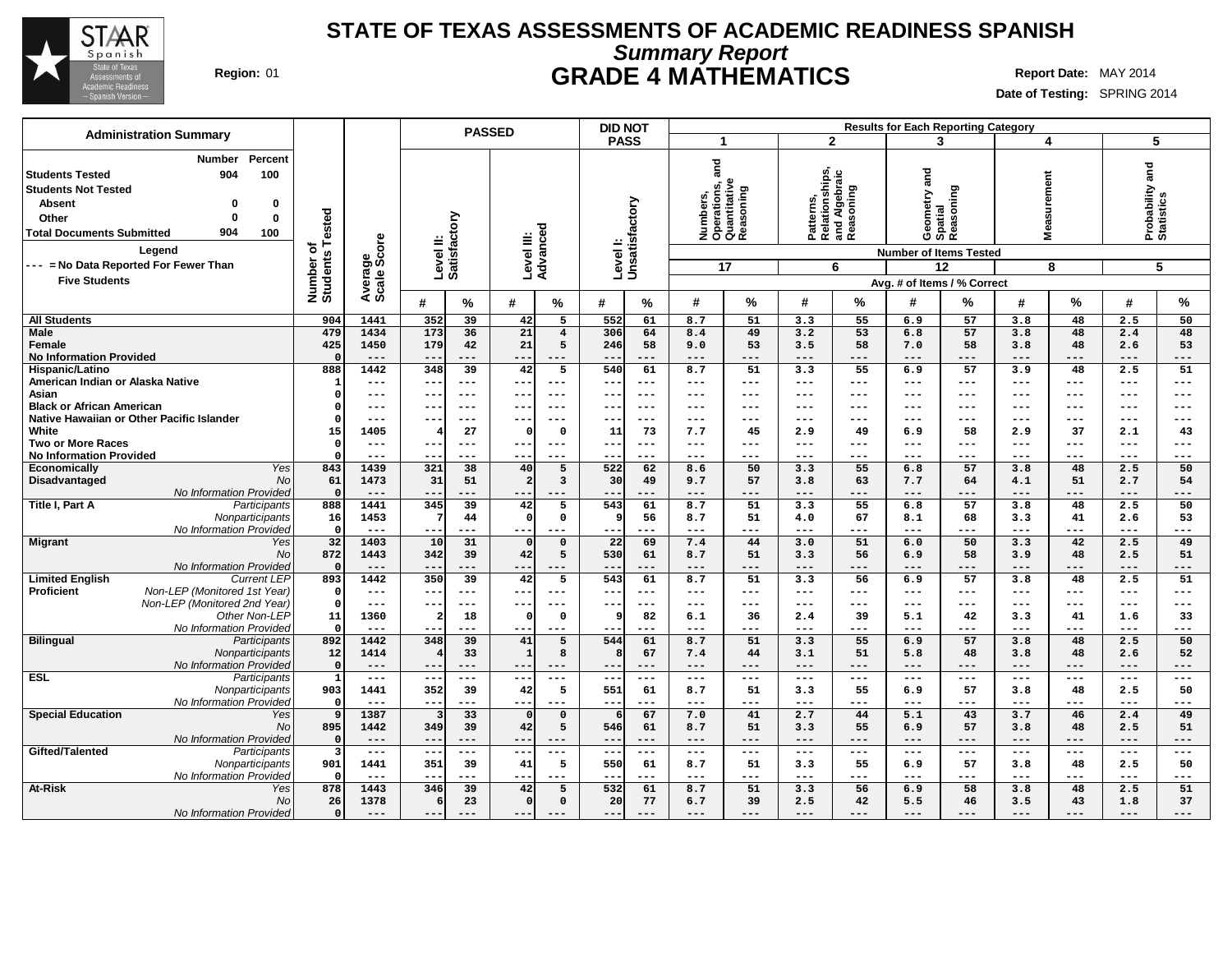

# **Summary Report STATE OF TEXAS ASSESSMENTS OF ACADEMIC READINESS SPANISH Region:** 01 **GRADE 4 MATHEMATICS Report Date:** MAY 2014

| <b>Administration Summary</b>                                                                                                                                                                                                                                   |                              |                        |                           | <b>PASSED</b> |                        |                         | <b>DID NOT</b>            |               |                                                                                                                                                                                                                                                                                                                                                                                              |             |               |                                                                |                     | <b>Results for Each Reporting Category</b>                                |              |                      |              |                                    |
|-----------------------------------------------------------------------------------------------------------------------------------------------------------------------------------------------------------------------------------------------------------------|------------------------------|------------------------|---------------------------|---------------|------------------------|-------------------------|---------------------------|---------------|----------------------------------------------------------------------------------------------------------------------------------------------------------------------------------------------------------------------------------------------------------------------------------------------------------------------------------------------------------------------------------------------|-------------|---------------|----------------------------------------------------------------|---------------------|---------------------------------------------------------------------------|--------------|----------------------|--------------|------------------------------------|
|                                                                                                                                                                                                                                                                 |                              |                        |                           |               |                        |                         | <b>PASS</b>               |               | -1                                                                                                                                                                                                                                                                                                                                                                                           |             |               | $\overline{2}$                                                 |                     | 3                                                                         |              | 4                    |              | 5                                  |
| Percent<br><b>Number</b><br>904<br>100<br>Students Tested<br><b>Students Not Tested</b><br><b>Absent</b><br>$\Omega$<br>0<br>$\Omega$<br>$\bf{0}$<br>Other<br>904<br><b>Total Documents Submitted</b><br>100<br>Legend<br>--- = No Data Reported For Fewer Than | Number of<br>Students Tested | Average<br>Scale Score | Level II:<br>Satisfactory |               | Level III:<br>Advancec | ъ                       | Levell:<br>Unsatisfactory |               | and<br>Numbers,<br>Operations, a<br>Quantitative<br>Reasoning                                                                                                                                                                                                                                                                                                                                | oning<br>17 |               | Patterns,<br>Relationships,<br>and Algebraic<br>Reasoning<br>6 | and                 | Geometry a<br>Spatial<br>Reasoning<br><b>Number of Items Tested</b><br>12 |              | surement<br>Mea<br>8 |              | Probability and<br>Statistics<br>5 |
| <b>Five Students</b>                                                                                                                                                                                                                                            |                              |                        |                           |               |                        |                         |                           |               |                                                                                                                                                                                                                                                                                                                                                                                              |             |               |                                                                |                     |                                                                           |              |                      |              |                                    |
|                                                                                                                                                                                                                                                                 |                              |                        |                           |               |                        |                         |                           |               |                                                                                                                                                                                                                                                                                                                                                                                              |             |               |                                                                |                     | Avg. # of Items / % Correct                                               |              |                      |              |                                    |
|                                                                                                                                                                                                                                                                 |                              |                        | #                         | $\%$          | #                      | %                       | #                         | ℅             | #                                                                                                                                                                                                                                                                                                                                                                                            | %           | #             | %                                                              | #                   | ℅                                                                         | #            | $\%$                 | #            | $\%$                               |
| <b>All Students</b>                                                                                                                                                                                                                                             | 904                          | 1441                   | 352                       | 39            | 42                     | 5                       | 552                       | 61            | 8.7                                                                                                                                                                                                                                                                                                                                                                                          | 51          | 3.3           | 55                                                             | 6.9                 | 57                                                                        | 3.8          | 48                   | 2.5          | 50                                 |
| <b>Male</b>                                                                                                                                                                                                                                                     | 479                          | 1434                   | 173                       | 36            | 21                     | $\overline{4}$          | 306                       | 64            | 8.4                                                                                                                                                                                                                                                                                                                                                                                          | 49          | 3.2           | 53                                                             | 6.8                 | 57                                                                        | 3.8          | 48                   | 2.4          | 48                                 |
| Female                                                                                                                                                                                                                                                          | 425                          | 1450                   | 179                       | 42            | 21                     | 5                       | 246                       | 58            | 9.0                                                                                                                                                                                                                                                                                                                                                                                          | 53          | 3.5           | 58                                                             | 7.0                 | 58                                                                        | 3.8          | 48                   | 2.6          | 53                                 |
| <b>No Information Provided</b>                                                                                                                                                                                                                                  | $\Omega$                     | $---$                  | $---$                     | $---$         | $--$                   | ---                     | $- -$                     | $---$         | $\qquad \qquad - -$                                                                                                                                                                                                                                                                                                                                                                          | ---         | $--$          | ---                                                            | $\qquad \qquad - -$ | ---                                                                       | $---$        | $---$                | $---$        | ---                                |
| Hispanic/Latino<br>American Indian or Alaska Native                                                                                                                                                                                                             | 888<br>$\mathbf{1}$          | 1442<br>---            | 348<br>---                | 39<br>$---$   | 42<br>$---$            | 5<br>$---$              | 540<br>$--$               | 61<br>$--$    | 8.7<br>$\qquad \qquad - -$                                                                                                                                                                                                                                                                                                                                                                   | 51<br>---   | 3.3<br>$--$   | 55<br>---                                                      | 6.9<br>$---$        | 57<br>---                                                                 | 3.9<br>$---$ | 48<br>$---$          | 2.5<br>---   | 51<br>$---$                        |
| Asian                                                                                                                                                                                                                                                           | $\mathbf 0$                  | $---$                  | $- -$                     | $---$         | $- -$                  | $--$                    | $- -$                     | $--$          | $---$                                                                                                                                                                                                                                                                                                                                                                                        | ---         | $---$         | $---$                                                          | $---$               | $--$                                                                      | $---$        | $---$                | ---          | $---$                              |
| <b>Black or African American</b>                                                                                                                                                                                                                                | $\Omega$                     | $---$                  | $- -$                     | $---$         | $- -$                  | $---$                   | $- -$                     | $---$         | $- - -$                                                                                                                                                                                                                                                                                                                                                                                      | ---         | $---$         | ---                                                            | $- - -$             | $- - -$                                                                   | $---$        | $---$                | ---          | $---$                              |
| Native Hawaiian or Other Pacific Islander                                                                                                                                                                                                                       | $\Omega$                     | ---                    | ---                       | $---$         | --                     | $---$                   | ---                       | ---           | $\qquad \qquad - -$                                                                                                                                                                                                                                                                                                                                                                          | ---         | $---$         | ---                                                            | $---$               | ---                                                                       | ---          | ---                  | ---          | ---                                |
| White                                                                                                                                                                                                                                                           | 15                           | 1405                   | 4                         | 27            | $\Omega$               | $\mathbf 0$             | 11                        | 73            | 7.7                                                                                                                                                                                                                                                                                                                                                                                          | 45          | 2.9           | 49                                                             | 6.9                 | 58                                                                        | 2.9          | 37                   | 2.1          | 43                                 |
| <b>Two or More Races</b>                                                                                                                                                                                                                                        | $\Omega$                     | $---$                  | $--$                      | $---$         | ---                    | $---$                   | $--$                      | $--$          | $- - -$                                                                                                                                                                                                                                                                                                                                                                                      | ---         | $---$         | $---$                                                          | $\qquad \qquad - -$ | ---                                                                       | $---$        | $\qquad \qquad - -$  | ---          | $---$                              |
| <b>No Information Provided</b>                                                                                                                                                                                                                                  | $\Omega$                     | $---$                  | $- -$                     | $- - -$       | $- -$                  | $---$                   | $- -$                     | $---$         | $- - -$                                                                                                                                                                                                                                                                                                                                                                                      | ---         | $---$         | ---                                                            | $- - -$             | $---$                                                                     | $---$        | $---$                | ---          | $---$                              |
| Yes<br><b>Economically</b>                                                                                                                                                                                                                                      | 843                          | 1439                   | 321                       | 38            | 40                     | 5                       | 522                       | 62            | 8.6                                                                                                                                                                                                                                                                                                                                                                                          | 50          | 3.3           | 55                                                             | 6.8                 | 57                                                                        | 3.8          | 48                   | 2.5          | 50                                 |
| Disadvantaged<br><b>No</b>                                                                                                                                                                                                                                      | 61                           | 1473                   | 31                        | 51            | $\overline{2}$         | $\overline{\mathbf{3}}$ | 30                        | 49            | 9.7                                                                                                                                                                                                                                                                                                                                                                                          | 57          | 3.8           | 63                                                             | 7.7                 | 64                                                                        | 4.1          | 51                   | 2.7          | 54                                 |
| No Information Provided                                                                                                                                                                                                                                         | $\Omega$                     | $- - -$                | $- - -$                   | $- - -$       | $- - -$                | $- - -$                 | --                        | $- - -$       | $- - -$                                                                                                                                                                                                                                                                                                                                                                                      | ---         | $- - -$       | ---                                                            | $- - -$             | ---                                                                       | $- - -$      | $- - -$              | $- - -$      | $---$                              |
| Title I, Part A<br>Participants                                                                                                                                                                                                                                 | 888                          | 1441                   | 345                       | 39            | 42                     | 5                       | 543                       | 61            | 8.7                                                                                                                                                                                                                                                                                                                                                                                          | 51          | 3.3           | 55                                                             | 6.8                 | 57                                                                        | 3.8          | 48                   | 2.5          | 50                                 |
| Nonparticipants                                                                                                                                                                                                                                                 | 16                           | 1453                   | 7                         | 44            | $\Omega$               | $\mathbf 0$             | ٩                         | 56            | 8.7                                                                                                                                                                                                                                                                                                                                                                                          | 51          | 4.0           | 67                                                             | 8.1                 | 68                                                                        | 3.3          | 41                   | 2.6          | 53                                 |
| No Information Provided<br>Yes                                                                                                                                                                                                                                  | $\Omega$<br>32               | $- - -$<br>1403        | $- -$<br>10               | $---$<br>31   | $- -$<br>$\Omega$      | ---<br>$\mathbf 0$      | $- -$<br>22               | $---$<br>69   | $---$<br>7.4                                                                                                                                                                                                                                                                                                                                                                                 | ---<br>44   | $---$<br>3.0  | ---<br>51                                                      | $---$<br>6.0        | ---<br>50                                                                 | $---$<br>3.3 | ---<br>42            | $---$<br>2.5 | ---<br>49                          |
| <b>Migrant</b><br><b>No</b>                                                                                                                                                                                                                                     | 872                          | 1443                   | 342                       | 39            | 42                     | 5                       | 530                       | 61            | 8.7                                                                                                                                                                                                                                                                                                                                                                                          | 51          | 3.3           | 56                                                             | 6.9                 | 58                                                                        | 3.9          | 48                   | 2.5          | 51                                 |
| No Information Provided                                                                                                                                                                                                                                         | $\Omega$                     | $---$                  | $- -$                     | ---           | $- -$                  | ---                     | $ -$                      | $---$         | $---$                                                                                                                                                                                                                                                                                                                                                                                        | ---         | $---$         | ---                                                            | $---$               | ---                                                                       | $---$        | $---$                | $---$        | ---                                |
| <b>Limited English</b><br><b>Current LEP</b>                                                                                                                                                                                                                    | 893                          | 1442                   | 350                       | 39            | 42                     | 5                       | 543                       | 61            | 8.7                                                                                                                                                                                                                                                                                                                                                                                          | 51          | 3.3           | 56                                                             | 6.9                 | 57                                                                        | 3.8          | 48                   | 2.5          | $\overline{51}$                    |
| Non-LEP (Monitored 1st Year)<br><b>Proficient</b>                                                                                                                                                                                                               | $\mathbf 0$                  | $---$                  | $---$                     | $---$         | $---$                  | $---$                   | $---$                     | $---$         | $\frac{1}{2} \frac{1}{2} \frac{1}{2} \frac{1}{2} \frac{1}{2} \frac{1}{2} \frac{1}{2} \frac{1}{2} \frac{1}{2} \frac{1}{2} \frac{1}{2} \frac{1}{2} \frac{1}{2} \frac{1}{2} \frac{1}{2} \frac{1}{2} \frac{1}{2} \frac{1}{2} \frac{1}{2} \frac{1}{2} \frac{1}{2} \frac{1}{2} \frac{1}{2} \frac{1}{2} \frac{1}{2} \frac{1}{2} \frac{1}{2} \frac{1}{2} \frac{1}{2} \frac{1}{2} \frac{1}{2} \frac{$ | ---         | $- -$         | ---                                                            | $\qquad \qquad - -$ | $---$                                                                     | $---$        | $\qquad \qquad - -$  | $---$        | $\qquad \qquad - -$                |
| Non-LEP (Monitored 2nd Year)                                                                                                                                                                                                                                    | $\mathbf 0$                  | $---$                  | --                        | $--$          | $- -$                  | ---                     | --                        | ---           | $---$                                                                                                                                                                                                                                                                                                                                                                                        | ---         | $---$         | ---                                                            | $- - -$             | $---$                                                                     | $---$        | $---$                | $---$        | $---$                              |
| Other Non-LEP                                                                                                                                                                                                                                                   | 11                           | 1360                   | $\overline{a}$            | 18            | $\Omega$               | $\mathbf 0$             | 9                         | 82            | 6.1                                                                                                                                                                                                                                                                                                                                                                                          | 36          | 2.4           | 39                                                             | 5.1                 | 42                                                                        | 3.3          | 41                   | 1.6          | 33                                 |
| No Information Provided                                                                                                                                                                                                                                         | $\mathbf 0$                  | $---$                  | $- -$                     | $---$         |                        | ---                     | --                        | ---           | $---$                                                                                                                                                                                                                                                                                                                                                                                        | ---         | $---$         | ---                                                            | $---$               | ---                                                                       | $---$        | ---                  | ---          | $---$                              |
| <b>Bilingual</b><br>Participants                                                                                                                                                                                                                                | 892                          | 1442                   | 348                       | 39            | 41                     | 5                       | 544                       | 61            | 8.7                                                                                                                                                                                                                                                                                                                                                                                          | 51          | 3.3           | 55                                                             | 6.9                 | 57                                                                        | 3.8          | 48                   | 2.5          | 50                                 |
| Nonparticipants                                                                                                                                                                                                                                                 | 12                           | 1414                   | 4                         | 33            | $\mathbf{1}$           | 8                       |                           | 67            | 7.4                                                                                                                                                                                                                                                                                                                                                                                          | 44          | 3.1           | 51                                                             | 5.8                 | 48                                                                        | 3.8          | 48                   | 2.6          | 52                                 |
| No Information Provided                                                                                                                                                                                                                                         | $\mathbf 0$                  | $---$                  | $--$                      | $---$         | $- - -$                | $---$                   | $- -$                     | $---$         | $---$                                                                                                                                                                                                                                                                                                                                                                                        | ---         | $---$         | ---                                                            | $---$               | ---                                                                       | $---$        | $---$                | $---$        | $---$                              |
| <b>ESL</b><br>Participants                                                                                                                                                                                                                                      | $\mathbf{1}$                 | $---$<br>1441          | $--$                      | $---$         | $--$<br>42             | ---<br>5                | $--$<br>551               | $--$<br>61    | $\qquad \qquad - -$                                                                                                                                                                                                                                                                                                                                                                          | $---$       | $--$          | $---$<br>55                                                    | $---$<br>6.9        | $---$<br>57                                                               | $---$        | $---$<br>48          | ---          | $---$<br>50                        |
| Nonparticipants<br>No Information Provided                                                                                                                                                                                                                      | 903<br>$\Omega$              | $- - -$                | 352<br>$- -$              | 39<br>$- - -$ | $- - -$                | ---                     | $- -$                     | $---$         | 8.7<br>$---$                                                                                                                                                                                                                                                                                                                                                                                 | 51<br>---   | 3.3<br>$---$  | ---                                                            | $---$               | ---                                                                       | 3.8<br>$---$ | $---$                | 2.5<br>$---$ | $---$                              |
| <b>Special Education</b><br>Yes                                                                                                                                                                                                                                 | 9                            | 1387                   | $\overline{\mathbf{3}}$   | 33            | $\Omega$               | $\mathbf 0$             |                           | 67            | 7.0                                                                                                                                                                                                                                                                                                                                                                                          | 41          | 2.7           | 44                                                             | 5.1                 | 43                                                                        | 3.7          | 46                   | 2.4          | 49                                 |
| <b>No</b>                                                                                                                                                                                                                                                       | 895                          | 1442                   | 349                       | 39            | 42                     | 5                       | 546                       | 61            | 8.7                                                                                                                                                                                                                                                                                                                                                                                          | 51          | 3.3           | 55                                                             | 6.9                 | 57                                                                        | 3.8          | 48                   | 2.5          | 51                                 |
| No Information Provided                                                                                                                                                                                                                                         | $\mathbf{o}$                 | $---$                  | $\qquad \qquad -$         | $---$         | $- -$                  | ---                     | $ -$                      | $---$         | $---$                                                                                                                                                                                                                                                                                                                                                                                        | ---         | $---$         | ---                                                            | $---$               | $---$                                                                     | $---$        | $---$                | $---$        | $---$                              |
| Gifted/Talented<br>Participants                                                                                                                                                                                                                                 | $\overline{\mathbf{3}}$      | $\frac{1}{2}$          | $---$                     | $\frac{1}{2}$ | $---$                  | $---$                   | $---$                     | $\frac{1}{2}$ | $\qquad \qquad - -$                                                                                                                                                                                                                                                                                                                                                                          | $---$       | $\frac{1}{2}$ | $---$                                                          | $\frac{1}{2}$       | $\frac{1}{2}$                                                             | $---$        | $\frac{1}{2}$        | $---$        | $\frac{1}{2}$                      |
| Nonparticipants                                                                                                                                                                                                                                                 | 901                          | 1441                   | 351                       | 39            | 41                     | 5                       | 550                       | 61            | 8.7                                                                                                                                                                                                                                                                                                                                                                                          | 51          | 3.3           | 55                                                             | 6.9                 | 57                                                                        | 3.8          | 48                   | 2.5          | 50                                 |
| No Information Provided                                                                                                                                                                                                                                         | $\mathbf{o}$                 | $---$                  |                           | $---$         |                        |                         | $ -$                      | $--$          | $--$                                                                                                                                                                                                                                                                                                                                                                                         | ---         | $---$         | ---                                                            | $--$                | ---                                                                       | $---$        | ---                  | ---          | ---                                |
| <b>At-Risk</b><br>Yes                                                                                                                                                                                                                                           | 878                          | 1443                   | 346                       | 39            | 42                     | 5                       | 532                       | 61            | 8.7                                                                                                                                                                                                                                                                                                                                                                                          | 51          | 3.3           | 56                                                             | 6.9                 | 58                                                                        | 3.8          | 48                   | 2.5          | 51                                 |
| No                                                                                                                                                                                                                                                              | 26                           | 1378                   | 6                         | 23            | $\mathbf 0$            | $\mathbf 0$             | 20                        | 77            | 6.7                                                                                                                                                                                                                                                                                                                                                                                          | 39          | 2.5           | 42                                                             | 5.5                 | 46                                                                        | 3.5          | 43                   | 1.8          | 37                                 |
| No Information Provided                                                                                                                                                                                                                                         | $\mathbf{o}$                 |                        | $---$                     |               | $--$                   |                         | --                        |               | $---$                                                                                                                                                                                                                                                                                                                                                                                        | ---         | $---$         |                                                                | $---$               | ---                                                                       | $---$        | $---$                | ---          | ---                                |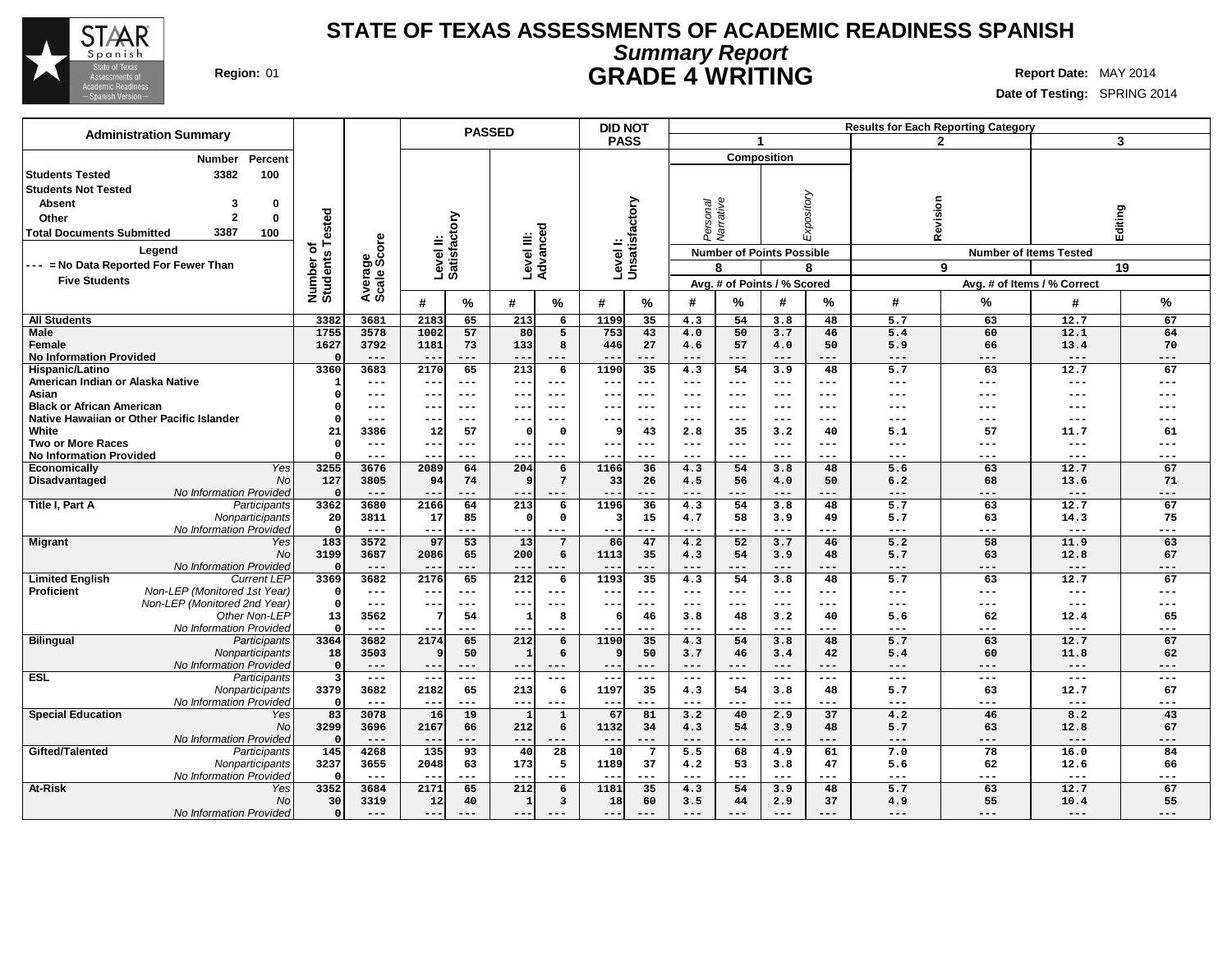

# **Summary Report STATE OF TEXAS ASSESSMENTS OF ACADEMIC READINESS SPANISH Region:** 01 **GRADE 4 WRITING Report Date:** MAY 2014

|                                                                                                       |                              |                             |                           | <b>PASSED</b>       |                          |                        | <b>DID NOT</b>           |                           |                            |                |                                  |                   |              | <b>Results for Each Reporting Category</b> |                               |                           |
|-------------------------------------------------------------------------------------------------------|------------------------------|-----------------------------|---------------------------|---------------------|--------------------------|------------------------|--------------------------|---------------------------|----------------------------|----------------|----------------------------------|-------------------|--------------|--------------------------------------------|-------------------------------|---------------------------|
| <b>Administration Summary</b>                                                                         |                              |                             |                           |                     |                          |                        | <b>PASS</b>              |                           |                            | $\overline{1}$ |                                  |                   |              | $\overline{2}$                             |                               | 3                         |
| Percent<br><b>Number</b>                                                                              |                              |                             |                           |                     |                          |                        |                          |                           |                            |                | <b>Composition</b>               |                   |              |                                            |                               |                           |
| 3382<br><b>Students Tested</b><br>100<br><b>Students Not Tested</b><br>3<br><b>Absent</b><br>$\bf{0}$ |                              |                             |                           |                     |                          |                        |                          | Levell:<br>Unsatisfactory |                            |                |                                  | Expository        |              |                                            |                               |                           |
| $\overline{2}$<br>$\bf{0}$<br>Other                                                                   |                              |                             |                           |                     |                          |                        |                          |                           |                            |                |                                  |                   |              |                                            |                               |                           |
| 3387<br><b>Total Documents Submitted</b><br>100                                                       | Number of<br>Students Tested |                             | Level II:<br>Satisfactory |                     |                          | Level III:<br>Advanced |                          |                           | Personal<br>Narrative      |                |                                  |                   | Revision     |                                            | Editing                       |                           |
| Legend                                                                                                |                              | Average<br>Scale Score      |                           |                     |                          |                        |                          |                           |                            |                | <b>Number of Points Possible</b> |                   |              |                                            | <b>Number of Items Tested</b> |                           |
| --- = No Data Reported For Fewer Than                                                                 |                              |                             |                           |                     |                          |                        |                          |                           |                            | 8              |                                  | 8                 |              | 9                                          |                               | 19                        |
| <b>Five Students</b>                                                                                  |                              |                             |                           |                     |                          |                        |                          |                           |                            |                | Avg. # of Points / % Scored      |                   |              |                                            | Avg. # of Items / % Correct   |                           |
|                                                                                                       |                              |                             | #                         | $\frac{9}{6}$       | #                        | %                      | #                        | %                         | #                          | %              | #                                | $\%$              | #            | %                                          | #                             | %                         |
| <b>All Students</b>                                                                                   | 3382                         | 3681                        | 2183                      | 65                  | 213                      | 6                      | 1199                     | 35                        | 4.3                        | 54             | 3.8                              | 48                | 5.7          | 63                                         | 12.7                          | 67                        |
| <b>Male</b>                                                                                           | 1755                         | 3578                        | 1002                      | 57                  | 80                       | 5                      | 753                      | 43                        | 4.0                        | 50             | 3.7                              | 46                | 5.4          | 60                                         | 12.1                          | 64                        |
| Female<br><b>No Information Provided</b>                                                              | 1627                         | 3792<br>$---$               | 1181<br>$-\,-$            | 73<br>$---$         | 133<br>$---$             | 8<br>$---$             | 446                      | 27<br>---                 | 4.6<br>$---$               | 57<br>---      | 4.0<br>$---$                     | 50<br>$---$       | 5.9<br>$---$ | 66<br>---                                  | 13.4<br>$---$                 | 70<br>---                 |
| Hispanic/Latino                                                                                       | 3360                         | 3683                        | 2170                      | 65                  | $\overline{213}$         | 6                      | 1190                     | 35                        | 4.3                        | 54             | 3.9                              | 48                | 5.7          | 63                                         | 12.7                          | 67                        |
| American Indian or Alaska Native                                                                      | -1                           | $---$                       | $- -$                     | $---$               | $--$                     | $---$                  | $- -$                    | $---$                     | $---$                      | $---$          | ---                              | $---$             | $---$        | ---                                        | $---$                         | $---$                     |
| Asian                                                                                                 |                              | $---$                       | --                        | $---$               | $\qquad \qquad -$        | $---$                  | ---                      | $---$                     | $---$                      | $---$          | ---                              | $---$             | ---          | ---                                        | ---                           | ---                       |
| <b>Black or African American</b>                                                                      |                              | $---$                       | --                        | $---$               | $- -$                    | $- - -$                | $- -$                    | $--$                      | $---$                      | $---$          | ---                              | $--$              | ---          | ---                                        |                               | ---                       |
| Native Hawaiian or Other Pacific Islander                                                             | O                            | $---$                       | --                        | $---$               | $--$                     | $--$                   | $- -$                    | $---$                     | $---$                      | $---$          | ---                              | $- - -$           | $---$        | ---                                        | ---                           | ---                       |
| White                                                                                                 | 21                           | 3386                        | 12                        | 57                  | റ                        | 0                      | 9                        | 43                        | 2.8                        | 35             | 3.2                              | 40                | 5.1          | 57                                         | 11.7                          | 61                        |
| <b>Two or More Races</b>                                                                              | $\Omega$                     | $---$                       | --                        | $---$               | $--$                     | $---$                  | $- -$                    | $---$                     | $---$                      | $---$          | ---                              | $- - -$           | $---$        | ---                                        | $\qquad \qquad - -$           | ---                       |
| <b>No Information Provided</b>                                                                        |                              | $\qquad \qquad - -$         |                           | $---$               | $- -$                    | ---                    |                          | $---$                     | $\qquad \qquad - -$        | ---            | $---$                            |                   | ---          | ---                                        | $---$                         | ---                       |
| <b>Economically</b><br>Yes                                                                            | 3255                         | 3676                        | 2089                      | 64                  | 204                      | 6                      | 1166                     | 36                        | 4.3                        | 54             | 3.8                              | 48                | 5.6          | 63                                         | 12.7                          | 67                        |
| <b>Disadvantaged</b><br><b>No</b>                                                                     | 127                          | 3805                        | 94                        | 74                  | $\vert \mathbf{q} \vert$ | $7\overline{ }$        | 33                       | 26                        | 4.5                        | 56             | 4.0                              | 50                | 6.2          | 68                                         | 13.6                          | 71                        |
| No Information Provided                                                                               | $\Omega$                     | $---$                       | --                        | ---                 | $- -$                    | ---                    |                          |                           | $---$                      | ---            | $---$                            |                   | $---$        | ---                                        | $---$                         | $---$                     |
| Title I, Part A<br>Participants                                                                       | 3362                         | 3680                        | 2166                      | 64                  | 213                      | 6                      | 1196                     | 36                        | 4.3                        | 54             | 3.8                              | 48                | 5.7          | 63                                         | 12.7                          | 67                        |
| Nonparticipants<br>No Information Provided                                                            | 20<br>$\mathsf{C}$           | 3811<br>$---$               | 17<br>--                  | 85<br>---           | $\Omega$<br>$---$        | $\mathbf 0$<br>$---$   | 3<br>$- -$               | 15<br>---                 | 4.7<br>$---$               | 58<br>---      | 3.9<br>$---$                     | 49<br>---         | 5.7<br>$---$ | 63<br>---                                  | 14.3<br>$---$                 | 75<br>---                 |
| Migrant<br>Yes                                                                                        | 183                          | 3572                        | 97                        | 53                  | 13                       | $\overline{7}$         | 86                       | 47                        | 4.2                        | 52             | 3.7                              | 46                | 5.2          | 58                                         | 11.9                          | 63                        |
| No                                                                                                    | 3199                         | 3687                        | 2086                      | 65                  | 200                      | 6                      | 1113                     | 35                        | 4.3                        | 54             | 3.9                              | 48                | 5.7          | 63                                         | 12.8                          | 67                        |
| No Information Provided                                                                               | $\Omega$                     | $- - -$                     |                           | $- - -$             | $- -$                    | ---                    |                          | ---                       | $- - -$                    | ---            | $- - -$                          | $- - -$           | $- - -$      | ---                                        | $- - -$                       | ---                       |
| <b>Limited English</b><br><b>Current LEP</b>                                                          | 3369                         | 3682                        | 2176                      | 65                  | 212                      | 6                      | 1193                     | 35                        | 4.3                        | 54             | 3.8                              | 48                | 5.7          | 63                                         | 12.7                          | 67                        |
| Non-LEP (Monitored 1st Year)<br>Proficient                                                            | $\Omega$                     | $\qquad \qquad - -$         | $--$                      | $---$               | $- -$                    | $---$                  | $- -$                    | $- - -$                   | $---$                      | $---$          | $---$                            | $- - -$           | $---$        | ---                                        | $---$                         | $---$                     |
| Non-LEP (Monitored 2nd Year)<br>Other Non-LEP                                                         | $\Omega$                     | $\qquad \qquad - -$         | ---                       | $---$               | ---                      | $---$                  | $- -$                    | $---$                     | $\qquad \qquad - -$        | $---$          | $---$                            | $\qquad \qquad -$ | $---$        | ---                                        | $---$                         | $---$                     |
| No Information Provided                                                                               | 13                           | 3562<br>$\qquad \qquad - -$ | 7<br>$--$                 | 54<br>$---$         | $--$                     | 8<br>$---$             | 6<br>$- -$               | 46<br>$\qquad \qquad - -$ | 3.8<br>$\qquad \qquad - -$ | 48<br>---      | 3.2<br>$---$                     | 40<br>$---$       | 5.6<br>$---$ | 62<br>---                                  | 12.4<br>$\qquad \qquad - -$   | 65<br>$\qquad \qquad - -$ |
| <b>Bilingual</b><br>Participants                                                                      | 3364                         | 3682                        | 2174                      | 65                  | 212                      | 6                      | 1190                     | 35                        | 4.3                        | 54             | 3.8                              | 48                | 5.7          | 63                                         | 12.7                          | 67                        |
| Nonparticipants                                                                                       | 18                           | 3503                        | 9                         | 50                  | 1                        | 6                      | 9                        | 50                        | 3.7                        | 46             | 3.4                              | 42                | 5.4          | 60                                         | 11.8                          | 62                        |
| No Information Provided                                                                               | $\Omega$                     | $---$                       | $--$                      | $---$               | $--$                     | $---$                  | $\qquad \qquad -$        | $\qquad \qquad - -$       | $---$                      | $---$          | $---$                            | $---$             | $---$        | ---                                        | $---$                         | ---                       |
| <b>ESL</b><br>Participants                                                                            |                              | $\qquad \qquad - -$         | $-\,-$                    | $\qquad \qquad - -$ | $\sim$ $\sim$            | $---$                  | $\overline{\phantom{m}}$ | $---$                     | $---$                      | ---            | ---                              | $---$             | $---$        | $---$                                      | $---$                         | $---$                     |
| Nonparticipants                                                                                       | 3379                         | 3682                        | 2182                      | 65                  | 213                      | 6                      | 1197                     | 35                        | 4.3                        | 54             | 3.8                              | 48                | 5.7          | 63                                         | 12.7                          | 67                        |
| No Information Provided                                                                               |                              | $\qquad \qquad - -$         | --                        | ---                 | $---$                    | ---                    | $\overline{\phantom{m}}$ | ---                       | $---$                      | ---            | $---$                            | $--$              | $---$        | ---                                        | $---$                         | ---                       |
| <b>Special Education</b><br>Yes                                                                       | 83                           | 3078                        | 16                        | 19                  | $\mathbf{1}$             | $\mathbf 1$            | 67                       | 81                        | 3.2                        | 40             | 2.9                              | 37                | 4.2          | 46                                         | 8.2                           | 43                        |
| No                                                                                                    | 3299                         | 3696                        | 2167                      | 66                  | 212                      | 6                      | 1132                     | 34                        | 4.3                        | 54             | 3.9                              | 48                | 5.7          | 63                                         | 12.8                          | 67                        |
| No Information Provided                                                                               | $\Omega$                     | $---$                       | $--$                      | ---                 | $--$                     | ---                    | $--$                     | ---                       | $---$                      | ---            | ---                              | $---$             | $---$        | ---                                        | $---$                         | ---                       |
| Gifted/Talented<br>Participants                                                                       | 145                          | 4268                        | 135                       | 93                  | 40                       | 28                     | 10                       | $7\phantom{.0}$           | 5.5                        | 68             | 4.9                              | 61                | 7.0          | 78                                         | 16.0                          | 84                        |
| Nonparticipants<br>No Information Provided                                                            | 3237<br>- 0                  | 3655<br>$---$               | 2048<br>$- -$             | 63<br>$---$         | 173<br>$- -$             | 5<br>---               | 1189                     | 37<br>---                 | 4.2<br>$---$               | 53<br>---      | 3.8<br>$---$                     | 47<br>$---$       | 5.6<br>$---$ | 62<br>---                                  | 12.6<br>$---$                 | 66<br>---                 |
| At-Risk<br>Yes                                                                                        | 3352                         | 3684                        | 2171                      | 65                  | 212                      | 6                      | 1181                     | 35                        | 4.3                        | 54             | 3.9                              | 48                | 5.7          | 63                                         | 12.7                          | 67                        |
| No                                                                                                    | 30                           | 3319                        | 12                        | 40                  | 1                        | 3                      | 18                       | 60                        | 3.5                        | 44             | 2.9                              | 37                | 4.9          | 55                                         | 10.4                          | 55                        |
| No Information Provided                                                                               | $\mathbf 0$                  | $---$                       | ---                       | $- - -$             | $- - -$                  | $---$                  | $- -$                    | $- - -$                   | $---$                      | $---$          | $---$                            | $---$             | $---$        | ---                                        | $---$                         | ---                       |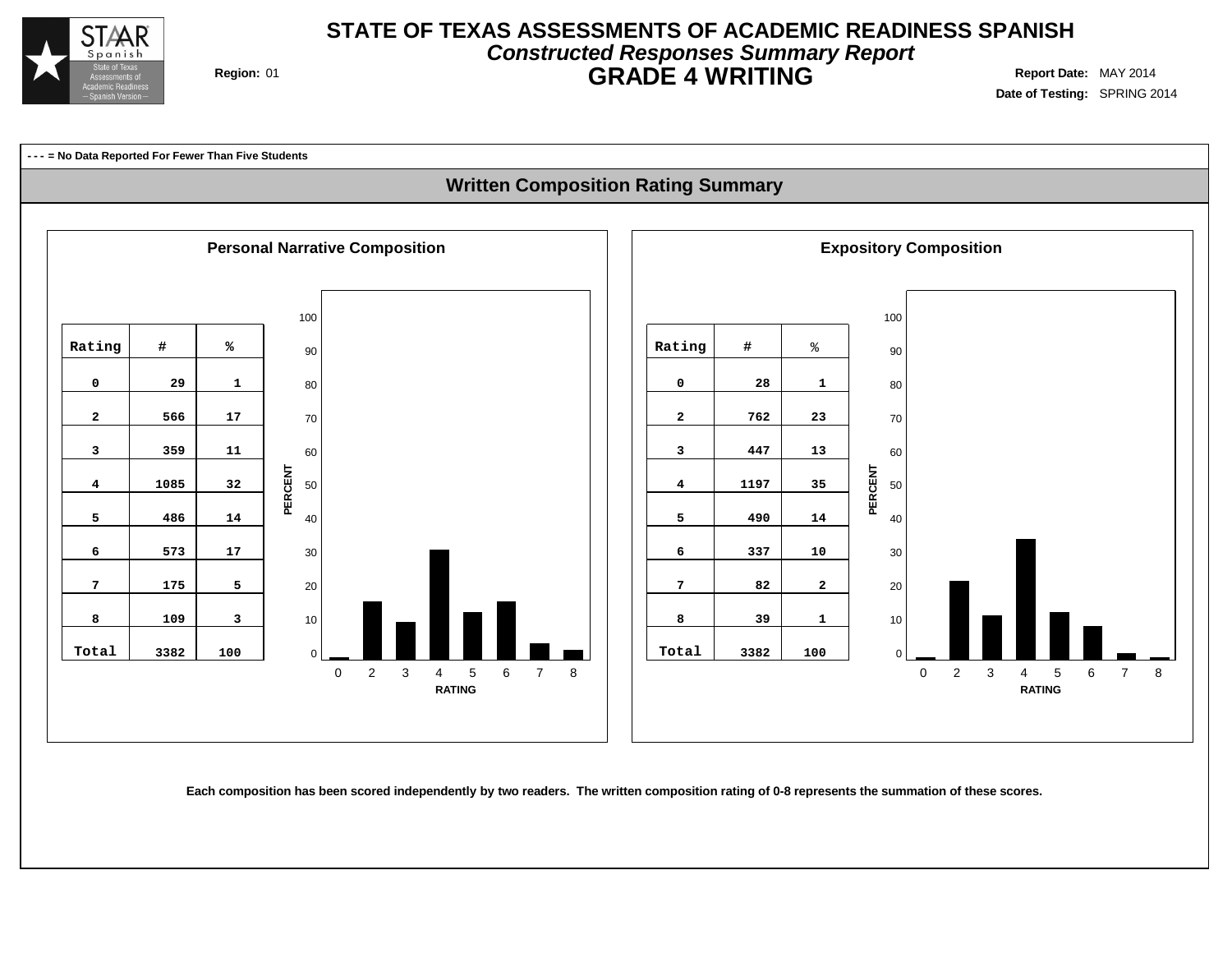

## **Constructed Responses Summary Report STATE OF TEXAS ASSESSMENTS OF ACADEMIC READINESS SPANISH GRADE 4 WRITING** Region: 01

**Date of Testing:** SPRING 2014

**--- = No Data Reported For Fewer Than Five Students**

## **Written Composition Rating Summary**



Each composition has been scored independently by two readers. The written composition rating of 0-8 represents the summation of these scores.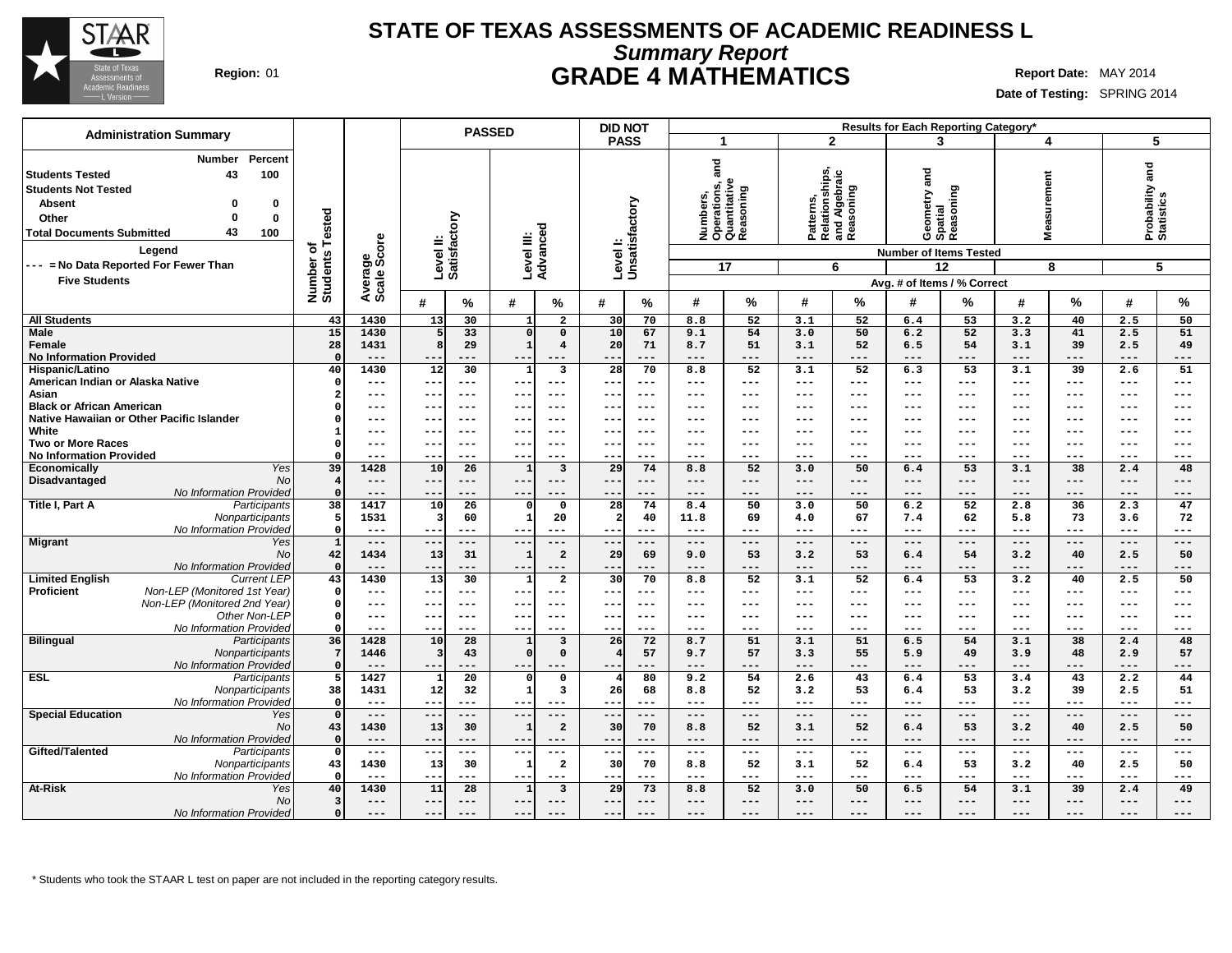

## **Summary Report STATE OF TEXAS ASSESSMENTS OF ACADEMIC READINESS L Region:** 01 **GRADE 4 MATHEMATICS Report Date:** MAY 2014

**Date of Testing:** SPRING 2014

| <b>Administration Summary</b>                                                                                                               |                          |               | <b>PASSED</b>                             |                                                         | <b>DID NOT</b>                   |                                                                                                                                                                                                                                                                                                                                                                                                                         |                                                           | Results for Each Reporting Category* |                                              |                                    |
|---------------------------------------------------------------------------------------------------------------------------------------------|--------------------------|---------------|-------------------------------------------|---------------------------------------------------------|----------------------------------|-------------------------------------------------------------------------------------------------------------------------------------------------------------------------------------------------------------------------------------------------------------------------------------------------------------------------------------------------------------------------------------------------------------------------|-----------------------------------------------------------|--------------------------------------|----------------------------------------------|------------------------------------|
|                                                                                                                                             |                          |               |                                           |                                                         | <b>PASS</b>                      | 1                                                                                                                                                                                                                                                                                                                                                                                                                       | $\mathbf{2}$                                              | 3                                    | 4                                            | 5                                  |
| Percent<br><b>Number</b><br>100<br><b>Students Tested</b><br>43<br><b>Students Not Tested</b><br><b>Absent</b><br>0<br>0<br>Other<br>0<br>0 | Tested                   |               | Level II:<br>Satisfactory                 |                                                         | Level I:<br>Unsatisfactory       | and<br>Numbers,<br>Operations, a<br>Quantitative<br>Reasoning                                                                                                                                                                                                                                                                                                                                                           | Patterns,<br>Relationships,<br>and Algebraic<br>Reasoning | Geometry and<br>Spatial<br>Reasoning | surement<br>Nea:                             | Probability and<br>Statistics      |
| 43<br><b>Total Documents Submitted</b><br>100                                                                                               |                          |               |                                           |                                                         |                                  |                                                                                                                                                                                                                                                                                                                                                                                                                         |                                                           |                                      |                                              |                                    |
| Legend                                                                                                                                      | ৳                        | ige<br>Score  |                                           | Level III:<br>Advanced                                  |                                  |                                                                                                                                                                                                                                                                                                                                                                                                                         |                                                           | <b>Number of Items Tested</b>        |                                              |                                    |
| --- = No Data Reported For Fewer Than                                                                                                       |                          |               |                                           |                                                         |                                  | 17                                                                                                                                                                                                                                                                                                                                                                                                                      | 6                                                         | 12                                   | 8                                            | 5                                  |
| <b>Five Students</b>                                                                                                                        |                          |               |                                           |                                                         |                                  |                                                                                                                                                                                                                                                                                                                                                                                                                         |                                                           | Avg. # of Items / % Correct          |                                              |                                    |
|                                                                                                                                             | Number of<br>Students    | Average       | #<br>$\%$                                 | #<br>%                                                  | #<br>%                           | $\frac{9}{6}$<br>#                                                                                                                                                                                                                                                                                                                                                                                                      | #<br>$\%$                                                 | %<br>#                               | %<br>#                                       | %<br>#                             |
|                                                                                                                                             |                          |               |                                           |                                                         |                                  |                                                                                                                                                                                                                                                                                                                                                                                                                         |                                                           |                                      |                                              |                                    |
| <b>All Students</b>                                                                                                                         | 43<br>15                 | 1430<br>1430  | 30<br>13<br>$\overline{33}$               | $\overline{a}$<br>1                                     | 30<br>70<br>10                   | 8.8<br>52<br>54                                                                                                                                                                                                                                                                                                                                                                                                         | 3.1<br>52                                                 | 53<br>6.4<br>52                      | 3.2<br>40<br>3.3                             | 2.5<br>50<br>51                    |
| <b>Male</b><br>Female                                                                                                                       | 28                       | 1431          | 5<br>8<br>29                              | $\Omega$<br>$\Omega$<br>$\mathbf{1}$<br>$\overline{4}$  | 67<br>20<br>71                   | 9.1<br>8.7<br>51                                                                                                                                                                                                                                                                                                                                                                                                        | 50<br>3.0<br>52<br>3.1                                    | 6.2<br>6.5<br>54                     | 41<br>39<br>3.1                              | 2.5<br>2.5<br>49                   |
| <b>No Information Provided</b>                                                                                                              | $\Omega$                 | $- - -$       | $- -$<br>$- - -$                          | $- -$<br>$---$                                          | $- - -$<br>$ -$                  | $---$<br>$---$                                                                                                                                                                                                                                                                                                                                                                                                          | $- - -$<br>$---$                                          | $---$<br>---                         | $---$<br>$- - -$                             | $---$<br>---                       |
| Hispanic/Latino                                                                                                                             | 40                       | 1430          | 12<br>30                                  | $\overline{\mathbf{3}}$<br>1                            | 28<br>70                         | $\overline{52}$<br>8.8                                                                                                                                                                                                                                                                                                                                                                                                  | 52<br>3.1                                                 | 6.3<br>53                            | $\overline{39}$<br>3.1                       | 51<br>2.6                          |
| American Indian or Alaska Native                                                                                                            | $\Omega$                 | ---           | $\overline{\phantom{m}}$<br>$---$         | $---$<br>$- -$                                          | --<br>$--$                       | $---$<br>$---$                                                                                                                                                                                                                                                                                                                                                                                                          | ---<br>$\qquad \qquad -$                                  | $\qquad \qquad - -$<br>$---$         | $\qquad \qquad - -$<br>$\qquad \qquad - -$   | $---$<br>$\qquad \qquad - -$       |
| Asian                                                                                                                                       | 2                        | ---           | $- - -$<br>$- -$                          | $- - -$<br>$- -$                                        | $- -$<br>$- - -$                 | $- - -$<br>---                                                                                                                                                                                                                                                                                                                                                                                                          | $---$<br>---                                              | $---$<br>$---$                       | $---$<br>$- - -$                             | $- - -$<br>$---$                   |
| <b>Black or African American</b>                                                                                                            |                          | ---           | $- -$<br>$---$                            | $---$<br>--                                             | $-$<br>$--$                      | $--$<br>---                                                                                                                                                                                                                                                                                                                                                                                                             | ---<br>$---$                                              | $---$<br>---                         | $---$<br>---                                 | $---$<br>---                       |
| Native Hawaiian or Other Pacific Islander                                                                                                   |                          | ---           | $- - -$<br>--                             | $---$<br>--                                             | ---<br>--                        | $--$<br>---                                                                                                                                                                                                                                                                                                                                                                                                             | ---<br>$---$                                              | $--$<br>---                          | $---$<br>$---$                               | $---$<br>$--$                      |
| White<br><b>Two or More Races</b>                                                                                                           | -1<br>$\Omega$           | ---<br>---    | $- -$<br>$---$<br>$- -$<br>$- - -$        | $- - -$<br>$---$<br>$- -$<br>$- - -$                    | $---$<br>---<br>--<br>$- - -$    | $\frac{1}{2}$<br>---<br>$- - -$<br>---                                                                                                                                                                                                                                                                                                                                                                                  | $---$<br>$---$<br>$- - -$<br>---                          | $- - -$<br>---<br>$---$<br>---       | $---$<br>$---$<br>$- - -$<br>$- - -$         | $---$<br>$---$<br>$- - -$<br>$---$ |
| <b>No Information Provided</b>                                                                                                              | O                        | ---           | --                                        | $---$<br>$- -$                                          | $- -$<br>$---$                   | $---$<br>$---$                                                                                                                                                                                                                                                                                                                                                                                                          | $---$<br>$---$                                            | $---$<br>---                         | $---$<br>$- - -$                             | $---$<br>$---$                     |
| <b>Yes</b><br>Economically                                                                                                                  | $\overline{39}$          | 1428          | $\overline{26}$<br>10                     | $\overline{\mathbf{3}}$<br>$\mathbf{1}$                 | $\overline{29}$<br>74            | 52<br>8.8                                                                                                                                                                                                                                                                                                                                                                                                               | 50<br>3.0                                                 | $\overline{53}$<br>6.4               | 3.1<br>$\overline{38}$                       | 48<br>2.4                          |
| Disadvantaged<br>No                                                                                                                         | $\overline{\mathbf{4}}$  | $---$         | $---$<br>$\qquad \qquad -$                | $---$<br>---                                            | $---$<br>--                      | $- - -$<br>---                                                                                                                                                                                                                                                                                                                                                                                                          | ---<br>$---$                                              | $- - -$<br>$---$                     | $---$<br>$---$                               | $---$<br>---                       |
| No Information Provided                                                                                                                     | $\Omega$                 | ---           | --<br>---                                 | ---<br>$--$                                             | $---$<br>--                      | $---$<br>---                                                                                                                                                                                                                                                                                                                                                                                                            | $---$<br>---                                              | $---$<br>---                         | $---$<br>$---$                               | $---$<br>---                       |
| Title I, Part A<br>Participants                                                                                                             | 38                       | 1417          | 26<br>10                                  | $\mathbf{o}$<br>$\Omega$                                | 28<br>74                         | 8.4<br>50                                                                                                                                                                                                                                                                                                                                                                                                               | 3.0<br>50                                                 | 52<br>6.2                            | 2.8<br>36                                    | 2.3<br>47                          |
| Nonparticipants                                                                                                                             | 5                        | 1531          | 60<br>3                                   | $\mathbf{1}$<br>20                                      | 40                               | 11.8<br>69                                                                                                                                                                                                                                                                                                                                                                                                              | 67<br>4.0                                                 | 7.4<br>62                            | 5.8<br>73                                    | 72<br>3.6                          |
| No Information Provided                                                                                                                     | $\Omega$<br>$\mathbf{1}$ | $---$         | $---$<br>$- -$                            | ---<br>$- - -$                                          | $- -$<br>$---$                   | $---$<br>---                                                                                                                                                                                                                                                                                                                                                                                                            | $---$<br>$---$                                            | $---$<br>---<br>---                  | $\qquad \qquad -$<br>$---$<br>$---$<br>$---$ | $---$<br>$---$                     |
| <b>Migrant</b><br>Yes<br><b>No</b>                                                                                                          | 42                       | $---$<br>1434 | $---$<br>$---$<br>31<br>13                | $---$<br>$---$<br>$\overline{a}$<br>1                   | ---<br>$---$<br>69<br>29         | $\qquad \qquad - -$<br>$---$<br>53<br>9.0                                                                                                                                                                                                                                                                                                                                                                               | $\qquad \qquad - -$<br>$- -$<br>53<br>3.2                 | $\qquad \qquad - -$<br>54<br>6.4     | 3.2<br>40                                    | $---$<br>$---$<br>2.5<br>50        |
| No Information Provided                                                                                                                     | $\Omega$                 | $---$         | $- -$<br>$---$                            | ---<br>$- - \cdot$                                      | --<br>$---$                      | $- - -$<br>---                                                                                                                                                                                                                                                                                                                                                                                                          | ---<br>$---$                                              | $---$<br>---                         | $---$<br>$---$                               | $---$<br>$---$                     |
| <b>Limited English</b><br><b>Current LEP</b>                                                                                                | 43                       | 1430          | 30<br>13                                  | $\overline{a}$<br>1                                     | 30<br>70                         | 52<br>8.8                                                                                                                                                                                                                                                                                                                                                                                                               | 52<br>3.1                                                 | 53<br>6.4                            | 40<br>3.2                                    | 50<br>2.5                          |
| Proficient<br>Non-LEP (Monitored 1st Year)                                                                                                  | - 0                      | ---           | $--$                                      | ---                                                     | $--$<br>--                       | $--$<br>---                                                                                                                                                                                                                                                                                                                                                                                                             | ---<br>$---$                                              | $--$<br>---                          | ---<br>$---$                                 | $--$<br>---                        |
| Non-LEP (Monitored 2nd Year)                                                                                                                | $\Omega$                 | $---$         | $- -$<br>$---$                            | $---$<br>$- - \cdot$                                    | $--$<br>---                      | $- - -$<br>---                                                                                                                                                                                                                                                                                                                                                                                                          | $\qquad \qquad - -$<br>$\qquad \qquad -$                  | $\qquad \qquad -$<br>$---$           | $\qquad \qquad - -$<br>$\qquad \qquad - -$   | $---$<br>$---$                     |
| Other Non-LEP                                                                                                                               | $\Omega$                 | ---           | $\overline{\phantom{m}}$<br>$- - -$       | $- - -$<br>$- -$                                        | $- - -$<br>--                    | ---<br>$- - -$                                                                                                                                                                                                                                                                                                                                                                                                          | ---<br>$\frac{1}{2}$                                      | $---$<br>---                         | $- - -$<br>$---$                             | $\qquad \qquad - -$<br>$---$       |
| No Information Provided                                                                                                                     |                          | ---           | $--$<br>--                                | ---<br>$- -$                                            | $--$<br>--                       | $---$<br>---                                                                                                                                                                                                                                                                                                                                                                                                            | $\qquad \qquad -$<br>---                                  | $---$<br>---                         | $---$<br>$---$                               | $---$<br>---                       |
| <b>Bilingual</b><br>Participants<br>Nonparticipants                                                                                         | 36<br>-7                 | 1428<br>1446  | 10<br>28<br>$\overline{\mathbf{3}}$<br>43 | $\overline{\mathbf{3}}$<br>1<br>$\Omega$<br>$\mathbf 0$ | 26<br>72<br>57                   | 51<br>8.7<br>57<br>9.7                                                                                                                                                                                                                                                                                                                                                                                                  | 51<br>3.1<br>55<br>3.3                                    | 6.5<br>54<br>49<br>5.9               | 38<br>3.1<br>48<br>3.9                       | 2.4<br>48<br>57<br>2.9             |
| No Information Provided                                                                                                                     | $\Omega$                 | $---$         | $- -$<br>$- - -$                          | $- - -$<br>$---$                                        | $- -$<br>$- - -$                 | $---$<br>$---$                                                                                                                                                                                                                                                                                                                                                                                                          | ---<br>$---$                                              | $---$<br>---                         | $---$<br>---                                 | $---$<br>---                       |
| <b>ESL</b><br><b>Participants</b>                                                                                                           | 5                        | 1427          | 20<br>$\mathbf{1}$                        | $\mathbf 0$<br>$\Omega$                                 | 80                               | 9.2<br>54                                                                                                                                                                                                                                                                                                                                                                                                               | 43<br>2.6                                                 | $\overline{53}$<br>6.4               | 3.4<br>43                                    | 2.2<br>44                          |
| Nonparticipants                                                                                                                             | 38                       | 1431          | 12<br>32                                  | $\overline{\mathbf{3}}$<br>$\mathbf{1}$                 | 26<br>68                         | 8.8<br>52                                                                                                                                                                                                                                                                                                                                                                                                               | 53<br>3.2                                                 | 53<br>6.4                            | 3.2<br>39                                    | 2.5<br>51                          |
| No Information Provided                                                                                                                     | $\Omega$                 | $---$         | $- -$<br>$---$                            | $---$<br>$--$                                           | $- -$<br>$---$                   | $---$<br>$- - -$                                                                                                                                                                                                                                                                                                                                                                                                        | ---<br>$---$                                              | $---$<br>---                         | $---$<br>$---$                               | $---$<br>$---$                     |
| <b>Special Education</b><br>Yes                                                                                                             | $\mathbf 0$              | ---           | $---$<br>$- -$                            | ---<br>---                                              | --<br>$---$                      | $---$<br>$\qquad \qquad - -$                                                                                                                                                                                                                                                                                                                                                                                            | $---$<br>$---$                                            | $---$<br>---                         | $---$<br>$---$                               | $---$<br>---                       |
| <b>No</b>                                                                                                                                   | 43                       | 1430          | 13<br>30                                  | $\overline{2}$<br>$\mathbf{1}$                          | 70<br>30                         | 52<br>8.8                                                                                                                                                                                                                                                                                                                                                                                                               | 52<br>3.1                                                 | 53<br>6.4                            | 40<br>3.2                                    | 50<br>2.5                          |
| No Information Provided                                                                                                                     | $\Omega$<br>$\Omega$     | ---<br>$---$  | $- -$<br>$---$<br>$---$<br>$- -$          | $- -$<br>$---$<br>$---$<br>$- -$                        | $- -$<br>$---$<br>$- -$<br>$---$ | $---$<br>$---$<br>$\frac{1}{2} \frac{1}{2} \frac{1}{2} \frac{1}{2} \frac{1}{2} \frac{1}{2} \frac{1}{2} \frac{1}{2} \frac{1}{2} \frac{1}{2} \frac{1}{2} \frac{1}{2} \frac{1}{2} \frac{1}{2} \frac{1}{2} \frac{1}{2} \frac{1}{2} \frac{1}{2} \frac{1}{2} \frac{1}{2} \frac{1}{2} \frac{1}{2} \frac{1}{2} \frac{1}{2} \frac{1}{2} \frac{1}{2} \frac{1}{2} \frac{1}{2} \frac{1}{2} \frac{1}{2} \frac{1}{2} \frac{$<br>$---$ | ---<br>$---$<br>$---$<br>$---$                            | $---$<br>---<br>$- - -$<br>$---$     | $---$<br>$---$<br>$---$<br>$---$             | $---$<br>$---$<br>$---$<br>$---$   |
| Gifted/Talented<br>Participants<br>Nonparticipants                                                                                          | 43                       | 1430          | 30<br>13                                  | $\overline{a}$<br>1                                     | 70<br>30                         | 52<br>8.8                                                                                                                                                                                                                                                                                                                                                                                                               | 52<br>3.1                                                 | 53<br>6.4                            | 3.2<br>40                                    | 2.5<br>50                          |
| No Information Provided                                                                                                                     | $\Omega$                 | ---           | $- -$<br>$--$                             | $--$<br>$---$                                           | $---$<br>$-$                     | $--$<br>---                                                                                                                                                                                                                                                                                                                                                                                                             | ---<br>$---$                                              | $--$<br>---                          | $\qquad \qquad - -$<br>---                   | ---<br>$--$                        |
| <b>At-Risk</b><br>Yes                                                                                                                       | 40                       | 1430          | $\overline{28}$<br>11                     | $\overline{\mathbf{3}}$<br>$\mathbf{1}$                 | 73<br>29                         | 52<br>8.8                                                                                                                                                                                                                                                                                                                                                                                                               | 50<br>3.0                                                 | 54<br>6.5                            | 39<br>3.1                                    | 49<br>2.4                          |
| <b>No</b>                                                                                                                                   | $\overline{\mathbf{3}}$  | ---           | $- -$<br>$- - -$                          | ---<br>$---$                                            | $- -$<br>$---$                   | $---$<br>$---$                                                                                                                                                                                                                                                                                                                                                                                                          | $---$<br>$---$                                            | $\qquad \qquad - -$<br>$---$         | $---$<br>$---$                               | $---$<br>$---$                     |
| No Information Provided                                                                                                                     | $\Omega$                 | ---           | $- -$                                     | ---<br>$---$                                            | ---<br>$---$                     | $---$<br>---                                                                                                                                                                                                                                                                                                                                                                                                            | ---<br>---                                                | $---$<br>---                         | $---$<br>$---$                               | ---<br>---                         |

\* Students who took the STAAR L test on paper are not included in the reporting category results.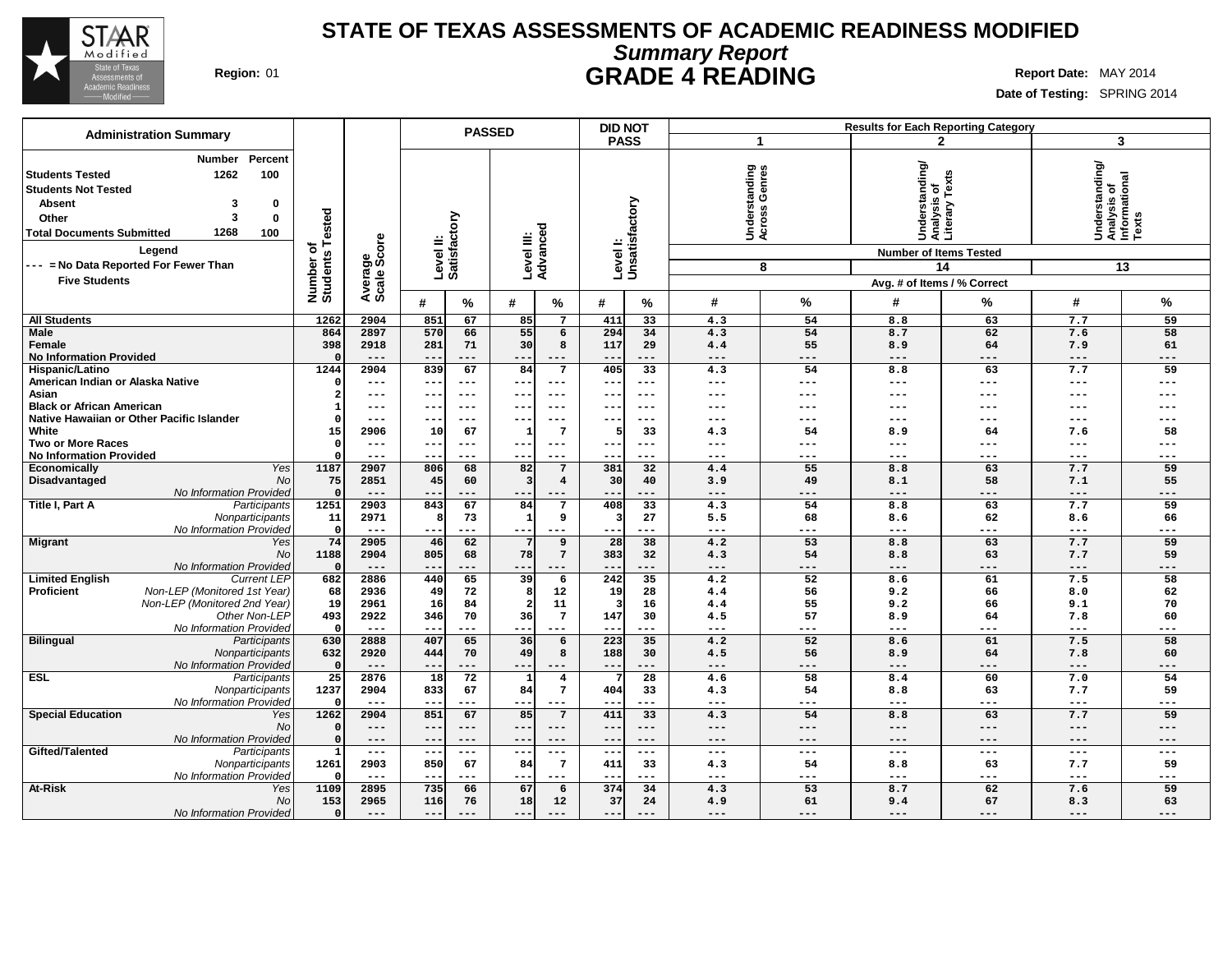

# **Summary Report STATE OF TEXAS ASSESSMENTS OF ACADEMIC READINESS MODIFIED Region:** 01 **GRADE 4 READING Report** Date: MAY 2014

| <b>PASSED</b><br><b>Administration Summary</b><br><b>PASS</b>                                                                                                                                                                                                                                                                                                                       | $\mathbf 1$                                                           |                   |                                                                                                                       |                   |                                                                    |                 |
|-------------------------------------------------------------------------------------------------------------------------------------------------------------------------------------------------------------------------------------------------------------------------------------------------------------------------------------------------------------------------------------|-----------------------------------------------------------------------|-------------------|-----------------------------------------------------------------------------------------------------------------------|-------------------|--------------------------------------------------------------------|-----------------|
|                                                                                                                                                                                                                                                                                                                                                                                     |                                                                       |                   | $\mathbf{2}$                                                                                                          |                   | 3                                                                  |                 |
| Percent<br>Number<br>1262<br>100<br><b>Students Tested</b><br><b>Students Not Tested</b><br><b>Absent</b><br>0<br>3<br>Tested<br>Level II:<br>Satisfactory<br>3<br>0<br>Other<br>Level III:<br>Advanced<br>1268<br><b>Total Documents Submitted</b><br>100<br>ige<br>Score<br>৳<br>Legend<br>Number of<br>Students<br>--- = No Data Reported For Fewer Than<br><b>Five Students</b> | tanding<br>Genres<br>Levell:<br>Unsatisfactory<br>Underst<br>Across ( | 8                 | Understanding/<br>Analysis of<br>Literary Texts<br><b>Number of Items Tested</b><br>14<br>Avg. # of Items / % Correct |                   | Understanding/<br> Analysis of<br>  Informational<br>  Texts<br>13 |                 |
| Average<br>#<br>$\%$<br>$\%$<br>#<br>#                                                                                                                                                                                                                                                                                                                                              | #<br>%                                                                | %                 | #                                                                                                                     | %                 | #                                                                  | $\%$            |
| <b>All Students</b><br>1262<br>2904<br>851<br>85<br>411<br>67<br>$7\overline{ }$                                                                                                                                                                                                                                                                                                    | 33<br>4.3                                                             | 54                | 8.8                                                                                                                   | 63                | 7.7                                                                | 59              |
| <b>Male</b><br>864<br>2897<br>570<br>66<br>55<br>$6\overline{6}$<br>294<br>Female<br>398<br>2918<br>281<br>71<br>30<br>8<br>117<br><b>No Information Provided</b><br>$---$<br>$---$<br>$- -$<br>$--$<br>$---$<br>$- -$                                                                                                                                                              | 34<br>4.3<br>29<br>4.4<br>$---$<br>$---$                              | 54<br>55<br>$---$ | 8.7<br>8.9<br>$---$                                                                                                   | 62<br>64<br>$---$ | 7.6<br>7.9<br>$---$                                                | 58<br>61<br>--- |
| 1244<br>2904<br>839<br>67<br>84<br>7<br>Hispanic/Latino<br>405                                                                                                                                                                                                                                                                                                                      | 33<br>4.3                                                             | 54                | 8.8                                                                                                                   | 63                | 7.7                                                                | 59              |
| American Indian or Alaska Native<br>$\qquad \qquad - -$<br>$\qquad \qquad -$<br>$---$<br>$- -$<br>$---$<br>$\qquad \qquad -$                                                                                                                                                                                                                                                        | $---$<br>$---$                                                        | $---$             | ---                                                                                                                   | ---               | $---$                                                              | ---             |
| Asian<br>$---$<br>$---$<br>$--$<br>$---$<br>$- -$<br>$- -$                                                                                                                                                                                                                                                                                                                          | $---$<br>$- - -$                                                      | $---$             | ---                                                                                                                   | ---               | $---$                                                              | ---             |
| <b>Black or African American</b><br>$---$<br>$---$<br>$---$<br>$\qquad \qquad -$<br>--<br>$- -$                                                                                                                                                                                                                                                                                     | $---$<br>---                                                          | ---               | ---                                                                                                                   | ---               | $-- -$                                                             |                 |
| Native Hawaiian or Other Pacific Islander<br>$---$<br>$--$<br>$--$<br>--<br>---                                                                                                                                                                                                                                                                                                     | $--$<br>$---$                                                         | $--$              | ---                                                                                                                   | ---               | $--$                                                               |                 |
| White<br>$7\phantom{.0}$<br>15<br>2906<br>67<br>5 <sup>1</sup><br>10<br><b>Two or More Races</b><br>$\Omega$<br>$\qquad \qquad - -$<br>$---$<br>$---$<br>$\overline{\phantom{a}}$<br>$- -$<br>$- -$                                                                                                                                                                                 | 33<br>4.3<br>$- - -$<br>$---$                                         | 54<br>$---$       | 8.9<br>---                                                                                                            | 64<br>---         | 7.6<br>$---$                                                       | 58<br>---       |
| <b>No Information Provided</b><br>$---$<br>$\qquad \qquad -$<br>$---$<br>--<br>---<br>$- -$                                                                                                                                                                                                                                                                                         | $---$<br>$---$                                                        | $---$             | ---                                                                                                                   | ---               | $---$                                                              | ---             |
| 1187<br>381<br>Yes<br>2907<br>806<br>68<br>82<br>$7\overline{ }$<br>Economically                                                                                                                                                                                                                                                                                                    | $\overline{32}$<br>4.4                                                | 55                | 8.8                                                                                                                   | 63                | 7.7                                                                | 59              |
| No<br>75<br>Disadvantaged<br>2851<br>45<br>60<br>$\overline{\mathbf{4}}$<br>30<br>ર                                                                                                                                                                                                                                                                                                 | 40<br>3.9                                                             | 49                | 8.1                                                                                                                   | 58                | 7.1                                                                | 55              |
| No Information Provided<br>$---$<br>$---$<br>$- -$<br>$--$<br>$---$<br>$- -$                                                                                                                                                                                                                                                                                                        | $\qquad \qquad - -$<br>$---$                                          | $---$             | ---                                                                                                                   | ---               | $---$                                                              | ---             |
| Title I, Part A<br>1251<br>843<br>67<br>84<br>Participants<br>2903<br>$7\overline{ }$<br>408                                                                                                                                                                                                                                                                                        | 33<br>4.3                                                             | 54                | 8.8                                                                                                                   | 63                | 7.7                                                                | 59              |
| Nonparticipants<br>11<br>2971<br>73<br>9<br>8<br>$\mathbf{1}$<br>$\overline{\mathbf{3}}$                                                                                                                                                                                                                                                                                            | 5.5<br>27                                                             | 68                | 8.6                                                                                                                   | 62                | 8.6                                                                | 66              |
| No Information Provided<br>$\Omega$<br>$\frac{1}{2}$<br>$---$<br>$---$<br>$- -$<br>$- -$<br>$- -$                                                                                                                                                                                                                                                                                   | $\frac{1}{2}$<br>---                                                  | $---$             | $\frac{1}{2}$                                                                                                         | ---               | $---$                                                              | ---             |
| 74<br>62<br>$\overline{9}$<br>28<br><b>Migrant</b><br>2905<br>46<br>Yes                                                                                                                                                                                                                                                                                                             | 38<br>4.2                                                             | 53                | 8.8                                                                                                                   | 63                | 7.7                                                                | 59              |
| <b>No</b><br>$7\overline{ }$<br>1188<br>2904<br>805<br>68<br>78<br>383<br>$---$<br>---<br>---                                                                                                                                                                                                                                                                                       | 32<br>4.3<br>$---$                                                    | 54<br>---         | 8.8<br>---                                                                                                            | 63<br>---         | 7.7                                                                | 59              |
| No Information Provided<br>$\Omega$<br>$- -$<br><b>Limited English</b><br><b>Current LEP</b><br>65<br>$\overline{242}$<br>682<br>2886<br>440<br>39<br>6                                                                                                                                                                                                                             | $\overline{35}$<br>4.2                                                | 52                | 8.6                                                                                                                   | 61                | $---$<br>7.5                                                       | ---<br>58       |
| Proficient<br>Non-LEP (Monitored 1st Year)<br>68<br>2936<br>49<br>72<br>12<br>19<br>-8                                                                                                                                                                                                                                                                                              | 28<br>4.4                                                             | 56                | 9.2                                                                                                                   | 66                | 8.0                                                                | 62              |
| Non-LEP (Monitored 2nd Year)<br>16<br>19<br>2961<br>84<br>11<br>$\overline{\mathbf{3}}$                                                                                                                                                                                                                                                                                             | 16<br>4.4                                                             | 55                | 9.2                                                                                                                   | 66                | 9.1                                                                | 70              |
| Other Non-LEP<br>493<br>2922<br>346<br>70<br>36<br>7<br>147                                                                                                                                                                                                                                                                                                                         | 30<br>4.5                                                             | 57                | 8.9                                                                                                                   | 64                | 7.8                                                                | 60              |
| No Information Provided<br>---<br>$---$<br>$---$<br>$\overline{\phantom{a}}$<br>---<br>$\qquad \qquad -$                                                                                                                                                                                                                                                                            | ---<br>$- - -$                                                        | $---$             | $\qquad \qquad - -$                                                                                                   | ---               | $\qquad \qquad - -$                                                | ---             |
| 223<br><b>Bilingual</b><br>630<br>2888<br>407<br>65<br>36<br>6<br>Participants                                                                                                                                                                                                                                                                                                      | 35<br>4.2                                                             | 52                | 8.6                                                                                                                   | 61                | 7.5                                                                | 58              |
| 49<br>8<br>Nonparticipants<br>632<br>2920<br>444<br>70<br>188                                                                                                                                                                                                                                                                                                                       | 30<br>4.5                                                             | 56                | 8.9                                                                                                                   | 64                | 7.8                                                                | 60              |
| No Information Provided<br>$---$<br>$\Omega$<br>$---$<br>$\qquad \qquad -$<br>$--$<br>$---$<br>$- -$                                                                                                                                                                                                                                                                                | $\qquad \qquad - -$<br>$---$                                          | $---$             | $---$                                                                                                                 | ---               | $---$                                                              | ---             |
| <b>ESL</b><br>$\overline{72}$<br>25<br>2876<br>18<br>Participants<br>$\mathbf{1}$<br>$\overline{\mathbf{4}}$                                                                                                                                                                                                                                                                        | 28<br>4.6                                                             | 58                | 8.4                                                                                                                   | 60                | 7.0                                                                | 54              |
| 1237<br>833<br>67<br>84<br>$7\overline{ }$<br>Nonparticipants<br>2904<br>404                                                                                                                                                                                                                                                                                                        | 33<br>4.3                                                             | 54                | 8.8                                                                                                                   | 63                | 7.7                                                                | 59              |
| No Information Provided<br>$---$<br>$---$<br>---<br>$- -$<br>$- -$<br><b>Special Education</b><br>Yes<br>1262<br>2904<br>851<br>67<br>85<br>$7\phantom{.0}$<br>411                                                                                                                                                                                                                  | ---<br>$---$<br>33                                                    | $---$<br>54       | $\qquad \qquad - -$<br>8.8                                                                                            | ---<br>63         | $\qquad \qquad - -$<br>7.7                                         | $---$<br>59     |
| No<br>$---$<br>$---$<br>$\Omega$<br>$---$<br>$- -$<br>$---$<br>$- -$                                                                                                                                                                                                                                                                                                                | 4.3<br>$---$<br>$- - -$                                               | $---$             | ---                                                                                                                   | $---$             | $---$                                                              | ---             |
| No Information Provided<br>$---$<br>$\overline{\phantom{a}}$<br>$---$<br>---<br>$---$<br>$- -$                                                                                                                                                                                                                                                                                      | $\qquad \qquad - -$<br>---                                            | ---               | ---                                                                                                                   | ---               | $---$                                                              | ---             |
| Gifted/Talented<br>Participants<br>$\qquad \qquad - -$<br>$\qquad \qquad -$<br>$---$<br>$\qquad \qquad -$<br>---<br>$- -$                                                                                                                                                                                                                                                           | $---$<br>$- - -$                                                      | $---$             | ---                                                                                                                   | ---               | $---$                                                              | ---             |
| Nonparticipants<br>1261<br>2903<br>850<br>67<br>84<br>$7\overline{ }$<br>411                                                                                                                                                                                                                                                                                                        | 33<br>4.3                                                             | 54                | 8.8                                                                                                                   | 63                | 7.7                                                                | 59              |
| No Information Provided<br>$- - -$<br>$- -$<br>---<br>$- -$<br>$- - -$                                                                                                                                                                                                                                                                                                              | ---<br>$- - -$                                                        | $- - -$           | ---                                                                                                                   | ---               | $- - -$                                                            | ---             |
| At-Risk<br>1109<br>2895<br>735<br>66<br>67<br>Yes<br>6<br>374                                                                                                                                                                                                                                                                                                                       | 34<br>4.3                                                             | 53                | 8.7                                                                                                                   | 62                | 7.6                                                                | 59              |
| No<br>153<br>2965<br>116<br>18<br>37<br>76<br>12                                                                                                                                                                                                                                                                                                                                    | 24<br>4.9                                                             | 61                | 9.4                                                                                                                   | 67                | 8.3                                                                | 63              |
| No Information Provided<br>$\Omega$<br>$---$<br>$---$<br>$- - -$<br>$---$<br>$---$<br>$- - -$                                                                                                                                                                                                                                                                                       | $- - -$<br>$---$                                                      | $- - -$           | $---$                                                                                                                 | $- - -$           | $---$                                                              | $---$           |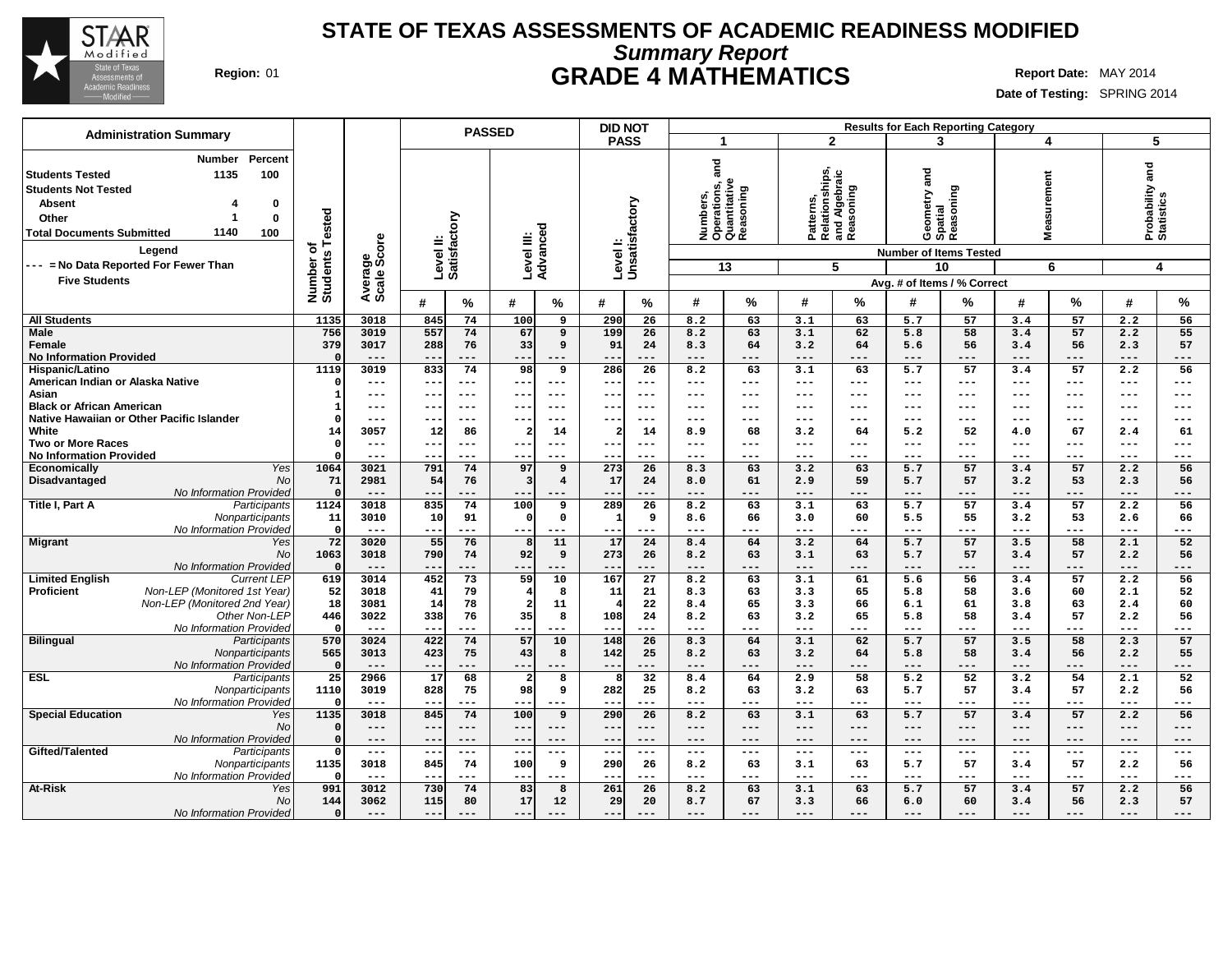

## **Summary Report STATE OF TEXAS ASSESSMENTS OF ACADEMIC READINESS MODIFIED Region:** 01 **GRADE 4 MATHEMATICS Report Date:** MAY 2014

| <b>Administration Summary</b>                                                                                                                                                                                                                     |                                     |                        |                                                                         | <b>PASSED</b>                                                      | <b>DID NOT</b>                                                  |                                                                     |                                                                     | <b>Results for Each Reporting Category</b>                                        |                                                                             |                                                             |
|---------------------------------------------------------------------------------------------------------------------------------------------------------------------------------------------------------------------------------------------------|-------------------------------------|------------------------|-------------------------------------------------------------------------|--------------------------------------------------------------------|-----------------------------------------------------------------|---------------------------------------------------------------------|---------------------------------------------------------------------|-----------------------------------------------------------------------------------|-----------------------------------------------------------------------------|-------------------------------------------------------------|
|                                                                                                                                                                                                                                                   |                                     |                        |                                                                         |                                                                    | <b>PASS</b>                                                     | -1                                                                  | $\overline{2}$                                                      | 3                                                                                 | 4                                                                           | 5                                                           |
| Percent<br><b>Number</b><br>1135<br>100<br>Students Tested<br><b>Students Not Tested</b><br><b>Absent</b><br>0<br>$\mathbf 0$<br>Other<br>1<br>1140<br><b>Total Documents Submitted</b><br>100<br>Legend<br>--- = No Data Reported For Fewer Than | Number of<br>Students Tested        | Average<br>Scale Score | Level II:<br>Satisfactory                                               | Level III:<br>Advanced                                             | Level I:<br>Unsatisfactory                                      | and<br>Numbers,<br>Operations, a<br>Quantitative<br>Reasoning<br>13 | Patterns,<br>Relationships,<br>and Algebraic<br>Reasoning<br>5      | gue<br>Geometry an<br>Spatial<br>Reasoning<br><b>Number of Items Tested</b><br>10 | surement<br>Mea<br>6                                                        | Probability and<br>Statistics<br>4                          |
| <b>Five Students</b>                                                                                                                                                                                                                              |                                     |                        |                                                                         |                                                                    |                                                                 |                                                                     |                                                                     | Avg. # of Items / % Correct                                                       |                                                                             |                                                             |
|                                                                                                                                                                                                                                                   |                                     |                        | #<br>%                                                                  | $\#$<br>%                                                          | #<br>%                                                          | %<br>#                                                              | %<br>#                                                              | #<br>℅                                                                            | %<br>#                                                                      | %<br>#                                                      |
| <b>All Students</b>                                                                                                                                                                                                                               | 1135                                | 3018                   | 74<br>845                                                               | 100<br>9                                                           | 290<br>26                                                       | 63<br>8.2                                                           | 63<br>3.1                                                           | 5.7<br>57                                                                         | 57<br>3.4                                                                   | 2.2<br>56                                                   |
| <b>Male</b><br>Female<br><b>No Information Provided</b>                                                                                                                                                                                           | 756<br>379<br>$\Omega$              | 3019<br>3017<br>$---$  | 557<br>74<br>288<br>76<br>$- -$<br>$---$                                | 67<br>9<br>33<br>9<br>---<br>$---$                                 | 199<br>26<br>91<br>24<br>$---$<br>--                            | 8.2<br>63<br>8.3<br>64<br>$---$<br>$---$                            | 3.1<br>62<br>64<br>3.2<br>$---$<br>---                              | 58<br>5.8<br>56<br>5.6<br>$---$<br>---                                            | 57<br>3.4<br>56<br>3.4<br>$---$<br>$---$                                    | 55<br>2.2<br>57<br>2.3<br>$---$<br>---                      |
| Hispanic/Latino<br>American Indian or Alaska Native                                                                                                                                                                                               | 1119<br>$\Omega$                    | 3019<br>---            | 74<br>833<br>$\qquad \qquad - -$<br>$\overline{\phantom{m}}$            | 98<br>$\overline{9}$<br>---<br>$---$                               | 286<br>$\overline{26}$<br>$-$<br>$--$                           | 63<br>8.2<br>$\qquad \qquad - -$<br>$---$                           | 63<br>3.1<br>$\qquad \qquad - -$<br>---                             | 57<br>5.7<br>$\qquad \qquad - -$<br>---                                           | 57<br>3.4<br>$---$<br>$\qquad \qquad - -$                                   | 2.2<br>56<br>$---$<br>---                                   |
| Asian<br><b>Black or African American</b>                                                                                                                                                                                                         | $\mathbf{1}$                        | ---<br>---             | $- -$<br>$---$<br>--<br>$- - -$                                         | $- - -$<br>$- - -$<br>$---$<br>--                                  | $---$<br>$\sim$ $\sim$<br>--<br>---                             | $- - -$<br>---<br>$---$<br>---                                      | $---$<br>$\frac{1}{2}$<br>$---$<br>---                              | $- - -$<br>$---$<br>$---$<br>$---$                                                | $---$<br>$---$<br>---<br>$---$                                              | $---$<br>$---$<br>$---$<br>$---$                            |
| Native Hawaiian or Other Pacific Islander                                                                                                                                                                                                         | -C                                  | ---                    | $--$<br>--                                                              | $---$<br>--                                                        | $--$<br>--                                                      | $--$<br>---                                                         | $---$<br>---                                                        | $---$<br>---                                                                      | ---<br>---                                                                  | $--$<br>---                                                 |
| White<br><b>Two or More Races</b><br><b>No Information Provided</b>                                                                                                                                                                               | 14<br>- 0                           | 3057<br>$---$<br>---   | 86<br>12<br>$- -$<br>$---$<br>$- -$<br>$--$                             | $\overline{\mathbf{2}}$<br>14<br>$---$<br>$- - -$<br>$--$<br>$---$ | 2<br>14<br>$- -$<br>---<br>$- -$<br>$---$                       | 8.9<br>68<br>$- - -$<br>---<br>$---$<br>---                         | 3.2<br>64<br>---<br>$\qquad \qquad - -$<br>$\qquad \qquad -$<br>--- | 52<br>5.2<br>$---$<br>$---$<br>$---$<br>---                                       | 67<br>4.0<br>$---$<br>$---$<br>$---$<br>$---$                               | 2.4<br>61<br>$---$<br>$---$<br>$---$<br>$---$               |
| Yes<br><b>Economically</b>                                                                                                                                                                                                                        | 1064                                | 3021                   | 791<br>74                                                               | 97<br>9                                                            | 273<br>26                                                       | 63<br>8.3                                                           | 63<br>3.2                                                           | 57<br>5.7                                                                         | 57<br>3.4                                                                   | 56<br>2.2                                                   |
| Disadvantaged<br><b>No</b><br>No Information Provided                                                                                                                                                                                             | 71<br>$\Omega$                      | 2981<br>$---$          | 54<br>76<br>$- -$<br>$---$                                              | $\overline{3}$<br>$\overline{4}$                                   | 17<br>24<br>---<br>$- -$                                        | 61<br>8.0<br>$---$<br>---                                           | 59<br>2.9<br>---<br>$---$                                           | 5.7<br>57<br>$---$<br>---                                                         | 53<br>3.2<br>$---$<br>---                                                   | 56<br>2.3<br>$---$<br>---                                   |
| Title I, Part A<br>Participants<br>Nonparticipants<br>No Information Provided                                                                                                                                                                     | 1124<br>11<br>$\mathfrak{g}$        | 3018<br>3010<br>$---$  | 74<br>835<br>91<br>10<br>$- -$<br>---                                   | 100<br>9<br>$\mathbf{o}$<br>$\Omega$<br>---<br>---                 | 26<br>289<br>9<br>$\overline{1}$<br>$- - -$<br>--               | 8.2<br>63<br>66<br>8.6<br>$- - -$<br>---                            | 63<br>3.1<br>60<br>3.0<br>---<br>$---$                              | 57<br>5.7<br>55<br>5.5<br>---<br>$---$                                            | 3.4<br>57<br>53<br>3.2<br>$\qquad \qquad - -$<br>---                        | 56<br>2.2<br>66<br>2.6<br>$---$<br>---                      |
| <b>Migrant</b><br>Yes<br>No<br>No Information Provided                                                                                                                                                                                            | 72<br>1063<br>$\Omega$              | 3020<br>3018<br>$---$  | 76<br>55<br>790<br>74<br>$- -$<br>$---$                                 | 11<br>8<br>92<br>9<br>---<br>$- - -$                               | 17<br>24<br>273<br>26<br>$- -$<br>---                           | 8.4<br>64<br>63<br>8.2<br>$---$<br>---                              | 3.2<br>64<br>63<br>3.1<br>$---$<br>---                              | 57<br>5.7<br>57<br>5.7<br>---<br>$---$                                            | 58<br>3.5<br>57<br>3.4<br>$- - -$<br>---                                    | 52<br>2.1<br>56<br>2.2<br>$---$<br>---                      |
| <b>Limited English</b><br><b>Current LEP</b>                                                                                                                                                                                                      | 619                                 | 3014                   | 73<br>452                                                               | 59<br>10                                                           | 167<br>27                                                       | 63<br>8.2                                                           | 61<br>3.1                                                           | 56<br>5.6                                                                         | 57<br>3.4                                                                   | 2.2<br>56                                                   |
| <b>Proficient</b><br>Non-LEP (Monitored 1st Year)<br>Non-LEP (Monitored 2nd Year)<br>Other Non-LEP                                                                                                                                                | 52<br>18<br>446                     | 3018<br>3081<br>3022   | 41<br>79<br>14<br>78<br>338<br>76                                       | 8<br>$\overline{4}$<br>$\overline{a}$<br>11<br>35<br>8             | 11<br>21<br>22<br>108<br>24                                     | 63<br>8.3<br>8.4<br>65<br>63<br>8.2                                 | 65<br>3.3<br>3.3<br>66<br>65<br>3.2                                 | 5.8<br>58<br>6.1<br>61<br>58<br>5.8                                               | 3.6<br>60<br>63<br>3.8<br>57<br>3.4                                         | 52<br>2.1<br>2.4<br>60<br>2.2<br>56                         |
| No Information Provided<br><b>Bilingual</b><br>Participants                                                                                                                                                                                       | - 0<br>570                          | $---$<br>3024          | $- -$<br>$---$<br>422<br>74                                             | ---<br>---<br>57<br>10                                             | $-$<br>---<br>148<br>26                                         | $\qquad \qquad - -$<br>---<br>8.3<br>64                             | ---<br>$---$<br>3.1<br>62                                           | $---$<br>---<br>57<br>5.7                                                         | $---$<br>---<br>58<br>3.5                                                   | $\qquad \qquad - -$<br>$--$<br>2.3<br>57                    |
| Nonparticipants<br>No Information Provided                                                                                                                                                                                                        | 565<br>$\Omega$                     | 3013<br>$---$          | 423<br>75<br>$-$<br>---                                                 | 43<br>8<br>---                                                     | 142<br>25<br>$- -$<br>---                                       | 8.2<br>63<br>$\qquad \qquad - -$<br>---                             | 3.2<br>64<br>$---$<br>---                                           | 5.8<br>58<br>---<br>$---$                                                         | 3.4<br>56<br>$---$<br>---                                                   | 2.2<br>55<br>$---$<br>---                                   |
| <b>ESL</b><br>Participants<br>Nonparticipants<br>No Information Provided                                                                                                                                                                          | $\overline{25}$<br>1110<br>$\Omega$ | 2966<br>3019<br>$---$  | 68<br>17<br>828<br>75<br>$-$<br>$---$                                   | 8<br>$\overline{\mathbf{2}}$<br>98<br>9<br>---                     | 32<br>282<br>25<br>---                                          | 64<br>8.4<br>63<br>8.2<br>$\frac{1}{2}$<br>---                      | 58<br>2.9<br>63<br>3.2<br>---<br>$\qquad \qquad - -$                | 52<br>5.2<br>5.7<br>57<br>$---$<br>---                                            | 54<br>3.2<br>57<br>3.4<br>$---$<br>---                                      | 52<br>2.1<br>56<br>2.2<br>$---$<br>---                      |
| <b>Special Education</b><br>Yes<br><b>No</b><br>No Information Provided                                                                                                                                                                           | 1135<br>$\Omega$<br>$\Omega$        | 3018<br>$---$<br>---   | 74<br>845<br>$- -$<br>$---$<br>$- -$<br>$---$                           | 100<br>9<br>$---$<br>$---$<br>---<br>$---$                         | 26<br>290<br>$- -$<br>$---$<br>--<br>$---$                      | 63<br>8.2<br>$---$<br>$---$<br>$---$<br>$---$                       | 63<br>3.1<br>$---$<br>$---$<br>$---$<br>---                         | 57<br>5.7<br>$---$<br>$---$<br>$---$<br>$---$                                     | 57<br>3.4<br>$---$<br>$---$<br>$---$<br>$---$                               | 56<br>2.2<br>$---$<br>$---$<br>$---$<br>$---$               |
| Gifted/Talented<br>Participants<br>Nonparticipants<br>No Information Provided                                                                                                                                                                     | -0<br>1135<br>-0                    | $---$<br>3018<br>$---$ | $\qquad \qquad - -$<br>$\qquad \qquad -$<br>845<br>74<br>$---$<br>$- -$ | $--$<br>$---$<br>100<br>9<br>$---$<br>$- -$                        | $\overline{\phantom{a}}$ .<br>$---$<br>290<br>26<br>$---$<br>-- | $\qquad \qquad - -$<br>$---$<br>8.2<br>63<br>$- - -$<br>---         | $- -$<br>$---$<br>63<br>3.1<br>---<br>$---$                         | $\qquad \qquad - -$<br>$---$<br>5.7<br>57<br>$---$<br>---                         | $\qquad \qquad - -$<br>$\qquad \qquad - -$<br>57<br>3.4<br>$---$<br>$- - -$ | $---$<br>$\qquad \qquad - -$<br>2.2<br>56<br>$---$<br>$---$ |
| At-Risk<br>Yes<br>N <sub>O</sub><br>No Information Provided                                                                                                                                                                                       | 991<br>144<br>$\mathbf{0}$          | 3012<br>3062<br>$---$  | 74<br>730<br>115<br>80<br>$---$<br>$---$                                | 83<br>8<br>17<br>12<br>$---$<br>$---$                              | 26<br>261<br>29<br>20<br>---<br>$- - -$                         | 63<br>8.2<br>67<br>8.7<br>$---$<br>---                              | 63<br>3.1<br>66<br>3.3<br>$\qquad \qquad - -$<br>---                | 57<br>5.7<br>60<br>6.0<br>$---$<br>$---$                                          | 57<br>3.4<br>56<br>3.4<br>$---$<br>$---$                                    | 56<br>2.2<br>2.3<br>57<br>$---$<br>---                      |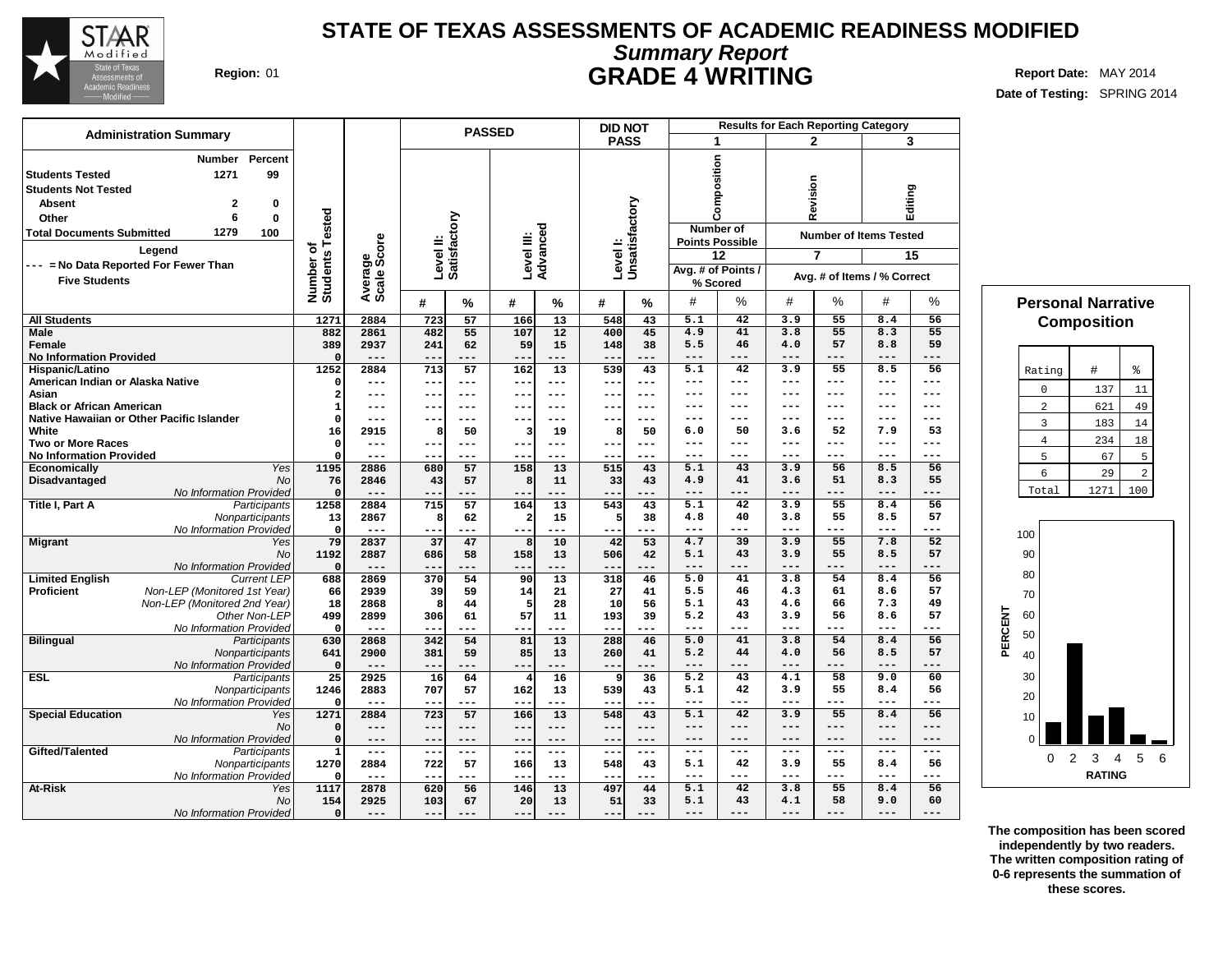

## **Summary Report STATE OF TEXAS ASSESSMENTS OF ACADEMIC READINESS MODIFIED Region:** 01 **GRADE 4 WRITING Report Date:** MAY 2014

**Date of Testing:** SPRING 2014

## **# % # % # % All Students Male Female No Information Provided Hispanic/Latino American Indian or Alaska Native Asian Black or African American Native Hawaiian or Other Pacific Islander White Two or More Races No Information Provided Economically** Yes<br>Disadvantaged Mo **Disadvantaged** No Information Provided **Title I, Part A** Participants Nonparticipants No Information Provided **Migrant** Yes No No Information Provided Limited **English**<br>Proficient **Proficient** Non-LEP (Monitored 1st Year) Non-LEP (Monitored 2nd Year) Other Non-LEP No Information Provided **Bilingual** Participants **Nonparticipants** No Information Provided **ESL** Participants **Nonparticipants** No Information Provided **Special Education** Yes No No Information Provided **Gifted/Talented** Participants Nonparticipants No Information Provided **At-Risk** No No Information Provided **Administration Summary PASSED Number Percent Students Tested 1271 99 Students Not Tested Absent 2 0 Other 6 0 Total Documents Submitted 1279 100 DID NOT PASS Number of Students Tested Average Scale Score Level II: Satisfactory Level III: Advanced Level I: Unsatisfactory Legend --- = No Data Reported For Fewer Than Five Students 1271 2884 723 57 166 13 548 43 882 2861 482 55 107 12 400 45 389 2937 241 62 59 15 148 38 0 --- --- --- --- --- --- --- 1252 2884 713 57 162 13 539 43 0 --- --- --- --- --- --- --- 2 --- --- --- --- --- --- --- 1 --- --- --- --- --- --- --- 0 --- --- --- --- --- --- --- 16 2915 8 50 3 19 8 50 0 --- --- --- --- --- --- --- 0 --- --- --- --- --- --- --- 1195 2886 680 57 158 13 515 43 76 2846 43 57 8 11 33 43 0 --- --- --- --- --- --- --- 1258 2884 715 57 164 13 543 43 13 2867 8 62 2 15 5 38 0 --- --- --- --- --- --- --- 79 2837 37 47 8 10 42 53 1192 2887 686 58 158 13 506 42 0 --- --- --- --- --- --- --- 688 2869 370 54 90 13 318 46 66 2939 39 59 14 21 27 41 18 2868 8 44 5 28 10 56 499 2899 306 61 57 11 193 39 0 --- --- --- --- --- --- --- 630 2868 342 54 81 13 288 46 641 2900 381 59 85 13 260 41 0 --- --- --- --- --- --- --- 25 2925 16 64 4 16 9 36 1246 2883 707 57 162 13 539 43 0 --- --- --- --- --- --- --- 1271 2884 723 57 166 13 548 43 0 --- --- --- --- --- --- --- 0 --- --- --- --- --- --- --- 1 --- --- --- --- --- --- --- 1270 2884 722 57 166 13 548 43 0 --- --- --- --- --- --- --- 1117 2878 620 56 146 13 497 44 154 2925 103 67 20 13 51 33 0 --- --- --- --- --- --- --- Results for Each Reporting Category 1 2 3 Composition Revision Editing Number of Points Possible Number of Items Tested 12 7 15 Avg. # of Points / % Scored Avg. # of Items / % Correct** # % # % # % **5.1 42 3.9 55 8.4 56 4.9 41 3.8 55 8.3 55 5.5 46 4.0 57 8.8 59 --- --- --- --- --- --- 5.1 42 3.9 55 8.5 56 --- --- --- --- --- --- --- --- --- --- --- --- --- --- --- --- --- --- --- --- --- --- --- --- 6.0 50 3.6 52 7.9 53 --- --- --- --- --- --- --- --- --- --- --- --- 5.1 43 3.9 56 8.5 56 4.9 41 3.6 51 8.3 55 --- --- --- --- --- --- 5.1 42 3.9 55 8.4 56 4.8 40 3.8 55 8.5 57 --- --- --- --- --- --- 4.7 39 3.9 55 7.8 52 5.1 43 3.9 55 8.5 57 --- --- --- --- --- --- 5.0 41 3.8 54 8.4 56 5.5 46 4.3 61 8.6 57 5.1 43 4.6 66 7.3 49 5.2 43 3.9 56 8.6 57 --- --- --- --- --- --- 5.0 41 3.8 54 8.4 56 5.2 44 4.0 56 8.5 57 --- --- --- --- --- --- 5.2 43 4.1 58 9.0 60 5.1 42 3.9 55 8.4 56 --- --- --- --- --- --- 5.1 42 3.9 55 8.4 56 --- --- --- --- --- --- --- --- --- --- --- --- --- --- --- --- --- --- 5.1 42 3.9 55 8.4 56 --- --- --- --- --- --- 5.1 42 3.8 55 8.4 56 5.1 43 4.1 58 9.0 60 --- --- --- --- --- --- Personal Narrative Composition** Rating  $|$  #  $|$  %  $0 \quad 137 \quad 11$ 2 621 49 3 183 14 4 234 18  $5 \mid 67 \mid 5$ 6 29 2 Total 1271 100 **PERCENT** 100 90 80 70 60 50 40 30 20 10  $\overline{O}$  | | 0 2 3 4 5 6

**The composition has been scored independently by two readers. The written composition rating of 0-6 represents the summation of these scores.**

**RATING**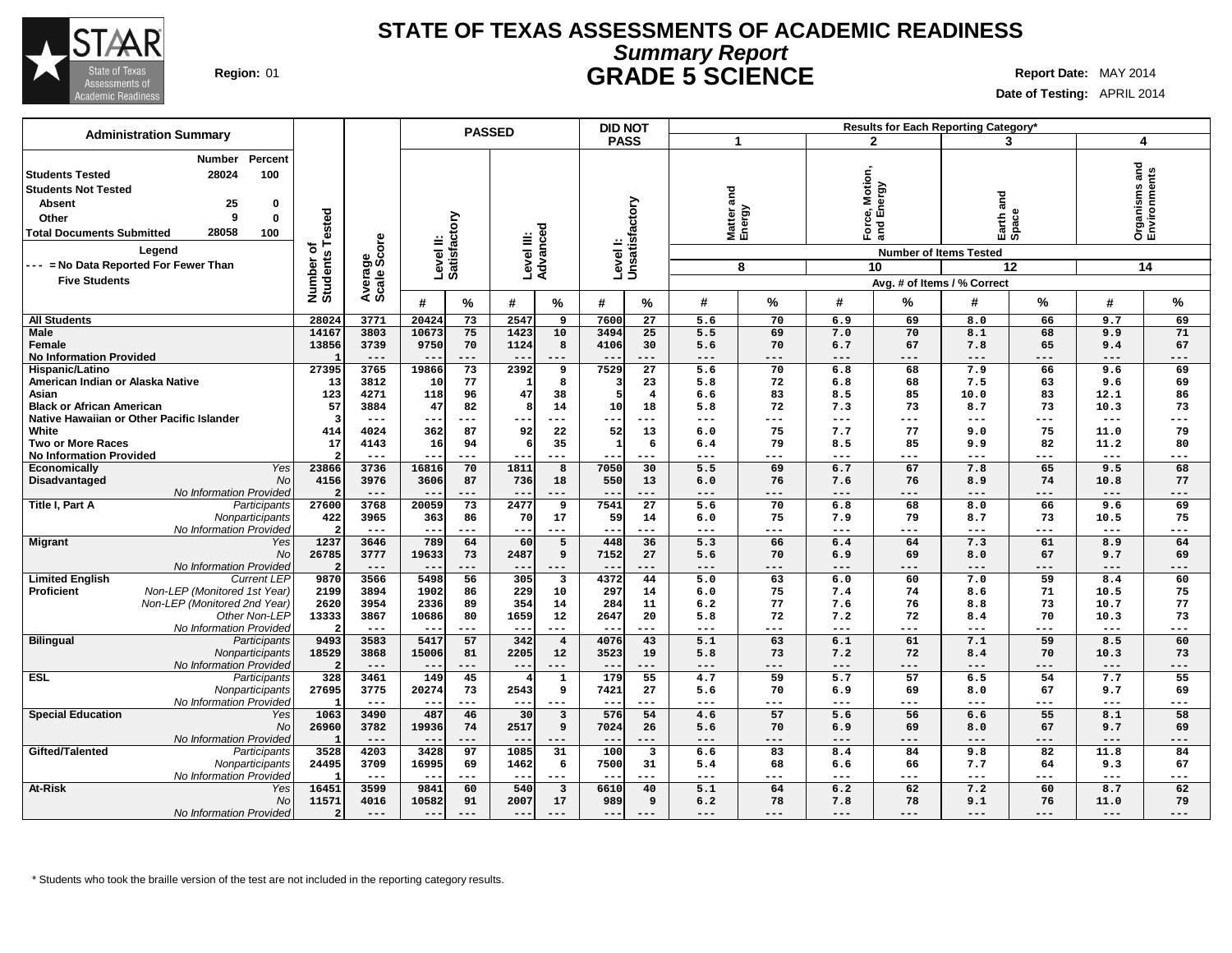

## **Summary Report STATE OF TEXAS ASSESSMENTS OF ACADEMIC READINESS Region:** 01 **GRADE 5 SCIENCE Report Date:** MAY 2014

**Date of Testing:** APRIL 2014

| <b>Administration Summary</b>                                                                                                                                                                          |                              |                     |                           | <b>PASSED</b> |                        |                           | <b>DID NOT</b>           |                           |                     |                    |                             |                                             | Results for Each Reporting Category* |                     |                     |                               |
|--------------------------------------------------------------------------------------------------------------------------------------------------------------------------------------------------------|------------------------------|---------------------|---------------------------|---------------|------------------------|---------------------------|--------------------------|---------------------------|---------------------|--------------------|-----------------------------|---------------------------------------------|--------------------------------------|---------------------|---------------------|-------------------------------|
|                                                                                                                                                                                                        |                              |                     |                           |               |                        |                           | <b>PASS</b>              |                           | 1                   |                    |                             | $\mathbf{2}$                                | 3                                    |                     |                     | 4                             |
| Percent<br>Number<br>28024<br>100<br><b>Students Tested</b><br><b>Students Not Tested</b><br>25<br><b>Absent</b><br>0<br>9<br>0<br>Other<br>28058<br>100<br><b>Total Documents Submitted</b><br>Legend | Number of<br>Students Tested | ge<br>Score         | Level II:<br>Satisfactory |               | Level III:<br>Advanced |                           |                          | Levell:<br>Unsatisfactory | and                 | Matter a<br>Energy | Motior<br>ல்<br>Ford<br>and | VGLak<br>面<br><b>Number of Items Tested</b> | and<br>Earth <sub>e</sub>            |                     |                     | Organisms and<br>Environments |
| --- = No Data Reported For Fewer Than                                                                                                                                                                  |                              |                     |                           |               |                        |                           |                          |                           |                     | 8                  |                             | 10                                          |                                      | 12                  |                     | 14                            |
| <b>Five Students</b>                                                                                                                                                                                   |                              |                     |                           |               |                        |                           |                          |                           |                     |                    |                             |                                             | Avg. # of Items / % Correct          |                     |                     |                               |
|                                                                                                                                                                                                        |                              | Averag<br>Scale:    | #                         | %             | #                      | %                         | #                        | %                         | #                   | %                  | #                           | %                                           | #                                    | %                   | #                   | %                             |
|                                                                                                                                                                                                        |                              |                     |                           |               |                        |                           |                          |                           |                     |                    |                             |                                             |                                      |                     |                     |                               |
| <b>All Students</b>                                                                                                                                                                                    | 28024                        | 3771                | 20424                     | 73            | 2547                   | 9                         | 7600                     | 27                        | 5.6                 | 70                 | 6.9                         | 69                                          | 8.0                                  | 66                  | 9.7                 | 69                            |
| Male<br>Female                                                                                                                                                                                         | 14167<br>13856               | 3803<br>3739        | 10673<br>9750             | 75<br>70      | 1423<br>1124           | 10<br>8                   | 3494<br>4106             | 25<br>30                  | 5.5<br>5.6          | 69<br>70           | 7.0<br>6.7                  | 70<br>67                                    | 8.1<br>7.8                           | 68<br>65            | 9.9<br>9.4          | 71<br>67                      |
| <b>No Information Provided</b>                                                                                                                                                                         |                              | $---$               | $\qquad \qquad -$         | ---           | $--$                   | $---$                     | $\overline{\phantom{m}}$ | ---                       | $---$               | ---                | ---                         | $---$                                       | $---$                                | $---$               | $---$               | ---                           |
| Hispanic/Latino                                                                                                                                                                                        | 27395                        | 3765                | 19866                     | 73            | 2392                   | 9                         | 7529                     | $\overline{27}$           | 5.6                 | 70                 | 6.8                         | 68                                          | 7.9                                  | 66                  | 9.6                 | 69                            |
| American Indian or Alaska Native                                                                                                                                                                       | 13                           | 3812                | 10                        | 77            | - 1                    | 8                         |                          | 23                        | 5.8                 | 72                 | 6.8                         | 68                                          | 7.5                                  | 63                  | 9.6                 | 69                            |
| Asian                                                                                                                                                                                                  | 123                          | 4271                | 118                       | 96            | 47                     | 38                        |                          | $\overline{4}$            | 6.6                 | 83                 | 8.5                         | 85                                          | 10.0                                 | 83                  | 12.1                | 86                            |
| <b>Black or African American</b>                                                                                                                                                                       | 57                           | 3884                | 47                        | 82            | -8                     | 14                        | 10                       | 18                        | 5.8                 | 72                 | 7.3                         | 73                                          | 8.7                                  | 73                  | 10.3                | 73                            |
| Native Hawaiian or Other Pacific Islander                                                                                                                                                              | - 3                          | ---                 | --                        | ---           | --                     | $---$                     | $--$                     | ---                       | ---                 | ---                | $---$                       | ---                                         | $---$                                | $---$               | $--$                | ---                           |
| White                                                                                                                                                                                                  | 414                          | 4024                | 362                       | 87            | 92                     | 22                        | 52                       | 13                        | 6.0                 | 75                 | 7.7                         | 77                                          | 9.0                                  | 75                  | 11.0                | 79                            |
| <b>Two or More Races</b>                                                                                                                                                                               | 17                           | 4143                | 16                        | 94            | -6                     | 35                        | $\overline{1}$           | 6                         | 6.4                 | 79                 | 8.5                         | 85                                          | 9.9                                  | 82                  | 11.2                | 80                            |
| <b>No Information Provided</b>                                                                                                                                                                         |                              | $---$               |                           | ---           |                        | $--$                      |                          |                           | ---                 | ---                | ---                         | ---                                         | $---$                                | $\qquad \qquad - -$ | $---$               | ---                           |
| <b>Yes</b><br>Economically                                                                                                                                                                             | 23866                        | 3736                | 16816                     | 70            | 1811                   | 8                         | 7050                     | 30                        | 5.5                 | 69                 | 6.7                         | 67                                          | 7.8                                  | 65                  | 9.5                 | 68                            |
| <b>No</b><br>Disadvantaged                                                                                                                                                                             | 4156                         | 3976                | 3606                      | 87            | 736                    | 18                        | 550                      | 13                        | 6.0                 | 76                 | 7.6                         | 76                                          | 8.9                                  | 74                  | 10.8                | 77                            |
| No Information Provided                                                                                                                                                                                |                              | $---$               |                           | ---           | --                     |                           |                          | ---                       | ---                 | ---                | ---                         | ---                                         | $---$                                | ---                 | ---                 | ---                           |
| Title I, Part A<br>Participants                                                                                                                                                                        | 27600                        | 3768                | 20059                     | 73            | 2477                   | 9                         | 7541                     | $\overline{27}$           | 5.6                 | 70                 | 6.8                         | 68                                          | 8.0                                  | 66                  | 9.6                 | 69                            |
| Nonparticipants                                                                                                                                                                                        | 422                          | 3965                | 363                       | 86            | 70                     | 17                        | 59                       | 14                        | 6.0                 | 75                 | 7.9                         | 79                                          | 8.7                                  | 73                  | 10.5                | 75                            |
| No Information Provided                                                                                                                                                                                |                              | $\qquad \qquad - -$ | $- -$                     | ---           | ---                    | $---$                     | $\overline{\phantom{m}}$ | ---                       | $\qquad \qquad - -$ | ---                | $\qquad \qquad - -$         | $---$                                       | $- -$                                | $---$               | $\qquad \qquad - -$ | ---                           |
| <b>Migrant</b><br>Yes                                                                                                                                                                                  | 1237                         | 3646                | 789                       | 64            | 60                     | 5                         | 448                      | 36                        | 5.3                 | 66                 | 6.4                         | 64                                          | 7.3                                  | 61                  | 8.9                 | 64                            |
| <b>No</b>                                                                                                                                                                                              | 26785                        | 3777                | 19633                     | 73            | 2487                   | 9                         | 7152                     | 27                        | 5.6                 | 70                 | 6.9                         | 69                                          | 8.0                                  | 67                  | 9.7                 | 69                            |
| No Information Provided                                                                                                                                                                                |                              | $---$               | $---$                     | ---           | $- -$                  | $---$                     | $- -$                    | ---                       | $---$               | ---                | ---                         | $---$                                       | $---$                                | $---$               | $---$               | ---                           |
| <b>Limited English</b><br><b>Current LEP</b>                                                                                                                                                           | 9870                         | 3566                | 5498                      | 56            | 305                    | $\overline{\mathbf{3}}$   | 4372                     | 44                        | 5.0                 | 63                 | 6.0                         | 60                                          | 7.0                                  | 59                  | 8.4                 | 60                            |
| Non-LEP (Monitored 1st Year)<br><b>Proficient</b>                                                                                                                                                      | 2199                         | 3894                | 1902                      | 86            | 229                    | 10                        | 297                      | 14                        | 6.0                 | 75                 | 7.4                         | 74                                          | 8.6                                  | 71                  | 10.5                | 75                            |
| Non-LEP (Monitored 2nd Year)                                                                                                                                                                           | 2620                         | 3954                | 2336                      | 89            | 354                    | 14                        | 284                      | 11                        | 6.2                 | 77                 | 7.6                         | 76                                          | 8.8                                  | 73                  | 10.7                | 77                            |
| Other Non-LEP<br>No Information Provided                                                                                                                                                               | 13333                        | 3867<br>$---$       | 10686<br>$ -$             | 80<br>---     | 1659<br>$- -$          | 12<br>$\qquad \qquad - -$ | 2647<br>$-$              | 20<br>---                 | 5.8<br>$---$        | 72<br>---          | 7.2<br>$---$                | 72<br>$---$                                 | 8.4<br>$---$                         | 70<br>$---$         | 10.3<br>$---$       | 73<br>---                     |
| <b>Bilingual</b><br>Participants                                                                                                                                                                       | 9493                         | 3583                | 5417                      | 57            | 342                    | $\overline{4}$            | 4076                     | 43                        | 5.1                 | 63                 | 6.1                         | 61                                          | 7.1                                  | 59                  | 8.5                 | 60                            |
| Nonparticipants                                                                                                                                                                                        | 18529                        | 3868                | 15006                     | 81            | 2205                   | 12                        | 3523                     | 19                        | 5.8                 | 73                 | 7.2                         | 72                                          | 8.4                                  | 70                  | 10.3                | 73                            |
| No Information Provided                                                                                                                                                                                |                              | $---$               | $- -$                     | ---           | $---$                  | $---$                     | $- -$                    | ---                       | $---$               | ---                | $---$                       | $---$                                       | $---$                                | $---$               | $---$               | ---                           |
| <b>ESL</b><br>Participants                                                                                                                                                                             | 328                          | 3461                | 149                       | 45            | 4                      | $\mathbf{1}$              | 179                      | 55                        | 4.7                 | 59                 | $\overline{5.7}$            | 57                                          | 6.5                                  | 54                  | 7.7                 | 55                            |
| Nonparticipants                                                                                                                                                                                        | 27695                        | 3775                | 20274                     | 73            | 2543                   | 9                         | 7421                     | 27                        | 5.6                 | 70                 | 6.9                         | 69                                          | 8.0                                  | 67                  | 9.7                 | 69                            |
| No Information Provided                                                                                                                                                                                |                              | $- - -$             | $- -$                     | ---           | $- - -$                | $\qquad \qquad - -$       | $ -$                     | ---                       | $---$               | ---                | $- - -$                     | $---$                                       | $---$                                | $- - -$             | $\frac{1}{2}$       | ---                           |
| <b>Special Education</b><br>Yes                                                                                                                                                                        | 1063                         | 3490                | 487                       | 46            | 30                     | $\overline{3}$            | 576                      | 54                        | 4.6                 | 57                 | 5.6                         | 56                                          | 6.6                                  | 55                  | 8.1                 | 58                            |
| <b>No</b>                                                                                                                                                                                              | 26960                        | 3782                | 19936                     | 74            | 2517                   | 9                         | 7024                     | 26                        | 5.6                 | 70                 | 6.9                         | 69                                          | 8.0                                  | 67                  | 9.7                 | 69                            |
| No Information Provided                                                                                                                                                                                |                              | $---$               | $---$                     | ---           | $- -$                  | $---$                     | $- -$                    | ---                       | $---$               | ---                | $---$                       | $---$                                       | $---$                                | $---$               | $- - -$             | ---                           |
| Gifted/Talented<br>Participants                                                                                                                                                                        | 3528                         | 4203                | 3428                      | 97            | 1085                   | 31                        | 100                      | $\overline{\mathbf{3}}$   | 6.6                 | 83                 | 8.4                         | 84                                          | 9.8                                  | 82                  | 11.8                | 84                            |
| Nonparticipants                                                                                                                                                                                        | 24495                        | 3709                | 16995                     | 69            | 1462                   | 6                         | 7500                     | 31                        | 5.4                 | 68                 | 6.6                         | 66                                          | 7.7                                  | 64                  | 9.3                 | 67                            |
| No Information Provided                                                                                                                                                                                |                              | $---$               | $- -$                     | ---           | $--$                   | $\qquad \qquad - -$       | $- -$                    | ---                       | ---                 | ---                | ---                         | ---                                         | $---$                                | $---$               | $\qquad \qquad - -$ | ---                           |
| At-Risk<br>Yes                                                                                                                                                                                         | 16451                        | 3599                | 9841                      | 60            | 540                    | $\overline{\mathbf{3}}$   | 6610                     | 40                        | 5.1                 | 64                 | 6.2                         | 62                                          | 7.2                                  | 60                  | 8.7                 | 62                            |
| <b>No</b>                                                                                                                                                                                              | 11571                        | 4016                | 10582                     | 91            | 2007                   | 17                        | 989                      | 9                         | 6.2                 | 78                 | 7.8                         | 78                                          | 9.1                                  | 76                  | 11.0                | 79                            |
| <b>No Information Provided</b>                                                                                                                                                                         |                              | $---$               | $---$                     | ---           | $---$                  | $---$                     | $- -$                    |                           | ---                 |                    | ---                         | ---                                         | $---$                                | $---$               | $---$               | ---                           |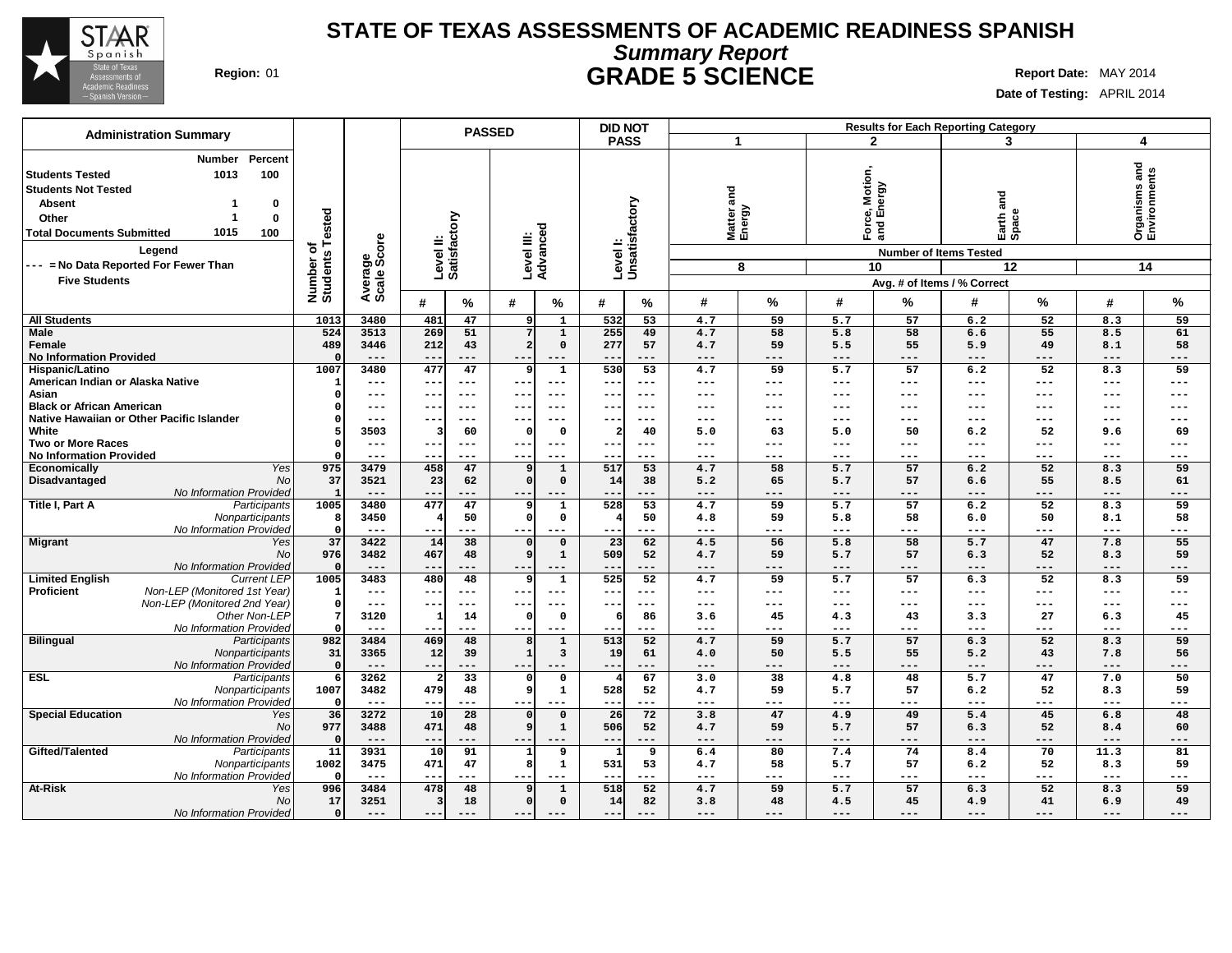

# **Summary Report STATE OF TEXAS ASSESSMENTS OF ACADEMIC READINESS SPANISH Region:** 01 **GRADE 5 SCIENCE Report Date:** MAY 2014

| <b>Administration Summary</b>                                     |                              |                  |                                      | <b>PASSED</b>                              | <b>DID NOT</b>                |                    |            |                 |                | <b>Results for Each Reporting Category</b> |                |                                       |            |
|-------------------------------------------------------------------|------------------------------|------------------|--------------------------------------|--------------------------------------------|-------------------------------|--------------------|------------|-----------------|----------------|--------------------------------------------|----------------|---------------------------------------|------------|
|                                                                   |                              |                  |                                      |                                            | <b>PASS</b>                   | 1                  |            | $\mathbf{2}$    |                | 3                                          |                | 4                                     |            |
| Percent<br><b>Number</b><br>1013<br>100<br><b>Students Tested</b> |                              |                  |                                      |                                            |                               |                    |            |                 |                |                                            |                | <b>Organisms and<br/>Environments</b> |            |
| <b>Students Not Tested</b>                                        |                              |                  |                                      |                                            |                               |                    |            | Motior<br>nergy |                |                                            |                |                                       |            |
| <b>Absent</b><br>0<br>1                                           |                              |                  |                                      |                                            |                               | and                |            |                 |                | and                                        |                |                                       |            |
|                                                                   |                              |                  |                                      |                                            |                               |                    |            | o,<br>面         |                |                                            |                |                                       |            |
| Other<br>1<br>0                                                   |                              |                  |                                      |                                            |                               |                    |            |                 |                | Earth a<br>Space                           |                |                                       |            |
| 1015<br><b>Total Documents Submitted</b><br>100                   |                              |                  |                                      |                                            |                               | Matter a<br>Energy |            | -pc<br>and      |                |                                            |                |                                       |            |
| Legend<br>--- = No Data Reported For Fewer Than                   | Number of<br>Students Tested | ge<br>Score      | Level II:<br>Satisfactory            | Advanced<br>Level III:                     | Level I:<br>Unsatisfactory    |                    |            |                 |                | <b>Number of Items Tested</b>              |                |                                       |            |
|                                                                   |                              |                  |                                      |                                            |                               | 8                  |            | 10              |                |                                            | 12             |                                       | 14         |
| <b>Five Students</b>                                              |                              | Average<br>Scale |                                      |                                            |                               |                    |            |                 |                | Avg. # of Items / % Correct                |                |                                       |            |
|                                                                   |                              |                  | ℅<br>#                               | #<br>%                                     | #<br>℅                        | #                  | %          | #               | %              | #                                          | %              | #                                     | $\%$       |
| <b>All Students</b>                                               | 1013                         | 3480             | 47<br>481                            | 9<br>$\mathbf{1}$                          | 532<br>53                     | 4.7                | 59         | 5.7             | 57             | 6.2                                        | 52             | 8.3                                   | 59         |
| Male                                                              | 524                          | 3513             | 269<br>51                            | 7<br>$\mathbf{1}$                          | 255<br>49                     | 4.7                | 58         | 5.8             | 58             | 6.6                                        | 55             | 8.5                                   | 61         |
| Female                                                            | 489                          | 3446             | 212<br>43                            | $\overline{2}$<br>$\mathbf 0$              | 277<br>57                     | 4.7                | 59         | 5.5             | 55             | 5.9                                        | 49             | 8.1                                   | 58         |
| <b>No Information Provided</b>                                    | - 0                          | $---$            | $--$<br>---                          | ---<br>$---$                               | $\qquad \qquad -$<br>---      | $---$              | ---        | ---             | $---$          | $---$                                      | $---$          | $---$                                 | ---        |
| Hispanic/Latino                                                   | 1007                         | 3480             | 477<br>47                            | $\mathbf{1}$<br>S                          | 530<br>$\overline{53}$        | 4.7                | 59         | 5.7             | 57             | 6.2                                        | 52             | 8.3                                   | 59         |
| American Indian or Alaska Native                                  | - 1                          | $---$            | $\overline{\phantom{m}}$<br>---      | ---<br>$---$                               | $\qquad \qquad -$<br>---      | $---$              | ---        | ---             | $---$          | $---$                                      | $---$          | $---$                                 | ---        |
| Asian<br><b>Black or African American</b>                         | O                            | $---$            | ---<br>$\overline{\phantom{m}}$      | $---$<br>--                                | $- -$<br>---                  | ---<br>---         | ---        | ---<br>---      | $---$          | $---$                                      | $---$          | $---$                                 | ---        |
| Native Hawaiian or Other Pacific Islander                         |                              | $---$<br>$---$   | --<br>---<br>---<br>---              | ---<br>$--$<br>---<br>$---$                | $- -$<br>$--$<br>$- -$<br>--- | $---$              | ---<br>--- | ---             | $---$<br>$---$ | $---$<br>$---$                             | $---$<br>$---$ | $---$<br>$--$                         | ---<br>--- |
| White                                                             | 5                            | 3503             | 60<br>3                              | $\mathbf 0$<br>-C                          | 40                            | 5.0                | 63         | 5.0             | 50             | 6.2                                        | 52             | 9.6                                   | 69         |
| <b>Two or More Races</b>                                          |                              | $---$            | ---<br>$--$                          | $---$<br>--                                | ---<br>$- -$                  | ---                | ---        | $---$           | $---$          | $---$                                      | $---$          | $---$                                 | ---        |
| <b>No Information Provided</b>                                    | -C                           | $---$            | ---<br>$- -$                         | ---                                        | $- -$<br>---                  | $---$              | ---        | ---             | $--$           | $---$                                      | $---$          | $--$                                  | ---        |
| Yes<br>Economically                                               | 975                          | 3479             | 458<br>47                            | 9<br>$\mathbf{1}$                          | 517<br>53                     | 4.7                | 58         | 5.7             | 57             | 6.2                                        | 52             | 8.3                                   | 59         |
| Disadvantaged<br>No                                               | 37                           | 3521             | 23<br>62                             | $\Omega$<br>$\mathbf 0$                    | 14<br>38                      | 5.2                | 65         | 5.7             | 57             | 6.6                                        | 55             | 8.5                                   | 61         |
| No Information Provided                                           | $\mathbf{1}$                 | $---$            | $- -$<br>---                         | ---                                        | ---                           | ---                | ---        | $---$           | $---$          | $---$                                      | $---$          | ---                                   | ---        |
| Title I, Part A<br>Participants                                   | 1005                         | 3480             | 477<br>47                            | 9<br>$\mathbf{1}$                          | 528<br>53                     | 4.7                | 59         | 5.7             | 57             | 6.2                                        | 52             | 8.3                                   | 59         |
| Nonparticipants                                                   | -8                           | 3450             | 50                                   | $\mathfrak{c}$<br>0                        | 50                            | 4.8                | 59         | 5.8             | 58             | 6.0                                        | 50             | 8.1                                   | 58         |
| No Information Provided                                           | $\Omega$                     | $---$            | ---<br>$--$                          | ---<br>$--$                                | ---<br>$\sim$ $\sim$          | ---                | ---        | $---$           | ---            | $---$                                      | $---$          | $---$                                 | ---        |
| <b>Migrant</b><br>Yes                                             | 37                           | 3422             | 14<br>38                             | $\mathbf 0$<br>$\mathfrak{c}$              | 23<br>62                      | 4.5                | 56         | 5.8             | 58             | 5.7                                        | 47             | 7.8                                   | 55         |
| No<br>No Information Provided                                     | 976<br>$\Omega$              | 3482<br>$---$    | 467<br>48<br>--<br>---               | 9<br>1<br>$--$<br>$---$                    | 509<br>52<br>---              | 4.7<br>$---$       | 59<br>---  | 5.7<br>---      | 57<br>$---$    | 6.3<br>$---$                               | 52<br>$---$    | 8.3<br>$---$                          | 59<br>---  |
| <b>Limited English</b><br><b>Current LEP</b>                      | 1005                         | 3483             | 48<br>480                            | $\mathbf{1}$<br>-9                         | 525<br>52                     | 4.7                | 59         | 5.7             | 57             | 6.3                                        | 52             | 8.3                                   | 59         |
| Non-LEP (Monitored 1st Year)<br><b>Proficient</b>                 | -1                           | $---$            | ---<br>$- -$                         | ---<br>$---$                               | $- -$<br>---                  | $---$              | ---        | ---             | $---$          | $---$                                      | $---$          | $---$                                 | ---        |
| Non-LEP (Monitored 2nd Year)                                      | $\Omega$                     | $---$            | ---<br>---                           | $--$<br>$---$                              | $- -$<br>---                  | $---$              | $---$      | $---$           | $---$          | $- -$                                      | $---$          | $---$                                 | ---        |
| Other Non-LEP                                                     | -7                           | 3120             | 14<br>1                              | $\mathbf 0$<br>O                           | 86                            | 3.6                | 45         | 4.3             | 43             | 3.3                                        | 27             | 6.3                                   | 45         |
| No Information Provided                                           | $\Omega$                     | $---$            | ---<br>$- -$                         | --<br>$--$                                 | ---<br>$- -$                  | $---$              | ---        | ---             | $---$          | $---$                                      | $---$          | $---$                                 | ---        |
| <b>Bilingual</b><br>Participants                                  | 982                          | 3484             | 469<br>48                            | 8<br>$\mathbf{1}$                          | 513<br>52                     | 4.7                | 59         | 5.7             | 57             | 6.3                                        | 52             | 8.3                                   | 59         |
| Nonparticipants                                                   | 31                           | 3365             | 12<br>39                             | $\mathbf{1}$<br>3                          | 19<br>61                      | 4.0                | 50         | 5.5             | 55             | 5.2                                        | 43             | 7.8                                   | 56         |
| No Information Provided                                           | - 0                          | $---$            | $\qquad \qquad -$<br>---             | ---<br>$---$                               | ---<br>---                    | $---$              | ---        | $---$           | ---            | $---$                                      | $---$          | $---$                                 | ---        |
| <b>ESL</b><br>Participants                                        | -6                           | 3262             | $\overline{33}$                      | 0<br>C                                     | 67                            | 3.0                | 38         | 4.8             | 48             | 5.7                                        | 47             | 7.0                                   | 50         |
| Nonparticipants<br>No Information Provided                        | 1007                         | 3482<br>$---$    | 479<br>48                            | S<br>1                                     | 528<br>52<br>---              | 4.7                | 59         | 5.7             | 57             | 6.2                                        | 52             | 8.3                                   | 59         |
| <b>Special Education</b><br>Yes                                   | - 0<br>36                    | 3272             | $\qquad \qquad -$<br>---<br>10<br>28 | ---<br>$--$<br>$\mathbf 0$<br>$\mathbf{C}$ | --<br>26<br>72                | $---$<br>3.8       | ---<br>47  | ---<br>4.9      | $---$<br>49    | $---$<br>5.4                               | $---$<br>45    | $---$<br>6.8                          | ---<br>48  |
| No                                                                | 977                          | 3488             | 471<br>48                            | <b>g</b><br>1                              | 506<br>52                     | 4.7                | 59         | 5.7             | 57             | 6.3                                        | 52             | 8.4                                   | 60         |
| No Information Provided                                           | - 0                          | $---$            | $- -$                                | $--$<br>$---$                              | ---<br>$- -$                  | $---$              | ---        | $---$           | $---$          | $\qquad \qquad - -$                        | $---$          | $---$                                 | ---        |
| Gifted/Talented<br>Participants                                   | 11                           | 3931             | 10<br>91                             | 9                                          | 9                             | 6.4                | 80         | 7.4             | 74             | 8.4                                        | 70             | 11.3                                  | 81         |
| Nonparticipants                                                   | 1002                         | 3475             | 47<br>471                            | 8<br>$\mathbf{1}$                          | 531<br>53                     | 4.7                | 58         | 5.7             | 57             | 6.2                                        | 52             | 8.3                                   | 59         |
| No Information Provided                                           | -0                           | $---$            | ---<br>$- -$                         | $- -$<br>$---$                             | ---<br>$\qquad \qquad -$      | $---$              | ---        | $---$           | $---$          | $- -$                                      | $---$          | $---$                                 | ---        |
| <b>At-Risk</b><br>Yes                                             | 996                          | 3484             | 478<br>48                            | $\mathbf{1}$<br>g                          | 518<br>52                     | 4.7                | 59         | 5.7             | 57             | 6.3                                        | 52             | 8.3                                   | 59         |
| No                                                                | 17                           | 3251             | 18<br>3                              | $\mathbf{C}$<br>$\Omega$                   | 14<br>82                      | 3.8                | 48         | 4.5             | 45             | 4.9                                        | 41             | 6.9                                   | 49         |
| No Information Provided                                           | $\mathbf{o}$                 | $---$            | $---$<br>---                         | $---$<br>$---$                             | ---<br>$---$                  | $---$              | $---$      | $---$           | $---$          | $---$                                      | $---$          | $---$                                 | ---        |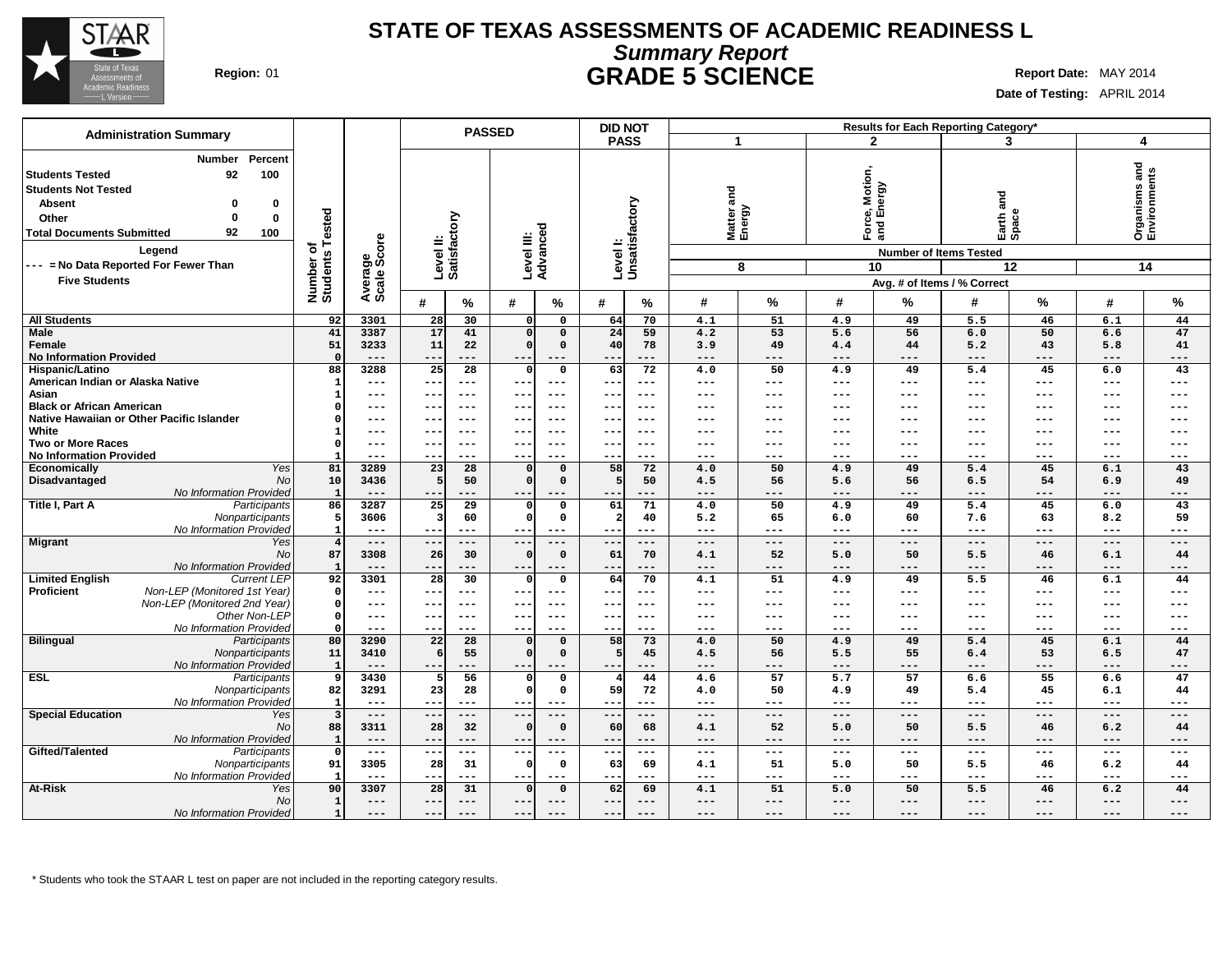

## **Summary Report STATE OF TEXAS ASSESSMENTS OF ACADEMIC READINESS L Region:** 01 **GRADE 5 SCIENCE Report Date:** MAY 2014

**Date of Testing:** APRIL 2014

|                                                                                                                                                                                                                                                                              |                              |                        | <b>PASSED</b>              |                                                       | <b>DID NOT</b>                  |                                |                                                                            | Results for Each Reporting Category*                           |                                     |
|------------------------------------------------------------------------------------------------------------------------------------------------------------------------------------------------------------------------------------------------------------------------------|------------------------------|------------------------|----------------------------|-------------------------------------------------------|---------------------------------|--------------------------------|----------------------------------------------------------------------------|----------------------------------------------------------------|-------------------------------------|
| <b>Administration Summary</b>                                                                                                                                                                                                                                                |                              |                        |                            |                                                       | <b>PASS</b>                     | 1                              | $\mathbf{2}$                                                               | 3                                                              | 4                                   |
| Percent<br><b>Number</b><br>92<br>100<br>Students Tested<br><b>Students Not Tested</b><br><b>Absent</b><br>0<br>$\Omega$<br>$\mathbf 0$<br>Other<br>92<br><b>Total Documents Submitted</b><br>100<br>Legend<br>--- = No Data Reported For Fewer Than<br><b>Five Students</b> | Number of<br>Students Tested | Average<br>Scale Score | Satisfactory<br>Level II:  | Level III:<br>Advanced                                | Levell:<br>Unsatisfactory       | and<br>Matter a<br>Energy<br>8 | Motion,<br>vergy<br>ல் யி<br>군<br>이 등<br>10<br>Avg. # of Items / % Correct | and<br>Earth a<br>Space<br><b>Number of Items Tested</b><br>12 | Organisms and<br>Environments<br>14 |
|                                                                                                                                                                                                                                                                              |                              |                        | #<br>%                     | #<br>%                                                | #<br>$\%$                       | #<br>%                         | #<br>%                                                                     | ℅<br>#                                                         | %<br>#                              |
| <b>All Students</b>                                                                                                                                                                                                                                                          | 92                           | 3301                   | 28<br>30                   | $\Omega$<br>$\mathbf 0$                               | 70<br>64                        | 51<br>4.1                      | 4.9<br>49                                                                  | 5.5<br>46                                                      | 6.1<br>44                           |
| <b>Male</b>                                                                                                                                                                                                                                                                  | 41                           | 3387                   | 17<br>41                   | $\Omega$<br>$\mathbf 0$                               | 24<br>59                        | 4.2<br>53                      | 56<br>5.6                                                                  | 50<br>6.0                                                      | 47<br>6.6                           |
| Female                                                                                                                                                                                                                                                                       | 51                           | 3233                   | 11<br>22                   | $\mathbf 0$<br>$\Omega$                               | 40<br>78                        | 3.9<br>49                      | 44<br>4.4                                                                  | 43<br>5.2                                                      | 41<br>5.8                           |
| <b>No Information Provided</b>                                                                                                                                                                                                                                               | $\Omega$                     | $---$                  | $- -$<br>$---$             | $---$<br>$---$                                        | ---<br>$--$                     | $---$<br>$---$                 | $---$<br>$---$                                                             | $---$<br>$---$                                                 | $\qquad \qquad - -$<br>---          |
| Hispanic/Latino                                                                                                                                                                                                                                                              | 88                           | 3288                   | $\overline{28}$<br>25      | $\Omega$<br>$\mathbf 0$                               | 63<br>72                        | 50<br>4.0                      | 4.9<br>49                                                                  | 5.4<br>45                                                      | 43<br>6.0                           |
| American Indian or Alaska Native                                                                                                                                                                                                                                             | $\mathbf{1}$                 | $---$                  | $- -$<br>$---$             | $- -$<br>$---$                                        | $- -$<br>---                    | ---<br>---                     | ---<br>---                                                                 | $---$<br>$---$                                                 | $---$<br>---                        |
| Asian                                                                                                                                                                                                                                                                        | -1                           | $---$                  | $---$<br>--                | $- -$<br>$---$                                        | ---<br>$\overline{\phantom{m}}$ | ---<br>$---$                   | $---$<br>$---$                                                             | $\qquad \qquad - -$<br>$\qquad \qquad - -$                     | $\qquad \qquad - -$<br>---          |
| <b>Black or African American</b>                                                                                                                                                                                                                                             | O                            | $---$                  | $--$<br>--                 | ---<br>$--$                                           | $- -$<br>---                    | ---<br>---                     | ---<br>---                                                                 | $---$<br>$---$                                                 | ---<br>$-- -$                       |
| Native Hawaiian or Other Pacific Islander                                                                                                                                                                                                                                    | n                            | $---$                  | $- -$<br>$- - -$           | ---<br>$- - -$                                        | $- -$<br>---                    | ---<br>---                     | ---<br>---                                                                 | ---<br>$---$                                                   | $---$<br>---                        |
| White                                                                                                                                                                                                                                                                        | -1                           | $---$                  | --<br>---                  | ---<br>$---$                                          | ---<br>$- -$                    | ---<br>---                     | ---<br>---                                                                 | $---$<br>$---$                                                 | $---$<br>---                        |
| <b>Two or More Races</b>                                                                                                                                                                                                                                                     |                              | $---$                  | $---$<br>$-1$              | $- -$<br>$- -$                                        |                                 | ---                            | ---<br>$---$                                                               | $---$<br>$---$                                                 | ---<br>---                          |
| <b>No Information Provided</b>                                                                                                                                                                                                                                               | $\overline{81}$              | $---$                  | ---<br>--                  | $---$<br>$---$                                        | ---<br>$- -$                    | ---<br>---                     | ---<br>---                                                                 | $---$<br>$---$                                                 | $---$<br>---                        |
| Economically<br>Yes<br>Disadvantaged<br>No                                                                                                                                                                                                                                   | 10                           | 3289<br>3436           | 23<br>28<br>50             | $\mathbf 0$<br>$\mathbf 0$<br>$\mathbf 0$<br>$\Omega$ | 58<br>72<br>50                  | 50<br>4.0<br>4.5<br>56         | 4.9<br>49<br>5.6<br>56                                                     | 5.4<br>45<br>6.5<br>54                                         | 43<br>6.1<br>6.9<br>49              |
| No Information Provided                                                                                                                                                                                                                                                      | $\blacksquare$               |                        | --                         | $--$<br>$---$                                         | ---<br>--                       |                                | ---                                                                        | $---$<br>---                                                   | ---<br>---                          |
| Title I, Part A<br>Participants                                                                                                                                                                                                                                              | 86                           | 3287                   | 29<br>25                   | $\mathsf{o}$<br>$\Omega$                              | 61<br>71                        | 50<br>4.0                      | 49<br>4.9                                                                  | 5.4<br>45                                                      | 43<br>6.0                           |
| Nonparticipants                                                                                                                                                                                                                                                              | 5                            | 3606                   | 60<br>-3                   | $\Omega$<br>$\Omega$                                  | 40                              | 65<br>5.2                      | 60<br>6.0                                                                  | 63<br>7.6                                                      | 59<br>8.2                           |
| No Information Provided                                                                                                                                                                                                                                                      | $\overline{1}$               | $- - -$                | ---<br>$- -$               | $- -$<br>$- - -$                                      | ---                             | ---<br>$- - -$                 | $- - -$<br>---                                                             | $- - -$<br>$---$                                               | $- - -$<br>---                      |
| <b>Migrant</b><br>Yes                                                                                                                                                                                                                                                        | $\overline{4}$               | $---$                  | --<br>$---$                | ---<br>$---$                                          | ---<br>$\overline{\phantom{m}}$ | ---<br>---                     | $---$<br>$---$                                                             | $---$<br>$---$                                                 | $---$<br>---                        |
| No                                                                                                                                                                                                                                                                           | 87                           | 3308                   | 26<br>30                   | $\mathbf 0$<br>$\Omega$                               | 61<br>70                        | 52<br>4.1                      | 50<br>5.0                                                                  | 5.5<br>46                                                      | 44<br>6.1                           |
| No Information Provided                                                                                                                                                                                                                                                      | $\mathbf{1}$                 | $---$                  | --<br>---                  | ---<br>$---$                                          | ---<br>$- -$                    | ---<br>---                     | ---<br>$---$                                                               | $---$<br>$---$                                                 | $---$<br>---                        |
| <b>Current LEP</b><br><b>Limited English</b>                                                                                                                                                                                                                                 | 92                           | 3301                   | 28<br>30                   | $\Omega$<br>$\mathbf 0$                               | 64<br>70                        | 51<br>4.1                      | 4.9<br>49                                                                  | 5.5<br>46                                                      | 44<br>6.1                           |
| Non-LEP (Monitored 1st Year)<br><b>Proficient</b>                                                                                                                                                                                                                            | $\Omega$                     | $\qquad \qquad - -$    | --<br>---                  | $--$<br>$---$                                         | ---<br>$- -$                    | ---<br>---                     | ---<br>---                                                                 | $\qquad \qquad - -$<br>$\qquad \qquad - -$                     | $\qquad \qquad - -$<br>---          |
| Non-LEP (Monitored 2nd Year)                                                                                                                                                                                                                                                 | $\Omega$                     | $\qquad \qquad - -$    | $---$<br>$-1$              | $--$<br>$- - -$                                       | $\qquad \qquad -$<br>$---$      | ---<br>---                     | $---$<br>$---$                                                             | $\qquad \qquad - -$<br>$---$                                   | ---<br>$--$                         |
| Other Non-LEP                                                                                                                                                                                                                                                                | $^{\circ}$                   | $\qquad \qquad -$      | $--$<br>$- -$              | ---<br>$---$                                          | $--$<br>$- -$                   | ---<br>---                     | ---<br>$\qquad \qquad - -$                                                 | $\qquad \qquad - -$<br>$---$                                   | $---$<br>---                        |
| No Information Provided                                                                                                                                                                                                                                                      | $\Omega$                     | $- - -$                | --<br>---                  | ---<br>$- - -$                                        | $- -$<br>---                    | ---<br>---                     | ---<br>---                                                                 | $---$<br>$---$                                                 | $---$<br>---                        |
| <b>Bilingual</b><br>Participants                                                                                                                                                                                                                                             | 80                           | 3290                   | 22<br>28                   | $\Omega$<br>$\Omega$                                  | 58<br>73                        | 50<br>4.0                      | 4.9<br>49                                                                  | 5.4<br>45                                                      | 6.1<br>44                           |
| Nonparticipants                                                                                                                                                                                                                                                              | 11<br>$\mathbf{1}$           | 3410<br>$---$          | 55<br>-6                   | $\Omega$<br>$\Omega$                                  | 45                              | 4.5<br>56<br>---<br>---        | 55<br>5.5<br>---<br>---                                                    | 53<br>6.4<br>$---$                                             | 47<br>6.5<br>---<br>---             |
| No Information Provided<br><b>ESL</b>                                                                                                                                                                                                                                        | q                            | 3430                   | $-$<br>---<br>56           | $- -$<br>$---$<br>$\mathbf{0}$<br>$\Omega$            | ---<br>$- -$<br>44              | 57                             | 57<br>5.7                                                                  | ---<br>6.6<br>55                                               | 47                                  |
| Participants<br>Nonparticipants                                                                                                                                                                                                                                              | 82                           | 3291                   | 23<br>28                   | $\Omega$<br>$\mathbf 0$                               | 59<br>72                        | 4.6<br>4.0<br>50               | 4.9<br>49                                                                  | 5.4<br>45                                                      | 6.6<br>6.1<br>44                    |
| No Information Provided                                                                                                                                                                                                                                                      | $\mathbf{1}$                 | $---$                  | $---$<br>--                | $--$                                                  | $\qquad \qquad -$<br>---        | ---<br>---                     | $---$<br>$---$                                                             | $\qquad \qquad - -$<br>$---$                                   | $\qquad \qquad - -$<br>---          |
| <b>Special Education</b><br>Yes                                                                                                                                                                                                                                              | $\overline{\mathbf{3}}$      | $---$                  | $---$<br>$- -$             | $- - -$<br>$---$                                      | $---$<br>$---$                  | $---$<br>$---$                 | $---$<br>$---$                                                             | $---$<br>$---$                                                 | $\frac{1}{2}$<br>$---$              |
| No                                                                                                                                                                                                                                                                           | 88                           | 3311                   | 32<br>28                   | $\Omega$<br>$\Omega$                                  | 60<br>68                        | 52<br>4.1                      | 50<br>5.0                                                                  | 5.5<br>46                                                      | 44<br>6.2                           |
| No Information Provided                                                                                                                                                                                                                                                      | $\mathbf{1}$                 | $---$                  | $---$<br>$- -$             | $---$<br>$---$                                        | $- - -$<br>$- -$                | $---$<br>---                   | $- - -$<br>$- - -$                                                         | $- - -$<br>$- - -$                                             | $---$<br>---                        |
| Gifted/Talented<br>Participants                                                                                                                                                                                                                                              | $\Omega$                     | $\sim$ $\sim$ $\sim$   | $---$<br>$\qquad \qquad -$ | ---<br>$---$                                          | ---<br>$\overline{\phantom{a}}$ | ---<br>---                     | $\qquad \qquad - -$<br>$\qquad \qquad - -$                                 | $\scriptstyle\cdots\scriptstyle\cdots$<br>$- -$                | $\qquad \qquad - -$<br>---          |
| Nonparticipants                                                                                                                                                                                                                                                              | 91                           | 3305                   | 31<br>28                   | $\mathbf 0$<br>0                                      | 63<br>69                        | 51<br>4.1                      | 50<br>5.0                                                                  | 5.5<br>46                                                      | 6.2<br>44                           |
| No Information Provided                                                                                                                                                                                                                                                      | - 1                          | $\qquad \qquad - -$    | $---$<br>$---$             | $--$<br>$---$                                         | ---<br>$- -$                    | ---<br>$---$                   | $---$<br>$\qquad \qquad - -$                                               | $- -$<br>$\frac{1}{2}$                                         | $- - -$<br>---                      |
| <b>At-Risk</b><br>Yes                                                                                                                                                                                                                                                        | 90                           | 3307                   | 28<br>31                   | $\Omega$<br>$\mathbf 0$                               | 62<br>69                        | 51<br>4.1                      | 5.0<br>50                                                                  | 5.5<br>46                                                      | 44<br>6.2                           |
| <b>No</b>                                                                                                                                                                                                                                                                    | $\mathbf{1}$                 | $---$                  | $---$<br>$- -$             | $---$<br>$---$                                        | ---                             | ---<br>---                     | ---<br>$---$                                                               | $---$<br>$---$                                                 | ---<br>---                          |
| No Information Provided                                                                                                                                                                                                                                                      | $\mathbf{1}$                 | $---$                  | $-$<br>$---$               | $- -$<br>$---$                                        | $---$<br>$- -$                  | ---<br>---                     | ---<br>$---$                                                               | $---$<br>$---$                                                 | ---<br>---                          |

\* Students who took the STAAR L test on paper are not included in the reporting category results.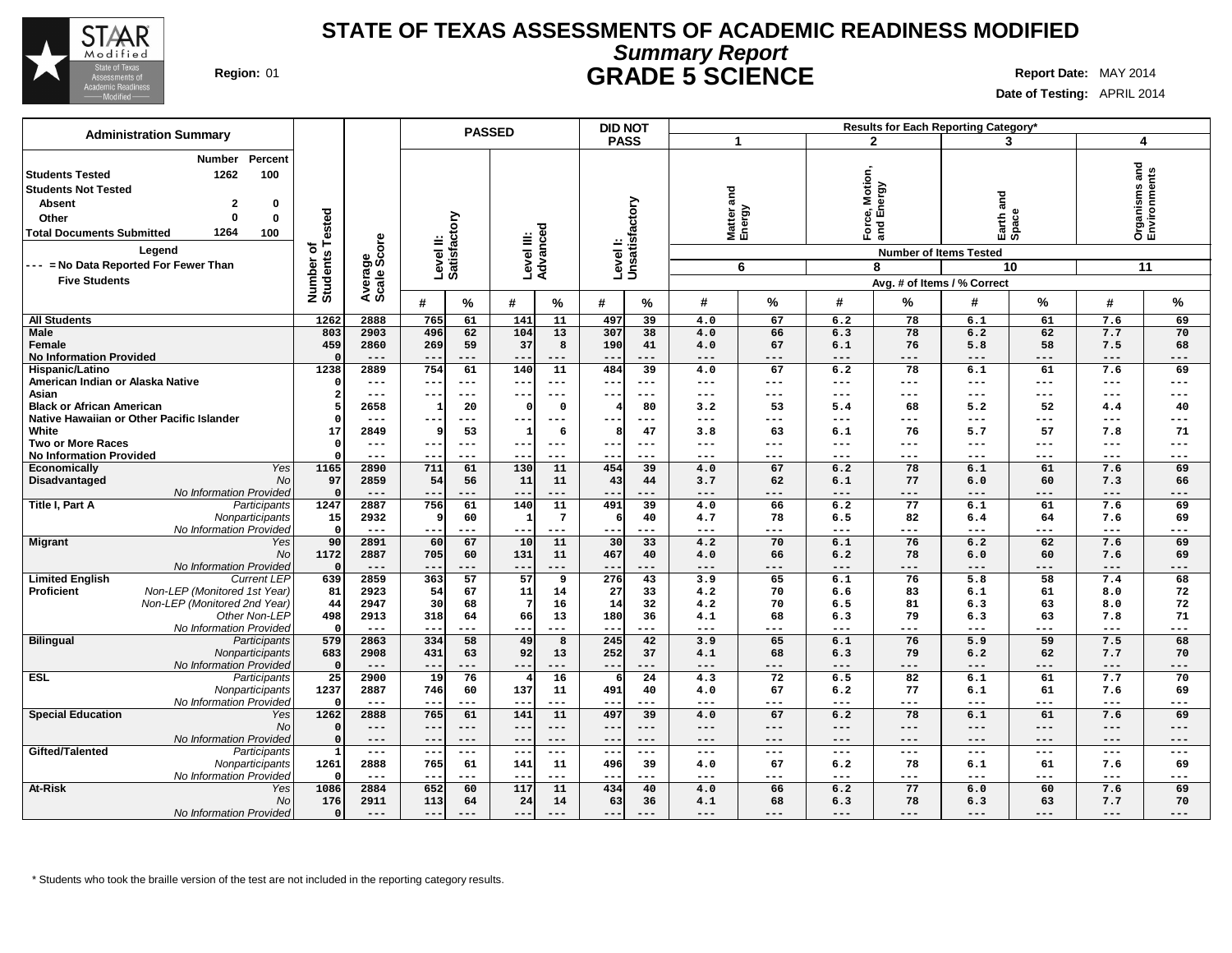

# **Summary Report STATE OF TEXAS ASSESSMENTS OF ACADEMIC READINESS MODIFIED Region:** 01 **GRADE 5 SCIENCE Report Date:** MAY 2014

**Date of Testing:** APRIL 2014

| <b>PASS</b><br>$\mathbf{2}$<br>3<br>4<br>1<br>Percent<br><b>Number</b><br>Organisms and<br>Environments<br>1262<br>100<br><b>Students Tested</b><br>:e, Motior<br>Energy<br><b>Students Not Tested</b><br>and<br><b>Pue</b><br>Levell:<br>Unsatisfactory<br>$\overline{2}$<br><b>Absent</b><br>0<br>Matter a<br>Energy<br>Number of<br>Students Tested<br>Earth <sub>e</sub><br>Level II:<br>Satisfactory<br>$\Omega$<br>$\bf{0}$<br>Other<br>Pord<br>Pord<br>Level III:<br>Advanced<br>1264<br>100<br>Average<br>Scale Score<br>Legend<br><b>Number of Items Tested</b><br>--- = No Data Reported For Fewer Than<br>6<br>8<br>10 <sup>1</sup><br>11<br><b>Five Students</b><br>Avg. # of Items / % Correct<br>%<br>%<br>%<br>#<br>#<br>#<br>#<br>℅<br>#<br>#<br>#<br>℅<br>%<br>℅<br>1262<br>2888<br>11<br>39<br>78<br>6.1<br>61<br>69<br><b>All Students</b><br>765<br>61<br>141<br>497<br>4.0<br>67<br>6.2<br>7.6<br>104<br>13<br>38<br>78<br>62<br>7.7<br><b>Male</b><br>803<br>2903<br>496<br>62<br>307<br>4.0<br>66<br>6.3<br>6.2<br>70<br>459<br>58<br>269<br>59<br>37<br>8<br>190<br>41<br>67<br>76<br>5.8<br>68<br>Female<br>2860<br>4.0<br>6.1<br>7.5<br><b>No Information Provided</b><br>$---$<br>$---$<br>$\frac{1}{2}$<br>$\Omega$<br>---<br>$- -$<br>$---$<br>$- -$<br>---<br>$---$<br>---<br>$---$<br>$---$<br>---<br>$---$<br>$---$<br>1238<br>2889<br>754<br>61<br>$\overline{140}$<br>$\overline{11}$<br>484<br>$\overline{39}$<br>$\overline{78}$<br>61<br>69<br>Hispanic/Latino<br>4.0<br>67<br>6.2<br>6.1<br>7.6<br>American Indian or Alaska Native<br>$\Omega$<br>$---$<br>---<br>---<br>$\qquad \qquad - -$<br>$--$<br>---<br>---<br>---<br>---<br>$---$<br>$\qquad \qquad - -$<br>$\qquad \qquad - -$<br>$\qquad \qquad - -$<br>---<br>$- -$<br>Asian<br>$\overline{2}$<br>$---$<br>---<br>$---$<br>---<br>$---$<br>---<br>$- -$<br>---<br>---<br>---<br>$---$<br>$---$<br>$---$<br>---<br>$- - -$<br><b>Black or African American</b><br>5<br>2658<br>20<br>$\mathsf{o}$<br>80<br>53<br>68<br>5.2<br>52<br>40<br>-C<br>3.2<br>1<br>5.4<br>4.4<br>Native Hawaiian or Other Pacific Islander<br>-C<br>$---$<br>---<br>---<br>$---$<br>$- -$<br>---<br>---<br>---<br>$---$<br>$---$<br>$---$<br>$--$<br>---<br>---<br>---<br>White<br>47<br>57<br>71<br>17<br>2849<br>53<br>$\mathbf{1}$<br>6<br>63<br>76<br>9<br>3.8<br>6.1<br>5.7<br>7.8<br>8<br><b>Two or More Races</b><br>$\Omega$<br>$---$<br>---<br>$- - -$<br>$---$<br>$---$<br>---<br>---<br>$---$<br>$---$<br>$---$<br>---<br>---<br>$\sim$ $\sim$<br>$---$<br>$- -$<br><b>No Information Provided</b><br>$\Omega$<br>$---$<br>---<br>$--$<br>---<br>$- - -$<br>$\qquad \qquad - -$<br>$---$<br>---<br>$- -$<br>$---$<br>$- -$<br>$---$<br>$- - -$<br>$---$<br>$---$<br><b>Yes</b><br>1165<br>$\overline{130}$<br>454<br>2890<br>711<br>61<br>11<br>39<br>4.0<br>67<br>6.2<br>78<br>6.1<br>61<br>7.6<br>69<br>Economically<br>97<br><b>No</b><br>2859<br>56<br>11<br>11<br>43<br>3.7<br>62<br>77<br>60<br>66<br>Disadvantaged<br>54<br>44<br>6.1<br>6.0<br>7.3<br>No Information Provided<br>$\Omega$<br>$---$<br>$- -$<br>$---$<br>$---$<br>$---$<br>$---$<br>$---$<br>$---$<br>---<br>$---$<br>$- -$<br>---<br>---<br>---<br>$---$<br>Participants<br>1247<br>2887<br>756<br>140<br>11<br>491<br>39<br>77<br>61<br>4.0<br>66<br>6.2<br>6.1<br>61<br>7.6<br>69<br>$7\overline{ }$<br>82<br>Nonparticipants<br>15<br>2932<br>60<br>40<br>78<br>6.5<br>64<br>7.6<br>69<br>9<br>$\mathbf{1}$<br>4.7<br>6.4<br>-6<br>No Information Provided<br>$\mathsf{C}$<br>$\frac{1}{2}$<br>---<br>---<br>$\frac{1}{2}$<br>---<br>---<br>$- -$<br>---<br>$- -$<br>---<br>$---$<br>---<br>$---$<br>$---$<br>---<br>90<br>10<br>11<br>30<br>76<br>2891<br>60<br>67<br>33<br>4.2<br>70<br>6.1<br>6.2<br>62<br>7.6<br>69<br>Yes<br>1172<br>131<br>11<br>78<br>No<br>2887<br>705<br>60<br>467<br>40<br>4.0<br>66<br>6.2<br>6.0<br>60<br>7.6<br>69<br>No Information Provided<br>$\mathfrak{a}$<br>$---$<br>$---$<br>$---$<br>---<br>---<br>---<br>$--$<br>---<br>$---$<br>---<br>---<br>$---$<br>$---$<br>---<br>$--$<br>2859<br>57<br>57<br>276<br>43<br>76<br>5.8<br>58<br>7.4<br>68<br><b>Limited English</b><br><b>Current LEP</b><br>639<br>363<br>9<br>3.9<br>65<br>6.1<br>Proficient<br>Non-LEP (Monitored 1st Year)<br>81<br>2923<br>11<br>27<br>70<br>83<br>61<br>72<br>54<br>67<br>14<br>33<br>4.2<br>6.6<br>6.1<br>8.0<br>Non-LEP (Monitored 2nd Year)<br>44<br>2947<br>30<br>68<br>7<br>16<br>14<br>32<br>4.2<br>70<br>6.5<br>81<br>6.3<br>63<br>8.0<br>72<br>Other Non-LEP<br>180<br>71<br>498<br>2913<br>318<br>64<br>66<br>13<br>36<br>68<br>79<br>63<br>4.1<br>6.3<br>6.3<br>7.8<br>No Information Provided<br>- 0<br>$---$<br>$---$<br>$\qquad \qquad - -$<br>$---$<br>$---$<br>$\qquad \qquad - -$<br>$\qquad \qquad - -$<br>---<br>$\overline{\phantom{m}}$<br>---<br>$- -$<br>---<br>$---$<br>---<br>$---$<br>245<br><b>Bilingual</b><br>579<br>2863<br>334<br>58<br>49<br>8<br>42<br>3.9<br>65<br>6.1<br>76<br>5.9<br>59<br>7.5<br>68<br>Participants<br>92<br>683<br>2908<br>431<br>63<br>13<br>252<br>37<br>4.1<br>68<br>6.3<br>79<br>6.2<br>62<br>7.7<br>70<br>Nonparticipants<br>No Information Provided<br>$\Omega$<br>$---$<br>$---$<br>---<br>$- -$<br>$---$<br>$---$<br>---<br>---<br>---<br>---<br>$---$<br>$---$<br>---<br>---<br>$- -$<br>16<br>$\overline{82}$<br>61<br>$\overline{25}$<br>2900<br>$\overline{19}$<br>76<br>$\overline{24}$<br>$\overline{72}$<br>7.7<br>70<br>Participants<br>4.3<br>6.5<br>6.1<br>$\overline{4}$<br>6<br>1237<br>137<br>2887<br>746<br>60<br>11<br>491<br>40<br>67<br>6.2<br>77<br>6.1<br>61<br>69<br>Nonparticipants<br>4.0<br>7.6<br>No Information Provided<br>$\Omega$<br>$---$<br>$---$<br>$---$<br>---<br>--<br>$---$<br>$ -$<br>---<br>---<br>---<br>---<br>$---$<br>$---$<br>$---$<br>---<br>1262<br>11<br>497<br>78<br>Yes<br>2888<br>765<br>61<br>141<br>39<br>67<br>61<br>7.6<br>69<br>4.0<br>6.2<br>6.1<br><b>No</b><br>$\Omega$<br>$---$<br>$---$<br>$---$<br>$---$<br>$---$<br>---<br>$---$<br>$---$<br>$\qquad \qquad - -$<br>$---$<br>$---$<br>$---$<br>$---$<br>$- - -$<br>---<br>No Information Provided<br>$\Omega$<br>$---$<br>$--$<br>$---$<br>$---$<br>$---$<br>$- -$<br>---<br>$- -$<br>---<br>$---$<br>$---$<br>$\qquad \qquad - -$<br>$---$<br>$---$<br>---<br>Participants<br>$---$<br>$- -$<br>---<br>$---$<br>$---$<br>$- -$<br>---<br>$---$<br>---<br>---<br>$---$<br>$---$<br>$---$<br>$---$<br>---<br>1261<br>2888<br>61<br>141<br>78<br>61<br>69<br>Nonparticipants<br>765<br>11<br>496<br>39<br>4.0<br>67<br>6.2<br>6.1<br>7.6<br>No Information Provided<br>-0<br>$---$<br>$---$<br>$---$<br>$---$<br>$---$<br>---<br>---<br>--<br>---<br>---<br>$---$<br>---<br>$---$<br>$ -$<br>$\overline{117}$<br>1086<br>2884<br>652<br>11<br>434<br>40<br>6.2<br>77<br>6.0<br>60<br>7.6<br>69<br>Yes<br>60<br>4.0<br>66 | <b>Administration Summary</b>    |     |      |     | <b>PASSED</b> |    |    | <b>DID NOT</b> |    |     |    |     |    | Results for Each Reporting Category* |    |     |    |
|----------------------------------------------------------------------------------------------------------------------------------------------------------------------------------------------------------------------------------------------------------------------------------------------------------------------------------------------------------------------------------------------------------------------------------------------------------------------------------------------------------------------------------------------------------------------------------------------------------------------------------------------------------------------------------------------------------------------------------------------------------------------------------------------------------------------------------------------------------------------------------------------------------------------------------------------------------------------------------------------------------------------------------------------------------------------------------------------------------------------------------------------------------------------------------------------------------------------------------------------------------------------------------------------------------------------------------------------------------------------------------------------------------------------------------------------------------------------------------------------------------------------------------------------------------------------------------------------------------------------------------------------------------------------------------------------------------------------------------------------------------------------------------------------------------------------------------------------------------------------------------------------------------------------------------------------------------------------------------------------------------------------------------------------------------------------------------------------------------------------------------------------------------------------------------------------------------------------------------------------------------------------------------------------------------------------------------------------------------------------------------------------------------------------------------------------------------------------------------------------------------------------------------------------------------------------------------------------------------------------------------------------------------------------------------------------------------------------------------------------------------------------------------------------------------------------------------------------------------------------------------------------------------------------------------------------------------------------------------------------------------------------------------------------------------------------------------------------------------------------------------------------------------------------------------------------------------------------------------------------------------------------------------------------------------------------------------------------------------------------------------------------------------------------------------------------------------------------------------------------------------------------------------------------------------------------------------------------------------------------------------------------------------------------------------------------------------------------------------------------------------------------------------------------------------------------------------------------------------------------------------------------------------------------------------------------------------------------------------------------------------------------------------------------------------------------------------------------------------------------------------------------------------------------------------------------------------------------------------------------------------------------------------------------------------------------------------------------------------------------------------------------------------------------------------------------------------------------------------------------------------------------------------------------------------------------------------------------------------------------------------------------------------------------------------------------------------------------------------------------------------------------------------------------------------------------------------------------------------------------------------------------------------------------------------------------------------------------------------------------------------------------------------------------------------------------------------------------------------------------------------------------------------------------------------------------------------------------------------------------------------------------------------------------------------------------------------------------------------------------------------------------------------------------------------------------------------------------------------------------------------------------------------------------------------------------------------------------------------------------------------------------------------------------------------------------------------------------------------------------------------------------------------------------------------------------------------------------------------------------------------------------------------------------------------------------------------------------------------------------------------------------------------------------------------------------------------------------------------------------------------------------------------------------------------------------------------------------------------------------------------------------------------------------------------------------------------------------------------------------------------------------------------------------------------------------------------------------------------------------------------------------------------------------------------------------------------------------------------------------------------------------------------------------------------------------------------------------------------------------------------------------------------------------------------------------------------------------------------------------------------|----------------------------------|-----|------|-----|---------------|----|----|----------------|----|-----|----|-----|----|--------------------------------------|----|-----|----|
|                                                                                                                                                                                                                                                                                                                                                                                                                                                                                                                                                                                                                                                                                                                                                                                                                                                                                                                                                                                                                                                                                                                                                                                                                                                                                                                                                                                                                                                                                                                                                                                                                                                                                                                                                                                                                                                                                                                                                                                                                                                                                                                                                                                                                                                                                                                                                                                                                                                                                                                                                                                                                                                                                                                                                                                                                                                                                                                                                                                                                                                                                                                                                                                                                                                                                                                                                                                                                                                                                                                                                                                                                                                                                                                                                                                                                                                                                                                                                                                                                                                                                                                                                                                                                                                                                                                                                                                                                                                                                                                                                                                                                                                                                                                                                                                                                                                                                                                                                                                                                                                                                                                                                                                                                                                                                                                                                                                                                                                                                                                                                                                                                                                                                                                                                                                                                                                                                                                                                                                                                                                                                                                                                                                                                                                                                                                                                                                                                                                                                                                                                                                                                                                                                                                                                                                                                                                                                  |                                  |     |      |     |               |    |    |                |    |     |    |     |    |                                      |    |     |    |
|                                                                                                                                                                                                                                                                                                                                                                                                                                                                                                                                                                                                                                                                                                                                                                                                                                                                                                                                                                                                                                                                                                                                                                                                                                                                                                                                                                                                                                                                                                                                                                                                                                                                                                                                                                                                                                                                                                                                                                                                                                                                                                                                                                                                                                                                                                                                                                                                                                                                                                                                                                                                                                                                                                                                                                                                                                                                                                                                                                                                                                                                                                                                                                                                                                                                                                                                                                                                                                                                                                                                                                                                                                                                                                                                                                                                                                                                                                                                                                                                                                                                                                                                                                                                                                                                                                                                                                                                                                                                                                                                                                                                                                                                                                                                                                                                                                                                                                                                                                                                                                                                                                                                                                                                                                                                                                                                                                                                                                                                                                                                                                                                                                                                                                                                                                                                                                                                                                                                                                                                                                                                                                                                                                                                                                                                                                                                                                                                                                                                                                                                                                                                                                                                                                                                                                                                                                                                                  |                                  |     |      |     |               |    |    |                |    |     |    |     |    |                                      |    |     |    |
|                                                                                                                                                                                                                                                                                                                                                                                                                                                                                                                                                                                                                                                                                                                                                                                                                                                                                                                                                                                                                                                                                                                                                                                                                                                                                                                                                                                                                                                                                                                                                                                                                                                                                                                                                                                                                                                                                                                                                                                                                                                                                                                                                                                                                                                                                                                                                                                                                                                                                                                                                                                                                                                                                                                                                                                                                                                                                                                                                                                                                                                                                                                                                                                                                                                                                                                                                                                                                                                                                                                                                                                                                                                                                                                                                                                                                                                                                                                                                                                                                                                                                                                                                                                                                                                                                                                                                                                                                                                                                                                                                                                                                                                                                                                                                                                                                                                                                                                                                                                                                                                                                                                                                                                                                                                                                                                                                                                                                                                                                                                                                                                                                                                                                                                                                                                                                                                                                                                                                                                                                                                                                                                                                                                                                                                                                                                                                                                                                                                                                                                                                                                                                                                                                                                                                                                                                                                                                  |                                  |     |      |     |               |    |    |                |    |     |    |     |    |                                      |    |     |    |
|                                                                                                                                                                                                                                                                                                                                                                                                                                                                                                                                                                                                                                                                                                                                                                                                                                                                                                                                                                                                                                                                                                                                                                                                                                                                                                                                                                                                                                                                                                                                                                                                                                                                                                                                                                                                                                                                                                                                                                                                                                                                                                                                                                                                                                                                                                                                                                                                                                                                                                                                                                                                                                                                                                                                                                                                                                                                                                                                                                                                                                                                                                                                                                                                                                                                                                                                                                                                                                                                                                                                                                                                                                                                                                                                                                                                                                                                                                                                                                                                                                                                                                                                                                                                                                                                                                                                                                                                                                                                                                                                                                                                                                                                                                                                                                                                                                                                                                                                                                                                                                                                                                                                                                                                                                                                                                                                                                                                                                                                                                                                                                                                                                                                                                                                                                                                                                                                                                                                                                                                                                                                                                                                                                                                                                                                                                                                                                                                                                                                                                                                                                                                                                                                                                                                                                                                                                                                                  |                                  |     |      |     |               |    |    |                |    |     |    |     |    |                                      |    |     |    |
|                                                                                                                                                                                                                                                                                                                                                                                                                                                                                                                                                                                                                                                                                                                                                                                                                                                                                                                                                                                                                                                                                                                                                                                                                                                                                                                                                                                                                                                                                                                                                                                                                                                                                                                                                                                                                                                                                                                                                                                                                                                                                                                                                                                                                                                                                                                                                                                                                                                                                                                                                                                                                                                                                                                                                                                                                                                                                                                                                                                                                                                                                                                                                                                                                                                                                                                                                                                                                                                                                                                                                                                                                                                                                                                                                                                                                                                                                                                                                                                                                                                                                                                                                                                                                                                                                                                                                                                                                                                                                                                                                                                                                                                                                                                                                                                                                                                                                                                                                                                                                                                                                                                                                                                                                                                                                                                                                                                                                                                                                                                                                                                                                                                                                                                                                                                                                                                                                                                                                                                                                                                                                                                                                                                                                                                                                                                                                                                                                                                                                                                                                                                                                                                                                                                                                                                                                                                                                  |                                  |     |      |     |               |    |    |                |    |     |    |     |    |                                      |    |     |    |
|                                                                                                                                                                                                                                                                                                                                                                                                                                                                                                                                                                                                                                                                                                                                                                                                                                                                                                                                                                                                                                                                                                                                                                                                                                                                                                                                                                                                                                                                                                                                                                                                                                                                                                                                                                                                                                                                                                                                                                                                                                                                                                                                                                                                                                                                                                                                                                                                                                                                                                                                                                                                                                                                                                                                                                                                                                                                                                                                                                                                                                                                                                                                                                                                                                                                                                                                                                                                                                                                                                                                                                                                                                                                                                                                                                                                                                                                                                                                                                                                                                                                                                                                                                                                                                                                                                                                                                                                                                                                                                                                                                                                                                                                                                                                                                                                                                                                                                                                                                                                                                                                                                                                                                                                                                                                                                                                                                                                                                                                                                                                                                                                                                                                                                                                                                                                                                                                                                                                                                                                                                                                                                                                                                                                                                                                                                                                                                                                                                                                                                                                                                                                                                                                                                                                                                                                                                                                                  |                                  |     |      |     |               |    |    |                |    |     |    |     |    |                                      |    |     |    |
|                                                                                                                                                                                                                                                                                                                                                                                                                                                                                                                                                                                                                                                                                                                                                                                                                                                                                                                                                                                                                                                                                                                                                                                                                                                                                                                                                                                                                                                                                                                                                                                                                                                                                                                                                                                                                                                                                                                                                                                                                                                                                                                                                                                                                                                                                                                                                                                                                                                                                                                                                                                                                                                                                                                                                                                                                                                                                                                                                                                                                                                                                                                                                                                                                                                                                                                                                                                                                                                                                                                                                                                                                                                                                                                                                                                                                                                                                                                                                                                                                                                                                                                                                                                                                                                                                                                                                                                                                                                                                                                                                                                                                                                                                                                                                                                                                                                                                                                                                                                                                                                                                                                                                                                                                                                                                                                                                                                                                                                                                                                                                                                                                                                                                                                                                                                                                                                                                                                                                                                                                                                                                                                                                                                                                                                                                                                                                                                                                                                                                                                                                                                                                                                                                                                                                                                                                                                                                  |                                  |     |      |     |               |    |    |                |    |     |    |     |    |                                      |    |     |    |
|                                                                                                                                                                                                                                                                                                                                                                                                                                                                                                                                                                                                                                                                                                                                                                                                                                                                                                                                                                                                                                                                                                                                                                                                                                                                                                                                                                                                                                                                                                                                                                                                                                                                                                                                                                                                                                                                                                                                                                                                                                                                                                                                                                                                                                                                                                                                                                                                                                                                                                                                                                                                                                                                                                                                                                                                                                                                                                                                                                                                                                                                                                                                                                                                                                                                                                                                                                                                                                                                                                                                                                                                                                                                                                                                                                                                                                                                                                                                                                                                                                                                                                                                                                                                                                                                                                                                                                                                                                                                                                                                                                                                                                                                                                                                                                                                                                                                                                                                                                                                                                                                                                                                                                                                                                                                                                                                                                                                                                                                                                                                                                                                                                                                                                                                                                                                                                                                                                                                                                                                                                                                                                                                                                                                                                                                                                                                                                                                                                                                                                                                                                                                                                                                                                                                                                                                                                                                                  | <b>Total Documents Submitted</b> |     |      |     |               |    |    |                |    |     |    |     |    |                                      |    |     |    |
|                                                                                                                                                                                                                                                                                                                                                                                                                                                                                                                                                                                                                                                                                                                                                                                                                                                                                                                                                                                                                                                                                                                                                                                                                                                                                                                                                                                                                                                                                                                                                                                                                                                                                                                                                                                                                                                                                                                                                                                                                                                                                                                                                                                                                                                                                                                                                                                                                                                                                                                                                                                                                                                                                                                                                                                                                                                                                                                                                                                                                                                                                                                                                                                                                                                                                                                                                                                                                                                                                                                                                                                                                                                                                                                                                                                                                                                                                                                                                                                                                                                                                                                                                                                                                                                                                                                                                                                                                                                                                                                                                                                                                                                                                                                                                                                                                                                                                                                                                                                                                                                                                                                                                                                                                                                                                                                                                                                                                                                                                                                                                                                                                                                                                                                                                                                                                                                                                                                                                                                                                                                                                                                                                                                                                                                                                                                                                                                                                                                                                                                                                                                                                                                                                                                                                                                                                                                                                  |                                  |     |      |     |               |    |    |                |    |     |    |     |    |                                      |    |     |    |
|                                                                                                                                                                                                                                                                                                                                                                                                                                                                                                                                                                                                                                                                                                                                                                                                                                                                                                                                                                                                                                                                                                                                                                                                                                                                                                                                                                                                                                                                                                                                                                                                                                                                                                                                                                                                                                                                                                                                                                                                                                                                                                                                                                                                                                                                                                                                                                                                                                                                                                                                                                                                                                                                                                                                                                                                                                                                                                                                                                                                                                                                                                                                                                                                                                                                                                                                                                                                                                                                                                                                                                                                                                                                                                                                                                                                                                                                                                                                                                                                                                                                                                                                                                                                                                                                                                                                                                                                                                                                                                                                                                                                                                                                                                                                                                                                                                                                                                                                                                                                                                                                                                                                                                                                                                                                                                                                                                                                                                                                                                                                                                                                                                                                                                                                                                                                                                                                                                                                                                                                                                                                                                                                                                                                                                                                                                                                                                                                                                                                                                                                                                                                                                                                                                                                                                                                                                                                                  |                                  |     |      |     |               |    |    |                |    |     |    |     |    |                                      |    |     |    |
|                                                                                                                                                                                                                                                                                                                                                                                                                                                                                                                                                                                                                                                                                                                                                                                                                                                                                                                                                                                                                                                                                                                                                                                                                                                                                                                                                                                                                                                                                                                                                                                                                                                                                                                                                                                                                                                                                                                                                                                                                                                                                                                                                                                                                                                                                                                                                                                                                                                                                                                                                                                                                                                                                                                                                                                                                                                                                                                                                                                                                                                                                                                                                                                                                                                                                                                                                                                                                                                                                                                                                                                                                                                                                                                                                                                                                                                                                                                                                                                                                                                                                                                                                                                                                                                                                                                                                                                                                                                                                                                                                                                                                                                                                                                                                                                                                                                                                                                                                                                                                                                                                                                                                                                                                                                                                                                                                                                                                                                                                                                                                                                                                                                                                                                                                                                                                                                                                                                                                                                                                                                                                                                                                                                                                                                                                                                                                                                                                                                                                                                                                                                                                                                                                                                                                                                                                                                                                  |                                  |     |      |     |               |    |    |                |    |     |    |     |    |                                      |    |     |    |
|                                                                                                                                                                                                                                                                                                                                                                                                                                                                                                                                                                                                                                                                                                                                                                                                                                                                                                                                                                                                                                                                                                                                                                                                                                                                                                                                                                                                                                                                                                                                                                                                                                                                                                                                                                                                                                                                                                                                                                                                                                                                                                                                                                                                                                                                                                                                                                                                                                                                                                                                                                                                                                                                                                                                                                                                                                                                                                                                                                                                                                                                                                                                                                                                                                                                                                                                                                                                                                                                                                                                                                                                                                                                                                                                                                                                                                                                                                                                                                                                                                                                                                                                                                                                                                                                                                                                                                                                                                                                                                                                                                                                                                                                                                                                                                                                                                                                                                                                                                                                                                                                                                                                                                                                                                                                                                                                                                                                                                                                                                                                                                                                                                                                                                                                                                                                                                                                                                                                                                                                                                                                                                                                                                                                                                                                                                                                                                                                                                                                                                                                                                                                                                                                                                                                                                                                                                                                                  |                                  |     |      |     |               |    |    |                |    |     |    |     |    |                                      |    |     |    |
|                                                                                                                                                                                                                                                                                                                                                                                                                                                                                                                                                                                                                                                                                                                                                                                                                                                                                                                                                                                                                                                                                                                                                                                                                                                                                                                                                                                                                                                                                                                                                                                                                                                                                                                                                                                                                                                                                                                                                                                                                                                                                                                                                                                                                                                                                                                                                                                                                                                                                                                                                                                                                                                                                                                                                                                                                                                                                                                                                                                                                                                                                                                                                                                                                                                                                                                                                                                                                                                                                                                                                                                                                                                                                                                                                                                                                                                                                                                                                                                                                                                                                                                                                                                                                                                                                                                                                                                                                                                                                                                                                                                                                                                                                                                                                                                                                                                                                                                                                                                                                                                                                                                                                                                                                                                                                                                                                                                                                                                                                                                                                                                                                                                                                                                                                                                                                                                                                                                                                                                                                                                                                                                                                                                                                                                                                                                                                                                                                                                                                                                                                                                                                                                                                                                                                                                                                                                                                  |                                  |     |      |     |               |    |    |                |    |     |    |     |    |                                      |    |     |    |
|                                                                                                                                                                                                                                                                                                                                                                                                                                                                                                                                                                                                                                                                                                                                                                                                                                                                                                                                                                                                                                                                                                                                                                                                                                                                                                                                                                                                                                                                                                                                                                                                                                                                                                                                                                                                                                                                                                                                                                                                                                                                                                                                                                                                                                                                                                                                                                                                                                                                                                                                                                                                                                                                                                                                                                                                                                                                                                                                                                                                                                                                                                                                                                                                                                                                                                                                                                                                                                                                                                                                                                                                                                                                                                                                                                                                                                                                                                                                                                                                                                                                                                                                                                                                                                                                                                                                                                                                                                                                                                                                                                                                                                                                                                                                                                                                                                                                                                                                                                                                                                                                                                                                                                                                                                                                                                                                                                                                                                                                                                                                                                                                                                                                                                                                                                                                                                                                                                                                                                                                                                                                                                                                                                                                                                                                                                                                                                                                                                                                                                                                                                                                                                                                                                                                                                                                                                                                                  |                                  |     |      |     |               |    |    |                |    |     |    |     |    |                                      |    |     |    |
|                                                                                                                                                                                                                                                                                                                                                                                                                                                                                                                                                                                                                                                                                                                                                                                                                                                                                                                                                                                                                                                                                                                                                                                                                                                                                                                                                                                                                                                                                                                                                                                                                                                                                                                                                                                                                                                                                                                                                                                                                                                                                                                                                                                                                                                                                                                                                                                                                                                                                                                                                                                                                                                                                                                                                                                                                                                                                                                                                                                                                                                                                                                                                                                                                                                                                                                                                                                                                                                                                                                                                                                                                                                                                                                                                                                                                                                                                                                                                                                                                                                                                                                                                                                                                                                                                                                                                                                                                                                                                                                                                                                                                                                                                                                                                                                                                                                                                                                                                                                                                                                                                                                                                                                                                                                                                                                                                                                                                                                                                                                                                                                                                                                                                                                                                                                                                                                                                                                                                                                                                                                                                                                                                                                                                                                                                                                                                                                                                                                                                                                                                                                                                                                                                                                                                                                                                                                                                  |                                  |     |      |     |               |    |    |                |    |     |    |     |    |                                      |    |     |    |
|                                                                                                                                                                                                                                                                                                                                                                                                                                                                                                                                                                                                                                                                                                                                                                                                                                                                                                                                                                                                                                                                                                                                                                                                                                                                                                                                                                                                                                                                                                                                                                                                                                                                                                                                                                                                                                                                                                                                                                                                                                                                                                                                                                                                                                                                                                                                                                                                                                                                                                                                                                                                                                                                                                                                                                                                                                                                                                                                                                                                                                                                                                                                                                                                                                                                                                                                                                                                                                                                                                                                                                                                                                                                                                                                                                                                                                                                                                                                                                                                                                                                                                                                                                                                                                                                                                                                                                                                                                                                                                                                                                                                                                                                                                                                                                                                                                                                                                                                                                                                                                                                                                                                                                                                                                                                                                                                                                                                                                                                                                                                                                                                                                                                                                                                                                                                                                                                                                                                                                                                                                                                                                                                                                                                                                                                                                                                                                                                                                                                                                                                                                                                                                                                                                                                                                                                                                                                                  |                                  |     |      |     |               |    |    |                |    |     |    |     |    |                                      |    |     |    |
|                                                                                                                                                                                                                                                                                                                                                                                                                                                                                                                                                                                                                                                                                                                                                                                                                                                                                                                                                                                                                                                                                                                                                                                                                                                                                                                                                                                                                                                                                                                                                                                                                                                                                                                                                                                                                                                                                                                                                                                                                                                                                                                                                                                                                                                                                                                                                                                                                                                                                                                                                                                                                                                                                                                                                                                                                                                                                                                                                                                                                                                                                                                                                                                                                                                                                                                                                                                                                                                                                                                                                                                                                                                                                                                                                                                                                                                                                                                                                                                                                                                                                                                                                                                                                                                                                                                                                                                                                                                                                                                                                                                                                                                                                                                                                                                                                                                                                                                                                                                                                                                                                                                                                                                                                                                                                                                                                                                                                                                                                                                                                                                                                                                                                                                                                                                                                                                                                                                                                                                                                                                                                                                                                                                                                                                                                                                                                                                                                                                                                                                                                                                                                                                                                                                                                                                                                                                                                  |                                  |     |      |     |               |    |    |                |    |     |    |     |    |                                      |    |     |    |
|                                                                                                                                                                                                                                                                                                                                                                                                                                                                                                                                                                                                                                                                                                                                                                                                                                                                                                                                                                                                                                                                                                                                                                                                                                                                                                                                                                                                                                                                                                                                                                                                                                                                                                                                                                                                                                                                                                                                                                                                                                                                                                                                                                                                                                                                                                                                                                                                                                                                                                                                                                                                                                                                                                                                                                                                                                                                                                                                                                                                                                                                                                                                                                                                                                                                                                                                                                                                                                                                                                                                                                                                                                                                                                                                                                                                                                                                                                                                                                                                                                                                                                                                                                                                                                                                                                                                                                                                                                                                                                                                                                                                                                                                                                                                                                                                                                                                                                                                                                                                                                                                                                                                                                                                                                                                                                                                                                                                                                                                                                                                                                                                                                                                                                                                                                                                                                                                                                                                                                                                                                                                                                                                                                                                                                                                                                                                                                                                                                                                                                                                                                                                                                                                                                                                                                                                                                                                                  |                                  |     |      |     |               |    |    |                |    |     |    |     |    |                                      |    |     |    |
|                                                                                                                                                                                                                                                                                                                                                                                                                                                                                                                                                                                                                                                                                                                                                                                                                                                                                                                                                                                                                                                                                                                                                                                                                                                                                                                                                                                                                                                                                                                                                                                                                                                                                                                                                                                                                                                                                                                                                                                                                                                                                                                                                                                                                                                                                                                                                                                                                                                                                                                                                                                                                                                                                                                                                                                                                                                                                                                                                                                                                                                                                                                                                                                                                                                                                                                                                                                                                                                                                                                                                                                                                                                                                                                                                                                                                                                                                                                                                                                                                                                                                                                                                                                                                                                                                                                                                                                                                                                                                                                                                                                                                                                                                                                                                                                                                                                                                                                                                                                                                                                                                                                                                                                                                                                                                                                                                                                                                                                                                                                                                                                                                                                                                                                                                                                                                                                                                                                                                                                                                                                                                                                                                                                                                                                                                                                                                                                                                                                                                                                                                                                                                                                                                                                                                                                                                                                                                  |                                  |     |      |     |               |    |    |                |    |     |    |     |    |                                      |    |     |    |
|                                                                                                                                                                                                                                                                                                                                                                                                                                                                                                                                                                                                                                                                                                                                                                                                                                                                                                                                                                                                                                                                                                                                                                                                                                                                                                                                                                                                                                                                                                                                                                                                                                                                                                                                                                                                                                                                                                                                                                                                                                                                                                                                                                                                                                                                                                                                                                                                                                                                                                                                                                                                                                                                                                                                                                                                                                                                                                                                                                                                                                                                                                                                                                                                                                                                                                                                                                                                                                                                                                                                                                                                                                                                                                                                                                                                                                                                                                                                                                                                                                                                                                                                                                                                                                                                                                                                                                                                                                                                                                                                                                                                                                                                                                                                                                                                                                                                                                                                                                                                                                                                                                                                                                                                                                                                                                                                                                                                                                                                                                                                                                                                                                                                                                                                                                                                                                                                                                                                                                                                                                                                                                                                                                                                                                                                                                                                                                                                                                                                                                                                                                                                                                                                                                                                                                                                                                                                                  |                                  |     |      |     |               |    |    |                |    |     |    |     |    |                                      |    |     |    |
|                                                                                                                                                                                                                                                                                                                                                                                                                                                                                                                                                                                                                                                                                                                                                                                                                                                                                                                                                                                                                                                                                                                                                                                                                                                                                                                                                                                                                                                                                                                                                                                                                                                                                                                                                                                                                                                                                                                                                                                                                                                                                                                                                                                                                                                                                                                                                                                                                                                                                                                                                                                                                                                                                                                                                                                                                                                                                                                                                                                                                                                                                                                                                                                                                                                                                                                                                                                                                                                                                                                                                                                                                                                                                                                                                                                                                                                                                                                                                                                                                                                                                                                                                                                                                                                                                                                                                                                                                                                                                                                                                                                                                                                                                                                                                                                                                                                                                                                                                                                                                                                                                                                                                                                                                                                                                                                                                                                                                                                                                                                                                                                                                                                                                                                                                                                                                                                                                                                                                                                                                                                                                                                                                                                                                                                                                                                                                                                                                                                                                                                                                                                                                                                                                                                                                                                                                                                                                  |                                  |     |      |     |               |    |    |                |    |     |    |     |    |                                      |    |     |    |
|                                                                                                                                                                                                                                                                                                                                                                                                                                                                                                                                                                                                                                                                                                                                                                                                                                                                                                                                                                                                                                                                                                                                                                                                                                                                                                                                                                                                                                                                                                                                                                                                                                                                                                                                                                                                                                                                                                                                                                                                                                                                                                                                                                                                                                                                                                                                                                                                                                                                                                                                                                                                                                                                                                                                                                                                                                                                                                                                                                                                                                                                                                                                                                                                                                                                                                                                                                                                                                                                                                                                                                                                                                                                                                                                                                                                                                                                                                                                                                                                                                                                                                                                                                                                                                                                                                                                                                                                                                                                                                                                                                                                                                                                                                                                                                                                                                                                                                                                                                                                                                                                                                                                                                                                                                                                                                                                                                                                                                                                                                                                                                                                                                                                                                                                                                                                                                                                                                                                                                                                                                                                                                                                                                                                                                                                                                                                                                                                                                                                                                                                                                                                                                                                                                                                                                                                                                                                                  |                                  |     |      |     |               |    |    |                |    |     |    |     |    |                                      |    |     |    |
|                                                                                                                                                                                                                                                                                                                                                                                                                                                                                                                                                                                                                                                                                                                                                                                                                                                                                                                                                                                                                                                                                                                                                                                                                                                                                                                                                                                                                                                                                                                                                                                                                                                                                                                                                                                                                                                                                                                                                                                                                                                                                                                                                                                                                                                                                                                                                                                                                                                                                                                                                                                                                                                                                                                                                                                                                                                                                                                                                                                                                                                                                                                                                                                                                                                                                                                                                                                                                                                                                                                                                                                                                                                                                                                                                                                                                                                                                                                                                                                                                                                                                                                                                                                                                                                                                                                                                                                                                                                                                                                                                                                                                                                                                                                                                                                                                                                                                                                                                                                                                                                                                                                                                                                                                                                                                                                                                                                                                                                                                                                                                                                                                                                                                                                                                                                                                                                                                                                                                                                                                                                                                                                                                                                                                                                                                                                                                                                                                                                                                                                                                                                                                                                                                                                                                                                                                                                                                  |                                  |     |      |     |               |    |    |                |    |     |    |     |    |                                      |    |     |    |
|                                                                                                                                                                                                                                                                                                                                                                                                                                                                                                                                                                                                                                                                                                                                                                                                                                                                                                                                                                                                                                                                                                                                                                                                                                                                                                                                                                                                                                                                                                                                                                                                                                                                                                                                                                                                                                                                                                                                                                                                                                                                                                                                                                                                                                                                                                                                                                                                                                                                                                                                                                                                                                                                                                                                                                                                                                                                                                                                                                                                                                                                                                                                                                                                                                                                                                                                                                                                                                                                                                                                                                                                                                                                                                                                                                                                                                                                                                                                                                                                                                                                                                                                                                                                                                                                                                                                                                                                                                                                                                                                                                                                                                                                                                                                                                                                                                                                                                                                                                                                                                                                                                                                                                                                                                                                                                                                                                                                                                                                                                                                                                                                                                                                                                                                                                                                                                                                                                                                                                                                                                                                                                                                                                                                                                                                                                                                                                                                                                                                                                                                                                                                                                                                                                                                                                                                                                                                                  |                                  |     |      |     |               |    |    |                |    |     |    |     |    |                                      |    |     |    |
|                                                                                                                                                                                                                                                                                                                                                                                                                                                                                                                                                                                                                                                                                                                                                                                                                                                                                                                                                                                                                                                                                                                                                                                                                                                                                                                                                                                                                                                                                                                                                                                                                                                                                                                                                                                                                                                                                                                                                                                                                                                                                                                                                                                                                                                                                                                                                                                                                                                                                                                                                                                                                                                                                                                                                                                                                                                                                                                                                                                                                                                                                                                                                                                                                                                                                                                                                                                                                                                                                                                                                                                                                                                                                                                                                                                                                                                                                                                                                                                                                                                                                                                                                                                                                                                                                                                                                                                                                                                                                                                                                                                                                                                                                                                                                                                                                                                                                                                                                                                                                                                                                                                                                                                                                                                                                                                                                                                                                                                                                                                                                                                                                                                                                                                                                                                                                                                                                                                                                                                                                                                                                                                                                                                                                                                                                                                                                                                                                                                                                                                                                                                                                                                                                                                                                                                                                                                                                  |                                  |     |      |     |               |    |    |                |    |     |    |     |    |                                      |    |     |    |
|                                                                                                                                                                                                                                                                                                                                                                                                                                                                                                                                                                                                                                                                                                                                                                                                                                                                                                                                                                                                                                                                                                                                                                                                                                                                                                                                                                                                                                                                                                                                                                                                                                                                                                                                                                                                                                                                                                                                                                                                                                                                                                                                                                                                                                                                                                                                                                                                                                                                                                                                                                                                                                                                                                                                                                                                                                                                                                                                                                                                                                                                                                                                                                                                                                                                                                                                                                                                                                                                                                                                                                                                                                                                                                                                                                                                                                                                                                                                                                                                                                                                                                                                                                                                                                                                                                                                                                                                                                                                                                                                                                                                                                                                                                                                                                                                                                                                                                                                                                                                                                                                                                                                                                                                                                                                                                                                                                                                                                                                                                                                                                                                                                                                                                                                                                                                                                                                                                                                                                                                                                                                                                                                                                                                                                                                                                                                                                                                                                                                                                                                                                                                                                                                                                                                                                                                                                                                                  |                                  |     |      |     |               |    |    |                |    |     |    |     |    |                                      |    |     |    |
|                                                                                                                                                                                                                                                                                                                                                                                                                                                                                                                                                                                                                                                                                                                                                                                                                                                                                                                                                                                                                                                                                                                                                                                                                                                                                                                                                                                                                                                                                                                                                                                                                                                                                                                                                                                                                                                                                                                                                                                                                                                                                                                                                                                                                                                                                                                                                                                                                                                                                                                                                                                                                                                                                                                                                                                                                                                                                                                                                                                                                                                                                                                                                                                                                                                                                                                                                                                                                                                                                                                                                                                                                                                                                                                                                                                                                                                                                                                                                                                                                                                                                                                                                                                                                                                                                                                                                                                                                                                                                                                                                                                                                                                                                                                                                                                                                                                                                                                                                                                                                                                                                                                                                                                                                                                                                                                                                                                                                                                                                                                                                                                                                                                                                                                                                                                                                                                                                                                                                                                                                                                                                                                                                                                                                                                                                                                                                                                                                                                                                                                                                                                                                                                                                                                                                                                                                                                                                  |                                  |     |      |     |               |    |    |                |    |     |    |     |    |                                      |    |     |    |
|                                                                                                                                                                                                                                                                                                                                                                                                                                                                                                                                                                                                                                                                                                                                                                                                                                                                                                                                                                                                                                                                                                                                                                                                                                                                                                                                                                                                                                                                                                                                                                                                                                                                                                                                                                                                                                                                                                                                                                                                                                                                                                                                                                                                                                                                                                                                                                                                                                                                                                                                                                                                                                                                                                                                                                                                                                                                                                                                                                                                                                                                                                                                                                                                                                                                                                                                                                                                                                                                                                                                                                                                                                                                                                                                                                                                                                                                                                                                                                                                                                                                                                                                                                                                                                                                                                                                                                                                                                                                                                                                                                                                                                                                                                                                                                                                                                                                                                                                                                                                                                                                                                                                                                                                                                                                                                                                                                                                                                                                                                                                                                                                                                                                                                                                                                                                                                                                                                                                                                                                                                                                                                                                                                                                                                                                                                                                                                                                                                                                                                                                                                                                                                                                                                                                                                                                                                                                                  | Title I, Part A                  |     |      |     |               |    |    |                |    |     |    |     |    |                                      |    |     |    |
|                                                                                                                                                                                                                                                                                                                                                                                                                                                                                                                                                                                                                                                                                                                                                                                                                                                                                                                                                                                                                                                                                                                                                                                                                                                                                                                                                                                                                                                                                                                                                                                                                                                                                                                                                                                                                                                                                                                                                                                                                                                                                                                                                                                                                                                                                                                                                                                                                                                                                                                                                                                                                                                                                                                                                                                                                                                                                                                                                                                                                                                                                                                                                                                                                                                                                                                                                                                                                                                                                                                                                                                                                                                                                                                                                                                                                                                                                                                                                                                                                                                                                                                                                                                                                                                                                                                                                                                                                                                                                                                                                                                                                                                                                                                                                                                                                                                                                                                                                                                                                                                                                                                                                                                                                                                                                                                                                                                                                                                                                                                                                                                                                                                                                                                                                                                                                                                                                                                                                                                                                                                                                                                                                                                                                                                                                                                                                                                                                                                                                                                                                                                                                                                                                                                                                                                                                                                                                  |                                  |     |      |     |               |    |    |                |    |     |    |     |    |                                      |    |     |    |
|                                                                                                                                                                                                                                                                                                                                                                                                                                                                                                                                                                                                                                                                                                                                                                                                                                                                                                                                                                                                                                                                                                                                                                                                                                                                                                                                                                                                                                                                                                                                                                                                                                                                                                                                                                                                                                                                                                                                                                                                                                                                                                                                                                                                                                                                                                                                                                                                                                                                                                                                                                                                                                                                                                                                                                                                                                                                                                                                                                                                                                                                                                                                                                                                                                                                                                                                                                                                                                                                                                                                                                                                                                                                                                                                                                                                                                                                                                                                                                                                                                                                                                                                                                                                                                                                                                                                                                                                                                                                                                                                                                                                                                                                                                                                                                                                                                                                                                                                                                                                                                                                                                                                                                                                                                                                                                                                                                                                                                                                                                                                                                                                                                                                                                                                                                                                                                                                                                                                                                                                                                                                                                                                                                                                                                                                                                                                                                                                                                                                                                                                                                                                                                                                                                                                                                                                                                                                                  |                                  |     |      |     |               |    |    |                |    |     |    |     |    |                                      |    |     |    |
|                                                                                                                                                                                                                                                                                                                                                                                                                                                                                                                                                                                                                                                                                                                                                                                                                                                                                                                                                                                                                                                                                                                                                                                                                                                                                                                                                                                                                                                                                                                                                                                                                                                                                                                                                                                                                                                                                                                                                                                                                                                                                                                                                                                                                                                                                                                                                                                                                                                                                                                                                                                                                                                                                                                                                                                                                                                                                                                                                                                                                                                                                                                                                                                                                                                                                                                                                                                                                                                                                                                                                                                                                                                                                                                                                                                                                                                                                                                                                                                                                                                                                                                                                                                                                                                                                                                                                                                                                                                                                                                                                                                                                                                                                                                                                                                                                                                                                                                                                                                                                                                                                                                                                                                                                                                                                                                                                                                                                                                                                                                                                                                                                                                                                                                                                                                                                                                                                                                                                                                                                                                                                                                                                                                                                                                                                                                                                                                                                                                                                                                                                                                                                                                                                                                                                                                                                                                                                  | Migrant                          |     |      |     |               |    |    |                |    |     |    |     |    |                                      |    |     |    |
|                                                                                                                                                                                                                                                                                                                                                                                                                                                                                                                                                                                                                                                                                                                                                                                                                                                                                                                                                                                                                                                                                                                                                                                                                                                                                                                                                                                                                                                                                                                                                                                                                                                                                                                                                                                                                                                                                                                                                                                                                                                                                                                                                                                                                                                                                                                                                                                                                                                                                                                                                                                                                                                                                                                                                                                                                                                                                                                                                                                                                                                                                                                                                                                                                                                                                                                                                                                                                                                                                                                                                                                                                                                                                                                                                                                                                                                                                                                                                                                                                                                                                                                                                                                                                                                                                                                                                                                                                                                                                                                                                                                                                                                                                                                                                                                                                                                                                                                                                                                                                                                                                                                                                                                                                                                                                                                                                                                                                                                                                                                                                                                                                                                                                                                                                                                                                                                                                                                                                                                                                                                                                                                                                                                                                                                                                                                                                                                                                                                                                                                                                                                                                                                                                                                                                                                                                                                                                  |                                  |     |      |     |               |    |    |                |    |     |    |     |    |                                      |    |     |    |
|                                                                                                                                                                                                                                                                                                                                                                                                                                                                                                                                                                                                                                                                                                                                                                                                                                                                                                                                                                                                                                                                                                                                                                                                                                                                                                                                                                                                                                                                                                                                                                                                                                                                                                                                                                                                                                                                                                                                                                                                                                                                                                                                                                                                                                                                                                                                                                                                                                                                                                                                                                                                                                                                                                                                                                                                                                                                                                                                                                                                                                                                                                                                                                                                                                                                                                                                                                                                                                                                                                                                                                                                                                                                                                                                                                                                                                                                                                                                                                                                                                                                                                                                                                                                                                                                                                                                                                                                                                                                                                                                                                                                                                                                                                                                                                                                                                                                                                                                                                                                                                                                                                                                                                                                                                                                                                                                                                                                                                                                                                                                                                                                                                                                                                                                                                                                                                                                                                                                                                                                                                                                                                                                                                                                                                                                                                                                                                                                                                                                                                                                                                                                                                                                                                                                                                                                                                                                                  |                                  |     |      |     |               |    |    |                |    |     |    |     |    |                                      |    |     |    |
|                                                                                                                                                                                                                                                                                                                                                                                                                                                                                                                                                                                                                                                                                                                                                                                                                                                                                                                                                                                                                                                                                                                                                                                                                                                                                                                                                                                                                                                                                                                                                                                                                                                                                                                                                                                                                                                                                                                                                                                                                                                                                                                                                                                                                                                                                                                                                                                                                                                                                                                                                                                                                                                                                                                                                                                                                                                                                                                                                                                                                                                                                                                                                                                                                                                                                                                                                                                                                                                                                                                                                                                                                                                                                                                                                                                                                                                                                                                                                                                                                                                                                                                                                                                                                                                                                                                                                                                                                                                                                                                                                                                                                                                                                                                                                                                                                                                                                                                                                                                                                                                                                                                                                                                                                                                                                                                                                                                                                                                                                                                                                                                                                                                                                                                                                                                                                                                                                                                                                                                                                                                                                                                                                                                                                                                                                                                                                                                                                                                                                                                                                                                                                                                                                                                                                                                                                                                                                  |                                  |     |      |     |               |    |    |                |    |     |    |     |    |                                      |    |     |    |
|                                                                                                                                                                                                                                                                                                                                                                                                                                                                                                                                                                                                                                                                                                                                                                                                                                                                                                                                                                                                                                                                                                                                                                                                                                                                                                                                                                                                                                                                                                                                                                                                                                                                                                                                                                                                                                                                                                                                                                                                                                                                                                                                                                                                                                                                                                                                                                                                                                                                                                                                                                                                                                                                                                                                                                                                                                                                                                                                                                                                                                                                                                                                                                                                                                                                                                                                                                                                                                                                                                                                                                                                                                                                                                                                                                                                                                                                                                                                                                                                                                                                                                                                                                                                                                                                                                                                                                                                                                                                                                                                                                                                                                                                                                                                                                                                                                                                                                                                                                                                                                                                                                                                                                                                                                                                                                                                                                                                                                                                                                                                                                                                                                                                                                                                                                                                                                                                                                                                                                                                                                                                                                                                                                                                                                                                                                                                                                                                                                                                                                                                                                                                                                                                                                                                                                                                                                                                                  |                                  |     |      |     |               |    |    |                |    |     |    |     |    |                                      |    |     |    |
|                                                                                                                                                                                                                                                                                                                                                                                                                                                                                                                                                                                                                                                                                                                                                                                                                                                                                                                                                                                                                                                                                                                                                                                                                                                                                                                                                                                                                                                                                                                                                                                                                                                                                                                                                                                                                                                                                                                                                                                                                                                                                                                                                                                                                                                                                                                                                                                                                                                                                                                                                                                                                                                                                                                                                                                                                                                                                                                                                                                                                                                                                                                                                                                                                                                                                                                                                                                                                                                                                                                                                                                                                                                                                                                                                                                                                                                                                                                                                                                                                                                                                                                                                                                                                                                                                                                                                                                                                                                                                                                                                                                                                                                                                                                                                                                                                                                                                                                                                                                                                                                                                                                                                                                                                                                                                                                                                                                                                                                                                                                                                                                                                                                                                                                                                                                                                                                                                                                                                                                                                                                                                                                                                                                                                                                                                                                                                                                                                                                                                                                                                                                                                                                                                                                                                                                                                                                                                  |                                  |     |      |     |               |    |    |                |    |     |    |     |    |                                      |    |     |    |
|                                                                                                                                                                                                                                                                                                                                                                                                                                                                                                                                                                                                                                                                                                                                                                                                                                                                                                                                                                                                                                                                                                                                                                                                                                                                                                                                                                                                                                                                                                                                                                                                                                                                                                                                                                                                                                                                                                                                                                                                                                                                                                                                                                                                                                                                                                                                                                                                                                                                                                                                                                                                                                                                                                                                                                                                                                                                                                                                                                                                                                                                                                                                                                                                                                                                                                                                                                                                                                                                                                                                                                                                                                                                                                                                                                                                                                                                                                                                                                                                                                                                                                                                                                                                                                                                                                                                                                                                                                                                                                                                                                                                                                                                                                                                                                                                                                                                                                                                                                                                                                                                                                                                                                                                                                                                                                                                                                                                                                                                                                                                                                                                                                                                                                                                                                                                                                                                                                                                                                                                                                                                                                                                                                                                                                                                                                                                                                                                                                                                                                                                                                                                                                                                                                                                                                                                                                                                                  |                                  |     |      |     |               |    |    |                |    |     |    |     |    |                                      |    |     |    |
|                                                                                                                                                                                                                                                                                                                                                                                                                                                                                                                                                                                                                                                                                                                                                                                                                                                                                                                                                                                                                                                                                                                                                                                                                                                                                                                                                                                                                                                                                                                                                                                                                                                                                                                                                                                                                                                                                                                                                                                                                                                                                                                                                                                                                                                                                                                                                                                                                                                                                                                                                                                                                                                                                                                                                                                                                                                                                                                                                                                                                                                                                                                                                                                                                                                                                                                                                                                                                                                                                                                                                                                                                                                                                                                                                                                                                                                                                                                                                                                                                                                                                                                                                                                                                                                                                                                                                                                                                                                                                                                                                                                                                                                                                                                                                                                                                                                                                                                                                                                                                                                                                                                                                                                                                                                                                                                                                                                                                                                                                                                                                                                                                                                                                                                                                                                                                                                                                                                                                                                                                                                                                                                                                                                                                                                                                                                                                                                                                                                                                                                                                                                                                                                                                                                                                                                                                                                                                  |                                  |     |      |     |               |    |    |                |    |     |    |     |    |                                      |    |     |    |
|                                                                                                                                                                                                                                                                                                                                                                                                                                                                                                                                                                                                                                                                                                                                                                                                                                                                                                                                                                                                                                                                                                                                                                                                                                                                                                                                                                                                                                                                                                                                                                                                                                                                                                                                                                                                                                                                                                                                                                                                                                                                                                                                                                                                                                                                                                                                                                                                                                                                                                                                                                                                                                                                                                                                                                                                                                                                                                                                                                                                                                                                                                                                                                                                                                                                                                                                                                                                                                                                                                                                                                                                                                                                                                                                                                                                                                                                                                                                                                                                                                                                                                                                                                                                                                                                                                                                                                                                                                                                                                                                                                                                                                                                                                                                                                                                                                                                                                                                                                                                                                                                                                                                                                                                                                                                                                                                                                                                                                                                                                                                                                                                                                                                                                                                                                                                                                                                                                                                                                                                                                                                                                                                                                                                                                                                                                                                                                                                                                                                                                                                                                                                                                                                                                                                                                                                                                                                                  |                                  |     |      |     |               |    |    |                |    |     |    |     |    |                                      |    |     |    |
|                                                                                                                                                                                                                                                                                                                                                                                                                                                                                                                                                                                                                                                                                                                                                                                                                                                                                                                                                                                                                                                                                                                                                                                                                                                                                                                                                                                                                                                                                                                                                                                                                                                                                                                                                                                                                                                                                                                                                                                                                                                                                                                                                                                                                                                                                                                                                                                                                                                                                                                                                                                                                                                                                                                                                                                                                                                                                                                                                                                                                                                                                                                                                                                                                                                                                                                                                                                                                                                                                                                                                                                                                                                                                                                                                                                                                                                                                                                                                                                                                                                                                                                                                                                                                                                                                                                                                                                                                                                                                                                                                                                                                                                                                                                                                                                                                                                                                                                                                                                                                                                                                                                                                                                                                                                                                                                                                                                                                                                                                                                                                                                                                                                                                                                                                                                                                                                                                                                                                                                                                                                                                                                                                                                                                                                                                                                                                                                                                                                                                                                                                                                                                                                                                                                                                                                                                                                                                  |                                  |     |      |     |               |    |    |                |    |     |    |     |    |                                      |    |     |    |
|                                                                                                                                                                                                                                                                                                                                                                                                                                                                                                                                                                                                                                                                                                                                                                                                                                                                                                                                                                                                                                                                                                                                                                                                                                                                                                                                                                                                                                                                                                                                                                                                                                                                                                                                                                                                                                                                                                                                                                                                                                                                                                                                                                                                                                                                                                                                                                                                                                                                                                                                                                                                                                                                                                                                                                                                                                                                                                                                                                                                                                                                                                                                                                                                                                                                                                                                                                                                                                                                                                                                                                                                                                                                                                                                                                                                                                                                                                                                                                                                                                                                                                                                                                                                                                                                                                                                                                                                                                                                                                                                                                                                                                                                                                                                                                                                                                                                                                                                                                                                                                                                                                                                                                                                                                                                                                                                                                                                                                                                                                                                                                                                                                                                                                                                                                                                                                                                                                                                                                                                                                                                                                                                                                                                                                                                                                                                                                                                                                                                                                                                                                                                                                                                                                                                                                                                                                                                                  | <b>ESL</b>                       |     |      |     |               |    |    |                |    |     |    |     |    |                                      |    |     |    |
|                                                                                                                                                                                                                                                                                                                                                                                                                                                                                                                                                                                                                                                                                                                                                                                                                                                                                                                                                                                                                                                                                                                                                                                                                                                                                                                                                                                                                                                                                                                                                                                                                                                                                                                                                                                                                                                                                                                                                                                                                                                                                                                                                                                                                                                                                                                                                                                                                                                                                                                                                                                                                                                                                                                                                                                                                                                                                                                                                                                                                                                                                                                                                                                                                                                                                                                                                                                                                                                                                                                                                                                                                                                                                                                                                                                                                                                                                                                                                                                                                                                                                                                                                                                                                                                                                                                                                                                                                                                                                                                                                                                                                                                                                                                                                                                                                                                                                                                                                                                                                                                                                                                                                                                                                                                                                                                                                                                                                                                                                                                                                                                                                                                                                                                                                                                                                                                                                                                                                                                                                                                                                                                                                                                                                                                                                                                                                                                                                                                                                                                                                                                                                                                                                                                                                                                                                                                                                  |                                  |     |      |     |               |    |    |                |    |     |    |     |    |                                      |    |     |    |
|                                                                                                                                                                                                                                                                                                                                                                                                                                                                                                                                                                                                                                                                                                                                                                                                                                                                                                                                                                                                                                                                                                                                                                                                                                                                                                                                                                                                                                                                                                                                                                                                                                                                                                                                                                                                                                                                                                                                                                                                                                                                                                                                                                                                                                                                                                                                                                                                                                                                                                                                                                                                                                                                                                                                                                                                                                                                                                                                                                                                                                                                                                                                                                                                                                                                                                                                                                                                                                                                                                                                                                                                                                                                                                                                                                                                                                                                                                                                                                                                                                                                                                                                                                                                                                                                                                                                                                                                                                                                                                                                                                                                                                                                                                                                                                                                                                                                                                                                                                                                                                                                                                                                                                                                                                                                                                                                                                                                                                                                                                                                                                                                                                                                                                                                                                                                                                                                                                                                                                                                                                                                                                                                                                                                                                                                                                                                                                                                                                                                                                                                                                                                                                                                                                                                                                                                                                                                                  |                                  |     |      |     |               |    |    |                |    |     |    |     |    |                                      |    |     |    |
|                                                                                                                                                                                                                                                                                                                                                                                                                                                                                                                                                                                                                                                                                                                                                                                                                                                                                                                                                                                                                                                                                                                                                                                                                                                                                                                                                                                                                                                                                                                                                                                                                                                                                                                                                                                                                                                                                                                                                                                                                                                                                                                                                                                                                                                                                                                                                                                                                                                                                                                                                                                                                                                                                                                                                                                                                                                                                                                                                                                                                                                                                                                                                                                                                                                                                                                                                                                                                                                                                                                                                                                                                                                                                                                                                                                                                                                                                                                                                                                                                                                                                                                                                                                                                                                                                                                                                                                                                                                                                                                                                                                                                                                                                                                                                                                                                                                                                                                                                                                                                                                                                                                                                                                                                                                                                                                                                                                                                                                                                                                                                                                                                                                                                                                                                                                                                                                                                                                                                                                                                                                                                                                                                                                                                                                                                                                                                                                                                                                                                                                                                                                                                                                                                                                                                                                                                                                                                  | <b>Special Education</b>         |     |      |     |               |    |    |                |    |     |    |     |    |                                      |    |     |    |
|                                                                                                                                                                                                                                                                                                                                                                                                                                                                                                                                                                                                                                                                                                                                                                                                                                                                                                                                                                                                                                                                                                                                                                                                                                                                                                                                                                                                                                                                                                                                                                                                                                                                                                                                                                                                                                                                                                                                                                                                                                                                                                                                                                                                                                                                                                                                                                                                                                                                                                                                                                                                                                                                                                                                                                                                                                                                                                                                                                                                                                                                                                                                                                                                                                                                                                                                                                                                                                                                                                                                                                                                                                                                                                                                                                                                                                                                                                                                                                                                                                                                                                                                                                                                                                                                                                                                                                                                                                                                                                                                                                                                                                                                                                                                                                                                                                                                                                                                                                                                                                                                                                                                                                                                                                                                                                                                                                                                                                                                                                                                                                                                                                                                                                                                                                                                                                                                                                                                                                                                                                                                                                                                                                                                                                                                                                                                                                                                                                                                                                                                                                                                                                                                                                                                                                                                                                                                                  |                                  |     |      |     |               |    |    |                |    |     |    |     |    |                                      |    |     |    |
|                                                                                                                                                                                                                                                                                                                                                                                                                                                                                                                                                                                                                                                                                                                                                                                                                                                                                                                                                                                                                                                                                                                                                                                                                                                                                                                                                                                                                                                                                                                                                                                                                                                                                                                                                                                                                                                                                                                                                                                                                                                                                                                                                                                                                                                                                                                                                                                                                                                                                                                                                                                                                                                                                                                                                                                                                                                                                                                                                                                                                                                                                                                                                                                                                                                                                                                                                                                                                                                                                                                                                                                                                                                                                                                                                                                                                                                                                                                                                                                                                                                                                                                                                                                                                                                                                                                                                                                                                                                                                                                                                                                                                                                                                                                                                                                                                                                                                                                                                                                                                                                                                                                                                                                                                                                                                                                                                                                                                                                                                                                                                                                                                                                                                                                                                                                                                                                                                                                                                                                                                                                                                                                                                                                                                                                                                                                                                                                                                                                                                                                                                                                                                                                                                                                                                                                                                                                                                  |                                  |     |      |     |               |    |    |                |    |     |    |     |    |                                      |    |     |    |
|                                                                                                                                                                                                                                                                                                                                                                                                                                                                                                                                                                                                                                                                                                                                                                                                                                                                                                                                                                                                                                                                                                                                                                                                                                                                                                                                                                                                                                                                                                                                                                                                                                                                                                                                                                                                                                                                                                                                                                                                                                                                                                                                                                                                                                                                                                                                                                                                                                                                                                                                                                                                                                                                                                                                                                                                                                                                                                                                                                                                                                                                                                                                                                                                                                                                                                                                                                                                                                                                                                                                                                                                                                                                                                                                                                                                                                                                                                                                                                                                                                                                                                                                                                                                                                                                                                                                                                                                                                                                                                                                                                                                                                                                                                                                                                                                                                                                                                                                                                                                                                                                                                                                                                                                                                                                                                                                                                                                                                                                                                                                                                                                                                                                                                                                                                                                                                                                                                                                                                                                                                                                                                                                                                                                                                                                                                                                                                                                                                                                                                                                                                                                                                                                                                                                                                                                                                                                                  | Gifted/Talented                  |     |      |     |               |    |    |                |    |     |    |     |    |                                      |    |     |    |
|                                                                                                                                                                                                                                                                                                                                                                                                                                                                                                                                                                                                                                                                                                                                                                                                                                                                                                                                                                                                                                                                                                                                                                                                                                                                                                                                                                                                                                                                                                                                                                                                                                                                                                                                                                                                                                                                                                                                                                                                                                                                                                                                                                                                                                                                                                                                                                                                                                                                                                                                                                                                                                                                                                                                                                                                                                                                                                                                                                                                                                                                                                                                                                                                                                                                                                                                                                                                                                                                                                                                                                                                                                                                                                                                                                                                                                                                                                                                                                                                                                                                                                                                                                                                                                                                                                                                                                                                                                                                                                                                                                                                                                                                                                                                                                                                                                                                                                                                                                                                                                                                                                                                                                                                                                                                                                                                                                                                                                                                                                                                                                                                                                                                                                                                                                                                                                                                                                                                                                                                                                                                                                                                                                                                                                                                                                                                                                                                                                                                                                                                                                                                                                                                                                                                                                                                                                                                                  |                                  |     |      |     |               |    |    |                |    |     |    |     |    |                                      |    |     |    |
|                                                                                                                                                                                                                                                                                                                                                                                                                                                                                                                                                                                                                                                                                                                                                                                                                                                                                                                                                                                                                                                                                                                                                                                                                                                                                                                                                                                                                                                                                                                                                                                                                                                                                                                                                                                                                                                                                                                                                                                                                                                                                                                                                                                                                                                                                                                                                                                                                                                                                                                                                                                                                                                                                                                                                                                                                                                                                                                                                                                                                                                                                                                                                                                                                                                                                                                                                                                                                                                                                                                                                                                                                                                                                                                                                                                                                                                                                                                                                                                                                                                                                                                                                                                                                                                                                                                                                                                                                                                                                                                                                                                                                                                                                                                                                                                                                                                                                                                                                                                                                                                                                                                                                                                                                                                                                                                                                                                                                                                                                                                                                                                                                                                                                                                                                                                                                                                                                                                                                                                                                                                                                                                                                                                                                                                                                                                                                                                                                                                                                                                                                                                                                                                                                                                                                                                                                                                                                  |                                  |     |      |     |               |    |    |                |    |     |    |     |    |                                      |    |     |    |
|                                                                                                                                                                                                                                                                                                                                                                                                                                                                                                                                                                                                                                                                                                                                                                                                                                                                                                                                                                                                                                                                                                                                                                                                                                                                                                                                                                                                                                                                                                                                                                                                                                                                                                                                                                                                                                                                                                                                                                                                                                                                                                                                                                                                                                                                                                                                                                                                                                                                                                                                                                                                                                                                                                                                                                                                                                                                                                                                                                                                                                                                                                                                                                                                                                                                                                                                                                                                                                                                                                                                                                                                                                                                                                                                                                                                                                                                                                                                                                                                                                                                                                                                                                                                                                                                                                                                                                                                                                                                                                                                                                                                                                                                                                                                                                                                                                                                                                                                                                                                                                                                                                                                                                                                                                                                                                                                                                                                                                                                                                                                                                                                                                                                                                                                                                                                                                                                                                                                                                                                                                                                                                                                                                                                                                                                                                                                                                                                                                                                                                                                                                                                                                                                                                                                                                                                                                                                                  | <b>At-Risk</b>                   |     |      |     |               |    |    |                |    |     |    |     |    |                                      |    |     |    |
|                                                                                                                                                                                                                                                                                                                                                                                                                                                                                                                                                                                                                                                                                                                                                                                                                                                                                                                                                                                                                                                                                                                                                                                                                                                                                                                                                                                                                                                                                                                                                                                                                                                                                                                                                                                                                                                                                                                                                                                                                                                                                                                                                                                                                                                                                                                                                                                                                                                                                                                                                                                                                                                                                                                                                                                                                                                                                                                                                                                                                                                                                                                                                                                                                                                                                                                                                                                                                                                                                                                                                                                                                                                                                                                                                                                                                                                                                                                                                                                                                                                                                                                                                                                                                                                                                                                                                                                                                                                                                                                                                                                                                                                                                                                                                                                                                                                                                                                                                                                                                                                                                                                                                                                                                                                                                                                                                                                                                                                                                                                                                                                                                                                                                                                                                                                                                                                                                                                                                                                                                                                                                                                                                                                                                                                                                                                                                                                                                                                                                                                                                                                                                                                                                                                                                                                                                                                                                  | <b>No</b>                        | 176 | 2911 | 113 | 64            | 24 | 14 | 63             | 36 | 4.1 | 68 | 6.3 | 78 | 6.3                                  | 63 | 7.7 | 70 |
| No Information Provided<br>$\Omega$<br>$---$<br>---<br>$---$<br>---<br>$---$<br>---<br>---<br>$---$<br>$---$<br>$---$<br>$---$<br>$---$<br>$---$<br>$---$<br>---                                                                                                                                                                                                                                                                                                                                                                                                                                                                                                                                                                                                                                                                                                                                                                                                                                                                                                                                                                                                                                                                                                                                                                                                                                                                                                                                                                                                                                                                                                                                                                                                                                                                                                                                                                                                                                                                                                                                                                                                                                                                                                                                                                                                                                                                                                                                                                                                                                                                                                                                                                                                                                                                                                                                                                                                                                                                                                                                                                                                                                                                                                                                                                                                                                                                                                                                                                                                                                                                                                                                                                                                                                                                                                                                                                                                                                                                                                                                                                                                                                                                                                                                                                                                                                                                                                                                                                                                                                                                                                                                                                                                                                                                                                                                                                                                                                                                                                                                                                                                                                                                                                                                                                                                                                                                                                                                                                                                                                                                                                                                                                                                                                                                                                                                                                                                                                                                                                                                                                                                                                                                                                                                                                                                                                                                                                                                                                                                                                                                                                                                                                                                                                                                                                                 |                                  |     |      |     |               |    |    |                |    |     |    |     |    |                                      |    |     |    |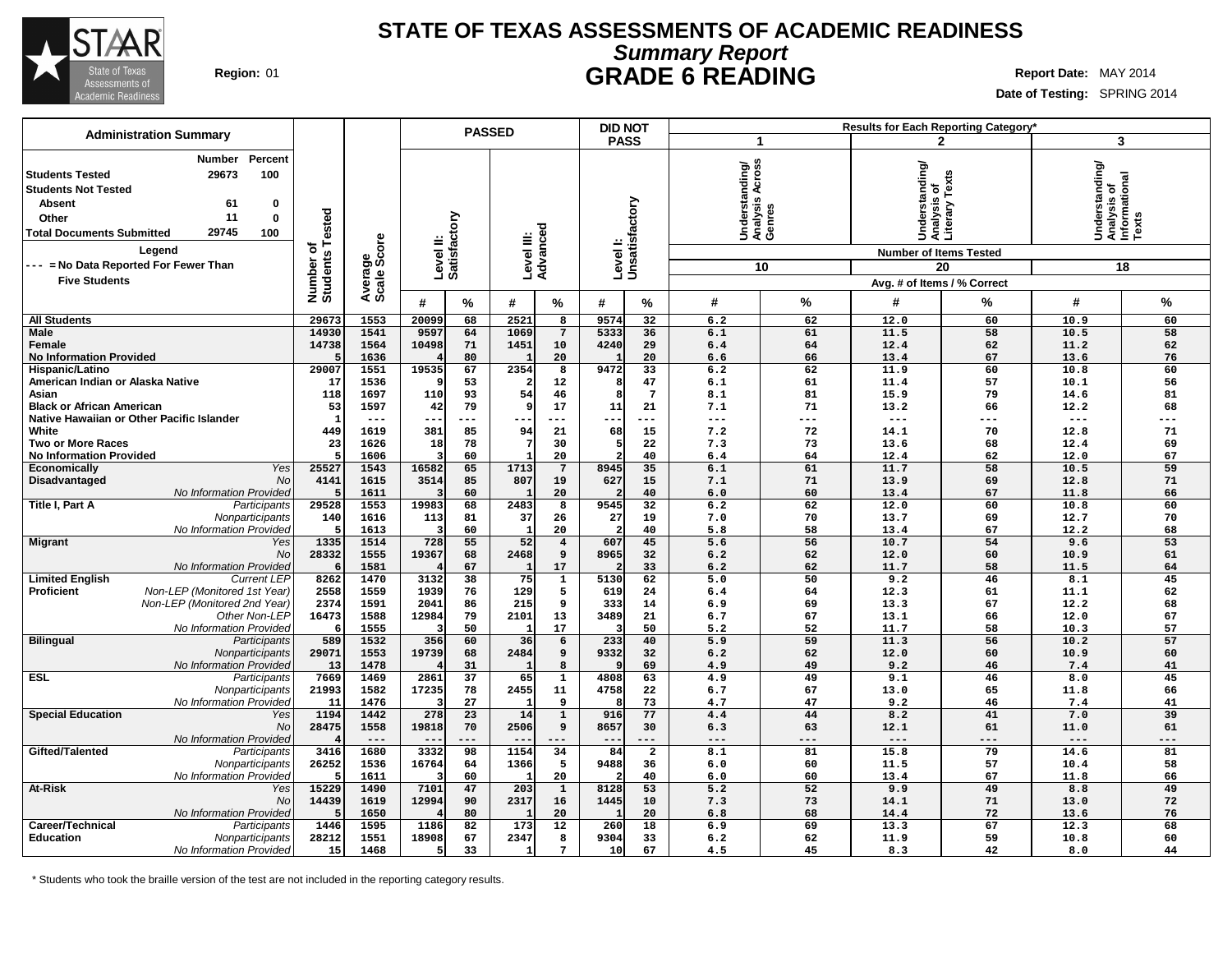

## **Summary Report STATE OF TEXAS ASSESSMENTS OF ACADEMIC READINESS Region:** 01 **GRADE 6 READING Report Date:** MAY 2014

**Date of Testing:** SPRING 2014

| <b>Administration Summary</b>                                                                                                                                                                                     |                       |                        |                           |          | <b>PASSED</b>          |                         | <b>DID NOT</b> |                            |                                             |                 |                                                                                  | Results for Each Reporting Category* |                                                            |          |
|-------------------------------------------------------------------------------------------------------------------------------------------------------------------------------------------------------------------|-----------------------|------------------------|---------------------------|----------|------------------------|-------------------------|----------------|----------------------------|---------------------------------------------|-----------------|----------------------------------------------------------------------------------|--------------------------------------|------------------------------------------------------------|----------|
|                                                                                                                                                                                                                   |                       |                        |                           |          |                        |                         | <b>PASS</b>    |                            | 1                                           |                 |                                                                                  | $\overline{2}$                       | 3                                                          |          |
| Number<br>Percent<br>29673<br>100<br><b>Students Tested</b><br><b>Students Not Tested</b><br><b>Absent</b><br>0<br>61<br>11<br>$\mathbf 0$<br>Other<br>29745<br>100<br><b>Total Documents Submitted</b><br>Legend | Tested<br>৳           | Average<br>Scale Score | Level II:<br>Satisfactory |          | Level III:<br>Advanced |                         |                | Level I:<br>Unsatisfactory | Understanding/<br>Analysis Across<br>Genres |                 | Understanding/<br>Analysis of<br>Literary Texts<br><b>Number of Items Tested</b> |                                      | Understanding/<br> Analysis of<br> Informational<br> Texts |          |
| -- = No Data Reported For Fewer Than                                                                                                                                                                              |                       |                        |                           |          |                        |                         |                |                            |                                             | 10              |                                                                                  | 20                                   |                                                            | 18       |
| <b>Five Students</b>                                                                                                                                                                                              |                       |                        |                           |          |                        |                         |                |                            |                                             |                 | Avg. # of Items / % Correct                                                      |                                      |                                                            |          |
|                                                                                                                                                                                                                   | Number o'<br>Students |                        |                           |          |                        |                         |                |                            |                                             |                 |                                                                                  |                                      |                                                            |          |
|                                                                                                                                                                                                                   |                       |                        | #                         | %        | #                      | %                       | #              | $\%$                       | #                                           | $\%$            | #                                                                                | $\%$                                 | #                                                          | %        |
| <b>All Students</b>                                                                                                                                                                                               | 29673                 | 1553                   | 20099                     | 68       | 2521                   | $\overline{8}$          | 9574           | 32                         | 6.2                                         | 62              | 12.0                                                                             | 60                                   | 10.9                                                       | 60       |
| Male                                                                                                                                                                                                              | 14930                 | 1541                   | 9597                      | 64       | 1069                   | $7\phantom{.0}$         | 5333           | 36                         | 6.1                                         | 61              | 11.5                                                                             | 58                                   | 10.5                                                       | 58       |
| Female                                                                                                                                                                                                            | 14738                 | 1564                   | 10498                     | 71       | 1451                   | 10                      | 4240           | 29                         | 6.4                                         | 64              | 12.4                                                                             | 62                                   | 11.2                                                       | 62       |
| <b>No Information Provided</b>                                                                                                                                                                                    | 29007                 | 1636<br>1551           | 19535                     | 80<br>67 | 1<br>2354              | 20<br>8                 | 9472           | 20<br>33                   | 6.6<br>6.2                                  | 66<br>62        | 13.4<br>11.9                                                                     | 67<br>60                             | 13.6<br>10.8                                               | 76<br>60 |
| Hispanic/Latino<br>American Indian or Alaska Native                                                                                                                                                               | 17                    | 1536                   |                           | 53       |                        | 12                      | 8              | 47                         | 6.1                                         | 61              | 11.4                                                                             | 57                                   | 10.1                                                       | 56       |
| Asian                                                                                                                                                                                                             | 118                   | 1697                   | 110                       | 93       | 54                     | 46                      | R              | $7\phantom{.0}$            | 8.1                                         | 81              | 15.9                                                                             | 79                                   | 14.6                                                       | 81       |
| <b>Black or African American</b>                                                                                                                                                                                  | 53                    | 1597                   | 42                        | 79       | ٠q                     | 17                      | 11             | 21                         | 7.1                                         | 71              | 13.2                                                                             | 66                                   | 12.2                                                       | 68       |
| Native Hawaiian or Other Pacific Islander                                                                                                                                                                         | ា                     | $---$                  | ---                       | ---      | $--$                   | $---$                   | $---$          | ---                        | $\qquad \qquad - -$                         | $---$           | $---$                                                                            | ---                                  | $---$                                                      | ---      |
| White                                                                                                                                                                                                             | 449                   | 1619                   | 381                       | 85       | 94                     | 21                      | 68             | 15                         | 7.2                                         | 72              | 14.1                                                                             | 70                                   | 12.8                                                       | 71       |
| <b>Two or More Races</b>                                                                                                                                                                                          | 23                    | 1626                   | 18                        | 78       |                        | 30                      | 5              | 22                         | 7.3                                         | 73              | 13.6                                                                             | 68                                   | 12.4                                                       | 69       |
| <b>No Information Provided</b>                                                                                                                                                                                    | 5                     | 1606                   |                           | 60       |                        | 20                      | $\overline{2}$ | 40                         | 6.4                                         | 64              | 12.4                                                                             | 62                                   | 12.0                                                       | 67       |
| Yes<br>Economically                                                                                                                                                                                               | 25527                 | 1543                   | 16582                     | 65       | 1713                   | $7\phantom{.0}$         | 8945           | 35                         | 6.1                                         | 61              | 11.7                                                                             | 58                                   | 10.5                                                       | 59       |
| No<br>Disadvantaged                                                                                                                                                                                               | 4141                  | 1615                   | 3514                      | 85       | 807                    | 19                      | 627            | 15                         | 7.1                                         | 71              | 13.9                                                                             | 69                                   | 12.8                                                       | 71       |
| No Information Provideo                                                                                                                                                                                           |                       | 1611                   |                           | 60       |                        | 20                      |                | 40                         | 6.0                                         | 60              | 13.4                                                                             | 67                                   | 11.8                                                       | 66       |
| Title I, Part A<br>Participants                                                                                                                                                                                   | 29528                 | 1553                   | 19983                     | 68       | 2483                   | 8                       | 9545           | $\overline{32}$            | 6.2                                         | 62              | 12.0                                                                             | 60                                   | 10.8                                                       | 60       |
| Nonparticipants                                                                                                                                                                                                   | 140                   | 1616                   | 113                       | 81       | 37                     | 26                      | 27             | 19                         | 7.0                                         | 70              | 13.7                                                                             | 69                                   | 12.7                                                       | 70       |
| No Information Provided                                                                                                                                                                                           |                       | 1613                   | в                         | 60       | $\mathbf{1}$           | 20                      |                | 40                         | 5.8                                         | 58              | 13.4                                                                             | 67                                   | 12.2                                                       | 68       |
| Migrant<br>Yes                                                                                                                                                                                                    | 1335                  | 1514                   | 728                       | 55       | 52                     | $\overline{\mathbf{4}}$ | 607            | 45                         | 5.6                                         | 56              | 10.7                                                                             | 54                                   | 9.6                                                        | 53       |
| No                                                                                                                                                                                                                | 28332                 | 1555                   | 19367                     | 68       | 2468                   | 9                       | 8965           | 32                         | 6.2                                         | 62              | 12.0                                                                             | 60                                   | 10.9                                                       | 61       |
| No Information Provided                                                                                                                                                                                           |                       | 1581                   |                           | 67       |                        | 17                      |                | 33                         | 6.2                                         | 62              | 11.7                                                                             | 58                                   | 11.5                                                       | 64       |
| <b>Current LEP</b><br><b>Limited English</b>                                                                                                                                                                      | 8262                  | 1470                   | 3132                      | 38       | 75                     | $\overline{1}$          | 5130           | 62                         | 5.0                                         | $\overline{50}$ | 9.2                                                                              | 46                                   | 8.1                                                        | 45       |
| <b>Proficient</b><br>Non-LEP (Monitored 1st Year)                                                                                                                                                                 | 2558                  | 1559                   | 1939                      | 76       | 129                    | 5                       | 619            | 24                         | 6.4                                         | 64              | 12.3                                                                             | 61                                   | 11.1                                                       | 62       |
| Non-LEP (Monitored 2nd Year)                                                                                                                                                                                      | 2374                  | 1591                   | 2041                      | 86       | 215                    | 9                       | 333            | 14                         | 6.9                                         | 69              | 13.3                                                                             | 67                                   | 12.2                                                       | 68       |
| Other Non-LEP                                                                                                                                                                                                     | 16473                 | 1588                   | 12984                     | 79       | 2101                   | 13                      | 3489           | 21                         | 6.7                                         | 67              | 13.1                                                                             | 66                                   | 12.0                                                       | 67       |
| No Information Provideo                                                                                                                                                                                           |                       | 1555                   |                           | 50       |                        | 17                      |                | 50                         | 5.2                                         | 52              | 11.7                                                                             | 58                                   | 10.3                                                       | 57       |
| <b>Bilingual</b><br>Participants                                                                                                                                                                                  | 589                   | 1532                   | 356                       | 60       | 36                     | 6                       | 233            | 40                         | 5.9                                         | 59              | 11.3                                                                             | 56                                   | 10.2                                                       | 57       |
| Nonparticipants                                                                                                                                                                                                   | 29071                 | 1553                   | 19739                     | 68       | 2484                   | 9                       | 9332           | 32                         | 6.2                                         | 62              | 12.0                                                                             | 60                                   | 10.9                                                       | 60       |
| No Information Provideo<br>ESL                                                                                                                                                                                    | 13<br>7669            | 1478<br>1469           | 2861                      | 31<br>37 | 65                     | 8<br>$\mathbf{1}$       | 4808           | 69<br>63                   | 4.9<br>4.9                                  | 49<br>49        | 9.2<br>9.1                                                                       | 46<br>46                             | 7.4<br>8.0                                                 | 41<br>45 |
| Participants<br>Nonparticipants                                                                                                                                                                                   | 21993                 | 1582                   | 17235                     | 78       | 2455                   | 11                      | 4758           | 22                         | 6.7                                         | 67              | 13.0                                                                             | 65                                   | 11.8                                                       | 66       |
| No Information Provided                                                                                                                                                                                           | 11                    | 1476                   |                           | 27       |                        | 9                       |                | 73                         | 4.7                                         | 47              | 9.2                                                                              | 46                                   | 7.4                                                        | 41       |
| <b>Special Education</b><br>Yes                                                                                                                                                                                   | 1194                  | 1442                   | 278                       | 23       | 14                     | $\mathbf 1$             | 916            | 77                         | 4.4                                         | 44              | 8.2                                                                              | 41                                   | 7.0                                                        | 39       |
| No                                                                                                                                                                                                                | 28475                 | 1558                   | 19818                     | 70       | 2506                   | 9                       | 8657           | 30                         | 6.3                                         | 63              | 12.1                                                                             | 61                                   | 11.0                                                       | 61       |
| No Information Provideo                                                                                                                                                                                           |                       | $---$                  | $\qquad \qquad -$         | ---      |                        | $---$                   |                | ---                        | $---$                                       | $---$           | $---$                                                                            | ---                                  | $---$                                                      | ---      |
| Gifted/Talented<br>Participants                                                                                                                                                                                   | 3416                  | 1680                   | 3332                      | 98       | 1154                   | 34                      | 84             | $\overline{2}$             | 8.1                                         | 81              | 15.8                                                                             | 79                                   | 14.6                                                       | 81       |
| Nonparticipants                                                                                                                                                                                                   | 26252                 | 1536                   | 16764                     | 64       | 1366                   | 5                       | 9488           | 36                         | 6.0                                         | 60              | 11.5                                                                             | 57                                   | 10.4                                                       | 58       |
| No Information Provided                                                                                                                                                                                           |                       | 1611                   |                           | 60       |                        | 20                      |                | 40                         | 6.0                                         | 60              | 13.4                                                                             | 67                                   | 11.8                                                       | 66       |
| At-Risk<br>Yes                                                                                                                                                                                                    | 15229                 | 1490                   | 7101                      | 47       | 203                    | $\mathbf 1$             | 8128           | 53                         | 5.2                                         | 52              | 9.9                                                                              | 49                                   | 8.8                                                        | 49       |
| No                                                                                                                                                                                                                | 14439                 | 1619                   | 12994                     | 90       | 2317                   | 16                      | 1445           | 10                         | 7.3                                         | 73              | 14.1                                                                             | 71                                   | 13.0                                                       | 72       |
| No Information Provided                                                                                                                                                                                           |                       | 1650                   |                           | 80       |                        | 20                      |                | 20                         | 6.8                                         | 68              | 14.4                                                                             | 72                                   | 13.6                                                       | 76       |
| Career/Technical<br>Participants                                                                                                                                                                                  | 1446                  | 1595                   | 1186                      | 82       | 173                    | 12                      | 260            | 18                         | 6.9                                         | 69              | 13.3                                                                             | 67                                   | 12.3                                                       | 68       |
| <b>Education</b><br>Nonparticipants                                                                                                                                                                               | 28212                 | 1551                   | 18908                     | 67       | 2347                   | 8                       | 9304           | 33                         | 6.2                                         | 62              | 11.9                                                                             | 59                                   | 10.8                                                       | 60       |
| No Information Provided                                                                                                                                                                                           | 15                    | 1468                   | 5                         | 33       |                        | 7                       | 10             | 67                         | 4.5                                         | 45              | 8.3                                                                              | 42                                   | 8.0                                                        | 44       |
|                                                                                                                                                                                                                   |                       |                        |                           |          |                        |                         |                |                            |                                             |                 |                                                                                  |                                      |                                                            |          |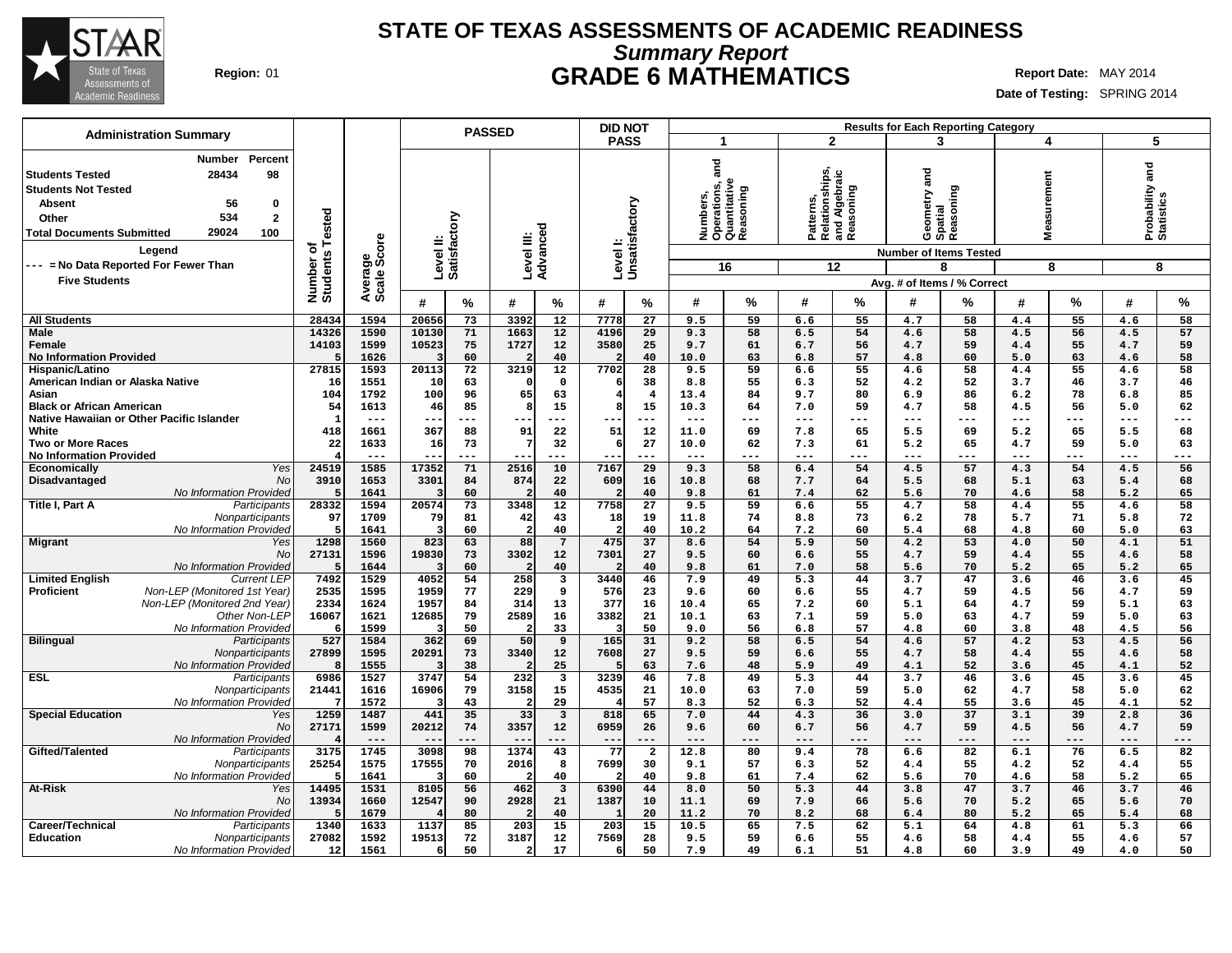

# **Summary Report STATE OF TEXAS ASSESSMENTS OF ACADEMIC READINESS Region:** 01 **GRADE 6 MATHEMATICS Report Date:** MAY 2014

| <b>Administration Summary</b>                                                                                                                                                                            |                       |                        |                           | <b>PASSED</b> |                         |                               | <b>DID NOT</b>             |                |                 |                                                        |                                                           |           |              | <b>Results for Each Reporting Category</b> |                    |           |                               |           |
|----------------------------------------------------------------------------------------------------------------------------------------------------------------------------------------------------------|-----------------------|------------------------|---------------------------|---------------|-------------------------|-------------------------------|----------------------------|----------------|-----------------|--------------------------------------------------------|-----------------------------------------------------------|-----------|--------------|--------------------------------------------|--------------------|-----------|-------------------------------|-----------|
|                                                                                                                                                                                                          |                       |                        |                           |               |                         |                               | <b>PASS</b>                |                | $\mathbf 1$     |                                                        | $\overline{2}$                                            |           |              | 3                                          | 4                  |           | 5                             |           |
| Number<br>Percent<br>28434<br>98<br><b>Students Tested</b><br><b>Students Not Tested</b><br><b>Absent</b><br>56<br>0<br>534<br>$\mathbf{2}$<br>Other<br>29024<br>100<br><b>Total Documents Submitted</b> | Tested<br>৳           | Average<br>Scale Score | Level II:<br>Satisfactory |               | Level III:<br>Advanced  |                               | Level I:<br>Unsatisfactory |                | and             | Numbers,<br>Operations, a<br>Quantitative<br>Reasoning | Patterns,<br>Relationships,<br>and Algebraic<br>Reasoning |           | metry and    | Geometry al<br>Spatial<br>Reasoning        | surement<br>Ë<br>Σ |           | Probability and<br>Statistics |           |
| Legend<br>--- = No Data Reported For Fewer Than                                                                                                                                                          |                       |                        |                           |               |                         |                               |                            |                |                 |                                                        |                                                           |           |              | <b>Number of Items Tested</b>              |                    |           |                               |           |
| <b>Five Students</b>                                                                                                                                                                                     | Number of<br>Students |                        |                           |               |                         |                               |                            |                |                 | 16                                                     |                                                           | 12        |              | 8                                          |                    | 8         |                               | 8         |
|                                                                                                                                                                                                          |                       |                        |                           |               |                         |                               |                            |                |                 |                                                        |                                                           |           |              | Avg. # of Items / % Correct                |                    |           |                               |           |
|                                                                                                                                                                                                          |                       |                        | #                         | $\%$          | #                       | %                             | #                          | ℅              | #               | %                                                      | #                                                         | %         | #            | ℅                                          | #                  | %         | #                             | %         |
| <b>All Students</b>                                                                                                                                                                                      | 28434                 | 1594                   | 20656                     | 73            | 3392                    | 12                            | 7778                       | 27             | 9.5             | 59                                                     | 6.6                                                       | 55        | 4.7          | 58                                         | 4.4                | 55        | 4.6                           | 58        |
| <b>Male</b><br>Female                                                                                                                                                                                    | 14326<br>14103        | 1590<br>1599           | 10130<br>10523            | 71<br>75      | 1663<br>1727            | 12<br>12                      | 4196<br>3580               | 29<br>25       | 9.3<br>9.7      | 58<br>61                                               | 6.5<br>6.7                                                | 54<br>56  | 4.6<br>4.7   | 58<br>59                                   | 4.5<br>4.4         | 56<br>55  | 4.5<br>4.7                    | 57<br>59  |
| <b>No Information Provided</b>                                                                                                                                                                           |                       | 1626                   |                           | 60            |                         | 40                            |                            | 40             | 10.0            | 63                                                     | 6.8                                                       | 57        | 4.8          | 60                                         | 5.0                | 63        | 4.6                           | 58        |
| Hispanic/Latino                                                                                                                                                                                          | 27815                 | 1593                   | 20113                     | 72            | 3219                    | 12                            | 7702                       | 28             | 9.5             | 59                                                     | 6.6                                                       | 55        | 4.6          | 58                                         | 4.4                | 55        | 4.6                           | 58        |
| American Indian or Alaska Native                                                                                                                                                                         | 16                    | 1551                   | 10                        | 63            |                         | $\mathbf 0$                   |                            | 38             | 8.8             | 55                                                     | 6.3                                                       | 52        | 4.2          | 52                                         | 3.7                | 46        | 3.7                           | 46        |
| Asian                                                                                                                                                                                                    | 104                   | 1792                   | 100                       | 96            | 65                      | 63                            | Я.                         | $\overline{4}$ | 13.4            | 84                                                     | 9.7                                                       | 80        | 6.9          | 86                                         | 6.2                | 78        | 6.8                           | 85        |
| <b>Black or African American</b><br>Native Hawaiian or Other Pacific Islander                                                                                                                            | 54<br>$\mathbf{1}$    | 1613<br>---            | 46<br>--                  | 85<br>$---$   | 8<br>---                | 15<br>---                     | --                         | 15<br>$--$     | 10.3<br>$- - -$ | 64<br>---                                              | 7.0<br>$---$                                              | 59<br>--- | 4.7<br>$--$  | 58<br>---                                  | 4.5<br>$- - -$     | 56<br>--- | 5.0<br>$--$                   | 62<br>--- |
| White                                                                                                                                                                                                    | 418                   | 1661                   | 367                       | 88            | 91                      | 22                            | 51                         | 12             | 11.0            | 69                                                     | 7.8                                                       | 65        | 5.5          | 69                                         | 5.2                | 65        | 5.5                           | 68        |
| <b>Two or More Races</b>                                                                                                                                                                                 | 22                    | 1633                   | 16                        | 73            | 7                       | 32                            | 6                          | 27             | 10.0            | 62                                                     | 7.3                                                       | 61        | 5.2          | 65                                         | 4.7                | 59        | 5.0                           | 63        |
| <b>No Information Provided</b>                                                                                                                                                                           |                       | $- - -$                |                           | ---           |                         | ---                           |                            | $- - -$        | $- - -$         | ---                                                    | $- - -$                                                   | ---       | $- - -$      | ---                                        | $- - -$            | ---       | $- - -$                       | ---       |
| Economically<br>Yes                                                                                                                                                                                      | 24519                 | 1585                   | 17352                     | 71            | 2516                    | 10                            | 7167                       | 29             | 9.3             | 58                                                     | 6.4                                                       | 54        | 4.5          | 57                                         | 4.3                | 54        | 4.5                           | 56        |
| Disadvantaged<br>No                                                                                                                                                                                      | 3910                  | 1653                   | 3301                      | 84            | 874                     | 22                            | 609                        | 16             | 10.8            | 68                                                     | 7.7                                                       | 64        | 5.5          | 68                                         | 5.1                | 63        | 5.4                           | 68        |
| No Information Provided<br>Title I, Part A<br>Participants                                                                                                                                               | 28332                 | 1641<br>1594           | 3<br>20574                | 60<br>73      | 3348                    | 40<br>12                      | 7758                       | 40<br>27       | 9.8<br>9.5      | 61<br>59                                               | 7.4<br>6.6                                                | 62<br>55  | 5.6<br>4.7   | 70<br>58                                   | 4.6<br>4.4         | 58<br>55  | 5.2<br>4.6                    | 65<br>58  |
| Nonparticipants                                                                                                                                                                                          | 97                    | 1709                   | 79                        | 81            | 42                      | 43                            | 18                         | 19             | 11.8            | 74                                                     | 8.8                                                       | 73        | 6.2          | 78                                         | 5.7                | 71        | 5.8                           | 72        |
| No Information Provided                                                                                                                                                                                  | -5                    | 1641                   | 3                         | 60            | $\overline{2}$          | 40                            | 2                          | 40             | 10.2            | 64                                                     | 7.2                                                       | 60        | 5.4          | 68                                         | 4.8                | 60        | 5.0                           | 63        |
| <b>Migrant</b><br>Yes                                                                                                                                                                                    | 1298                  | 1560                   | 823                       | 63            | 88                      | $7\phantom{.0}$               | 475                        | 37             | 8.6             | 54                                                     | 5.9                                                       | 50        | 4.2          | 53                                         | 4.0                | 50        | 4.1                           | 51        |
| No                                                                                                                                                                                                       | 27131                 | 1596                   | 19830                     | 73            | 3302                    | 12                            | 7301                       | 27             | 9.5             | 60                                                     | 6.6                                                       | 55        | 4.7          | 59                                         | 4.4                | 55        | 4.6                           | 58        |
| <b>No Information Provided</b><br><b>Limited English</b><br><b>Current LEP</b>                                                                                                                           | 7492                  | 1644<br>1529           | 3<br>4052                 | 60<br>54      | 258                     | 40<br>$\overline{\mathbf{3}}$ | 3440                       | 40<br>46       | 9.8<br>7.9      | 61<br>49                                               | 7.0<br>5.3                                                | 58<br>44  | 5.6<br>3.7   | 70<br>47                                   | 5.2<br>3.6         | 65<br>46  | 5.2<br>3.6                    | 65<br>45  |
| Proficient<br>Non-LEP (Monitored 1st Year)                                                                                                                                                               | 2535                  | 1595                   | 1959                      | 77            | 229                     | 9                             | 576                        | 23             | 9.6             | 60                                                     | 6.6                                                       | 55        | 4.7          | 59                                         | 4.5                | 56        | 4.7                           | 59        |
| Non-LEP (Monitored 2nd Year)                                                                                                                                                                             | 2334                  | 1624                   | 1957                      | 84            | 314                     | 13                            | 377                        | 16             | 10.4            | 65                                                     | 7.2                                                       | 60        | 5.1          | 64                                         | 4.7                | 59        | 5.1                           | 63        |
| Other Non-LEP                                                                                                                                                                                            | 16067                 | 1621                   | 12685                     | 79            | 2589                    | 16                            | 3382                       | 21             | 10.1            | 63                                                     | 7.1                                                       | 59        | 5.0          | 63                                         | 4.7                | 59        | 5.0                           | 63        |
| <b>No Information Provided</b>                                                                                                                                                                           | -6                    | 1599                   | 3                         | 50            |                         | 33                            |                            | 50             | 9.0             | 56                                                     | 6.8                                                       | 57        | 4.8          | 60                                         | 3.8                | 48        | 4.5                           | 56        |
| <b>Bilingual</b><br>Participants                                                                                                                                                                         | 527                   | 1584                   | 362                       | 69<br>73      | 50                      | 9                             | 165                        | 31<br>27       | 9.2             | 58<br>59                                               | 6.5                                                       | 54        | 4.6          | 57                                         | 4.2                | 53<br>55  | 4.5                           | 56        |
| Nonparticipants<br>No Information Provided                                                                                                                                                               | 27899<br>-8           | 1595<br>1555           | 20291                     | 38            | 3340                    | 12<br>25                      | 7608                       | 63             | 9.5<br>7.6      | 48                                                     | 6.6<br>5.9                                                | 55<br>49  | 4.7<br>4.1   | 58<br>52                                   | 4.4<br>3.6         | 45        | 4.6<br>4.1                    | 58<br>52  |
| <b>ESL</b><br>Participants                                                                                                                                                                               | 6986                  | 1527                   | 3747                      | 54            | 232                     | $\overline{\mathbf{3}}$       | 3239                       | 46             | 7.8             | 49                                                     | 5.3                                                       | 44        | 3.7          | 46                                         | 3.6                | 45        | 3.6                           | 45        |
| Nonparticipants                                                                                                                                                                                          | 21441                 | 1616                   | 16906                     | 79            | 3158                    | 15                            | 4535                       | 21             | 10.0            | 63                                                     | 7.0                                                       | 59        | 5.0          | 62                                         | 4.7                | 58        | 5.0                           | 62        |
| No Information Provided                                                                                                                                                                                  | -7                    | 1572                   | Э                         | 43            |                         | 29                            |                            | 57             | 8.3             | 52                                                     | 6.3                                                       | 52        | 4.4          | 55                                         | 3.6                | 45        | 4.1                           | 52        |
| <b>Special Education</b><br>Yes                                                                                                                                                                          | 1259                  | 1487                   | 441                       | 35            | 33                      | $\overline{\mathbf{3}}$       | 818                        | 65             | 7.0             | 44                                                     | 4.3                                                       | 36        | 3.0          | 37                                         | 3.1                | 39        | 2.8                           | 36        |
| <b>No</b><br>No Information Provided                                                                                                                                                                     | 27171                 | 1599<br>$---$          | 20212<br>$- -$            | 74<br>---     | 3357<br>$- -$           | 12<br>---                     | 6959<br>--                 | 26<br>$---$    | 9.6<br>$---$    | 60<br>---                                              | 6.7<br>$---$                                              | 56<br>--- | 4.7<br>$---$ | 59<br>---                                  | 4.5<br>$---$       | 56<br>--- | 4.7<br>$---$                  | 59<br>--- |
| Gifted/Talented<br>Participants                                                                                                                                                                          | 3175                  | 1745                   | 3098                      | 98            | 1374                    | 43                            | 77                         | $\overline{a}$ | 12.8            | 80                                                     | 9.4                                                       | 78        | 6.6          | 82                                         | 6.1                | 76        | 6.5                           | 82        |
| Nonparticipants                                                                                                                                                                                          | 25254                 | 1575                   | 17555                     | 70            | 2016                    | 8                             | 7699                       | 30             | 9.1             | 57                                                     | 6.3                                                       | 52        | 4.4          | 55                                         | 4.2                | 52        | 4.4                           | 55        |
| No Information Provided                                                                                                                                                                                  |                       | 1641                   | $\overline{\mathbf{3}}$   | 60            |                         | 40                            |                            | 40             | 9.8             | 61                                                     | 7.4                                                       | 62        | 5.6          | 70                                         | 4.6                | 58        | 5.2                           | 65        |
| <b>At-Risk</b><br>Yes                                                                                                                                                                                    | 14495                 | 1531                   | 8105                      | 56            | 462                     | $\overline{\mathbf{3}}$       | 6390                       | 44             | 8.0             | 50                                                     | 5.3                                                       | 44        | 3.8          | 47                                         | 3.7                | 46        | 3.7                           | 46        |
| <b>No</b><br>No Information Provided                                                                                                                                                                     | 13934                 | 1660<br>1679           | 12547                     | 90<br>80      | 2928                    | 21                            | 1387                       | 10<br>20       | 11.1            | 69<br>70                                               | 7.9                                                       | 66        | 5.6          | 70<br>80                                   | 5.2                | 65        | 5.6                           | 70        |
| Career/Technical<br>Participants                                                                                                                                                                         | 1340                  | 1633                   | 1137                      | 85            | 203                     | 40<br>15                      | 203                        | 15             | 11.2<br>10.5    | 65                                                     | 8.2<br>7.5                                                | 68<br>62  | 6.4<br>5.1   | 64                                         | 5.2<br>4.8         | 65<br>61  | 5.4<br>5.3                    | 68<br>66  |
| <b>Education</b><br>Nonparticipants                                                                                                                                                                      | 27082                 | 1592                   | 19513                     | 72            | 3187                    | 12                            | 7569                       | 28             | 9.5             | 59                                                     | 6.6                                                       | 55        | 4.6          | 58                                         | 4.4                | 55        | 4.6                           | 57        |
| No Information Provided                                                                                                                                                                                  | 12                    | 1561                   | 6                         | 50            | $\overline{\mathbf{2}}$ | 17                            | 6                          | 50             | 7.9             | 49                                                     | 6.1                                                       | 51        | 4.8          | 60                                         | 3.9                | 49        | 4.0                           | 50        |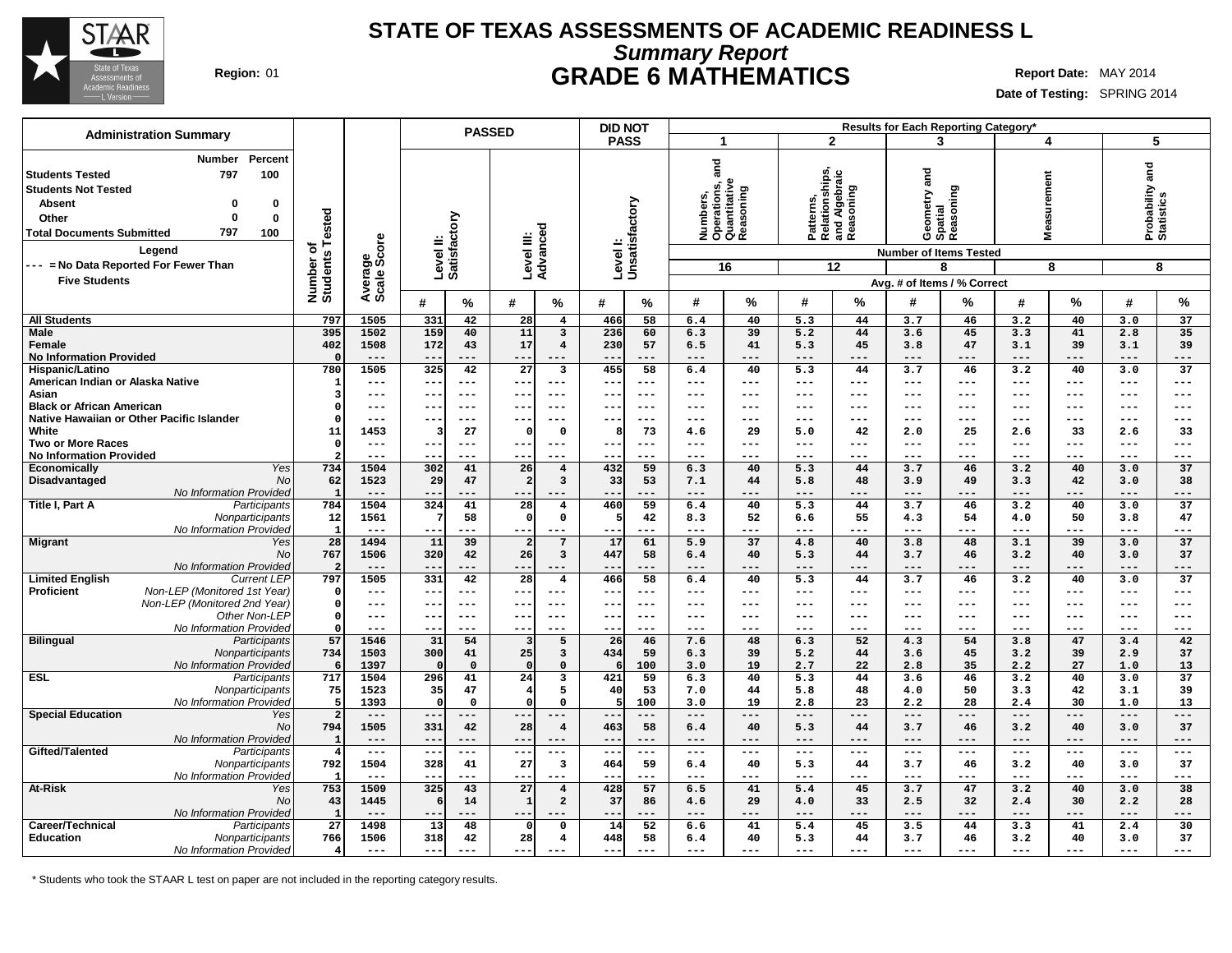

## **Summary Report STATE OF TEXAS ASSESSMENTS OF ACADEMIC READINESS L Region:** 01 **GRADE 6 MATHEMATICS Report Date:** MAY 2014

**Date of Testing:** SPRING 2014

| <b>Administration Summary</b>                                                                                                                                    |                                        |                         |                        | <b>PASSED</b>                                     |                                                          | <b>DID NOT</b>                 |                                                                  |              |                                                                 | Results for Each Reporting Category'                                  |                                         |                                                                                               |
|------------------------------------------------------------------------------------------------------------------------------------------------------------------|----------------------------------------|-------------------------|------------------------|---------------------------------------------------|----------------------------------------------------------|--------------------------------|------------------------------------------------------------------|--------------|-----------------------------------------------------------------|-----------------------------------------------------------------------|-----------------------------------------|-----------------------------------------------------------------------------------------------|
|                                                                                                                                                                  |                                        |                         |                        |                                                   |                                                          | <b>PASS</b>                    | $\overline{1}$                                                   |              | $\overline{2}$                                                  | 3                                                                     | 4                                       | 5                                                                                             |
| Number<br>797<br><b>Students Tested</b><br><b>Students Not Tested</b><br><b>Absent</b><br>Other<br>$\Omega$<br>797<br><b>Total Documents Submitted</b><br>Legend | Percent<br>100<br>0<br>$\bf{0}$<br>100 | Tested<br>৳             | Average<br>Scale Score | Level II:<br>Satisfactory                         | Advanced<br>Level III:                                   | Level I:<br>Unsatisfactory     | ត<br>ត<br>Numbers,<br>Operations, a<br>Quantitative<br>Reasoning |              | Patterns,<br>Relationships,<br>and Algebraic<br>Reasoning       | Geometry and<br>Spatial<br>Reasoning<br><b>Number of Items Tested</b> | easurement<br>Š.                        | Probability and<br>Statistics                                                                 |
| --- = No Data Reported For Fewer Than                                                                                                                            |                                        |                         |                        |                                                   |                                                          |                                | 16                                                               |              | 12                                                              | 8                                                                     | 8                                       | 8                                                                                             |
| <b>Five Students</b>                                                                                                                                             |                                        | Number of<br>Students   |                        |                                                   |                                                          |                                |                                                                  |              |                                                                 | Avg. # of Items / % Correct                                           |                                         |                                                                                               |
|                                                                                                                                                                  |                                        |                         |                        | #<br>$\%$                                         | #<br>%                                                   | #<br>%                         | #                                                                | %            | %<br>#                                                          | #<br>%                                                                | %<br>#                                  | $\%$<br>#                                                                                     |
| <b>All Students</b>                                                                                                                                              |                                        | 797                     | 1505                   | 331<br>42                                         | 28<br>$\overline{\mathbf{4}}$                            | 466<br>58                      | 6.4                                                              | 40           | 5.3<br>44                                                       | 3.7<br>46                                                             | 3.2<br>40                               | 37<br>3.0                                                                                     |
| <b>Male</b>                                                                                                                                                      |                                        | 395                     | 1502                   | 159<br>40                                         | 11<br>$\overline{\mathbf{3}}$                            | 236<br>60                      | 6.3                                                              | 39           | 5.2<br>44                                                       | 3.6<br>45                                                             | 3.3<br>41                               | 2.8<br>35                                                                                     |
| Female<br><b>No Information Provided</b>                                                                                                                         |                                        | 402<br>$\Omega$         | 1508<br>$---$          | 172<br>43<br>$- -$                                | 17<br>$\overline{4}$<br>$---$<br>---                     | 57<br>230<br>$- -$<br>$---$    | 6.5<br>$---$                                                     | 41<br>$---$  | 45<br>5.3<br>$---$<br>---                                       | 3.8<br>47<br>---<br>$---$                                             | 3.1<br>39<br>$---$<br>$- - -$           | 3.1<br>39<br>$---$<br>---                                                                     |
| Hispanic/Latino                                                                                                                                                  |                                        | 780                     | 1505                   | 325<br>42                                         | $\overline{27}$<br>3                                     | 58<br>455                      | 6.4                                                              | 40           | 44<br>5.3                                                       | 3.7<br>46                                                             | 3.2<br>40                               | 37<br>3.0                                                                                     |
| American Indian or Alaska Native                                                                                                                                 |                                        | $\mathbf{1}$            | $---$                  | $\qquad \qquad -$<br>$---$                        | ---<br>$---$                                             | $- -$<br>$- - -$               | $- - -$                                                          | $---$        | ---<br>$- - -$                                                  | $---$<br>$---$                                                        | $- - -$<br>$---$                        | $---$<br>$-- -$                                                                               |
| Asian                                                                                                                                                            |                                        | Э                       | $---$                  | $- -$<br>$- - -$                                  | $--$<br>$- - -$                                          | $- -$<br>$- - -$               | $-- -$                                                           | ---          | $\qquad \qquad -$<br>---                                        | $---$<br>---                                                          | $---$<br>$---$                          | $---$<br>$---$                                                                                |
| <b>Black or African American</b>                                                                                                                                 |                                        | -0                      | $---$                  | $- - -$<br>$\qquad \qquad -$                      | ---<br>$---$                                             | $--$<br>$- - -$                | $-- -$                                                           | ---          | $- - -$<br>---                                                  | $---$<br>---                                                          | ---<br>$---$                            | $---$<br>$---$                                                                                |
| Native Hawaiian or Other Pacific Islander<br>White                                                                                                               |                                        | -0<br>11                | $---$<br>1453          | 27<br>з                                           | ---<br>---<br>$\mathbf 0$<br>$\Omega$                    | --<br>$- - -$<br>73<br>я       | $--$                                                             | ---<br>29    | ---<br>---<br>42<br>5.0                                         | ---<br>---<br>2.0<br>25                                               | ---<br>---<br>33                        | ---<br>$--$                                                                                   |
| <b>Two or More Races</b>                                                                                                                                         |                                        | $\Omega$                | $---$                  | $- -$<br>$- - -$                                  | ---<br>$- - -$                                           | $- -$<br>$- - -$               | 4.6<br>$- - -$                                                   | ---          | ---<br>$- - -$                                                  | $---$<br>---                                                          | 2.6<br>$---$<br>$- - -$                 | 2.6<br>33<br>$---$<br>$- - -$                                                                 |
| <b>No Information Provided</b>                                                                                                                                   |                                        |                         | $- - -$                | $- -$<br>$- - -$                                  | $- -$<br>$- - -$                                         | $- -$<br>$- - -$               | $- - -$                                                          | ---          | ---<br>$- - -$                                                  | $- - -$<br>---                                                        | $- - -$<br>$- - -$                      | $- - -$<br>$- - -$                                                                            |
| Economically                                                                                                                                                     | Yes                                    | 734                     | 1504                   | 302<br>41                                         | 26<br>$\overline{4}$                                     | 432<br>59                      | 6.3                                                              | 40           | 44<br>5.3                                                       | 3.7<br>46                                                             | 3.2<br>40                               | 37<br>3.0                                                                                     |
| Disadvantaged                                                                                                                                                    | No                                     | 62                      | 1523                   | 29<br>47                                          | $\overline{2}$<br>$\overline{\mathbf{3}}$                | 33<br>53                       | 7.1                                                              | 44           | 48<br>5.8                                                       | 49<br>3.9                                                             | 3.3<br>42                               | 3.0<br>38                                                                                     |
| No Information Provided<br>Title I, Part A                                                                                                                       | Participants                           | $\overline{1}$<br>784   | $---$<br>1504          | $- -$<br>---<br>324<br>41                         | ---<br>---<br>28<br>$\overline{4}$                       | --<br>---<br>460<br>59         | $---$                                                            | ---          | $---$<br>---<br>5.3<br>44                                       | $---$<br>---<br>3.7<br>46                                             | ---<br>---<br>3.2<br>40                 | $---$<br>---<br>37                                                                            |
|                                                                                                                                                                  | Nonparticipants                        | 12                      | 1561                   | 58<br>7                                           | $\circ$<br>$\mathsf{o}$                                  | 42<br>5                        | 6.4<br>8.3                                                       | 40<br>52     | 55<br>6.6                                                       | 54<br>4.3                                                             | 50<br>4.0                               | 3.0<br>3.8<br>47                                                                              |
| No Information Provided                                                                                                                                          |                                        | $\overline{1}$          | $---$                  | $- -$<br>---                                      | ---                                                      | --<br>$- - -$                  | $-- -$                                                           | ---          | ---<br>$- - -$                                                  | $---$<br>---                                                          | $---$<br>---                            | $---$<br>---                                                                                  |
| <b>Migrant</b>                                                                                                                                                   | Yes                                    | 28                      | 1494                   | 11<br>39                                          | 7<br>$\overline{2}$                                      | 17<br>61                       | 5.9                                                              | 37           | 4.8<br>40                                                       | 3.8<br>48                                                             | 3.1<br>39                               | 37<br>3.0                                                                                     |
|                                                                                                                                                                  | No                                     | 767                     | 1506                   | 320<br>42                                         | 26<br>$\mathbf{3}$                                       | 447<br>58                      | 6.4                                                              | 40           | 44<br>5.3                                                       | 3.7<br>46                                                             | 3.2<br>40                               | 3.0<br>37                                                                                     |
| No Information Provided                                                                                                                                          |                                        | -2                      | $- - -$                | ---<br>$ -$                                       | ---<br>---                                               | $- -$<br>---                   | $- - -$                                                          | ---          | ---<br>$- - -$                                                  | $---$<br>---                                                          | $---$<br>$- - -$                        | $- - -$<br>---                                                                                |
| <b>Limited English</b><br>Non-LEP (Monitored 1st Year)<br>Proficient                                                                                             | <b>Current LEP</b>                     | 797<br>$\Omega$         | 1505<br>$---$          | 331<br>42<br>$- -$<br>$---$                       | 28<br>$\overline{\mathbf{4}}$<br>---<br>$---$            | 466<br>58<br>$- -$<br>$---$    | 6.4<br>$\sim$ $\sim$ $\sim$                                      | 40<br>---    | 5.3<br>44<br>$---$<br>---                                       | 3.7<br>46<br>$\qquad \qquad -$<br>$---$                               | 40<br>3.2<br>$\qquad \qquad -$<br>$---$ | 37<br>3.0<br>$---$<br>---                                                                     |
| Non-LEP (Monitored 2nd Year)                                                                                                                                     |                                        | $\Omega$                | $---$                  | $- -$<br>$---$                                    | ---<br>$---$                                             | $--$<br>$---$                  | $\sim$ $\sim$ $\sim$                                             | ---          | $---$<br>---                                                    | $---$<br>$---$                                                        | $\qquad \qquad -$<br>$---$              | $---$<br>$---$                                                                                |
|                                                                                                                                                                  | Other Non-LEP                          | $\Omega$                | $---$                  | $-$<br>$---$                                      | ---<br>$---$                                             | $- -$<br>$---$                 | $---$                                                            | $---$        | $\qquad \qquad - -$<br>---                                      | $- - -$<br>---                                                        | $---$<br>$---$                          | $---$<br>---                                                                                  |
| No Information Provided                                                                                                                                          |                                        | $\Omega$                | $---$                  | $- -$<br>$---$                                    | ---<br>---                                               | --<br>$- - -$                  | $\qquad \qquad - -$                                              | ---          | $---$<br>---                                                    | $- - -$<br>---                                                        | $---$<br>$---$                          | $---$<br>$---$                                                                                |
| <b>Bilingual</b>                                                                                                                                                 | Participants                           | 57                      | 1546                   | 31<br>54                                          | 5<br>3                                                   | 26<br>46                       | 7.6                                                              | 48           | 52<br>6.3                                                       | 4.3<br>54                                                             | 3.8<br>47                               | 42<br>3.4                                                                                     |
|                                                                                                                                                                  | Nonparticipants                        | 734<br>- 6              | 1503<br>1397           | 300<br>41<br>$\mathbf{0}$                         | 25<br>$\overline{\mathbf{3}}$<br>$\Omega$<br>$\mathbf 0$ | 434<br>59<br>100<br>6          | 6.3<br>3.0                                                       | 39<br>19     | 5.2<br>44<br>22<br>2.7                                          | 3.6<br>45<br>35<br>2.8                                                | 39<br>3.2<br>27<br>2.2                  | 37<br>2.9<br>13<br>1.0                                                                        |
| No Information Provided<br>ESL                                                                                                                                   | Participants                           | 717                     | 1504                   | 296<br>41                                         | 24<br>3                                                  | 421<br>59                      | 6.3                                                              | 40           | 5.3<br>44                                                       | 46<br>3.6                                                             | 3.2<br>40                               | 3.0<br>37                                                                                     |
|                                                                                                                                                                  | Nonparticipants                        | 75                      | 1523                   | 35<br>47                                          | $\overline{4}$<br>5                                      | 40<br>53                       | 7.0                                                              | 44           | 5.8<br>48                                                       | 50<br>4.0                                                             | 3.3<br>42                               | 3.1<br>39                                                                                     |
| No Information Provided                                                                                                                                          |                                        | - 5                     | 1393                   | $\Omega$<br>$\mathbf 0$                           | $\Omega$<br>0                                            | 100                            | 3.0                                                              | 19           | 2.8<br>23                                                       | 28<br>2.2                                                             | 30<br>2.4                               | 13<br>1.0                                                                                     |
| <b>Special Education</b>                                                                                                                                         | Yes                                    | $\overline{2}$          | $---$                  | ---                                               | ---                                                      | $- -$<br>---                   | $---$                                                            | ---          | ---<br>---                                                      | $---$<br>---                                                          | $---$<br>---                            | $---$<br>---                                                                                  |
|                                                                                                                                                                  | No                                     | 794<br>$\mathbf{1}$     | 1505                   | 331<br>42<br>---                                  | 28<br>$\overline{4}$                                     | 58<br>463<br>$---$             | 6.4                                                              | 40           | 44<br>5.3                                                       | 46<br>3.7                                                             | 40<br>3.2<br>$---$                      | 3.0<br>37                                                                                     |
| <b>No Information Provided</b><br>Gifted/Talented                                                                                                                | Participants                           | $\overline{4}$          | $---$<br>$  -$         | $\qquad \qquad -$<br>$- -$<br>$\qquad \qquad - -$ | $---$<br>---<br>$- - -$<br>---                           | $--$<br>$\frac{1}{2}$<br>$- -$ | $---$<br>$\sim$ $\sim$ $\sim$                                    | ---<br>$---$ | $---$<br>---<br>$  -$<br>$\hspace{0.05cm} -  \hspace{0.05cm} -$ | $---$<br>---<br>$\sim$ $\sim$ $\sim$<br>$---$                         | $---$<br>$\frac{1}{2}$<br>$\frac{1}{2}$ | $---$<br>---<br>$---$<br>$\hspace{0.05cm} -\hspace{0.05cm} -\hspace{0.05cm} -\hspace{0.05cm}$ |
|                                                                                                                                                                  | Nonparticipants                        | 792                     | 1504                   | 328<br>41                                         | $\overline{\mathbf{3}}$<br>27                            | 59<br>464                      | 6.4                                                              | 40           | 44<br>5.3                                                       | 46<br>3.7                                                             | 3.2<br>40                               | 3.0<br>37                                                                                     |
| No Information Provided                                                                                                                                          |                                        | - 1                     | $---$                  | ---<br>$- -$                                      | ---<br>---                                               | $- -$<br>$- - -$               | $-- -$                                                           | ---          | $---$<br>---                                                    | $---$<br>---                                                          | $---$<br>$- - -$                        | $- - -$<br>---                                                                                |
| At-Risk                                                                                                                                                          | Yes                                    | 753                     | 1509                   | 325<br>43                                         | 27<br>$\overline{\mathbf{4}}$                            | 428<br>57                      | 6.5                                                              | 41           | 45<br>5.4                                                       | 3.7<br>47                                                             | 3.2<br>40                               | 38<br>3.0                                                                                     |
|                                                                                                                                                                  | No                                     | 43                      | 1445                   | 14<br>6                                           | $\mathbf{1}$<br>$\overline{\mathbf{2}}$                  | 37<br>86                       | 4.6                                                              | 29           | 33<br>4.0                                                       | 2.5<br>32                                                             | 30<br>2.4                               | 2.2<br>28                                                                                     |
| No Information Provided<br>Career/Technical                                                                                                                      | Participants                           | -1<br>27                | $---$<br>1498          | 13<br>48                                          | $\Omega$<br>$\mathbf 0$                                  | --<br>14<br>52                 | $---$<br>6.6                                                     | ---<br>41    | ---<br>---<br>45<br>5.4                                         | $---$<br>---<br>3.5<br>44                                             | ---<br>---<br>3.3<br>41                 | $---$<br>---<br>30<br>2.4                                                                     |
| Education                                                                                                                                                        | Nonparticipants                        | 766                     | 1506                   | 318<br>42                                         | 28<br>$\overline{\mathbf{4}}$                            | 448<br>58                      | 6.4                                                              | 40           | 5.3<br>44                                                       | 46<br>3.7                                                             | 3.2<br>40                               | 37<br>3.0                                                                                     |
| No Information Provided                                                                                                                                          |                                        | $\overline{\mathbf{4}}$ | $---$                  | $---$<br>$---$                                    | $---$<br>$---$                                           | $---$<br>$---$                 | $---$                                                            | $---$        | $- - -$<br>---                                                  | $---$<br>---                                                          | $---$<br>---                            | $---$<br>---                                                                                  |

\* Students who took the STAAR L test on paper are not included in the reporting category results.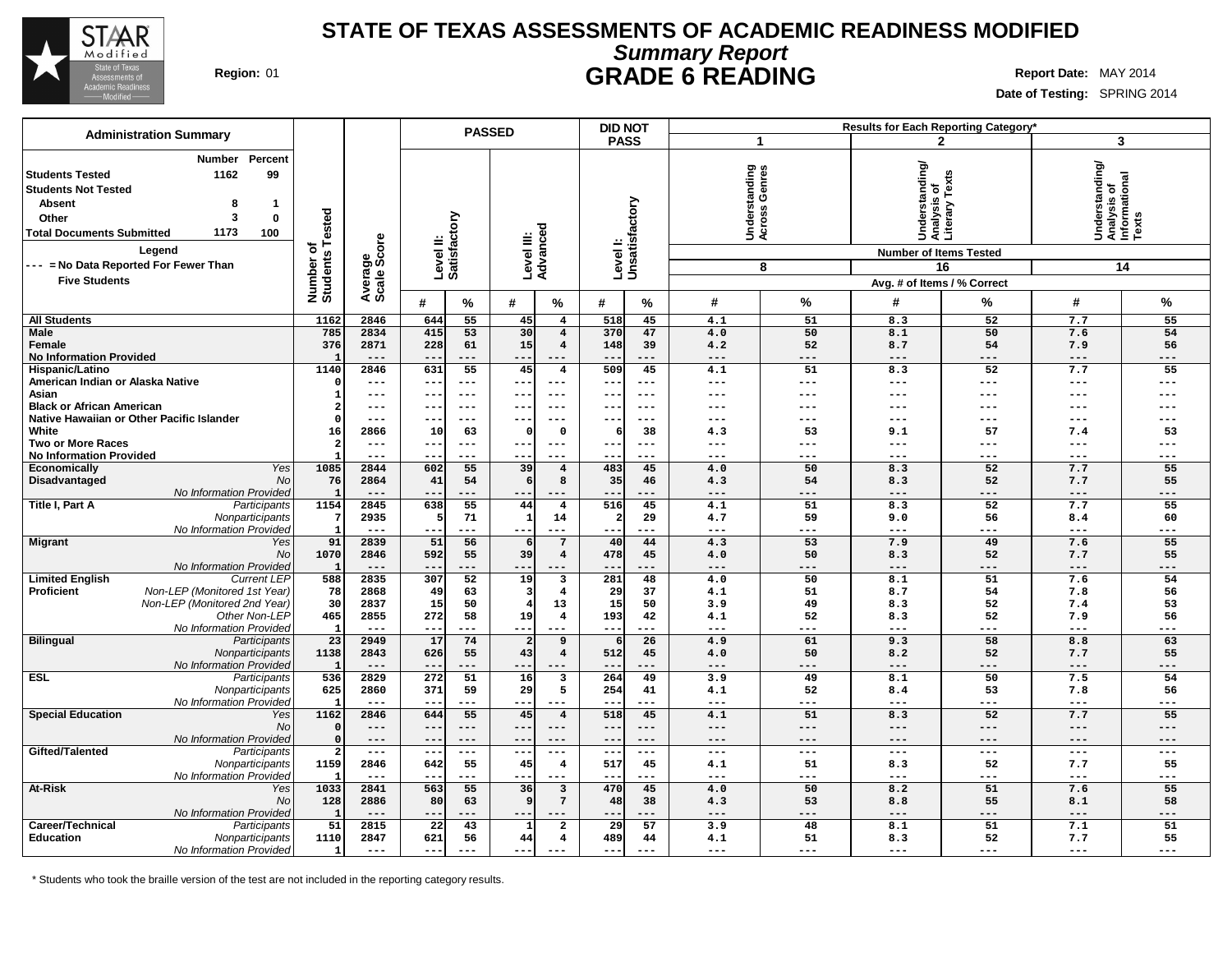

# **Summary Report STATE OF TEXAS ASSESSMENTS OF ACADEMIC READINESS MODIFIED Region:** 01 **GRADE 6 READING Report Date:** MAY 2014

٦

**Date of Testing:** SPRING 2014

|                                                                                                                                                                                                                                                                      |                                      |                        |                           |                     | <b>PASSED</b>          |                                  |                   | <b>DID NOT</b>             |                                        |              |                                                                                                                 | Results for Each Reporting Category* |                                                            |            |
|----------------------------------------------------------------------------------------------------------------------------------------------------------------------------------------------------------------------------------------------------------------------|--------------------------------------|------------------------|---------------------------|---------------------|------------------------|----------------------------------|-------------------|----------------------------|----------------------------------------|--------------|-----------------------------------------------------------------------------------------------------------------|--------------------------------------|------------------------------------------------------------|------------|
| <b>Administration Summary</b>                                                                                                                                                                                                                                        |                                      |                        |                           |                     |                        |                                  | <b>PASS</b>       |                            | $\mathbf{1}$                           |              |                                                                                                                 | $\mathbf{2}$                         | 3                                                          |            |
| Percent<br>Number<br>99<br><b>Students Tested</b><br>1162<br><b>Students Not Tested</b><br><b>Absent</b><br>8<br>-1<br>3<br>Other<br>0<br>1173<br><b>Total Documents Submitted</b><br>100<br>Legend<br>--- = No Data Reported For Fewer Than<br><b>Five Students</b> | Tested<br>৳<br>Number of<br>Students | Average<br>Scale Score | Level II:<br>Satisfactory |                     | Level III:<br>Advanced |                                  |                   | Level I:<br>Unsatisfactory | tanding<br>Genres<br>Underst<br>Across | 8            | Understanding/<br>Analysis of<br>Literary Texts<br><b>Number of Items Tested</b><br>Avg. # of Items / % Correct | 16                                   | Understanding/<br> Analysis of<br> Informational<br> Texts | 14         |
|                                                                                                                                                                                                                                                                      |                                      |                        | #                         | %                   | #                      | %                                | #                 | %                          | #                                      | %            | #                                                                                                               | %                                    | #                                                          | %          |
| <b>All Students</b>                                                                                                                                                                                                                                                  | 1162                                 | 2846                   | 644                       | 55                  | 45                     | $\overline{4}$                   | 518               | 45                         | 4.1                                    | 51           | 8.3                                                                                                             | 52                                   | 7.7                                                        | 55         |
| Male                                                                                                                                                                                                                                                                 | 785                                  | 2834                   | 415                       | 53                  | 30                     | $\overline{\mathbf{4}}$          | 370               | 47                         | 4.0                                    | 50           | 8.1                                                                                                             | 50                                   | 7.6                                                        | 54         |
| Female<br><b>No Information Provided</b>                                                                                                                                                                                                                             | 376                                  | 2871<br>$---$          | 228<br>$-$                | 61<br>---           | 15<br>--               | $\overline{\mathbf{4}}$<br>$---$ | 148               | 39<br>---                  | 4.2<br>$---$                           | 52<br>$---$  | 8.7<br>---                                                                                                      | 54<br>---                            | 7.9<br>$---$                                               | 56<br>---  |
| Hispanic/Latino                                                                                                                                                                                                                                                      | 1140                                 | 2846                   | 631                       | 55                  | 45                     | $\overline{4}$                   | 509               | 45                         | 4.1                                    | 51           | 8.3                                                                                                             | 52                                   | 7.7                                                        | 55         |
| American Indian or Alaska Native                                                                                                                                                                                                                                     |                                      | ---                    | $ -$                      | $---$               |                        | $- - -$                          |                   | $---$                      | $---$                                  | $---$        | ---                                                                                                             | ---                                  | $---$                                                      | ---        |
| Asian                                                                                                                                                                                                                                                                |                                      | ---                    | $- -$                     | $\qquad \qquad - -$ | $- -$                  | $---$                            | $- -$             | $---$                      | ---                                    | $---$        | ---                                                                                                             | ---                                  | $---$                                                      | ---        |
| <b>Black or African American</b><br>Native Hawaiian or Other Pacific Islander                                                                                                                                                                                        |                                      | ---<br>---             | $- -$                     | $---$<br>$---$      | $- -$                  | $--$<br>$\frac{1}{2}$            | $\sim$ $\sim$     | $---$<br>$---$             | ---<br>$---$                           | ---<br>$---$ | ---<br>---                                                                                                      | ---<br>---                           | $---$<br>$---$                                             | ---<br>--- |
| White                                                                                                                                                                                                                                                                | 16                                   | 2866                   | 10                        | 63                  | $\Omega$               | $\Omega$                         | 6                 | 38                         | 4.3                                    | 53           | 9.1                                                                                                             | 57                                   | 7.4                                                        | 53         |
| <b>Two or More Races</b>                                                                                                                                                                                                                                             |                                      | ---                    | --                        | ---                 | --                     | $- - -$                          |                   | $- - -$                    | ---                                    | ---          | ---                                                                                                             | ---                                  | $---$                                                      | ---        |
| <b>No Information Provided</b>                                                                                                                                                                                                                                       |                                      | ---                    | $- -$                     | $---$               | --                     | $--$                             |                   | ---                        | $\qquad \qquad - -$                    | $- - -$      | ---                                                                                                             | ---                                  | $---$                                                      | ---        |
| Yes<br>Economically                                                                                                                                                                                                                                                  | 1085                                 | 2844                   | 602                       | 55                  | 39                     | $\overline{\mathbf{4}}$          | 483               | 45                         | 4.0                                    | 50           | 8.3                                                                                                             | 52                                   | 7.7                                                        | 55         |
| Disadvantaged<br>No<br>No Information Provided                                                                                                                                                                                                                       | 76                                   | 2864                   | 41                        | 54<br>---           | -6                     | 8                                | 35                | 46                         | 4.3<br>$---$                           | 54<br>---    | 8.3<br>---                                                                                                      | 52<br>---                            | 7.7<br>$---$                                               | 55<br>---  |
| Title I, Part A<br>Participants                                                                                                                                                                                                                                      | 1154                                 | 2845                   | 638                       | 55                  | 44                     | $\overline{\mathbf{4}}$          | 516               | 45                         | 4.1                                    | 51           | 8.3                                                                                                             | 52                                   | 7.7                                                        | 55         |
| Nonparticipants                                                                                                                                                                                                                                                      |                                      | 2935                   |                           | 71                  | -1                     | 14                               | $\overline{2}$    | 29                         | 4.7                                    | 59           | 9.0                                                                                                             | 56                                   | 8.4                                                        | 60         |
| No Information Provided                                                                                                                                                                                                                                              |                                      | $---$                  | $- -$                     | $---$               | $- -$                  | $---$                            |                   | ---                        | $- - -$                                | $---$        | ---                                                                                                             | ---                                  | $---$                                                      | ---        |
| <b>Migrant</b><br>Yes                                                                                                                                                                                                                                                | 91                                   | 2839                   | 51                        | 56                  |                        | $7\phantom{.0}$                  | 40                | 44                         | 4.3                                    | 53           | 7.9                                                                                                             | 49                                   | 7.6                                                        | 55         |
| <b>No</b><br>No Information Provided                                                                                                                                                                                                                                 | 1070<br>-1                           | 2846<br>$---$          | 592                       | 55<br>---           | 39                     | $\overline{4}$<br>$- - -$        | 478               | 45                         | 4.0<br>$---$                           | 50<br>$- -$  | 8.3<br>---                                                                                                      | 52                                   | 7.7<br>$---$                                               | 55<br>---  |
| <b>Limited English</b><br><b>Current LEP</b>                                                                                                                                                                                                                         | 588                                  | 2835                   | 307                       | 52                  | 19                     | 3                                | 281               | 48                         | 4.0                                    | 50           | 8.1                                                                                                             | 51                                   | 7.6                                                        | 54         |
| Non-LEP (Monitored 1st Year)<br>Proficient                                                                                                                                                                                                                           | 78                                   | 2868                   | 49                        | 63                  |                        | $\overline{\mathbf{4}}$          | 29                | 37                         | 4.1                                    | 51           | 8.7                                                                                                             | 54                                   | 7.8                                                        | 56         |
| Non-LEP (Monitored 2nd Year)                                                                                                                                                                                                                                         | 30                                   | 2837                   | 15                        | 50                  |                        | 13                               | 15                | 50                         | 3.9                                    | 49           | 8.3                                                                                                             | 52                                   | 7.4                                                        | 53         |
| Other Non-LEP                                                                                                                                                                                                                                                        | 465                                  | 2855                   | 272                       | 58                  | 19                     | $\overline{\mathbf{4}}$          | 193               | 42                         | 4.1                                    | 52           | 8.3                                                                                                             | 52                                   | 7.9                                                        | 56         |
| No Information Provided                                                                                                                                                                                                                                              | 23                                   | $---$<br>2949          | $- -$<br>17               | ---<br>74           | $- -$                  | $---$<br>9                       | $- -$<br>$6 \mid$ | ---<br>26                  | $---$<br>4.9                           | ---<br>61    | ---<br>9.3                                                                                                      | ---<br>58                            | $---$<br>8.8                                               | ---<br>63  |
| <b>Bilingual</b><br>Participants<br>Nonparticipants                                                                                                                                                                                                                  | 1138                                 | 2843                   | 626                       | 55                  | 43                     | $\overline{4}$                   | 512               | 45                         | 4.0                                    | 50           | 8.2                                                                                                             | 52                                   | 7.7                                                        | 55         |
| No Information Provided                                                                                                                                                                                                                                              |                                      | $---$                  | $- -$                     | ---                 | --                     | $---$                            |                   | ---                        | $---$                                  | $---$        | ---                                                                                                             | ---                                  | $---$                                                      | ---        |
| <b>ESL</b><br>Participants                                                                                                                                                                                                                                           | 536                                  | 2829                   | 272                       | $\overline{51}$     | 16                     | $\overline{\mathbf{3}}$          | 264               | 49                         | 3.9                                    | 49           | 8.1                                                                                                             | $\overline{50}$                      | 7.5                                                        | 54         |
| Nonparticipants                                                                                                                                                                                                                                                      | 625                                  | 2860                   | 371                       | 59                  | 29                     | 5                                | 254               | 41                         | 4.1                                    | 52           | 8.4                                                                                                             | 53                                   | 7.8                                                        | 56         |
| No Information Provided                                                                                                                                                                                                                                              |                                      |                        | $- -$                     | ---                 | --                     | $---$                            |                   |                            | $---$                                  | ---<br>51    | ---                                                                                                             | ---                                  | $---$                                                      | ---        |
| <b>Special Education</b><br>Yes<br>No                                                                                                                                                                                                                                | 1162                                 | 2846<br>---            | 644<br>$--$               | 55<br>$---$         | 45<br>--               | $\overline{\mathbf{4}}$<br>$---$ | 518<br>---        | 45<br>$---$                | 4.1<br>$---$                           | $---$        | 8.3<br>---                                                                                                      | 52<br>---                            | 7.7<br>$---$                                               | 55<br>---  |
| No Information Provided                                                                                                                                                                                                                                              | $\Omega$                             | ---                    | $- -$                     | $-- -$              | --                     | $---$                            | $- -$             | ---                        | $---$                                  | $---$        | ---                                                                                                             | $-- -$                               | $---$                                                      | ---        |
| Gifted/Talented<br>Participants                                                                                                                                                                                                                                      | $\overline{2}$                       | $---$                  | $\qquad \qquad -$         | $---$               | $--$                   | $---$                            | $- -$             | $---$                      | $---$                                  | $---$        | ---                                                                                                             | ---                                  | $---$                                                      | ---        |
| Nonparticipants                                                                                                                                                                                                                                                      | 1159                                 | 2846                   | 642                       | 55                  | 45                     | $\overline{\bf 4}$               | 517               | 45                         | 4.1                                    | 51           | 8.3                                                                                                             | 52                                   | 7.7                                                        | 55         |
| No Information Provided                                                                                                                                                                                                                                              | 1033                                 | $---$                  | $- -$                     | $---$               | --                     | $- - -$                          | $- -$             | ---                        | $---$                                  | $- - -$      | ---                                                                                                             | ---                                  | $- - -$                                                    | ---        |
| <b>At-Risk</b><br>Yes<br>No                                                                                                                                                                                                                                          | 128                                  | 2841<br>2886           | 563<br>80                 | 55<br>63            | 36                     | 3<br>$7\phantom{.0}$             | 470<br>48         | 45<br>38                   | 4.0<br>4.3                             | 50<br>53     | 8.2<br>8.8                                                                                                      | 51<br>55                             | 7.6<br>8.1                                                 | 55<br>58   |
| No Information Provided                                                                                                                                                                                                                                              |                                      | $---$                  | $- -$                     | ---                 | $\qquad \qquad -$      | $---$                            |                   | ---                        | $---$                                  | $---$        | ---                                                                                                             | ---                                  | $---$                                                      | ---        |
| Career/Technical<br>Participants                                                                                                                                                                                                                                     | 51                                   | 2815                   | 22                        | 43                  | $\mathbf{1}$           | $\overline{\mathbf{2}}$          | 29                | 57                         | 3.9                                    | 48           | 8.1                                                                                                             | 51                                   | 7.1                                                        | 51         |
| <b>Education</b><br>Nonparticipants                                                                                                                                                                                                                                  | 1110                                 | 2847                   | 621                       | 56                  | 44                     | $\overline{\mathbf{4}}$          | 489               | 44                         | 4.1                                    | 51           | 8.3                                                                                                             | 52                                   | 7.7                                                        | 55         |
| No Information Provided                                                                                                                                                                                                                                              | $\mathbf{1}$                         | $---$                  | $---$                     | $---$               | $--$                   | $-- -$                           | $- -$             | $---$                      | $---$                                  | $---$        | $---$                                                                                                           | ---                                  | $---$                                                      | ---        |

\* Students who took the braille version of the test are not included in the reporting category results.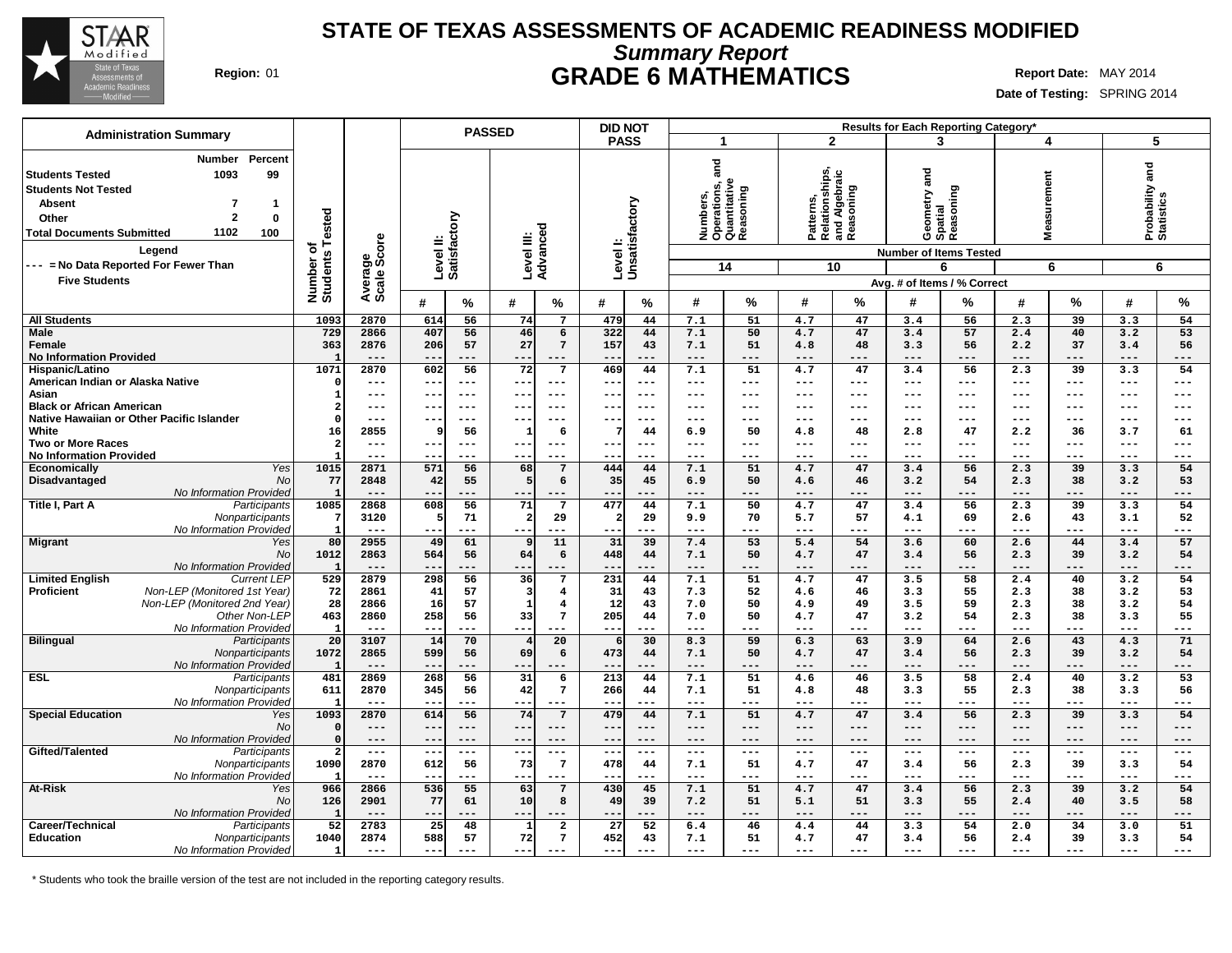

## **Summary Report STATE OF TEXAS ASSESSMENTS OF ACADEMIC READINESS MODIFIED Region:** 01 **GRADE 6 MATHEMATICS Report Date:** MAY 2014

**Date of Testing:** SPRING 2014

| <b>Administration Summary</b>                                                                                                                                                                                             |                                      |                        | <b>PASSED</b>                          |                                                   | <b>DID NOT</b>                |                                                                  |                                                           | Results for Each Reporting Category'                                  |                               |                               |
|---------------------------------------------------------------------------------------------------------------------------------------------------------------------------------------------------------------------------|--------------------------------------|------------------------|----------------------------------------|---------------------------------------------------|-------------------------------|------------------------------------------------------------------|-----------------------------------------------------------|-----------------------------------------------------------------------|-------------------------------|-------------------------------|
|                                                                                                                                                                                                                           |                                      |                        |                                        |                                                   | <b>PASS</b>                   | $\overline{\mathbf{1}}$                                          | $\overline{2}$                                            | 3                                                                     | 4                             | 5                             |
| Percent<br>Number<br>99<br>1093<br><b>Students Tested</b><br><b>Students Not Tested</b><br><b>Absent</b><br>$\mathbf 1$<br>7<br>$\overline{2}$<br>Other<br>0<br>1102<br><b>Total Documents Submitted</b><br>100<br>Legend | Tested<br>৳<br>Number of<br>Students | Average<br>Scale Score | Level II:<br>Satisfactory              | Advanced<br>Level III:                            | Level I:<br>Unsatisfactory    | ត<br>ត<br>Numbers,<br>Operations, a<br>Quantitative<br>Reasoning | Patterns,<br>Relationships,<br>and Algebraic<br>Reasoning | Geometry and<br>Spatial<br>Reasoning<br><b>Number of Items Tested</b> | easurement<br>Š.              | Probability and<br>Statistics |
| --- = No Data Reported For Fewer Than                                                                                                                                                                                     |                                      |                        |                                        |                                                   |                               | 14                                                               | 10                                                        | 6                                                                     | 6                             | 6                             |
| <b>Five Students</b>                                                                                                                                                                                                      |                                      |                        |                                        |                                                   |                               |                                                                  |                                                           | Avg. # of Items / % Correct                                           |                               |                               |
|                                                                                                                                                                                                                           |                                      |                        | #<br>$\%$                              | #<br>%                                            | $\%$<br>#                     | #<br>%                                                           | #<br>%                                                    | #<br>%                                                                | $\%$<br>#                     | $\%$<br>#                     |
| <b>All Students</b>                                                                                                                                                                                                       | 1093                                 | 2870                   | 56<br>614                              | 74<br>$\overline{7}$                              | 479<br>44                     | 7.1<br>51                                                        | 4.7<br>47                                                 | 3.4<br>56                                                             | 2.3<br>39                     | 3.3<br>54                     |
| <b>Male</b><br>Female                                                                                                                                                                                                     | 729<br>363                           | 2866<br>2876           | 407<br>56<br>206<br>57                 | 46<br>6<br>27<br>$7\phantom{.0}$                  | 322<br>44<br>157<br>43        | 7.1<br>50<br>7.1<br>51                                           | 47<br>4.7<br>48<br>4.8                                    | 57<br>3.4<br>3.3<br>56                                                | 2.4<br>40<br>2.2<br>37        | 3.2<br>53<br>3.4<br>56        |
| <b>No Information Provided</b>                                                                                                                                                                                            | $\mathbf{1}$                         | $- - -$                | $- -$<br>---                           | $---$<br>---                                      | $- -$<br>$- - -$              | $---$<br>$---$                                                   | ---<br>$---$                                              | $---$<br>---                                                          | $---$<br>$- - -$              | $---$<br>---                  |
| Hispanic/Latino<br>American Indian or Alaska Native                                                                                                                                                                       | 1071<br>$\mathsf{C}$                 | 2870<br>$---$          | 602<br>56<br>$---$<br>$- -$            | $\overline{72}$<br>$\overline{7}$<br>---<br>$---$ | 469<br>44<br>$- -$<br>$- - -$ | 7.1<br>51<br>$---$<br>---                                        | 47<br>4.7<br>---<br>$\qquad \qquad - -$                   | 56<br>3.4<br>$---$<br>$---$                                           | 2.3<br>39<br>$---$<br>$---$   | 3.3<br>54<br>$-- -$<br>$---$  |
| Asian                                                                                                                                                                                                                     | -1                                   | $- - -$                | $- -$<br>$- - -$                       | $- - -$<br>$- - -$                                | $- -$<br>$- - -$              | $\frac{1}{2}$<br>---                                             | $- - -$<br>$- - -$                                        | $---$<br>$- - -$                                                      | $---$<br>$- - -$              | $- - -$<br>$---$              |
| <b>Black or African American</b>                                                                                                                                                                                          | -2                                   | $---$                  | $\qquad \qquad -$<br>$- - -$           | ---<br>$- - -$                                    | $- -$<br>$- - -$              | $- - -$<br>---                                                   | $- - -$<br>---                                            | $---$<br>---                                                          | $---$<br>$- - -$              | $- - -$<br>$---$              |
| Native Hawaiian or Other Pacific Islander                                                                                                                                                                                 | $\Omega$                             | $---$                  | $- - -$<br>$- -$                       | $- -$<br>$---$                                    | $- -$<br>$- - -$              | $- - -$<br>---                                                   | $---$<br>---                                              | $---$<br>---                                                          | ---<br>$- - -$                | $---$<br>$---$                |
| White<br><b>Two or More Races</b>                                                                                                                                                                                         | 16<br>$\overline{2}$                 | 2855<br>$---$          | 56<br>9<br>$- -$<br>$---$              | 6<br>1<br>$---$<br>$---$                          | 44<br>$- -$<br>$- - -$        | 6.9<br>50<br>$---$<br>---                                        | 48<br>4.8<br>---<br>$---$                                 | 47<br>2.8<br>$---$<br>$---$                                           | 2.2<br>36<br>$---$<br>$---$   | 3.7<br>61<br>$---$<br>$---$   |
| <b>No Information Provided</b>                                                                                                                                                                                            | $\mathbf{I}$                         | $---$                  | $- -$<br>$--$                          | ---<br>$---$                                      | $- -$<br>$- - -$              | $---$<br>---                                                     | ---<br>$---$                                              | $---$<br>---                                                          | $---$<br>$---$                | $---$<br>$---$                |
| Yes<br><b>Economically</b>                                                                                                                                                                                                | 1015                                 | 2871                   | 571<br>56                              | 68<br>7                                           | 444<br>44                     | 7.1<br>51                                                        | 47<br>4.7                                                 | 3.4<br>56                                                             | 2.3<br>39                     | 54<br>3.3                     |
| Disadvantaged<br>No                                                                                                                                                                                                       | 77                                   | 2848                   | 42<br>55                               | 5<br>6                                            | 35<br>45                      | 6.9<br>50                                                        | 46<br>4.6                                                 | 3.2<br>54                                                             | 2.3<br>38                     | 3.2<br>53                     |
| No Information Provided<br>Title I, Part A<br>Participants                                                                                                                                                                | $\overline{1}$<br>1085               | $---$<br>2868          | $- -$<br>---<br>608<br>56              | ---<br>---<br>71<br>7                             | ---<br>---<br>477<br>44       | $- -$<br>$---$<br>7.1<br>50                                      | ---<br>$---$<br>47<br>4.7                                 | $---$<br>---<br>3.4<br>56                                             | $---$<br>---<br>2.3<br>39     | ---<br>$---$<br>54<br>3.3     |
| Nonparticipants                                                                                                                                                                                                           | -7                                   | 3120                   | 71<br>5                                | $\mathbf{2}$<br>29                                | 29<br>$\overline{a}$          | 9.9<br>70                                                        | 5.7<br>57                                                 | 69<br>4.1                                                             | 43<br>2.6                     | 3.1<br>52                     |
| No Information Provided                                                                                                                                                                                                   | $\mathbf{I}$                         | $---$                  | $- -$<br>---                           | ---<br>---                                        | $- -$<br>$- - -$              | $---$<br>$---$                                                   | $---$<br>---                                              | $---$<br>---                                                          | $---$<br>---                  | $---$<br>---                  |
| <b>Migrant</b><br>Yes                                                                                                                                                                                                     | 80                                   | 2955                   | 61<br>49                               | 11<br>9                                           | 31<br>39                      | 53<br>7.4                                                        | 54<br>5.4                                                 | 3.6<br>60                                                             | 2.6<br>44                     | 57<br>3.4                     |
| <b>No</b>                                                                                                                                                                                                                 | 1012                                 | 2863<br>$---$          | 564<br>56                              | 64<br>6                                           | 448<br>44                     | 7.1<br>50<br>$---$                                               | 4.7<br>47<br>$---$                                        | 3.4<br>56<br>$---$                                                    | 2.3<br>39                     | 3.2<br>54<br>$---$            |
| No Information Provided<br><b>Limited English</b><br><b>Current LEP</b>                                                                                                                                                   | $\mathbf{1}$<br>529                  | 2879                   | ---<br>$- -$<br>298<br>$\overline{56}$ | $---$<br>$---$<br>36<br>7                         | $- -$<br>$- - -$<br>231<br>44 | ---<br>7.1<br>51                                                 | $---$<br>4.7<br>47                                        | ---<br>3.5<br>58                                                      | $---$<br>$---$<br>40<br>2.4   | ---<br>54<br>3.2              |
| Non-LEP (Monitored 1st Year)<br><b>Proficient</b>                                                                                                                                                                         | 72                                   | 2861                   | 41<br>57                               | $\overline{\mathbf{3}}$<br>4                      | 31<br>43                      | 7.3<br>52                                                        | 46<br>4.6                                                 | 55<br>3.3                                                             | 38<br>2.3                     | 3.2<br>53                     |
| Non-LEP (Monitored 2nd Year)                                                                                                                                                                                              | 28                                   | 2866                   | 16<br>57                               | $\mathbf{1}$<br>$\overline{4}$                    | 12<br>43                      | 7.0<br>50                                                        | 49<br>4.9                                                 | 59<br>3.5                                                             | 38<br>2.3                     | 3.2<br>54                     |
| Other Non-LEP                                                                                                                                                                                                             | 463                                  | 2860                   | 258<br>56                              | 33<br>$7\phantom{.0}$                             | 205<br>44                     | 7.0<br>50                                                        | 47<br>4.7                                                 | 3.2<br>54                                                             | 2.3<br>38                     | 3.3<br>55                     |
| No Information Provided                                                                                                                                                                                                   | $\mathbf{1}$                         | $- - -$                | $- -$<br>---                           | ---                                               | $- -$<br>$- - -$              | $---$<br>---                                                     | ---<br>$---$                                              | $---$<br>---                                                          | $---$<br>---                  | $---$<br>---                  |
| <b>Bilingual</b><br>Participants<br>Nonparticipants                                                                                                                                                                       | 20<br>1072                           | 3107<br>2865           | 14<br>70<br>599<br>56                  | 20<br>$\overline{4}$<br>69<br>6                   | 30<br>473<br>44               | 8.3<br>59<br>7.1<br>50                                           | 63<br>6.3<br>4.7<br>47                                    | 64<br>3.9<br>3.4<br>56                                                | 43<br>2.6<br>39<br>2.3        | 71<br>4.3<br>3.2<br>54        |
| No Information Provided                                                                                                                                                                                                   | -1                                   | $---$                  | ---<br>$- -$                           | $---$<br>---                                      | $- -$<br>$- - -$              | $---$<br>---                                                     | $- - -$<br>$---$                                          | $---$<br>---                                                          | $---$<br>$---$                | $---$<br>---                  |
| <b>ESL</b><br>Participants                                                                                                                                                                                                | 481                                  | 2869                   | 268<br>$\overline{56}$                 | 31<br>6                                           | 213<br>44                     | 7.1<br>51                                                        | 46<br>4.6                                                 | 3.5<br>58                                                             | 40<br>2.4                     | $\overline{53}$<br>3.2        |
| Nonparticipants                                                                                                                                                                                                           | 611                                  | 2870                   | 345<br>56                              | 42<br>$7\phantom{.0}$                             | 266<br>44                     | 51<br>7.1                                                        | 48<br>4.8                                                 | 55<br>3.3                                                             | 2.3<br>38                     | 3.3<br>56                     |
| No Information Provided                                                                                                                                                                                                   | - 1                                  | $- - -$                | $- -$<br>---                           | ---<br>---                                        | $- -$<br>$- - -$              | $---$<br>$---$                                                   | ---<br>$- - -$                                            | $---$<br>---                                                          | $---$<br>$- - -$              | $- - -$<br>---                |
| <b>Special Education</b><br>Yes<br>No                                                                                                                                                                                     | 1093<br>$\mathbf{C}$                 | 2870<br>$---$          | 56<br>614<br>$--$<br>$---$             | 74<br>$7\phantom{.0}$<br>---<br>$---$             | 479<br>44<br>$--$<br>$- - -$  | 7.1<br>51<br>$---$<br>---                                        | 47<br>4.7<br>---<br>$---$                                 | 3.4<br>56<br>$---$<br>$---$                                           | 2.3<br>39<br>$---$<br>$---$   | 3.3<br>54<br>$---$<br>---     |
| No Information Provided                                                                                                                                                                                                   | $\Omega$                             | $---$                  | $- -$<br>$---$                         | $---$<br>---                                      | $- -$<br>$---$                | $---$<br>$---$                                                   | $---$<br>---                                              | $- - -$<br>---                                                        | $---$<br>$---$                | $---$<br>$---$                |
| Gifted/Talented<br>Participants                                                                                                                                                                                           |                                      | $---$                  | $---$<br>$\overline{\phantom{a}}$      | $--$<br>---                                       | $- -$<br>$---$                | $- - -$<br>$---$                                                 | $- - -$<br>$\qquad \qquad - -$                            | $\qquad \qquad -$<br>---                                              | $- - -$<br>$---$              | $---$<br>$---$                |
| Nonparticipants<br>No Information Provided                                                                                                                                                                                | 1090<br>- 1                          | 2870<br>$- - -$        | 56<br>612<br>---<br>$- -$              | 73<br>$7\phantom{.0}$<br>---<br>---               | 478<br>44<br>$- -$<br>$- - -$ | 51<br>7.1<br>$- - -$<br>---                                      | 47<br>4.7<br>$---$<br>---                                 | 56<br>3.4<br>$- - -$<br>---                                           | 39<br>2.3<br>$---$<br>$- - -$ | 3.3<br>54<br>$---$<br>$---$   |
| At-Risk<br>Yes                                                                                                                                                                                                            | 966                                  | 2866                   | 536<br>$\overline{55}$                 | 63<br>7                                           | 430<br>45                     | 7.1<br>51                                                        | 4.7<br>47                                                 | 56<br>3.4                                                             | 2.3<br>39                     | 3.2<br>54                     |
| No                                                                                                                                                                                                                        | 126                                  | 2901                   | 77<br>61                               | 10<br>8                                           | 49<br>39                      | 51<br>7.2                                                        | 51<br>5.1                                                 | 3.3<br>55                                                             | 40<br>2.4                     | 58<br>3.5                     |
| No Information Provided                                                                                                                                                                                                   | $\mathbf{1}$                         | $---$                  | $- -$<br>---                           | $---$<br>---                                      | $- -$<br>---                  | $---$<br>$---$                                                   | $---$<br>---                                              | $---$<br>---                                                          | $---$<br>---                  | $---$<br>---                  |
| Career/Technical<br>Participants                                                                                                                                                                                          | 52                                   | 2783                   | 25<br>48                               | $\overline{a}$<br>$\mathbf{1}$                    | 27<br>52                      | 6.4<br>46                                                        | 4.4<br>44                                                 | 3.3<br>54                                                             | 2.0<br>34                     | 3.0<br>51                     |
| Education<br>Nonparticipants<br>No Information Provided                                                                                                                                                                   | 1040<br>$\mathbf{1}$                 | 2874<br>$---$          | 588<br>57<br>$--$<br>$---$             | 72<br>$7\phantom{.0}$<br>$---$                    | 452<br>43<br>$---$<br>$- - -$ | 7.1<br>51<br>$---$<br>$---$                                      | 47<br>4.7<br>$---$<br>---                                 | 56<br>3.4<br>$---$<br>---                                             | 39<br>2.4<br>$- - -$<br>$---$ | 3.3<br>54<br>$---$<br>---     |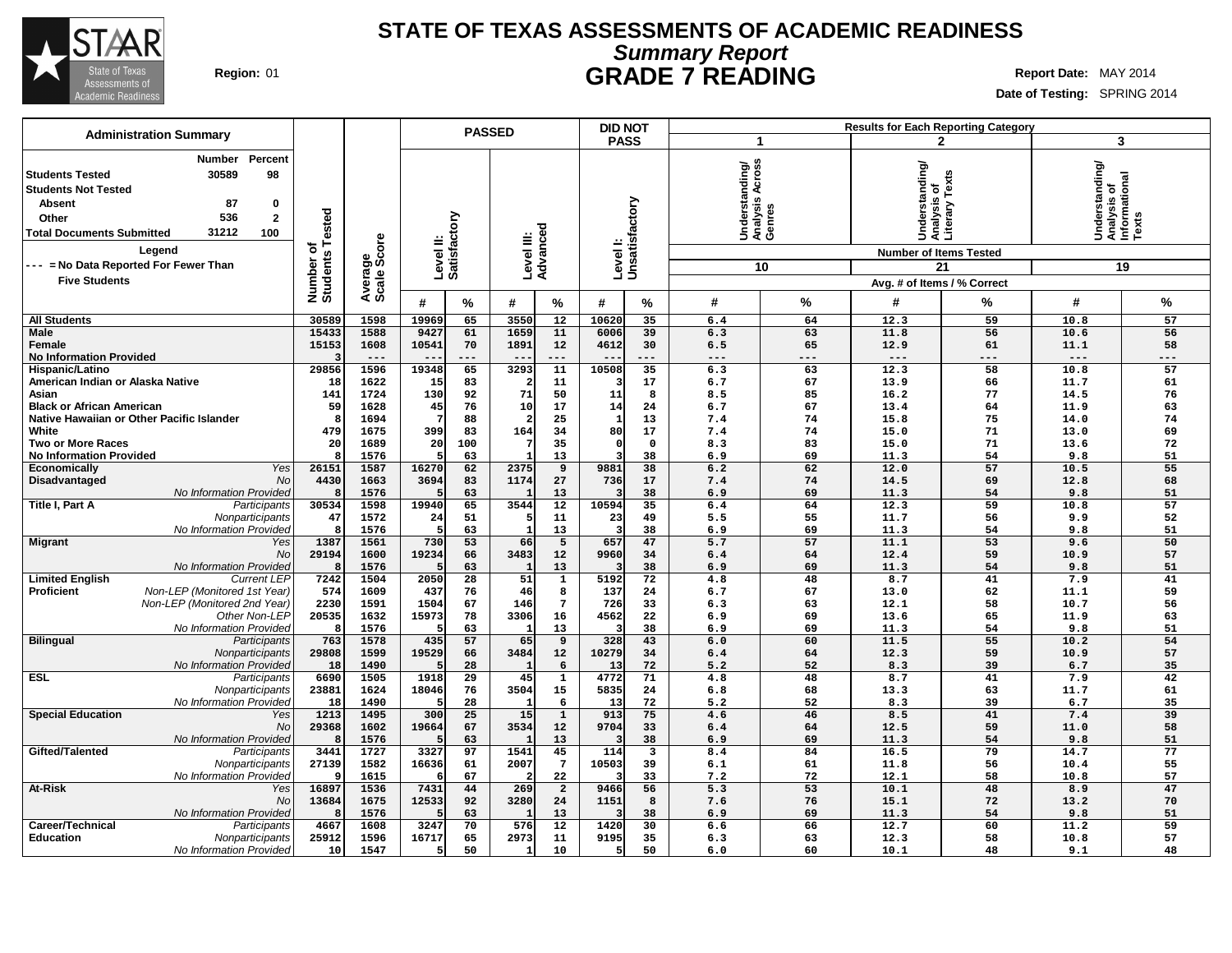

# **Summary Report STATE OF TEXAS ASSESSMENTS OF ACADEMIC READINESS Region:** 01 **GRADE 7 READING Report** Date: MAY 2014

| <b>Administration Summary</b>                                                                                                                                                                                       |                      |                        |                           |                 | <b>PASSED</b> |                         | <b>DID NOT</b> |                            |                                                       |          |                                                 | <b>Results for Each Reporting Category</b> |                                                            |          |
|---------------------------------------------------------------------------------------------------------------------------------------------------------------------------------------------------------------------|----------------------|------------------------|---------------------------|-----------------|---------------|-------------------------|----------------|----------------------------|-------------------------------------------------------|----------|-------------------------------------------------|--------------------------------------------|------------------------------------------------------------|----------|
|                                                                                                                                                                                                                     |                      |                        |                           |                 |               |                         | <b>PASS</b>    |                            | 1                                                     |          |                                                 | $\overline{2}$                             |                                                            | 3        |
| Number<br>Percent<br>30589<br>98<br><b>Students Tested</b><br><b>Students Not Tested</b><br><b>Absent</b><br>87<br>0<br>536<br>$\overline{\mathbf{2}}$<br>Other<br>31212<br>100<br><b>Total Documents Submitted</b> | Tested<br>৳          | Average<br>Scale Score | Level II:<br>Satisfactory |                 | Level III:    | Advanced                |                | Level I:<br>Unsatisfactory | Across<br>Understanding/<br>Analysis Across<br>Genres |          | Understanding/<br>Analysis of<br>Literary Texts |                                            | Understanding/<br> Analysis of<br> Informational<br> Texts |          |
| Legend                                                                                                                                                                                                              |                      |                        |                           |                 |               |                         |                |                            |                                                       |          | <b>Number of Items Tested</b>                   |                                            |                                                            |          |
| -- = No Data Reported For Fewer Than                                                                                                                                                                                |                      |                        |                           |                 |               |                         |                |                            |                                                       | 10       |                                                 | 21                                         |                                                            | 19       |
| <b>Five Students</b>                                                                                                                                                                                                |                      |                        |                           |                 |               |                         |                |                            |                                                       |          | Avg. # of Items / % Correct                     |                                            |                                                            |          |
|                                                                                                                                                                                                                     | Number o<br>Students |                        | #                         | %               | #             | %                       | #              | %                          | #                                                     | $\%$     | #                                               | $\%$                                       | #                                                          | %        |
| <b>All Students</b>                                                                                                                                                                                                 | 30589                | 1598                   | 19969                     | 65              | 3550          | $\overline{12}$         | 10620          | 35                         | 6.4                                                   | 64       | 12.3                                            | 59                                         | 10.8                                                       | 57       |
| <b>Male</b>                                                                                                                                                                                                         | 15433                | 1588                   | 9427                      | 61              | 1659          | 11                      | 6006           | 39                         | 6.3                                                   | 63       | 11.8                                            | 56                                         | 10.6                                                       | 56       |
| Female                                                                                                                                                                                                              | 15153                | 1608                   | 10541                     | 70              | 1891          | 12                      | 4612           | 30                         | 6.5                                                   | 65       | 12.9                                            | 61                                         | 11.1                                                       | 58       |
| <b>No Information Provided</b>                                                                                                                                                                                      |                      | $---$                  |                           | ---             | $ -$          | ---                     |                | ---                        | $---$                                                 | ---      | $---$                                           | ---                                        | $---$                                                      | ---      |
| Hispanic/Latino                                                                                                                                                                                                     | 29856                | 1596                   | 19348                     | 65              | 3293          | 11                      | 10508          | 35                         | 6.3                                                   | 63       | 12.3                                            | 58                                         | 10.8                                                       | 57       |
| American Indian or Alaska Native                                                                                                                                                                                    | 18                   | 1622                   | 15                        | 83              |               | 11                      |                | 17                         | 6.7                                                   | 67       | 13.9                                            | 66                                         | 11.7                                                       | 61       |
| Asian                                                                                                                                                                                                               | 141                  | 1724                   | 130                       | 92              | 71            | 50                      | 11             | 8                          | 8.5                                                   | 85       | 16.2                                            | 77                                         | 14.5                                                       | 76       |
| <b>Black or African American</b>                                                                                                                                                                                    | 59                   | 1628                   | 45                        | 76              | 10            | 17                      | 14             | 24                         | 6.7                                                   | 67       | 13.4                                            | 64                                         | 11.9                                                       | 63       |
| Native Hawaiian or Other Pacific Islander                                                                                                                                                                           |                      | 1694                   |                           | 88              |               | 25                      | $\mathbf{1}$   | 13                         | 7.4                                                   | 74       | 15.8                                            | 75                                         | 14.0                                                       | 74       |
| White                                                                                                                                                                                                               | 479                  | 1675                   | 399                       | 83              | 164           | 34                      | 80             | 17                         | 7.4                                                   | 74       | 15.0                                            | 71                                         | 13.0                                                       | 69       |
| <b>Two or More Races</b>                                                                                                                                                                                            | 20                   | 1689                   | 20                        | 100             |               | 35                      | $\Omega$       | $\mathbf 0$                | 8.3                                                   | 83       | 15.0                                            | 71                                         | 13.6                                                       | 72       |
| <b>No Information Provided</b>                                                                                                                                                                                      |                      | 1576                   |                           | 63              |               | 13                      |                | 38                         | 6.9                                                   | 69       | 11.3                                            | 54                                         | 9.8                                                        | 51       |
| Yes<br>Economically                                                                                                                                                                                                 | 26151                | 1587                   | 16270                     | 62              | 2375          | 9                       | 9881           | 38                         | 6.2                                                   | 62       | 12.0                                            | 57                                         | 10.5                                                       | 55       |
| <b>No</b><br>Disadvantaged<br>No Information Provided                                                                                                                                                               | 4430                 | 1663                   | 3694                      | 83<br>63        | 1174          | 27<br>13                | 736            | 17<br>38                   | 7.4                                                   | 74<br>69 | 14.5<br>11.3                                    | 69<br>54                                   | 12.8<br>9.8                                                | 68<br>51 |
| Title I, Part A<br>Participants                                                                                                                                                                                     | 30534                | 1576<br>1598           | 19940                     | 65              | 3544          | 12                      | 10594          | 35                         | 6.9<br>6.4                                            | 64       | 12.3                                            | 59                                         | 10.8                                                       | 57       |
| Nonparticipants                                                                                                                                                                                                     | 47                   | 1572                   | 24                        | 51              |               | 11                      | 23             | 49                         | 5.5                                                   | 55       | 11.7                                            | 56                                         | 9.9                                                        | 52       |
| No Information Provideo                                                                                                                                                                                             |                      | 1576                   | 5                         | 63              |               | 13                      |                | 38                         | 6.9                                                   | 69       | 11.3                                            | 54                                         | 9.8                                                        | 51       |
| <b>Migrant</b><br>Yes                                                                                                                                                                                               | 1387                 | 1561                   | 730                       | 53              | 66            | 5                       | 657            | 47                         | 5.7                                                   | 57       | 11.1                                            | 53                                         | 9.6                                                        | 50       |
| No                                                                                                                                                                                                                  | 29194                | 1600                   | 19234                     | 66              | 3483          | 12                      | 9960           | 34                         | 6.4                                                   | 64       | 12.4                                            | 59                                         | 10.9                                                       | 57       |
| No Information Provided                                                                                                                                                                                             |                      | 1576                   |                           | 63              |               | 13                      |                | 38                         | 6.9                                                   | 69       | 11.3                                            | 54                                         | 9.8                                                        | 51       |
| <b>Current LEP</b><br><b>Limited English</b>                                                                                                                                                                        | 7242                 | 1504                   | 2050                      | $\overline{28}$ | 51            | $\overline{1}$          | 5192           | 72                         | 4.8                                                   | 48       | 8.7                                             | 41                                         | 7.9                                                        | 41       |
| <b>Proficient</b><br>Non-LEP (Monitored 1st Year)                                                                                                                                                                   | 574                  | 1609                   | 437                       | 76              | 46            | 8                       | 137            | 24                         | 6.7                                                   | 67       | 13.0                                            | 62                                         | 11.1                                                       | 59       |
| Non-LEP (Monitored 2nd Year)                                                                                                                                                                                        | 2230                 | 1591                   | 1504                      | 67              | 146           | $\overline{7}$          | 726            | 33                         | 6.3                                                   | 63       | 12.1                                            | 58                                         | 10.7                                                       | 56       |
| Other Non-LEP                                                                                                                                                                                                       | 20535                | 1632                   | 15973                     | 78              | 3306          | 16                      | 4562           | 22                         | 6.9                                                   | 69       | 13.6                                            | 65                                         | 11.9                                                       | 63       |
| No Information Provideo                                                                                                                                                                                             |                      | 1576                   |                           | 63              |               | 13                      |                | 38                         | 6.9                                                   | 69       | 11.3                                            | 54                                         | 9.8                                                        | 51       |
| <b>Bilingual</b><br>Participants                                                                                                                                                                                    | 763                  | 1578                   | 435                       | 57              | 65            | 9                       | 328            | 43                         | 6.0                                                   | 60       | 11.5                                            | 55                                         | 10.2                                                       | 54       |
| Nonparticipants                                                                                                                                                                                                     | 29808                | 1599                   | 19529                     | 66              | 3484          | 12                      | 10279          | 34                         | 6.4                                                   | 64       | 12.3                                            | 59                                         | 10.9                                                       | 57       |
| No Information Provideo                                                                                                                                                                                             | 18                   | 1490                   |                           | 28              |               | 6                       | 13             | 72                         | 5.2                                                   | 52       | 8.3                                             | 39                                         | 6.7                                                        | 35       |
| <b>ESL</b><br>Participants                                                                                                                                                                                          | 6690                 | 1505                   | 1918                      | 29              | 45            | ${\bf 1}$               | 4772           | 71                         | 4.8                                                   | 48       | 8.7                                             | 41                                         | 7.9                                                        | 42       |
| Nonparticipants                                                                                                                                                                                                     | 23881                | 1624                   | 18046                     | 76              | 3504          | 15                      | 5835           | 24                         | 6.8                                                   | 68       | 13.3                                            | 63                                         | 11.7                                                       | 61       |
| No Information Provided                                                                                                                                                                                             | 18                   | 1490                   |                           | 28              |               | 6                       | 13             | 72                         | 5.2                                                   | 52       | 8.3                                             | 39                                         | 6.7                                                        | 35       |
| <b>Special Education</b><br>Yes                                                                                                                                                                                     | 1213                 | 1495                   | 300                       | 25              | 15            | $\mathbf 1$             | 913            | 75                         | 4.6                                                   | 46       | 8.5                                             | 41                                         | 7.4                                                        | 39       |
| No                                                                                                                                                                                                                  | 29368                | 1602                   | 19664                     | 67              | 3534          | 12                      | 9704           | 33                         | 6.4                                                   | 64       | 12.5                                            | 59                                         | 11.0                                                       | 58       |
| No Information Provideo                                                                                                                                                                                             |                      | 1576                   |                           | 63              |               | 13                      | 114            | 38                         | 6.9                                                   | 69       | 11.3                                            | 54<br>79                                   | 9.8                                                        | 51       |
| Gifted/Talented<br>Participants                                                                                                                                                                                     | 3441<br>27139        | 1727<br>1582           | 3327                      | 97<br>61        | 1541<br>2007  | 45<br>$7\phantom{.0}$   | 10503          | 3<br>39                    | 8.4<br>6.1                                            | 84<br>61 | 16.5<br>11.8                                    | 56                                         | 14.7<br>10.4                                               | 77<br>55 |
| Nonparticipants<br>No Information Provideo                                                                                                                                                                          |                      | 1615                   | 16636                     | 67              |               | 22                      |                | 33                         | 7.2                                                   | 72       | 12.1                                            | 58                                         | 10.8                                                       | 57       |
| At-Risk<br>Yes                                                                                                                                                                                                      | 16897                | 1536                   | 7431                      | 44              | 269           | $\overline{\mathbf{2}}$ | 9466           | 56                         | 5.3                                                   | 53       | 10.1                                            | 48                                         | 8.9                                                        | 47       |
| No                                                                                                                                                                                                                  | 13684                | 1675                   | 12533                     | 92              | 3280          | 24                      | 1151           | 8                          | 7.6                                                   | 76       | 15.1                                            | 72                                         | 13.2                                                       | 70       |
| No Information Provided                                                                                                                                                                                             |                      | 1576                   |                           | 63              |               | 13                      |                | 38                         | 6.9                                                   | 69       | 11.3                                            | 54                                         | 9.8                                                        | 51       |
| Career/Technical<br>Participants                                                                                                                                                                                    | 4667                 | 1608                   | 3247                      | 70              | 576           | 12                      | 1420           | 30                         | 6.6                                                   | 66       | 12.7                                            | 60                                         | 11.2                                                       | 59       |
| Education<br>Nonparticipants                                                                                                                                                                                        | 25912                | 1596                   | 16717                     | 65              | 2973          | 11                      | 9195           | 35                         | 6.3                                                   | 63       | 12.3                                            | 58                                         | 10.8                                                       | 57       |
| No Information Provided                                                                                                                                                                                             | 10                   | 1547                   | -5                        | 50              |               | 10                      |                | 50                         | 6.0                                                   | 60       | 10.1                                            | 48                                         | 9.1                                                        | 48       |
|                                                                                                                                                                                                                     |                      |                        |                           |                 |               |                         |                |                            |                                                       |          |                                                 |                                            |                                                            |          |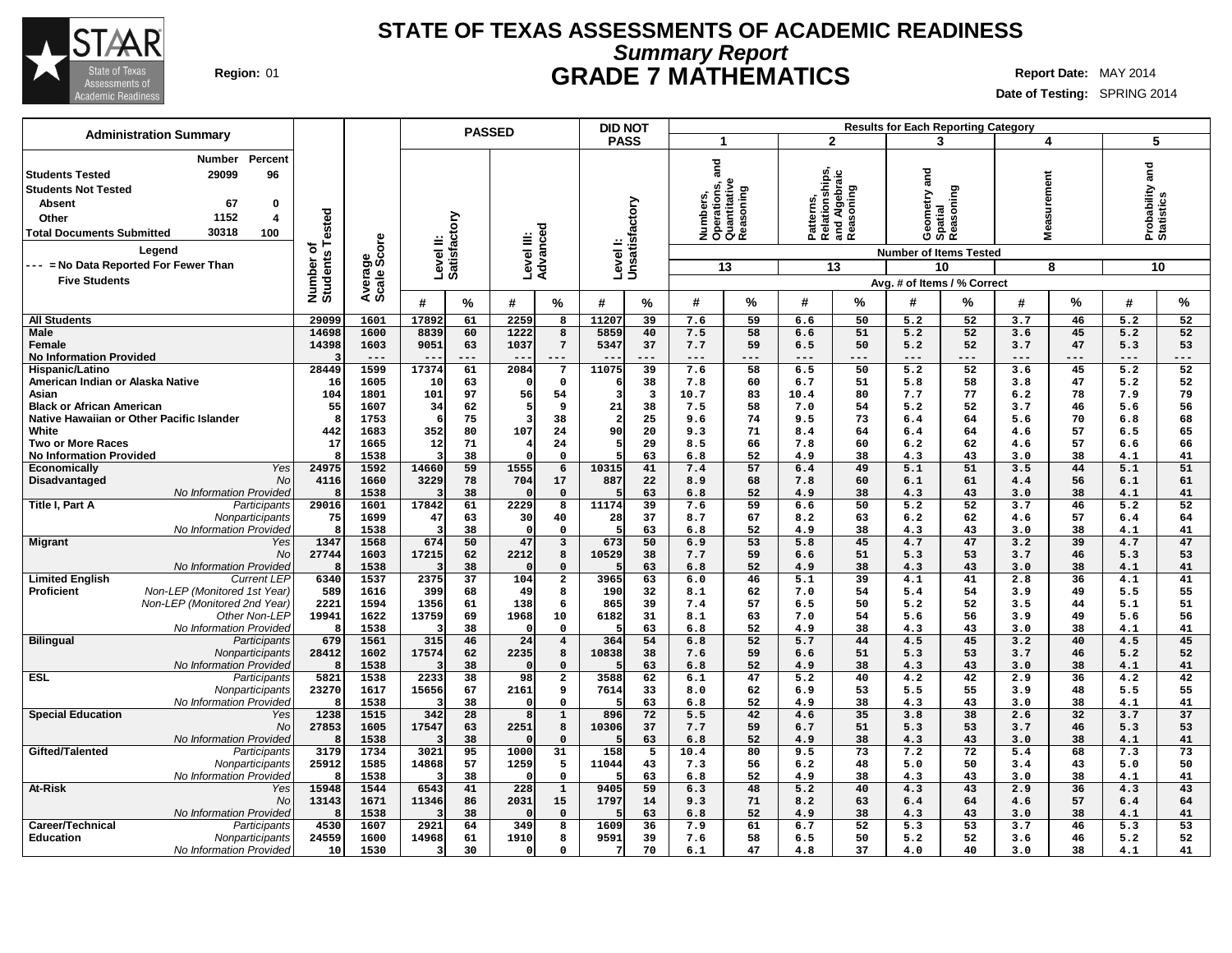

# **Summary Report STATE OF TEXAS ASSESSMENTS OF ACADEMIC READINESS Region:** 01 **GRADE 7 MATHEMATICS Report Date:** MAY 2014

| <b>Administration Summary</b>                                                                                                                                                                  |                       |                        |                           | <b>PASSED</b> |                                |                               | <b>DID NOT</b>                |                         |              |                                                        |                                                           |                       |                | <b>Results for Each Reporting Category</b> |                    |          |                               |           |
|------------------------------------------------------------------------------------------------------------------------------------------------------------------------------------------------|-----------------------|------------------------|---------------------------|---------------|--------------------------------|-------------------------------|-------------------------------|-------------------------|--------------|--------------------------------------------------------|-----------------------------------------------------------|-----------------------|----------------|--------------------------------------------|--------------------|----------|-------------------------------|-----------|
|                                                                                                                                                                                                |                       |                        |                           |               |                                |                               | <b>PASS</b>                   |                         | $\mathbf 1$  |                                                        | $\overline{2}$                                            |                       |                | 3                                          | 4                  |          | 5                             |           |
| Number<br>Percent<br>29099<br>96<br><b>Students Tested</b><br><b>Students Not Tested</b><br><b>Absent</b><br>67<br>0<br>1152<br>Other<br>4<br>30318<br>100<br><b>Total Documents Submitted</b> | Tested                | Average<br>Scale Score | Level II:<br>Satisfactory |               | Level III:<br>Advanced         |                               | Level I:<br>Unsatisfactory    |                         | and          | Numbers,<br>Operations, a<br>Quantitative<br>Reasoning | Patterns,<br>Relationships,<br>and Algebraic<br>Reasoning |                       |                | Geometry and<br>Spatial<br>Reasoning       | surement<br>Ë<br>Ś |          | Probability and<br>Statistics |           |
| Legend                                                                                                                                                                                         | ৳                     |                        |                           |               |                                |                               |                               |                         |              |                                                        |                                                           |                       |                | <b>Number of Items Tested</b>              |                    |          |                               |           |
| --- = No Data Reported For Fewer Than                                                                                                                                                          |                       |                        |                           |               |                                |                               |                               |                         |              | 13                                                     |                                                           | 13                    |                | 10                                         |                    | 8        |                               | 10        |
| <b>Five Students</b>                                                                                                                                                                           | Number of<br>Students |                        |                           |               |                                |                               |                               |                         |              |                                                        |                                                           |                       |                | Avg. # of Items / % Correct                |                    |          |                               |           |
|                                                                                                                                                                                                |                       |                        | #                         | $\%$          | #                              | %                             | #                             | %                       | #            | %                                                      | #                                                         | %                     | #              | ℅                                          | #                  | %        | #                             | %         |
| <b>All Students</b>                                                                                                                                                                            | 29099                 | 1601                   | 17892                     | 61            | 2259                           | 8                             | 11207                         | 39                      | 7.6          | 59                                                     | 6.6                                                       | 50                    | 5.2            | 52                                         | 3.7                | 46       | 5.2                           | 52        |
| <b>Male</b>                                                                                                                                                                                    | 14698                 | 1600                   | 8839                      | 60            | 1222                           | 8                             | 5859                          | 40                      | 7.5          | 58                                                     | 6.6                                                       | 51                    | 5.2            | 52                                         | 3.6                | 45       | 5.2                           | 52        |
| Female<br><b>No Information Provided</b>                                                                                                                                                       | 14398<br>-3           | 1603<br>$---$          | 9051                      | 63<br>---     | 1037                           | $7\phantom{.0}$               | 5347                          | 37<br>---               | 7.7<br>$---$ | 59<br>---                                              | 6.5<br>$- - -$                                            | 50<br>$- - -$         | 5.2<br>$- - -$ | 52<br>---                                  | 3.7<br>$- - -$     | 47       | 5.3<br>$---$                  | 53<br>--- |
| Hispanic/Latino                                                                                                                                                                                | 28449                 | 1599                   | 17374                     | 61            | 2084                           | 7                             | 11075                         | 39                      | 7.6          | 58                                                     | 6.5                                                       | 50                    | 5.2            | 52                                         | 3.6                | 45       | 5.2                           | 52        |
| American Indian or Alaska Native                                                                                                                                                               | 16                    | 1605                   | 10                        | 63            | $\Omega$                       | $\mathbf 0$                   |                               | 38                      | 7.8          | 60                                                     | 6.7                                                       | 51                    | 5.8            | 58                                         | 3.8                | 47       | 5.2                           | 52        |
| Asian                                                                                                                                                                                          | 104                   | 1801                   | 101                       | 97            | 56                             | 54                            | -3                            | $\overline{\mathbf{3}}$ | 10.7         | 83                                                     | 10.4                                                      | 80                    | 7.7            | 77                                         | 6.2                | 78       | 7.9                           | 79        |
| <b>Black or African American</b>                                                                                                                                                               | 55                    | 1607                   | 34                        | 62            | 5                              | 9                             | 21                            | 38                      | 7.5          | 58                                                     | 7.0                                                       | 54                    | 5.2            | 52                                         | 3.7                | 46       | 5.6                           | 56        |
| Native Hawaiian or Other Pacific Islander<br>White                                                                                                                                             | -8<br>442             | 1753<br>1683           | 6<br>352                  | 75<br>80      | $\overline{\mathbf{3}}$<br>107 | 38<br>24                      | $\overline{\mathbf{2}}$<br>90 | 25<br>20                | 9.6<br>9.3   | 74<br>71                                               | 9.5<br>8.4                                                | 73<br>64              | 6.4<br>6.4     | 64<br>64                                   | 5.6<br>4.6         | 70<br>57 | 6.8<br>6.5                    | 68<br>65  |
| <b>Two or More Races</b>                                                                                                                                                                       | 17                    | 1665                   | 12                        | 71            | $\overline{4}$                 | 24                            | .5                            | 29                      | 8.5          | 66                                                     | 7.8                                                       | 60                    | 6.2            | 62                                         | 4.6                | 57       | 6.6                           | 66        |
| <b>No Information Provided</b>                                                                                                                                                                 | Я.                    | 1538                   | ર                         | 38            | $\Omega$                       | $\mathbf 0$                   | 5                             | 63                      | 6.8          | 52                                                     | 4.9                                                       | 38                    | 4.3            | 43                                         | 3.0                | 38       | 4.1                           | 41        |
| Yes<br><b>Economically</b>                                                                                                                                                                     | 24975                 | 1592                   | 14660                     | 59            | 1555                           | 6                             | 10315                         | 41                      | 7.4          | 57                                                     | 6.4                                                       | 49                    | 5.1            | 51                                         | 3.5                | 44       | 5.1                           | 51        |
| Disadvantaged<br><b>No</b>                                                                                                                                                                     | 4116                  | 1660                   | 3229                      | 78            | 704                            | 17                            | 887                           | 22                      | 8.9          | 68                                                     | 7.8                                                       | 60                    | 6.1            | 61                                         | 4.4                | 56       | 6.1                           | 61        |
| No Information Provided<br>Title I, Part A<br>Participants                                                                                                                                     | 8<br>29016            | 1538<br>1601           | 17842                     | 38<br>61      | 2229                           | $\Omega$<br>8                 | 11174                         | 63<br>39                | 6.8<br>7.6   | 52<br>59                                               | 4.9<br>6.6                                                | 38<br>50              | 4.3<br>5.2     | 43<br>52                                   | 3.0<br>3.7         | 38<br>46 | 4.1<br>5.2                    | 41<br>52  |
| Nonparticipants                                                                                                                                                                                | 75                    | 1699                   | 47                        | 63            | 30                             | 40                            | 28                            | 37                      | 8.7          | 67                                                     | 8.2                                                       | 63                    | 6.2            | 62                                         | 4.6                | 57       | 6.4                           | 64        |
| No Information Provided                                                                                                                                                                        | 8                     | 1538                   | $\overline{\mathbf{3}}$   | 38            | $\Omega$                       | $\mathbf 0$                   | 5                             | 63                      | 6.8          | 52                                                     | 4.9                                                       | 38                    | 4.3            | 43                                         | 3.0                | 38       | 4.1                           | 41        |
| <b>Migrant</b><br>Yes                                                                                                                                                                          | 1347                  | 1568                   | 674                       | 50            | 47                             | 3                             | 673                           | 50                      | 6.9          | 53                                                     | 5.8                                                       | 45                    | 4.7            | 47                                         | 3.2                | 39       | 4.7                           | 47        |
| <b>No</b>                                                                                                                                                                                      | 27744<br>Я.           | 1603                   | 17215                     | 62            | 2212<br>$\Omega$               | 8                             | 10529                         | 38                      | 7.7          | 59                                                     | 6.6                                                       | 51                    | 5.3            | 53                                         | 3.7                | 46       | 5.3                           | 53        |
| No Information Provided<br><b>Limited English</b><br><b>Current LEP</b>                                                                                                                        | 6340                  | 1538<br>1537           | 3<br>2375                 | 38<br>37      | 104                            | $\mathbf 0$<br>$\overline{a}$ | 3965                          | 63<br>63                | 6.8<br>6.0   | 52<br>46                                               | 4.9<br>5.1                                                | 38<br>$\overline{39}$ | 4.3<br>4.1     | 43<br>41                                   | 3.0<br>2.8         | 38<br>36 | 4.1<br>4.1                    | 41<br>41  |
| Proficient<br>Non-LEP (Monitored 1st Year)                                                                                                                                                     | 589                   | 1616                   | 399                       | 68            | 49                             | 8                             | 190                           | 32                      | 8.1          | 62                                                     | 7.0                                                       | 54                    | 5.4            | 54                                         | 3.9                | 49       | 5.5                           | 55        |
| Non-LEP (Monitored 2nd Year)                                                                                                                                                                   | 2221                  | 1594                   | 1356                      | 61            | 138                            | 6                             | 865                           | 39                      | 7.4          | 57                                                     | 6.5                                                       | 50                    | 5.2            | 52                                         | 3.5                | 44       | 5.1                           | 51        |
| Other Non-LEP                                                                                                                                                                                  | 19941                 | 1622                   | 13759                     | 69            | 1968                           | 10                            | 6182                          | 31                      | 8.1          | 63                                                     | 7.0                                                       | 54                    | 5.6            | 56                                         | 3.9                | 49       | 5.6                           | 56        |
| No Information Provided                                                                                                                                                                        | -8<br>679             | 1538                   | 3                         | 38            | $\Omega$<br>24                 | $\mathbf 0$<br>$\overline{4}$ |                               | 63                      | 6.8          | 52                                                     | 4.9                                                       | 38                    | 4.3            | 43                                         | 3.0                | 38       | 4.1                           | 41        |
| <b>Bilingual</b><br>Participants<br>Nonparticipants                                                                                                                                            | 28412                 | 1561<br>1602           | 315<br>17574              | 46<br>62      | 2235                           | 8                             | 364<br>10838                  | 54<br>38                | 6.8<br>7.6   | 52<br>59                                               | 5.7<br>6.6                                                | 44<br>51              | 4.5<br>5.3     | 45<br>53                                   | 3.2<br>3.7         | 40<br>46 | 4.5<br>5.2                    | 45<br>52  |
| No Information Provided                                                                                                                                                                        | -8                    | 1538                   |                           | 38            | $\Omega$                       | $\mathbf 0$                   |                               | 63                      | 6.8          | 52                                                     | 4.9                                                       | 38                    | 4.3            | 43                                         | 3.0                | 38       | 4.1                           | 41        |
| <b>ESL</b><br>Participants                                                                                                                                                                     | 5821                  | 1538                   | 2233                      | 38            | 98                             | $\overline{a}$                | 3588                          | 62                      | 6.1          | 47                                                     | 5.2                                                       | 40                    | 4.2            | 42                                         | 2.9                | 36       | 4.2                           | 42        |
| <b>Nonparticipants</b>                                                                                                                                                                         | 23270                 | 1617                   | 15656                     | 67            | 2161                           | 9                             | 7614                          | 33                      | 8.0          | 62                                                     | 6.9                                                       | 53                    | 5.5            | 55                                         | 3.9                | 48       | 5.5                           | 55        |
| No Information Provided                                                                                                                                                                        | Я.                    | 1538                   | Э                         | 38            | $\Omega$<br>8                  | $\mathbf 0$                   |                               | 63                      | 6.8          | 52                                                     | 4.9                                                       | 38                    | 4.3            | 43                                         | 3.0                | 38       | 4.1                           | 41        |
| <b>Special Education</b><br>Yes<br>No                                                                                                                                                          | 1238<br>27853         | 1515<br>1605           | 342<br>17547              | 28<br>63      | 2251                           | $\mathbf{1}$<br>8             | 896<br>10306                  | 72<br>37                | 5.5<br>7.7   | 42<br>59                                               | 4.6<br>6.7                                                | 35<br>51              | 3.8<br>5.3     | 38<br>53                                   | 2.6<br>3.7         | 32<br>46 | 3.7<br>5.3                    | 37<br>53  |
| No Information Provided                                                                                                                                                                        | Я.                    | 1538                   | 3                         | 38            |                                | $\mathbf 0$                   |                               | 63                      | 6.8          | 52                                                     | 4.9                                                       | 38                    | 4.3            | 43                                         | 3.0                | 38       | 4.1                           | 41        |
| Gifted/Talented<br>Participants                                                                                                                                                                | 3179                  | 1734                   | 3021                      | 95            | 1000                           | 31                            | 158                           | 5                       | 10.4         | 80                                                     | 9.5                                                       | 73                    | 7.2            | 72                                         | 5.4                | 68       | 7.3                           | 73        |
| Nonparticipants                                                                                                                                                                                | 25912                 | 1585                   | 14868                     | 57            | 1259                           | 5                             | 11044                         | 43                      | 7.3          | 56                                                     | 6.2                                                       | 48                    | 5.0            | 50                                         | 3.4                | 43       | 5.0                           | 50        |
| No Information Provided<br>At-Risk                                                                                                                                                             | -8<br>15948           | 1538<br>1544           | 3<br>6543                 | 38<br>41      | $\Omega$<br>$\overline{228}$   | $\mathbf 0$                   | 9405                          | 63<br>59                | 6.8          | 52<br>48                                               | 4.9                                                       | 38<br>40              | 4.3            | 43<br>43                                   | 3.0                | 38<br>36 | 4.1                           | 41<br>43  |
| Yes<br><b>No</b>                                                                                                                                                                               | 13143                 | 1671                   | 11346                     | 86            | 2031                           | $\mathbf{1}$<br>15            | 1797                          | 14                      | 6.3<br>9.3   | 71                                                     | 5.2<br>8.2                                                | 63                    | 4.3<br>6.4     | 64                                         | 2.9<br>4.6         | 57       | 4.3<br>6.4                    | 64        |
| <b>No Information Provided</b>                                                                                                                                                                 |                       | 1538                   |                           | 38            |                                | $\mathbf{0}$                  |                               | 63                      | 6.8          | 52                                                     | 4.9                                                       | 38                    | 4.3            | 43                                         | 3.0                | 38       | 4.1                           | 41        |
| Career/Technical<br>Participants                                                                                                                                                               | 4530                  | 1607                   | 2921                      | 64            | 349                            | 8                             | 1609                          | 36                      | 7.9          | 61                                                     | 6.7                                                       | 52                    | 5.3            | 53                                         | 3.7                | 46       | 5.3                           | 53        |
| Education<br><b>Nonparticipants</b>                                                                                                                                                            | 24559                 | 1600                   | 14968                     | 61            | 1910                           | 8                             | 9591                          | 39                      | 7.6          | 58                                                     | 6.5                                                       | 50                    | 5.2            | 52                                         | 3.6                | 46       | 5.2                           | 52        |
| No Information Provided                                                                                                                                                                        | 10                    | 1530                   | 3                         | 30            | $\Omega$                       | $\Omega$                      | 7                             | 70                      | 6.1          | 47                                                     | 4.8                                                       | 37                    | 4.0            | 40                                         | 3.0                | 38       | 4.1                           | 41        |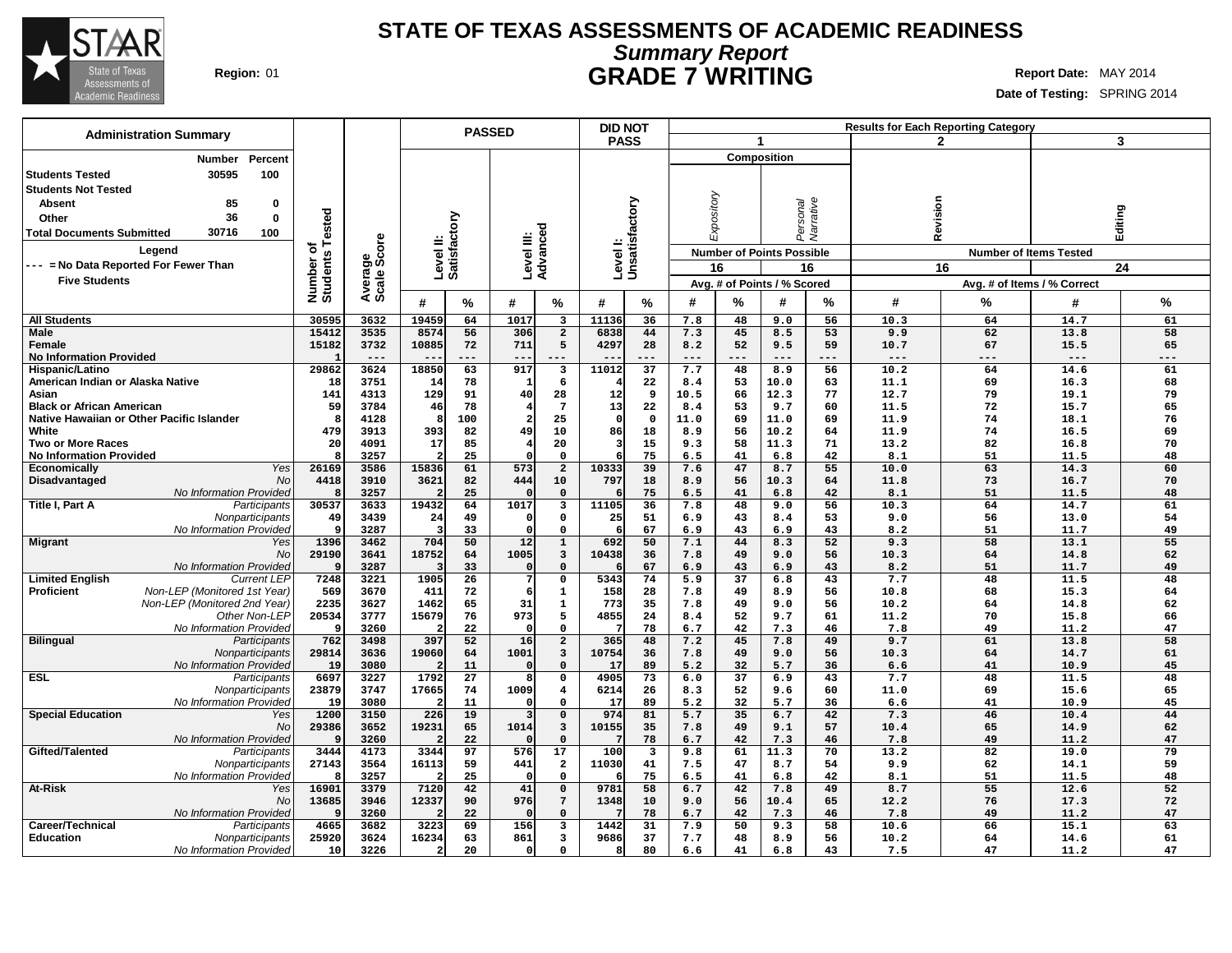

## **Summary Report STATE OF TEXAS ASSESSMENTS OF ACADEMIC READINESS Region:** 01 **GRADE 7 WRITING Report Date:** MAY 2014

| <b>Administration Summary</b>                                              |                      | <b>PASSED</b>          |                        |                 |                         |                              | <b>DID NOT</b>             |          |            |            |                                  |           |              | <b>Results for Each Reporting Category</b> |              |          |
|----------------------------------------------------------------------------|----------------------|------------------------|------------------------|-----------------|-------------------------|------------------------------|----------------------------|----------|------------|------------|----------------------------------|-----------|--------------|--------------------------------------------|--------------|----------|
|                                                                            |                      |                        |                        |                 |                         |                              | <b>PASS</b>                |          |            |            | $\mathbf{1}$                     |           |              | $\overline{2}$                             | 3            |          |
| Percent<br>Number                                                          |                      |                        |                        |                 |                         |                              |                            |          |            |            | <b>Composition</b>               |           |              |                                            |              |          |
| 30595<br>100<br><b>Students Tested</b>                                     |                      |                        |                        |                 |                         |                              |                            |          |            |            |                                  |           |              |                                            |              |          |
|                                                                            |                      |                        |                        |                 |                         |                              |                            |          |            |            |                                  |           |              |                                            |              |          |
| <b>Students Not Tested</b>                                                 |                      |                        |                        |                 |                         |                              |                            |          |            |            |                                  |           |              |                                            |              |          |
| <b>Absent</b><br>85<br>0                                                   |                      |                        |                        |                 |                         |                              |                            |          |            |            |                                  |           |              |                                            |              |          |
| 36<br>0<br>Other                                                           |                      |                        |                        | ζq              |                         |                              |                            |          |            |            |                                  |           |              |                                            |              |          |
| 30716<br><b>Total Documents Submitted</b><br>100                           | Tested               |                        |                        |                 |                         |                              |                            |          |            | Expository | Personal                         | Narrative | Revision     |                                            | Editing      |          |
| Legend                                                                     | ō                    |                        |                        | ូម៊ូ            |                         |                              |                            |          |            |            |                                  |           |              |                                            |              |          |
|                                                                            | Number o<br>Students | Average<br>Scale Score | Level II:<br>Satisfact |                 | Level III:<br>Advanced  |                              | Level I:<br>Unsatisfactory |          |            |            | <b>Number of Points Possible</b> |           |              | <b>Number of Items Tested</b>              |              |          |
| -- = No Data Reported For Fewer Than                                       |                      |                        |                        |                 |                         |                              |                            |          |            | 16         |                                  | 16        |              | 16                                         |              | 24       |
| <b>Five Students</b>                                                       |                      |                        |                        |                 |                         |                              |                            |          |            |            | Avg. # of Points / % Scored      |           |              | Avg. # of Items / % Correct                |              |          |
|                                                                            |                      |                        |                        |                 |                         |                              |                            |          | #          |            |                                  |           |              |                                            |              |          |
|                                                                            |                      |                        | #                      | %               | #                       | %                            | #                          | %        |            | %          | #                                | %         | #            | %                                          | #            | %        |
| <b>All Students</b>                                                        | 30595                | 3632                   | 19459                  | 64              | 1017                    | $\overline{\mathbf{3}}$      | 11136                      | 36       | 7.8        | 48         | 9.0                              | 56        | 10.3         | 64                                         | 14.7         | 61       |
| <b>Male</b>                                                                | 15412                | 3535                   | 8574                   | 56              | 306                     | $\overline{2}$               | 6838                       | 44       | 7.3        | 45         | 8.5                              | 53        | 9.9          | 62                                         | 13.8         | 58       |
| Female                                                                     | 15182                | 3732                   | 10885                  | 72              | 711                     | 5                            | 4297                       | 28       | 8.2        | 52         | 9.5                              | 59        | 10.7         | 67                                         | 15.5         | 65       |
| <b>No Information Provided</b>                                             |                      | $---$                  |                        | ---             |                         |                              |                            |          | $---$      |            | $- - -$                          | ---       | $- - -$      | ---                                        | $- -$        | ---      |
| Hispanic/Latino                                                            | 29862                | 3624                   | 18850                  | 63              | 917                     | 3                            | 11012                      | 37       | 7.7        | 48         | 8.9                              | 56        | 10.2         | 64                                         | 14.6         | 61       |
| American Indian or Alaska Native                                           | 18                   | 3751                   | 14                     | 78              | 1                       | 6                            |                            | 22       | 8.4        | 53         | 10.0                             | 63        | 11.1         | 69                                         | 16.3         | 68       |
| Asian                                                                      | 141                  | 4313                   | 129                    | 91              | 40                      | 28                           | 12                         | 9        | 10.5       | 66         | 12.3                             | 77        | 12.7         | 79                                         | 19.1         | 79       |
| <b>Black or African American</b>                                           | 59                   | 3784                   | 46                     | 78              |                         | $7\phantom{.0}$              | 13                         | 22       | 8.4        | 53         | 9.7                              | 60        | 11.5         | 72                                         | 15.7         | 65       |
| Native Hawaiian or Other Pacific Islander                                  | Я.                   | 4128                   | 8                      | 100             | $\overline{\mathbf{2}}$ | 25                           | $\Omega$                   | $\Omega$ | 11.0       | 69         | 11.0                             | 69        | 11.9         | 74                                         | 18.1         | 76       |
| White                                                                      | 479                  | 3913                   | 393                    | 82              | 49                      | 10                           | 86                         | 18       | 8.9        | 56         | 10.2                             | 64        | 11.9         | 74                                         | 16.5         | 69       |
| <b>Two or More Races</b>                                                   | 20                   | 4091                   | 17                     | 85              |                         | 20                           | з                          | 15       | 9.3        | 58         | 11.3                             | 71        | 13.2         | 82                                         | 16.8         | 70       |
| <b>No Information Provided</b>                                             | 8                    | 3257                   |                        | 25              | $\Omega$                | $\mathbf 0$                  |                            | 75       | 6.5        | 41         | 6.8                              | 42        | 8.1          | 51                                         | 11.5         | 48       |
| Yes<br>Economically                                                        | 26169                | 3586                   | 15836                  | 61              | 573                     | $\overline{a}$               | 10333                      | 39       | 7.6        | 47         | 8.7                              | 55        | 10.0         | 63                                         | 14.3         | 60       |
| <b>No</b><br>Disadvantaged                                                 | 4418                 | 3910                   | 3621                   | 82              | 444                     | 10                           | 797                        | 18       | 8.9        | 56         | 10.3                             | 64        | 11.8         | 73                                         | 16.7         | 70       |
| No Information Provided                                                    | 8                    | 3257                   |                        | 25              |                         | $\mathbf 0$                  |                            | 75       | 6.5        | 41         | 6.8                              | 42        | 8.1          | 51                                         | 11.5         | 48       |
| Title I, Part A<br>Participants                                            | 30537                | 3633                   | 19432                  | 64              | 1017                    | $\overline{\mathbf{3}}$      | 11105                      | 36       | 7.8        | 48         | 9.0                              | 56        | 10.3         | 64                                         | 14.7         | 61       |
| Nonparticipants                                                            | 49                   | 3439                   | 24                     | 49              | 0                       | $\mathsf{o}\,$               | 25                         | 51       | 6.9        | 43         | 8.4                              | 53        | 9.0          | 56                                         | 13.0         | 54       |
| No Information Provided                                                    | 9                    | 3287                   |                        | 33              | $\Omega$                | $\mathbf 0$                  | -6                         | 67       | 6.9        | 43         | 6.9                              | 43        | 8.2          | 51                                         | 11.7         | 49       |
| <b>Migrant</b><br>Yes                                                      | 1396                 | 3462                   | 704                    | 50              | 12                      | $\mathbf{1}$                 | 692                        | 50       | 7.1        | 44         | 8.3                              | 52        | 9.3          | 58                                         | 13.1         | 55       |
| No                                                                         | 29190                | 3641                   | 18752                  | 64              | 1005                    | $\mathbf{3}$                 | 10438                      | 36       | 7.8        | 49         | 9.0                              | 56        | 10.3         | 64                                         | 14.8         | 62       |
| No Information Provided                                                    | ٩                    | 3287                   |                        | 33              | $\Omega$<br>7           | $\mathbf 0$                  |                            | 67       | 6.9        | 43         | 6.9                              | 43        | 8.2          | 51                                         | 11.7         | 49       |
| <b>Limited English</b><br><b>Current LEP</b>                               | 7248                 | 3221                   | 1905                   | 26              |                         | $\mathbf 0$                  | 5343                       | 74       | 5.9        | 37         | 6.8                              | 43        | 7.7          | 48                                         | 11.5         | 48       |
| Proficient<br>Non-LEP (Monitored 1st Year)<br>Non-LEP (Monitored 2nd Year) | 569<br>2235          | 3670<br>3627           | 411<br>1462            | 72<br>65        | 6<br>31                 | $\mathbf{1}$<br>$\mathbf{1}$ | 158<br>773                 | 28<br>35 | 7.8<br>7.8 | 49<br>49   | 8.9<br>9.0                       | 56<br>56  | 10.8<br>10.2 | 68<br>64                                   | 15.3<br>14.8 | 64<br>62 |
| Other Non-LEP                                                              | 20534                | 3777                   | 15679                  | 76              | 973                     | 5                            | 4855                       | 24       | 8.4        | 52         | 9.7                              | 61        | 11.2         | 70                                         | 15.8         | 66       |
| No Information Provided                                                    | 9                    | 3260                   |                        | 22              | $\Omega$                | $\Omega$                     |                            | 78       | 6.7        | 42         | 7.3                              | 46        | 7.8          | 49                                         | 11.2         | 47       |
| <b>Bilingual</b><br>Participants                                           | 762                  | 3498                   | 397                    | 52              | 16                      | $\overline{a}$               | 365                        | 48       | 7.2        | 45         | 7.8                              | 49        | 9.7          | 61                                         | 13.8         | 58       |
| Nonparticipants                                                            | 29814                | 3636                   | 19060                  | 64              | 1001                    | $\mathbf{3}$                 | 10754                      | 36       | 7.8        | 49         | 9.0                              | 56        | 10.3         | 64                                         | 14.7         | 61       |
| No Information Provided                                                    | 19                   | 3080                   |                        | 11              | $\mathfrak{g}$          | $\Omega$                     | 17                         | 89       | 5.2        | 32         | 5.7                              | 36        | 6.6          | 41                                         | 10.9         | 45       |
| ESL<br>Participants                                                        | 6697                 | 3227                   | 1792                   | $\overline{27}$ | 8                       | $\mathbf 0$                  | 4905                       | 73       | 6.0        | 37         | 6.9                              | 43        | 7.7          | 48                                         | 11.5         | 48       |
| Nonparticipants                                                            | 23879                | 3747                   | 17665                  | 74              | 1009                    | $\overline{4}$               | 6214                       | 26       | 8.3        | 52         | 9.6                              | 60        | 11.0         | 69                                         | 15.6         | 65       |
| No Information Provided                                                    | 19                   | 3080                   |                        | 11              | $\Omega$                | $\mathbf 0$                  | 17                         | 89       | 5.2        | 32         | 5.7                              | 36        | 6.6          | 41                                         | 10.9         | 45       |
| <b>Special Education</b><br>Yes                                            | 1200                 | 3150                   | 226                    | 19              | 3                       | $\mathbf 0$                  | 974                        | 81       | 5.7        | 35         | 6.7                              | 42        | 7.3          | 46                                         | 10.4         | 44       |
| <b>No</b>                                                                  | 29386                | 3652                   | 19231                  | 65              | 1014                    | $\mathbf{3}$                 | 10155                      | 35       | 7.8        | 49         | 9.1                              | 57        | 10.4         | 65                                         | 14.9         | 62       |
| No Information Provided                                                    | q                    | 3260                   |                        | 22              |                         | $\mathsf{o}\,$               |                            | 78       | 6.7        | 42         | 7.3                              | 46        | 7.8          | 49                                         | 11.2         | 47       |
| Gifted/Talented<br>Participants                                            | 3444                 | 4173                   | 3344                   | 97              | 576                     | 17                           | 100                        | 3        | 9.8        | 61         | 11.3                             | 70        | 13.2         | 82                                         | 19.0         | 79       |
| Nonparticipants                                                            | 27143                | 3564                   | 16113                  | 59              | 441                     | $\overline{a}$               | 11030                      | 41       | 7.5        | 47         | 8.7                              | 54        | 9.9          | 62                                         | 14.1         | 59       |
| No Information Provided                                                    | 8                    | 3257                   |                        | 25              | $\Omega$                | $\mathbf 0$                  |                            | 75       | 6.5        | 41         | 6.8                              | 42        | 8.1          | 51                                         | 11.5         | 48       |
| <b>At-Risk</b><br>Yes                                                      | 16901                | 3379                   | 7120                   | 42              | 41                      | $\mathbf 0$                  | 9781                       | 58       | 6.7        | 42         | 7.8                              | 49        | 8.7          | $\overline{55}$                            | 12.6         | 52       |
| No                                                                         | 13685                | 3946                   | 12337                  | 90              | 976                     | $7\phantom{.0}$              | 1348                       | 10       | 9.0        | 56         | 10.4                             | 65        | 12.2         | 76                                         | 17.3         | 72       |
| No Information Provided                                                    | ٠q                   | 3260                   |                        | 22              |                         | $\mathbf 0$                  |                            | 78       | 6.7        | 42         | 7.3                              | 46        | 7.8          | 49                                         | 11.2         | 47       |
| Career/Technical<br>Participants                                           | 4665                 | 3682                   | 3223                   | 69              | 156                     | 3                            | 1442                       | 31       | 7.9        | 50         | 9.3                              | 58        | 10.6         | 66                                         | 15.1         | 63       |
| Education<br>Nonparticipants                                               | 25920                | 3624                   | 16234                  | 63              | 861                     | $\overline{\mathbf{3}}$      | 9686                       | 37       | 7.7        | 48         | 8.9                              | 56        | 10.2         | 64                                         | 14.6         | 61       |
| No Information Provided                                                    | 10                   | 3226                   |                        | 20              | 0                       | $\Omega$                     | 8                          | 80       | 6.6        | 41         | 6.8                              | 43        | 7.5          | 47                                         | 11.2         | 47       |
|                                                                            |                      |                        |                        |                 |                         |                              |                            |          |            |            |                                  |           |              |                                            |              |          |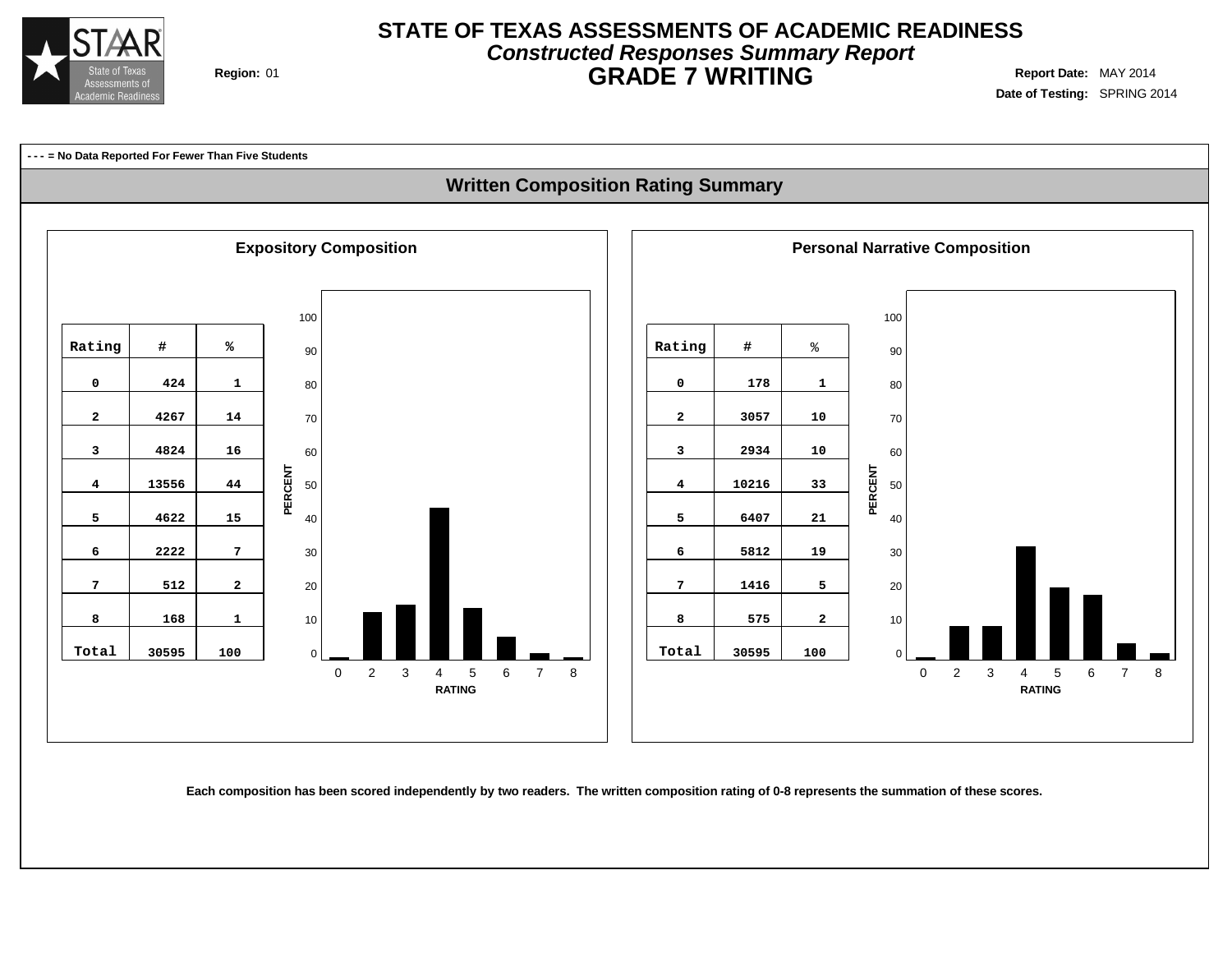

# **Constructed Responses Summary Report STATE OF TEXAS ASSESSMENTS OF ACADEMIC READINESS GRADE 7 WRITING** Region: 01

**Date of Testing:** SPRING 2014

**--- = No Data Reported For Fewer Than Five Students**

## **Written Composition Rating Summary**



Each composition has been scored independently by two readers. The written composition rating of 0-8 represents the summation of these scores.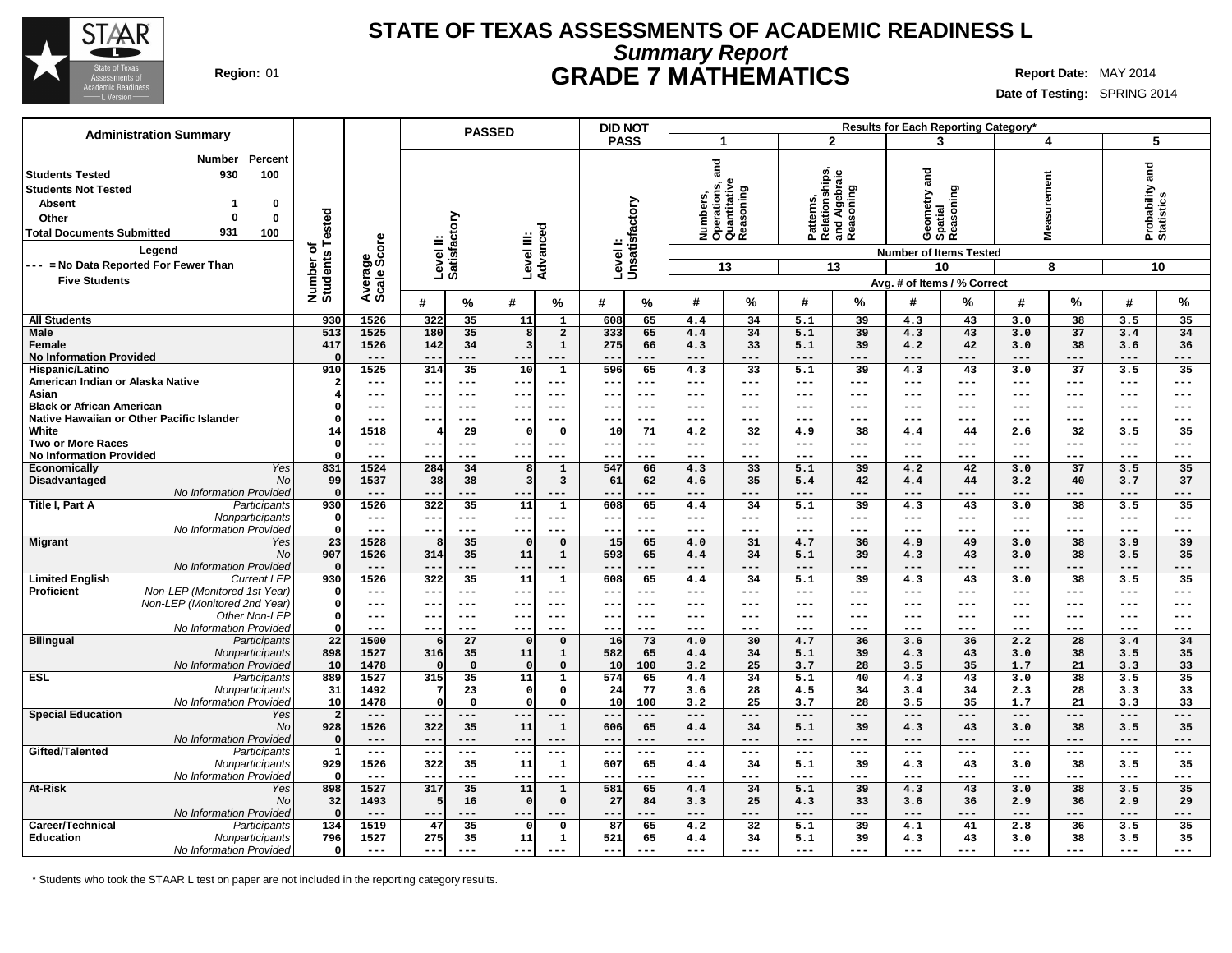

# **Summary Report STATE OF TEXAS ASSESSMENTS OF ACADEMIC READINESS L Region:** 01 **GRADE 7 MATHEMATICS Report Date:** MAY 2014

**Date of Testing:** SPRING 2014

| <b>Administration Summary</b>                                                                                                                                         |                                                                                       |                                          |                                               | <b>PASSED</b>                |                                           |                                  |                                                    |                             | <b>DID NOT</b>                                |                                                                    |                               |                                                           |                          |                                                | Results for Each Reporting Category'                                      |                                |                             |                                            |                               |
|-----------------------------------------------------------------------------------------------------------------------------------------------------------------------|---------------------------------------------------------------------------------------|------------------------------------------|-----------------------------------------------|------------------------------|-------------------------------------------|----------------------------------|----------------------------------------------------|-----------------------------|-----------------------------------------------|--------------------------------------------------------------------|-------------------------------|-----------------------------------------------------------|--------------------------|------------------------------------------------|---------------------------------------------------------------------------|--------------------------------|-----------------------------|--------------------------------------------|-------------------------------|
|                                                                                                                                                                       |                                                                                       |                                          |                                               |                              |                                           |                                  |                                                    | <b>PASS</b>                 |                                               | -1                                                                 |                               | $\mathbf{2}$                                              |                          |                                                | 3                                                                         | 4                              |                             | 5                                          |                               |
| <b>Students Tested</b><br><b>Students Not Tested</b><br><b>Absent</b><br>Other<br><b>Total Documents Submitted</b><br>Legend<br>--- = No Data Reported For Fewer Than | <b>Number</b><br>Percent<br>100<br>930<br>0<br>$\mathbf 0$<br>931<br>100              | Tested<br>৳<br>Number of<br>Students     | Average<br>Scale Score                        | Level II:<br>Satisfactory    |                                           | Level III:<br>Advanced           |                                                    | Levell:<br>Unsatisfactory   |                                               | ក្ត<br>ត<br>Numbers,<br>Operations, a<br>Quantitative<br>Reasoning | 13                            | Patterns,<br>Relationships,<br>and Algebraic<br>Reasoning | 13                       | metry and                                      | Geometry a<br>Spatial<br>Reasoning<br><b>Number of Items Tested</b><br>10 | easurement<br>Ź.               | 8                           | Probability and<br>Statistics<br>10        |                               |
| <b>Five Students</b>                                                                                                                                                  |                                                                                       |                                          |                                               |                              |                                           |                                  |                                                    |                             |                                               |                                                                    |                               |                                                           |                          |                                                | Avg. # of Items / % Correct                                               |                                |                             |                                            |                               |
|                                                                                                                                                                       |                                                                                       |                                          |                                               | #                            | %                                         | #                                | %                                                  | #                           | %                                             | #                                                                  | %                             | #                                                         | %                        | #                                              | ℅                                                                         | #                              | %                           | #                                          | %                             |
| <b>All Students</b>                                                                                                                                                   |                                                                                       | 930                                      | 1526                                          | 322                          | 35                                        | 11                               | $\mathbf{1}$                                       | 608                         | 65                                            | 4.4                                                                | 34                            | 5.1                                                       | 39                       | 4.3                                            | 43                                                                        | 3.0                            | 38                          | 3.5                                        | 35                            |
| <b>Male</b><br>Female<br><b>No Information Provided</b>                                                                                                               |                                                                                       | 513<br>417<br>$\mathbf{r}$               | 1525<br>1526<br>$- - -$                       | 180<br>142<br>$ -$           | 35<br>34                                  | 8<br>3<br>--                     | $\overline{\mathbf{2}}$<br>$\mathbf{1}$<br>$- - -$ | 333<br>275<br>--            | 65<br>66<br>---                               | 4.4<br>4.3<br>$---$                                                | 34<br>33<br>$- - -$           | 5.1<br>5.1<br>$---$                                       | 39<br>39<br>---          | 4.3<br>4.2<br>$- - -$                          | 43<br>42<br>---                                                           | 3.0<br>3.0<br>$- - -$          | 37<br>38<br>---             | 3.4<br>3.6<br>$- - -$                      | 34<br>36<br>---               |
| Hispanic/Latino<br>American Indian or Alaska Native                                                                                                                   |                                                                                       | 910                                      | 1525<br>$---$                                 | 314<br>$- -$                 | 35<br>$--$                                | 10<br>--                         | $\mathbf{1}$<br>$--$                               | 596<br>--                   | 65<br>$---$                                   | 4.3<br>$---$                                                       | 33<br>$---$                   | 5.1<br>$---$                                              | 39<br>---                | 4.3<br>$---$                                   | 43<br>$---$                                                               | 3.0<br>$- - -$                 | 37<br>$---$                 | 3.5<br>$---$                               | 35<br>$---$                   |
| Asian<br><b>Black or African American</b>                                                                                                                             |                                                                                       | $\Omega$                                 | $---$<br>$---$                                | $- -$<br>$- -$               | $- - -$<br>$- - -$                        | $- -$<br>$- -$                   | $- - -$<br>$---$                                   | ---<br>---                  | $---$<br>$---$                                | $---$<br>$- - -$                                                   | $---$<br>$-- -$               | $---$<br>$---$                                            | ---<br>---               | $---$<br>$---$                                 | $- - -$<br>$- - -$                                                        | $- - -$<br>$---$               | $---$<br>$- - -$            | $---$<br>$-- -$                            | $---$<br>$---$                |
| Native Hawaiian or Other Pacific Islander<br>White                                                                                                                    |                                                                                       | - 0<br>14                                | $---$<br>1518                                 | --                           | $---$<br>29                               | $- -$<br>$\Omega$                | $- - -$<br>$\mathbf 0$                             | ---<br>10                   | $- - -$<br>71                                 | $- - -$<br>4.2                                                     | $---$<br>32                   | ---<br>4.9                                                | ---<br>38                | $---$<br>4.4                                   | ---<br>44                                                                 | ---<br>2.6                     | ---<br>32                   | $---$<br>3.5                               | $---$<br>35                   |
| <b>Two or More Races</b><br><b>No Information Provided</b>                                                                                                            |                                                                                       | $\mathbf{C}$<br>$\mathsf{C}$             | $---$<br>$- - -$                              | $- -$<br>$- -$               | $---$<br>---                              | $- - -$<br>---                   | $---$<br>---                                       | $- - -$<br>--               | $---$<br>$- - -$                              | $---$<br>$- - -$                                                   | $-- -$<br>$- - -$             | $---$<br>$- - -$                                          | ---<br>---               | $- - -$<br>$- - -$                             | $- - -$<br>---                                                            | $---$<br>$- - -$               | $---$<br>$- - -$            | $-- -$<br>$- - -$                          | $- - -$<br>$---$              |
| Economically                                                                                                                                                          | Yes                                                                                   | 831                                      | 1524                                          | 284                          | 34                                        | 8                                | $\mathbf{1}$                                       | 547                         | 66                                            | 4.3                                                                | 33                            | 5.1                                                       | 39                       | 4.2                                            | 42                                                                        | 3.0                            | 37                          | 3.5                                        | 35                            |
| Disadvantaged                                                                                                                                                         | No<br>No Information Provided                                                         | 99<br>$\mathbf{r}$                       | 1537<br>$---$                                 | 38<br>$- -$                  | 38<br>---                                 | $\overline{\mathbf{3}}$<br>$- -$ | $\mathbf{3}$<br>---                                | 61<br>---                   | 62<br>---                                     | 4.6<br>$---$                                                       | 35<br>$---$                   | 5.4<br>$---$                                              | 42<br>---                | 4.4<br>$---$                                   | 44<br>---                                                                 | 3.2<br>$---$                   | 40<br>$---$                 | 3.7<br>$---$                               | 37<br>$---$                   |
| Title I, Part A                                                                                                                                                       | Participants                                                                          | 930                                      | 1526                                          | 322                          | 35                                        | 11                               | $\mathbf{1}$                                       | 608                         | 65                                            | 4.4                                                                | 34                            | 5.1                                                       | 39                       | 4.3                                            | 43                                                                        | 3.0                            | 38                          | 3.5                                        | 35                            |
|                                                                                                                                                                       | Nonparticipants<br>No Information Provided                                            | - 0<br>$\mathbf{C}$                      | $- - -$<br>$- - -$                            | $- -$<br>$ -$                | $---$<br>---                              | $- -$<br>---                     | $---$<br>---                                       | ---<br>--                   | $---$<br>$- - -$                              | $---$<br>$- - -$                                                   | $---$<br>$---$                | ---<br>$---$                                              | ---<br>---               | $- - -$<br>$- - -$                             | ---<br>---                                                                | $---$<br>$---$                 | $---$<br>$- - -$            | $---$<br>$---$                             | $---$<br>$---$                |
| <b>Migrant</b>                                                                                                                                                        | Yes<br>No                                                                             | 23<br>907                                | 1528<br>1526                                  | 314                          | 35<br>35                                  | $\Omega$<br>11                   | $\mathbf 0$<br>$\mathbf{1}$                        | 15<br>593                   | 65<br>65                                      | 4.0<br>4.4                                                         | 31<br>34                      | 4.7<br>5.1                                                | 36<br>39                 | 4.9<br>4.3                                     | 49<br>43                                                                  | 3.0<br>3.0                     | 38<br>38                    | 3.9<br>3.5                                 | 39<br>35                      |
| <b>Limited English</b>                                                                                                                                                | No Information Provided<br><b>Current LEP</b>                                         | $\mathfrak{c}$<br>930                    | $---$<br>1526                                 | $- -$<br>322                 | ---<br>35                                 | $--$<br>11                       | ---<br>$\mathbf{1}$                                | $\qquad \qquad -$<br>608    | ---<br>65                                     | $- - -$<br>4.4                                                     | $---$<br>34                   | $---$<br>5.1                                              | $---$<br>$\overline{39}$ | $---$<br>4.3                                   | ---<br>43                                                                 | $---$<br>3.0                   | ---<br>38                   | $---$<br>3.5                               | $---$<br>35                   |
| Proficient                                                                                                                                                            | Non-LEP (Monitored 1st Year)<br>Non-LEP (Monitored 2nd Year)                          | $\Omega$<br>$\Omega$                     | $---$<br>$---$                                | $- -$<br>$- -$               | $---$<br>$- - -$                          | $- -$<br>$- -$                   | $---$<br>$- - -$                                   | $- -$<br>---                | $---$<br>$---$                                | $---$<br>$---$                                                     | $---$<br>$---$                | $---$<br>$---$                                            | $---$<br>---             | $---$<br>$- - -$                               | $---$<br>$---$                                                            | $---$<br>$---$                 | $---$<br>$- - -$            | $---$<br>$---$                             | $---$<br>$---$                |
|                                                                                                                                                                       | Other Non-LEP<br>No Information Provided                                              | $\mathsf{C}$<br>$\mathsf{C}$             | $- - -$<br>$- - -$                            | $- -$<br>$ -$                | $- - -$<br>---                            | $- - -$<br>--                    | $- - -$<br>---                                     | ---<br>--                   | $---$<br>$- - -$                              | $---$<br>$- - -$                                                   | $---$<br>$--$                 | $---$<br>$---$                                            | ---<br>---               | $- - -$<br>$---$                               | $--$<br>---                                                               | $---$<br>$---$                 | $--$<br>$- - -$             | $---$<br>$--$                              | $---$<br>$---$                |
| <b>Bilingual</b>                                                                                                                                                      | Participants<br>Nonparticipants<br>No Information Provided                            | 22<br>898<br>10                          | 1500<br>1527<br>1478                          | 316<br>$\Omega$              | 27<br>35<br>$\mathbf 0$                   | $\Omega$<br>11<br>$\Omega$       | $\mathbf 0$<br>$\mathbf{1}$<br>$\Omega$            | 16<br>582<br>10             | 73<br>65<br>100                               | 4.0<br>4.4<br>3.2                                                  | 30<br>34<br>25                | 4.7<br>5.1<br>3.7                                         | 36<br>39<br>28           | 3.6<br>4.3<br>3.5                              | 36<br>43<br>35                                                            | 2.2<br>3.0<br>1.7              | 28<br>38<br>21              | 3.4<br>3.5<br>3.3                          | 34<br>35<br>33                |
| <b>ESL</b>                                                                                                                                                            | Participants<br>Nonparticipants                                                       | 889<br>31                                | 1527<br>1492                                  | 315<br>7                     | $\overline{35}$<br>23                     | 11<br>$\Omega$                   | $\mathbf{1}$<br>$\mathbf 0$                        | 574<br>24                   | 65<br>77                                      | 4.4<br>3.6                                                         | 34<br>28                      | 5.1<br>4.5                                                | 40<br>34                 | 4.3<br>3.4                                     | 43<br>34                                                                  | 3.0<br>2.3                     | 38<br>28                    | 3.5<br>3.3                                 | 35<br>33                      |
| <b>Special Education</b>                                                                                                                                              | No Information Provided<br>Yes<br><b>No</b>                                           | 10<br>-2<br>928                          | 1478<br>$---$<br>1526                         | $\Omega$<br>$- -$<br>322     | $\mathbf 0$<br>---<br>35                  | $\Omega$<br>$- -$<br>11          | $\Omega$<br>---<br>$\mathbf{1}$                    | 10<br>--<br>606             | 100<br>---<br>65                              | 3.2<br>$---$<br>4.4                                                | 25<br>$--$<br>34              | 3.7<br>$---$<br>5.1                                       | 28<br>$---$<br>39        | 3.5<br>$---$<br>4.3                            | 35<br>---<br>43                                                           | 1.7<br>$---$<br>3.0            | 21<br>---<br>38             | 3.3<br>$---$<br>3.5                        | 33<br>---<br>35               |
| Gifted/Talented                                                                                                                                                       | No Information Provided<br>Participants<br>Nonparticipants                            | $\sqrt{ }$<br>$\mathbf{1}$<br>929<br>- C | $---$<br>$\qquad \qquad - -$<br>1526<br>$---$ | $- -$<br>$- -$<br>322<br>$-$ | $---$<br>$\qquad \qquad - -$<br>35<br>--- | $- -$<br>$---$<br>11<br>--       | ---<br>---<br>1<br>---                             | $- -$<br>$---$<br>607<br>-- | $---$<br>$\qquad \qquad - -$<br>65<br>$- - -$ | $---$<br>$  -$<br>4.4<br>$---$                                     | $---$<br>$---$<br>34<br>$---$ | $---$<br>$- -$<br>5.1<br>$---$                            | ---<br>---<br>39<br>---  | $---$<br>$\qquad \qquad - -$<br>4.3<br>$- - -$ | ---<br>$\qquad \qquad - -$<br>43<br>---                                   | $---$<br>$---$<br>3.0<br>$---$ | $---$<br>$---$<br>38<br>--- | $---$<br>$\qquad \qquad -$<br>3.5<br>$---$ | $---$<br>$- - -$<br>35<br>--- |
| At-Risk                                                                                                                                                               | No Information Provided<br>Yes<br>No                                                  | 898<br>32                                | 1527<br>1493                                  | 317<br>5                     | 35<br>16                                  | 11<br>$\Omega$                   | $\mathbf{1}$<br>$\mathbf 0$                        | 581<br>27                   | 65<br>84                                      | 4.4<br>3.3                                                         | 34<br>25                      | 5.1<br>4.3                                                | 39<br>33                 | 4.3<br>3.6                                     | 43<br>36                                                                  | 3.0<br>2.9                     | 38<br>36                    | 3.5<br>2.9                                 | 35<br>29                      |
| Career/Technical<br><b>Education</b>                                                                                                                                  | No Information Provided<br>Participants<br>Nonparticipants<br>No Information Provided | $\mathbf{r}$<br>134<br>796<br>$\Omega$   | $- - -$<br>1519<br>1527<br>$---$              | $ -$<br>47<br>275<br>$---$   | 35<br>35<br>---                           | ---<br>$\Omega$<br>11<br>---     | ---<br>$\Omega$<br>$\mathbf{1}$<br>$- - -$         | --<br>87<br>521<br>---      | 65<br>65<br>$---$                             | $---$<br>4.2<br>4.4<br>$- - -$                                     | ---<br>32<br>34<br>$---$      | $---$<br>5.1<br>5.1<br>---                                | ---<br>39<br>39<br>---   | $---$<br>4.1<br>4.3<br>$---$                   | ---<br>41<br>43<br>---                                                    | $---$<br>2.8<br>3.0<br>$---$   | ---<br>36<br>38<br>$---$    | $--$<br>3.5<br>3.5<br>$---$                | ---<br>35<br>35<br>$---$      |

\* Students who took the STAAR L test on paper are not included in the reporting category results.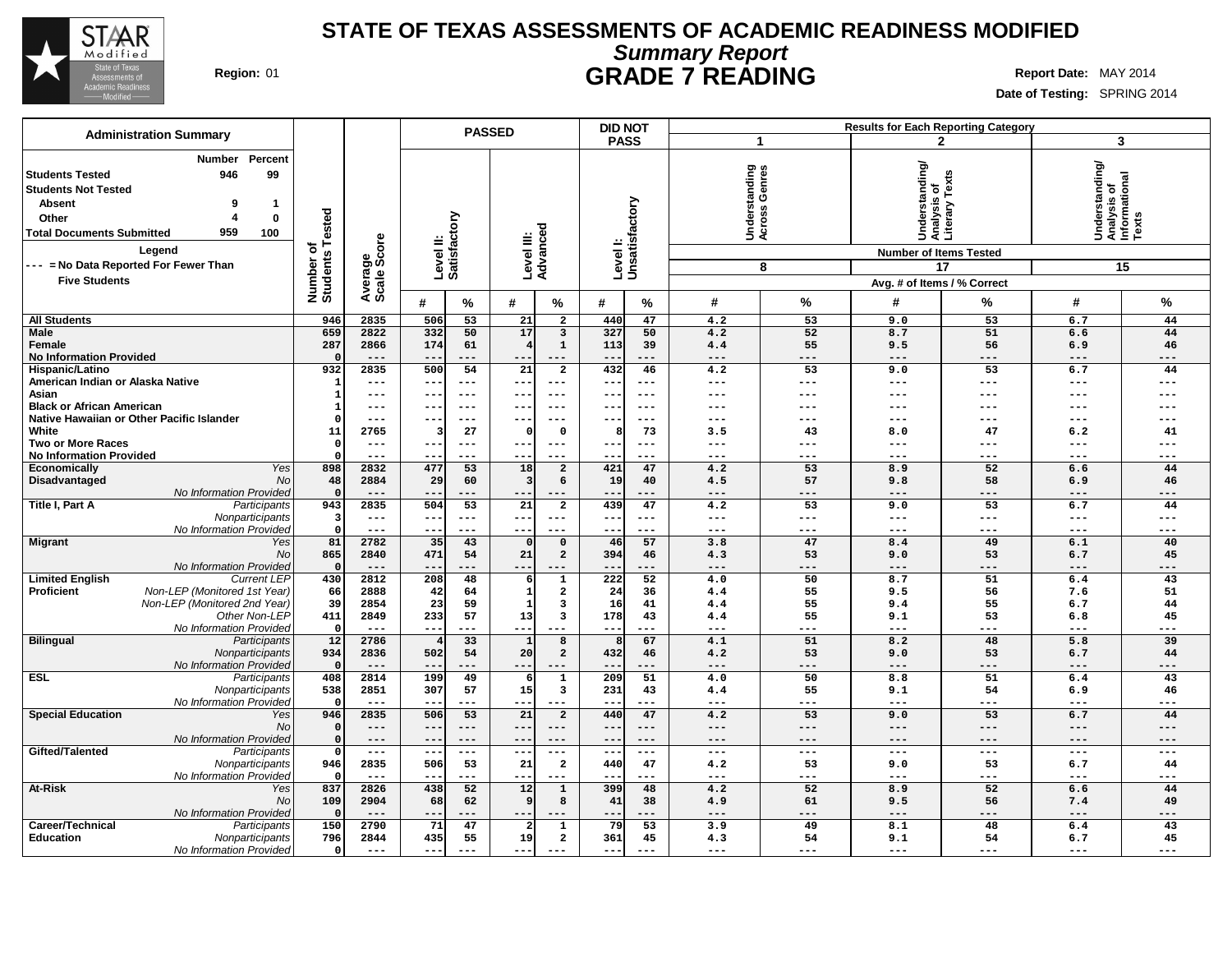

# **Summary Report STATE OF TEXAS ASSESSMENTS OF ACADEMIC READINESS MODIFIED Region:** 01 **GRADE 7 READING Report** Date: MAY 2014

٦

|                                                                                                                                                                                                                                                               |                                          |                        |                           |             | <b>PASSED</b>           |                            |              | <b>DID NOT</b>             |                                |                     |                                                                                                                 | <b>Results for Each Reporting Category</b> |                                                         |           |
|---------------------------------------------------------------------------------------------------------------------------------------------------------------------------------------------------------------------------------------------------------------|------------------------------------------|------------------------|---------------------------|-------------|-------------------------|----------------------------|--------------|----------------------------|--------------------------------|---------------------|-----------------------------------------------------------------------------------------------------------------|--------------------------------------------|---------------------------------------------------------|-----------|
| <b>Administration Summary</b>                                                                                                                                                                                                                                 |                                          |                        |                           |             |                         |                            |              | <b>PASS</b>                | $\mathbf{1}$                   |                     |                                                                                                                 | $\mathbf{2}$                               | 3                                                       |           |
| Percent<br>Number<br>99<br><b>Students Tested</b><br>946<br><b>Students Not Tested</b><br><b>Absent</b><br>9<br>-1<br>0<br>Other<br>959<br>100<br><b>Total Documents Submitted</b><br>Legend<br>--- = No Data Reported For Fewer Than<br><b>Five Students</b> | ested<br>⊢<br>৳<br>Number o'<br>Students | Average<br>Scale Score | Level II:<br>Satisfactory |             | Level III:<br>Advanced  |                            |              | Level I:<br>Unsatisfactory | Understanding<br>Across Genres | 8                   | Understanding/<br>Analysis of<br>Literary Texts<br><b>Number of Items Tested</b><br>Avg. # of Items / % Correct | 17                                         | Understanding/<br>Analysis of<br>Informational<br>Texts | 15        |
|                                                                                                                                                                                                                                                               |                                          |                        | #                         | %           | #                       | %                          | #            | %                          | #                              | %                   | #                                                                                                               | %                                          | #                                                       | %         |
| <b>All Students</b>                                                                                                                                                                                                                                           | 946                                      | 2835                   | 506                       | 53          | 21                      | $\overline{a}$             | 440          | 47                         | 4.2                            | 53                  | 9.0                                                                                                             | 53                                         | 6.7                                                     | 44        |
| <b>Male</b>                                                                                                                                                                                                                                                   | 659                                      | 2822                   | 332                       | 50          | 17                      | $\mathbf{3}$               | 327          | 50                         | 4.2                            | 52                  | 8.7                                                                                                             | 51                                         | 6.6                                                     | 44        |
| Female<br><b>No Information Provided</b>                                                                                                                                                                                                                      | 287                                      | 2866<br>$---$          | 174                       | 61<br>---   |                         | $\mathbf{1}$<br>$---$      | 113          | 39<br>---                  | 4.4<br>$---$                   | 55<br>---           | 9.5<br>---                                                                                                      | 56<br>---                                  | 6.9<br>$---$                                            | 46<br>--- |
| Hispanic/Latino                                                                                                                                                                                                                                               | 932                                      | 2835                   | 500                       | 54          | $\overline{21}$         | $\overline{2}$             | 432          | 46                         | 4.2                            | 53                  | 9.0                                                                                                             | $\overline{53}$                            | 6.7                                                     | 44        |
| American Indian or Alaska Native                                                                                                                                                                                                                              |                                          | $---$                  | $- -$                     | ---         | $- -$                   | $\qquad \qquad - -$        | $- -$        | $- - -$                    | $---$                          | $\qquad \qquad - -$ | ---                                                                                                             | ---                                        | $---$                                                   | ---       |
| Asian                                                                                                                                                                                                                                                         |                                          | ---                    | $- -$                     | $---$       | $- -$                   | $---$                      | $- -$        | $---$                      | $---$                          | ---                 | ---                                                                                                             | ---                                        | $---$                                                   | ---       |
| <b>Black or African American</b>                                                                                                                                                                                                                              |                                          | ---                    |                           |             |                         |                            |              | $- - -$                    | ---                            | ---                 | ---                                                                                                             |                                            | ---                                                     |           |
| Native Hawaiian or Other Pacific Islander<br>White                                                                                                                                                                                                            | 11                                       | $---$<br>2765          | $- -$                     | $---$<br>27 | --<br>$\Omega$          | $---$<br>$\mathbf 0$       | 8            | $--$<br>73                 | $--$<br>3.5                    | ---<br>43           | ---<br>8.0                                                                                                      | ---<br>47                                  | $---$<br>6.2                                            | ---<br>41 |
| <b>Two or More Races</b>                                                                                                                                                                                                                                      | $\Omega$                                 | $---$                  | $- -$                     | ---         | $- -$                   | $---$                      | ---          | $\frac{1}{2}$              | $\qquad \qquad - -$            | $\qquad \qquad - -$ | ---                                                                                                             | ---                                        | $---$                                                   | ---       |
| <b>No Information Provided</b>                                                                                                                                                                                                                                |                                          | $---$                  | $ -$                      | ---         | --                      | $---$                      |              | $--$                       | $---$                          | $---$               | ---                                                                                                             | ---                                        | $---$                                                   | ---       |
| Yes<br>Economically                                                                                                                                                                                                                                           | 898                                      | 2832                   | 477                       | 53          | 18                      | $\overline{a}$             | 421          | 47                         | 4.2                            | 53                  | 8.9                                                                                                             | 52                                         | 6.6                                                     | 44        |
| Disadvantaged<br>No                                                                                                                                                                                                                                           | 48                                       | 2884                   | 29                        | 60          | $\overline{\mathbf{3}}$ | 6                          | 19           | 40                         | 4.5                            | 57                  | 9.8                                                                                                             | 58                                         | 6.9                                                     | 46        |
| No Information Provided<br>Title I, Part A<br>Participants                                                                                                                                                                                                    | $\Omega$<br>943                          | $---$<br>2835          | --<br>504                 | ---<br>53   | --<br>21                | $- - -$<br>$\overline{a}$  | $- -$<br>439 | ---<br>47                  | $---$<br>4.2                   | ---<br>53           | ---<br>9.0                                                                                                      | ---<br>53                                  | $---$<br>6.7                                            | ---<br>44 |
| Nonparticipants                                                                                                                                                                                                                                               | 3                                        | $\qquad \qquad - -$    | $--$                      | $---$       | ---                     | $- - -$                    | ---          | $--$                       | $---$                          | $- - -$             | ---                                                                                                             | ---                                        | $---$                                                   | $---$     |
| No Information Provided                                                                                                                                                                                                                                       | $\Omega$                                 | $---$                  | $- -$                     | $---$       | $- -$                   | $- - -$                    | $- -$        | $---$                      | $---$                          | $---$               | ---                                                                                                             | ---                                        | $---$                                                   | $---$     |
| <b>Migrant</b><br>Yes                                                                                                                                                                                                                                         | 81                                       | 2782                   | 35                        | 43          | $\Omega$                | $\mathbf 0$                | 46           | 57                         | 3.8                            | 47                  | 8.4                                                                                                             | 49                                         | 6.1                                                     | 40        |
| No                                                                                                                                                                                                                                                            | 865<br>$\Omega$                          | 2840<br>$---$          | 471                       | 54          | 21                      | $\overline{a}$             | 394          | 46                         | 4.3                            | 53                  | 9.0                                                                                                             | 53                                         | 6.7                                                     | 45        |
| No Information Provided<br><b>Limited English</b><br><b>Current LEP</b>                                                                                                                                                                                       | 430                                      | 2812                   | 208                       | ---<br>48   | --<br>6                 | $\mathbf{1}$               | 222          | ---<br>52                  | $---$<br>4.0                   | ---<br>50           | ---<br>8.7                                                                                                      | ---<br>51                                  | $---$<br>6.4                                            | ---<br>43 |
| Non-LEP (Monitored 1st Year)<br><b>Proficient</b>                                                                                                                                                                                                             | 66                                       | 2888                   | 42                        | 64          | $\mathbf{1}$            | $\overline{\mathbf{2}}$    | 24           | 36                         | 4.4                            | 55                  | 9.5                                                                                                             | 56                                         | 7.6                                                     | 51        |
| Non-LEP (Monitored 2nd Year)                                                                                                                                                                                                                                  | 39                                       | 2854                   | 23                        | 59          | $\mathbf{1}$            | 3                          | 16           | 41                         | 4.4                            | 55                  | 9.4                                                                                                             | 55                                         | 6.7                                                     | 44        |
| Other Non-LEP                                                                                                                                                                                                                                                 | 411                                      | 2849                   | 233                       | 57          | 13                      | 3                          | 178          | 43                         | 4.4                            | 55                  | 9.1                                                                                                             | 53                                         | 6.8                                                     | 45        |
| No Information Provideo                                                                                                                                                                                                                                       | $\Omega$                                 | $---$                  | $- -$                     | ---         | $- -$                   |                            | $- -$        |                            | $---$                          | ---                 | ---                                                                                                             | ---                                        | $---$                                                   | ---       |
| <b>Bilingual</b><br>Participants<br>Nonparticipants                                                                                                                                                                                                           | 12<br>934                                | 2786<br>2836           | 502                       | 33<br>54    | 1<br>20                 | $\bf{8}$<br>$\overline{a}$ | 8<br>432     | 67<br>46                   | 4.1<br>4.2                     | 51<br>53            | 8.2<br>9.0                                                                                                      | 48<br>53                                   | 5.8<br>6.7                                              | 39<br>44  |
| No Information Provideo                                                                                                                                                                                                                                       |                                          | $---$                  | $-$                       | ---         | $ -$                    | $---$                      |              | ---                        | $---$                          | ---                 | ---                                                                                                             | ---                                        | $---$                                                   | ---       |
| <b>ESL</b><br>Participants                                                                                                                                                                                                                                    | 408                                      | 2814                   | 199                       | 49          | 6                       | ${\bf 1}$                  | 209          | 51                         | 4.0                            | 50                  | 8.8                                                                                                             | 51                                         | 6.4                                                     | 43        |
| Nonparticipants                                                                                                                                                                                                                                               | 538                                      | 2851                   | 307                       | 57          | 15                      | 3                          | 231          | 43                         | 4.4                            | 55                  | 9.1                                                                                                             | 54                                         | 6.9                                                     | 46        |
| No Information Provided                                                                                                                                                                                                                                       | $\Omega$                                 | ---                    | --                        | ---         | ---                     | $---$                      | ---          | ---                        | ---                            | ---                 | ---                                                                                                             | ---                                        | $---$                                                   | ---       |
| <b>Special Education</b><br>Yes<br>No                                                                                                                                                                                                                         | 946                                      | 2835<br>$---$          | 506<br>$-\, -$            | 53<br>---   | 21<br>---               | $\overline{a}$<br>$---$    | 440<br>---   | 47<br>$---$                | 4.2<br>$---$                   | 53<br>$---$         | 9.0<br>---                                                                                                      | 53<br>---                                  | 6.7<br>$---$                                            | 44<br>--- |
| No Information Provided                                                                                                                                                                                                                                       | $\Omega$                                 | $---$                  | $\qquad \qquad -$         | $---$       | $\sim$ $\sim$           | $---$                      | $--$         | $---$                      | $---$                          | $---$               | ---                                                                                                             | ---                                        | $---$                                                   | $---$     |
| Gifted/Talented<br>Participants                                                                                                                                                                                                                               | $\Omega$                                 | $---$                  | $- -$                     | $---$       | $\sim$ $\sim$           | $---$                      | $- -$        | $---$                      | $---$                          | $---$               | $---$                                                                                                           | ---                                        | $---$                                                   | $---$     |
| Nonparticipants                                                                                                                                                                                                                                               | 946                                      | 2835                   | 506                       | 53          | 21                      | $\mathbf{2}$               | 440          | 47                         | 4.2                            | 53                  | 9.0                                                                                                             | 53                                         | 6.7                                                     | 44        |
| No Information Provideo<br><b>At-Risk</b><br>Yes                                                                                                                                                                                                              | $\Omega$<br>837                          | $--$<br>2826           | $- -$<br>438              | ---<br>52   | --<br>12                | $- - -$<br>$\mathbf{1}$    | 399          | $--$<br>48                 | $--$<br>4.2                    | $---$<br>52         | ---<br>8.9                                                                                                      | ---<br>52                                  | $- - -$<br>6.6                                          | ---<br>44 |
| <b>No</b>                                                                                                                                                                                                                                                     | 109                                      | 2904                   | 68                        | 62          | q                       | 8                          | 41           | 38                         | 4.9                            | 61                  | 9.5                                                                                                             | 56                                         | 7.4                                                     | 49        |
| No Information Provided                                                                                                                                                                                                                                       |                                          | $---$                  |                           | ---         | $- -$                   | $- - -$                    | $- -$        | ---                        | $---$                          | $---$               | ---                                                                                                             | ---                                        | $---$                                                   | ---       |
| Career/Technical<br>Participants                                                                                                                                                                                                                              | 150                                      | 2790                   | 71                        | 47          | $\overline{a}$          | $\mathbf{1}$               | 79           | 53                         | 3.9                            | 49                  | 8.1                                                                                                             | 48                                         | 6.4                                                     | 43        |
| Education<br>Nonparticipants                                                                                                                                                                                                                                  | 796                                      | 2844                   | 435                       | 55          | 19                      | $\overline{a}$             | 361          | 45                         | 4.3                            | 54                  | 9.1                                                                                                             | 54                                         | 6.7                                                     | 45        |
| No Information Provided                                                                                                                                                                                                                                       | $\circ$                                  | $---$                  | $---$                     |             | $---$                   |                            | $- -$        | $---$                      | $---$                          | ---                 | ---                                                                                                             | ---                                        | $---$                                                   | ---       |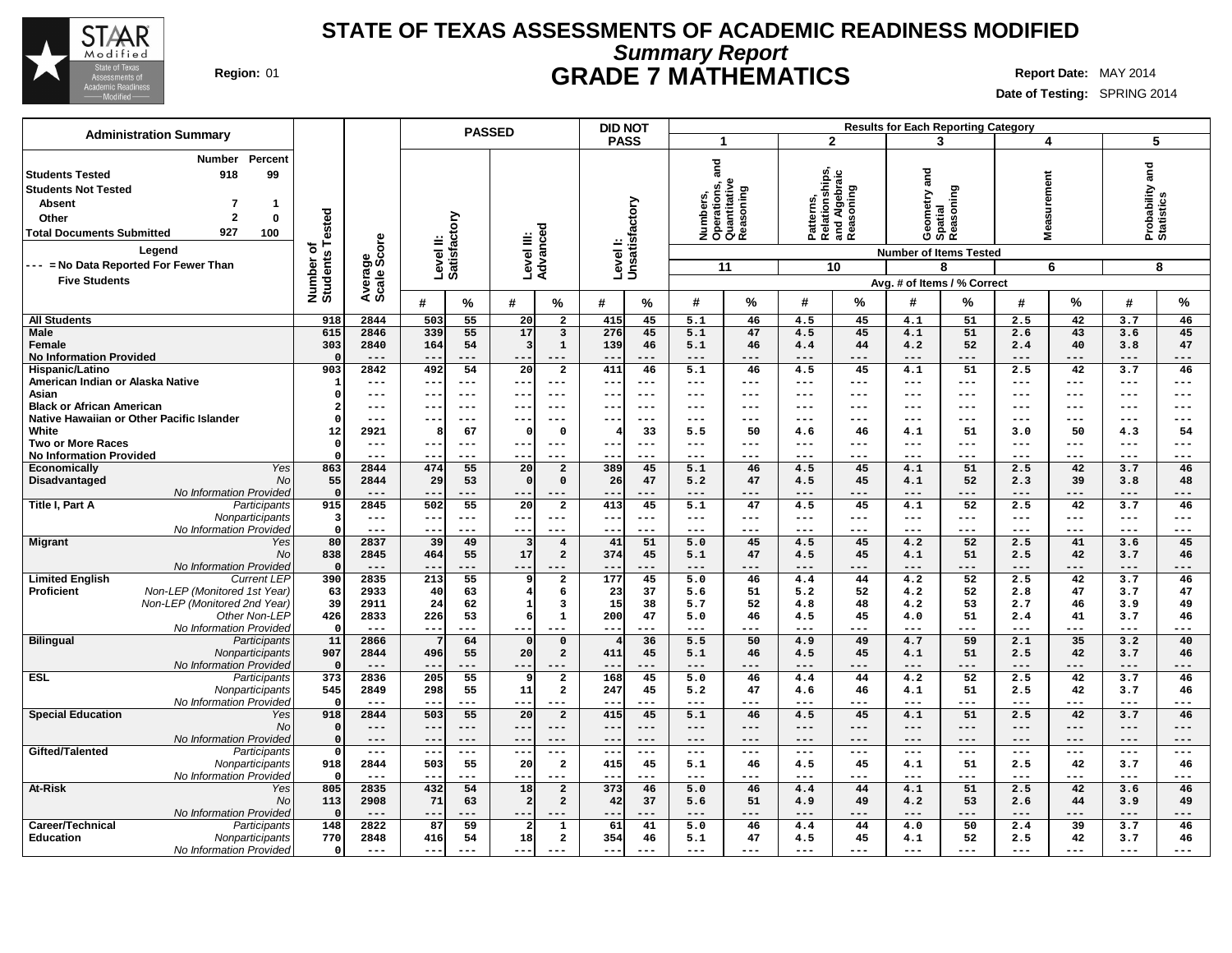

## **Summary Report STATE OF TEXAS ASSESSMENTS OF ACADEMIC READINESS MODIFIED Region:** 01 **GRADE 7 MATHEMATICS Report Date:** MAY 2014

| <b>Administration Summary</b>                                                                                                                                                                                            |                              |                        |                                     | <b>PASSED</b>                                                   | <b>DID NOT</b>               |                                                               |                                                           | <b>Results for Each Reporting Category</b>                            |                                           |                               |
|--------------------------------------------------------------------------------------------------------------------------------------------------------------------------------------------------------------------------|------------------------------|------------------------|-------------------------------------|-----------------------------------------------------------------|------------------------------|---------------------------------------------------------------|-----------------------------------------------------------|-----------------------------------------------------------------------|-------------------------------------------|-------------------------------|
|                                                                                                                                                                                                                          |                              |                        |                                     |                                                                 | <b>PASS</b>                  | -1                                                            | $\overline{2}$                                            | 3                                                                     | 4                                         | 5                             |
| Percent<br>Number<br>99<br><b>Students Tested</b><br>918<br><b>Students Not Tested</b><br><b>Absent</b><br>7<br>-1<br>$\overline{2}$<br>$\mathbf 0$<br>Other<br>927<br><b>Total Documents Submitted</b><br>100<br>Legend | Number of<br>Students Tested | Average<br>Scale Score | Level II:<br>Satisfactory           | Level III:<br>Advanced                                          | Level I:<br>Unsatisfactory   | and<br>Numbers,<br>Operations, a<br>Quantitative<br>Reasoning | Patterns,<br>Relationships,<br>and Algebraic<br>Reasoning | Geometry and<br>Spatial<br>Reasoning<br><b>Number of Items Tested</b> | surement<br>ë<br>Š.                       | Probability and<br>Statistics |
| --- = No Data Reported For Fewer Than                                                                                                                                                                                    |                              |                        |                                     |                                                                 |                              | 11                                                            | 10                                                        | 8                                                                     | 6                                         | 8                             |
| <b>Five Students</b>                                                                                                                                                                                                     |                              |                        |                                     |                                                                 |                              |                                                               |                                                           | Avg. # of Items / % Correct                                           |                                           |                               |
|                                                                                                                                                                                                                          |                              |                        | #<br>℅                              | #<br>%                                                          | #<br>%                       | #<br>%                                                        | %<br>#                                                    | #<br>%                                                                | %<br>#                                    | %<br>#                        |
| <b>All Students</b>                                                                                                                                                                                                      | 918                          | 2844                   | 503<br>55                           | 20<br>$\overline{2}$                                            | 415<br>45                    | 5.1<br>46                                                     | 4.5<br>45                                                 | 51<br>4.1                                                             | 42<br>2.5                                 | 3.7<br>46                     |
| <b>Male</b>                                                                                                                                                                                                              | 615                          | 2846                   | 339<br>55                           | 17<br>3                                                         | 276<br>45                    | 5.1<br>47                                                     | 45<br>4.5                                                 | 51<br>4.1                                                             | 43<br>2.6                                 | 45<br>3.6                     |
| Female                                                                                                                                                                                                                   | 303                          | 2840                   | 164<br>54                           | $\overline{\mathbf{3}}$<br>$\mathbf{1}$                         | 139<br>46                    | 5.1<br>46                                                     | 44<br>4.4                                                 | 52<br>4.2                                                             | 40<br>2.4                                 | 3.8<br>47                     |
| <b>No Information Provided</b>                                                                                                                                                                                           | $\Omega$                     | $---$                  |                                     | ---                                                             | $- -$<br>411                 | $- - -$<br>---                                                | ---                                                       | $---$<br>---                                                          |                                           | $---$<br>---                  |
| Hispanic/Latino<br>American Indian or Alaska Native                                                                                                                                                                      | 903                          | 2842<br>$---$          | 492<br>54<br>$- -$<br>$---$         | $\overline{20}$<br>$\overline{2}$<br>$--$<br>---                | 46<br>$- -$<br>$---$         | 5.1<br>46<br>$\frac{1}{2}$<br>$---$                           | 45<br>4.5<br>---<br>$---$                                 | 51<br>4.1<br>$---$<br>---                                             | 42<br>2.5<br>$---$<br>$\qquad \qquad - -$ | 3.7<br>46<br>$---$<br>$---$   |
| Asian                                                                                                                                                                                                                    | $\Omega$                     | $---$                  | $\qquad \qquad -$<br>$--$           | ---<br>$---$                                                    | $--$<br>$--$                 | $-- -$<br>---                                                 | $- - -$<br>---                                            | $\frac{1}{2}$<br>---                                                  | $\qquad \qquad - -$<br>$---$              | $---$<br>$---$                |
| <b>Black or African American</b>                                                                                                                                                                                         | -2                           | $---$                  | $---$<br>$- -$                      | ---<br>$---$                                                    | $- -$<br>$- - -$             | $-- -$<br>---                                                 | ---<br>$\qquad \qquad -$                                  | $---$<br>---                                                          | $---$<br>---                              | $-- -$<br>$---$               |
| Native Hawaiian or Other Pacific Islander                                                                                                                                                                                | $\Omega$                     | $--$                   | $- -$<br>$- - -$                    | ---<br>---                                                      | --<br>$- - -$                | $---$<br>---                                                  | $---$<br>---                                              | $---$<br>---                                                          | $---$<br>---                              | $--$<br>---                   |
| White                                                                                                                                                                                                                    | 12                           | 2921                   | 67<br>8                             | $\Omega$<br>$\mathbf 0$                                         | 33                           | 5.5<br>50                                                     | 4.6<br>46                                                 | 51<br>4.1                                                             | 50<br>3.0                                 | 4.3<br>54                     |
| Two or More Races                                                                                                                                                                                                        | $\Omega$                     | $---$                  | $---$<br>$- -$                      | ---<br>$--$                                                     | $- -$<br>$--$                | $---$<br>---                                                  | ---<br>$---$                                              | $---$<br>---                                                          | $---$<br>$---$                            | $--$<br>$---$                 |
| <b>No Information Provided</b>                                                                                                                                                                                           | $\Omega$                     | $---$                  | $\overline{\phantom{m}}$<br>$---$   | ---<br>$-- -$                                                   | $- -$<br>$- - -$             | $-- -$<br>---                                                 | ---<br>$\qquad \qquad -$                                  | $---$<br>---                                                          | $---$<br>$---$                            | $---$<br>$-- -$               |
| Economically<br>Yes                                                                                                                                                                                                      | 863                          | 2844                   | 55<br>474                           | 20<br>$\overline{a}$                                            | 389<br>45                    | 5.1<br>46                                                     | 4.5<br>45                                                 | 4.1<br>51                                                             | 2.5<br>42                                 | 3.7<br>46                     |
| Disadvantaged<br><b>No</b>                                                                                                                                                                                               | 55                           | 2844                   | 29<br>53                            | $\Omega$<br>$\mathbf 0$                                         | 26<br>47                     | 47<br>5.2                                                     | 45<br>4.5                                                 | 52<br>4.1                                                             | 39<br>2.3                                 | 3.8<br>48                     |
| No Information Provided<br>Title I, Part A<br>Participants                                                                                                                                                               | $\mathbf{0}$<br>915          | $--$<br>2845           | $- -$<br>---<br>502<br>55           | $- -$<br>20 <sup>1</sup><br>$\overline{a}$                      | $ -$<br>$- - -$<br>413<br>45 | $---$<br>---<br>5.1<br>47                                     | ---<br>$---$<br>4.5<br>45                                 | $---$<br>---<br>52<br>4.1                                             | $---$<br>$- - -$<br>42<br>2.5             | $---$<br>---<br>46<br>3.7     |
| Nonparticipants                                                                                                                                                                                                          | $\overline{\mathbf{3}}$      | $---$                  | $---$<br>$- -$                      | ---<br>$---$                                                    | $- -$<br>$---$               | $\sim$ $\sim$ $\sim$<br>$---$                                 | ---<br>$\qquad \qquad - -$                                | $---$<br>$---$                                                        | $\qquad \qquad - -$<br>$---$              | $---$<br>$---$                |
| No Information Provided                                                                                                                                                                                                  | $\Omega$                     | $---$                  | $- -$<br>$---$                      | $--$<br>---                                                     | $- -$<br>$- - -$             | $---$<br>---                                                  | $---$<br>$\qquad \qquad - -$                              | $- - -$<br>---                                                        | $---$<br>$- - -$                          | $---$<br>$---$                |
| <b>Migrant</b><br>Yes                                                                                                                                                                                                    | 80                           | 2837                   | 39<br>49                            | $\overline{\mathbf{3}}$<br>$\overline{4}$                       | 41<br>51                     | 5.0<br>45                                                     | 45<br>4.5                                                 | 52<br>4.2                                                             | 41<br>2.5                                 | 3.6<br>45                     |
| <b>No</b>                                                                                                                                                                                                                | 838                          | 2845                   | 464<br>55                           | 17<br>$\overline{a}$                                            | 374<br>45                    | 5.1<br>47                                                     | 4.5<br>45                                                 | 4.1<br>51                                                             | 2.5<br>42                                 | 3.7<br>46                     |
| No Information Provided                                                                                                                                                                                                  | $\mathbf{0}$                 | $---$                  | ---<br>$- -$                        | ---                                                             | $- -$<br>$- - -$             | $---$<br>$---$                                                | $---$<br>---                                              | $---$<br>---                                                          | $---$<br>---                              | $---$<br>---                  |
| <b>Limited English</b><br><b>Current LEP</b>                                                                                                                                                                             | 390                          | 2835                   | $\overline{213}$<br>$\overline{55}$ | $\overline{2}$<br>9                                             | $\overline{177}$<br>45       | 5.0<br>46                                                     | 44<br>4.4                                                 | 4.2<br>52                                                             | 42<br>2.5                                 | 3.7<br>46                     |
| Non-LEP (Monitored 1st Year)<br>Proficient                                                                                                                                                                               | 63                           | 2933                   | 40<br>63                            | $\overline{4}$<br>6                                             | 23<br>37                     | 51<br>5.6                                                     | 52<br>5.2                                                 | 52<br>4.2                                                             | 47<br>2.8                                 | 3.7<br>47                     |
| Non-LEP (Monitored 2nd Year)<br>Other Non-LEP                                                                                                                                                                            | 39<br>426                    | 2911<br>2833           | 24<br>62<br>226<br>53               | $\mathbf{1}$<br>$\overline{\mathbf{3}}$<br>6<br>$\mathbf{1}$    | 15<br>38<br>200<br>47        | 5.7<br>52<br>5.0<br>46                                        | 48<br>4.8<br>45                                           | 53<br>4.2<br>51                                                       | 2.7<br>46<br>41                           | 3.9<br>49<br>3.7              |
| No Information Provided                                                                                                                                                                                                  | 0                            | $---$                  | $- -$<br>---                        | ---<br>---                                                      | $- -$<br>---                 | $- - -$<br>---                                                | 4.5<br>---<br>$---$                                       | 4.0<br>$- - -$<br>---                                                 | 2.4<br>$---$<br>---                       | 46<br>$-- -$<br>---           |
| <b>Bilingual</b><br>Participants                                                                                                                                                                                         | 11                           | 2866                   | 64                                  | 0<br>$\Omega$                                                   | 36                           | 5.5<br>50                                                     | 49<br>4.9                                                 | 59<br>4.7                                                             | 2.1<br>35                                 | 3.2<br>40                     |
| Nonparticipants                                                                                                                                                                                                          | 907                          | 2844                   | 55<br>496                           | 20<br>$\overline{2}$                                            | 411<br>45                    | 5.1<br>46                                                     | 45<br>4.5                                                 | 51<br>4.1                                                             | 42<br>2.5                                 | 3.7<br>46                     |
| No Information Provided                                                                                                                                                                                                  | - 0                          | $---$                  | $- -$<br>---                        | ---                                                             | $- -$<br>---                 | $---$<br>---                                                  | ---<br>$---$                                              | $---$<br>---                                                          | $---$<br>---                              | $---$<br>---                  |
| <b>ESL</b><br>Participants                                                                                                                                                                                               | $\overline{373}$             | 2836                   | 205<br>$\overline{55}$              | $\overline{2}$<br>9                                             | 168<br>45                    | 5.0<br>46                                                     | 44<br>4.4                                                 | 52<br>4.2                                                             | 42<br>2.5                                 | 46<br>3.7                     |
| Nonparticipants                                                                                                                                                                                                          | 545                          | 2849                   | 298<br>55                           | 11<br>$\overline{a}$                                            | 247<br>45                    | 47<br>5.2                                                     | 46<br>4.6                                                 | 51<br>4.1                                                             | 2.5<br>42                                 | 3.7<br>46                     |
| No Information Provided                                                                                                                                                                                                  | - 0<br>918                   | $---$                  | ---<br>503<br>55                    | ---<br>---<br>$\overline{20}$                                   | --                           | $---$<br>---<br>$\overline{5.1}$                              | ---<br>$---$<br>45                                        | $--$<br>---<br>51                                                     | $\qquad \qquad - -$<br>---                | $---$<br>---                  |
| <b>Special Education</b><br>Yes<br>No                                                                                                                                                                                    | $\Omega$                     | 2844<br>$---$          | $-$                                 | $\overline{a}$<br>---<br>$---$                                  | 415<br>45<br>--<br>$--$      | 46<br>$---$<br>$---$                                          | 4.5<br>---<br>$---$                                       | 4.1<br>$\qquad \qquad - -$<br>---                                     | 2.5<br>42<br>$---$<br>$---$               | 3.7<br>46<br>---<br>$---$     |
| <b>No Information Provided</b>                                                                                                                                                                                           | $\Omega$                     | $---$                  | $- -$                               | $---$<br>---                                                    | $ -$                         | $---$<br>---                                                  | ---<br>---                                                | $---$                                                                 | ---<br>---                                | ---                           |
| Gifted/Talented<br>Participants                                                                                                                                                                                          | $\Omega$                     | $---$                  | $-$<br>$--$                         | $--$<br>---                                                     | $- -$<br>$--$                | $---$<br>---                                                  | ---<br>$---$                                              | $---$<br>---                                                          | ---<br>$---$                              | $--$<br>$---$                 |
| Nonparticipants                                                                                                                                                                                                          | 918                          | 2844                   | 503<br>55                           | $\overline{a}$<br>20                                            | 415<br>45                    | 46<br>5.1                                                     | 4.5<br>45                                                 | 51<br>4.1                                                             | 42<br>2.5                                 | 3.7<br>46                     |
| No Information Provided                                                                                                                                                                                                  | 0                            | $---$                  | ---<br>$\qquad \qquad -$            | ---<br>---                                                      | $- -$<br>$- - -$             | $---$<br>---                                                  | ---<br>$---$                                              | ---<br>$---$                                                          | $\qquad \qquad - -$<br>$---$              | $---$<br>---                  |
| At-Risk<br>Yes                                                                                                                                                                                                           | 805                          | 2835                   | $\overline{54}$<br>432              | $\overline{18}$<br>$\overline{a}$                               | 373<br>46                    | 5.0<br>46                                                     | 44<br>4.4                                                 | 4.1<br>51                                                             | 2.5<br>42                                 | 46<br>3.6                     |
| <b>No</b>                                                                                                                                                                                                                | 113                          | 2908                   | 71<br>63                            | $\overline{2}$<br>$\overline{a}$                                | 42<br>37                     | 51<br>5.6                                                     | 4.9<br>49                                                 | 53<br>4.2                                                             | 44<br>2.6                                 | 3.9<br>49                     |
| No Information Provided                                                                                                                                                                                                  | $\Omega$                     | $---$                  | $- -$<br>---                        | ---<br>---                                                      | ---<br>$---$                 | $---$<br>---                                                  | ---<br>$---$                                              | $---$<br>---                                                          | ---<br>---                                | $---$<br>---                  |
| Career/Technical<br>Participants                                                                                                                                                                                         | 148<br>770                   | 2822<br>2848           | 87<br>59<br>54                      | $\mathbf{1}$<br>$\overline{\mathbf{2}}$<br>18<br>$\overline{a}$ | 61<br>41<br>354<br>46        | 5.0<br>46<br>47<br>5.1                                        | 4.4<br>44<br>45                                           | 50<br>4.0<br>52<br>4.1                                                | 39<br>2.4<br>42<br>2.5                    | 3.7<br>46<br>3.7              |
| <b>Education</b><br>Nonparticipants<br>No Information Provided                                                                                                                                                           | $\Omega$                     | $---$                  | 416<br>$- -$<br>---                 | ---<br>$---$                                                    | $- -$<br>$- - -$             | $- - -$<br>---                                                | 4.5<br>$---$<br>---                                       | $- - -$<br>---                                                        | $---$<br>$---$                            | 46<br>$- - -$<br>---          |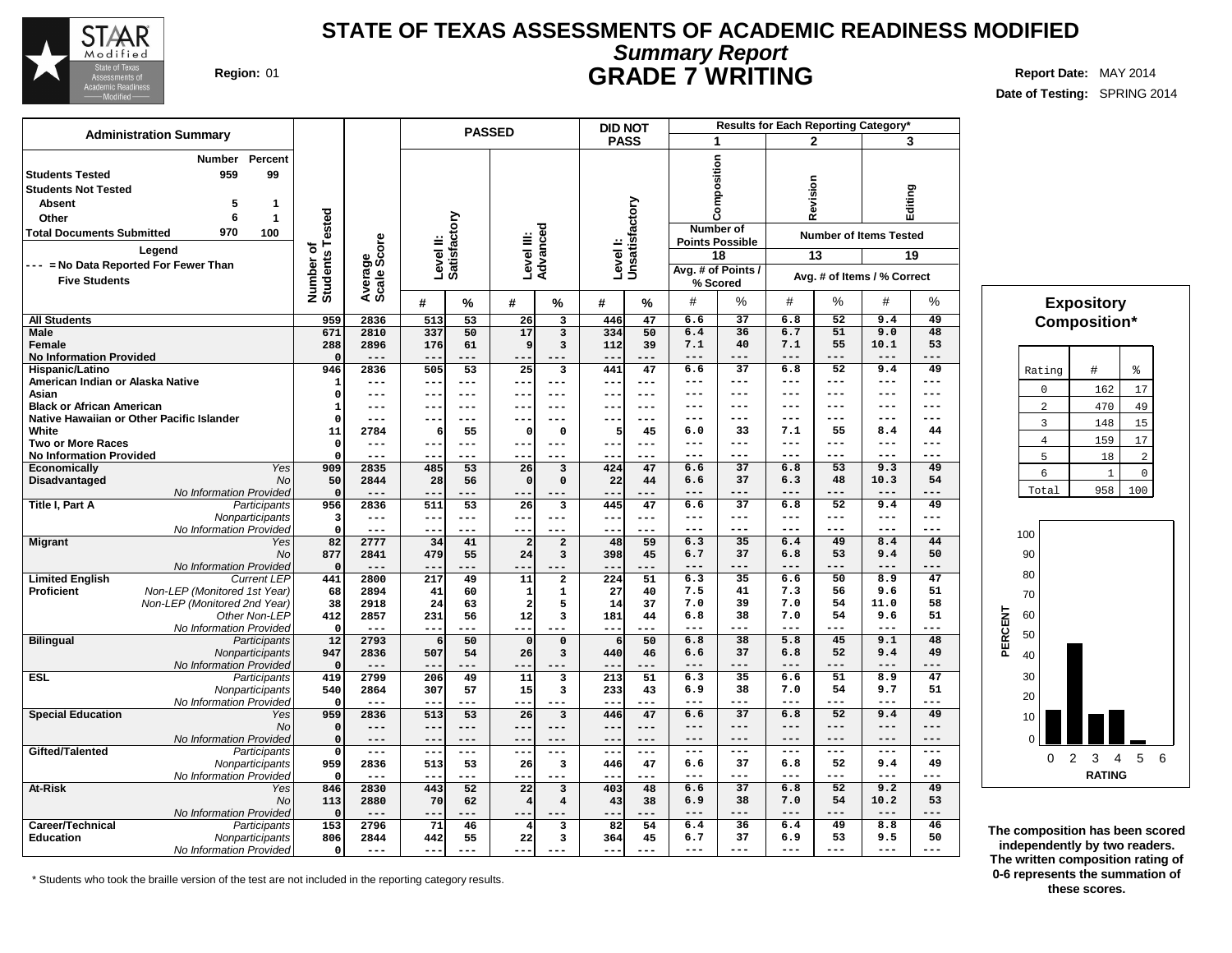

# **Summary Report STATE OF TEXAS ASSESSMENTS OF ACADEMIC READINESS MODIFIED Region:** 01 **GRADE 7 WRITING Report Date:** MAY 2014

**Date of Testing:** SPRING 2014

|                                                                                                                                     | <b>Administration Summary</b>                                                                                                   |                                     |                               |                           |               | <b>PASSED</b>                              |                 | <b>DID NOT</b>            |                                                         |                                                                                                          |                     |                           | Results for Each Reporting Category*                         |                           |                                         |
|-------------------------------------------------------------------------------------------------------------------------------------|---------------------------------------------------------------------------------------------------------------------------------|-------------------------------------|-------------------------------|---------------------------|---------------|--------------------------------------------|-----------------|---------------------------|---------------------------------------------------------|----------------------------------------------------------------------------------------------------------|---------------------|---------------------------|--------------------------------------------------------------|---------------------------|-----------------------------------------|
|                                                                                                                                     |                                                                                                                                 |                                     |                               |                           |               |                                            |                 | <b>PASS</b>               |                                                         | 1                                                                                                        |                     | $\mathbf{2}$              |                                                              | 3                         |                                         |
| <b>Students Tested</b><br><b>Students Not Tested</b><br>Absent<br>Other<br><b>Total Documents Submitted</b><br><b>Five Students</b> | Percent<br>Number<br>959<br>99<br>-1<br>5<br>$\mathbf{1}$<br>6<br>970<br>100<br>Legend<br>--- = No Data Reported For Fewer Than | Tested<br>ኄ<br>Number o<br>Students | ge<br>Score<br>Avera<br>Scale | Level II:<br>Satisfactory |               | Level III:<br>Advanced                     |                 | Levell:<br>Unsatisfactory |                                                         | position<br>g<br>ت<br><b>Number of</b><br><b>Points Possible</b><br>18<br>Avg. # of Points /<br>% Scored |                     | evision<br>œ<br>13        | <b>Number of Items Tested</b><br>Avg. # of Items / % Correct | Editing<br>19             |                                         |
|                                                                                                                                     |                                                                                                                                 |                                     |                               | #                         | %             | #<br>%                                     | #               | %                         | #                                                       | $\%$                                                                                                     | #                   | %                         | #                                                            | %                         | <b>Expository</b>                       |
| <b>All Students</b>                                                                                                                 |                                                                                                                                 | 959                                 | 2836                          | 513                       | 53            | 26<br>$\overline{\mathbf{3}}$              | 446             | 47                        | 6.6                                                     | 37                                                                                                       | 6.8                 | 52                        | 9.4                                                          | 49                        | Composition*                            |
| <b>Male</b>                                                                                                                         |                                                                                                                                 | 671                                 | 2810                          | 337                       | 50            | 17<br>$\overline{\mathbf{3}}$              | 334             | 50                        | 6.4                                                     | 36                                                                                                       | 6.7                 | 51                        | 9.0                                                          | 48                        |                                         |
| Female                                                                                                                              |                                                                                                                                 | 288                                 | 2896                          | 176                       | 61            | $\overline{3}$<br>٩                        | 112             | 39                        | 7.1                                                     | 40                                                                                                       | 7.1                 | 55                        | 10.1                                                         | 53                        |                                         |
| <b>No Information Provided</b>                                                                                                      |                                                                                                                                 |                                     |                               |                           |               |                                            |                 |                           | ---                                                     |                                                                                                          | ---                 |                           | $---$                                                        |                           |                                         |
| Hispanic/Latino                                                                                                                     |                                                                                                                                 | 946                                 | 2836<br>$\qquad \qquad - -$   | 505                       | 53<br>---     | $\overline{25}$<br>3<br>$- -$<br>$---$     | 441<br>$--$     | 47<br>$--$                | 6.6<br>---                                              | 37<br>---                                                                                                | 6.8<br>$---$        | 52<br>$\qquad \qquad - -$ | 9.4<br>$---$                                                 | 49<br>$\qquad \qquad - -$ | #<br>る<br>Rating                        |
| American Indian or Alaska Native<br>Asian                                                                                           |                                                                                                                                 | 0                                   | $---$                         |                           | ---           | $-$<br>$---$                               | $--$            | $---$                     | ---                                                     | $---$                                                                                                    | ---                 | $---$                     | $---$                                                        | $---$                     | 162<br>17<br>$\mathbf{0}$               |
| <b>Black or African American</b>                                                                                                    |                                                                                                                                 | -1                                  | $---$                         | ---                       | $--$          | $- -$<br>$---$                             | $---$           | $---$                     | ---                                                     | $- - -$                                                                                                  | $---$               | $---$                     | $---$                                                        | $---$                     | 2<br>470<br>49                          |
|                                                                                                                                     | Native Hawaiian or Other Pacific Islander                                                                                       | $\Omega$                            | $- -$                         |                           | ---           |                                            | --              | $--$                      | ---                                                     | $---$                                                                                                    | ---                 | $---$                     | ---                                                          | $---$                     |                                         |
| White                                                                                                                               |                                                                                                                                 | 11                                  | 2784                          | 6                         | 55            | $\mathbf 0$                                | 5               | 45                        | 6.0                                                     | 33                                                                                                       | 7.1                 | 55                        | 8.4                                                          | 44                        | $\overline{3}$<br>148<br>15             |
| <b>Two or More Races</b>                                                                                                            |                                                                                                                                 | $\Omega$                            | $---$                         |                           | ---           | $---$<br>$- -$                             | $- -$           | $---$                     | $---$                                                   | $- - -$                                                                                                  | $---$               | $---$                     | $---$                                                        | $---$                     | 159<br>$17$<br>$\overline{4}$           |
| <b>No Information Provided</b>                                                                                                      |                                                                                                                                 |                                     |                               |                           | ---           | $- -$                                      |                 |                           | ---                                                     | ---                                                                                                      | ---                 | $---$                     | ---                                                          | $---$                     | 2<br>5<br>18                            |
| <b>Economically</b>                                                                                                                 | Yes                                                                                                                             | 909                                 | 2835                          | 485                       | 53            | 26<br>3                                    | 424             | 47                        | 6.6                                                     | 37                                                                                                       | 6.8                 | 53                        | 9.3                                                          | 49                        | 6<br>$\overline{1}$<br>$\mathbf 0$      |
| Disadvantaged                                                                                                                       | No                                                                                                                              | 50<br>$\Omega$                      | 2844                          | 28                        | 56            | $\Omega$                                   | 22              | 44                        | 6.6                                                     | 37                                                                                                       | 6.3                 | 48                        | 10.3                                                         | 54                        | 958<br>100<br>Total                     |
| Title I, Part A                                                                                                                     | No Information Provided<br>Participants                                                                                         | 956                                 | $- -$<br>2836                 | 511                       | 53            | 26<br>$\overline{\mathbf{3}}$              | --<br>445       | ---<br>47                 | ---<br>6.6                                              | ---<br>37                                                                                                | ---<br>6.8          | ---<br>52                 | $---$<br>9.4                                                 | ---<br>49                 |                                         |
|                                                                                                                                     | Nonparticipants                                                                                                                 | 3                                   | $---$                         | --                        | $---$         | $- -$<br>$---$                             | $---$           | $\qquad \qquad -$         | $---$                                                   | $---$                                                                                                    | $---$               | $---$                     | $---$                                                        | $---$                     |                                         |
|                                                                                                                                     | No Information Provided                                                                                                         | $\Omega$                            | $---$                         |                           | ---           | $- -$                                      |                 | $---$                     | $\qquad \qquad - -$                                     | $---$                                                                                                    | $---$               | $---$                     | $---$                                                        | $---$                     |                                         |
| <b>Migrant</b>                                                                                                                      | Yes                                                                                                                             | 82                                  | 2777                          | 34                        | 41            | $\overline{a}$<br>$\overline{2}$           | 48              | 59                        | 6.3                                                     | 35                                                                                                       | 6.4                 | 49                        | 8.4                                                          | 44                        | 100                                     |
|                                                                                                                                     | <b>No</b>                                                                                                                       | 877                                 | 2841                          | 479                       | 55            | 24<br>$\overline{3}$                       | 398             | 45                        | 6.7                                                     | 37                                                                                                       | 6.8                 | 53                        | 9.4                                                          | 50                        | 90                                      |
|                                                                                                                                     | No Information Provided                                                                                                         | $\Omega$                            | $---$                         |                           | ---           |                                            |                 | .                         | ---                                                     | ---                                                                                                      | ---                 | ---                       | ---                                                          | ---                       | 80                                      |
| <b>Limited English</b>                                                                                                              | <b>Current LEP</b>                                                                                                              | 441                                 | 2800                          | 217                       | 49            | 11<br>$\overline{a}$                       | 224             | $\overline{51}$           | 6.3                                                     | $\overline{35}$                                                                                          | 6.6                 | 50                        | 8.9                                                          | 47                        |                                         |
| <b>Proficient</b>                                                                                                                   | Non-LEP (Monitored 1st Year)                                                                                                    | 68                                  | 2894                          | 41                        | 60            | $\mathbf{1}$                               | 27              | 40                        | 7.5                                                     | 41                                                                                                       | 7.3                 | 56                        | 9.6                                                          | 51                        | 70                                      |
|                                                                                                                                     | Non-LEP (Monitored 2nd Year)                                                                                                    | 38                                  | 2918                          | 24                        | 63            | 5<br>$\mathcal{P}$                         | 14              | 37                        | 7.0                                                     | 39<br>38                                                                                                 | 7.0                 | 54<br>54                  | 11.0<br>9.6                                                  | 58<br>51                  | 60                                      |
|                                                                                                                                     | Other Non-LEP<br>No Information Provideo                                                                                        | 412<br>0                            | 2857<br>$---$                 | 231                       | 56            | 12<br>3                                    | 181<br>--       | 44                        | 6.8<br>---                                              | ---                                                                                                      | 7.0<br>$- - -$      | $---$                     | $---$                                                        | $---$                     |                                         |
| <b>Bilingual</b>                                                                                                                    | Participants                                                                                                                    | 12                                  | 2793                          | 6                         | 50            | $\Omega$<br>$\Omega$                       |                 | 50                        | 6.8                                                     | 38                                                                                                       | 5.8                 | 45                        | 9.1                                                          | 48                        | PERCENT<br>50                           |
|                                                                                                                                     | Nonparticipants                                                                                                                 | 947                                 | 2836                          | 507                       | 54            | 26<br>$\overline{3}$                       | 440             | 46                        | 6.6                                                     | 37                                                                                                       | 6.8                 | 52                        | 9.4                                                          | 49                        | 40                                      |
|                                                                                                                                     | No Information Provided                                                                                                         | $\Omega$                            | $---$                         |                           | ---           |                                            | $ -$            | ---                       | ---                                                     | ---                                                                                                      | ---                 | ---                       | ---                                                          | ---                       |                                         |
| <b>ESL</b>                                                                                                                          | Participants                                                                                                                    | 419                                 | 2799                          | 206                       | 49            | 11<br>$\overline{\mathbf{3}}$              | 213             | $\overline{51}$           | 6.3                                                     | $\overline{35}$                                                                                          | 6.6                 | $\overline{51}$           | 8.9                                                          | $\overline{47}$           | 30                                      |
|                                                                                                                                     | Nonparticipants                                                                                                                 | 540                                 | 2864                          | 307                       | 57            | 15<br>3                                    | 233             | 43                        | 6.9                                                     | 38                                                                                                       | 7.0                 | 54                        | 9.7                                                          | 51                        | 20                                      |
|                                                                                                                                     | No Information Provided                                                                                                         |                                     |                               |                           | ---           | $- -$                                      | --              |                           | ---                                                     | ---                                                                                                      | ---                 |                           | ---                                                          | $---$                     |                                         |
| <b>Special Education</b>                                                                                                            | Yes                                                                                                                             | 959                                 | 2836                          | 513                       | 53            | 26<br>3                                    | 446             | 47                        | 6.6                                                     | 37                                                                                                       | 6.8                 | 52                        | 9.4                                                          | 49                        | 10                                      |
|                                                                                                                                     | No<br>No Information Provided                                                                                                   | $\Omega$<br>$\Omega$                | $---$<br>$---$                | ---                       | $---$<br>---  | $---$<br>$\overline{\phantom{m}}$<br>$---$ | ---<br>$ -$     | $---$<br>$---$            | $---$<br>---                                            | $---$<br>$---$                                                                                           | $---$<br>$---$      | $---$<br>$---$            | $---$<br>$---$                                               | $---$<br>$---$            |                                         |
| Gifted/Talented                                                                                                                     | Participants                                                                                                                    | $\Omega$                            | $---$                         | $- -$                     | $---$         | $- -$<br>$---$                             | $\frac{1}{2}$ . | $\frac{1}{2}$             | $\hspace{0.05cm} - \hspace{0.05cm} - \hspace{0.05cm} -$ | $\qquad \qquad - -$                                                                                      | $\qquad \qquad - -$ | $\sim$ $\sim$ $\sim$      | $---$                                                        | $---$                     |                                         |
|                                                                                                                                     | Nonparticipants                                                                                                                 | 959                                 | 2836                          | 513                       | 53            | 26<br>$\overline{\mathbf{3}}$              | 446             | 47                        | 6.6                                                     | 37                                                                                                       | 6.8                 | 52                        | 9.4                                                          | 49                        | $3 \quad 4$<br>5 <sub>6</sub><br>2<br>0 |
|                                                                                                                                     | No Information Provided                                                                                                         |                                     | $---$                         |                           | ---           |                                            |                 | $---$                     |                                                         | ---                                                                                                      | ---                 |                           | ---                                                          | $---$                     | <b>RATING</b>                           |
| <b>At-Risk</b>                                                                                                                      | Yes                                                                                                                             | 846                                 | 2830                          | 443                       | 52            | $\overline{22}$<br>3                       | 403             | 48                        | 6.6                                                     | 37                                                                                                       | 6.8                 | 52                        | 9.2                                                          | 49                        |                                         |
|                                                                                                                                     | No                                                                                                                              | 113                                 | 2880                          | 70                        | 62            | $\overline{\mathbf{4}}$                    | 43              | 38                        | 6.9                                                     | 38                                                                                                       | 7.0                 | 54                        | 10.2                                                         | 53                        |                                         |
|                                                                                                                                     | No Information Provideo                                                                                                         | $\Omega$                            | $---$                         |                           | ---           |                                            | --              |                           | ---                                                     | ---                                                                                                      | $---$               | ---                       | $---$                                                        | ---                       |                                         |
| Career/Technical                                                                                                                    | Participants                                                                                                                    | 153                                 | 2796                          | 71                        | 46            | 3<br>4                                     | 82              | 54                        | 6.4                                                     | 36                                                                                                       | 6.4                 | 49                        | 8.8                                                          | 46                        | The composition has been scot           |
| <b>Education</b>                                                                                                                    | Nonparticipants                                                                                                                 | 806<br>0                            | 2844<br>$- - -$               | 442                       | 55<br>$- - -$ | 22<br>3<br>$- -$                           | 364<br>$- -$    | 45                        | 6.7<br>$\qquad \qquad - -$                              | 37<br>$---$                                                                                              | 6.9<br>$---$        | 53<br>$---$               | 9.5<br>$\qquad \qquad - -$                                   | 50<br>$\qquad \qquad -$   | independently by two readers            |
|                                                                                                                                     | No Information Provided                                                                                                         |                                     |                               |                           |               |                                            |                 |                           |                                                         |                                                                                                          |                     |                           |                                                              |                           | The weither composition ration          |

**The composition has been scored ieaders. The written composition rating of 0-6 represents the summation of these scores.**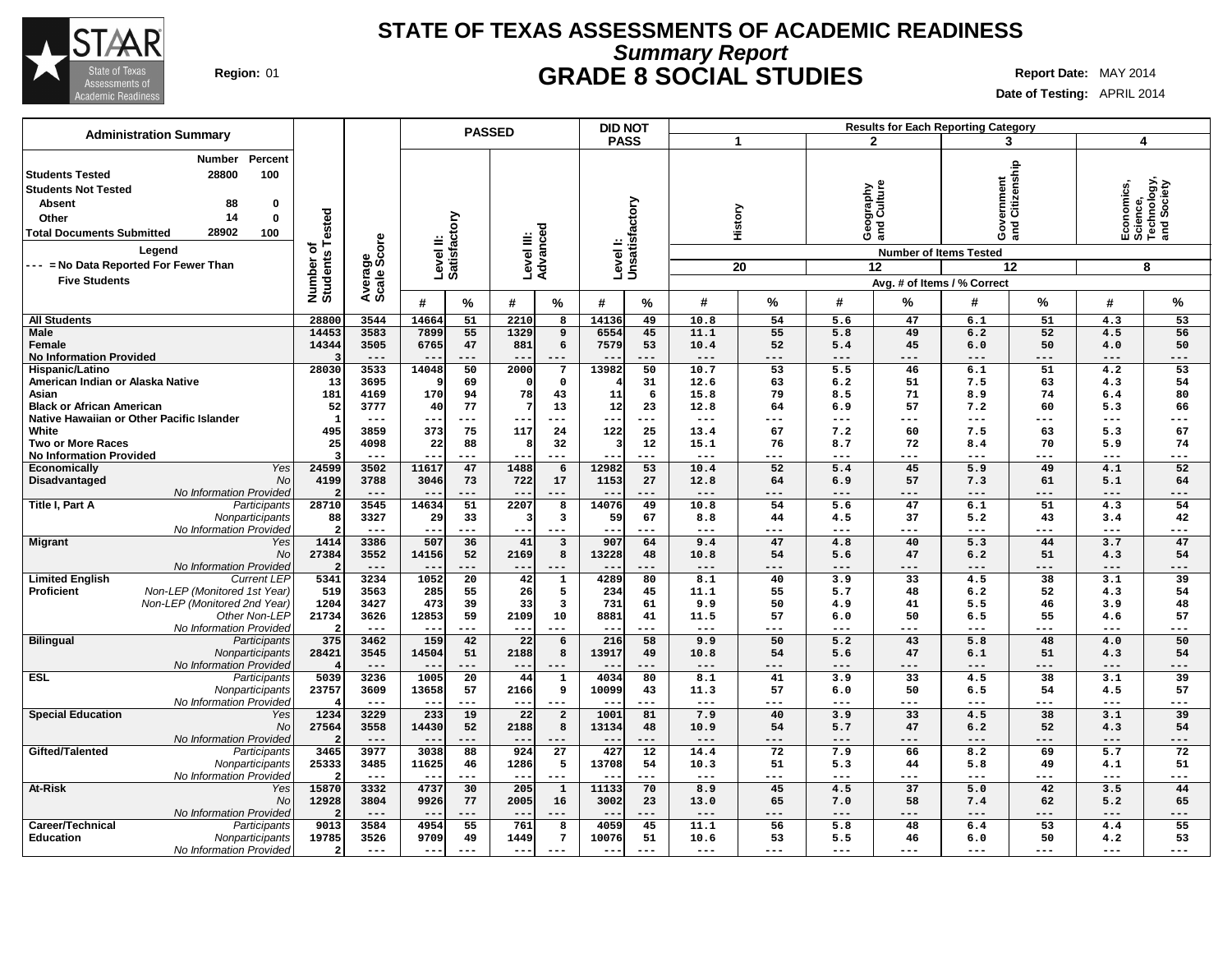

## **Summary Report STATE OF TEXAS ASSESSMENTS OF ACADEMIC READINESS Region:** 01 **GRADE 8 SOCIAL STUDIES Report Date:** MAY 2014

| <b>Administration Summary</b>                                                                                                                                                                                                                    |                                             |                        |                                 | <b>PASSED</b>         |                        |                           | <b>DID NOT</b>            |               |                 |                 |              |                                                                          | <b>Results for Each Reporting Category</b> |               |                     |                                                           |
|--------------------------------------------------------------------------------------------------------------------------------------------------------------------------------------------------------------------------------------------------|---------------------------------------------|------------------------|---------------------------------|-----------------------|------------------------|---------------------------|---------------------------|---------------|-----------------|-----------------|--------------|--------------------------------------------------------------------------|--------------------------------------------|---------------|---------------------|-----------------------------------------------------------|
|                                                                                                                                                                                                                                                  |                                             |                        |                                 |                       |                        |                           | <b>PASS</b>               |               |                 | 1               |              | $\mathbf{2}$                                                             | 3                                          |               | 4                   |                                                           |
| <b>Number</b><br>Percent<br>28800<br>100<br><b>Students Tested</b><br><b>Students Not Tested</b><br>Absent<br>88<br>0<br>14<br>0<br>Other<br>28902<br>100<br><b>Total Documents Submitted</b><br>Legend<br>--- = No Data Reported For Fewer Than | <b>Tested</b><br>৳<br>Number of<br>Students | Average<br>Scale Score | Level II:<br>Satisfactory       |                       | Level III:<br>Advanced |                           | Levell:<br>Unsatisfactory |               |                 | History<br>20   |              | graphy<br>Culture<br>Georg<br>ang<br><b>Number of Items Tested</b><br>12 | rernment<br>Citizenship<br>ဝီ ဒွ<br>am     | 12            |                     | Economics,<br>Science,<br>Technology,<br>and Society<br>8 |
| <b>Five Students</b>                                                                                                                                                                                                                             |                                             |                        |                                 |                       |                        |                           |                           |               |                 |                 |              |                                                                          | Avg. # of Items / % Correct                |               |                     |                                                           |
|                                                                                                                                                                                                                                                  |                                             |                        | #                               | %                     | #                      | $\%$                      | #                         | $\%$          | #               | $\frac{9}{6}$   | #            | %                                                                        | #                                          | %             | #                   | %                                                         |
| <b>All Students</b>                                                                                                                                                                                                                              | 28800                                       | 3544                   | 14664                           | 51                    | 2210                   | 8                         | 14136                     | 49            | 10.8            | 54              | 5.6          | 47                                                                       | 6.1                                        | 51            | 4.3                 | 53                                                        |
| Male<br>Female                                                                                                                                                                                                                                   | 14453<br>14344                              | 3583<br>3505           | 7899<br>6765                    | 55<br>47              | 1329<br>881            | 9<br>6                    | 6554<br>7579              | 45<br>53      | 11.1<br>10.4    | 55<br>52        | 5.8<br>5.4   | 49<br>45                                                                 | 6.2<br>6.0                                 | 52<br>50      | 4.5<br>4.0          | 56<br>50                                                  |
| <b>No Information Provided</b>                                                                                                                                                                                                                   |                                             | $---$                  |                                 | ---                   | $- -$                  |                           |                           | $---$         | $---$           | ---             | $---$        | ---                                                                      | $---$                                      | ---           | $- - -$             | $---$                                                     |
| Hispanic/Latino                                                                                                                                                                                                                                  | 28030                                       | 3533                   | 14048                           | 50                    | 2000                   | 7                         | 13982                     | 50            | 10.7            | $\overline{53}$ | 5.5          | 46                                                                       | 6.1                                        | 51            | 4.2                 | 53                                                        |
| American Indian or Alaska Native                                                                                                                                                                                                                 | 13                                          | 3695                   |                                 | 69                    | $\Omega$               | $\mathbf 0$               |                           | 31            | 12.6            | 63              | 6.2          | 51                                                                       | 7.5                                        | 63            | 4.3                 | 54                                                        |
| Asian                                                                                                                                                                                                                                            | 181                                         | 4169                   | 170                             | 94                    | 78                     | 43                        | 11                        | 6             | 15.8            | 79              | 8.5          | 71                                                                       | 8.9                                        | 74            | 6.4                 | 80                                                        |
| <b>Black or African American</b>                                                                                                                                                                                                                 | 52                                          | 3777                   | 40                              | 77                    |                        | 13                        | 12                        | 23            | 12.8            | 64              | 6.9          | 57                                                                       | 7.2                                        | 60            | 5.3                 | 66                                                        |
| Native Hawaiian or Other Pacific Islander                                                                                                                                                                                                        | -1                                          | $---$                  | $- -$                           | $---$                 | $- -$                  | $---$                     | $- -$                     | $---$         | $---$           | ---             | $---$        | ---                                                                      | $---$                                      | $---$         | $---$               | $---$                                                     |
| White                                                                                                                                                                                                                                            | 495                                         | 3859                   | 373                             | 75                    | 117                    | 24                        | 122                       | 25            | 13.4            | 67              | 7.2          | 60                                                                       | 7.5                                        | 63            | 5.3                 | 67                                                        |
| <b>Two or More Races</b><br><b>No Information Provided</b>                                                                                                                                                                                       | 25                                          | 4098<br>$- - -$        | 22                              | 88<br>$---$           | 8<br>$- -$             | 32<br>$---$               |                           | 12<br>$---$   | 15.1<br>$- - -$ | 76<br>---       | 8.7<br>$---$ | 72<br>---                                                                | 8.4<br>$---$                               | 70<br>$---$   | 5.9<br>$---$        | 74<br>$---$                                               |
| Yes<br><b>Economically</b>                                                                                                                                                                                                                       | 24599                                       | 3502                   | 11617                           | 47                    | 1488                   | 6                         | 12982                     | 53            | 10.4            | 52              | 5.4          | 45                                                                       | 5.9                                        | 49            | 4.1                 | 52                                                        |
| Disadvantaged<br>No                                                                                                                                                                                                                              | 4199                                        | 3788                   | 3046                            | 73                    | 722                    | 17                        | 1153                      | 27            | 12.8            | 64              | 6.9          | 57                                                                       | 7.3                                        | 61            | 5.1                 | 64                                                        |
| No Information Provided                                                                                                                                                                                                                          |                                             | $---$                  | $- -$                           | $---$                 | $- -$                  | $- - -$                   | $- -$                     | $---$         | $---$           | ---             | $---$        | $---$                                                                    | $---$                                      | $---$         | $\qquad \qquad - -$ | $---$                                                     |
| Title I, Part A<br>Participants                                                                                                                                                                                                                  | 28710                                       | 3545                   | 14634                           | 51                    | 2207                   | 8                         | 14076                     | 49            | 10.8            | 54              | 5.6          | 47                                                                       | 6.1                                        | 51            | 4.3                 | 54                                                        |
| Nonparticipants                                                                                                                                                                                                                                  | 88                                          | 3327                   | 29                              | 33                    | -3                     | $\mathbf{3}$              | 59                        | 67            | 8.8             | 44              | 4.5          | 37                                                                       | 5.2                                        | 43            | 3.4                 | 42                                                        |
| No Information Provideo                                                                                                                                                                                                                          |                                             | $- - -$                | --                              | $---$                 | $- -$                  | $---$                     | $- -$                     | $---$         | ---             | ---             | $---$        | ---                                                                      | $---$                                      | ---           | $---$               | $---$                                                     |
| <b>Migrant</b><br>Yes                                                                                                                                                                                                                            | 1414                                        | 3386                   | 507                             | 36                    | 41                     | $\overline{\mathbf{3}}$   | 907                       | 64            | 9.4             | 47              | 4.8          | 40                                                                       | 5.3                                        | 44            | 3.7                 | 47                                                        |
| No                                                                                                                                                                                                                                               | 27384                                       | 3552                   | 14156                           | 52                    | 2169                   | 8                         | 13228                     | 48            | 10.8            | 54              | 5.6          | 47                                                                       | 6.2                                        | 51            | 4.3                 | 54                                                        |
| No Information Provideo                                                                                                                                                                                                                          |                                             | $---$                  | $- -$                           | ---                   | $- -$                  | $- - -$                   | $ -$                      | $---$         | $---$           | ---             | ---          | $---$                                                                    | $---$                                      | $---$         | $---$               | $---$                                                     |
| <b>Limited English</b><br><b>Current LEP</b><br>Proficient<br>Non-LEP (Monitored 1st Year)                                                                                                                                                       | 5341<br>519                                 | 3234<br>3563           | 1052<br>285                     | $\overline{20}$<br>55 | 42<br>26               | 1<br>5                    | 4289<br>234               | 80<br>45      | 8.1<br>11.1     | 40<br>55        | 3.9<br>5.7   | 33<br>48                                                                 | 4.5<br>6.2                                 | 38<br>52      | 3.1<br>4.3          | 39<br>54                                                  |
| Non-LEP (Monitored 2nd Year)                                                                                                                                                                                                                     | 1204                                        | 3427                   | 473                             | 39                    | 33                     | 3                         | 731                       | 61            | 9.9             | 50              | 4.9          | 41                                                                       | 5.5                                        | 46            | 3.9                 | 48                                                        |
| Other Non-LEF                                                                                                                                                                                                                                    | 21734                                       | 3626                   | 12853                           | 59                    | 2109                   | 10                        | 8881                      | 41            | 11.5            | 57              | 6.0          | 50                                                                       | 6.5                                        | 55            | 4.6                 | 57                                                        |
| No Information Provideo                                                                                                                                                                                                                          |                                             | $---$                  | $- -$                           | $---$                 | $- -$                  | $---$                     | $- -$                     | $---$         | $---$           | ---             | $---$        | ---                                                                      | $---$                                      | ---           | $---$               | $---$                                                     |
| <b>Bilingual</b><br>Participants                                                                                                                                                                                                                 | 375                                         | 3462                   | 159                             | 42                    | $\overline{22}$        | 6                         | 216                       | 58            | 9.9             | 50              | 5.2          | 43                                                                       | 5.8                                        | 48            | 4.0                 | 50                                                        |
| Nonparticipants                                                                                                                                                                                                                                  | 28421                                       | 3545                   | 14504                           | 51                    | 2188                   | 8                         | 13917                     | 49            | 10.8            | 54              | 5.6          | 47                                                                       | 6.1                                        | 51            | 4.3                 | 54                                                        |
| No Information Provideo                                                                                                                                                                                                                          |                                             | $---$                  | $- -$                           | $---$                 | $--$                   | $---$                     | $ -$                      | $---$         | $---$           | ---             | $-- -$       | $---$                                                                    | $---$                                      | $---$         | $---$               | $---$                                                     |
| <b>ESL</b><br>Participants                                                                                                                                                                                                                       | 5039                                        | 3236                   | 1005                            | $\overline{20}$       | 44                     | $\mathbf 1$               | 4034                      | 80            | 8.1             | 41              | 3.9          | $\overline{33}$                                                          | 4.5                                        | 38            | 3.1                 | 39                                                        |
| Nonparticipants                                                                                                                                                                                                                                  | 23757                                       | 3609                   | 13658                           | 57                    | 2166                   | 9                         | 10099                     | 43            | 11.3            | 57              | 6.0          | 50                                                                       | 6.5                                        | 54            | 4.5                 | 57                                                        |
| No Information Provideo<br><b>Special Education</b><br>Yes                                                                                                                                                                                       | 1234                                        | $- - -$<br>3229        | $\overline{\phantom{m}}$<br>233 | $---$<br>19           | $- -$<br>22            | $- - -$<br>$\overline{a}$ | $-$<br>1001               | $- - -$<br>81 | $---$<br>7.9    | ---             | $---$<br>3.9 | ---<br>33                                                                | $---$<br>4.5                               | $- - -$<br>38 | $---$<br>3.1        | $- - -$<br>39                                             |
| No                                                                                                                                                                                                                                               | 27564                                       | 3558                   | 14430                           | 52                    | 2188                   | 8                         | 13134                     | 48            | 10.9            | 40<br>54        | 5.7          | 47                                                                       | 6.2                                        | 52            | 4.3                 | 54                                                        |
| No Information Provided                                                                                                                                                                                                                          |                                             | $---$                  | $\overline{\phantom{m}}$        | $---$                 | $- -$                  | $---$                     | $-$                       | $---$         | $---$           | ---             | $-- -$       | ---                                                                      | $---$                                      | $---$         | $---$               | $---$                                                     |
| Gifted/Talented<br>Participants                                                                                                                                                                                                                  | 3465                                        | 3977                   | 3038                            | 88                    | 924                    | 27                        | 427                       | 12            | 14.4            | 72              | 7.9          | 66                                                                       | 8.2                                        | 69            | 5.7                 | 72                                                        |
| Nonparticipants                                                                                                                                                                                                                                  | 25333                                       | 3485                   | 11625                           | 46                    | 1286                   | 5                         | 13708                     | 54            | 10.3            | 51              | 5.3          | 44                                                                       | 5.8                                        | 49            | 4.1                 | 51                                                        |
| No Information Provideo                                                                                                                                                                                                                          |                                             | $- - -$                | $\overline{\phantom{m}}$        | $---$                 | $- -$                  | $---$                     |                           | $---$         | $- - -$         | ---             | $---$        | ---                                                                      | $---$                                      | $---$         | $---$               | $---$                                                     |
| At-Risk<br>Yes                                                                                                                                                                                                                                   | 15870                                       | 3332                   | 4737                            | 30                    | 205                    | $\mathbf{1}$              | 11133                     | 70            | 8.9             | 45              | 4.5          | $\overline{37}$                                                          | 5.0                                        | 42            | 3.5                 | 44                                                        |
| No                                                                                                                                                                                                                                               | 12928                                       | 3804                   | 9926                            | 77                    | 2005                   | 16                        | 3002                      | 23            | 13.0            | 65              | 7.0          | 58                                                                       | 7.4                                        | 62            | 5.2                 | 65                                                        |
| No Information Provideo                                                                                                                                                                                                                          |                                             | $---$                  |                                 | $---$                 | $\sim$ $\sim$          | ---                       |                           | $---$         | $---$           | ---             | ---          | ---                                                                      | $---$                                      | ---           | $---$               | $---$                                                     |
| Career/Technical<br>Participants                                                                                                                                                                                                                 | 9013                                        | 3584                   | 4954                            | 55                    | 761                    | 8                         | 4059                      | 45            | 11.1            | 56              | 5.8          | 48                                                                       | 6.4                                        | 53            | 4.4                 | 55                                                        |
| <b>Education</b><br>Nonparticipants<br>No Information Provided                                                                                                                                                                                   | 19785<br>$\overline{2}$                     | 3526<br>$---$          | 9709<br>$--$                    | 49<br>$---$           | 1449<br>$- -$          | 7<br>$- - -$              | 10076<br>$- -$            | 51<br>$---$   | 10.6<br>$---$   | 53<br>---       | 5.5<br>$---$ | 46<br>---                                                                | 6.0<br>$---$                               | 50<br>$---$   | 4.2<br>$---$        | 53<br>---                                                 |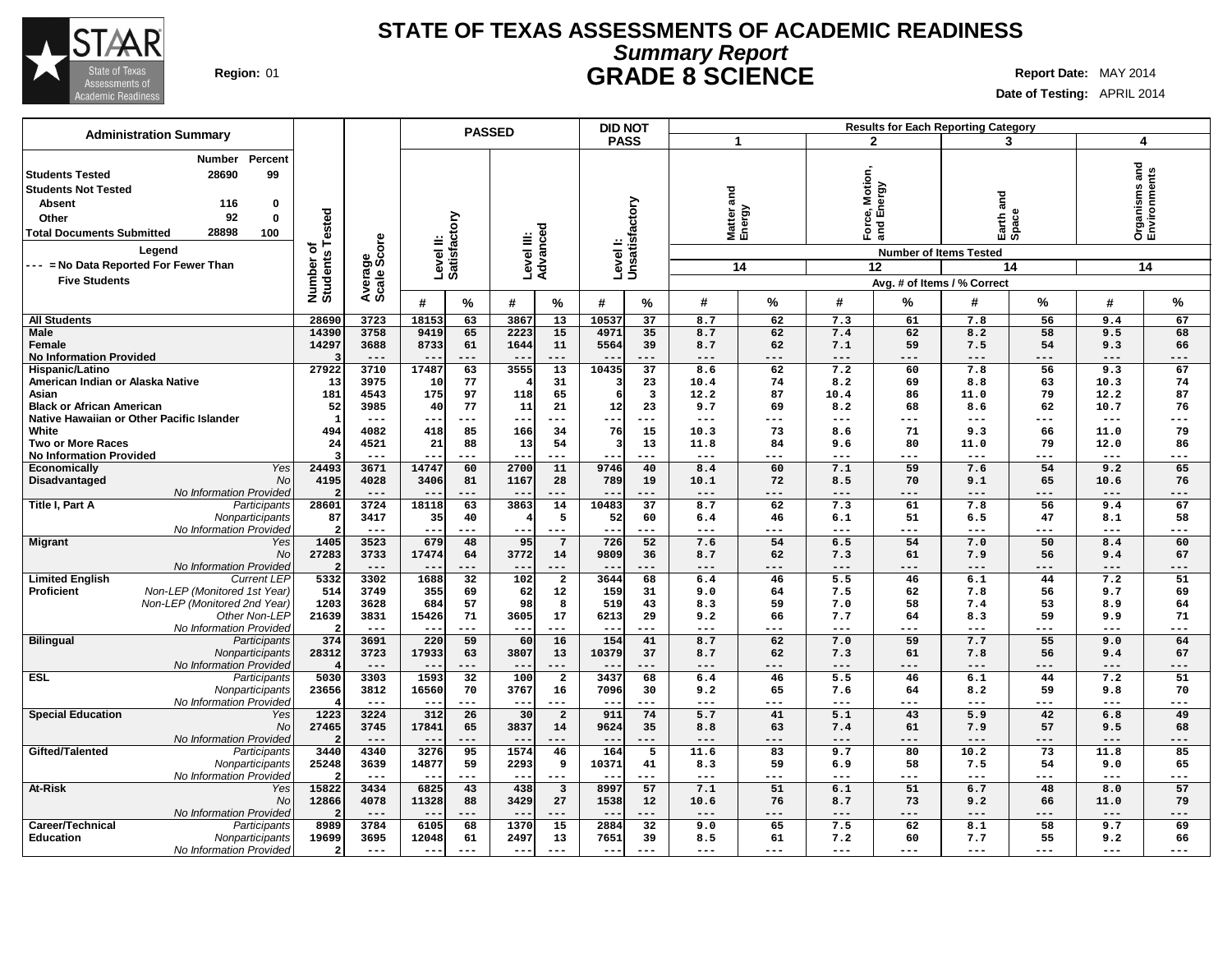

# **Summary Report STATE OF TEXAS ASSESSMENTS OF ACADEMIC READINESS Region:** 01 **GRADE 8 SCIENCE Report Date:** MAY 2014

| <b>Administration Summary</b>                                                                                                                                                                           |                                                                |               |                | <b>PASSED</b>             |                        |                                  | <b>DID NOT</b> |                           |              |                    |                                          |                               | <b>Results for Each Reporting Category</b> |             |                |                               |
|---------------------------------------------------------------------------------------------------------------------------------------------------------------------------------------------------------|----------------------------------------------------------------|---------------|----------------|---------------------------|------------------------|----------------------------------|----------------|---------------------------|--------------|--------------------|------------------------------------------|-------------------------------|--------------------------------------------|-------------|----------------|-------------------------------|
|                                                                                                                                                                                                         |                                                                |               |                |                           |                        |                                  |                | <b>PASS</b>               | -1           |                    | $\mathbf{2}$                             |                               | 3                                          |             | 4              |                               |
| Number<br>Percent<br>99<br>28690<br><b>Students Tested</b><br><b>Students Not Tested</b><br><b>Absent</b><br>116<br>0<br>92<br>$\mathbf 0$<br>Other<br>28898<br>100<br><b>Total Documents Submitted</b> | Tested<br>Average<br>Scale Score<br>đ<br>Number of<br>Students |               |                | Level II:<br>Satisfactory | Level III:<br>Advanced |                                  |                | Levell:<br>Unsatisfactory | and          | Matter a<br>Energy | lotion,<br>Notie<br>Pergy<br>$F$ orc $I$ | ல் ந                          | and<br>Earth a<br>Space                    |             |                | Organisms and<br>Environments |
| Legend                                                                                                                                                                                                  |                                                                |               |                |                           |                        |                                  |                |                           |              |                    |                                          | <b>Number of Items Tested</b> |                                            |             |                |                               |
| --- = No Data Reported For Fewer Than                                                                                                                                                                   |                                                                |               |                |                           |                        |                                  |                |                           |              | 14                 | 12                                       |                               |                                            | 14          |                | 14                            |
| <b>Five Students</b>                                                                                                                                                                                    |                                                                |               |                |                           |                        |                                  |                |                           |              |                    |                                          |                               | Avg. # of Items / % Correct                |             |                |                               |
|                                                                                                                                                                                                         |                                                                |               | #              | %                         | #                      | %                                | #              | %                         | #            | %                  | #                                        | %                             | #                                          | ℅           | #              | %                             |
|                                                                                                                                                                                                         |                                                                |               |                |                           |                        |                                  |                |                           |              |                    |                                          |                               |                                            |             |                |                               |
| <b>All Students</b><br><b>Male</b>                                                                                                                                                                      | 28690<br>14390                                                 | 3723<br>3758  | 18153<br>9419  | 63<br>65                  | 3867<br>2223           | 13<br>15                         | 10537<br>4971  | 37<br>35                  | 8.7<br>8.7   | 62<br>62           | 7.3<br>7.4                               | 61<br>62                      | 7.8<br>8.2                                 | 56<br>58    | 9.4<br>9.5     | 67<br>68                      |
| Female                                                                                                                                                                                                  | 14297                                                          | 3688          | 8733           | 61                        | 1644                   | 11                               | 5564           | 39                        | 8.7          | 62                 | 7.1                                      | 59                            | 7.5                                        | 54          | 9.3            | 66                            |
| <b>No Information Provided</b>                                                                                                                                                                          | ্ব                                                             | $---$         |                | ---                       | $- -$                  | $---$                            |                | ---                       | ---          | ---                | $---$                                    | $---$                         | $---$                                      | $---$       | $---$          | ---                           |
| Hispanic/Latino                                                                                                                                                                                         | 27922                                                          | 3710          | 17487          | 63                        | 3555                   | 13                               | 10435          | 37                        | 8.6          | 62                 | 7.2                                      | 60                            | 7.8                                        | 56          | 9.3            | 67                            |
| American Indian or Alaska Native                                                                                                                                                                        | 13                                                             | 3975          | 10             | 77                        |                        | 31                               |                | 23                        | 10.4         | 74                 | 8.2                                      | 69                            | 8.8                                        | 63          | 10.3           | 74                            |
| Asian                                                                                                                                                                                                   | 181                                                            | 4543          | 175            | 97                        | 118                    | 65                               |                | $\overline{\mathbf{3}}$   | 12.2         | 87                 | 10.4                                     | 86                            | 11.0                                       | 79          | 12.2           | 87                            |
| <b>Black or African American</b>                                                                                                                                                                        | 52                                                             | 3985          | 40             | 77                        | 11                     | 21                               | 12             | 23                        | 9.7          | 69                 | 8.2                                      | 68                            | 8.6                                        | 62          | 10.7           | 76                            |
| Native Hawaiian or Other Pacific Islander                                                                                                                                                               | $\overline{1}$                                                 | $---$         | --             | $---$                     | $---$                  | $---$                            | $- -$          | ---                       | ---          | ---                | ---                                      | ---                           | $---$                                      | $---$       | $- - -$        | ---                           |
| White<br><b>Two or More Races</b>                                                                                                                                                                       | 494<br>24                                                      | 4082<br>4521  | 418<br>21      | 85<br>88                  | 166<br>13              | 34<br>54                         | 76             | 15<br>13                  | 10.3<br>11.8 | 73<br>84           | 8.6<br>9.6                               | 71<br>80                      | 9.3<br>11.0                                | 66<br>79    | 11.0<br>12.0   | 79<br>86                      |
| <b>No Information Provided</b>                                                                                                                                                                          | ্ব                                                             | $- - -$       |                | ---                       | $- -$                  | $- - -$                          |                | ---                       | ---          |                    | $- - -$                                  | ---                           | $- - -$                                    | $- - -$     | $- - -$        | ---                           |
| Yes<br>Economically                                                                                                                                                                                     | 24493                                                          | 3671          | 14747          | 60                        | 2700                   | 11                               | 9746           | 40                        | 8.4          | 60                 | 7.1                                      | 59                            | 7.6                                        | 54          | 9.2            | 65                            |
| Disadvantaged<br>No                                                                                                                                                                                     | 4195                                                           | 4028          | 3406           | 81                        | 1167                   | 28                               | 789            | 19                        | 10.1         | 72                 | 8.5                                      | 70                            | 9.1                                        | 65          | 10.6           | 76                            |
| No Information Provided                                                                                                                                                                                 |                                                                | $---$         |                | ---                       | $--$                   | ---                              |                | ---                       | ---          | ---                | ---                                      | $-- -$                        | $---$                                      | $---$       | ---            | ---                           |
| Title I, Part A<br>Participants                                                                                                                                                                         | 28601                                                          | 3724          | 18118          | 63                        | 3863                   | 14                               | 10483          | 37                        | 8.7          | 62                 | 7.3                                      | 61                            | 7.8                                        | 56          | 9.4            | 67                            |
| Nonparticipants                                                                                                                                                                                         | 87                                                             | 3417          | 35             | 40                        | 4                      | 5                                | 52             | 60                        | 6.4          | 46                 | 6.1                                      | 51                            | 6.5                                        | 47          | 8.1            | 58                            |
| No Information Provided                                                                                                                                                                                 |                                                                | $---$         | $ -$           | ---                       |                        | $---$                            |                | ---                       | ---          | ---                | $---$                                    | ---                           | $---$                                      | ---         | $---$          | ---                           |
| <b>Migrant</b><br>Yes                                                                                                                                                                                   | 1405                                                           | 3523          | 679            | 48                        | 95                     | $7\phantom{.0}$                  | 726            | 52                        | 7.6          | 54                 | 6.5                                      | 54                            | 7.0                                        | 50          | 8.4            | 60                            |
| No                                                                                                                                                                                                      | 27283                                                          | 3733          | 17474          | 64                        | 3772                   | 14                               | 9809           | 36                        | 8.7          | 62                 | 7.3                                      | 61                            | 7.9                                        | 56          | 9.4            | 67                            |
| No Information Provided<br><b>Limited English</b><br><b>Current LEP</b>                                                                                                                                 | 5332                                                           | $---$<br>3302 | $-$<br>1688    | ---<br>32                 | $--$<br>102            | $---$<br>$\overline{\mathbf{2}}$ | 3644           | ---<br>68                 | ---<br>6.4   | ---<br>46          | ---<br>5.5                               | $-- -$<br>46                  | $---$<br>6.1                               | $---$<br>44 | $---$<br>7.2   | ---<br>51                     |
| Non-LEP (Monitored 1st Year)<br><b>Proficient</b>                                                                                                                                                       | 514                                                            | 3749          | 355            | 69                        | 62                     | 12                               | 159            | 31                        | 9.0          | 64                 | 7.5                                      | 62                            | 7.8                                        | 56          | 9.7            | 69                            |
| Non-LEP (Monitored 2nd Year)                                                                                                                                                                            | 1203                                                           | 3628          | 684            | 57                        | 98                     | 8                                | 519            | 43                        | 8.3          | 59                 | 7.0                                      | 58                            | 7.4                                        | 53          | 8.9            | 64                            |
| Other Non-LEP                                                                                                                                                                                           | 21639                                                          | 3831          | 15426          | 71                        | 3605                   | 17                               | 6213           | 29                        | 9.2          | 66                 | 7.7                                      | 64                            | 8.3                                        | 59          | 9.9            | 71                            |
| No Information Provided                                                                                                                                                                                 |                                                                | $---$         | $ -$           | ---                       | $- -$                  | $---$                            | $ -$           | ---                       | ---          | ---                | $---$                                    | $---$                         | $---$                                      | $- - -$     | $- - -$        | ---                           |
| <b>Bilingual</b><br>Participants                                                                                                                                                                        | 374                                                            | 3691          | 220            | 59                        | 60                     | 16                               | 154            | 41                        | 8.7          | 62                 | 7.0                                      | 59                            | 7.7                                        | 55          | 9.0            | 64                            |
| Nonparticipants                                                                                                                                                                                         | 28312                                                          | 3723          | 17933          | 63                        | 3807                   | 13                               | 10379          | 37                        | 8.7          | 62                 | 7.3                                      | 61                            | 7.8                                        | 56          | 9.4            | 67                            |
| No Information Provided                                                                                                                                                                                 |                                                                | $---$         | $--$           | $---$                     | $--$                   | $---$                            | $- -$          | ---                       | ---          | ---                | $---$                                    | $-- -$                        | $---$                                      | $---$       | $- - -$        | ---                           |
| ESL<br>Participants                                                                                                                                                                                     | 5030                                                           | 3303          | 1593           | 32                        | 100                    | $\overline{\mathbf{2}}$          | 3437           | 68                        | 6.4          | 46                 | 5.5                                      | 46                            | 6.1                                        | 44          | 7.2            | 51                            |
| Nonparticipants<br>No Information Provided                                                                                                                                                              | 23656                                                          | 3812<br>$---$ | 16560<br>$ -$  | 70<br>---                 | 3767<br>$- -$          | 16<br>$---$                      | 7096           | 30<br>---                 | 9.2<br>---   | 65<br>---          | 7.6<br>$---$                             | 64<br>---                     | 8.2<br>$---$                               | 59<br>$---$ | 9.8<br>$- - -$ | 70<br>---                     |
| <b>Special Education</b><br>Yes                                                                                                                                                                         | 1223                                                           | 3224          | 312            | 26                        | 30                     | $\overline{a}$                   | 911            | 74                        | 5.7          | 41                 | 5.1                                      | 43                            | 5.9                                        | 42          | 6.8            | 49                            |
| No                                                                                                                                                                                                      | 27465                                                          | 3745          | 17841          | 65                        | 3837                   | 14                               | 9624           | 35                        | 8.8          | 63                 | 7.4                                      | 61                            | 7.9                                        | 57          | 9.5            | 68                            |
| No Information Provided                                                                                                                                                                                 |                                                                | $---$         | $- -$          | $---$                     | $- -$                  | $---$                            | $- -$          | ---                       | $---$        | ---                | ---                                      | $---$                         | $---$                                      | $---$       | $---$          | ---                           |
| Gifted/Talented<br>Participants                                                                                                                                                                         | 3440                                                           | 4340          | 3276           | 95                        | 1574                   | 46                               | 164            | 5                         | 11.6         | 83                 | 9.7                                      | 80                            | 10.2                                       | 73          | 11.8           | 85                            |
| Nonparticipants                                                                                                                                                                                         | 25248                                                          | 3639          | 14877          | 59                        | 2293                   | 9                                | 10371          | 41                        | 8.3          | 59                 | 6.9                                      | 58                            | 7.5                                        | 54          | 9.0            | 65                            |
| No Information Provided                                                                                                                                                                                 |                                                                | $- - -$       | $-$            | $---$                     | $--$                   | $---$                            | $- -$          | ---                       | $---$        | ---                | $---$                                    | ---                           | $---$                                      | $---$       | $---$          | ---                           |
| <b>At-Risk</b><br>Yes                                                                                                                                                                                   | 15822                                                          | 3434          | 6825           | 43                        | 438                    | $\overline{\mathbf{3}}$          | 8997           | 57                        | 7.1          | 51                 | 6.1                                      | $\overline{51}$               | 6.7                                        | 48          | 8.0            | 57                            |
| No                                                                                                                                                                                                      | 12866                                                          | 4078          | 11328          | 88                        | 3429                   | 27                               | 1538           | 12                        | 10.6         | 76                 | 8.7                                      | 73                            | 9.2                                        | 66          | 11.0           | 79                            |
| No Information Provided                                                                                                                                                                                 |                                                                | $---$         | $- -$          | ---                       | $- -$                  | $---$                            | $ -$           | ---                       | $---$        | ---                | ---                                      | $---$                         | $---$                                      | $---$       | $---$          | ---                           |
| Career/Technical<br>Participants                                                                                                                                                                        | 8989                                                           | 3784<br>3695  | 6105           | 68                        | 1370                   | 15                               | 2884           | 32                        | 9.0          | 65                 | 7.5                                      | 62<br>60                      | 8.1                                        | 58          | 9.7            | 69                            |
| <b>Education</b><br>Nonparticipants<br>No Information Provided                                                                                                                                          | 19699<br>$\overline{a}$                                        | $\frac{1}{2}$ | 12048<br>$---$ | 61<br>$---$               | 2497<br>$--$           | 13<br>$- - -$                    | 7651<br>$---$  | 39<br>$---$               | 8.5<br>---   | 61<br>$---$        | 7.2<br>$---$                             | $---$                         | 7.7<br>$---$                               | 55<br>$---$ | 9.2<br>$---$   | 66<br>---                     |
|                                                                                                                                                                                                         |                                                                |               |                |                           |                        |                                  |                |                           |              |                    |                                          |                               |                                            |             |                |                               |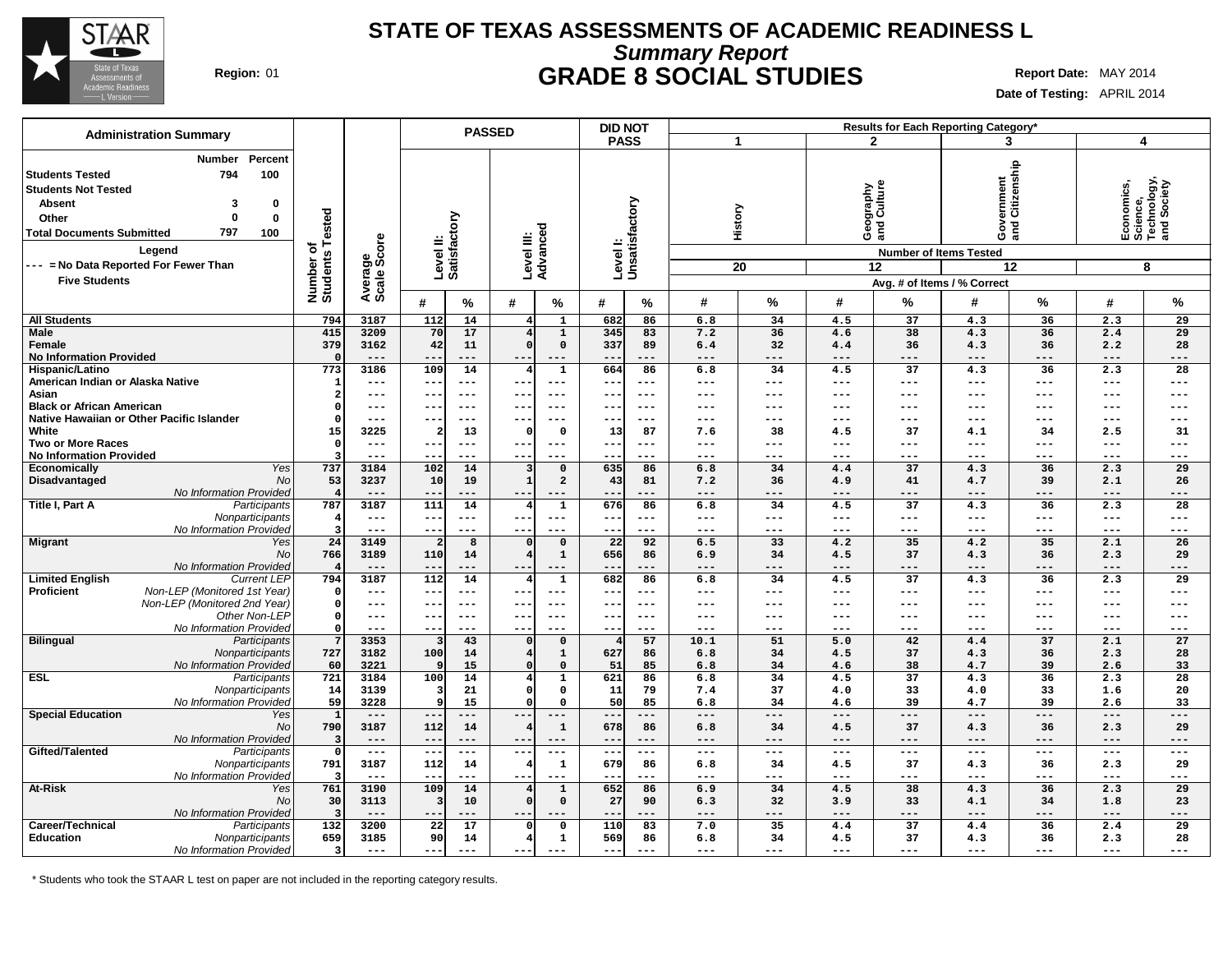

## **Summary Report STATE OF TEXAS ASSESSMENTS OF ACADEMIC READINESS L Region:** 01 **GRADE 8 SOCIAL STUDIES Report Date:** MAY 2014

**Date of Testing:** APRIL 2014

|                                                                                                                                            | <b>Administration Summary</b>                                                                                                      |                                     |                        |                           |                     | <b>PASSED</b>          |                              | <b>DID NOT</b>  |                           |              |               |                     |                                | Results for Each Reporting Category*                                  |                     |                     |                                                           |
|--------------------------------------------------------------------------------------------------------------------------------------------|------------------------------------------------------------------------------------------------------------------------------------|-------------------------------------|------------------------|---------------------------|---------------------|------------------------|------------------------------|-----------------|---------------------------|--------------|---------------|---------------------|--------------------------------|-----------------------------------------------------------------------|---------------------|---------------------|-----------------------------------------------------------|
|                                                                                                                                            |                                                                                                                                    |                                     |                        |                           |                     |                        |                              | <b>PASS</b>     |                           |              | 1             |                     | $\mathbf{2}$                   |                                                                       | 3                   | 4                   |                                                           |
| <b>Students Tested</b><br><b>Students Not Tested</b><br><b>Absent</b><br>Other<br><b>Total Documents Submitted</b><br><b>Five Students</b> | Percent<br>Number<br>100<br>794<br>3<br>0<br>$\Omega$<br>$\bf{0}$<br>797<br>100<br>Legend<br>--- = No Data Reported For Fewer Than | Tested<br>৳<br>Number o<br>Students | Average<br>Scale Score | Level II:<br>Satisfactory |                     | Level III:<br>Advanced |                              |                 | Levell:<br>Unsatisfactory |              | History<br>20 |                     | Geography<br>and Culture<br>12 | rernment<br>Citizenship<br>မွဲ<br>မိ<br><b>Number of Items Tested</b> | 12                  |                     | Economics,<br>Science,<br>Technology,<br>and Society<br>8 |
|                                                                                                                                            |                                                                                                                                    |                                     |                        |                           |                     |                        |                              |                 |                           |              |               |                     |                                | Avg. # of Items / % Correct                                           |                     |                     |                                                           |
|                                                                                                                                            |                                                                                                                                    |                                     |                        | #                         | $\%$                | #                      | $\%$                         | #               | %                         | #            | %             | #                   | %                              | #                                                                     | ℅                   | #                   | %                                                         |
| <b>All Students</b>                                                                                                                        |                                                                                                                                    | 794                                 | 3187                   | 112                       | 14                  | 4                      | $\mathbf{1}$                 | 682             | 86                        | 6.8          | 34            | 4.5                 | 37                             | 4.3                                                                   | 36                  | 2.3                 | 29                                                        |
| <b>Male</b>                                                                                                                                |                                                                                                                                    | 415                                 | 3209                   | 70                        | 17                  |                        | $\mathbf 1$                  | 345             | 83                        | 7.2          | 36            | 4.6                 | 38                             | 4.3                                                                   | 36                  | 2.4                 | 29                                                        |
| Female                                                                                                                                     |                                                                                                                                    | 379                                 | 3162<br>---            | 42                        | 11<br>$---$         |                        | 0                            | 337             | 89                        | 6.4          | 32<br>---     | 4.4                 | 36<br>---                      | 4.3<br>---                                                            | 36                  | 2.2<br>$---$        | 28<br>---                                                 |
| <b>No Information Provided</b><br>Hispanic/Latino                                                                                          |                                                                                                                                    | 773                                 | 3186                   | --<br>109                 | 14                  | 4                      | $---$<br>$\mathbf{1}$        | --<br>664       | 86                        | $--$<br>6.8  | 34            | ---<br>4.5          | 37                             | 4.3                                                                   | 36                  | 2.3                 | 28                                                        |
| American Indian or Alaska Native                                                                                                           |                                                                                                                                    |                                     | $---$                  | $--$                      | $---$               | $--$                   | $---$                        | --              | $---$                     | $---$        | $---$         | ---                 | ---                            | $---$                                                                 | $---$               | $\qquad \qquad - -$ | $---$                                                     |
| Asian                                                                                                                                      |                                                                                                                                    | 2                                   | $---$                  | $\qquad \qquad -$         | $---$               | --                     |                              | --              | $--$                      | $--$         | ---           | ---                 | ---                            | ---                                                                   | $--$                | $--$                | $---$                                                     |
| <b>Black or African American</b>                                                                                                           |                                                                                                                                    | O                                   | ---                    | $\qquad \qquad -$         | $---$               | $--$                   | $--$                         | --              | $\qquad \qquad - -$       | $--$         | ---           | ---                 | ---                            | ---                                                                   | $---$               | $- - -$             | $---$                                                     |
|                                                                                                                                            | Native Hawaiian or Other Pacific Islander                                                                                          |                                     | $---$                  | $- -$                     | $---$               | $- -$                  | $= -$                        |                 | $- - -$                   | $--$         | ---           | ---                 | ---                            | ---                                                                   | $---$               | $---$               | $---$                                                     |
| White                                                                                                                                      |                                                                                                                                    | 15                                  | 3225                   |                           | 13                  |                        | $\mathbf 0$                  | 13              | 87                        | 7.6          | 38            | 4.5                 | 37                             | 4.1                                                                   | 34                  | 2.5                 | 31                                                        |
| <b>Two or More Races</b>                                                                                                                   |                                                                                                                                    | $\Omega$                            | $---$                  | $- -$                     | $---$               | $--$                   | $---$                        | --              | $---$                     | $---$        | ---           | ---                 | ---                            | ---                                                                   | $---$               | $---$               | $---$                                                     |
| <b>No Information Provided</b>                                                                                                             | Yes                                                                                                                                | З<br>737                            | $---$<br>3184          | --                        | $---$               | $--$                   | $--$                         | --              | ---                       | ---<br>6.8   | ---<br>34     | ---<br>4.4          | ---<br>$\overline{37}$         | ---                                                                   | $---$               | $---$               | $---$<br>29                                               |
| Economically<br>Disadvantaged                                                                                                              | No                                                                                                                                 | 53                                  | 3237                   | 102<br>10                 | 14<br>19            | -1                     | $\mathbf{o}$<br>$\mathbf{2}$ | 635<br>43       | 86<br>81                  | 7.2          | 36            | 4.9                 | 41                             | 4.3<br>4.7                                                            | 36<br>39            | 2.3<br>2.1          | 26                                                        |
|                                                                                                                                            | No Information Provideo                                                                                                            |                                     | ---                    | $- -$                     | ---                 | $--$                   |                              |                 | ---                       | $---$        | ---           | ---                 | ---                            | $---$                                                                 | ---                 | $---$               | $---$                                                     |
| Title I, Part A                                                                                                                            | Participants                                                                                                                       | 787                                 | 3187                   | 111                       | 14                  |                        | $\mathbf 1$                  | 676             | 86                        | 6.8          | 34            | 4.5                 | 37                             | 4.3                                                                   | 36                  | 2.3                 | 28                                                        |
|                                                                                                                                            | Nonparticipants                                                                                                                    | -4                                  | $---$                  | ---                       | $\qquad \qquad - -$ | $--$                   | ---                          | --              | $\qquad \qquad -$         | $---$        | $---$         | ---                 | ---                            | $---$                                                                 | $\qquad \qquad - -$ | $\qquad \qquad - -$ | $---$                                                     |
|                                                                                                                                            | No Information Provided                                                                                                            | 3                                   | $---$                  | $\qquad \qquad -$         | $---$               | $--$                   | ---                          | --              | ---                       | $--$         | ---           | ---                 | ---                            | ---                                                                   | $\qquad \qquad - -$ | $---$               | $---$                                                     |
| <b>Migrant</b>                                                                                                                             | Yes                                                                                                                                | 24                                  | 3149                   |                           | 8                   |                        | $\mathbf 0$                  | $\overline{22}$ | 92                        | 6.5          | 33            | 4.2                 | 35                             | 4.2                                                                   | 35                  | 2.1                 | 26                                                        |
|                                                                                                                                            | No                                                                                                                                 | 766                                 | 3189                   | 110                       | 14                  |                        | $\mathbf{1}$                 | 656             | 86                        | 6.9          | 34            | 4.5                 | 37                             | 4.3                                                                   | 36                  | 2.3                 | 29                                                        |
| <b>Limited English</b>                                                                                                                     | No Information Provided<br><b>Current LEP</b>                                                                                      | 794                                 | $---$<br>3187          | $- -$<br>112              | $---$<br>14         | $- -$                  | $---$<br>$\mathbf 1$         | 682             | ---<br>86                 | $---$<br>6.8 | ---<br>34     | ---<br>4.5          | $---$<br>37                    | $---$<br>4.3                                                          | ---<br>36           | $---$<br>2.3        | $---$<br>29                                               |
| Proficient                                                                                                                                 | Non-LEP (Monitored 1st Year)                                                                                                       | $\Omega$                            | $---$                  | $--$                      | $---$               | $- -$                  | $--$                         | --              | $---$                     | $---$        | ---           | ---                 | ---                            | ---                                                                   | $---$               | $---$               | $---$                                                     |
|                                                                                                                                            | Non-LEP (Monitored 2nd Year)                                                                                                       | $\Omega$                            | $---$                  | $\overline{\phantom{m}}$  | $\qquad \qquad - -$ | $--$                   | $---$                        | --              | $\qquad \qquad - -$       | $---$        | ---           | ---                 | ---                            | ---                                                                   | $---$               | $---$               | $---$                                                     |
|                                                                                                                                            | Other Non-LEF                                                                                                                      | $\Omega$                            | $---$                  | $--$                      | $---$               | $--$                   | $--$                         | --              | $---$                     | $--$         | ---           | ---                 | ---                            | ---                                                                   | $---$               | $---$               | $---$                                                     |
|                                                                                                                                            | No Information Provided                                                                                                            | $\Omega$                            | $---$                  | $\qquad \qquad -$         | $---$               | $- -$                  | $- - -$                      | $- -$           | $- - -$                   | $- - -$      | ---           | ---                 | ---                            | $---$                                                                 | $---$               | $---$               | $---$                                                     |
| <b>Bilingual</b>                                                                                                                           | Participants                                                                                                                       | 7                                   | 3353                   | з                         | 43                  | $\Omega$               | $\mathbf{0}$                 |                 | 57                        | 10.1         | 51            | 5.0                 | 42                             | 4.4                                                                   | 37                  | 2.1                 | 27                                                        |
|                                                                                                                                            | Nonparticipants                                                                                                                    | 727                                 | 3182                   | 100                       | 14                  |                        | $\mathbf{1}$                 | 627             | 86                        | 6.8          | 34            | 4.5                 | 37                             | 4.3                                                                   | 36                  | 2.3                 | 28                                                        |
| <b>ESL</b>                                                                                                                                 | No Information Provided<br>Participants                                                                                            | 60<br>721                           | 3221<br>3184           | 100                       | 15<br>14            | 4                      | $\mathbf 0$<br>$\mathbf{1}$  | 51<br>621       | 85<br>86                  | 6.8<br>6.8   | 34<br>34      | 4.6<br>4.5          | 38<br>$\overline{37}$          | 4.7<br>4.3                                                            | 39<br>36            | 2.6<br>2.3          | 33<br>28                                                  |
|                                                                                                                                            | Nonparticipants                                                                                                                    | 14                                  | 3139                   | Э                         | 21                  |                        | 0                            | 11              | 79                        | 7.4          | 37            | 4.0                 | 33                             | 4.0                                                                   | 33                  | 1.6                 | 20                                                        |
|                                                                                                                                            | No Information Provided                                                                                                            | 59                                  | 3228                   | ¢                         | 15                  |                        | $\Omega$                     | 50              | 85                        | 6.8          | 34            | 4.6                 | 39                             | 4.7                                                                   | 39                  | 2.6                 | 33                                                        |
| <b>Special Education</b>                                                                                                                   | Yes                                                                                                                                | $\mathbf{1}$                        | $---$                  | $- -$                     | ---                 |                        |                              |                 | ---                       | $---$        | ---           | ---                 | ---                            | $---$                                                                 | ---                 | $---$               | $---$                                                     |
|                                                                                                                                            | No                                                                                                                                 | 790                                 | 3187                   | 112                       | 14                  |                        | $\mathbf{1}$                 | 678             | 86                        | 6.8          | 34            | 4.5                 | 37                             | 4.3                                                                   | 36                  | 2.3                 | 29                                                        |
|                                                                                                                                            | No Information Provideo                                                                                                            | -3                                  | $---$                  | $- -$                     | $---$               | $- -$                  | $---$                        | $- -$           | $---$                     | $---$        | $---$         | ---                 | $---$                          | $---$                                                                 | $\qquad \qquad - -$ | $- - -$             | $---$                                                     |
| Gifted/Talented                                                                                                                            | Participants                                                                                                                       | $\Omega$                            | $\qquad \qquad - -$    | $- -$                     | $  -$               | $--$                   | $---$                        | $- -$           | $\qquad \qquad - -$       | $- - -$      | $---$         | $\qquad \qquad - -$ | $---$                          | $---$                                                                 | $\qquad \qquad - -$ | $\qquad \qquad - -$ | $- - -$                                                   |
|                                                                                                                                            | Nonparticipants<br>No Information Provided                                                                                         | 791<br>-3                           | 3187<br>$---$          | 112<br>$-$                | 14<br>$---$         | $- -$                  | $\mathbf{1}$<br>$---$        | 679             | 86<br>---                 | 6.8<br>$---$ | 34<br>---     | 4.5<br>---          | 37<br>$---$                    | 4.3<br>$---$                                                          | 36<br>$---$         | 2.3<br>$---$        | 29<br>$---$                                               |
| At-Risk                                                                                                                                    | Yes                                                                                                                                | 761                                 | 3190                   | 109                       | 14                  |                        | $\mathbf 1$                  | 652             | 86                        | 6.9          | 34            | 4.5                 | 38                             | 4.3                                                                   | 36                  | 2.3                 | 29                                                        |
|                                                                                                                                            | No                                                                                                                                 | 30                                  | 3113                   |                           | 10                  |                        | $\mathbf 0$                  | 27              | 90                        | 6.3          | 32            | 3.9                 | 33                             | 4.1                                                                   | 34                  | 1.8                 | 23                                                        |
|                                                                                                                                            | No Information Provideo                                                                                                            |                                     | $---$                  | $- -$                     | ---                 | $- -$                  |                              | --              | ---                       | $---$        | ---           | ---                 | ---                            | $---$                                                                 | ---                 | $---$               | $---$                                                     |
| Career/Technical                                                                                                                           | Participants                                                                                                                       | 132                                 | 3200                   | 22                        | 17                  |                        | 0                            | 110             | 83                        | 7.0          | 35            | 4.4                 | 37                             | 4.4                                                                   | 36                  | 2.4                 | 29                                                        |
| Education                                                                                                                                  | Nonparticipants                                                                                                                    | 659                                 | 3185                   | 90                        | 14                  |                        | $\mathbf{1}$                 | 569             | 86                        | 6.8          | 34            | 4.5                 | 37                             | 4.3                                                                   | 36                  | 2.3                 | 28                                                        |
|                                                                                                                                            | No Information Provided                                                                                                            | $\overline{\mathbf{3}}$             | $---$                  | $--$                      | $---$               | $- -$                  |                              | $- -$           | $---$                     | $---$        | $---$         | ---                 | $---$                          | $---$                                                                 | $---$               | $---$               | ---                                                       |

\* Students who took the STAAR L test on paper are not included in the reporting category results.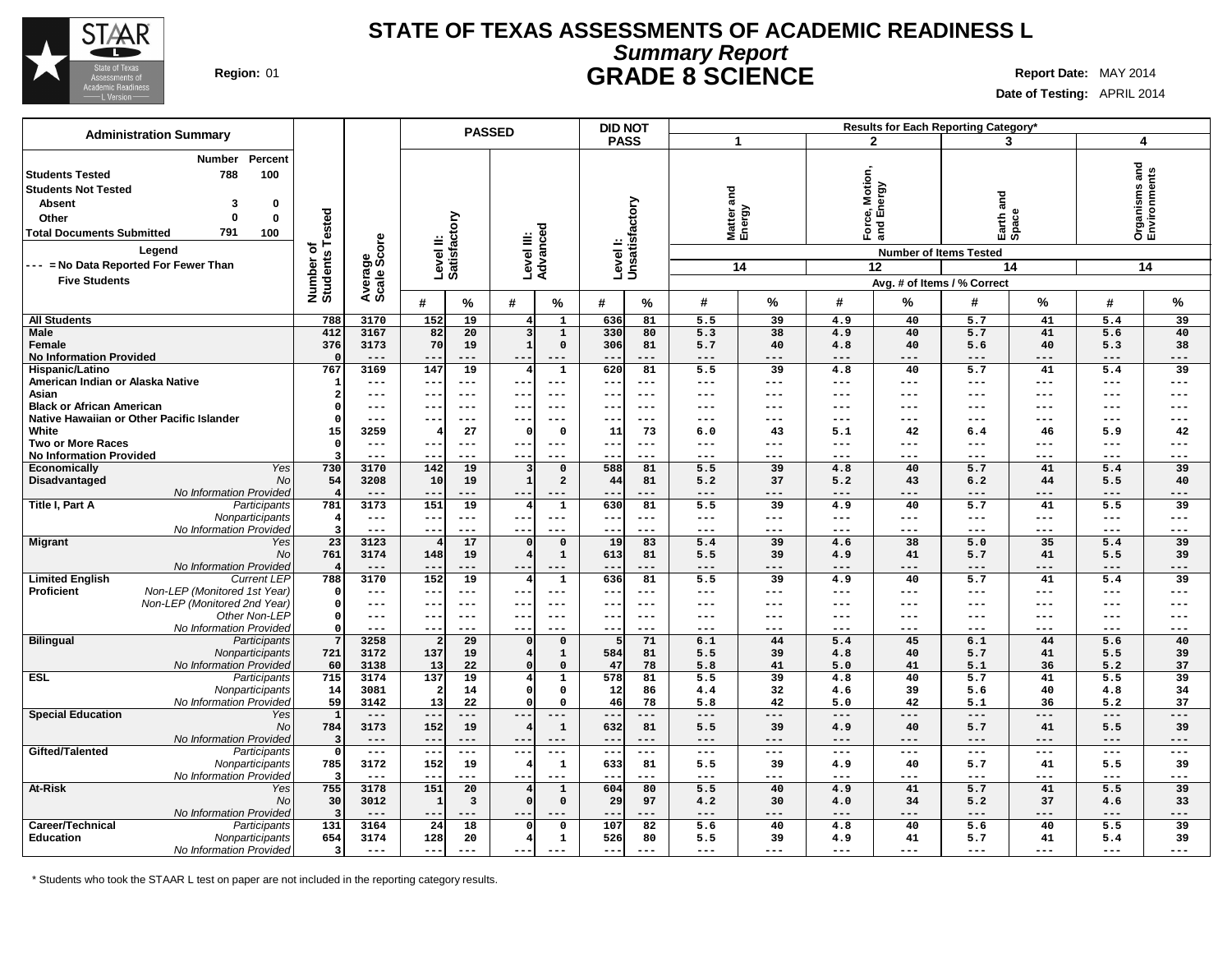

## **Summary Report STATE OF TEXAS ASSESSMENTS OF ACADEMIC READINESS L Region:** 01 **GRADE 8 SCIENCE Report Date:** MAY 2014

**Date of Testing:** APRIL 2014

|                                                                                                                                                                                               |                                                                                     |                              |                              |                                 | <b>PASSED</b>       |                        |                          | <b>DID NOT</b>            |            |                           |            |                                 |                                              | Results for Each Reporting Category*                               |                        |                            |                                             |
|-----------------------------------------------------------------------------------------------------------------------------------------------------------------------------------------------|-------------------------------------------------------------------------------------|------------------------------|------------------------------|---------------------------------|---------------------|------------------------|--------------------------|---------------------------|------------|---------------------------|------------|---------------------------------|----------------------------------------------|--------------------------------------------------------------------|------------------------|----------------------------|---------------------------------------------|
| <b>Administration Summary</b>                                                                                                                                                                 |                                                                                     |                              |                              |                                 |                     |                        |                          | <b>PASS</b>               |            | 1                         |            |                                 | $\overline{2}$                               | 3                                                                  |                        | $\overline{\mathbf{4}}$    |                                             |
| <b>Students Tested</b><br><b>Students Not Tested</b><br><b>Absent</b><br>Other<br><b>Total Documents Submitted</b><br>Leaend<br>--- = No Data Reported For Fewer Than<br><b>Five Students</b> | <b>Number</b><br>Percent<br>788<br>100<br>3<br>0<br>$\mathbf{0}$<br>0<br>791<br>100 | Number of<br>Students Tested | Average<br>Scale Score       | Level II:<br>Satisfactory       |                     | Level III:             | Advanced                 | Levell:<br>Unsatisfactory |            | and<br>Matter a<br>Energy | 14         | Motion,<br>1ergy<br>Ford<br>and | ல் யி<br><b>Number of Items Tested</b><br>12 | na<br>ana<br>Earth a<br>Space<br>14<br>Avg. # of Items / % Correct |                        | and                        | <b>Organisms and<br/>Environments</b><br>14 |
|                                                                                                                                                                                               |                                                                                     |                              |                              | #                               | ℅                   | #                      | $\%$                     | #                         | %          | #                         | %          | #                               | %                                            | #                                                                  | %                      | #                          | %                                           |
| <b>All Students</b>                                                                                                                                                                           |                                                                                     | 788                          | 3170                         | 152                             | 19                  | 4                      | $\mathbf{1}$             | 636                       | 81         | 5.5                       | 39         | 4.9                             | 40                                           | 5.7                                                                | 41                     | 5.4                        | 39                                          |
| <b>Male</b>                                                                                                                                                                                   |                                                                                     | 412                          | 3167                         | 82                              | 20                  | 3                      | $\mathbf{1}$             | 330                       | 80         | 5.3                       | 38         | 4.9                             | 40                                           | 5.7                                                                | 41                     | 5.6                        | 40                                          |
| Female                                                                                                                                                                                        |                                                                                     | 376                          | 3173                         | 70                              | 19                  | $\mathbf{1}$           | $\mathbf 0$              | 306                       | 81         | 5.7                       | 40         | 4.8                             | 40                                           | 5.6                                                                | 40                     | 5.3                        | 38                                          |
| <b>No Information Provided</b><br>Hispanic/Latino                                                                                                                                             |                                                                                     | $\Omega$<br>767              | $---$<br>3169                | $-$<br>147                      | ---<br>19           | $\overline{4}$         | $---$<br>$\mathbf{1}$    | 620                       | ---<br>81  | $---$<br>5.5              | ---<br>39  | ---<br>4.8                      | ---<br>40                                    | $---$<br>5.7                                                       | $---$<br>41            | ---<br>5.4                 | $---$<br>39                                 |
| American Indian or Alaska Native                                                                                                                                                              |                                                                                     | -1                           | $\qquad \qquad - -$          | $- -$                           | $---$               | $- -$                  | $---$                    | $- -$                     | ---        | $---$                     | ---        | $---$                           | $---$                                        | $---$                                                              | $---$                  | $---$                      | $---$                                       |
| Asian                                                                                                                                                                                         |                                                                                     | $\boldsymbol{c}$             | $---$                        | $- -$                           | $---$               | $- -$                  | $---$                    | $- -$                     | ---        | ---                       | ---        | ---                             | $---$                                        | $- - -$                                                            | $- - -$                | $---$                      | $---$                                       |
| <b>Black or African American</b>                                                                                                                                                              |                                                                                     | $\Omega$                     | $---$                        |                                 | $- - -$             | $- -$                  | ---                      |                           |            | ---                       |            | ---                             | ---                                          | ---                                                                | $---$                  | ---                        | ---                                         |
| Native Hawaiian or Other Pacific Islander                                                                                                                                                     |                                                                                     | $\Omega$                     | $\qquad \qquad - -$          |                                 | $---$               | $- -$                  |                          | $\qquad \qquad -$         | ---        | ---                       |            | ---                             | ---                                          | $\qquad \qquad - -$                                                | $---$                  | $---$                      | $---$                                       |
| White                                                                                                                                                                                         |                                                                                     | 15                           | 3259                         |                                 | 27                  | $\mathfrak{c}$         | 0                        | 11                        | 73         | 6.0                       | 43         | 5.1                             | 42                                           | 6.4                                                                | 46                     | 5.9                        | 42                                          |
| <b>Two or More Races</b><br><b>No Information Provided</b>                                                                                                                                    |                                                                                     | $\mathbf{o}$                 | $\qquad \qquad - -$<br>$---$ | --<br>$-$                       | $---$<br>$---$      | $---$<br>$- -$         | $---$<br>$---$           | $---$<br>$- -$            | ---<br>--- | ---<br>---                | ---<br>--- | $---$<br>---                    | ---<br>$---$                                 | $---$<br>$- - -$                                                   | $---$<br>$---$         | $\qquad \qquad - -$<br>--- | $---$<br>$---$                              |
| Economically                                                                                                                                                                                  | Yes                                                                                 | 730                          | 3170                         | 142                             | 19                  | -3                     | $\Omega$                 | 588                       | 81         | 5.5                       | 39         | 4.8                             | 40                                           | 5.7                                                                | 41                     | 5.4                        | 39                                          |
| Disadvantaged                                                                                                                                                                                 | No                                                                                  | 54                           | 3208                         | 10                              | 19                  | $\mathbf{1}$           | $\overline{a}$           | 44                        | 81         | 5.2                       | 37         | 5.2                             | 43                                           | 6.2                                                                | 44                     | 5.5                        | 40                                          |
|                                                                                                                                                                                               | No Information Provided                                                             |                              |                              | --                              |                     | --                     |                          |                           |            | ---                       | ---        | ---                             |                                              | ---                                                                |                        | ---                        | ---                                         |
| Title I, Part A                                                                                                                                                                               | Participants<br>Nonparticipants                                                     | 781                          | 3173                         | 151                             | 19<br>$---$         | 4                      | $\mathbf{1}$<br>$---$    | 630                       | 81         | 5.5                       | 39<br>---  | 4.9<br>$---$                    | 40                                           | 5.7                                                                | 41                     | 5.5                        | 39                                          |
|                                                                                                                                                                                               | No Information Provideo                                                             | 4                            | $---$<br>$---$               | ---<br>$- -$                    | $- - -$             | $---$<br>$- -$         | $- - -$                  | $---$<br>$- -$            | ---<br>--- | $---$<br>$- - -$          | $- - -$    | $- - -$                         | $---$<br>$- - -$                             | $---$<br>$\frac{1}{2}$                                             | $- -$<br>$\frac{1}{2}$ | $---$<br>$- - -$           | $---$<br>$---$                              |
| <b>Migrant</b>                                                                                                                                                                                | Yes                                                                                 | 23                           | 3123                         |                                 | 17                  |                        | $\mathbf 0$              | 19                        | 83         | 5.4                       | 39         | 4.6                             | 38                                           | 5.0                                                                | 35                     | 5.4                        | 39                                          |
|                                                                                                                                                                                               | No                                                                                  | 761                          | 3174                         | 148                             | 19                  |                        | $\mathbf{1}$             | 613                       | 81         | 5.5                       | 39         | 4.9                             | 41                                           | 5.7                                                                | 41                     | 5.5                        | 39                                          |
|                                                                                                                                                                                               | No Information Provideo                                                             |                              | $---$                        | $ -$                            | $--$                | $- -$                  | $- - -$                  | $- -$                     | ---        | $---$                     | ---        | $---$                           | $---$                                        | $---$                                                              | $---$                  | $---$                      | $---$                                       |
| <b>Limited English</b><br>Proficient                                                                                                                                                          | <b>Current LEP</b><br>Non-LEP (Monitored 1st Year)                                  | 788<br>$\circ$               | 3170<br>$\frac{1}{2}$        | 152<br>$\overline{\phantom{m}}$ | 19<br>$---$         | 4<br>$--$              | $\mathbf 1$<br>$---$     | 636<br>$\sim$ $\sim$      | 81<br>---  | 5.5<br>$---$              | 39<br>---  | 4.9<br>$---$                    | 40<br>$---$                                  | 5.7<br>$- - -$                                                     | 41<br>$\frac{1}{2}$    | 5.4<br>$---$               | 39<br>$---$                                 |
|                                                                                                                                                                                               | Non-LEP (Monitored 2nd Year)                                                        | $\Omega$                     | $---$                        | $- -$                           | $---$               | $- -$                  | $---$                    | $- -$                     | $---$      | ---                       | ---        | ---                             | $---$                                        | $---$                                                              | $\qquad \qquad - -$    | $---$                      | $---$                                       |
|                                                                                                                                                                                               | Other Non-LEP                                                                       | $\circ$                      | $\qquad \qquad -$            | $ -$                            | $---$               | $- -$                  | $---$                    | $- -$                     | $---$      | $---$                     | ---        | $---$                           | $---$                                        | $---$                                                              | $\frac{1}{2}$          | $---$                      | $---$                                       |
|                                                                                                                                                                                               | No Information Provided                                                             | $\Omega$                     | $---$                        | $- -$                           | $--$                | $- -$                  | $---$                    | $- - -$                   | ---        | $-- -$                    | ---        | ---                             | $---$                                        | $\frac{1}{2}$                                                      | $\frac{1}{2}$          | $---$                      | $--$                                        |
| <b>Bilingual</b>                                                                                                                                                                              | Participants                                                                        | $7\phantom{.0}$              | 3258                         |                                 | 29                  | $\mathfrak{g}$         | $\mathbf 0$              | 5                         | 71         | 6.1                       | 44<br>39   | 5.4                             | 45                                           | 6.1                                                                | 44<br>41               | 5.6                        | 40                                          |
|                                                                                                                                                                                               | Nonparticipants<br>No Information Provideo                                          | 721<br>60                    | 3172<br>3138                 | 137<br>13                       | 19<br>22            |                        | $\mathbf{1}$<br>$\Omega$ | 584<br>47                 | 81<br>78   | 5.5<br>5.8                | 41         | 4.8<br>5.0                      | 40<br>41                                     | 5.7<br>5.1                                                         | 36                     | 5.5<br>5.2                 | 39<br>37                                    |
| <b>ESL</b>                                                                                                                                                                                    | Participants                                                                        | 715                          | 3174                         | 137                             | 19                  | 4                      | $\mathbf{1}$             | 578                       | 81         | 5.5                       | 39         | 4.8                             | 40                                           | 5.7                                                                | 41                     | 5.5                        | 39                                          |
|                                                                                                                                                                                               | Nonparticipants                                                                     | 14                           | 3081                         |                                 | 14                  |                        | 0                        | 12                        | 86         | 4.4                       | 32         | 4.6                             | 39                                           | 5.6                                                                | 40                     | 4.8                        | 34                                          |
|                                                                                                                                                                                               | No Information Provided                                                             | 59                           | 3142                         | 13                              | 22                  |                        | $\mathbf{0}$             | 46                        | 78         | 5.8                       | 42         | 5.0                             | 42                                           | 5.1                                                                | 36                     | 5.2                        | 37                                          |
| <b>Special Education</b>                                                                                                                                                                      | Yes<br>No                                                                           | $\mathbf{1}$<br>784          | $---$<br>3173                | $-$<br>152                      | $---$<br>19         | $--$<br>$\overline{4}$ | $---$<br>$\mathbf{1}$    | $- -$<br>632              | ---<br>81  | $---$<br>5.5              | ---<br>39  | $---$<br>4.9                    | $---$<br>40                                  | $---$<br>5.7                                                       | $---$<br>41            | $- - -$<br>5.5             | $---$<br>39                                 |
|                                                                                                                                                                                               | No Information Provided                                                             | $\overline{\mathbf{3}}$      | $---$                        | $-$                             | $---$               |                        |                          | $- -$                     | ---        | ---                       | ---        | ---                             | $---$                                        | $---$                                                              | $---$                  | ---                        | $---$                                       |
| Gifted/Talented                                                                                                                                                                               | Participants                                                                        | $\mathbf 0$                  | $\frac{1}{2}$                | $- -$                           | $\qquad \qquad - -$ | $- - -$                | $\qquad \qquad - -$      | $- -$                     | ---        | $\qquad \qquad - -$       | ---        | $\qquad \qquad - -$             | $\qquad \qquad - -$                          | $---$                                                              | $\qquad \qquad - -$    | $\frac{1}{2}$              | $---$                                       |
|                                                                                                                                                                                               | Nonparticipants                                                                     | 785                          | 3172                         | 152                             | 19                  | 4                      | $\mathbf 1$              | 633                       | 81         | 5.5                       | 39         | 4.9                             | 40                                           | 5.7                                                                | 41                     | 5.5                        | 39                                          |
|                                                                                                                                                                                               | No Information Provideo                                                             |                              | $\qquad \qquad - -$          | $- -$                           | $---$               | $- -$                  | $---$                    | $- -$                     | ---        | $---$                     | ---        | ---                             | $---$                                        | $\qquad \qquad - -$                                                | $---$                  | ---                        | $---$                                       |
| At-Risk                                                                                                                                                                                       | Yes<br>No                                                                           | 755<br>30                    | 3178<br>3012                 | 151                             | 20                  |                        | $\mathbf{1}$<br>$\Omega$ | 604<br>29                 | 80<br>97   | 5.5<br>4.2                | 40<br>30   | 4.9<br>4.0                      | 41<br>34                                     | 5.7<br>5.2                                                         | 41<br>37               | 5.5                        | 39<br>33                                    |
|                                                                                                                                                                                               | No Information Provided                                                             | $\overline{\mathbf{3}}$      | $---$                        |                                 | 3                   |                        |                          |                           |            | ---                       | ---        | ---                             | $- -$                                        | $---$                                                              | ---                    | 4.6<br>---                 | ---                                         |
| Career/Technical                                                                                                                                                                              | Participants                                                                        | 131                          | 3164                         | 24                              | 18                  |                        | $\mathbf 0$              | 107                       | 82         | 5.6                       | 40         | 4.8                             | 40                                           | 5.6                                                                | 40                     | 5.5                        | 39                                          |
| <b>Education</b>                                                                                                                                                                              | Nonparticipants                                                                     | 654                          | 3174                         | 128                             | 20                  |                        | $\mathbf{1}$             | 526                       | 80         | 5.5                       | 39         | 4.9                             | 41                                           | 5.7                                                                | 41                     | 5.4                        | 39                                          |
|                                                                                                                                                                                               | No Information Provided                                                             | 3                            | $---$                        | ---                             | $---$               | $- -$                  | $---$                    | $---$                     | ---        | $---$                     | ---        | $---$                           | ---                                          | $- - -$                                                            | $---$                  | ---                        | ---                                         |

\* Students who took the STAAR L test on paper are not included in the reporting category results.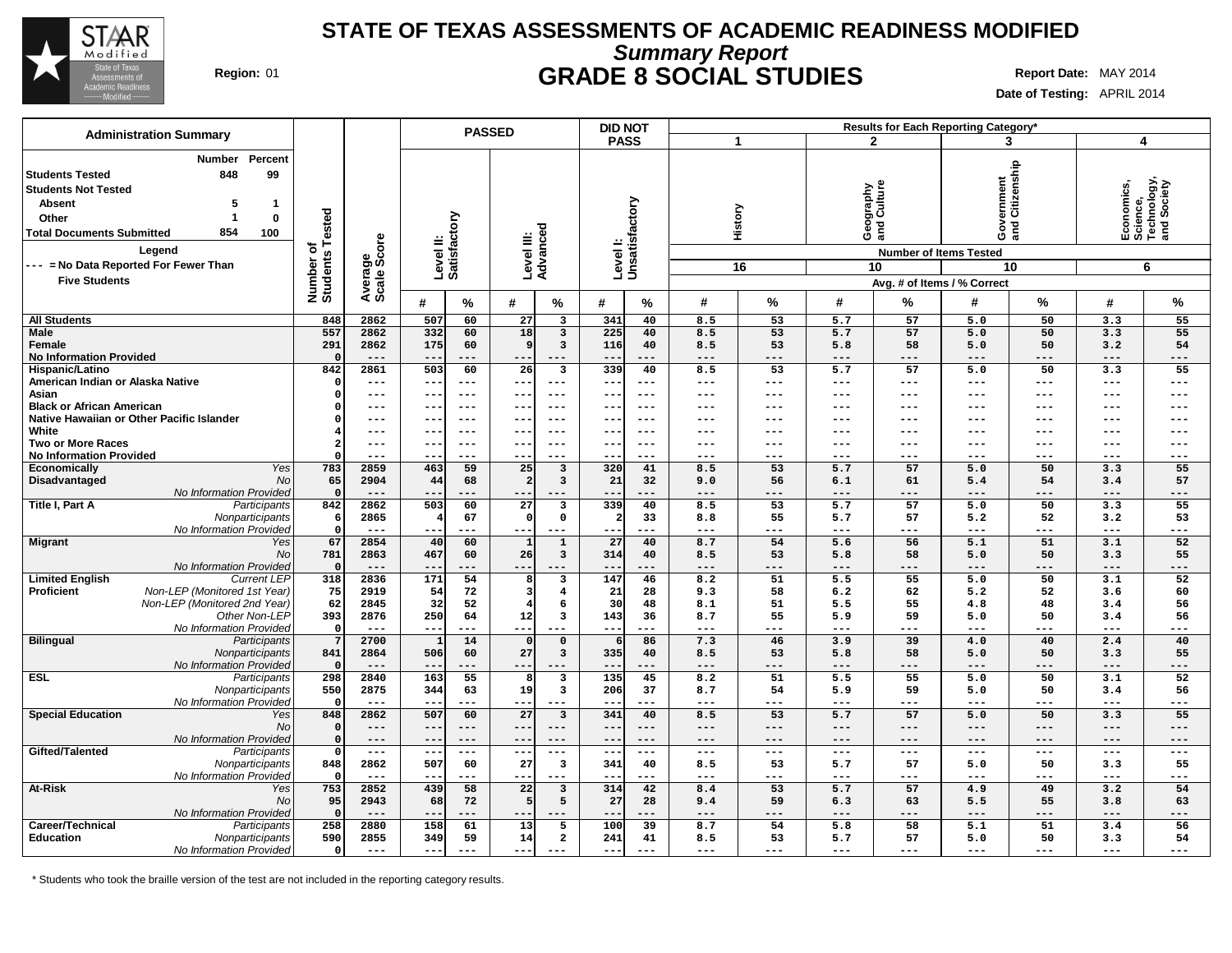

## **Summary Report STATE OF TEXAS ASSESSMENTS OF ACADEMIC READINESS MODIFIED Region:** 01 **GRADE 8 SOCIAL STUDIES Report Date:** MAY 2014

**Date of Testing:** APRIL 2014

| <b>Administration Summary</b>                                                                                                                                         |                                                                           |                              |                            |                           | <b>PASSED</b>  |                          |                                                    | <b>DID NOT</b>            |               |            |                 |                          |                                     | Results for Each Reporting Category* |                         |                            |                                                           |
|-----------------------------------------------------------------------------------------------------------------------------------------------------------------------|---------------------------------------------------------------------------|------------------------------|----------------------------|---------------------------|----------------|--------------------------|----------------------------------------------------|---------------------------|---------------|------------|-----------------|--------------------------|-------------------------------------|--------------------------------------|-------------------------|----------------------------|-----------------------------------------------------------|
|                                                                                                                                                                       |                                                                           |                              |                            |                           |                |                          |                                                    | <b>PASS</b>               |               | 1          |                 |                          | $\overline{2}$                      | 3                                    |                         | 4                          |                                                           |
| <b>Students Tested</b><br><b>Students Not Tested</b><br><b>Absent</b><br>Other<br><b>Total Documents Submitted</b><br>Legend<br>--- = No Data Reported For Fewer Than | Percent<br><b>Number</b><br>848<br>99<br>5<br>-1<br>0<br>-1<br>854<br>100 | Number of<br>Students Tested | Average<br>Scale Score     | Level II:<br>Satisfactory |                | Level III:<br>Advanced   |                                                    | Levell:<br>Unsatisfactory |               |            | History<br>16   | Geography<br>and Culture | <b>Number of Items Tested</b><br>10 | 'ernment<br>Citizenship<br>မီ နို့   | 10                      |                            | Economics,<br>Science,<br>Technology,<br>and Society<br>6 |
| <b>Five Students</b>                                                                                                                                                  |                                                                           |                              |                            |                           |                |                          |                                                    |                           |               |            |                 |                          |                                     | Avg. # of Items / % Correct          |                         |                            |                                                           |
|                                                                                                                                                                       |                                                                           |                              |                            | #                         | ℅              | #                        | %                                                  | #                         | %             | #          | %               | #                        | %                                   | #                                    | ℅                       | #                          | %                                                         |
| <b>All Students</b>                                                                                                                                                   |                                                                           | 848                          | 2862                       | 507                       | 60             | 27                       | $\mathbf{3}$                                       | 341                       | 40            | 8.5        | 53              | 5.7                      | 57                                  | 5.0                                  | 50                      | 3.3                        | 55                                                        |
| <b>Male</b><br>Female                                                                                                                                                 |                                                                           | 557<br>291                   | 2862<br>2862               | 332<br>175                | 60<br>60       | 18<br><sub>9</sub>       | $\overline{\mathbf{3}}$<br>$\overline{\mathbf{3}}$ | 225<br>116                | 40<br>40      | 8.5<br>8.5 | 53<br>53        | 5.7<br>5.8               | 57<br>58                            | 5.0<br>5.0                           | 50<br>50                | 3.3<br>3.2                 | 55<br>54                                                  |
| <b>No Information Provided</b>                                                                                                                                        |                                                                           | $\Omega$                     | $---$                      | --                        | ---            | $- -$                    | $---$                                              | $- -$                     | ---           | ---        | ---             | ---                      | ---                                 | $---$                                | $---$                   | $---$                      | $---$                                                     |
| Hispanic/Latino                                                                                                                                                       |                                                                           | 842                          | 2861                       | 503                       | 60             | 26                       | $\overline{\mathbf{3}}$                            | 339                       | 40            | 8.5        | $\overline{53}$ | 5.7                      | 57                                  | 5.0                                  | 50                      | 3.3                        | 55                                                        |
| American Indian or Alaska Native                                                                                                                                      |                                                                           | $\Omega$                     | $---$                      | ---                       | $---$          | $---$                    | $---$                                              | $\sim$ $\sim$             | ---           | $---$      | ---             | $---$                    | $---$                               | $---$                                | $- -$                   | $---$                      | $---$                                                     |
| Asian                                                                                                                                                                 |                                                                           |                              | $\qquad \qquad - -$        | $- -$                     | $---$          | $- -$                    | $- - -$                                            | $ -$                      | $- - -$       | ---        | ---             | ---                      | $---$                               | $\qquad \qquad - -$                  | $\qquad \qquad - -$     | $---$                      | $---$                                                     |
| <b>Black or African American</b><br>Native Hawaiian or Other Pacific Islander                                                                                         |                                                                           |                              | $\qquad \qquad - -$        | $-$                       | $---$          | $- -$                    | $---$                                              | $-$                       | $---$         | ---        | ---             | ---                      | ---                                 | $---$                                | $---$                   | $---$                      | $---$                                                     |
| White                                                                                                                                                                 |                                                                           |                              | ---<br>$\qquad \qquad - -$ | --                        | $---$<br>$---$ | --<br>$--$               | ---<br>$---$                                       | $\qquad \qquad -$         | ---           | ---        | ---             | ---<br>---               | ---                                 | ---<br>---                           | $---$<br>$---$          | ---<br>$\qquad \qquad - -$ | ---<br>$---$                                              |
| <b>Two or More Races</b>                                                                                                                                              |                                                                           |                              | $\qquad \qquad - -$        | $- -$                     | $---$          | $---$                    | $---$                                              | $- -$                     | ---           | ---        | ---             | ---                      | $---$                               | $---$                                | $---$                   | $---$                      | $---$                                                     |
| <b>No Information Provided</b>                                                                                                                                        |                                                                           |                              | $---$                      |                           | $---$          | $- -$                    | $---$                                              |                           | ---           | ---        | ---             | ---                      | ---                                 | ---                                  | $---$                   | ---                        | ---                                                       |
| <b>Economically</b>                                                                                                                                                   | Yes                                                                       | 783                          | 2859                       | 463                       | 59             | 25                       | $\overline{\mathbf{3}}$                            | 320                       | 41            | 8.5        | 53              | 5.7                      | 57                                  | 5.0                                  | 50                      | 3.3                        | 55                                                        |
| Disadvantaged                                                                                                                                                         | No                                                                        | 65                           | 2904                       | 44                        | 68             | -2                       | $\overline{\mathbf{3}}$                            | 21                        | 32            | 9.0        | 56              | 6.1                      | 61                                  | 5.4                                  | 54                      | 3.4                        | 57                                                        |
|                                                                                                                                                                       | No Information Provided                                                   | $\mathbf 0$                  | $---$                      |                           | .              | ---                      |                                                    |                           | ---           | ---        | ---             | ---                      | ---                                 | ---                                  | ---                     | ---                        | ---                                                       |
| Title I, Part A                                                                                                                                                       | Participants                                                              | 842                          | 2862                       | 503                       | 60             | 27                       | $\overline{\mathbf{3}}$                            | 339                       | 40            | 8.5        | 53              | 5.7                      | 57                                  | 5.0                                  | 50                      | 3.3                        | 55                                                        |
|                                                                                                                                                                       | Nonparticipants<br>No Information Provided                                | 6<br>$\Omega$                | 2865<br>$---$              |                           | 67<br>---      | $\mathfrak{c}$<br>--     | $\mathsf{o}\,$<br>$---$                            | -21                       | 33<br>---     | 8.8<br>--- | 55<br>---       | 5.7<br>---               | 57<br>---                           | 5.2<br>$---$                         | 52<br>---               | 3.2<br>---                 | 53<br>$---$                                               |
| <b>Migrant</b>                                                                                                                                                        | Yes                                                                       | 67                           | 2854                       | 40                        | 60             | $\mathbf{1}$             | $\mathbf{1}$                                       | 27                        | 40            | 8.7        | 54              | 5.6                      | 56                                  | 5.1                                  | 51                      | 3.1                        | 52                                                        |
|                                                                                                                                                                       | No                                                                        | 781                          | 2863                       | 467                       | 60             | 26                       | $\overline{\mathbf{3}}$                            | 314                       | 40            | 8.5        | 53              | 5.8                      | 58                                  | 5.0                                  | 50                      | 3.3                        | 55                                                        |
|                                                                                                                                                                       | No Information Provideo                                                   | $\Omega$                     | $---$                      | $- -$                     | ---            | $- -$                    | $---$                                              | $- -$                     | ---           | $---$      | ---             | $---$                    | $---$                               | $---$                                | $---$                   | $---$                      | $---$                                                     |
| <b>Limited English</b>                                                                                                                                                | <b>Current LEP</b>                                                        | 318                          | 2836                       | 171                       | 54             |                          | 3                                                  | 147                       | 46            | 8.2        | 51              | 5.5                      | 55                                  | 5.0                                  | 50                      | 3.1                        | 52                                                        |
| <b>Proficient</b>                                                                                                                                                     | Non-LEP (Monitored 1st Year)                                              | 75                           | 2919                       | 54                        | 72             | 3                        | $\overline{\mathbf{4}}$                            | 21                        | 28            | 9.3        | 58              | 6.2                      | 62                                  | 5.2                                  | 52                      | 3.6                        | 60                                                        |
|                                                                                                                                                                       | Non-LEP (Monitored 2nd Year)<br>Other Non-LEP                             | 62<br>393                    | 2845<br>2876               | 32<br>250                 | 52<br>64       | 12                       | 6<br>$\overline{\mathbf{3}}$                       | 30<br>143                 | 48<br>36      | 8.1<br>8.7 | 51<br>55        | 5.5<br>5.9               | 55<br>59                            | 4.8<br>5.0                           | 48<br>50                | 3.4<br>3.4                 | 56<br>56                                                  |
|                                                                                                                                                                       | No Information Provided                                                   | $\mathbf 0$                  | $---$                      | --                        | ---            | $---$                    |                                                    | $- -$                     | ---           | ---        | ---             | ---                      | ---                                 | $---$                                | ---                     | ---                        | $---$                                                     |
| <b>Bilingual</b>                                                                                                                                                      | Participants                                                              | $7\phantom{.0}$              | 2700                       |                           | 14             | $\mathfrak{g}$           | $\mathbf 0$                                        | 6                         | 86            | 7.3        | 46              | 3.9                      | 39                                  | 4.0                                  | 40                      | 2.4                        | 40                                                        |
|                                                                                                                                                                       | Nonparticipants                                                           | 841                          | 2864                       | 506                       | 60             | 27                       | $\mathbf{3}$                                       | 335                       | 40            | 8.5        | 53              | 5.8                      | 58                                  | 5.0                                  | 50                      | 3.3                        | 55                                                        |
|                                                                                                                                                                       | No Information Provideo                                                   | $\Omega$                     | $---$                      | $-$                       | ---            | $- -$                    | $- - -$                                            | $- -$                     | ---           | $---$      | ---             | ---                      | $---$                               | $---$                                | ---                     | $---$                      | $---$                                                     |
| <b>ESL</b>                                                                                                                                                            | Participants                                                              | 298                          | 2840                       | 163                       | 55             | 8                        | 3                                                  | 135                       | 45            | 8.2        | 51              | 5.5                      | 55                                  | 5.0                                  | 50                      | 3.1                        | 52                                                        |
|                                                                                                                                                                       | Nonparticipants<br>No Information Provided                                | 550<br>$\mathbf 0$           | 2875<br>$---$              | 344<br>--                 | 63<br>$---$    | 19<br>---                | $\overline{\mathbf{3}}$<br>$---$                   | 206<br>$- -$              | 37<br>---     | 8.7<br>--- | 54<br>---       | 5.9<br>$---$             | 59<br>---                           | 5.0<br>$---$                         | 50<br>$\qquad \qquad -$ | 3.4<br>$\qquad \qquad - -$ | 56<br>$---$                                               |
| <b>Special Education</b>                                                                                                                                              | Yes                                                                       | 848                          | 2862                       | 507                       | 60             | 27                       | $\overline{\mathbf{3}}$                            | 341                       | 40            | 8.5        | 53              | 5.7                      | 57                                  | 5.0                                  | 50                      | 3.3                        | 55                                                        |
|                                                                                                                                                                       | No                                                                        | $\Omega$                     | $---$                      | $-\, -$                   | $---$          | ---                      | $---$                                              | $\overline{\phantom{m}}$  | ---           | ---        | ---             | $---$                    | $---$                               | $---$                                | $---$                   | $---$                      | $---$                                                     |
|                                                                                                                                                                       | No Information Provided                                                   | $\Omega$                     | $---$                      | $- -$                     | $---$          | $--$                     | $- - -$                                            | $- -$                     | ---           | $---$      | $---$           | $---$                    | $---$                               | $---$                                | $\qquad \qquad - -$     | $- - -$                    | $---$                                                     |
| Gifted/Talented                                                                                                                                                       | Participants                                                              | $\overline{0}$               | $---$                      | $- -$                     | $---$          | $--$                     | $\qquad \qquad - -$                                | $- -$                     | $\frac{1}{2}$ | $---$      | $---$           | $---$                    | $---$                               | $---$                                | $- -$                   | $---$                      | $---$                                                     |
|                                                                                                                                                                       | Nonparticipants                                                           | 848                          | 2862                       | 507                       | 60             | 27                       | $\overline{\mathbf{3}}$                            | 341                       | 40            | 8.5        | 53              | 5.7                      | 57                                  | 5.0                                  | 50                      | 3.3                        | 55                                                        |
| At-Risk                                                                                                                                                               | No Information Provided                                                   | $\Omega$<br>753              | $---$<br>2852              | $-$<br>439                | $- - -$<br>58  | $- -$<br>$\overline{22}$ | $---$<br>3                                         | $- -$<br>314              | ---<br>42     | ---<br>8.4 | ---<br>53       | $---$<br>5.7             | $---$<br>57                         | $---$<br>4.9                         | $---$<br>49             | $---$<br>3.2               | $---$<br>54                                               |
|                                                                                                                                                                       | Yes<br>No                                                                 | 95                           | 2943                       | 68                        | 72             | E                        | 5                                                  | 27                        | 28            | 9.4        | 59              | 6.3                      | 63                                  | 5.5                                  | 55                      | 3.8                        | 63                                                        |
|                                                                                                                                                                       | No Information Provided                                                   | $\Omega$                     | $---$                      | --                        | ---            | $- -$                    | $---$                                              | --                        | ---           | ---        | ---             | ---                      | $---$                               | $---$                                | ---                     | $---$                      | $---$                                                     |
| Career/Technical                                                                                                                                                      | Participants                                                              | 258                          | 2880                       | 158                       | 61             | 13                       | 5                                                  | 100                       | 39            | 8.7        | 54              | 5.8                      | 58                                  | 5.1                                  | 51                      | 3.4                        | 56                                                        |
| <b>Education</b>                                                                                                                                                      | Nonparticipants                                                           | 590                          | 2855                       | 349                       | 59             | 14                       | $\overline{a}$                                     | 241                       | 41            | 8.5        | 53              | 5.7                      | 57                                  | 5.0                                  | 50                      | 3.3                        | 54                                                        |
|                                                                                                                                                                       | No Information Provided                                                   | $\circ$                      | $\frac{1}{2}$              | $- -$                     | $- - -$        | $- -$                    |                                                    | $- - -$                   | ---           | $---$      | ---             | $---$                    | $---$                               | $---$                                | $---$                   | $---$                      | $---$                                                     |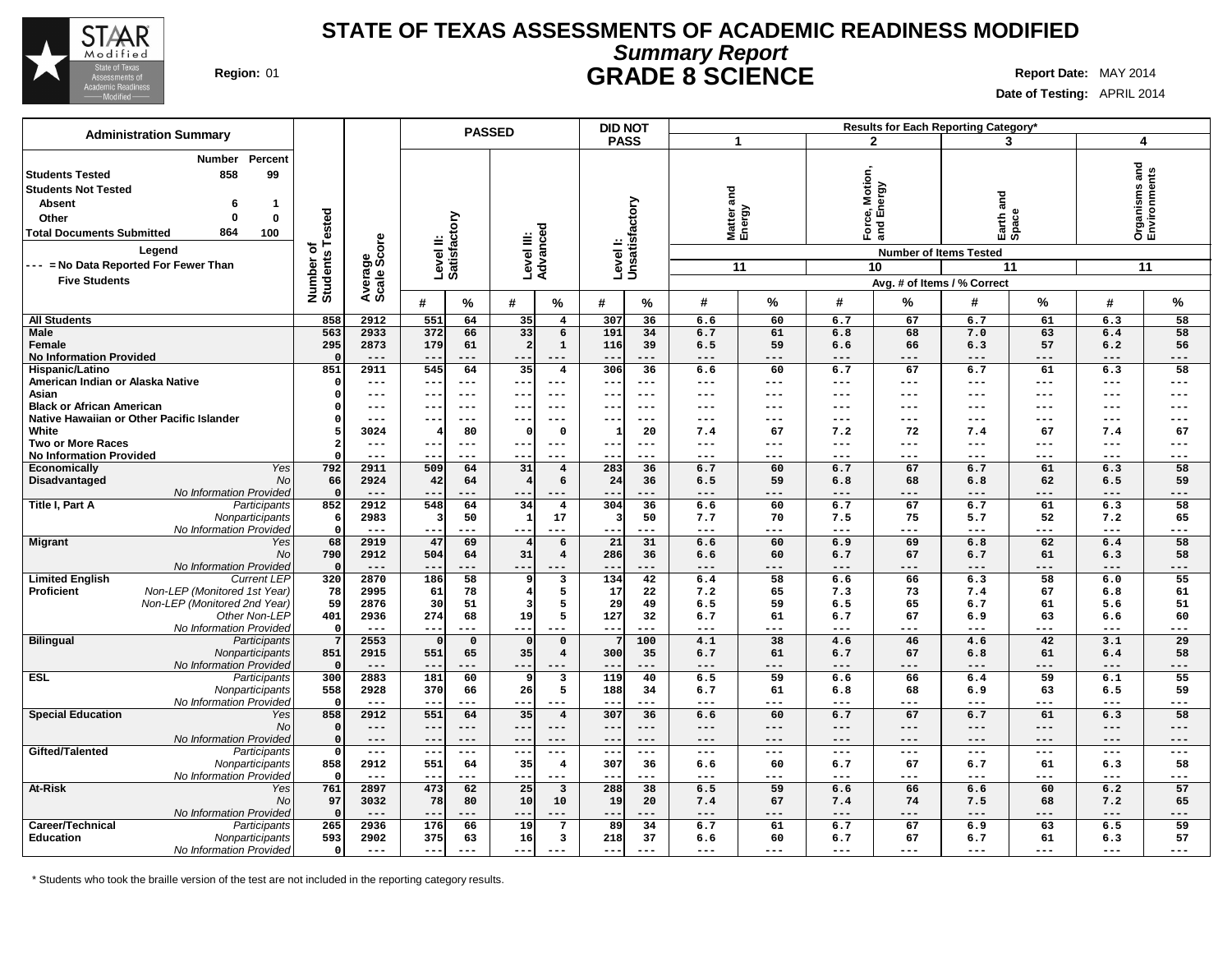

# **Summary Report STATE OF TEXAS ASSESSMENTS OF ACADEMIC READINESS MODIFIED Region:** 01 **GRADE 8 SCIENCE Report Date:** MAY 2014

**Date of Testing:** APRIL 2014

|                                                                                                                                                                                                                                                                                             |                              |                        |                           | <b>PASSED</b>     |                         |                               | <b>DID NOT</b>                                |                           |                           |                |                                                        |                               | Results for Each Reporting Category*                                 |                 |                     |                                     |
|---------------------------------------------------------------------------------------------------------------------------------------------------------------------------------------------------------------------------------------------------------------------------------------------|------------------------------|------------------------|---------------------------|-------------------|-------------------------|-------------------------------|-----------------------------------------------|---------------------------|---------------------------|----------------|--------------------------------------------------------|-------------------------------|----------------------------------------------------------------------|-----------------|---------------------|-------------------------------------|
| <b>Administration Summary</b>                                                                                                                                                                                                                                                               |                              |                        |                           |                   |                         |                               | <b>PASS</b>                                   |                           | $\mathbf 1$               |                |                                                        | $\mathbf{2}$                  | 3                                                                    |                 | 4                   |                                     |
| Percent<br><b>Number</b><br>858<br>99<br><b>Students Tested</b><br><b>Students Not Tested</b><br><b>Absent</b><br>6<br>-1<br>$\bf{0}$<br>Other<br>$\mathbf{0}$<br>864<br><b>Total Documents Submitted</b><br>100<br>Legend<br>--- = No Data Reported For Fewer Than<br><b>Five Students</b> | Number of<br>Students Tested | Average<br>Scale Score | Level II:<br>Satisfactory |                   | Level III:<br>Advanced  |                               |                                               | Levell:<br>Unsatisfactory | and<br>Matter a<br>Energy | 11             | otion,<br>Motic<br>Nergy<br>•் ம்<br>Ford<br>and<br>10 | <b>Number of Items Tested</b> | na<br>and<br>Earth <sub>e</sub><br>11<br>Avg. # of Items / % Correct |                 |                     | Organisms and<br>Environments<br>11 |
|                                                                                                                                                                                                                                                                                             |                              |                        | #                         | %                 | #                       | %                             | #                                             | %                         | #                         | %              | #                                                      | %                             | #                                                                    | %               | #                   | %                                   |
| <b>All Students</b>                                                                                                                                                                                                                                                                         | 858                          | 2912                   | 551                       | 64                | 35                      | $\overline{4}$                | 307                                           | 36                        | 6.6                       | 60             | 6.7                                                    | 67                            | 6.7                                                                  | 61              | 6.3                 | 58                                  |
| Male                                                                                                                                                                                                                                                                                        | 563                          | 2933                   | 372                       | 66                | 33                      | 6                             | 191                                           | 34                        | 6.7                       | 61             | 6.8                                                    | 68                            | 7.0                                                                  | 63              | 6.4                 | 58                                  |
| Female                                                                                                                                                                                                                                                                                      | 295<br>$\Omega$              | 2873<br>$---$          | 179<br>$-$                | 61<br>$---$       | $\overline{2}$<br>$- -$ | $\mathbf{1}$<br>$---$         | 116<br>$ -$                                   | 39<br>---                 | 6.5<br>---                | 59<br>---      | 6.6<br>---                                             | 66<br>$---$                   | 6.3<br>$---$                                                         | 57<br>$---$     | 6.2<br>$---$        | 56<br>---                           |
| <b>No Information Provided</b><br>Hispanic/Latino                                                                                                                                                                                                                                           | 851                          | 2911                   | 545                       | 64                | 35                      | $\overline{\mathbf{4}}$       | 306                                           | 36                        | 6.6                       | 60             | 6.7                                                    | 67                            | 6.7                                                                  | 61              | 6.3                 | 58                                  |
| American Indian or Alaska Native                                                                                                                                                                                                                                                            | $\Omega$                     | $---$                  | $-1$                      | $--$              | $--$                    | $---$                         | $ -$                                          | ---                       | ---                       | ---            | ---                                                    | $---$                         | $---$                                                                | $---$           | $---$               | ---                                 |
| Asian                                                                                                                                                                                                                                                                                       | n                            | $\qquad \qquad - -$    | --                        | $---$             | $--$                    | $- - -$                       | $\overline{\phantom{m}}$                      | ---                       | ---                       | ---            | ---                                                    | ---                           | $\qquad \qquad - -$                                                  | $---$           | $---$               | ---                                 |
| <b>Black or African American</b>                                                                                                                                                                                                                                                            |                              | $---$                  | --                        | ---               | ---                     | ---                           | $- -$                                         | ---                       | ---                       | ---            | ---                                                    | ---                           | $---$                                                                | $-- -$          | $---$               | ---                                 |
| Native Hawaiian or Other Pacific Islander                                                                                                                                                                                                                                                   |                              | $- - -$                | --                        | $--$              | $--$                    | $---$                         | $\sim$ $\sim$                                 | ---                       | ---                       | ---            | ---                                                    | $---$                         | $---$                                                                | $---$           | $---$               | ---                                 |
| White<br><b>Two or More Races</b>                                                                                                                                                                                                                                                           |                              | 3024<br>$---$          |                           | 80<br>---         | $\Omega$<br>---         | $\Omega$<br>$---$             | $-$                                           | 20<br>---                 | 7.4<br>---                | 67<br>---      | 7.2<br>$---$                                           | 72<br>$---$                   | 7.4<br>$---$                                                         | 67<br>$---$     | 7.4<br>$---$        | 67<br>---                           |
| <b>No Information Provided</b>                                                                                                                                                                                                                                                              |                              | $---$                  |                           | ---               | --                      | $---$                         |                                               | ---                       | ---                       | ---            | ---                                                    | ---                           | $---$                                                                | $---$           | ---                 | ---                                 |
| Yes<br>Economically                                                                                                                                                                                                                                                                         | 792                          | 2911                   | 509                       | 64                | 31                      | $\overline{4}$                | 283                                           | 36                        | 6.7                       | 60             | 6.7                                                    | 67                            | 6.7                                                                  | 61              | 6.3                 | 58                                  |
| Disadvantaged<br>No                                                                                                                                                                                                                                                                         | 66                           | 2924                   | 42                        | 64                | $\overline{4}$          | 6                             | 24                                            | 36                        | 6.5                       | 59             | 6.8                                                    | 68                            | 6.8                                                                  | 62              | 6.5                 | 59                                  |
| No Information Provided                                                                                                                                                                                                                                                                     | $\overline{\mathbf{0}}$      | $---$                  |                           | ---               | --                      | $---$                         |                                               | ---                       | ---                       | ---            | ---                                                    | ---                           | $---$                                                                | $---$           | ---                 | ---                                 |
| Title I, Part A<br>Participants<br>Nonparticipants                                                                                                                                                                                                                                          | 852<br>-6                    | 2912<br>2983           | 548<br>-3                 | 64<br>50          | 34<br>$\mathbf{1}$      | $\overline{\mathbf{4}}$<br>17 | 304                                           | 36<br>50                  | 6.6<br>7.7                | 60<br>70       | 6.7<br>7.5                                             | 67<br>75                      | 6.7<br>5.7                                                           | 61<br>52        | 6.3<br>7.2          | 58<br>65                            |
| No Information Provided                                                                                                                                                                                                                                                                     | $\Omega$                     | $---$                  | $- -$                     | ---               | ---                     | $---$                         | $- -$                                         | ---                       | ---                       | ---            | ---                                                    | $---$                         | $---$                                                                | $---$           | $\qquad \qquad - -$ | ---                                 |
| <b>Migrant</b><br>Yes                                                                                                                                                                                                                                                                       | 68                           | 2919                   | 47                        | 69                | $\overline{4}$          | 6                             | 21                                            | 31                        | 6.6                       | 60             | 6.9                                                    | 69                            | 6.8                                                                  | 62              | 6.4                 | 58                                  |
| <b>No</b>                                                                                                                                                                                                                                                                                   | 790                          | 2912                   | 504                       | 64                | 31                      | $\overline{4}$                | 286                                           | 36                        | 6.6                       | 60             | 6.7                                                    | 67                            | 6.7                                                                  | 61              | 6.3                 | 58                                  |
| No Information Provided                                                                                                                                                                                                                                                                     | $\overline{\mathbf{0}}$      | $- - -$<br>2870        | --                        | ---               | $- -$                   |                               |                                               | ---                       | ---                       |                | ---                                                    | ---                           | $---$                                                                | ---             | $- - -$             | ---                                 |
| <b>Limited English</b><br><b>Current LEP</b><br>Non-LEP (Monitored 1st Year)<br><b>Proficient</b>                                                                                                                                                                                           | 320<br>78                    | 2995                   | 186<br>61                 | 58<br>78          | 9<br>4                  | 3<br>5                        | 134<br>17                                     | 42<br>22                  | 6.4<br>7.2                | 58<br>65       | 6.6<br>7.3                                             | 66<br>73                      | 6.3<br>7.4                                                           | 58<br>67        | 6.0<br>6.8          | 55<br>61                            |
| Non-LEP (Monitored 2nd Year)                                                                                                                                                                                                                                                                | 59                           | 2876                   | 30                        | 51                | ্ব                      | 5                             | 29                                            | 49                        | 6.5                       | 59             | 6.5                                                    | 65                            | 6.7                                                                  | 61              | 5.6                 | 51                                  |
| Other Non-LEP                                                                                                                                                                                                                                                                               | 401                          | 2936                   | 274                       | 68                | 19                      | 5                             | 127                                           | 32                        | 6.7                       | 61             | 6.7                                                    | 67                            | 6.9                                                                  | 63              | 6.6                 | 60                                  |
| No Information Provided                                                                                                                                                                                                                                                                     | $\Omega$                     | $---$                  | $-$                       | ---               | $- -$                   |                               | $- -$                                         | ---                       | ---                       | ---            | ---                                                    | ---                           | $---$                                                                | ---             | ---                 | $---$                               |
| <b>Bilingual</b><br>Participants                                                                                                                                                                                                                                                            | -7<br>851                    | 2553<br>2915           | 551                       | $\mathbf 0$<br>65 | $\Omega$<br>35          | $\mathbf 0$<br>$\overline{4}$ | 300                                           | 100<br>35                 | 4.1<br>6.7                | 38<br>61       | 4.6<br>6.7                                             | 46<br>67                      | 4.6<br>6.8                                                           | 42<br>61        | 3.1                 | 29<br>58                            |
| Nonparticipants<br>No Information Provided                                                                                                                                                                                                                                                  | $\Omega$                     | $---$                  | $-$                       | ---               | $--$                    | $---$                         | $- -$                                         | ---                       | ---                       | ---            | ---                                                    | ---                           | $---$                                                                | ---             | 6.4<br>---          | ---                                 |
| <b>ESL</b><br>Participants                                                                                                                                                                                                                                                                  | 300                          | 2883                   | 181                       | 60                | -9                      | $\overline{\mathbf{3}}$       | $\overline{119}$                              | 40                        | 6.5                       | 59             | 6.6                                                    | 66                            | 6.4                                                                  | $\overline{59}$ | 6.1                 | $\overline{55}$                     |
| Nonparticipants                                                                                                                                                                                                                                                                             | 558                          | 2928                   | 370                       | 66                | 26                      | 5                             | 188                                           | 34                        | 6.7                       | 61             | 6.8                                                    | 68                            | 6.9                                                                  | 63              | 6.5                 | 59                                  |
| No Information Provided                                                                                                                                                                                                                                                                     | $\Omega$                     | $---$                  |                           |                   |                         | $---$                         | $ -$                                          |                           |                           |                | ---                                                    | ---                           | $---$                                                                | $---$           | ---                 | ---                                 |
| <b>Special Education</b><br>Yes<br>No                                                                                                                                                                                                                                                       | 858                          | 2912                   | 551                       | 64                | 35                      | $\overline{4}$                | 307                                           | 36                        | 6.6                       | 60             | 6.7                                                    | 67                            | 6.7                                                                  | 61              | 6.3                 | 58                                  |
| No Information Provided                                                                                                                                                                                                                                                                     | $\Omega$                     | $---$<br>$- -$         | ---<br>$- -$              | $---$<br>$---$    | ---<br>---              | $---$<br>$---$                | $\overline{\phantom{m}}$<br>$\qquad \qquad -$ | ---<br>---                | ---<br>---                | $---$<br>$---$ | $---$<br>$---$                                         | $---$<br>$---$                | $---$<br>$---$                                                       | $---$<br>$---$  | $---$<br>$---$      | ---<br>---                          |
| Gifted/Talented<br>Participants                                                                                                                                                                                                                                                             | $\Omega$                     | $- -$                  | $- -$                     | $---$             | ---                     | $---$                         | $\overline{\phantom{m}}$                      | $---$                     | ---                       | $---$          | $---$                                                  | $\qquad \qquad -$             | $---$                                                                | $\frac{1}{2}$   | $\frac{1}{2}$       | ---                                 |
| Nonparticipants                                                                                                                                                                                                                                                                             | 858                          | 2912                   | 551                       | 64                | 35                      | $\overline{4}$                | 307                                           | 36                        | 6.6                       | 60             | 6.7                                                    | 67                            | 6.7                                                                  | 61              | 6.3                 | 58                                  |
| No Information Provided                                                                                                                                                                                                                                                                     | $\Omega$                     | $---$                  | $- -$                     | $---$             | ---                     | $---$                         | $- -$                                         | ---                       | ---                       | ---            | $---$                                                  | $---$                         | $---$                                                                | $---$           | $---$               | ---                                 |
| <b>At-Risk</b><br>Yes                                                                                                                                                                                                                                                                       | 761                          | 2897                   | 473                       | 62                | $\overline{25}$         | $\overline{\mathbf{3}}$       | 288                                           | 38                        | 6.5                       | 59             | 6.6                                                    | 66                            | 6.6                                                                  | 60              | 6.2                 | 57                                  |
| No<br>No Information Provided                                                                                                                                                                                                                                                               | 97<br>$\Omega$               | 3032<br>$---$          | 78<br>$- -$               | 80<br>$---$       | 10<br>$- -$             | 10<br>$---$                   | 19<br>$- -$                                   | 20<br>---                 | 7.4<br>---                | 67<br>---      | 7.4<br>$---$                                           | 74<br>$---$                   | 7.5<br>$---$                                                         | 68<br>$---$     | 7.2<br>$---$        | 65<br>---                           |
| Career/Technical<br>Participants                                                                                                                                                                                                                                                            | 265                          | 2936                   | 176                       | 66                | 19                      | $7\phantom{.0}$               | 89                                            | 34                        | 6.7                       | 61             | 6.7                                                    | 67                            | 6.9                                                                  | 63              | 6.5                 | 59                                  |
| <b>Education</b><br>Nonparticipants                                                                                                                                                                                                                                                         | 593                          | 2902                   | 375                       | 63                | 16                      | 3                             | 218                                           | 37                        | 6.6                       | 60             | 6.7                                                    | 67                            | 6.7                                                                  | 61              | 6.3                 | 57                                  |
| No Information Provided                                                                                                                                                                                                                                                                     | $\mathbf 0$                  | $\frac{1}{2}$          | $---$                     | $---$             | $--$                    | $---$                         | $- -$                                         | $---$                     | $---$                     | $---$          | $---$                                                  | $---$                         | $- - -$                                                              | $---$           | $---$               | ---                                 |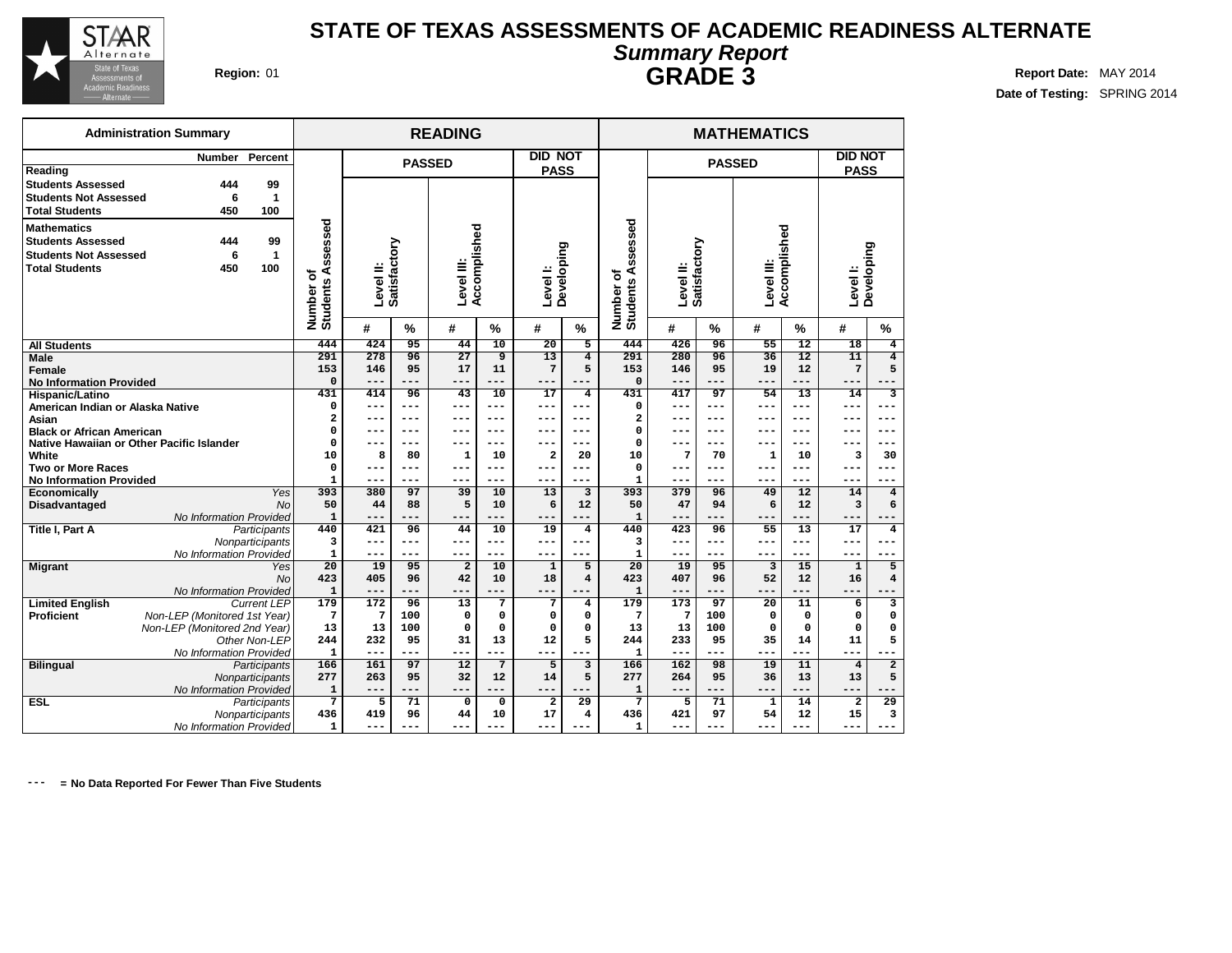

## **Region:** 01 **Report Date:** MAY 2014 **STATE OF TEXAS ASSESSMENTS OF ACADEMIC READINESS ALTERNATE Summary Report GRADE 3**

**DID NOT PASS**

**Date of Testing:** SPRING 2014

| <b>Academic Readiness</b><br>Alternate —                                                                |                 |           |                                            |                        |   |                      |                      |                               |                    |                                          | UINAPL J |             |                       |          |  |
|---------------------------------------------------------------------------------------------------------|-----------------|-----------|--------------------------------------------|------------------------|---|----------------------|----------------------|-------------------------------|--------------------|------------------------------------------|----------|-------------|-----------------------|----------|--|
| <b>Administration Summary</b>                                                                           |                 |           |                                            |                        |   | <b>READING</b>       |                      |                               |                    |                                          |          |             | <b>MATHEMATICS</b>    |          |  |
| Reading                                                                                                 | <b>Number</b>   | Percent   |                                            |                        |   | <b>PASSED</b>        |                      | <b>DID NOT</b><br><b>PASS</b> |                    |                                          |          |             | <b>PASSED</b>         |          |  |
| <b>Students Assessed</b><br><b>Students Not Assessed</b><br><b>Total Students</b>                       | 444<br>6<br>450 | 99<br>100 |                                            |                        |   |                      |                      |                               |                    |                                          |          |             |                       |          |  |
| <b>Mathematics</b><br><b>Students Assessed</b><br><b>Students Not Assessed</b><br><b>Total Students</b> | 444<br>450      | 99<br>100 | sessed<br>a<br>৳<br>ഗ<br>Number<br>Student | Level II:<br>Satisfact | ξ | ≝<br>Levell<br>Accor | <u>ped</u><br>₫<br>몯 | Level I:                      | ටා<br>5<br>Develop | sessed<br>፝፝፝፝፝፝፝፝<br>Number<br>Students | g<br>٥   | ξ<br>Satist | Level III:<br>Accompl | mplished |  |
|                                                                                                         |                 |           |                                            | #                      | % | #                    | %                    | #                             | %                  |                                          | #        | %           | #                     | %        |  |

| <b>Mathematics</b><br><b>Students Assessed</b><br><b>Students Not Assessed</b><br><b>Total Students</b> | 99<br>444<br>6<br>1<br>100<br>450         | SSe<br>9<br>ü,<br>⋖<br>৳<br><b>Students</b><br>Number | Level II:<br>Satisfactory |                 | Accomplished<br>Level III: |                 | Developing<br>Level I:  |                         | SSe<br>ğ,<br>m<br>⋖<br>৳<br>Number of<br>Students | Level II:        | Satisfactory | evel III:       | Accomplished    | Developing<br>Level I: |                              |  |
|---------------------------------------------------------------------------------------------------------|-------------------------------------------|-------------------------------------------------------|---------------------------|-----------------|----------------------------|-----------------|-------------------------|-------------------------|---------------------------------------------------|------------------|--------------|-----------------|-----------------|------------------------|------------------------------|--|
|                                                                                                         |                                           |                                                       | #                         | %               | #                          | $\frac{9}{6}$   | #                       | $\%$                    |                                                   | #                | %            | #               | %               | #                      | %                            |  |
| <b>All Students</b>                                                                                     |                                           | 444                                                   | 424                       | 95              | 44                         | $\overline{10}$ | $\overline{20}$         | $\overline{5}$          | 444                                               | 426              | 96           | $\overline{55}$ | $\overline{12}$ | $\overline{18}$        | $\overline{4}$               |  |
| <b>Male</b>                                                                                             |                                           | 291                                                   | 278                       | 96              | $\overline{27}$            | 9               | 13<br>7                 | $\overline{\mathbf{4}}$ | 291                                               | 280              | 96           | $\overline{36}$ | $\overline{12}$ | $\overline{11}$        | $\overline{4}$               |  |
| Female                                                                                                  |                                           | 153<br>$\Omega$                                       | 146<br>$---$              | 95<br>$- - -$   | 17<br>---                  | 11<br>$---$     | ---                     | 5<br>$- - -$            | 153<br>$\Omega$                                   | 146<br>---       | 95<br>$---$  | 19<br>$- - -$   | 12<br>---       | 7<br>---               | 5                            |  |
| <b>No Information Provided</b><br>Hispanic/Latino                                                       |                                           | 431                                                   | 414                       | $\overline{96}$ | 43                         | 10              | 17                      | 4                       | 431                                               | 417              | 97           | $\overline{54}$ | 13              | 14                     | $\overline{\mathbf{3}}$      |  |
| American Indian or Alaska Native                                                                        |                                           | $\Omega$                                              | ---                       | ---             | ---                        | ---             | ---                     | ---                     | 0                                                 | ---              | ---          |                 | ---             | ---                    |                              |  |
| Asian                                                                                                   |                                           | 2                                                     | $- - -$                   | ---             | ---                        | ---             | ---                     | ---                     | 2                                                 | ---              | $---$        | ---             | ---             | ---                    | ---                          |  |
| <b>Black or African American</b>                                                                        |                                           | $\Omega$                                              | ---                       | ---             | ---                        | ---             | ---                     | ---                     | 0                                                 | ---              | ---          | ---             | ---             | ---                    | ---                          |  |
|                                                                                                         | Native Hawaiian or Other Pacific Islander | $\Omega$                                              | ---                       | ---             | ---                        | ---             | ---                     | ---                     | 0                                                 | ---              | ---          | ---             | ---             | ---                    | ---                          |  |
| White                                                                                                   |                                           | 10                                                    | 8                         | 80              | 1                          | 10              | $\overline{\mathbf{2}}$ | 20                      | 10                                                | 7                | 70           | 1               | 10              | 3                      | 30                           |  |
| <b>Two or More Races</b>                                                                                |                                           | $\Omega$                                              | ---                       | ---             | ---                        | ---             | ---                     | ---                     | 0                                                 | ---              | $- - -$      | ---             | ---             | ---                    |                              |  |
| <b>No Information Provided</b>                                                                          |                                           | 1                                                     | ---                       | ---             | ---                        | $-- -$          | $---$                   | ---                     | 1                                                 | ---              | $---$        | ---             | ---             | ---                    | ---                          |  |
| Economically                                                                                            | Yes                                       | 393                                                   | 380                       | 97              | 39                         | 10              | 13                      | 3                       | 393                                               | 379              | 96           | 49              | 12              | 14                     | $\overline{\mathbf{4}}$      |  |
| Disadvantaged                                                                                           | <b>No</b>                                 | 50                                                    | 44                        | 88              | 5                          | 10              | 6                       | 12                      | 50                                                | 47               | 94           | 6               | 12              | 3                      | 6                            |  |
|                                                                                                         | No Information Provided                   | $\mathbf{1}$                                          | ---                       | ---             | ---                        | $---$           | ---                     | ---                     | $\mathbf{1}$                                      | ---              | $---$        | $-- -$          | ---             | $---$                  |                              |  |
| Title I, Part A                                                                                         | Participants                              | 440                                                   | 421                       | 96              | 44                         | 10              | 19                      | 4                       | 440                                               | 423              | 96           | 55              | 13              | 17                     | 4                            |  |
|                                                                                                         | Nonparticipants                           | 3                                                     | $---$                     | ---             | ---                        | $---$           | ---                     | ---                     | 3                                                 | ---              | $---$        | ---             | ---             | ---                    |                              |  |
|                                                                                                         | No Information Provided                   | 1                                                     | $---$                     | ---             | ---                        | $---$           | $---$                   | $---$                   | $\mathbf{1}$                                      | ---              | $---$        | ---             | ---             | ---                    | ---                          |  |
| <b>Migrant</b>                                                                                          | Yes<br><b>No</b>                          | 20<br>423                                             | 19<br>405                 | 95<br>96        | $\overline{a}$<br>42       | 10<br>10        | 1<br>18                 | 5<br>4                  | 20<br>423                                         | 19<br>407        | 95<br>96     | 3<br>52         | 15<br>12        | 1<br>16                | 5<br>$\overline{\mathbf{4}}$ |  |
|                                                                                                         | No Information Provided                   | $\mathbf{1}$                                          | $---$                     | ---             | ---                        | ---             | ---                     | $---$                   | $\mathbf{1}$                                      | ---              | $---$        | ---             | ---             | ---                    | ---                          |  |
| <b>Limited English</b>                                                                                  | <b>Current LEP</b>                        | 179                                                   | $\overline{172}$          | 96              | 13                         | 7               | 7                       | 4                       | 179                                               | $\overline{173}$ | 97           | 20              | 11              | 6                      | 3                            |  |
| <b>Proficient</b>                                                                                       | Non-LEP (Monitored 1st Year)              | 7                                                     | 7                         | 100             | $\Omega$                   | $\mathbf 0$     | $\mathbf 0$             | 0                       | 7                                                 | 7                | 100          | 0               | 0               | $\Omega$               | 0                            |  |
|                                                                                                         | Non-LEP (Monitored 2nd Year)              | 13                                                    | 13                        | 100             | $\mathbf 0$                | $\mathbf 0$     | $\mathbf 0$             | 0                       | 13                                                | 13               | 100          | $\Omega$        | 0               | $\Omega$               | $\Omega$                     |  |
|                                                                                                         | Other Non-LEP                             | 244                                                   | 232                       | 95              | 31                         | 13              | 12                      | 5                       | 244                                               | 233              | 95           | 35              | 14              | 11                     | 5                            |  |
|                                                                                                         | No Information Provided                   | $\mathbf{1}$                                          | $---$                     | ---             | ---                        | ---             | ---                     |                         | $\mathbf{1}$                                      | ---              | $---$        | $---$           | ---             | ---                    |                              |  |
| <b>Bilingual</b>                                                                                        | Participants                              | 166                                                   | 161                       | 97              | 12                         | 7               | 5                       | 3                       | 166                                               | 162              | 98           | 19              | 11              | $\overline{4}$         | $\overline{a}$               |  |
|                                                                                                         | Nonparticipants                           | 277                                                   | 263                       | 95              | 32                         | 12              | 14                      | 5                       | 277                                               | 264              | 95           | 36              | 13              | 13                     | 5                            |  |
|                                                                                                         | No Information Provided                   | 1                                                     | $---$                     | ---             | ---                        | ---             | ---                     | ---                     | $\mathbf{1}$                                      | ---              | $---$        | $-- -$          | ---             | ---                    | ---                          |  |
| <b>ESL</b>                                                                                              | Participants                              | 7                                                     | 5                         | 71              | $\mathbf 0$                | 0               | $\overline{a}$          | 29                      | 7                                                 | 5                | 71           | 1               | 14              | $\overline{a}$         | 29                           |  |
|                                                                                                         | Nonparticipants                           | 436                                                   | 419                       | 96              | 44                         | 10              | 17                      | 4                       | 436                                               | 421              | 97           | 54              | 12              | 15                     | 3                            |  |
|                                                                                                         | No Information Provided                   | $\mathbf{1}$                                          | ---                       | ---             | ---                        | ---             | ---                     |                         | $\mathbf{1}$                                      | ---              | ---          | ---             | ---             | ---                    | ---                          |  |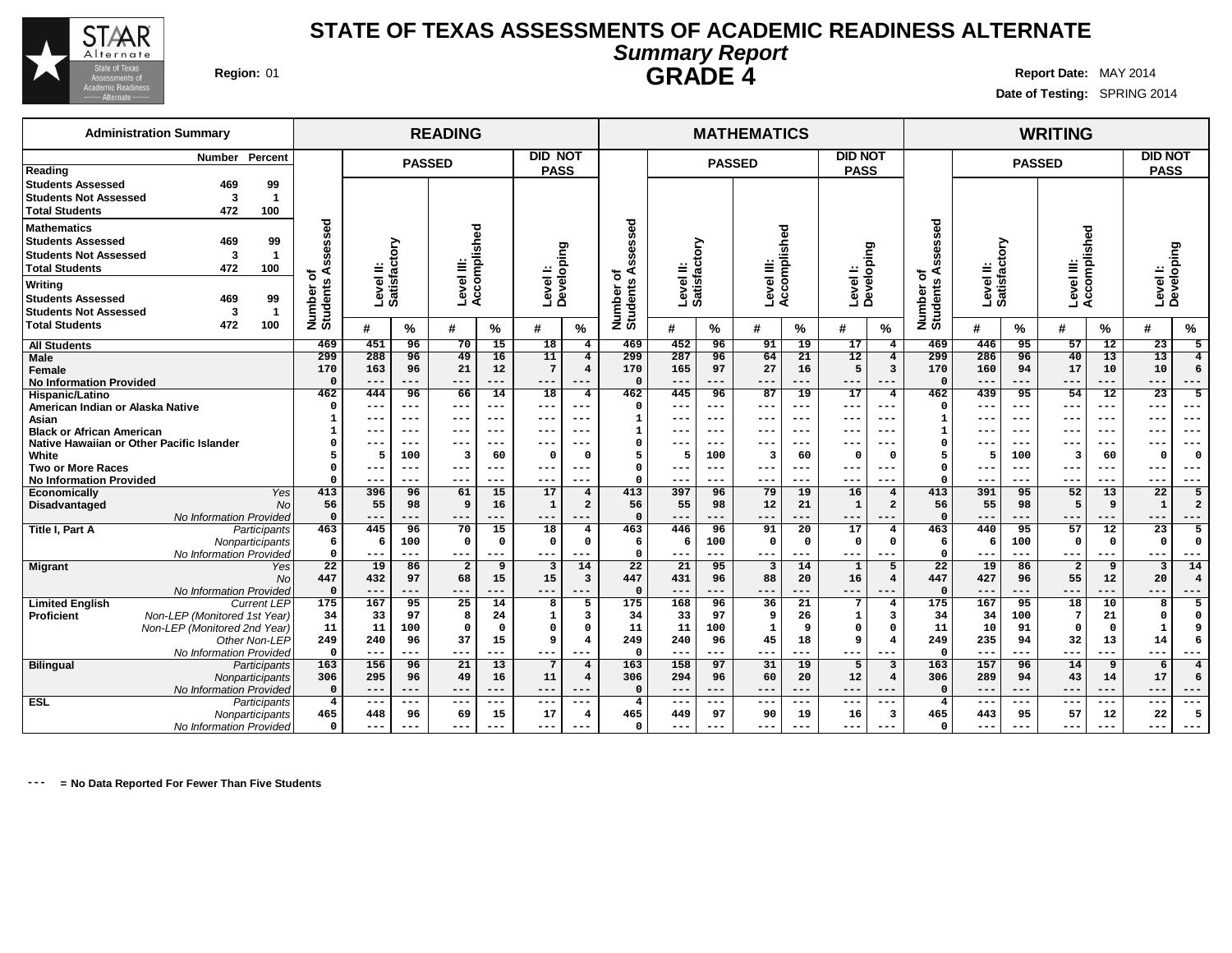

## **Region:** 01 **Report Date:** MAY 2014 **STATE OF TEXAS ASSESSMENTS OF ACADEMIC READINESS ALTERNATE Summary Report GRADE 4**

**Date of Testing:** SPRING 2014

## **READING MATHEMATICS WRITING PASSED DID NOT PASS PASSED DID NOT PASS PASSED DID NOT PASS Level II: Satisfactory Level III: Accomplished Level I: Developing Level II: Satisfactory Level III: Accomplished Level I: Developing Level II: Satisfactory Level III: Accomplished Level I: Developing Number of Students Assessed # % # % # % Number of Students Assessed # % # % # % Number of Students Assessed # % # % # % All Students Male Female No Information Provided Hispanic/Latino American Indian or Alaska Native Asian Black or African American Native Hawaiian or Other Pacific Islander White Two or More Races No Information Provided Economically** Yes **Disadvantaged** No No Information Provided **Title I, Part A** Participants **Nonparticipants** No Information Provided **Migrant** No No Information Provided **Limited English** Current LEP<br>**Proficient** Mon-LEP (Monitored 1st Year) **Non-LEP** (Monitored 1st Year) Non-LEP (Monitored 2nd Year) Other Non-LEP No Information Provided **Bilingual** Participants **Nonparticipants** No Information Provided **ESL** Participants **Nonparticipants** No Information Provided **469 451 96 70 15 18 4 299 288 96 49 16 11 4 170 163 96 21 12 7 4 0 --- --- --- --- --- --- 462 444 96 66 14 18 4 0 --- --- --- --- --- --- 1 --- --- --- --- --- --- 1 --- --- --- --- --- --- 0 --- --- --- --- --- --- 5 5 100 3 60 0 0 0 --- --- --- --- --- --- 0 --- --- --- --- --- --- 413 396 96 61 15 17 4 56 55 98 9 16 1 2 0 --- --- --- --- --- --- 463 445 96 70 15 18 4 6 6 100 0 0 0 0 0 --- --- --- --- --- --- 22 19 86 2 9 3 14 447 432 97 68 15 15 3 0 --- --- --- --- --- --- 175 167 95 25 14 8 5 34 33 97 8 24 1 3 11 11 100 0 0 0 0 249 240 96 37 15 9 4 0 --- --- --- --- --- --- 163 156 96 21 13 7 4 306 295 96 49 16 11 4 0 --- --- --- --- --- --- 4 --- --- --- --- --- --- 465 448 96 69 15 17 4 0 --- --- --- --- --- --- 469 452 96 91 19 17 4 299 287 96 64 21 12 4 170 165 97 27 16 5 3 0 --- --- --- --- --- --- 462 445 96 87 19 17 4 0 --- --- --- --- --- --- 1 --- --- --- --- --- --- 1 --- --- --- --- --- --- 0 --- --- --- --- --- --- 5 5 100 3 60 0 0 0 --- --- --- --- --- --- 0 --- --- --- --- --- --- 413 397 96 79 19 16 4 56 55 98 12 21 1 2 0 --- --- --- --- --- --- 463 446 96 91 20 17 4 6 6 100 0 0 0 0 0 --- --- --- --- --- --- 22 21 95 3 14 1 5 447 431 96 88 20 16 4 0 --- --- --- --- --- --- 175 168 96 36 21 7 4 34 33 97 9 26 1 3 11 11 100 1 9 0 0 249 240 96 45 18 9 4 0 --- --- --- --- --- --- 163 158 97 31 19 5 3 306 294 96 60 20 12 4 0 --- --- --- --- --- --- 4 --- --- --- --- --- --- 465 449 97 90 19 16 3 0 --- --- --- --- --- --- 469 446 95 57 12 23 5 299 286 96 40 13 13 4 170 160 94 17 10 10 6 0 --- --- --- --- --- --- 462 439 95 54 12 23 5 0 --- --- --- --- --- --- 1 --- --- --- --- --- --- 1 --- --- --- --- --- --- 0 --- --- --- --- --- --- 5 5 100 3 60 0 0 0 --- --- --- --- --- --- 0 --- --- --- --- --- --- 413 391 95 52 13 22 5 56 55 98 5 9 1 2 0 --- --- --- --- --- --- 463 440 95 57 12 23 5 6 6 100 0 0 0 0 0 --- --- --- --- --- --- 22 19 86 2 9 3 14 447 427 96 55 12 20 4 0 --- --- --- --- --- --- 175 167 95 18 10 8 5 34 34 100 7 21 0 0 11 10 91 0 0 1 9 249 235 94 32 13 14 6 0 --- --- --- --- --- --- 163 157 96 14 9 6 4 306 289 94 43 14 17 6 0 --- --- --- --- --- --- 4 --- --- --- --- --- --- 465 443 95 57 12 22 5 0 --- --- --- --- --- --- Administration Summary Number Percent Reading Students Assessed 469 99 Students Not Assessed 3 1 Total Students 472 100 Mathematics Students Assessed 469 99 Students Not Assessed 3 1 Total Students 472 100 Writing Students Assessed 469 99 Students Not Assessed 3 1 Total Students 472 100**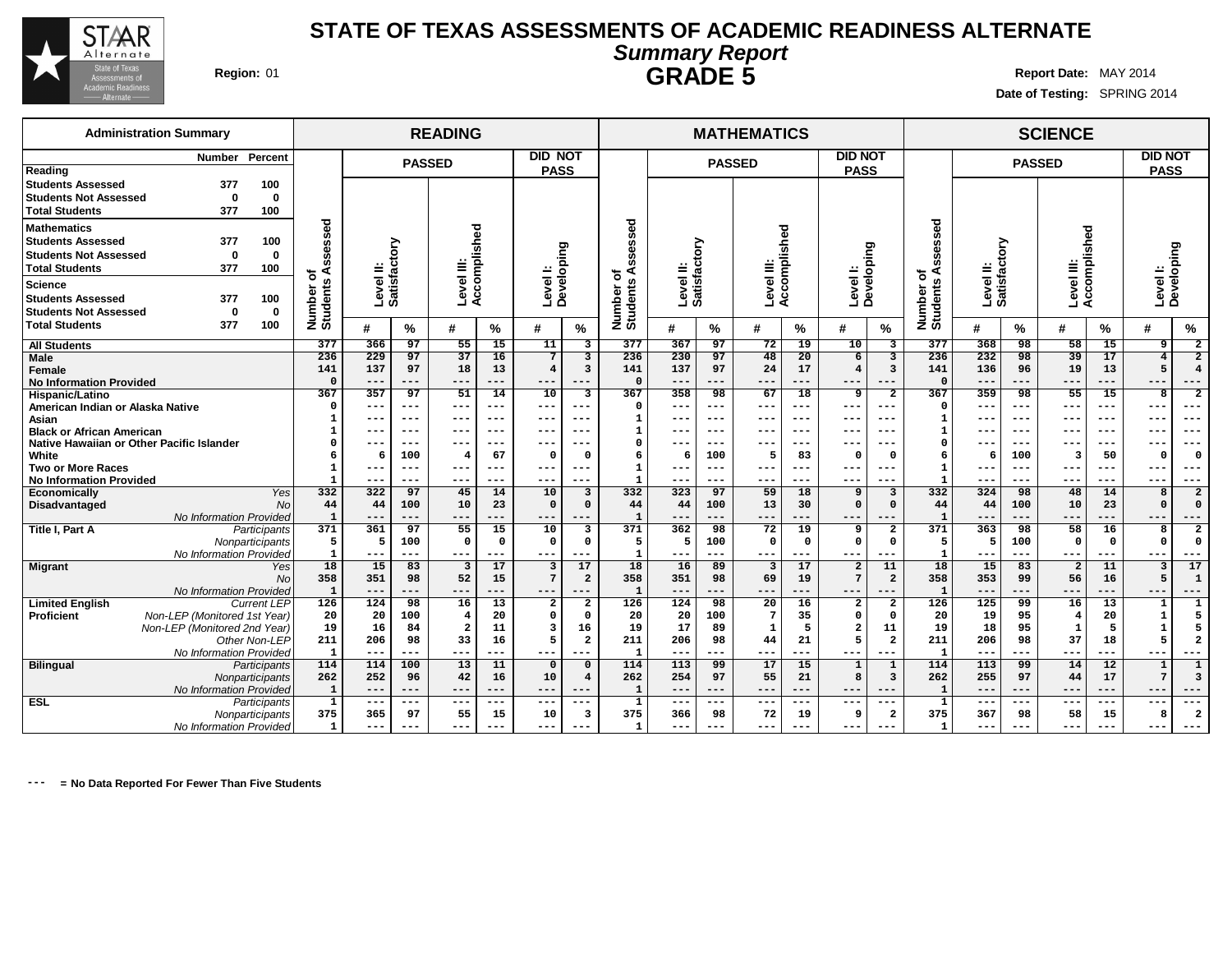

## **Region:** 01 **Report Date:** MAY 2014 **STATE OF TEXAS ASSESSMENTS OF ACADEMIC READINESS ALTERNATE Summary Report GRADE 5**

**Date of Testing:** SPRING 2014

## **READING MATHEMATICS SCIENCE PASSED DID NOT PASS PASSED DID NOT PASS PASSED DID NOT PASS Level II: Satisfactory Level III: Accomplished Level I: Developing Level II: Satisfactory Level III: Accomplished Level I: Developing Level II: Satisfactory Level III: Accomplished Level I: Developing Number of Students Assessed # % # % # % Number of Students Assessed # % # % # % Number of Students Assessed # % # % # % All Students Male Female No Information Provided Hispanic/Latino American Indian or Alaska Native Asian Black or African American Native Hawaiian or Other Pacific Islander White Two or More Races No Information Provided Economically** Yes **Disadvantaged** No No Information Provided **Title I, Part A** Participants **Nonparticipants** No Information Provided **Migrant** No No Information Provided **Limited English** Current LEP<br>**Proficient** Mon-LEP (Monitored 1st Year) **Non-LEP** (Monitored 1st Year) Non-LEP (Monitored 2nd Year) Other Non-LEP No Information Provided **Bilingual** Participants **Nonparticipants** No Information Provided **ESL** Participants **Nonparticipants** No Information Provided **377 366 97 55 15 11 3 236 229 97 37 16 7 3 141 137 97 18 13 4 3 0 --- --- --- --- --- --- 367 357 97 51 14 10 3 0 --- --- --- --- --- --- 1 --- --- --- --- --- --- 1 --- --- --- --- --- --- 0 --- --- --- --- --- --- 6 6 100 4 67 0 0 1 --- --- --- --- --- --- 1 --- --- --- --- --- --- 332 322 97 45 14 10 3 44 44 100 10 23 0 0 1 --- --- --- --- --- --- 371 361 97 55 15 10 3 5 5 100 0 0 0 0 1 --- --- --- --- --- --- 18 15 83 3 17 3 17 358 351 98 52 15 7 2 1 --- --- --- --- --- --- 126 124 98 16 13 2 2 20 20 100 4 20 0 0 19 16 84 2 11 3 16 211 206 98 33 16 5 2 1 --- --- --- --- --- --- 114 114 100 13 11 0 0 262 252 96 42 16 10 4 1 --- --- --- --- --- --- 1 --- --- --- --- --- --- 375 365 97 55 15 10 3 1 --- --- --- --- --- --- 377 367 97 72 19 10 3 236 230 97 48 20 6 3 141 137 97 24 17 4 3 0 --- --- --- --- --- --- 367 358 98 67 18 9 2 0 --- --- --- --- --- --- 1 --- --- --- --- --- --- 1 --- --- --- --- --- --- 0 --- --- --- --- --- --- 6 6 100 5 83 0 0 1 --- --- --- --- --- --- 1 --- --- --- --- --- --- 332 323 97 59 18 9 3 44 44 100 13 30 0 0 1 --- --- --- --- --- --- 371 362 98 72 19 9 2 5 5 100 0 0 0 0 1 --- --- --- --- --- --- 18 16 89 3 17 2 11 358 351 98 69 19 7 2 1 --- --- --- --- --- --- 126 124 98 20 16 2 2 20 20 100 7 35 0 0 19 17 89 1 5 2 11 211 206 98 44 21 5 2 1 --- --- --- --- --- --- 114 113 99 17 15 1 1 262 254 97 55 21 8 3 1 --- --- --- --- --- --- 1 --- --- --- --- --- --- 375 366 98 72 19 9 2 1 --- --- --- --- --- --- 377 368 98 58 15 9 2 236 232 98 39 17 4 2 141 136 96 19 13 5 4 0 --- --- --- --- --- --- 367 359 98 55 15 8 2 0 --- --- --- --- --- --- 1 --- --- --- --- --- --- 1 --- --- --- --- --- --- 0 --- --- --- --- --- --- 6 6 100 3 50 0 0 1 --- --- --- --- --- --- 1 --- --- --- --- --- --- 332 324 98 48 14 8 2 44 44 100 10 23 0 0 1 --- --- --- --- --- --- 371 363 98 58 16 8 2 5 5 100 0 0 0 0 1 --- --- --- --- --- --- 18 15 83 2 11 3 17 358 353 99 56 16 5 1 1 --- --- --- --- --- --- 126 125 99 16 13 1 1 20 19 95 4 20 1 5 19 18 95 1 5 1 5 211 206 98 37 18 5 2 1 --- --- --- --- --- --- 114 113 99 14 12 1 1 262 255 97 44 17 7 3 1 --- --- --- --- --- --- 1 --- --- --- --- --- --- 375 367 98 58 15 8 2 1 --- --- --- --- --- --- Administration Summary Number Percent Reading Students Assessed 377 100 Students Not Assessed 0 0 Total Students 377 100 Mathematics Students Assessed 377 100 Students Not Assessed 0 0 Total Students 377 100 Science Students Assessed 377 100 Students Not Assessed 0 0 Total Students 377 100**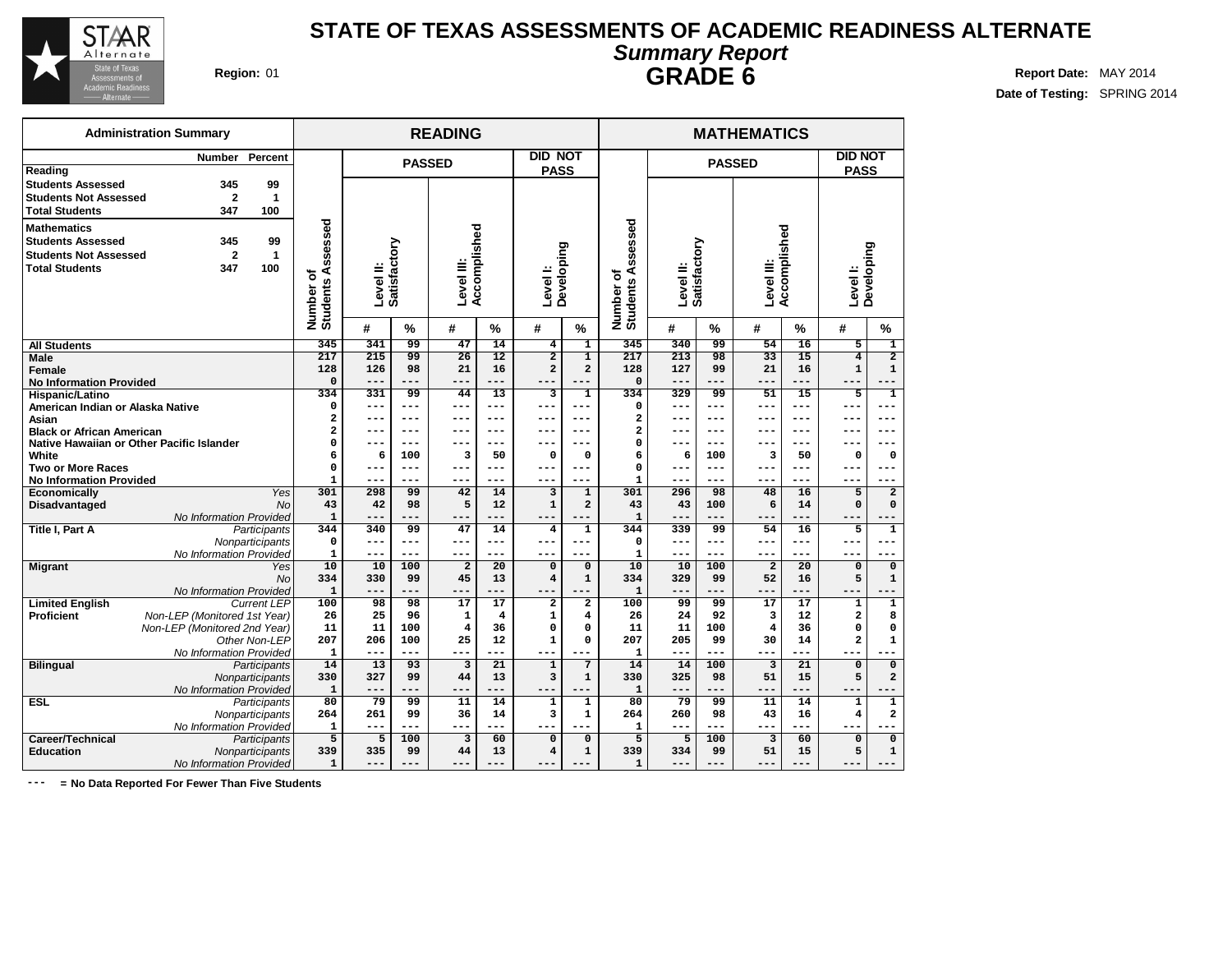

## **Region:** 01 **Report Date:** MAY 2014 **STATE OF TEXAS ASSESSMENTS OF ACADEMIC READINESS ALTERNATE Summary Report**

**Date of Testing:** SPRING 2014

| annuary nopon  |  |
|----------------|--|
| <b>GRADE 6</b> |  |

|                                  | <b>Administration Summary</b>             |                        |                       |                |               | <b>READING</b>          |                         |                                     |                          |                       |                |               | <b>MATHEMATICS</b>      |                 |                |                                |  |
|----------------------------------|-------------------------------------------|------------------------|-----------------------|----------------|---------------|-------------------------|-------------------------|-------------------------------------|--------------------------|-----------------------|----------------|---------------|-------------------------|-----------------|----------------|--------------------------------|--|
|                                  | Number                                    | Percent                |                       |                |               |                         |                         | <b>DID NOT</b>                      |                          |                       |                |               |                         |                 | <b>DID NOT</b> |                                |  |
| Reading                          |                                           |                        |                       |                | <b>PASSED</b> |                         |                         | <b>PASS</b>                         |                          |                       |                | <b>PASSED</b> |                         |                 | <b>PASS</b>    |                                |  |
| <b>Students Assessed</b>         | 345                                       | 99                     |                       |                |               |                         |                         |                                     |                          |                       |                |               |                         |                 |                |                                |  |
| <b>Students Not Assessed</b>     | $\mathbf{2}$                              | $\mathbf{1}$           |                       |                |               |                         |                         |                                     |                          |                       |                |               |                         |                 |                |                                |  |
| <b>Total Students</b>            | 347                                       | 100                    |                       |                |               |                         |                         |                                     |                          |                       |                |               |                         |                 |                |                                |  |
|                                  |                                           |                        |                       |                |               |                         |                         |                                     |                          |                       |                |               |                         |                 |                |                                |  |
| <b>Mathematics</b>               |                                           |                        | Assessed              |                |               |                         | Accomplished            |                                     |                          | ssed                  |                |               |                         | Accomplished    |                |                                |  |
| <b>Students Assessed</b>         | 345                                       | 99                     |                       |                |               |                         |                         |                                     |                          |                       |                |               |                         |                 |                |                                |  |
| <b>Students Not Assessed</b>     | $\mathbf{2}$                              | $\mathbf 1$            |                       |                |               |                         |                         |                                     |                          | ğ,                    |                |               |                         |                 |                |                                |  |
| <b>Total Students</b>            | 347                                       | 100                    | ৳                     |                |               |                         |                         |                                     |                          | ä<br>৳                |                |               |                         |                 |                |                                |  |
|                                  |                                           |                        |                       |                |               |                         |                         |                                     |                          |                       |                |               |                         |                 |                |                                |  |
|                                  |                                           |                        |                       | Level II:      | Satisfactory  | Level III:              |                         | Developing<br>Level I:              |                          |                       | Level II:      | Satisfactory  | Level III:              |                 | Level I:       | Developing                     |  |
|                                  |                                           |                        |                       |                |               |                         |                         |                                     |                          |                       |                |               |                         |                 |                |                                |  |
|                                  |                                           |                        | Number of<br>Students | #              | %             | #                       | $\frac{0}{0}$           | #                                   | $\frac{9}{6}$            | Number of<br>Students | #              | %             | #                       | $\frac{9}{6}$   | #              | $\frac{9}{6}$                  |  |
| <b>All Students</b>              |                                           |                        | 345                   | 341            | 99            | 47                      | 14                      | $\overline{4}$                      | ı                        | 345                   | 340            | 99            | 54                      | 16              | 5              | ı                              |  |
| <b>Male</b>                      |                                           |                        | 217                   | 215            | 99            | $\overline{26}$         | $\overline{12}$         | $\overline{2}$                      | $\overline{1}$           | 217                   | 213            | 98            | $\overline{33}$         | $\overline{15}$ | $\overline{4}$ | $\overline{2}$                 |  |
| Female                           |                                           |                        | 128                   | 126            | 98            | 21                      | 16                      | $\overline{a}$                      | $\overline{a}$           | 128                   | 127            | 99            | 21                      | 16              | $\mathbf{1}$   | $\mathbf{1}$                   |  |
| <b>No Information Provided</b>   |                                           |                        | $\mathbf 0$           | $---$          | ---           | ---                     | ---                     | $---$                               | ---                      | 0                     | $---$          | ---           | $---$                   | ---             | $---$          |                                |  |
| Hispanic/Latino                  |                                           |                        | 334                   | 331            | 99            | 44                      | $\overline{13}$         | 3                                   | $\overline{\mathbf{1}}$  | 334                   | 329            | 99            | $\overline{51}$         | 15              | $\overline{5}$ | ī                              |  |
| American Indian or Alaska Native |                                           |                        | $\mathbf 0$           | $---$          | ---           | ---                     | ---                     | $---$                               | ---                      | 0                     | $---$          | ---           | $--$                    | ---             | $- - -$        | ---                            |  |
| Asian                            |                                           |                        | 2                     | $- - -$        | ---           | ---                     | ---                     | ---                                 | ---                      | 2                     | ---            | ---           | $- - -$                 | ---             | ---            | ---                            |  |
| <b>Black or African American</b> |                                           |                        | $\mathbf 2$           | $---$          | ---           | ---                     | $- - -$                 | ---                                 | ---                      | 2                     | ---            | ---           | $- -$                   | ---             |                |                                |  |
|                                  | Native Hawaiian or Other Pacific Islander |                        | $\mathbf 0$           | $\frac{1}{2}$  | ---           | ---                     | $--$                    | $--$                                | ---                      | 0                     | ---            | ---           |                         | ---             | ---            | ---                            |  |
| White                            |                                           |                        | 6                     | 6              | 100           | з                       | 50                      | $\mathbf 0$                         | 0                        | 6                     | 6              | 100           | з                       | 50              | $\mathbf 0$    | 0                              |  |
| <b>Two or More Races</b>         |                                           |                        | $\mathbf 0$           | $- - -$        | ---           | ---                     | $- - -$                 | $---$                               | ---                      | 0                     | ---            | $---$         | ---                     | ---             | $- - -$        | ---                            |  |
| <b>No Information Provided</b>   |                                           |                        | $\mathbf{1}$          | ---            | ---           | ---                     | ---                     | $---$                               | ---                      | $\mathbf{1}$          | ---            | ---           | ---                     | ---             | ---            | ---                            |  |
| <b>Economically</b>              |                                           | Yes                    | 301                   | 298            | 99            | 42                      | 14                      | 3                                   | $\mathbf{1}$             | 301                   | 296            | 98            | 48                      | 16              | 5              | $\overline{a}$                 |  |
| Disadvantaged                    |                                           | <b>No</b>              | 43                    | 42             | 98            | 5                       | 12                      | $\mathbf{1}$                        | $\overline{\mathbf{2}}$  | 43                    | 43             | 100           | 6                       | 14              | $\mathbf 0$    | $\mathbf 0$                    |  |
|                                  | No Information Provided                   |                        | $\mathbf 1$           | $---$          | ---           | ---                     |                         | $- -$                               | ---                      | $\mathbf{1}$          | ---            | ---           | $- -$                   |                 | $---$          |                                |  |
| Title I, Part A                  |                                           | Participants           | 344                   | 340            | 99            | 47                      | 14                      | $\overline{4}$                      | $\overline{1}$           | 344                   | 339            | 99            | 54                      | 16              | 5              | $\overline{1}$<br>$---$        |  |
|                                  |                                           | Nonparticipants        | 0                     | $---$<br>$---$ | ---<br>---    | $---$                   | $---$<br>---            | $---$                               | ---                      | 0                     | $---$          | $---$<br>---  | $--$                    | ---             | $- - -$        |                                |  |
|                                  | No Information Provided                   |                        | $\mathbf{1}$          |                |               | $---$                   |                         | $--$                                | ---                      | $\mathbf{1}$          | ---            |               | $---$                   | ---             | $- - -$        | ---                            |  |
| <b>Migrant</b>                   |                                           | Yes<br>N <sub>O</sub>  | 10<br>334             | 10<br>330      | 100<br>99     | $\overline{2}$<br>45    | 20<br>13                | $\Omega$<br>$\overline{\mathbf{4}}$ | $\Omega$<br>$\mathbf{1}$ | 10<br>334             | 10<br>329      | 100<br>99     | $\overline{2}$<br>52    | 20<br>16        | $\Omega$<br>5  | $\overline{0}$<br>$\mathbf{1}$ |  |
|                                  | No Information Provided                   |                        | $\mathbf 1$           | $---$          | ---           | ---                     | ---                     |                                     | --                       | $\mathbf{1}$          | ---            | ---           |                         | ---             |                |                                |  |
| <b>Limited English</b>           |                                           | <b>Current LEP</b>     | 100                   | 98             | 98            | 17                      | 17                      | $\overline{\mathbf{2}}$             | $\overline{2}$           | 100                   | 99             | 99            | $\overline{17}$         | 17              | $\overline{1}$ | $\overline{\mathbf{1}}$        |  |
| <b>Proficient</b>                | Non-LEP (Monitored 1st Year)              |                        | 26                    | 25             | 96            | $\mathbf{1}$            | $\overline{\mathbf{4}}$ | $\mathbf{1}$                        | $\overline{\mathbf{4}}$  | 26                    | 24             | 92            | $\overline{\mathbf{3}}$ | 12              | $\overline{a}$ | 8                              |  |
|                                  | Non-LEP (Monitored 2nd Year)              |                        | 11                    | 11             | 100           | 4                       | 36                      | 0                                   | 0                        | 11                    | 11             | 100           | 4                       | 36              | $\Omega$       | $\Omega$                       |  |
|                                  |                                           | Other Non-LEP          | 207                   | 206            | 100           | 25                      | 12                      | $\mathbf{1}$                        | $\Omega$                 | 207                   | 205            | 99            | 30                      | 14              | $\overline{a}$ | $\mathbf 1$                    |  |
|                                  | No Information Provided                   |                        | $\mathbf{1}$          | $---$          | ---           | ---                     | ---                     |                                     | ---                      | $\mathbf{1}$          | $---$          | $---$         | $---$                   | ---             | ---            | ٠.                             |  |
| <b>Bilingual</b>                 |                                           | Participants           | 14                    | 13             | 93            | $\overline{\mathbf{3}}$ | 21                      | $\mathbf{1}$                        | $7\overline{ }$          | 14                    | 14             | 100           | 3                       | 21              | $\mathbf 0$    | $\overline{0}$                 |  |
|                                  |                                           | Nonparticipants        | 330                   | 327            | 99            | 44                      | 13                      | 3                                   | $\mathbf{1}$             | 330                   | 325            | 98            | 51                      | 15              | 5              | $\overline{\mathbf{2}}$        |  |
|                                  | No Information Provided                   |                        | $\mathbf 1$           | $---$          | $- -$         | ---                     |                         | $- -$                               | $-$                      | $\mathbf{1}$          | ---            | ---           | $- -$                   |                 |                |                                |  |
| <b>ESL</b>                       |                                           | Participants           | 80                    | 79             | 99            | 11                      | 14                      | $\mathbf{1}$                        | $\mathbf{1}$             | 80                    | 79             | 99            | 11                      | 14              | $\mathbf{1}$   | $\mathbf 1$                    |  |
|                                  |                                           | Nonparticipants        | 264                   | 261            | 99            | 36                      | 14                      | 3                                   | $\mathbf{1}$             | 264                   | 260            | 98            | 43                      | 16              | $\overline{4}$ | $\overline{\mathbf{2}}$        |  |
|                                  | No Information Provided                   |                        | $\mathbf 1$           | $---$          | ---           | ---                     | ---                     | ---                                 | ---                      | $\mathbf{1}$          | $---$          | ---           | $---$                   | ---             | $--$           |                                |  |
| Career/Technical                 |                                           | Participants           | 5                     | 5              | 100           | $\overline{3}$          | 60                      | $\overline{0}$                      | $\overline{0}$           | $\overline{5}$        | $\overline{5}$ | 100           | $\overline{3}$          | 60              | $\overline{0}$ | $\overline{0}$                 |  |
| <b>Education</b>                 |                                           | <b>Nonparticipants</b> | 339                   | 335            | 99            | 44                      | 13                      | 4                                   | $\mathbf{1}$             | 339                   | 334            | 99            | 51                      | 15              | 5              | $\mathbf 1$                    |  |
|                                  | No Information Provided                   |                        | ${\bf 1}$             | $- - -$        | ---           | ---                     |                         | $- -$                               | ---                      | $\mathbf{1}$          | $---$          | $- - -$       | $- -$                   | $- - -$         | $- - -$        |                                |  |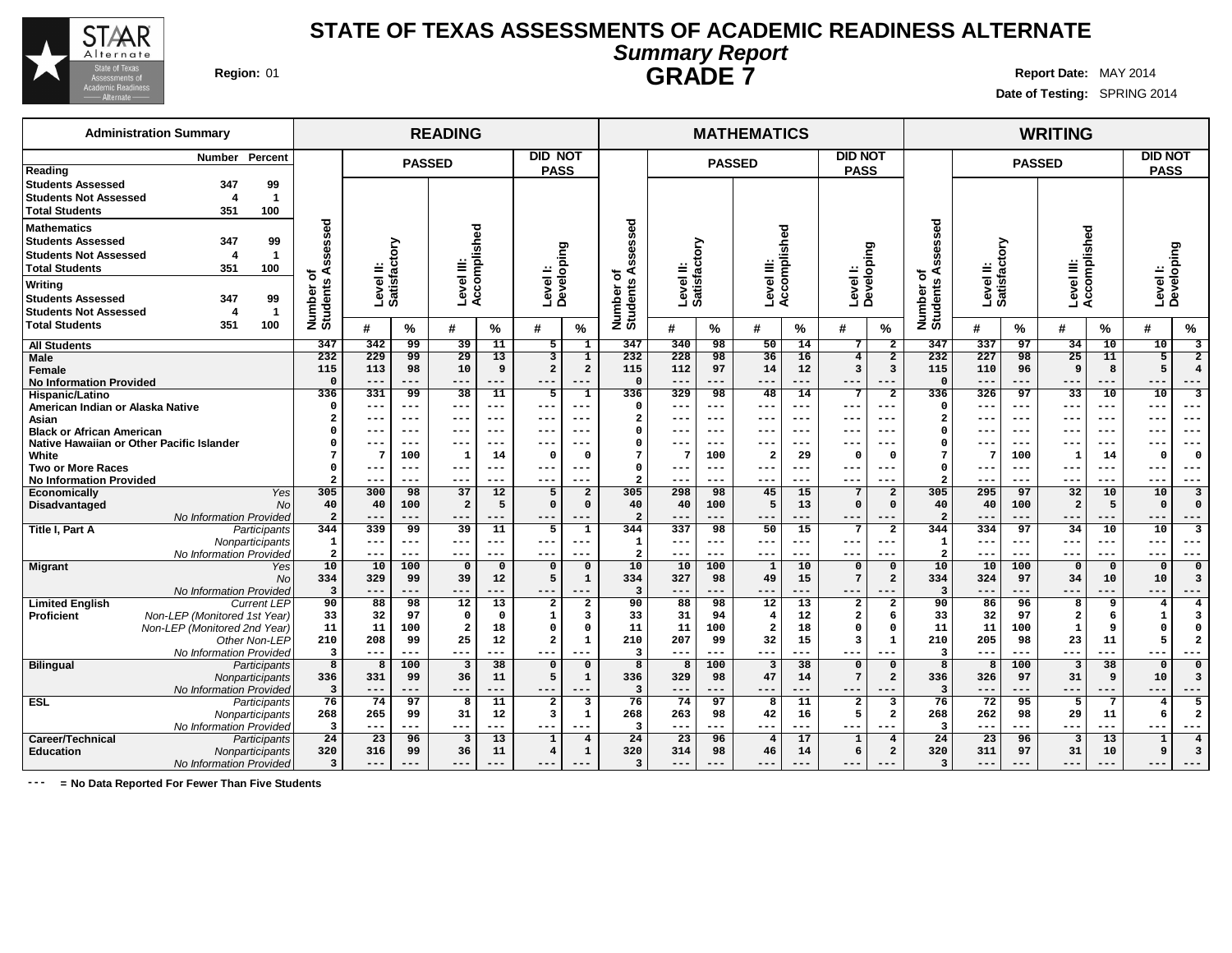

## **Region:** 01 **Report Date:** MAY 2014 **STATE OF TEXAS ASSESSMENTS OF ACADEMIC READINESS ALTERNATE Summary Report GRADE 7**

**Date of Testing:** SPRING 2014

## **READING MATHEMATICS WRITING PASSED DID NOT PASS PASSED DID NOT PASS PASSED DID NOT PASS Level II: Satisfactory Level III: Accomplished Level I: Developing Level II: Satisfactory Level III: Accomplished Level I: Developing Level II: Satisfactory Level III: Accomplished Level I: Developing Number of Students Assessed # % # % # % Number of Students Assessed # % # % # % Number of Students Assessed # % # % # % All Students Male Female No Information Provided Hispanic/Latino American Indian or Alaska Native Asian Black or African American Native Hawaiian or Other Pacific Islander White Two or More Races No Information Provided Economically** Yes **Disadvantaged** No No Information Provided **Title I, Part A** Participants **Nonparticipants** No Information Provided **Migrant** No No Information Provided **Limited English** Current LEP<br>**Proficient** Mon-LEP (Monitored 1st Year) **Non-LEP** (Monitored 1st Year) Non-LEP (Monitored 2nd Year) Other Non-LEP No Information Provided **Bilingual** Participants **Nonparticipants** No Information Provided **ESL** Participants **Nonparticipants** No Information Provided **Career/Technical Education** Nonparticipants No Information Provided **347 342 99 39 11 5 1 232 229 99 29 13 3 1 115 113 98 10 9 2 2 0 --- --- --- --- --- --- 336 331 99 38 11 5 1 0 --- --- --- --- --- --- 2 --- --- --- --- --- --- 0 --- --- --- --- --- --- 0 --- --- --- --- --- --- 7 7 100 1 14 0 0 0 --- --- --- --- --- --- 2 --- --- --- --- --- --- 305 300 98 37 12 5 2 40 40 100 2 5 0 0 2 --- --- --- --- --- --- 344 339 99 39 11 5 1 1 --- --- --- --- --- --- 2 --- --- --- --- --- --- 10 10 100 0 0 0 0 334 329 99 39 12 5 1 3 --- --- --- --- --- --- 90 88 98 12 13 2 2 33 32 97 0 0 1 3 11 11 100 2 18 0 0 210 208 99 25 12 2 1 3 --- --- --- --- --- --- 8 8 100 3 38 0 0 336 331 99 36 11 5 1 3 --- --- --- --- --- --- 76 74 97 8 11 2 3 268 265 99 31 12 3 1 3 --- --- --- --- --- --- 24 23 96 3 13 1 4 320 316 99 36 11 4 1 3 --- --- --- --- --- --- 347 340 98 50 14 7 2 232 228 98 36 16 4 2 115 112 97 14 12 3 3 0 --- --- --- --- --- --- 336 329 98 48 14 7 2 0 --- --- --- --- --- --- 2 --- --- --- --- --- --- 0 --- --- --- --- --- --- 0 --- --- --- --- --- --- 7 7 100 2 29 0 0 0 --- --- --- --- --- --- 2 --- --- --- --- --- --- 305 298 98 45 15 7 2 40 40 100 5 13 0 0 2 --- --- --- --- --- --- 344 337 98 50 15 7 2 1 --- --- --- --- --- --- 2 --- --- --- --- --- --- 10 10 100 1 10 0 0 334 327 98 49 15 7 2 3 --- --- --- --- --- --- 90 88 98 12 13 2 2 33 31 94 4 12 2 6 11 11 100 2 18 0 0 210 207 99 32 15 3 1 3 --- --- --- --- --- --- 8 8 100 3 38 0 0 336 329 98 47 14 7 2 3 --- --- --- --- --- --- 76 74 97 8 11 2 3 268 263 98 42 16 5 2 3 --- --- --- --- --- --- 24 23 96 4 17 1 4 320 314 98 46 14 6 2 3 --- --- --- --- --- --- 347 337 97 34 10 10 3 232 227 98 25 11 5 2 115 110 96 9 8 5 4 0 --- --- --- --- --- --- 336 326 97 33 10 10 3 0 --- --- --- --- --- --- 2 --- --- --- --- --- --- 0 --- --- --- --- --- --- 0 --- --- --- --- --- --- 7 7 100 1 14 0 0 0 --- --- --- --- --- --- 2 --- --- --- --- --- --- 305 295 97 32 10 10 3 40 40 100 2 5 0 0 2 --- --- --- --- --- --- 344 334 97 34 10 10 3 1 --- --- --- --- --- --- 2 --- --- --- --- --- --- 10 10 100 0 0 0 0 334 324 97 34 10 10 3 3 --- --- --- --- --- --- 90 86 96 8 9 4 4 33 32 97 2 6 1 3 11 11 100 1 9 0 0 210 205 98 23 11 5 2 3 --- --- --- --- --- --- 8 8 100 3 38 0 0 336 326 97 31 9 10 3 3 --- --- --- --- --- --- 76 72 95 5 7 4 5 268 262 98 29 11 6 2 3 --- --- --- --- --- --- 24 23 96 3 13 1 4 320 311 97 31 10 9 3 3 --- --- --- --- --- --- Administration Summary Number Percent Reading Students Assessed 347 99 Students Not Assessed 4 1 Total Students 351 100 Mathematics Students Assessed 347 99 Students Not Assessed 4 1 Total Students 351 100 Writing Students Assessed 347 99 Students Not Assessed 4 1 Total Students 351 100**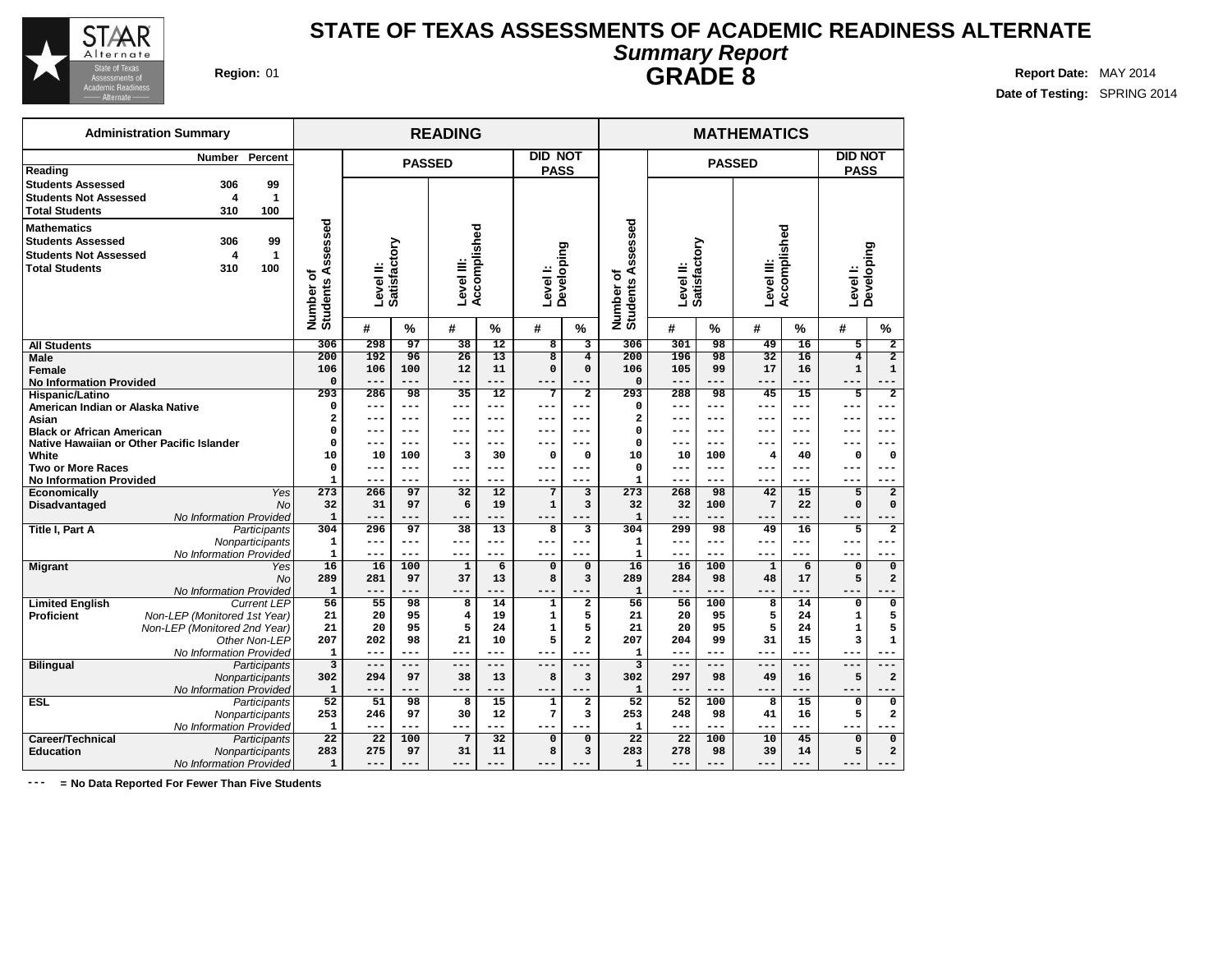

## **Region:** 01 **Report Date:** MAY 2014 **STATE OF TEXAS ASSESSMENTS OF ACADEMIC READINESS ALTERNATE Summary Report GRADE 8**

**Date of Testing:** SPRING 2014

|                                                                                                         | <b>Administration Summary</b>             |                                 |                                |                     |                    | <b>READING</b>     |                              |                            |                           |                                |                     |                     | <b>MATHEMATICS</b>           |                              |                                |                                |
|---------------------------------------------------------------------------------------------------------|-------------------------------------------|---------------------------------|--------------------------------|---------------------|--------------------|--------------------|------------------------------|----------------------------|---------------------------|--------------------------------|---------------------|---------------------|------------------------------|------------------------------|--------------------------------|--------------------------------|
|                                                                                                         | <b>Number</b>                             | Percent                         |                                |                     | <b>PASSED</b>      |                    |                              | <b>DID NOT</b>             |                           |                                |                     |                     | <b>PASSED</b>                |                              | <b>DID NOT</b>                 |                                |
| Reading<br><b>Students Assessed</b><br><b>Students Not Assessed</b><br><b>Total Students</b>            | 306<br>4<br>310                           | 99<br>$\mathbf{1}$<br>100       |                                |                     |                    |                    |                              | <b>PASS</b>                |                           |                                |                     |                     |                              |                              | <b>PASS</b>                    |                                |
| <b>Mathematics</b><br><b>Students Assessed</b><br><b>Students Not Assessed</b><br><b>Total Students</b> | 306<br>4<br>310                           | 99<br>$\mathbf 1$<br>100        | Number of<br>Students Assessed | Level II:           | Satisfactory       | Level III:         | Accomplished                 | Developing<br>Level I:     |                           | Number of<br>Students Assessed | Level II:           | Satisfactory        | Level III:                   | Accomplished                 | Level I:                       | Developing                     |
|                                                                                                         |                                           |                                 |                                | #                   | %                  | #                  | %                            | #                          | %                         |                                | #                   | $\%$                | #                            | %                            | #                              | $\frac{9}{6}$                  |
| <b>All Students</b>                                                                                     |                                           |                                 | 306                            | 298                 | 97                 | $\overline{38}$    | 12                           | $\overline{\mathbf{8}}$    | 3                         | 306                            | 301                 | 98                  | 49                           | 16                           | $\overline{5}$                 | $\overline{2}$                 |
| Male<br><b>Female</b>                                                                                   |                                           |                                 | 200<br>106                     | 192<br>106<br>$---$ | 96<br>100<br>$---$ | 26<br>12           | $\overline{13}$<br>11<br>--- | $\overline{8}$<br>$\Omega$ | $\overline{4}$<br>0       | 200<br>106                     | 196<br>105<br>$---$ | 98<br>99<br>$- - -$ | $\overline{32}$<br>17<br>--- | $\overline{16}$<br>16<br>--- | $\overline{4}$<br>$\mathbf{1}$ | $\overline{2}$<br>$\mathbf{1}$ |
| <b>No Information Provided</b>                                                                          |                                           |                                 | $\mathbf 0$<br>293             | 286                 | 98                 | $- - -$<br>35      | 12                           | $7\phantom{.0}$            | $- - -$<br>$\overline{2}$ | $\Omega$<br>293                | 288                 | 98                  | 45                           | 15                           | ---<br>5                       | $\overline{2}$                 |
| <b>Hispanic/Latino</b><br>American Indian or Alaska Native                                              |                                           |                                 | 0                              | ---                 | ---                | $-- -$             | $- - -$                      | ---                        | ---                       | 0                              | $- - -$             | ---                 | ---                          | ---                          | ---                            | ---                            |
| Asian                                                                                                   |                                           |                                 | $\overline{\mathbf{2}}$        | ---                 | ---                | $---$              | ---                          | ---                        | ---                       | $\overline{a}$                 | $---$               | ---                 | ---                          | ---                          | ---                            | ---                            |
| <b>Black or African American</b>                                                                        |                                           |                                 | $\mathbf 0$                    | ---                 | ---                | $---$              | ---                          | $- - -$                    | ---                       | $\Omega$                       | $- -$               | ---                 | ---                          | ---                          | ---                            | ---                            |
|                                                                                                         | Native Hawaiian or Other Pacific Islander |                                 | 0                              | ---                 | $---$              | $---$              | ---                          |                            | ---                       | 0                              | $- - -$             | ---                 |                              | ---                          |                                |                                |
| White                                                                                                   |                                           |                                 | 10                             | 10                  | 100                | 3                  | 30                           | $\mathbf 0$                | 0                         | 10                             | 10                  | 100                 | 4                            | 40                           | 0                              | $\mathbf 0$                    |
| <b>Two or More Races</b>                                                                                |                                           |                                 | $\mathbf 0$                    | $---$               | $---$              | $---$              | $- - -$                      | $- - -$                    | $- - -$                   | $\mathbf 0$                    | $- -$               | $---$               | ---                          | ---                          | ---                            | $---$                          |
| <b>No Information Provided</b>                                                                          |                                           |                                 | $\mathbf{1}$                   | $---$               | $---$              | $---$              | ---                          | $- - -$                    | ---                       | $\mathbf{1}$                   | $---$               | ---                 | ---                          | ---                          | ---                            | $---$                          |
| Economically                                                                                            |                                           | Yes                             | 273                            | 266                 | 97                 | 32                 | $\overline{12}$              | $\overline{7}$             | 3                         | 273                            | 268                 | 98                  | 42                           | 15                           | 5                              | $\overline{\mathbf{2}}$        |
| Disadvantaged                                                                                           |                                           | <b>No</b>                       | 32                             | 31                  | 97                 | 6                  | 19                           | $\mathbf 1$                | 3                         | 32                             | 32                  | 100                 | $7\phantom{.0}$              | 22                           | $\Omega$                       | $\mathbf 0$                    |
|                                                                                                         | No Information Provided                   |                                 | $\mathbf 1$<br>304             | $---$<br>296        | ---<br>97          | $- -$<br>38        | 13                           | $\overline{8}$             | $\overline{\mathbf{3}}$   | $\mathbf{1}$<br>304            | ---<br>299          | 98                  | ---<br>49                    | 16                           | 5                              | $\overline{2}$                 |
| <b>Title I, Part A</b>                                                                                  |                                           | Participants<br>Nonparticipants | 1                              | $---$               | ---                | $---$              | $---$                        | $---$                      | ---                       | $\mathbf 1$                    | $---$               | ---                 | $- - -$                      | ---                          | ---                            | $---$                          |
|                                                                                                         | No Information Provided                   |                                 | $\mathbf{1}$                   | $---$               | $---$              | $---$              | ---                          | ---                        | ---                       | $\mathbf{1}$                   | $---$               | $---$               | $- - -$                      | ---                          | ---                            | $---$                          |
| <b>Migrant</b>                                                                                          |                                           | Yes                             | 16                             | 16                  | 100                | $\mathbf{1}$       | 6                            | $\mathbf 0$                | $\mathbf 0$               | 16                             | 16                  | 100                 | $\mathbf{1}$                 | 6                            | $\mathbf 0$                    | $\mathbf 0$                    |
|                                                                                                         |                                           | <b>No</b>                       | 289                            | 281                 | 97                 | 37                 | 13                           | 8                          | 3                         | 289                            | 284                 | 98                  | 48                           | 17                           | 5                              | $\overline{a}$                 |
|                                                                                                         | No Information Provided                   |                                 | ${\bf 1}$                      | $---$               | ---                | ---                |                              |                            |                           | $\mathbf{1}$                   | ---                 |                     | ---                          |                              |                                |                                |
| <b>Limited English</b>                                                                                  |                                           | <b>Current LEP</b>              | 56                             | 55                  | 98                 | 8                  | 14                           | 1                          | $\overline{\mathbf{2}}$   | 56                             | 56                  | 100                 | 8                            | 14                           | 0                              | $\mathbf 0$                    |
| <b>Proficient</b>                                                                                       | Non-LEP (Monitored 1st Year)              |                                 | 21                             | 20                  | 95                 | $\overline{\bf 4}$ | 19                           | $\mathbf 1$                | 5                         | 21                             | 20                  | 95                  | 5                            | 24                           | $\mathbf 1$                    | 5                              |
|                                                                                                         | Non-LEP (Monitored 2nd Year)              |                                 | 21                             | 20                  | 95                 | 5                  | 24                           | $\mathbf{1}$               | 5                         | 21                             | 20                  | 95                  | 5                            | 24                           | $\mathbf{1}$                   | 5                              |
|                                                                                                         |                                           | Other Non-LEP                   | 207                            | 202                 | 98                 | 21                 | 10                           | 5                          | $\overline{a}$            | 207                            | 204                 | 99                  | 31                           | 15                           | 3                              | $\mathbf{1}$                   |
|                                                                                                         | No Information Provided                   |                                 | $\mathbf{1}$                   | ---                 |                    |                    |                              |                            |                           | $\mathbf{1}$                   | ---                 |                     | ---                          |                              |                                |                                |
| <b>Bilingual</b>                                                                                        |                                           | Participants<br>Nonparticipants | $\overline{\mathbf{3}}$<br>302 | $- -$<br>294        | ---<br>97          | $-$<br>38          | ---<br>13                    | 8                          | $\overline{\mathbf{3}}$   | 3<br>302                       | ---<br>297          | 98                  | 49                           | 16                           | 5                              | $\overline{\mathbf{2}}$        |
|                                                                                                         | No Information Provided                   |                                 | $\mathbf{1}$                   | $---$               | ---                | $---$              | ---                          | $- - -$                    |                           | $\mathbf{1}$                   | $---$               |                     | ---                          | ---                          |                                |                                |
| <b>ESL</b>                                                                                              |                                           | Participants                    | 52                             | 51                  | 98                 | 8                  | 15                           | $\mathbf{1}$               | 2                         | 52                             | 52                  | 100                 | 8                            | 15                           | $\mathbf 0$                    | 0                              |
|                                                                                                         |                                           | Nonparticipants                 | 253                            | 246                 | 97                 | 30                 | 12                           | $\overline{7}$             | 3                         | 253                            | 248                 | 98                  | 41                           | 16                           | 5                              | 2                              |
|                                                                                                         | No Information Provided                   |                                 | $\mathbf{1}$                   | $---$               | ---                | $---$              | $---$                        | ---                        | $=$ $ -$                  | $\mathbf{1}$                   | $- - -$             | ---                 | ---                          | ---                          | ---                            |                                |
| Career/Technical                                                                                        |                                           | Participants                    | $\overline{22}$                | 22                  | 100                | $7\phantom{a}$     | 32                           | $\overline{0}$             | $\overline{0}$            | $\overline{22}$                | $\overline{22}$     | 100                 | 10                           | 45                           | $\overline{0}$                 | $\overline{0}$                 |
| <b>Education</b>                                                                                        |                                           | Nonparticipants                 | 283                            | 275                 | 97                 | 31                 | 11                           | 8                          | 3                         | 283                            | 278                 | 98                  | 39                           | 14                           | 5                              | $\overline{\mathbf{2}}$        |
|                                                                                                         | No Information Provided                   |                                 | $\mathbf{1}$                   |                     |                    |                    |                              |                            |                           | $\mathbf{1}$                   |                     | ---                 |                              |                              |                                |                                |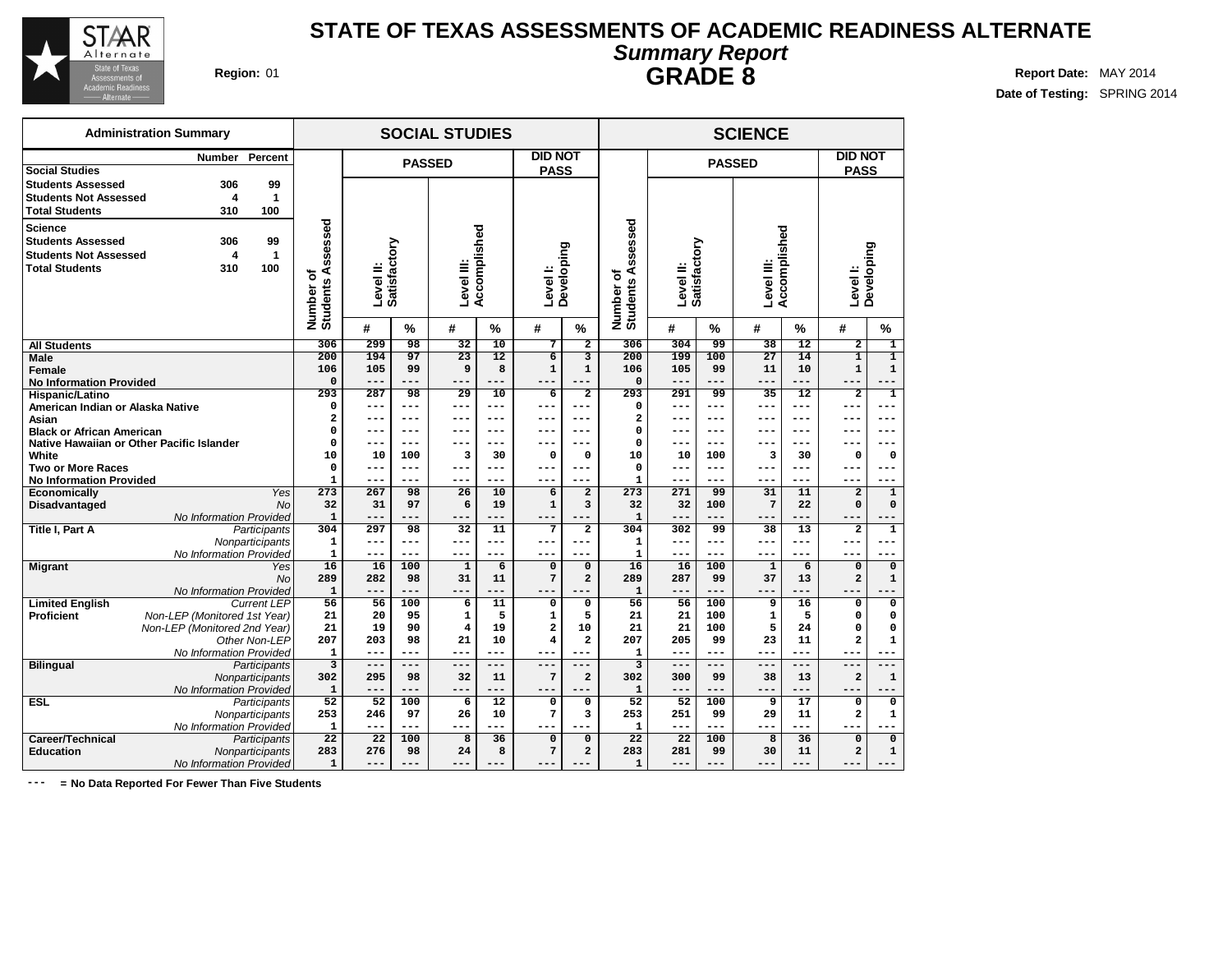

## **STATE OF TEXAS ASSESSMENTS OF ACADEMIC READINESS ALTERNATE Summary Report GRADE 8 Region:** 01 **Report** Date: MAY 2014

**Date of Testing:** SPRING 2014

|                                  | <b>Administration Summary</b>             |                    |                                |              |                | <b>SOCIAL STUDIES</b> |                 |                         |                               |                                |                           |              | <b>SCIENCE</b>     |                 |                               |                  |
|----------------------------------|-------------------------------------------|--------------------|--------------------------------|--------------|----------------|-----------------------|-----------------|-------------------------|-------------------------------|--------------------------------|---------------------------|--------------|--------------------|-----------------|-------------------------------|------------------|
|                                  | <b>Number</b>                             | Percent            |                                |              |                | <b>PASSED</b>         |                 | <b>DID NOT</b>          |                               |                                |                           |              | <b>PASSED</b>      |                 | <b>DID NOT</b>                |                  |
| <b>Social Studies</b>            |                                           |                    |                                |              |                |                       |                 | <b>PASS</b>             |                               |                                |                           |              |                    |                 | <b>PASS</b>                   |                  |
| <b>Students Assessed</b>         | 306                                       | 99                 |                                |              |                |                       |                 |                         |                               |                                |                           |              |                    |                 |                               |                  |
| <b>Students Not Assessed</b>     | 4                                         | $\mathbf{1}$       |                                |              |                |                       |                 |                         |                               |                                |                           |              |                    |                 |                               |                  |
| <b>Total Students</b>            | 310                                       | 100                |                                |              |                |                       |                 |                         |                               |                                |                           |              |                    |                 |                               |                  |
| <b>Science</b>                   |                                           |                    |                                |              |                |                       |                 |                         |                               |                                |                           |              |                    |                 |                               |                  |
| <b>Students Assessed</b>         | 306                                       | 99                 |                                |              |                |                       |                 |                         |                               |                                |                           |              |                    |                 |                               |                  |
| <b>Students Not Assessed</b>     | 4                                         | $\mathbf{1}$       |                                |              |                |                       |                 |                         |                               |                                |                           |              |                    |                 |                               |                  |
| <b>Total Students</b>            | 310                                       | 100                |                                |              |                |                       |                 |                         |                               |                                |                           |              |                    |                 |                               |                  |
|                                  |                                           |                    |                                | Level II:    | Satisfactory   | Level III:            | Accomplished    | Level I:                | Developing                    |                                | Satisfactory<br>Level II: |              | Level III:         | Accomplished    | Level I:                      | Developing       |
|                                  |                                           |                    |                                |              |                |                       |                 |                         |                               |                                |                           |              |                    |                 |                               |                  |
|                                  |                                           |                    |                                |              |                |                       |                 |                         |                               |                                |                           |              |                    |                 |                               |                  |
|                                  |                                           |                    | Number of<br>Students Assessed | #            | $\%$           | #                     | %               | #                       | $\%$                          | Number of<br>Students Assessed | #                         | $\%$         | #                  | %               | #                             | %                |
| <b>All Students</b>              |                                           |                    | 306                            | 299          | 98             | $\overline{32}$       | $\overline{10}$ | 7                       | $\overline{2}$                | 306                            | 304                       | 99           | 38                 | $\overline{12}$ | $\overline{2}$                | $\overline{1}$   |
| <b>Male</b>                      |                                           |                    | 200                            | 194          | 97             | $\overline{23}$       | $\overline{12}$ | $\overline{6}$          | $\overline{3}$                | 200                            | 199                       | 100          | $\overline{27}$    | 14              | $\overline{1}$                | $\overline{1}$   |
| Female                           |                                           |                    | 106                            | 105          | 99             | 9                     | 8               | $\mathbf{1}$            | $\mathbf{1}$                  | 106                            | 105                       | 99           | 11                 | 10              | $\mathbf{1}$                  | $\mathbf{1}$     |
| <b>No Information Provided</b>   |                                           |                    | 0                              | $---$        | $---$          | ---                   | $---$           |                         | $---$                         | $\mathbf 0$                    | $---$                     | ---          | $---$              | $---$           | ---                           | $---$            |
| Hispanic/Latino                  |                                           |                    | 293                            | 287          | 98             | 29                    | 10              | 6                       | $\overline{\mathbf{2}}$       | 293                            | 291                       | 99           | 35                 | 12              | $\overline{\mathbf{2}}$       | $\mathbf{1}$     |
| American Indian or Alaska Native |                                           |                    | 0                              | $---$        | $---$          | $---$                 | ---             | ---                     | ---                           | 0                              | $- -$                     | ---          |                    |                 |                               |                  |
| Asian                            |                                           |                    | 2                              | ---          | $---$          | ---                   | ---             | ---                     | ---                           | $\overline{\mathbf{2}}$        | $- - -$                   | $- - -$      | $- - -$            | ---             | ---                           | $- - -$          |
| <b>Black or African American</b> |                                           |                    | 0<br>0                         | $---$<br>--- | $---$<br>$---$ | $---$<br>---          | $---$<br>$---$  | $---$                   | $---$<br>---                  | $\mathbf 0$<br>$\Omega$        | $---$<br>---              | $---$<br>--- | $- - -$<br>---     | ---<br>---      | ---                           | $---$<br>---     |
| White                            | Native Hawaiian or Other Pacific Islander |                    | 10                             | 10           | 100            | 3                     | 30              | $\mathbf 0$             | $\mathbf 0$                   | 10                             | 10                        | 100          | 3                  | 30              | $\Omega$                      | 0                |
| <b>Two or More Races</b>         |                                           |                    | 0                              | $---$        | $---$          | ---                   | $---$           | ---                     | $--$                          | $\mathbf 0$                    | $---$                     | $---$        | $- - -$            | ---             | ---                           | ---              |
| <b>No Information Provided</b>   |                                           |                    | $\mathbf{1}$                   | $---$        | $---$          | ---                   | ---             |                         | ---                           | 1                              | $- - -$                   | ---          | $- - -$            |                 |                               |                  |
| <b>Economically</b>              |                                           | Yes                | 273                            | 267          | 98             | 26                    | 10              | 6                       | $\overline{a}$                | $\frac{273}{ }$                | 271                       | 99           | 31                 | 11              | $\overline{a}$                | $\mathbf{1}$     |
| Disadvantaged                    |                                           | <b>No</b>          | 32                             | 31           | 97             | 6                     | 19              | $\mathbf 1$             | 3                             | 32                             | 32                        | 100          | $\overline{7}$     | 22              | $\mathbf 0$                   | $\mathbf 0$      |
|                                  | No Information Provided                   |                    | $\mathbf 1$                    | ---          | $---$          | ---                   | $---$           |                         |                               | $\mathbf 1$                    | $---$                     | $---$        | $---$              |                 |                               |                  |
| Title I, Part A                  |                                           | Participants       | 304                            | 297          | 98             | 32                    | 11              | 7                       | $\overline{2}$                | 304                            | 302                       | 99           | 38                 | 13              | $\overline{a}$                | $\mathbf{1}$     |
|                                  |                                           | Nonparticipants    | ${\bf 1}$                      | $---$        | $---$          | $---$                 | $---$           | ---                     | ---                           | $\mathbf 1$                    | $---$                     | $---$        | $--$               | ---             | ---                           | $---$            |
|                                  | No Information Provided                   |                    | $\mathbf{1}$                   | $---$        | $---$          | $---$                 | $---$           | $---$                   | ---                           | $\mathbf 1$                    | $---$                     | $---$        | ---                | $---$           | $---$                         | ---              |
| <b>Migrant</b>                   |                                           | Yes<br>No          | $\overline{16}$<br>289         | 16<br>282    | 100<br>98      | $\mathbf{1}$<br>31    | 6<br>11         | $\mathbf 0$<br>7        | $\mathbf 0$<br>$\overline{a}$ | 16<br>289                      | 16<br>287                 | 100<br>99    | $\mathbf{1}$<br>37 | 6<br>13         | $\mathbf 0$<br>$\overline{a}$ | $\mathbf 0$      |
|                                  | No Information Provided                   |                    | $\mathbf{1}$                   | ---          | $---$          | $---$                 | $- - -$         | $---$                   |                               | $\mathbf{1}$                   | $---$                     | ---          | $---$              | ---             |                               | ${\bf 1}$<br>--- |
| <b>Limited English</b>           |                                           | <b>Current LEP</b> | 56                             | 56           | 100            | 6                     | 11              | 0                       | 0                             | 56                             | 56                        | 100          | 9                  | 16              | 0                             | $\mathbf 0$      |
| <b>Proficient</b>                | Non-LEP (Monitored 1st Year)              |                    | 21                             | 20           | 95             | $\mathbf{1}$          | 5               | $\mathbf{1}$            | 5                             | 21                             | 21                        | 100          | $\mathbf{1}$       | 5               | $\Omega$                      | 0                |
|                                  | Non-LEP (Monitored 2nd Year)              |                    | 21                             | 19           | 90             | $\overline{\bf 4}$    | 19              | $\overline{\mathbf{2}}$ | 10                            | 21                             | 21                        | 100          | 5                  | 24              | $\mathbf 0$                   | $\mathbf 0$      |
|                                  |                                           | Other Non-LEP      | 207                            | 203          | 98             | 21                    | 10              | 4                       | $\overline{a}$                | 207                            | 205                       | 99           | 23                 | 11              | $\overline{a}$                | $\mathbf{1}$     |
|                                  | No Information Provided                   |                    | $\mathbf{1}$                   | $---$        | $---$          | $---$                 | $---$           |                         | ---                           | $\mathbf{1}$                   | $---$                     | $---$        | ---                | $---$           |                               |                  |
| <b>Bilingual</b>                 |                                           | Participants       | $\overline{\mathbf{3}}$        | ---          | $---$          | $- - -$               | ---             | ---                     | ---                           | $\overline{\mathbf{3}}$        | $---$                     | ---          | ---                | ---             | ---                           | ---              |
|                                  |                                           | Nonparticipants    | 302                            | 295          | 98             | 32                    | 11              | 7                       | $\overline{a}$                | 302                            | 300                       | 99           | 38                 | 13              | $\mathbf{2}$                  | ${\bf 1}$        |
|                                  | No Information Provided                   |                    | $\mathbf 1$                    | ---          | ---            | ---                   | ---             |                         |                               | $\mathbf{1}$                   | $--$                      |              | $- -$              |                 |                               |                  |
| <b>ESL</b>                       |                                           | Participants       | 52                             | 52           | 100            | 6                     | 12              | 0<br>7                  | 0                             | 52                             | 52                        | 100<br>99    | 9                  | 17              | 0                             | 0                |
|                                  |                                           | Nonparticipants    | 253<br>${\bf 1}$               | 246<br>$---$ | 97<br>$---$    | 26<br>---             | 10<br>$---$     |                         | 3                             | 253<br>$\mathbf 1$             | 251<br>$---$              | $---$        | 29<br>---          | 11<br>$---$     | 2                             | 1                |
| Career/Technical                 | No Information Provided                   | Participants       | $\overline{22}$                | 22           | 100            | 8                     | 36              | $\overline{0}$          | $\overline{0}$                | $\overline{22}$                | $\overline{22}$           | 100          | $\overline{8}$     | 36              | $\overline{0}$                | $\overline{0}$   |
| <b>Education</b>                 |                                           | Nonparticipants    | 283                            | 276          | 98             | 24                    | 8               | $\overline{7}$          | 2                             | 283                            | 281                       | 99           | 30                 | 11              | $\overline{\mathbf{2}}$       | $\mathbf 1$      |
|                                  | No Information Provided                   |                    | $\mathbf{1}$                   | ---          |                |                       |                 |                         |                               | $\mathbf{1}$                   |                           |              | $- -$              |                 |                               |                  |
|                                  |                                           |                    |                                |              |                |                       |                 |                         |                               |                                |                           |              |                    |                 |                               |                  |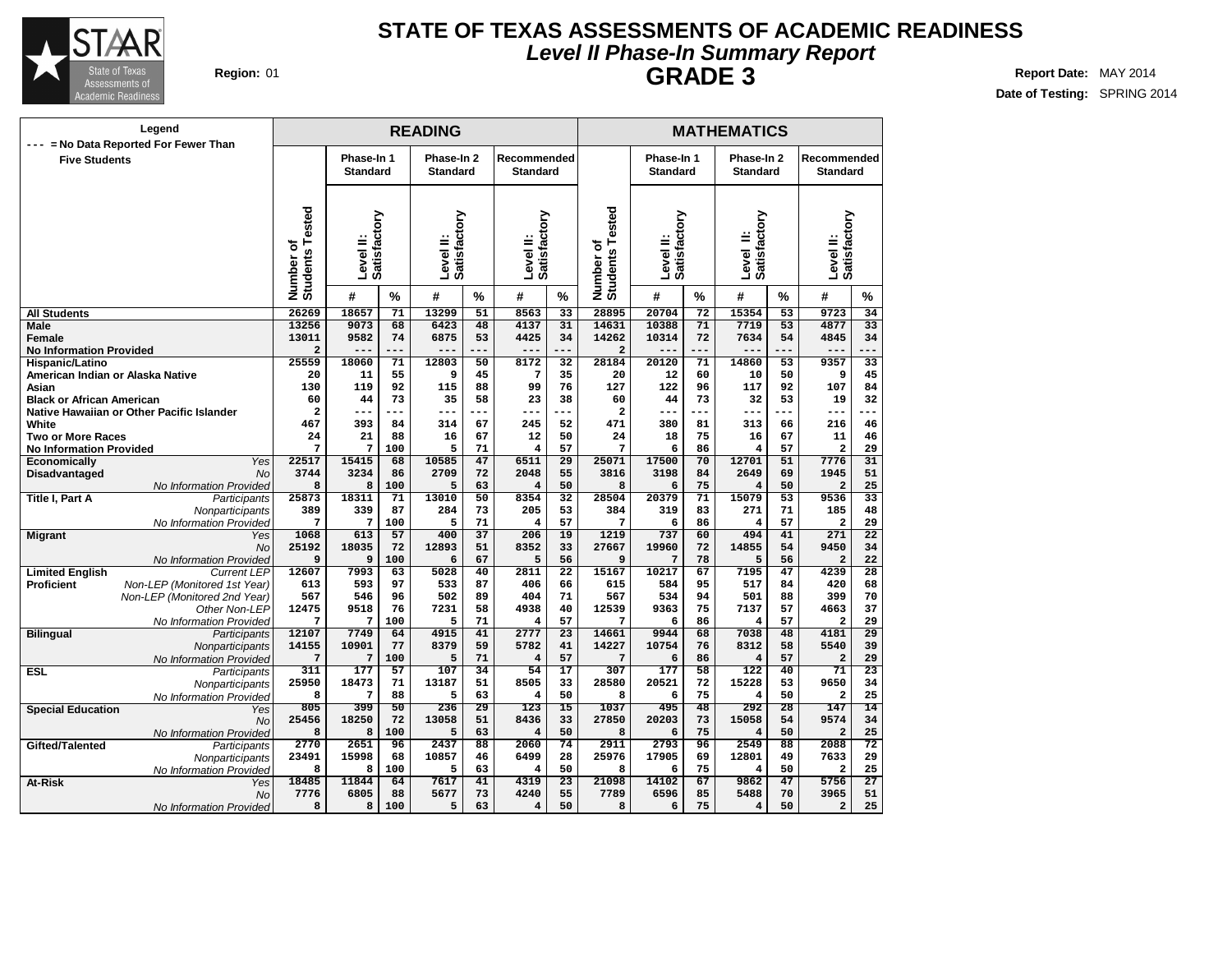

## **Level II Phase-In Summary Report STATE OF TEXAS ASSESSMENTS OF ACADEMIC READINESS GRADE 3 Region:** 01 **Report** Date: MAY 2014

| Legend<br>= No Data Reported For Fewer Than                 |                              |                               |           | <b>READING</b>                |                 |                                |                 |                                   |                               |          | <b>MATHEMATICS</b>            |                 |                                |                 |
|-------------------------------------------------------------|------------------------------|-------------------------------|-----------|-------------------------------|-----------------|--------------------------------|-----------------|-----------------------------------|-------------------------------|----------|-------------------------------|-----------------|--------------------------------|-----------------|
| $---$<br><b>Five Students</b>                               |                              | Phase-In 1<br><b>Standard</b> |           | Phase-In 2<br><b>Standard</b> |                 | Recommended<br><b>Standard</b> |                 |                                   | Phase-In 1<br><b>Standard</b> |          | Phase-In 2<br><b>Standard</b> |                 | Recommended<br><b>Standard</b> |                 |
|                                                             | Number of<br>Students Tested | Satisfactory<br>Level II:     |           | Satisfactory<br>Level II:     |                 | Satisfactory<br>Level II:      |                 | ested<br>Number of<br>Students Te | Level II:<br>Satisfactory     |          | Level II:<br>Satisfactory     |                 | Level II:<br>Satisfactory      |                 |
|                                                             |                              | #                             | %         | #                             | %               | #                              | $\%$            |                                   | #                             | %        | #                             | %               | #                              | $\frac{0}{0}$   |
| <b>All Students</b>                                         | 26269                        | 18657                         | 71        | 13299                         | 51              | 8563                           | 33              | 28895                             | 20704                         | 72       | 15354                         | 53              | 9723                           | 34              |
| <b>Male</b>                                                 | 13256                        | 9073                          | 68        | 6423                          | 48              | 4137                           | 31              | 14631                             | 10388                         | 71       | 7719                          | $\overline{53}$ | 4877                           | $\overline{33}$ |
| <b>Female</b>                                               | 13011                        | 9582                          | 74        | 6875                          | 53              | 4425                           | 34              | 14262                             | 10314                         | 72       | 7634                          | 54              | 4845                           | 34              |
| <b>No Information Provided</b>                              | $\overline{a}$               | $- - -$                       | ---       | $---$                         |                 | ---                            | ---             | $\overline{a}$                    | $---$                         | ---      | $---$                         |                 | ---                            |                 |
| Hispanic/Latino                                             | 25559                        | 18060                         | 71        | 12803                         | 50              | 8172                           | 32              | 28184                             | 20120                         | 71       | 14860                         | 53              | 9357                           | 33              |
| American Indian or Alaska Native                            | 20                           | 11                            | 55        | 9                             | 45              | 7                              | 35              | 20                                | 12                            | 60       | 10                            | 50              | 9                              | 45              |
| Asian                                                       | 130                          | 119                           | 92        | 115                           | 88              | 99                             | 76              | 127                               | 122                           | 96       | 117                           | 92              | 107                            | 84              |
| <b>Black or African American</b>                            | 60                           | 44                            | 73        | 35                            | 58              | 23                             | 38              | 60                                | 44                            | 73       | 32                            | 53              | 19                             | 32              |
| Native Hawaiian or Other Pacific Islander                   | $\overline{\mathbf{2}}$      | $---$                         | $---$     | ---                           |                 | ---                            | --              | $\overline{\mathbf{2}}$           | $---$                         | ---      | $---$                         | ---             | $---$                          |                 |
| White                                                       | 467                          | 393                           | 84        | 314                           | 67              | 245                            | 52              | 471                               | 380                           | 81       | 313                           | 66              | 216                            | 46              |
| <b>Two or More Races</b>                                    | 24                           | 21                            | 88        | 16                            | 67              | 12                             | 50              | 24                                | 18                            | 75       | 16                            | 67              | 11                             | 46              |
| <b>No Information Provided</b>                              | 7                            | 7                             | 100       | 5                             | 71              | $\overline{4}$                 | 57              | 7                                 | 6                             | 86       | 4                             | 57              | $\overline{a}$                 | 29              |
| Yes<br>Economically                                         | 22517                        | 15415                         | 68        | 10585                         | 47              | 6511                           | $\overline{29}$ | 25071                             | 17500                         | 70       | 12701                         | $\overline{51}$ | 7776                           | $\overline{31}$ |
| <b>No</b><br>Disadvantaged                                  | 3744                         | 3234                          | 86        | 2709                          | 72              | 2048                           | 55              | 3816                              | 3198                          | 84       | 2649                          | 69              | 1945                           | 51              |
| No Information Provided                                     | 8                            | 8                             | 100       | 5                             | 63              | $\overline{\mathbf{4}}$        | 50              | 8                                 | 6                             | 75       | 4                             | 50              | $\overline{a}$                 | 25              |
| <b>Title I. Part A</b><br>Participants                      | 25873                        | 18311                         | 71        | 13010                         | 50              | 8354                           | 32              | 28504                             | 20379                         | 71       | 15079                         | 53              | 9536                           | 33              |
| Nonparticipants                                             | 389                          | 339                           | 87        | 284                           | 73              | 205                            | 53              | 384                               | 319                           | 83       | 271                           | 71              | 185                            | 48              |
| No Information Provided                                     | 7                            | 7                             | 100       | 5                             | 71              | 4                              | 57              | 7                                 | 6                             | 86       | $\overline{4}$                | 57              | $\overline{a}$                 | 29              |
| <b>Migrant</b><br>Yes                                       | 1068                         | 613                           | 57        | 400                           | $\overline{37}$ | 206                            | 19              | 1219                              | 737                           | 60       | 494                           | 41              | 271                            | $\overline{22}$ |
| <b>No</b>                                                   | 25192                        | 18035                         | 72        | 12893                         | 51              | 8352                           | 33              | 27667                             | 19960                         | 72       | 14855                         | 54              | 9450                           | 34              |
| No Information Provided                                     | 9                            | 9                             | 100       | 6                             | 67              | 5                              | 56              | 9                                 | 7                             | 78       | 5                             | 56              | $\overline{a}$                 | 22              |
| <b>Limited English</b><br><b>Current LEP</b>                | 12607                        | 7993                          | 63        | 5028                          | 40              | 2811                           | $\overline{22}$ | 15167                             | 10217                         | 67       | 7195                          | $\overline{47}$ | 4239                           | $\overline{28}$ |
| <b>Proficient</b><br>Non-LEP (Monitored 1st Year)           | 613                          | 593                           | 97        | 533                           | 87              | 406                            | 66              | 615                               | 584                           | 95       | 517                           | 84              | 420                            | 68              |
| Non-LEP (Monitored 2nd Year)                                | 567                          | 546                           | 96        | 502                           | 89              | 404                            | 71              | 567                               | 534                           | 94       | 501                           | 88              | 399                            | 70              |
| Other Non-LEP                                               | 12475<br>7                   | 9518<br>7                     | 76<br>100 | 7231<br>5                     | 58<br>71        | 4938<br>4                      | 40<br>57        | 12539<br>7                        | 9363<br>6                     | 75<br>86 | 7137<br>4                     | 57<br>57        | 4663<br>$\overline{a}$         | 37<br>29        |
| No Information Provided<br><b>Bilingual</b><br>Participants | 12107                        | 7749                          | 64        | 4915                          | 41              | 2777                           | $\overline{23}$ | 14661                             | 9944                          | 68       | 7038                          | 48              | 4181                           | $\overline{29}$ |
| Nonparticipants                                             | 14155                        | 10901                         | 77        | 8379                          | 59              | 5782                           | 41              | 14227                             | 10754                         | 76       | 8312                          | 58              | 5540                           | 39              |
| No Information Provided                                     | 7                            | 7                             | 100       | 5                             | 71              | $\overline{\mathbf{4}}$        | 57              | 7                                 | 6                             | 86       | $\overline{4}$                | 57              | $\overline{\mathbf{2}}$        | 29              |
| <b>ESL</b><br>Participants                                  | 311                          | 177                           | 57        | 107                           | 34              | 54                             | 17              | 307                               | 177                           | 58       | 122                           | 40              | 71                             | 23              |
|                                                             | 25950                        | 18473                         | 71        | 13187                         | 51              | 8505                           | 33              | 28580                             | 20521                         | 72       | 15228                         | 53              | 9650                           | 34              |
| Nonparticipants<br>No Information Provided                  | 8                            | 7                             | 88        | 5                             | 63              | $\overline{4}$                 | 50              | 8                                 | 6                             | 75       | 4                             | 50              | $\overline{a}$                 | 25              |
|                                                             | 805                          | 399                           | 50        | 236                           | 29              | 123                            | $\overline{15}$ | 1037                              | 495                           | 48       | 292                           | 28              | 147                            | 14              |
| <b>Special Education</b><br>Yes<br>No                       | 25456                        | 18250                         | 72        | 13058                         | 51              | 8436                           | 33              | 27850                             | 20203                         | 73       | 15058                         | 54              | 9574                           | 34              |
| No Information Provided                                     | 8                            | 8                             | 100       | 5                             | 63              | $\overline{4}$                 | 50              | 8                                 | 6                             | 75       | 4                             | 50              | $\overline{a}$                 | 25              |
| Gifted/Talented<br>Participants                             | 2770                         | 2651                          | 96        | 2437                          | 88              | 2060                           | 74              | 2911                              | 2793                          | 96       | 2549                          | 88              | 2088                           | 72              |
| Nonparticipants                                             | 23491                        | 15998                         | 68        | 10857                         | 46              | 6499                           | 28              | 25976                             | 17905                         | 69       | 12801                         | 49              | 7633                           | 29              |
| No Information Provided                                     | 8                            | 8                             | 100       | 5                             | 63              | 4                              | 50              | 8                                 | 6                             | 75       | 4                             | 50              | $\overline{\mathbf{2}}$        | 25              |
| At-Risk<br>Yes                                              | 18485                        | 11844                         | 64        | 7617                          | 41              | 4319                           | $\overline{23}$ | 21098                             | 14102                         | 67       | 9862                          | 47              | 5756                           | $\overline{27}$ |
| No                                                          | 7776                         | 6805                          | 88        | 5677                          | 73              | 4240                           | 55              | 7789                              | 6596                          | 85       | 5488                          | 70              | 3965                           | 51              |
| No Information Provided                                     | 8                            | 8                             | 100       | 5                             | 63              | 4                              | 50              | 8                                 | 6                             | 75       | 4                             | 50              | $\mathbf{2}$                   | 25              |
|                                                             |                              |                               |           |                               |                 |                                |                 |                                   |                               |          |                               |                 |                                |                 |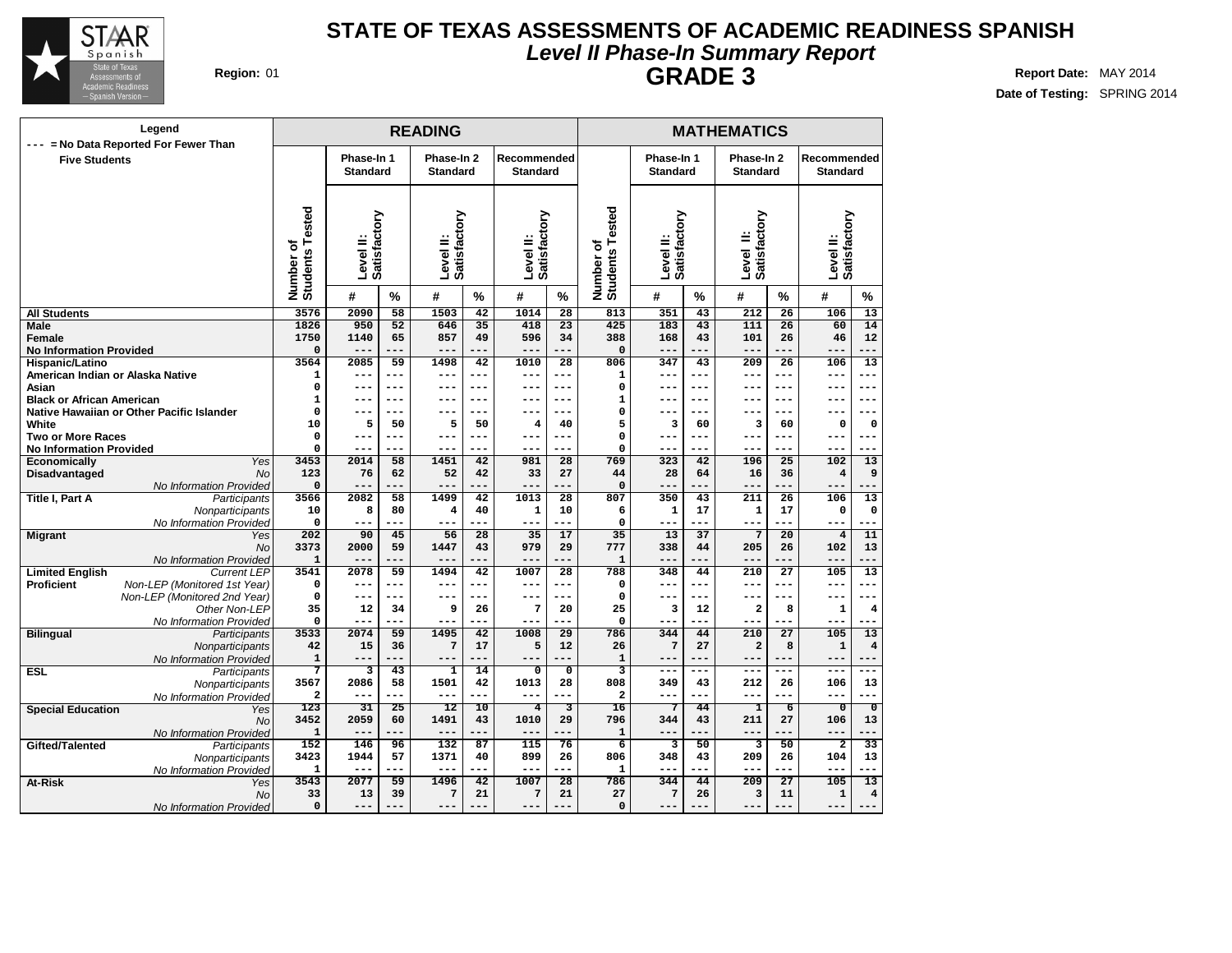

## **Level II Phase-In Summary Report STATE OF TEXAS ASSESSMENTS OF ACADEMIC READINESS SPANISH GRADE 3 Region:** 01 **Report** Date: MAY 2014

| Legend                                                             |                              |                               |            | <b>READING</b>                |                 |                                |                         |                                                |                               |            | <b>MATHEMATICS</b>            |                 |                                |                                  |
|--------------------------------------------------------------------|------------------------------|-------------------------------|------------|-------------------------------|-----------------|--------------------------------|-------------------------|------------------------------------------------|-------------------------------|------------|-------------------------------|-----------------|--------------------------------|----------------------------------|
| = No Data Reported For Fewer Than<br>$---$<br><b>Five Students</b> |                              | Phase-In 1<br><b>Standard</b> |            | Phase-In 2<br><b>Standard</b> |                 | Recommended<br><b>Standard</b> |                         |                                                | Phase-In 1<br><b>Standard</b> |            | Phase-In 2<br><b>Standard</b> |                 | Recommended<br><b>Standard</b> |                                  |
|                                                                    | Number of<br>Students Tested | Satisfactory<br>Level II:     |            | Satisfactory<br>Level II:     |                 | Satisfactory<br>Level II:      |                         | sted<br>ة<br>⊢<br>Number of<br><b>Students</b> | Level II:<br>Satisfactory     |            | Level II:<br>Satisfactory     |                 | Level II:<br>Satisfactory      |                                  |
|                                                                    |                              | #                             | $\%$       | #                             | $\%$            | #                              | $\%$                    |                                                | #                             | $\%$       | #                             | $\%$            | #                              | $\%$                             |
| <b>All Students</b>                                                | 3576                         | 2090                          | 58         | 1503                          | $\overline{42}$ | 1014                           | $\overline{28}$         | 813                                            | 351                           | 43         | 212                           | 26              | 106                            | 13                               |
| <b>Male</b>                                                        | 1826                         | 950                           | 52         | 646                           | 35              | 418                            | 23                      | 425                                            | 183                           | 43         | 111                           | 26              | 60                             | 14                               |
| Female                                                             | 1750                         | 1140                          | 65         | 857                           | 49              | 596                            | 34                      | 388                                            | 168                           | 43         | 101                           | 26              | 46                             | 12                               |
| <b>No Information Provided</b>                                     | 0                            | $---$                         | ---        | $---$                         | ---             | ---                            | ---                     | $\Omega$                                       | $---$                         | ---        | $---$                         | ---             | ---                            | ---                              |
| Hispanic/Latino                                                    | 3564                         | 2085                          | 59         | 1498                          | 42              | 1010                           | 28                      | 806                                            | 347                           | 43         | 209                           | 26              | 106                            | 13                               |
| American Indian or Alaska Native                                   | 1                            | $---$                         | ---        | $---$                         | $- - -$         | $---$                          | ---                     | $\mathbf{1}$                                   | ---                           | ---        | $- - -$                       | ---             | ---                            | $---$                            |
| Asian                                                              | $\mathbf 0$                  | ---                           | ---        | ---                           | ---             | ---                            | ---                     | $\mathbf 0$                                    | ---                           | ---        | $--$                          | ---             | ---                            | $---$                            |
| <b>Black or African American</b>                                   | 1                            | $- -$                         | ---        | ---                           | ---             | ---                            | ---                     | 1                                              | ---                           | ---        | ---                           | ---             | --                             | ---                              |
| Native Hawaiian or Other Pacific Islander                          | $\mathbf 0$                  | $- -$                         | ---        |                               | ---             | ---                            | ---                     | 0                                              | ---                           | ---        |                               | $---$           | --                             | ---                              |
| White                                                              | 10                           | 5                             | 50         | 5                             | 50              | 4                              | 40                      | 5                                              | з                             | 60         | 3                             | 60              | 0                              | 0                                |
| <b>Two or More Races</b>                                           | $\mathbf 0$<br>$\Omega$      | $- -$<br>$---$                | ---<br>--- | ---<br>$--$                   | ---<br>---      | ---<br>$---$                   | ---<br>---              | 0<br>$\mathbf 0$                               | ---<br>---                    | ---<br>--- | ---<br>$--$                   | ---<br>---      | ---<br>---                     | $-- -$<br>---                    |
| <b>No Information Provided</b><br>Yes<br>Economically              | 3453                         | 2014                          | 58         | 1451                          | 42              | 981                            | 28                      | 769                                            | 323                           | 42         | 196                           | 25              | 102                            | 13                               |
| <b>No</b><br>Disadvantaged                                         | 123                          | 76                            | 62         | 52                            | 42              | 33                             | 27                      | 44                                             | 28                            | 64         | 16                            | 36              | $\overline{4}$                 | 9                                |
| No Information Provided                                            | O                            | $---$                         | ---        | $---$                         | ---             | $---$                          | ---                     | $\Omega$                                       | $---$                         | ---        | $---$                         | ---             | $---$                          | ---                              |
| Title I, Part A<br>Participants                                    | 3566                         | 2082                          | 58         | 1499                          | 42              | 1013                           | 28                      | 807                                            | 350                           | 43         | 211                           | 26              | 106                            | $\overline{13}$                  |
| Nonparticipants                                                    | 10                           | 8                             | 80         | $\overline{\mathbf{4}}$       | 40              | $\mathbf 1$                    | 10                      | 6                                              | $\mathbf{1}$                  | 17         | $\mathbf{1}$                  | 17              | $\mathbf 0$                    | $\mathbf 0$                      |
| No Information Provideo                                            | $\Omega$                     | $---$                         | ---        | $---$                         |                 | ---                            | ---                     | $\Omega$                                       | $---$                         | ---        | $---$                         | ---             | ---                            | ---                              |
| <b>Migrant</b><br>Yes                                              | 202                          | 90                            | 45         | 56                            | $\overline{28}$ | 35                             | 17                      | $\overline{35}$                                | 13                            | 37         | $\overline{7}$                | $\overline{20}$ | $\overline{4}$                 | 11                               |
| <b>No</b>                                                          | 3373                         | 2000                          | 59         | 1447                          | 43              | 979                            | 29                      | 777                                            | 338                           | 44         | 205                           | 26              | 102                            | 13                               |
| No Information Provideo                                            | $\mathbf{1}$                 | $---$                         |            | $---$                         |                 | ---                            | ---                     | $\mathbf{1}$                                   | $---$                         | ---        | $---$                         | ---             | ---                            |                                  |
| <b>Limited English</b><br><b>Current LEP</b>                       | 3541                         | 2078                          | 59         | 1494                          | 42              | 1007                           | $\overline{28}$         | 788                                            | 348                           | 44         | 210                           | 27              | 105                            | 13                               |
| <b>Proficient</b><br>Non-LEP (Monitored 1st Year)                  | $\mathbf 0$                  | $---$                         | ---        | $---$                         | ---             | $---$                          | ---                     | $\mathbf 0$                                    | ---                           | ---        | $- - -$                       | ---             | ---                            | ---                              |
| Non-LEP (Monitored 2nd Year)                                       | $\mathbf 0$                  | ---                           | $---$      | ---                           |                 | ---                            | ---                     | $\mathbf 0$                                    | $---$                         | ---        | $--$                          | ---             |                                | $---$                            |
| Other Non-LEP                                                      | 35                           | 12                            | 34         | 9                             | 26              | 7                              | 20                      | 25                                             | 3                             | 12         | $\overline{\mathbf{2}}$       | 8               | $\mathbf 1$                    | 4                                |
| No Information Provided                                            | 0                            | ---                           | ---        | $---$                         |                 | $---$                          |                         | $\mathbf 0$                                    | ---                           | ---        | $--$                          | ---             | ---                            |                                  |
| <b>Bilingual</b><br>Participants                                   | 3533                         | 2074                          | 59         | 1495                          | 42              | 1008                           | 29                      | 786                                            | 344                           | 44         | 210                           | 27              | 105                            | 13                               |
| Nonparticipants                                                    | 42                           | 15<br>$---$                   | 36<br>---  | $\sqrt{7}$<br>$---$           | 17<br>---       | 5<br>$---$                     | 12<br>---               | 26                                             | $\overline{7}$                | 27<br>---  | $\overline{a}$<br>$- - -$     | 8<br>---        | $\mathbf 1$<br>---             | $\overline{\mathbf{4}}$<br>$---$ |
| No Information Provided<br><b>ESL</b><br>Participants              | $\mathbf 1$<br>7             | 3                             | 43         | $\overline{\mathbf{1}}$       | 14              | $\overline{\mathbf{0}}$        | $\overline{\mathbf{0}}$ | $\mathbf{1}$<br>3                              | ---<br>$---$                  | $---$      | $---$                         | ---             | $---$                          | $---$                            |
|                                                                    | 3567                         | 2086                          | 58         | 1501                          | 42              | 1013                           | 28                      | 808                                            | 349                           | 43         | 212                           | 26              | 106                            | 13                               |
| Nonparticipants<br>No Information Provided                         | $\overline{a}$               | $---$                         | ---        | $---$                         | ---             | $---$                          | ---                     | $\overline{\mathbf{2}}$                        | ---                           | ---        | $--$                          | ---             | ---                            | ---                              |
| <b>Special Education</b><br>Yes                                    | 123                          | 31                            | 25         | 12                            | 10              | $\overline{4}$                 | 3                       | 16                                             | 7                             | 44         | ı                             | $\overline{6}$  | $\overline{\mathfrak{o}}$      | $\overline{\mathfrak{o}}$        |
| No                                                                 | 3452                         | 2059                          | 60         | 1491                          | 43              | 1010                           | 29                      | 796                                            | 344                           | 43         | 211                           | 27              | 106                            | 13                               |
| No Information Provided                                            | $\mathbf{1}$                 | ---                           |            | $---$                         |                 | ---                            | ---                     | $\mathbf{1}$                                   | ---                           |            | $---$                         | ---             | ---                            | ---                              |
| Gifted/Talented<br>Participants                                    | 152                          | 146                           | 96         | 132                           | 87              | 115                            | 76                      | 6                                              | 3                             | 50         | 3                             | 50              | $\overline{\mathbf{2}}$        | 33                               |
| Nonparticipants                                                    | 3423                         | 1944                          | 57         | 1371                          | 40              | 899                            | 26                      | 806                                            | 348                           | 43         | 209                           | 26              | 104                            | 13                               |
| No Information Provideo                                            | 1                            | $--$                          | ---        | $---$                         |                 | ---                            |                         | 1                                              | ---                           | ---        | $---$                         | ---             |                                |                                  |
| At-Risk<br>Yes                                                     | 3543                         | 2077                          | 59         | 1496                          | 42              | 1007                           | $\overline{28}$         | 786                                            | 344                           | 44         | 209                           | 27              | 105                            | 13                               |
| No                                                                 | 33                           | 13                            | 39         | 7                             | 21              | 7                              | 21                      | 27                                             | 7                             | 26         | 3                             | 11              | $\mathbf 1$                    | 4                                |
| No Information Provided                                            | 0                            | ---                           | ---        | $---$                         |                 | ---                            | ---                     | $\mathbf 0$                                    | ---                           |            | $--$                          | ---             | ---                            | $---$                            |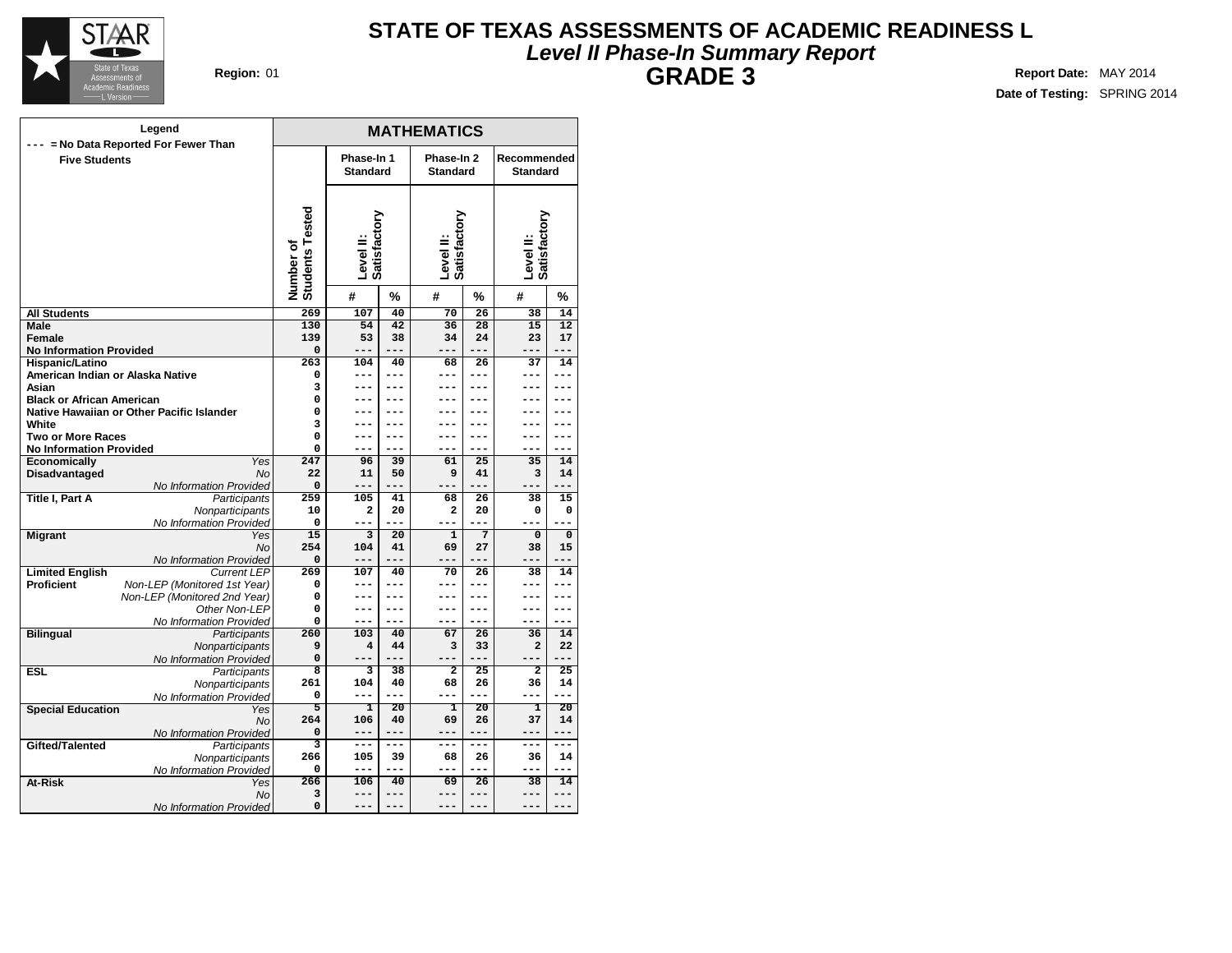

# **Level II Phase-In Summary Report STATE OF TEXAS ASSESSMENTS OF ACADEMIC READINESS L GRADE 3 Region:** 01 **Report** Date: MAY 2014

| Legend                                                        |                              |                           |                | <b>MATHEMATICS</b>        |                 |                           |                 |
|---------------------------------------------------------------|------------------------------|---------------------------|----------------|---------------------------|-----------------|---------------------------|-----------------|
| --- = No Data Reported For Fewer Than<br><b>Five Students</b> |                              | Phase-In 1                |                | Phase-In 2                |                 | Recommended               |                 |
|                                                               |                              | <b>Standard</b>           |                | <b>Standard</b>           |                 | <b>Standard</b>           |                 |
|                                                               |                              |                           |                |                           |                 |                           |                 |
|                                                               | Number of<br>Students Tested | Satisfactory<br>Level II: |                | Level II:<br>Satisfactory |                 | Level II:<br>Satisfactory |                 |
|                                                               |                              | #                         | %              | #                         | %               | #                         | %               |
| <b>All Students</b>                                           | 269                          | 107                       | 40             | $\overline{70}$           | 26              | $\overline{38}$           | 14              |
| Male                                                          | 130                          | 54                        | 42             | 36                        | 28              | 15                        | $\overline{12}$ |
| Female                                                        | 139                          | 53                        | 38             | 34                        | 24              | 23                        | 17              |
| <b>No Information Provided</b>                                | $\Omega$                     | ---                       | $---$          | ---                       |                 | $---$                     | $---$           |
| Hispanic/Latino                                               | 263                          | 104                       | 40             | 68                        | 26              | 37                        | 14              |
| American Indian or Alaska Native                              | 0                            | ---                       | $---$          | ---                       | ---             | ---                       | ---             |
| Asian                                                         | 3                            | ---                       | ---            |                           |                 |                           | ---             |
| <b>Black or African American</b>                              | $\mathbf 0$<br>$\mathbf 0$   | ---                       | ---            | ---                       | ---             | ---                       | ---             |
| Native Hawaiian or Other Pacific Islander<br>White            | 3                            |                           |                |                           |                 |                           |                 |
| <b>Two or More Races</b>                                      | 0                            | ---                       | ---            | ---                       | ---             | ---                       | ---             |
| <b>No Information Provided</b>                                | $\mathbf 0$                  | ---                       | $---$          | ---                       | ---             | ---                       | ---             |
| Economically<br>Yes                                           | 247                          | 96                        | 39             | 61                        | 25              | 35                        | 14              |
| <b>Disadvantaged</b><br><b>No</b>                             | 22                           | 11                        | 50             | 9                         | 41              | 3                         | 14              |
| No Information Provided                                       | 0                            | ---                       | $- - -$        |                           | $- - -$         |                           |                 |
| Title I, Part A<br>Participants                               | 259                          | 105                       | 41             | 68                        | 26              | 38                        | 15              |
| Nonparticipants                                               | 10                           | $\overline{\mathbf{2}}$   | 20             | $\overline{a}$            | 20              | 0                         | 0               |
| No Information Provided                                       | 0                            | ---                       | ---            |                           | ---             |                           |                 |
| <b>Migrant</b><br>Yes                                         | $\overline{15}$              | 3                         | 20             | $\mathbf{1}$              | 7               | $\Omega$                  | 0               |
| <b>No</b>                                                     | 254                          | 104                       | 41             | 69                        | 27              | 38                        | 15              |
| No Information Provided                                       | $\Omega$                     | ---                       | $---$          | ---                       |                 | $---$                     | ---             |
| <b>Limited English</b><br><b>Current LEP</b>                  | 269                          | 107                       | 40             | 70                        | 26              | 38                        | 14              |
| <b>Proficient</b><br>Non-LEP (Monitored 1st Year)             | 0                            | ---                       | ---            | ---                       | ---             | ---                       | ---             |
| Non-LEP (Monitored 2nd Year)                                  | 0                            | ---                       | $---$          | ---                       | ---             | ---                       | ---             |
| Other Non-LEP                                                 | $\Omega$<br>0                | ---<br>$---$              | $---$<br>$---$ | ---<br>---                | ---<br>---      | ---<br>$---$              | $---$<br>$---$  |
| No Information Provided                                       | 260                          | 103                       | 40             | 67                        | $\overline{26}$ | 36                        | 14              |
| <b>Bilingual</b><br>Participants<br>Nonparticipants           | 9                            | $\overline{\mathbf{4}}$   | 44             | 3                         | 33              | $\overline{a}$            | 22              |
| No Information Provided                                       | 0                            | ---                       | $-$            | ---                       | ---             | --                        |                 |
| <b>ESL</b><br>Participants                                    | 8                            | 3                         | 38             | $\overline{2}$            | 25              | $\overline{2}$            | 25              |
| Nonparticipants                                               | 261                          | 104                       | 40             | 68                        | 26              | 36                        | 14              |
| No Information Provided                                       | 0                            | ---                       | $---$          | ---                       | ---             | ---                       | ---             |
| <b>Special Education</b><br>Yes                               | $\overline{5}$               | ī                         | 20             | ī                         | 20              | ī                         | $\overline{20}$ |
| <b>No</b>                                                     | 264                          | 106                       | 40             | 69                        | 26              | 37                        | 14              |
| No Information Provided                                       | $\Omega$                     | $---$                     | $---$          | ---                       | $- - -$         | ---                       | ---             |
| Gifted/Talented<br>Participants                               | 3                            | $---$                     | $---$          | ---                       | $---$           | $---$                     | $---$           |
| Nonparticipants                                               | 266                          | 105                       | 39             | 68                        | 26              | 36                        | 14              |
| No Information Provided                                       | 0                            | ---                       | ---            | ---                       | ---             | ---                       | ---             |
| At-Risk<br><b>Yes</b>                                         | 266                          | 106                       | 40             | 69                        | $\overline{26}$ | $\overline{38}$           | 14              |
| No                                                            | 3                            | ---                       | ---            | ---                       | ---             | ---                       | ---             |
| No Information Provided                                       | 0                            |                           |                | ---                       |                 |                           |                 |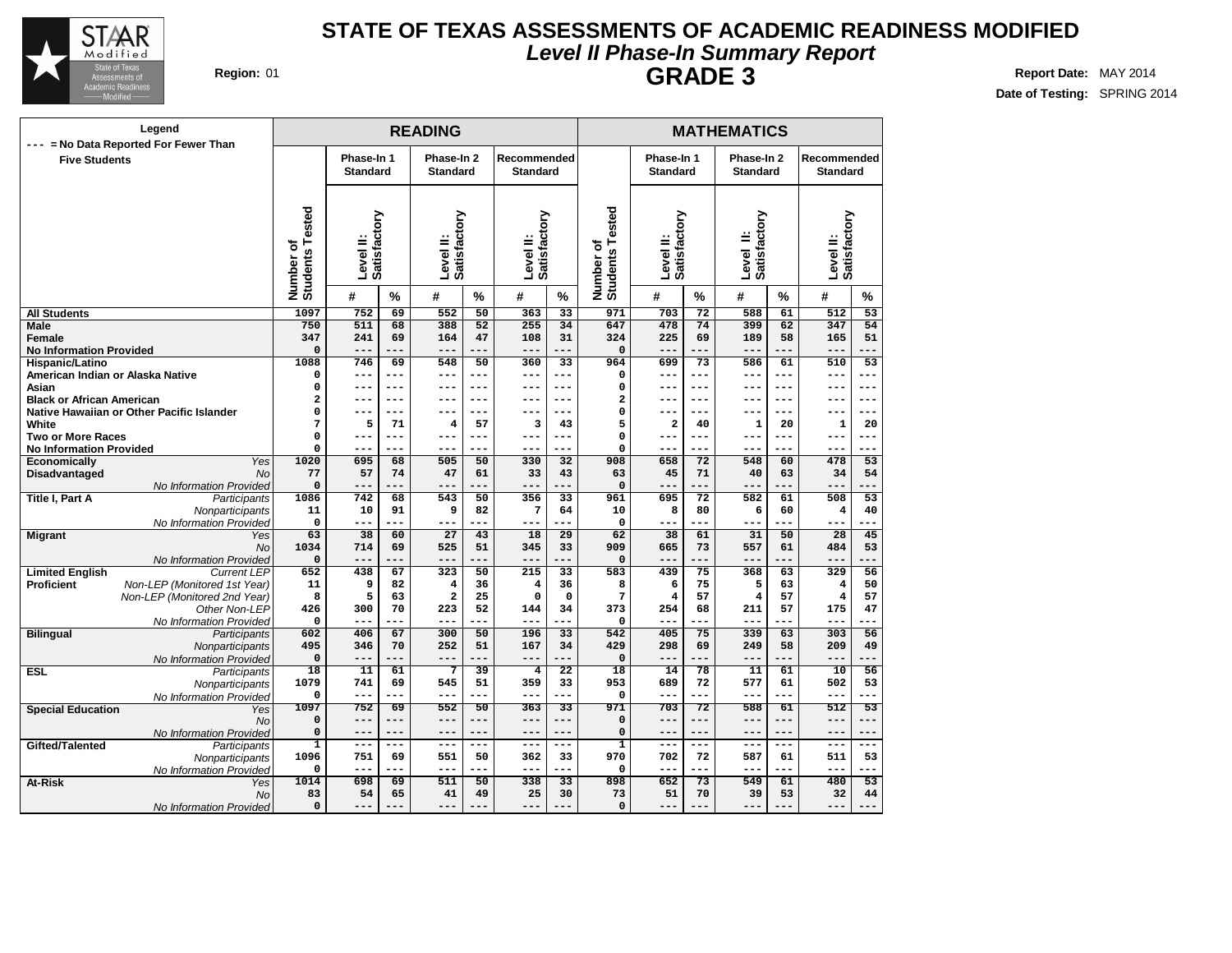

## **Level II Phase-In Summary Report STATE OF TEXAS ASSESSMENTS OF ACADEMIC READINESS MODIFIED GRADE 3 Region:** 01 **Report** Date: MAY 2014

| Legend<br>--- = No Data Reported For Fewer Than     |                              |                               |           | <b>READING</b>                |                 |                                |                 |                                                 |                               |                 | <b>MATHEMATICS</b>            |           |                                |                 |
|-----------------------------------------------------|------------------------------|-------------------------------|-----------|-------------------------------|-----------------|--------------------------------|-----------------|-------------------------------------------------|-------------------------------|-----------------|-------------------------------|-----------|--------------------------------|-----------------|
| <b>Five Students</b>                                |                              | Phase-In 1<br><b>Standard</b> |           | Phase-In 2<br><b>Standard</b> |                 | Recommended<br><b>Standard</b> |                 |                                                 | Phase-In 1<br><b>Standard</b> |                 | Phase-In 2<br><b>Standard</b> |           | Recommended<br><b>Standard</b> |                 |
|                                                     | Number of<br>Students Tested | Satisfactory<br>Level II:     |           | Satisfactory<br>Level II:     |                 | Satisfactory<br>Level II:      |                 | sted<br>ة<br>Students <sub>T</sub><br>Number of | Level II:<br>Satisfactory     |                 | Level II:<br>Satisfactory     |           | Level II:<br>Satisfactory      |                 |
|                                                     |                              | #                             | $\%$      | #                             | $\frac{9}{6}$   | #                              | $\frac{0}{0}$   |                                                 | #                             | $\frac{9}{6}$   | #                             | %         | #                              | $\frac{0}{0}$   |
| <b>All Students</b>                                 | 1097                         | 752                           | 69        | 552                           | $\overline{50}$ | 363                            | $\overline{33}$ | 971                                             | 703                           | $\overline{72}$ | 588                           | 61        | $\overline{512}$               | $\overline{53}$ |
| <b>Male</b>                                         | 750                          | 511                           | 68        | 388                           | 52              | 255                            | 34              | 647                                             | 478                           | 74              | 399                           | 62        | 347                            | 54              |
| Female                                              | 347                          | 241<br>$- - -$                | 69        | 164<br>$- - -$                | 47              | 108                            | 31<br>---       | 324                                             | 225                           | 69              | 189<br>$- - -$                | 58        | 165                            | 51              |
| <b>No Information Provided</b>                      | $\mathbf 0$<br>1088          | 746                           | ---<br>69 | 548                           | 50              | ---<br>360                     | $\overline{33}$ | $\mathbf 0$<br>964                              | $---$<br>699                  | ---<br>73       | 586                           | ---<br>61 | $---$<br>510                   | ---<br>53       |
| Hispanic/Latino<br>American Indian or Alaska Native | $\Omega$                     | $---$                         | $---$     | $---$                         | ---             | ---                            | $---$           | $\mathbf 0$                                     | $---$                         | ---             | $--$                          | $---$     | $---$                          | ---             |
| Asian                                               | $\pmb{0}$                    | $- -$                         | ---       | ---                           | ---             | ---                            | ---             | $\mathbf 0$                                     | ---                           | ---             | $- - -$                       | $---$     | ---                            | $-- -$          |
| <b>Black or African American</b>                    | $\overline{\mathbf{2}}$      | ---                           | ---       | ---                           | ---             | ---                            | $- - -$         | $\overline{\mathbf{2}}$                         | ---                           | ---             | $- -$                         | ---       | ---                            | $-- -$          |
| Native Hawaiian or Other Pacific Islander           | 0                            |                               | $---$     |                               | ---             | --                             | $---$           | $\mathbf 0$                                     | ---                           | ---             |                               | ---       |                                | $---$           |
| White                                               | 7                            | 5                             | 71        | 4                             | 57              | 3                              | 43              | 5                                               | 2                             | 40              | 1                             | 20        | 1                              | 20              |
| <b>Two or More Races</b>                            | $\mathbf 0$                  | $---$                         | $---$     | $---$                         | ---             | $---$                          | $=$ $ -$        | $\mathbf 0$                                     | ---                           | ---             | $- - -$                       | ---       | ---                            | $- - -$         |
| <b>No Information Provided</b>                      | 0                            |                               |           |                               |                 | ---                            | ---             | $\mathbf 0$                                     | $--$                          | ---             |                               |           |                                |                 |
| Economically<br>Yes                                 | 1020                         | 695                           | 68        | 505                           | 50              | 330                            | 32              | 908                                             | 658                           | 72              | 548                           | 60        | 478                            | 53              |
| <b>No</b><br>Disadvantaged                          | 77                           | 57                            | 74        | 47                            | 61              | 33                             | 43              | 63                                              | 45                            | 71              | 40                            | 63        | 34                             | 54              |
| No Information Provided                             | $\pmb{0}$                    | ---                           |           | ---                           |                 | ---                            | ---             | $\mathbf 0$                                     | $---$                         | ---             | $---$                         | ---       | ---                            |                 |
| Title I, Part A<br>Participants                     | 1086                         | 742                           | 68        | 543                           | 50              | 356                            | 33              | 961                                             | 695                           | 72              | 582                           | 61        | 508                            | 53              |
| Nonparticipants                                     | 11                           | 10                            | 91        | 9                             | 82              | 7                              | 64              | 10                                              | 8                             | 80              | 6                             | 60        | 4                              | 40              |
| No Information Provided                             | $\mathbf 0$                  | $---$                         | ---       | ---                           |                 | ---                            | ---             | $\mathbf 0$                                     | ---                           | ---             | $- - -$                       | ---       | ---                            |                 |
| <b>Migrant</b><br>Yes                               | 63                           | 38<br>714                     | 60<br>69  | 27<br>525                     | 43<br>51        | 18<br>345                      | 29<br>33        | 62                                              | 38                            | 61<br>73        | 31<br>557                     | 50        | 28<br>484                      | 45<br>53        |
| <b>No</b><br>No Information Provided                | 1034<br>0                    | ---                           |           | ---                           |                 | ---                            | ۵.              | 909<br>$\mathbf 0$                              | 665<br>$---$                  | ---             | $- - -$                       | 61<br>--- | ---                            |                 |
| <b>Limited English</b><br><b>Current LEP</b>        | 652                          | 438                           | 67        | 323                           | 50              | 215                            | 33              | 583                                             | 439                           | 75              | 368                           | 63        | 329                            | 56              |
| <b>Proficient</b><br>Non-LEP (Monitored 1st Year)   | 11                           | 9                             | 82        | 4                             | 36              | 4                              | 36              | 8                                               | 6                             | 75              | 5                             | 63        | 4                              | 50              |
| Non-LEP (Monitored 2nd Year)                        | 8                            | 5                             | 63        | $\mathbf{2}$                  | 25              | $\mathbf 0$                    | $\mathbf 0$     | 7                                               | 4                             | 57              | 4                             | 57        | $\overline{\mathbf{4}}$        | 57              |
| Other Non-LEP                                       | 426                          | 300                           | 70        | 223                           | 52              | 144                            | 34              | 373                                             | 254                           | 68              | 211                           | 57        | 175                            | 47              |
| No Information Provided                             | 0                            | ---                           | ---       | ---                           | ---             | ---                            | ---             | $\mathbf 0$                                     | $---$                         | ---             | $- - -$                       | ---       | ---                            |                 |
| <b>Bilingual</b><br>Participants                    | 602                          | 406                           | 67        | 300                           | 50              | 196                            | 33              | 542                                             | 405                           | 75              | 339                           | 63        | 303                            | 56              |
| Nonparticipants                                     | 495                          | 346                           | 70        | 252                           | 51              | 167                            | 34              | 429                                             | 298                           | 69              | 249                           | 58        | 209                            | 49              |
| No Information Provideo                             | 0                            | $- -$                         | ---       | ---                           |                 | ---                            | ---             | $\mathbf 0$                                     | ---                           | ---             | $---$                         | ---       | ---                            | ---             |
| <b>ESL</b><br>Participants                          | 18                           | 11                            | 61        | $7\phantom{.0}$               | 39              | 4                              | $\overline{22}$ | 18                                              | 14                            | 78              | 11                            | 61        | 10                             | 56              |
| Nonparticipants                                     | 1079                         | 741<br>$---$                  | 69<br>--- | 545<br>---                    | 51              | 359<br>---                     | 33<br>---       | 953                                             | 689<br>---                    | 72<br>---       | 577<br>$- - -$                | 61<br>--- | 502<br>---                     | 53              |
| No Information Provided                             | $\mathbf 0$<br>1097          | 752                           | 69        | 552                           | ---<br>50       | 363                            | 33              | $\mathbf 0$<br>971                              | 703                           | 72              | 588                           |           | 512                            | ---<br>53       |
| <b>Special Education</b><br>Yes<br>No               | $\Omega$                     | $---$                         | $---$     | $---$                         | ---             | ---                            | ---             | $\mathbf 0$                                     | ---                           | ---             | $---$                         | 61<br>--- | $---$                          | $---$           |
| No Information Provided                             | 0                            | $- -$                         | ---       | --                            |                 | ---                            | ---             | $\mathbf 0$                                     | ---                           | ---             | $- - -$                       | ---       | ---                            | --              |
| Gifted/Talented<br>Participants                     | $\mathbf{1}$                 | $---$                         | $---$     | $---$                         | ---             | $---$                          | $---$           | $\mathbf{1}$                                    | ---                           | ---             | $---$                         | ---       | ---                            | $---$           |
| Nonparticipants                                     | 1096                         | 751                           | 69        | 551                           | 50              | 362                            | 33              | 970                                             | 702                           | 72              | 587                           | 61        | 511                            | 53              |
| No Information Provideo                             | 0                            | $- -$                         | ---       | ---                           |                 | ---                            | ---             | $\mathbf 0$                                     | ---                           | ---             | $- - -$                       | ---       | ---                            | ---             |
| At-Risk<br>Yes                                      | 1014                         | 698                           | 69        | 511                           | 50              | 338                            | 33              | 898                                             | 652                           | 73              | 549                           | 61        | 480                            | 53              |
| No                                                  | 83                           | 54                            | 65        | 41                            | 49              | 25                             | 30              | 73                                              | 51                            | 70              | 39                            | 53        | 32                             | 44              |
| No Information Provided                             | 0                            | --                            |           | --                            |                 | --                             |                 | $\mathbf 0$                                     | $- -$                         |                 |                               |           | --                             |                 |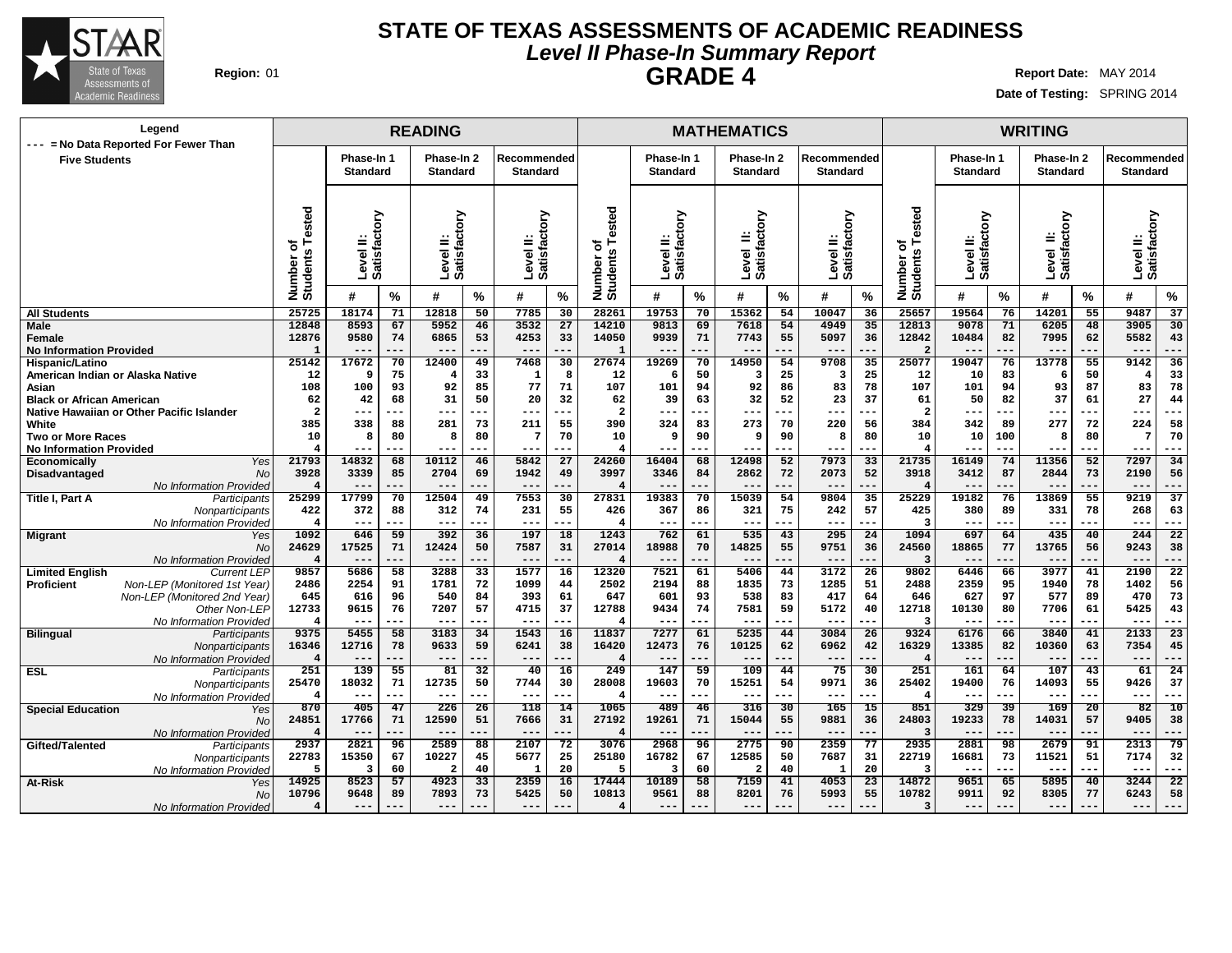

## **Level II Phase-In Summary Report STATE OF TEXAS ASSESSMENTS OF ACADEMIC READINESS GRADE 4 Region:** 01 **Report** Date: MAY 2014

|                                      | Legend                                    |                                    |                                           |               | <b>READING</b>                |           |                                |                 |                                      |                                          |          | <b>MATHEMATICS</b>            |               |                                |                 |                                          |                               |           | <b>WRITING</b>            |           |                           |                 |
|--------------------------------------|-------------------------------------------|------------------------------------|-------------------------------------------|---------------|-------------------------------|-----------|--------------------------------|-----------------|--------------------------------------|------------------------------------------|----------|-------------------------------|---------------|--------------------------------|-----------------|------------------------------------------|-------------------------------|-----------|---------------------------|-----------|---------------------------|-----------------|
| <b>Five Students</b>                 | --- = No Data Reported For Fewer Than     |                                    | Phase-In 1<br><b>Standard</b>             |               | Phase-In 2<br><b>Standard</b> |           | Recommended<br><b>Standard</b> |                 |                                      | Phase-In 1<br><b>Standard</b>            |          | Phase-In 2<br><b>Standard</b> |               | Recommended<br><b>Standard</b> |                 |                                          | Phase-In 1<br><b>Standard</b> |           | Phase-In 2<br>Standard    |           | Recommended<br>Standard   |                 |
|                                      |                                           | sted<br>ъ<br>Number of<br>Students | ζiο<br>್ಲಿಕ<br>≝<br>evel<br><b>Satisf</b> |               | Level II:<br>Satisfactory     |           | Level II:<br>Satisfactory      |                 | Tested<br>৳<br>Number of<br>Students | δ<br>ಕ<br>≐<br>ᢆ<br>4<br>Level<br>Satisf |          | Level II:<br>Satisfactory     |               | Level II:<br>Satisfactory      |                 | ested<br>۴<br>đ<br>Number of<br>Students | Satisfactory<br>evel II:<br>ı |           | Level II:<br>Satisfactory |           | Satisfactory<br>Level II: |                 |
|                                      |                                           |                                    | #                                         | $\frac{0}{0}$ | #                             | %         | #                              | %               |                                      | #                                        | %        | #                             | $\frac{9}{6}$ | #                              | %               |                                          | $\boldsymbol{t}$              | $\%$      | #                         | $\%$      | #                         | %               |
| <b>All Students</b>                  |                                           | 25725                              | 18174                                     | 71            | 12818                         | 50        | 7785                           | 30              | 28261                                | 19753                                    | 70       | 15362                         | 54            | 10047                          | 36              | 25657                                    | 19564                         | 76        | 14201                     | 55        | 9487                      | 37              |
| <b>Male</b>                          |                                           | 12848                              | 8593                                      | 67            | 5952                          | 46        | 3532                           | 27              | 14210                                | 9813                                     | 69       | 7618                          | 54            | 4949                           | 35              | 12813                                    | 9078                          | 71        | 6205                      | 48        | 3905                      | 30              |
| Female                               |                                           | 12876                              | 9580                                      | 74            | 6865                          | 53        | 4253                           | 33              | 14050                                | 9939                                     | 71       | 7743                          | 55            | 5097                           | 36              | 12842                                    | 10484                         | 82        | 7995                      | 62        | 5582                      | 43              |
| <b>No Information Provided</b>       |                                           | $\mathbf{1}$                       | $---$                                     | ---           | $--$                          |           | $ -$                           | ---             | $\mathbf{1}$                         | $- -$                                    | ---      | $- -$                         |               |                                | ---             | $\overline{2}$                           | $ -$                          | .         |                           |           | ---                       | ---             |
| Hispanic/Latino                      |                                           | 25142                              | 17672                                     | 70            | 12400                         | 49        | 7468                           | 30              | 27674                                | 19269                                    | 70       | 14950                         | 54            | 9708                           | 35              | 25077                                    | 19047                         | 76        | 13778                     | 55        | 9142                      | 36              |
| American Indian or Alaska Native     |                                           | 12                                 | - q                                       | 75            | $\overline{4}$                | 33        | 1                              | 8               | 12                                   | 6                                        | 50       | -3                            | 25            | $\overline{\mathbf{3}}$        | 25              | 12                                       | 10                            | 83        | 6                         | 50        | $\overline{4}$            | 33              |
| Asian                                |                                           | 108                                | 100                                       | 93            | 92                            | 85        | 77                             | 71              | 107                                  | 101                                      | 94       | 92                            | 86            | 83                             | 78              | 107                                      | 101                           | 94        | 93                        | 87        | 83                        | 78              |
| <b>Black or African American</b>     |                                           | 62                                 | 42                                        | 68            | 31                            | 50        | 20                             | 32              | 62                                   | 39                                       | 63       | 32                            | 52            | 23                             | 37              | 61                                       | 50                            | 82        | 37                        | 61        | 27                        | 44              |
|                                      | Native Hawaiian or Other Pacific Islander | $\overline{\mathbf{2}}$            | ---                                       |               | $---$                         | ---       | $--$                           | ---             | $\overline{2}$                       | ---                                      | ---      | ---                           | ---           | ---                            | ---             | $\overline{\mathbf{2}}$                  | ---                           | ---       | $---$                     | ---       | ---                       | ---             |
| White                                |                                           | 385                                | 338                                       | 88            | 281                           | 73        | 211                            | 55              | 390                                  | 324                                      | 83       | 273                           | 70            | 220                            | 56              | 384                                      | 342                           | 89        | 277                       | 72        | 224                       | 58              |
| <b>Two or More Races</b>             |                                           | 10                                 | 8                                         | 80            | 8                             | 80        | 7                              | 70              | 10                                   | 9                                        | 90       | S                             | 90            | 8                              | 80              | 10                                       | 10                            | 100       | 8                         | 80        | -7                        | 70              |
| <b>No Information Provided</b>       |                                           | $\overline{4}$<br>21793            | ---<br>14832                              | ---           | $---$<br>10112                | ---<br>46 | $---$<br>5842                  | ---<br>27       | 24260                                | $--$                                     | ---      | $--$<br>12498                 | ---<br>52     | ---<br>7973                    | ---<br>33       | 21735                                    | $---$<br>16149                | ---<br>74 | $---$<br>11356            | ---<br>52 | ---<br>7297               | ---<br>34       |
| Economically<br><b>Disadvantaged</b> | Yes<br><b>No</b>                          | 3928                               | 3339                                      | 68<br>85      | 2704                          | 69        | 1942                           | 49              | 3997                                 | 16404<br>3346                            | 68<br>84 | 2862                          | 72            | 2073                           | 52              | 3918                                     | 3412                          | 87        | 2844                      | 73        | 2190                      | 56              |
|                                      | No Information Provided                   | $\overline{\mathbf{4}}$            | $---$                                     | ---           | $---$                         | ---       | $---$                          | ---             |                                      | $---$                                    | ---      | $---$                         | ---           | ---                            | ---             |                                          | $---$                         | ---       | $---$                     | ---       | ---                       | ---             |
| Title I, Part A                      | Participants                              | 25299                              | 17799                                     | 70            | 12504                         | 49        | 7553                           | 30              | 27831                                | 19383                                    | 70       | 15039                         | 54            | 9804                           | 35              | 25229                                    | 19182                         | 76        | 13869                     | 55        | 9219                      | 37              |
|                                      | Nonparticipants                           | 422                                | 372                                       | 88            | 312                           | 74        | 231                            | 55              | 426                                  | 367                                      | 86       | 321                           | 75            | 242                            | 57              | 425                                      | 380                           | 89        | 331                       | 78        | 268                       | 63              |
|                                      | No Information Provided                   | $\overline{\mathbf{4}}$            | ---                                       | ---           | $---$                         | ---       | $---$                          | ---             |                                      | $---$                                    | $---$    | $- - -$                       | ---           | $---$                          | ---             |                                          | $---$                         | ---       | $---$                     | ---       | ---                       | ---             |
| <b>Migrant</b>                       | Yes                                       | 1092                               | 646                                       | 59            | 392                           | 36        | 197                            | 18              | 1243                                 | 762                                      | 61       | 535                           | 43            | 295                            | $\overline{24}$ | 1094                                     | 697                           | 64        | 435                       | 40        | 244                       | $\overline{22}$ |
|                                      | <b>No</b>                                 | 24629                              | 17525                                     | 71            | 12424                         | 50        | 7587                           | 31              | 27014                                | 18988                                    | 70       | 14825                         | 55            | 9751                           | 36              | 24560                                    | 18865                         | 77        | 13765                     | 56        | 9243                      | 38              |
|                                      | No Information Provided                   | $\overline{\mathbf{4}}$            | $---$                                     | ---           | $---$                         | ---       | $---$                          | ---             |                                      | $---$                                    | ---      | $---$                         | ---           | ---                            | ---             |                                          | $---$                         | ---       | $---$                     | ---       | ---                       | ---             |
| <b>Limited English</b>               | <b>Current LEP</b>                        | 9857                               | 5686                                      | 58            | 3288                          | 33        | 1577                           | 16              | 12320                                | 7521                                     | 61       | 5406                          | 44            | 3172                           | $\overline{26}$ | 9802                                     | 6446                          | 66        | 3977                      | 41        | 2190                      | $\overline{22}$ |
| <b>Proficient</b>                    | Non-LEP (Monitored 1st Year)              | 2486                               | 2254                                      | 91            | 1781                          | 72        | 1099                           | 44              | 2502                                 | 2194                                     | 88       | 1835                          | 73            | 1285                           | 51              | 2488                                     | 2359                          | 95        | 1940                      | 78        | 1402                      | 56              |
|                                      | Non-LEP (Monitored 2nd Year)              | 645                                | 616                                       | 96            | 540                           | 84        | 393                            | 61              | 647                                  | 601                                      | 93       | 538                           | 83            | 417                            | 64              | 646                                      | 627                           | 97        | 577                       | 89        | 470                       | 73              |
|                                      | Other Non-LEP                             | 12733                              | 9615                                      | 76            | 7207                          | 57        | 4715                           | 37              | 12788                                | 9434                                     | 74       | 7581                          | 59            | 5172                           | 40              | 12718                                    | 10130                         | 80        | 7706                      | 61        | 5425                      | 43              |
|                                      | No Information Provided                   | $\overline{4}$                     | $- -$                                     | ---           | $- -$                         | ---       | $- -$                          | ---             |                                      | $- - -$                                  | $- -$    | $- -$                         | ---           | $- -$                          | ---             | 3                                        | $\sim$ $\sim$                 | ---       | $- -$                     | ---       | $- -$                     | ---             |
| <b>Bilingual</b>                     | Participants                              | 9375                               | 5455                                      | 58            | 3183                          | 34        | 1543                           | 16              | 11837                                | 7277                                     | 61       | 5235                          | 44            | 3084                           | 26              | 9324                                     | 6176                          | 66        | 3840                      | 41        | 2133                      | 23              |
|                                      | Nonparticipants                           | 16346                              | 12716                                     | 78            | 9633                          | 59        | 6241                           | 38              | 16420                                | 12473                                    | 76       | 10125                         | 62            | 6962                           | 42              | 16329                                    | 13385                         | 82        | 10360                     | 63        | 7354                      | 45              |
|                                      | No Information Provided                   | $\overline{4}$                     | ---                                       | ---           | $--$                          |           | $\qquad \qquad -$              | ---             | $\overline{\mathbf{A}}$              | $- -$                                    | --       | $--$                          | ---           | $--$                           |                 | 4                                        | $- -$                         |           |                           |           | $- -$                     |                 |
| <b>ESL</b>                           | Participants                              | 251                                | 139                                       | 55            | 81                            | 32        | 40                             | $\overline{16}$ | 249                                  | 147                                      | 59       | 109                           | 44            | 75                             | $\overline{30}$ | 251                                      | 161                           | 64        | 107                       | 43        | 61                        | 24              |
|                                      | Nonparticipants                           | 25470                              | 18032                                     | 71            | 12735                         | 50        | 7744                           | 30              | 28008                                | 19603                                    | 70       | 15251                         | 54            | 9971                           | 36              | 25402                                    | 19400                         | 76        | 14093                     | 55        | 9426                      | 37              |
|                                      | No Information Provided                   | $\overline{4}$                     | ---                                       | ---           | $--$                          |           | $--$                           | ---             |                                      | $- -$                                    | --       | $- -$                         | ---           | ---                            | ---             | 4                                        | $- -$                         | ---       |                           |           | ---                       | ---             |
| <b>Special Education</b>             | Yes                                       | 870                                | 405                                       | 47            | 226                           | 26        | 118                            | 14              | 1065                                 | 489                                      | 46       | 316                           | 30            | 165                            | 15              | 851                                      | 329                           | 39        | 169                       | 20        | 82                        | 10              |
|                                      | No                                        | 24851                              | 17766                                     | 71            | 12590                         | 51        | 7666                           | 31              | 27192                                | 19261                                    | 71       | 15044                         | 55            | 9881                           | 36              | 24803                                    | 19233                         | 78        | 14031                     | 57        | 9405                      | 38              |
|                                      | No Information Provided                   | $\overline{4}$                     | ---                                       | ---           | $---$                         |           | $--$                           | ---             | $\overline{\mathbf{4}}$              | $---$                                    | --       | $---$                         | .             | ---                            | .               | 3                                        | $---$                         | ---       | $\overline{\phantom{m}}$  |           | $- -$                     | ---             |
| Gifted/Talented                      | Participants                              | 2937                               | 2821                                      | 96            | 2589                          | 88        | 2107                           | 72              | 3076                                 | 2968                                     | 96       | 2775                          | 90            | 2359                           | 77              | 2935                                     | 2881                          | 98        | 2679                      | 91        | 2313                      | 79              |
|                                      | Nonparticipants                           | 22783                              | 15350                                     | 67            | 10227                         | 45        | 5677                           | 25              | 25180                                | 16782                                    | 67       | 12585                         | 50            | 7687                           | 31              | 22719                                    | 16681                         | 73        | 11521                     | 51        | 7174                      | 32              |
|                                      | No Information Provided                   | 5                                  | 3                                         | 60            | $\overline{a}$                | 40        | 1                              | 20              | 5                                    | 3                                        | 60       | 2                             | 40            | $\mathbf{1}$                   | 20              |                                          | $- -$                         |           |                           |           |                           | ---             |
| At-Risk                              | Yes                                       | 14925                              | 8523                                      | 57            | 4923                          | 33        | 2359                           | 16              | 17444                                | 10189                                    | 58       | 7159                          | 41            | 4053                           | $\overline{23}$ | 14872                                    | 9651                          | 65        | 5895                      | 40        | 3244                      | $\overline{22}$ |
|                                      | No                                        | 10796                              | 9648                                      | 89            | 7893                          | 73        | 5425                           | 50              | 10813                                | 9561                                     | 88       | 8201                          | 76            | 5993                           | 55              | 10782                                    | 9911                          | 92        | 8305                      | 77        | 6243                      | 58              |
|                                      | No Information Provided                   | $\overline{\mathbf{4}}$            | ---                                       |               | $---$                         |           |                                |                 | 4                                    |                                          |          | $--$                          |               |                                |                 | 3                                        | $---$                         |           |                           |           | ---                       |                 |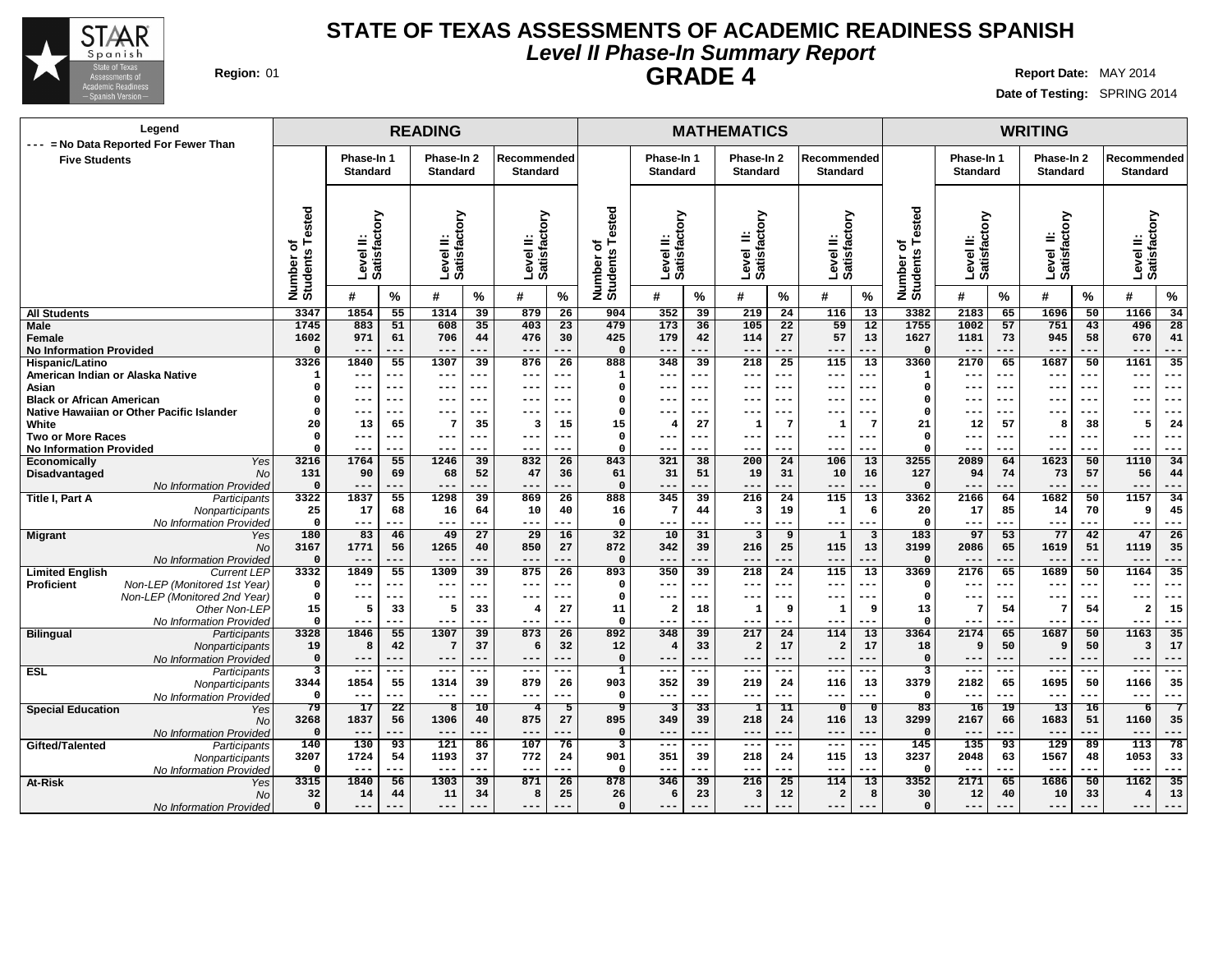

## **Level II Phase-In Summary Report STATE OF TEXAS ASSESSMENTS OF ACADEMIC READINESS SPANISH GRADE 4 Region:** 01 **Report Date:** MAY 2014

**--- --- --- --- --- ---**

**Date of Testing:** SPRING 2014

**--- --- --- --- --- ---**

## **READING MATHEMATICS WRITING Phase-In 1 Standard Phase-In 2 Standard Recommended Standard Phase-In 1 Standard Phase-In 2 Standard Recommended Standard Phase-In 1 Standard Phase-In 2 Standard Recommended Standard Level II: Satisfactory Level II: Satisfactory Level II: Satisfactory Number of Students Tested Level II: Satisfactory Level II: Satisfactory Level II: Satisfactory Number of Students Tested Level II: Satisfactory Level II: Satisfactory Level II: Satisfactory Number of Students Tested # % # % # % # % # % # % # % # % # % All Students Male Female No Information Provided Hispanic/Latino American Indian or Alaska Native Asian Black or African American Native Hawaiian or Other Pacific Islander White Two or More Races No Information Provided Economically** Yes **Disadvantaged** No No Information Provided **Title I, Part A** Participants **Nonparticipants** No Information Provided **Migrant** Yes No No Information Provided **Limited English** Current LEP 3332 **Proficient Non-LEP** (Monitored 1st Year) Non-LEP (Monitored 2nd Year) Other Non-LEP No Information Provided **Bilingual** Participants **Nonparticipants** No Information Provided **ESL** Participants **Nonparticipants** No Information Provided **Special Education** Yes No No Information Provided **Gifted/Talented** Participants **Nonparticipants** No Information Provided **At-Risk** Yes No **Legend --- = No Data Reported For Fewer Than Five Students 1854 55 1314 39 879 26 883 51 608 35 403 23 971 61 706 44 476 30 --- --- --- --- --- --- 1840 55 1307 39 876 26 --- --- --- --- --- --- --- --- --- --- --- --- --- --- --- --- --- --- --- --- --- --- --- --- 13 65 7 35 3 15 --- --- --- --- --- --- --- --- --- --- --- --- 1764 55 1246 39 832 26 90 69 68 52 47 36 --- --- --- --- --- --- 1837 55 1298 39 869 26 17 68 16 64 10 40 --- --- --- --- --- --- 83 46 49 27 29 16 1771 56 1265 40 850 27 --- --- --- --- --- --- 1849 55 1309 39 875 26 --- --- --- --- --- --- --- --- --- --- --- --- 5 33 5 33 4 27 --- --- --- --- --- --- 1846 55 1307 39 873 26 8 42 7 37 6 32 --- --- --- --- --- --- --- --- --- --- --- --- 1854 55 1314 39 879 26 --- --- --- --- --- --- 17 22 8 10 4 5 1837 56 1306 40 875 27 --- --- --- --- --- --- 130 93 121 86 107 76 1724 54 1193 37 772 24 --- --- --- --- --- --- 1840 56 1303 39 871 26 14 44 11 34 8 25 352 39 219 24 116 13 173 36 105 22 59 12 179 42 114 27 57 13 --- --- --- --- --- --- 348 39 218 25 115 13 --- --- --- --- --- --- --- --- --- --- --- --- --- --- --- --- --- --- --- --- --- --- --- --- 4 27 1 7 1 7 --- --- --- --- --- --- --- --- --- --- --- --- 321 38 200 24 106 13 31 51 19 31 10 16 --- --- --- --- --- --- 345 39 216 24 115 13 7 44 3 19 1 6 --- --- --- --- --- --- 10 31 3 9 1 3 342 39 216 25 115 13 --- --- --- --- --- --- 350 39 218 24 115 13 --- --- --- --- --- --- --- --- --- --- --- --- 2 18 1 9 1 9 --- --- --- --- --- --- 348 39 217 24 114 13 4 33 2 17 2 17 --- --- --- --- --- --- --- --- --- --- --- --- 352 39 219 24 116 13 --- --- --- --- --- --- 3 33 1 11 0 0 349 39 218 24 116 13 --- --- --- --- --- --- --- --- --- --- --- --- 351 39 218 24 115 13 --- --- --- --- --- --- 346 39 216 25 114 13 6 23 3 12 2 8 2183 65 1696 50 1166 34 1002 57 751 43 496 28 1181 73 945 58 670 41 --- --- --- --- --- --- 2170 65 1687 50 1161 35 --- --- --- --- --- --- --- --- --- --- --- --- --- --- --- --- --- --- --- --- --- --- --- --- 12 57 8 38 5 24 --- --- --- --- --- --- --- --- --- --- --- --- 2089 64 1623 50 1110 34 94 74 73 57 56 44 --- --- --- --- --- --- 2166 64 1682 50 1157 34 17 85 14 70 9 45 --- --- --- --- --- --- 97 53 77 42 47 26 2086 65 1619 51 1119 35 --- --- --- --- --- --- 2176 65 1689 50 1164 35 --- --- --- --- --- --- --- --- --- --- --- --- 7 54 7 54 2 15 --- --- --- --- --- --- 2174 65 1687 50 1163 35 9 50 9 50 3 17 --- --- --- --- --- --- --- --- --- --- --- --- 2182 65 1695 50 1166 35 --- --- --- --- --- --- 16 19 13 16 6 7 2167 66 1683 51 1160 35 --- --- --- --- --- --- 135 93 129 89 113 78 2048 63 1567 48 1053 33 --- --- --- --- --- --- 2171 65 1686 50 1162 35 12 40 10 33 4 13**

**--- --- --- --- --- ---**

No Information Provided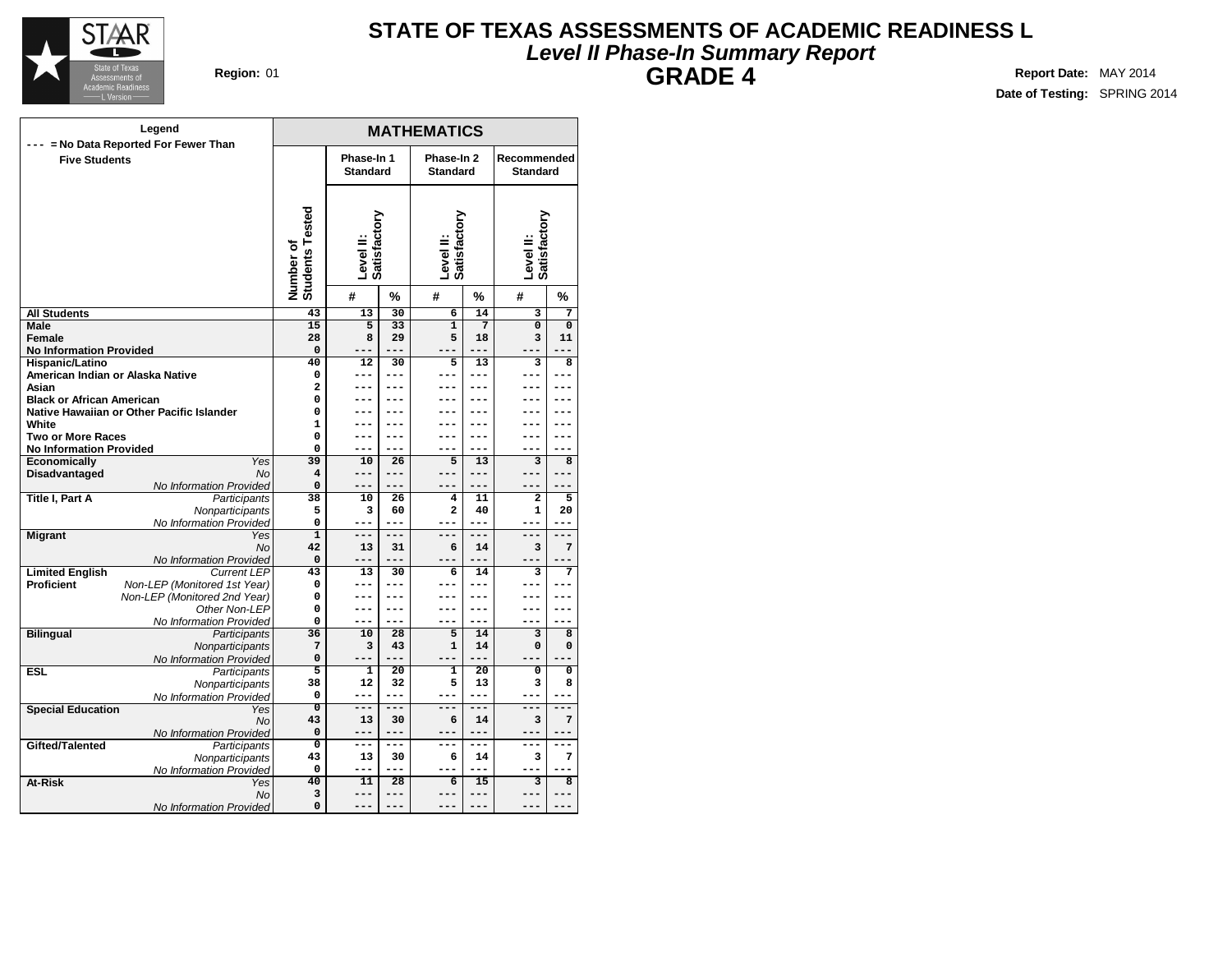

## **Level II Phase-In Summary Report STATE OF TEXAS ASSESSMENTS OF ACADEMIC READINESS L GRADE 4 Region:** 01 **Report** Date: MAY 2014

|                                      | Legend                                    |                                     |                           |                 | <b>MATHEMATICS</b>        |                 |                           |                |
|--------------------------------------|-------------------------------------------|-------------------------------------|---------------------------|-----------------|---------------------------|-----------------|---------------------------|----------------|
|                                      | --- = No Data Reported For Fewer Than     |                                     | Phase-In 1                |                 | Phase-In 2                |                 | Recommended               |                |
| <b>Five Students</b>                 |                                           |                                     | <b>Standard</b>           |                 | <b>Standard</b>           |                 | <b>Standard</b>           |                |
|                                      |                                           |                                     |                           |                 |                           |                 |                           |                |
|                                      |                                           | <b>Students Tested</b><br>Number of | Level II:<br>Satisfactory |                 | Level II:<br>Satisfactory |                 | Level II:<br>Satisfactory |                |
|                                      |                                           |                                     | #                         | %               | #                         | %               | #                         | %              |
| <b>All Students</b>                  |                                           | 43                                  | 13                        | 30              | $\overline{6}$            | 14              | $\overline{\mathbf{3}}$   | $\overline{7}$ |
| Male                                 |                                           | $\overline{15}$                     | $\overline{5}$            | 33              | $\overline{1}$            | 7               | $\overline{0}$            | $\mathbf 0$    |
| Female                               |                                           | 28                                  | 8                         | 29              | 5                         | 18              | 3                         | 11             |
| <b>No Information Provided</b>       |                                           | $\Omega$                            |                           | ---             |                           | $---$           |                           | --             |
| Hispanic/Latino                      |                                           | 40                                  | 12                        | 30              | 5                         | 13              | 3                         | 8              |
| American Indian or Alaska Native     |                                           | 0                                   | ---                       | ---             | ---                       | ---             | ---                       | ---            |
| Asian                                |                                           | $\overline{a}$                      |                           |                 |                           |                 |                           |                |
| <b>Black or African American</b>     |                                           | 0                                   | ---                       | ---             |                           | ---             |                           |                |
|                                      | Native Hawaiian or Other Pacific Islander | 0                                   | ---                       | ---             | ---                       | ---             | ---                       | ---            |
| White                                |                                           | $\mathbf{1}$                        |                           |                 |                           |                 |                           |                |
| <b>Two or More Races</b>             |                                           | 0                                   | ---                       | ---<br>$---$    | ---                       | ---<br>$---$    | ---                       | ---            |
| <b>No Information Provided</b>       | Yes                                       | 0<br>39                             | ---<br>10                 | 26              | 5                         | 13              | 3                         | 8              |
| Economically<br><b>Disadvantaged</b> | <b>No</b>                                 | 4                                   | $---$                     | ---             | ---                       | $---$           | ---                       | ---            |
|                                      | No Information Provided                   | 0                                   | ---                       | $---$           |                           |                 |                           |                |
| <b>Title I, Part A</b>               | Participants                              | 38                                  | 10                        | 26              | 4                         | 11              | $\mathbf{2}$              | 5              |
|                                      | Nonparticipants                           | 5                                   | 3                         | 60              | $\overline{a}$            | 40              | $\mathbf{1}$              | 20             |
|                                      | No Information Provided                   | 0                                   | ---                       | $- - -$         | ---                       | ---             | ---                       | $---$          |
| <b>Migrant</b>                       | Yes                                       | $\overline{1}$                      | $---$                     | $---$           | ---                       | ---             | ---                       | $---$          |
|                                      | <b>No</b>                                 | 42                                  | 13                        | 31              | 6                         | 14              | 3                         | 7              |
|                                      | No Information Provided                   | $\Omega$                            | ---                       | $---$           | ---                       | ---             | ---                       |                |
| <b>Limited English</b>               | <b>Current LEP</b>                        | 43                                  | 13                        | 30              | 6                         | 14              | 3                         | 7              |
| <b>Proficient</b>                    | Non-LEP (Monitored 1st Year)              | 0                                   | ---                       | ---             | ---                       | ---             | ---                       |                |
|                                      | Non-LEP (Monitored 2nd Year)              | 0                                   | ---                       | ---             |                           | ---             |                           | ---            |
|                                      | Other Non-LEP                             | 0                                   | ---                       | $---$           | ---                       | ---             | ---                       | ---            |
|                                      | No Information Provided                   | 0                                   | $---$                     | $---$           | ---                       | $- - -$         | ---                       | ---            |
| <b>Bilingual</b>                     | Participants                              | 36                                  | 10                        | 28              | 5                         | 14              | $\overline{\mathbf{3}}$   | 8              |
|                                      | Nonparticipants                           | 7                                   | 3                         | 43              | $\mathbf{1}$              | 14              | 0                         | 0              |
|                                      | No Information Provided                   | 0                                   | ---                       | $-$             | ---                       | ---             |                           |                |
| <b>ESL</b>                           | Participants                              | 5                                   | $\mathbf{1}$              | $\overline{20}$ | 1                         | $\overline{20}$ | 0                         | 0              |
|                                      | Nonparticipants                           | 38                                  | 12                        | 32              | 5                         | 13              | 3                         | 8              |
|                                      | No Information Provided                   | 0                                   | ---                       | ---             | ---                       | $- - -$         | ---                       | ---            |
| <b>Special Education</b>             | Yes                                       | $\overline{0}$                      | ---                       | ---             | ---                       | ---             | ===                       | ---            |
|                                      | No                                        | 43                                  | 13                        | 30              | 6                         | 14              | 3                         | 7              |
|                                      | No Information Provided                   | $\mathbf 0$                         | ---                       | $---$           | ---                       | $---$           | ---                       | ---            |
| Gifted/Talented                      | Participants                              | $\overline{0}$                      | $---$                     | $---$           | ---                       | $---$           | ---                       | $---$          |
|                                      | Nonparticipants                           | 43<br>0                             | 13<br>---                 | 30<br>---       | 6                         | 14<br>---       | 3                         | 7              |
| At-Risk                              | No Information Provided<br>Yes            | 40                                  | 11                        | $\overline{28}$ | 6                         | 15              | $\overline{\mathbf{3}}$   | 8              |
|                                      | No                                        | 3                                   | ---                       | $---$           | ---                       | $---$           | ---                       | ---            |
|                                      | No Information Provided                   | 0                                   |                           |                 |                           |                 |                           |                |
|                                      |                                           |                                     |                           |                 |                           |                 |                           |                |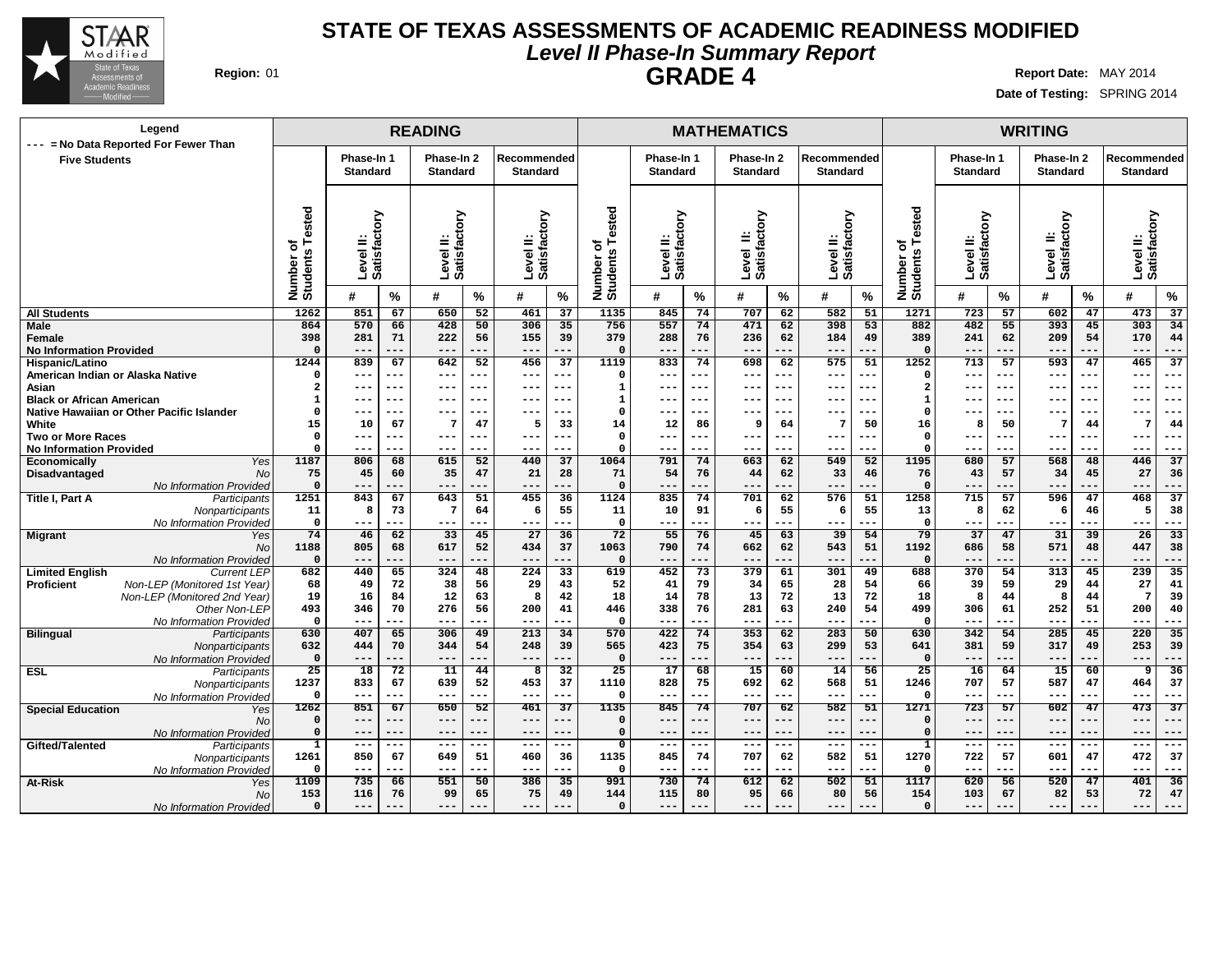

## **Level II Phase-In Summary Report STATE OF TEXAS ASSESSMENTS OF ACADEMIC READINESS MODIFIED GRADE 4 Region:** 01 **Report Date:** MAY 2014

## **Date of Testing:** SPRING 2014 **READING MATHEMATICS WRITING Phase-In 1 Standard Phase-In 2 Standard Recommended Standard Phase-In 1 Standard Phase-In 2 Standard Recommended Standard Phase-In 1 Standard Phase-In 2 Standard Recommended Standard Level II: Satisfactory Level II: Satisfactory Level II: Satisfactory Number of Students Tested Level II: Satisfactory Level II: Satisfactory Level II: Satisfactory Number of Students Tested Level II: Satisfactory Level II: Satisfactory Level II: Satisfactory Number of Students Tested # % # % # % # % # % # % # % # % # % All Students Male Female No Information Provided Hispanic/Latino Legend --- = No Data Reported For Fewer Than Five Students 851 67 650 52 461 37 570 66 428 50 306 35 281 71 222 56 155 39 --- --- --- --- --- --- 839 67 642 52 456 37 --- --- --- --- --- --- --- --- --- --- --- --- --- --- --- --- --- --- --- --- --- --- --- --- 10 67 7 47 5 33 --- --- --- --- --- --- --- --- --- --- --- --- 806 68 615 52 440 37 45 60 35 47 21 28 845 74 707 62 582 51 557 74 471 62 398 53 288 76 236 62 184 49 --- --- --- --- --- --- 833 74 698 62 575 51 --- --- --- --- --- --- --- --- --- --- --- --- --- --- --- --- --- --- --- --- --- --- --- --- 12 86 9 64 7 50 --- --- --- --- --- --- --- --- --- --- --- --- 791 74 663 62 549 52 54 76 44 62 33 46 723 57 602 47 473 37 482 55 393 45 303 34 241 62 209 54 170 44 --- --- --- --- --- --- 713 57 593 47 465 37**

| American Indian or Alaska Native |                                           |              | ---     | $- -$   |         | ---   | --- | --- | $\Omega$     | $- - \cdot$ | --    |          | ---   | ---   | ---     |          | --- | $- - -$ | --  | $- - -$ | $- -$   |         |
|----------------------------------|-------------------------------------------|--------------|---------|---------|---------|-------|-----|-----|--------------|-------------|-------|----------|-------|-------|---------|----------|-----|---------|-----|---------|---------|---------|
| Asian                            |                                           | 2            | $- - -$ | $- - -$ | ---     | ---   | --- | --- | $\mathbf{1}$ | $- - -$     | ---   | ---      | ---   | ---   | $- - -$ |          | --- | $- - -$ | --- | $- - -$ | $- - -$ | ---     |
| <b>Black or African American</b> |                                           |              | $- - -$ | ---     | $- - -$ | ---   | --- | --- | 1            | $- - -$     | ---   | ---      | ---   | ---   | ---     |          | --- | $- - -$ | --- | $- - -$ | $- - -$ | ---     |
|                                  | Native Hawaiian or Other Pacific Islander |              | $- - -$ | $- - -$ |         | ---   | --- | --- | $\Omega$     | $- - \cdot$ | ---   | ---      | ---   | ---   | $- - -$ |          | --- | ---     | --  | ---     | ---     | ---     |
| White                            |                                           | 15           | 10      | 67      |         | 47    | 5   | 33  | 14           | 12          | 86    | <b>g</b> | 64    | 7     | 50      | 16       | -8  | 50      | 7   | 44      |         | 44      |
| <b>Two or More Races</b>         |                                           |              | $-- -$  | $--$    | $--$    | ---   | --- | --- | $\Omega$     | $- - -$     | ---   | ---      | ---   | ---   | $--$    |          | --- | $--$    | --  | $--$    | $- - -$ |         |
| <b>No Information Provided</b>   |                                           |              | $-- -$  | ---     | $--$    | ---   | --- | --- | $\Omega$     | $---$       | ---   | ---      | ---   | ---   |         |          | --- | ---     | --- |         | $---$   | ---     |
| Economically                     | <b>Yes</b>                                | 1187         | 806     | 68      | 615     | 52    | 440 | 37  | 1064         | 791         | 74    | 663      | 62    | 549   | 52      | 1195     | 680 | 57      | 568 | 48      | 446     | 37      |
| Disadvantaged                    | <b>No</b>                                 | 75           | 45      | 60      | 35      | 47    | 21  | 28  | 71           | 54          | 76    | 44       | 62    | 33    | 46      | 76       | 43  | 57      | 34  | 45      | 27      | 36      |
|                                  | No Information Provided                   | $\Omega$     | $---$   | ---     | $---$   | ---   | --- | --- | $\Omega$     | $---$       | ---   | ---      | ---   | ---   | ---     |          | --- | ---     | --- | ---     | $---$   | ---     |
| <b>Title I, Part A</b>           | Participants                              | 1251         | 843     | 67      | 643     | 51    | 455 | 36  | 1124         | 835         | 74    | 701      | 62    | 576   | 51      | 1258     | 715 | 57      | 596 | 47      | 468     | 37      |
|                                  | Nonparticipants                           | 11           | 8       | 73      |         | 64    | -6  | 55  | 11           | 10          | 91    | -6       | 55    | 6     | 55      | 13       | -8  | 62      | 6   | 46      |         | 38      |
|                                  | No Information Provided                   | $\mathbf{0}$ | $---$   | ---     | $---$   | ---   | --- | --- | $\Omega$     | $--$        | ---   | ---      | $---$ | $---$ | ---     | $\Omega$ | --- | $---$   | --- | ---     | $---$   | ---     |
| <b>Migrant</b>                   | Yes                                       | 74           | 46      | 62      | 33      | 45    | 27  | 36  | 72           | 55          | 76    | 45       | 63    | 39    | 54      | 79       | 37  | 47      | 31  | 39      | 26      | 33      |
|                                  | No                                        | 1188         | 805     | 68      | 617     | 52    | 434 | 37  | 1063         | 790         | 74    | 662      | 62    | 543   | 51      | 1192     | 686 | 58      | 571 | 48      | 447     | 38      |
|                                  | No Information Provided                   | $\Omega$     | ---     |         | $- - -$ | $- -$ | --- | --- | $\Omega$     | $--$        |       | ---      | ---   | ---   |         |          | --- | ---     | --- |         | ---     |         |
| <b>Limited English</b>           | <b>Current LEP</b>                        | 682          | 440     | 65      | 324     | 48    | 224 | 33  | 619          | 452         | 73    | 379      | 61    | 301   | 49      | 688      | 370 | 54      | 313 | 45      | 239     | 35      |
| Proficient                       | Non-LEP (Monitored 1st Year)              | 68           | 49      | 72      | 38      | 56    | 29  | 43  | 52           | 41          | 79    | 34       | 65    | 28    | 54      | 66       | 39  | 59      | 29  | 44      | 27      | 41      |
|                                  | Non-LEP (Monitored 2nd Year)              | 19           | 16      | 84      | 12      | 63    | -8  | 42  | 18           | 14          | 78    | 13       | 72    | 13    | 72      | 18       | -8  | 44      |     | 44      |         | 39      |
|                                  | Other Non-LEP                             | 493          | 346     | 70      | 276     | 56    | 200 | 41  | 446          | 338         | 76    | 281      | 63    | 240   | 54      | 499      | 306 | 61      | 252 | 51      | 200     | 40      |
|                                  | No Information Provided                   | $\mathbf{0}$ | $--$    |         |         | $- -$ | --- | --- | $\Omega$     | $- -$       | ---   | ---      | ---   | ---   |         |          | --- | ---     | --- |         | ---     |         |
| <b>Bilingual</b>                 | Participants                              | 630          | 407     | 65      | 306     | 49    | 213 | 34  | 570          | 422         | 74    | 353      | 62    | 283   | 50      | 630      | 342 | 54      | 285 | 45      | 220     | 35      |
|                                  | Nonparticipants                           | 632          | 444     | 70      | 344     | 54    | 248 | 39  | 565          | 423         | 75    | 354      | 63    | 299   | 53      | 641      | 381 | 59      | 317 | 49      | 253     | 39      |
|                                  | No Information Provided                   | $\mathbf 0$  | ---     | ---     | $-- -$  | .     | --- | --- | $\Omega$     | $--$        | .     | ---      | ---   | ---   |         |          | --- | ---     | --- |         | $---$   |         |
| ESL                              | Participants                              | 25           | 18      | 72      | 11      | 44    | 8   | 32  | 25           | 17          | 68    | 15       | 60    | 14    | 56      | 25       | 16  | 64      | 15  | 60      | 9       | 36      |
|                                  | Nonparticipants                           | 1237         | 833     | 67      | 639     | 52    | 453 | 37  | 1110         | 828         | 75    | 692      | 62    | 568   | 51      | 1246     | 707 | 57      | 587 | 47      | 464     | 37      |
|                                  | No Information Provided                   | - 0          | $--$    | $--$    | $--$    | ---   | --- | --- | $\mathbf 0$  | $- - -$     | ---   | $---$    | ---   | ---   | ---     |          | --- | $---$   | --- | ---     | $--$    | ---     |
| <b>Special Education</b>         | Yes                                       | 1262         | 851     | 67      | 650     | 52    | 461 | 37  | 1135         | 845         | 74    | 707      | 62    | 582   | 51      | 1271     | 723 | 57      | 602 | 47      | 473     | 37      |
|                                  | No                                        | $\Omega$     | ---     | ---     | $---$   | ---   | --- | --- | $\Omega$     | $- - -$     | ---   | ---      | ---   | ---   | ---     |          | --- | ---     | --- | ---     | $- - -$ |         |
|                                  | No Information Provided                   | $\Omega$     | $---$   | $---$   | $---$   | ---   | --- | --- | $\Omega$     | $---$       | ---   | $---$    | $---$ | $---$ | $--$    |          | --- | $---$   | --- | $--$    | $---$   | ---     |
| Gifted/Talented                  | Participants                              | $\mathbf{1}$ | $-- -$  | ---     | $- - -$ | ---   | --- | --- | $\mathbf{0}$ | $- - -$     | $---$ | ---      | ---   | ---   | $- -$   |          | --- | ---     | --- | ---     | $- - -$ | $- - -$ |
|                                  | Nonparticipants                           | 1261         | 850     | 67      | 649     | 51    | 460 | 36  | 1135         | 845         | 74    | 707      | 62    | 582   | 51      | 1270     | 722 | 57      | 601 | 47      | 472     | 37      |
|                                  | No Information Provided                   | $\Omega$     | ---     | ---     | $--$    | ---   | --- | --- | 0            | $- - -$     | ---   | ---      | ---   | ---   | ---     |          | --- | ---     | --- | ---     | $---$   | ---     |
| At-Risk                          | Yes                                       | 1109         | 735     | 66      | 551     | 50    | 386 | 35  | 991          | 730         | 74    | 612      | 62    | 502   | 51      | 1117     | 620 | 56      | 520 | 47      | 401     | 36      |
|                                  | No                                        | 153          | 116     | 76      | 99      | 65    | 75  | 49  | 144          | 115         | 80    | 95       | 66    | 80    | 56      | 154      | 103 | 67      | 82  | 53      | 72      | 47      |
|                                  | No Information Provided                   | $\Omega$     | ---     | ---     | $- - -$ | $- -$ | --- | --- | $\Omega$     | $- -$       | .     | ---      | ---   | ---   |         |          | --- | ---     | --  |         | $- - -$ | ---     |
|                                  |                                           |              |         |         |         |       |     |     |              |             |       |          |       |       |         |          |     |         |     |         |         |         |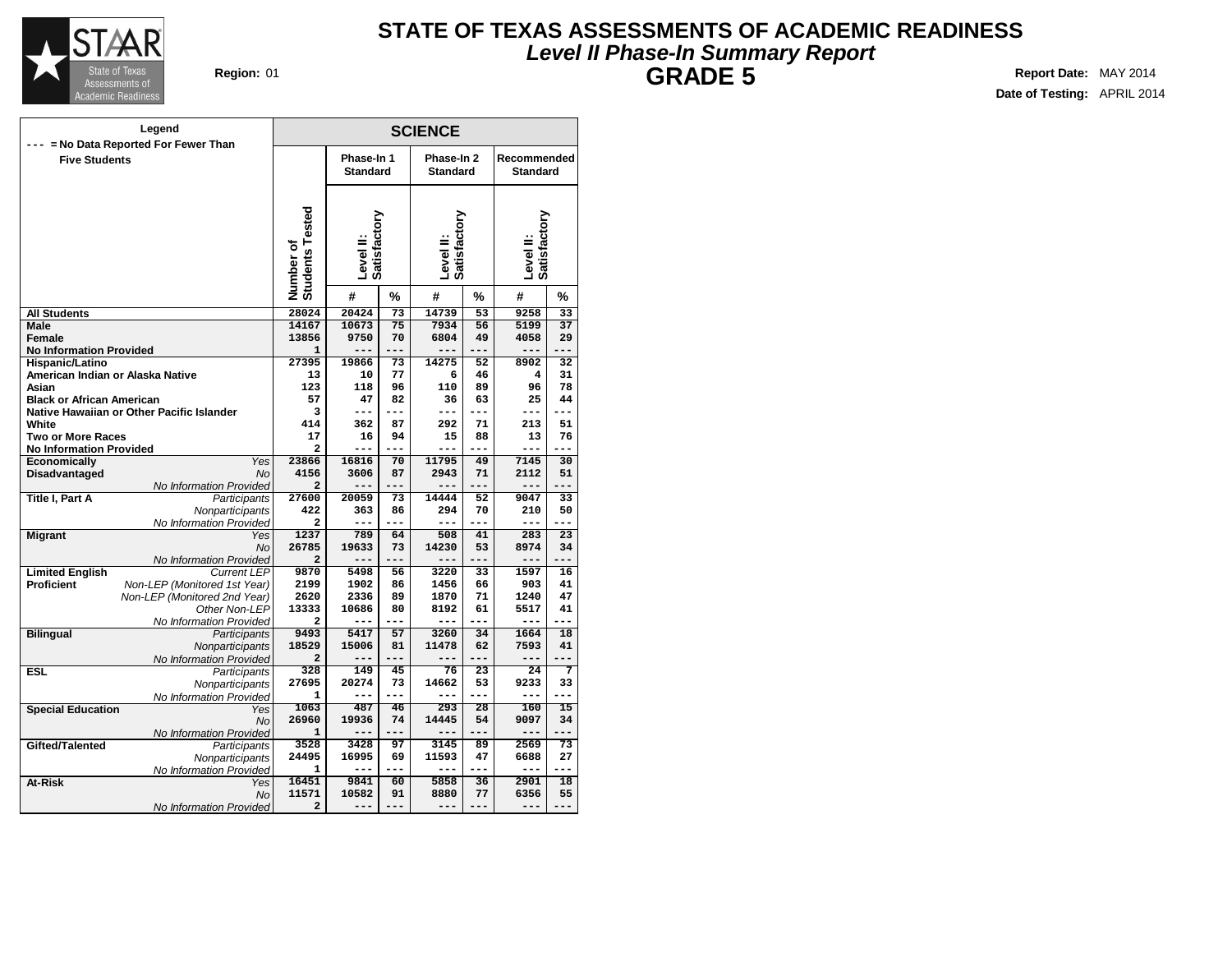

## **Level II Phase-In Summary Report STATE OF TEXAS ASSESSMENTS OF ACADEMIC READINESS GRADE 5 Region:** 01 **Report** Date: MAY 2014

| Legend                                                     |                              |                               |                 | <b>SCIENCE</b>                |           |                                |                 |
|------------------------------------------------------------|------------------------------|-------------------------------|-----------------|-------------------------------|-----------|--------------------------------|-----------------|
| --- = No Data Reported For Fewer Than                      |                              |                               |                 |                               |           |                                |                 |
| <b>Five Students</b>                                       |                              | Phase-In 1<br><b>Standard</b> |                 | Phase-In 2<br><b>Standard</b> |           | Recommended<br><b>Standard</b> |                 |
|                                                            |                              |                               |                 |                               |           |                                |                 |
|                                                            | Number of<br>Students Tested | Satisfactory<br>Level II:     |                 | Level II:<br>Satisfactory     |           | Level II:<br>Satisfactory      |                 |
|                                                            |                              | #                             | %               | #                             | %         | #                              | %               |
| <b>All Students</b>                                        | 28024                        | 20424                         | $\overline{73}$ | 14739                         | 53        | 9258                           | $\overline{33}$ |
| Male                                                       | 14167                        | 10673                         | 75              | 7934                          | 56        | 5199                           | 37              |
| Female                                                     | 13856                        | 9750                          | 70              | 6804                          | 49        | 4058                           | 29              |
| <b>No Information Provided</b>                             | $\mathbf{1}$                 | ---                           | ---             | ---                           | ---       | $---$                          | ---             |
| Hispanic/Latino                                            | 27395                        | 19866                         | 73              | 14275                         | 52        | 8902                           | 32              |
| American Indian or Alaska Native                           | 13                           | 10                            | 77              | 6                             | 46        | 4                              | 31              |
| Asian                                                      | 123                          | 118                           | 96              | 110                           | 89        | 96                             | 78              |
| <b>Black or African American</b>                           | 57                           | 47                            | 82              | 36                            | 63        | 25                             | 44              |
| Native Hawaiian or Other Pacific Islander                  | 3                            | ---                           | ---             | ---                           | $---$     | $---$                          | ---             |
| White                                                      | 414                          | 362                           | 87              | 292                           | 71        | 213                            | 51              |
| <b>Two or More Races</b>                                   | 17                           | 16                            | 94              | 15                            | 88        | 13                             | 76              |
| <b>No Information Provided</b>                             | 2                            | ---                           | $---$           | ---                           | $---$     | $---$                          | ---             |
| <b>Economically</b><br>Yes<br><b>No</b>                    | 23866<br>4156                | 16816<br>3606                 | 70<br>87        | 11795<br>2943                 | 49<br>71  | 7145<br>2112                   | 30<br>51        |
| Disadvantaged                                              | $\overline{a}$               | ---                           | ---             |                               | $---$     | $---$                          |                 |
| No Information Provided<br>Title I, Part A<br>Participants | 27600                        | 20059                         | 73              | 14444                         | 52        | 9047                           | 33              |
| Nonparticipants                                            | 422                          | 363                           | 86              | 294                           | 70        | 210                            | 50              |
| No Information Provided                                    | $\mathbf{z}$                 | ---                           | ---             | ---                           | ---       | $---$                          | ---             |
| <b>Migrant</b><br>Yes                                      | 1237                         | 789                           | 64              | 508                           | 41        | 283                            | 23              |
| No                                                         | 26785                        | 19633                         | 73              | 14230                         | 53        | 8974                           | 34              |
| No Information Provided                                    | $\overline{a}$               | ---                           | ---             | ---                           | $---$     | $---$                          | ---             |
| <b>Limited English</b><br><b>Current LEP</b>               | 9870                         | 5498                          | 56              | 3220                          | 33        | 1597                           | 16              |
| <b>Proficient</b><br>Non-LEP (Monitored 1st Year)          | 2199                         | 1902                          | 86              | 1456                          | 66        | 903                            | 41              |
| Non-LEP (Monitored 2nd Year)                               | 2620                         | 2336                          | 89              | 1870                          | 71        | 1240                           | 47              |
| Other Non-LEP                                              | 13333                        | 10686                         | 80              | 8192                          | 61        | 5517                           | 41              |
| No Information Provided                                    | $\mathbf{z}$                 | ---                           | ---             | ---                           | $---$     | $---$                          | ---             |
| <b>Bilingual</b><br>Participants                           | 9493                         | 5417                          | 57              | 3260                          | 34        | 1664                           | 18              |
| Nonparticipants                                            | 18529                        | 15006                         | 81              | 11478                         | 62        | 7593                           | 41              |
| No Information Provided                                    | $\overline{a}$               | ---                           | ---             |                               | ---       | $---$                          |                 |
| <b>ESL</b><br>Participants                                 | 328                          | 149                           | 45              | 76                            | 23        | 24                             | 7               |
| Nonparticipants                                            | 27695                        | 20274                         | 73              | 14662                         | 53        | 9233                           | 33              |
| No Information Provided                                    | $\mathbf{1}$                 | ---                           | ---             | ---                           | ---       | $---$                          | ---             |
| <b>Special Education</b><br>Yes                            | 1063                         | 487                           | 46              | 293                           | 28        | 160                            | $\overline{15}$ |
| No                                                         | 26960<br>$\mathbf{1}$        | 19936<br>---                  | 74<br>---       | 14445<br>---                  | 54<br>--- | 9097<br>$---$                  | 34<br>---       |
| No Information Provided<br>Gifted/Talented                 | 3528                         | 3428                          | 97              | 3145                          | 89        | 2569                           | 73              |
| Participants                                               | 24495                        | 16995                         | 69              | 11593                         | 47        | 6688                           | 27              |
| Nonparticipants<br>No Information Provided                 | 1                            | ---                           | ---             | ---                           | ---       | $---$                          | ---             |
| At-Risk<br>Yes                                             | 16451                        | 9841                          | 60              | 5858                          | 36        | 2901                           | 18              |
| No                                                         | 11571                        | 10582                         | 91              | 8880                          | 77        | 6356                           | 55              |
| No Information Provided                                    | $\overline{a}$               | ---                           | ---             | ---                           | ---       | $---$                          | ---             |
|                                                            |                              |                               |                 |                               |           |                                |                 |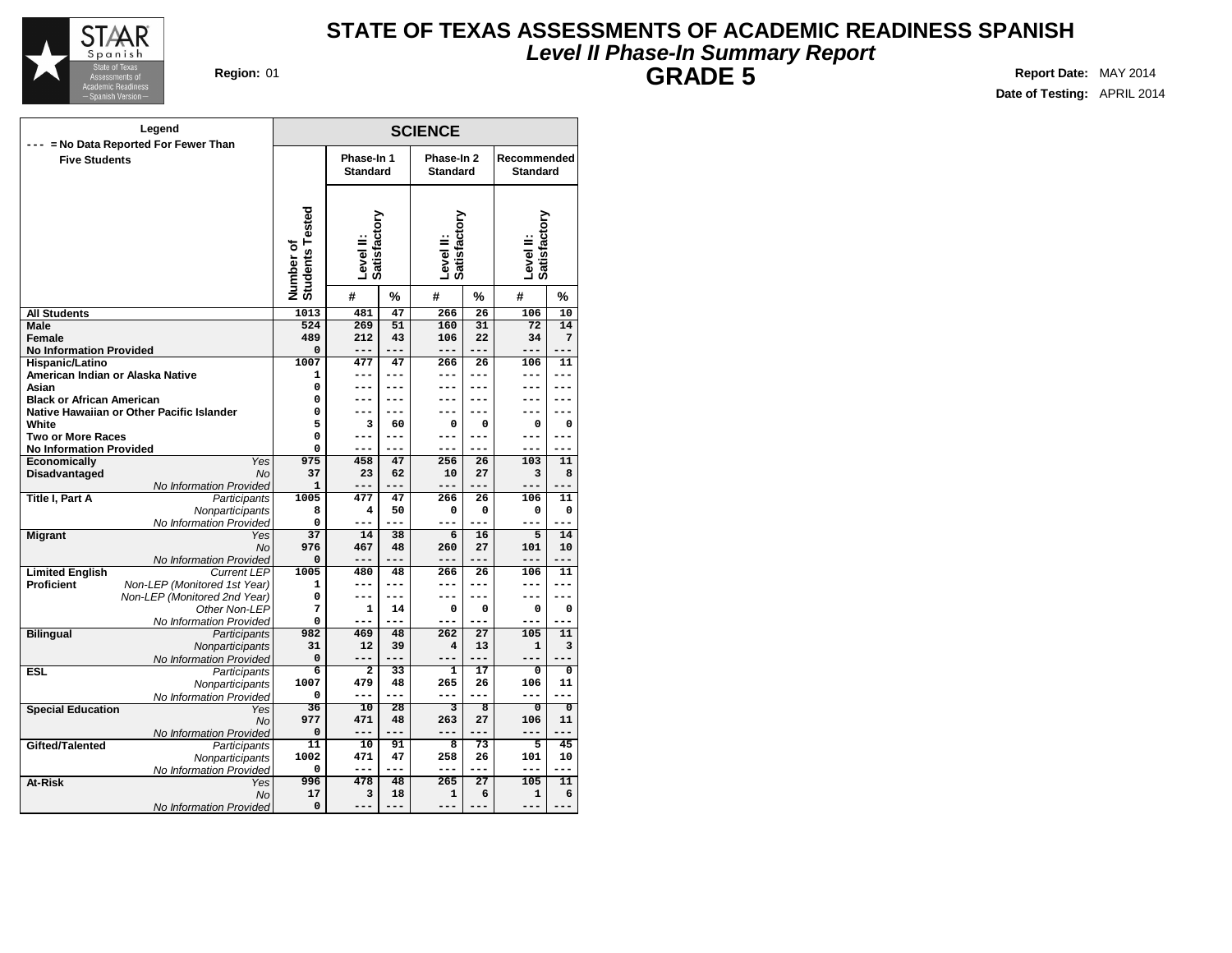

## **Level II Phase-In Summary Report STATE OF TEXAS ASSESSMENTS OF ACADEMIC READINESS SPANISH GRADE 5 Region:** 01 **Report** Date: MAY 2014

| Legend                                                                  |                              |                           |              | <b>SCIENCE</b>            |                         |                           |                         |
|-------------------------------------------------------------------------|------------------------------|---------------------------|--------------|---------------------------|-------------------------|---------------------------|-------------------------|
| --- = No Data Reported For Fewer Than<br><b>Five Students</b>           |                              | Phase-In 1                |              | Phase-In 2                |                         | Recommended               |                         |
|                                                                         |                              | <b>Standard</b>           |              | <b>Standard</b>           |                         | <b>Standard</b>           |                         |
|                                                                         |                              |                           |              |                           |                         |                           |                         |
|                                                                         | Number of<br>Students Tested | Satisfactory<br>Level II: |              | Level II:<br>Satisfactory |                         | Level II:<br>Satisfactory |                         |
|                                                                         |                              | #                         | %            | #                         | %                       | #                         | %                       |
| <b>All Students</b>                                                     | 1013                         | 481                       | 47           | 266                       | 26                      | 106                       | 10                      |
| Male                                                                    | 524                          | 269                       | 51           | 160                       | 31                      | $\overline{72}$           | 14                      |
| Female                                                                  | 489                          | 212                       | 43           | 106                       | 22                      | 34                        | 7                       |
| <b>No Information Provided</b>                                          | 0                            | $---$                     | $---$        | ---                       | $- - -$                 | $---$                     | $---$                   |
| Hispanic/Latino                                                         | 1007                         | 477                       | 47           | 266                       | 26                      | 106                       | 11                      |
| American Indian or Alaska Native                                        | $\mathbf{1}$                 | ---<br>$---$              | $---$        | ---                       | ---                     | ---<br>---                | ---<br>---              |
| Asian<br><b>Black or African American</b>                               | 0<br>0                       | ---                       | $---$<br>--- | ---<br>---                | $---$<br>---            | ---                       | ---                     |
| Native Hawaiian or Other Pacific Islander                               | 0                            | ---                       | ---          |                           |                         |                           |                         |
| White                                                                   | 5                            | 3                         | 60           | 0                         | 0                       | 0                         | 0                       |
| <b>Two or More Races</b>                                                | $\mathbf 0$                  | ---                       | $---$        | ---                       | ---                     | ---                       | ---                     |
| <b>No Information Provided</b>                                          | 0                            |                           |              |                           |                         |                           |                         |
| <b>Economically</b><br>Yes                                              | 975                          | 458                       | 47           | 256                       | 26                      | 103                       | 11                      |
| Disadvantaged<br><b>No</b>                                              | 37                           | 23                        | 62           | 10                        | 27                      | 3                         | 8                       |
| No Information Provided                                                 | 1                            | ---                       | <u>.</u>     | ---                       | $-1$                    |                           |                         |
| <b>Title I, Part A</b><br>Participants                                  | 1005                         | 477                       | 47           | 266                       | 26                      | 106                       | 11                      |
| Nonparticipants                                                         | 8                            | 4                         | 50           | 0                         | 0                       | 0                         | 0                       |
| No Information Provided                                                 | 0                            | ---                       | $-$          | ---                       | ۵.                      | $---$                     |                         |
| <b>Migrant</b><br>Yes                                                   | $\overline{37}$              | 14                        | 38           | 6                         | 16                      | 5                         | 14                      |
| No                                                                      | 976                          | 467<br>---                | 48<br>---    | 260<br>---                | 27<br>---               | 101                       | 10<br>---               |
| No Information Provided<br><b>Limited English</b><br><b>Current LEP</b> | 0<br>1005                    | 480                       | 48           | 266                       | 26                      | $---$<br>106              | 11                      |
| <b>Proficient</b><br>Non-LEP (Monitored 1st Year)                       | 1                            | ---                       | $---$        | ---                       | ---                     | ---                       | ---                     |
| Non-LEP (Monitored 2nd Year)                                            | 0                            | ---                       | $---$        | ---                       | ---                     | $---$                     | ---                     |
| Other Non-LEP                                                           | 7                            | $\mathbf{1}$              | 14           | 0                         | 0                       | 0                         | 0                       |
| No Information Provided                                                 | 0                            |                           | $---$        | ---                       |                         |                           |                         |
| <b>Bilingual</b><br>Participants                                        | 982                          | 469                       | 48           | 262                       | $\overline{27}$         | 105                       | 11                      |
| Nonparticipants                                                         | 31                           | 12                        | 39           | $\overline{\mathbf{4}}$   | 13                      | $\mathbf 1$               | 3                       |
| No Information Provided                                                 | $\Omega$                     | $---$                     | $---$        | ---                       | $- - -$                 | $---$                     |                         |
| <b>ESL</b><br>Participants                                              | $\overline{6}$               | $\overline{2}$            | 33           | $\overline{\mathbf{1}}$   | 17                      | $\overline{0}$            | $\overline{\mathbf{0}}$ |
| Nonparticipants                                                         | 1007                         | 479                       | 48           | 265                       | 26                      | 106                       | 11                      |
| No Information Provided                                                 | 0                            | $---$                     | $- - -$      | ---                       | ---                     | $---$                     | ---                     |
| <b>Special Education</b><br>Yes                                         | $\overline{36}$<br>977       | 10                        | 28           | $\overline{\mathbf{3}}$   | $\overline{\mathbf{8}}$ | $\overline{0}$            | $\overline{0}$          |
| No                                                                      | $\Omega$                     | 471<br>$---$              | 48<br>$---$  | 263<br>---                | 27                      | 106<br>$---$              | 11                      |
| No Information Provided<br>Gifted/Talented<br><b>Participants</b>       | 11                           | 10                        | 91           | $\overline{8}$            | $\overline{73}$         | $\overline{5}$            | 45                      |
| Nonparticipants                                                         | 1002                         | 471                       | 47           | 258                       | 26                      | 101                       | 10                      |
| No Information Provided                                                 | 0                            | $\qquad \qquad - -$       | $---$        | ---                       | $---$                   | $\qquad \qquad - -$       | ---                     |
| At-Risk<br>Yes                                                          | 996                          | 478                       | 48           | 265                       | $\overline{27}$         | 105                       | 11                      |
| No                                                                      | 17                           | 3                         | 18           | $\mathbf{1}$              | 6                       | ${\bf 1}$                 | 6                       |
| No Information Provided                                                 | 0                            | ---                       | $---$        | $---$                     | $-- -$                  | $---$                     | $---$                   |
|                                                                         |                              |                           |              |                           |                         |                           |                         |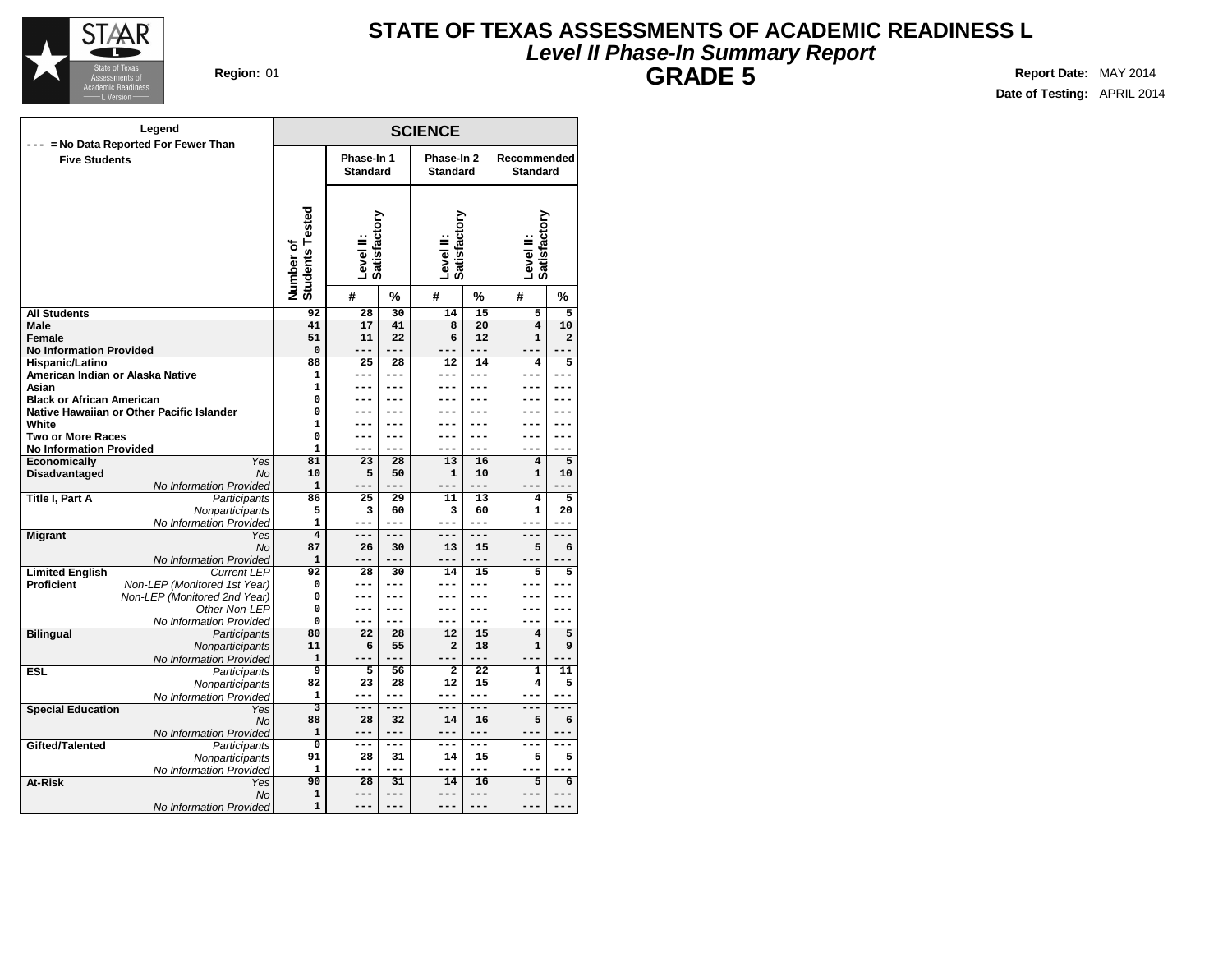

## **Level II Phase-In Summary Report STATE OF TEXAS ASSESSMENTS OF ACADEMIC READINESS L GRADE 5 Region:** 01 **Report** Date: MAY 2014

| Legend                                                        |                              |                               |              | <b>SCIENCE</b>                |                 |                                |                |
|---------------------------------------------------------------|------------------------------|-------------------------------|--------------|-------------------------------|-----------------|--------------------------------|----------------|
| --- = No Data Reported For Fewer Than<br><b>Five Students</b> |                              | Phase-In 1<br><b>Standard</b> |              | Phase-In 2<br><b>Standard</b> |                 | Recommended<br><b>Standard</b> |                |
|                                                               |                              |                               |              |                               |                 |                                |                |
|                                                               | Number of<br>Students Tested | Level II:<br>Satisfactory     |              | Level II:<br>Satisfactory     |                 | Level II:<br>Satisfactory      |                |
|                                                               |                              | #                             | %            | #                             | %               | #                              | %              |
| <b>All Students</b>                                           | 92                           | 28                            | 30           | 14                            | 15              | 5                              | 5              |
| Male                                                          | 41                           | 17                            | 41           | $\overline{8}$                | $\overline{20}$ | $\overline{4}$                 | 10             |
| Female                                                        | 51                           | 11                            | 22           | 6                             | 12              | $\mathbf{1}$                   | $\overline{a}$ |
| <b>No Information Provided</b>                                | $\mathbf 0$                  | ---                           | $- - -$      | ---                           | $- - -$         | $---$                          | $---$          |
| Hispanic/Latino                                               | 88                           | 25                            | 28           | 12                            | 14              | 4                              | 5              |
| American Indian or Alaska Native                              | $\mathbf{1}$                 | ---<br>---                    | $---$<br>--- | ---                           | ---<br>---      | ---                            | ---<br>---     |
| Asian<br><b>Black or African American</b>                     | $\mathbf{1}$<br>0            | ---                           | ---          | ---                           | ---             | ---                            | ---            |
| Native Hawaiian or Other Pacific Islander                     | 0                            |                               |              |                               |                 |                                | .              |
| White                                                         | $\mathbf{1}$                 |                               |              |                               |                 |                                |                |
| <b>Two or More Races</b>                                      | $\mathbf 0$                  | ---                           | ---          | ---                           | ---             | ---                            | ---            |
| <b>No Information Provided</b>                                | $\mathbf{1}$                 | ---                           | $---$        | ---                           |                 | ---                            | ---            |
| Economically<br>Yes                                           | 81                           | 23                            | 28           | 13                            | 16              | 4                              | 5              |
| Disadvantaged<br><b>No</b>                                    | 10                           | 5                             | 50           | $\mathbf{1}$                  | 10              | $\mathbf{1}$                   | 10             |
| No Information Provided                                       | $\mathbf{1}$                 | ---                           | $---$        | ---                           | ---             | $---$                          | $---$          |
| Title I, Part A<br>Participants                               | 86                           | 25                            | 29           | 11                            | 13              | 4                              | 5              |
| Nonparticipants                                               | 5                            | з                             | 60           | з                             | 60              | 1                              | 20             |
| No Information Provided                                       | $\mathbf{1}$                 | ---                           | $---$        | $\qquad \qquad - -$           | $---$           | ---                            | $---$          |
| <b>Migrant</b><br>Yes                                         | $\overline{\mathbf{4}}$      | ---                           | $---$        | ---                           | ---             | ---                            | $---$          |
| <b>No</b>                                                     | 87                           | 26                            | 30           | 13                            | 15              | 5                              | 6              |
| No Information Provided                                       | 1                            | ---                           | $---$        | ---                           | ---             | $---$                          |                |
| <b>Limited English</b><br><b>Current LEP</b><br>Proficient    | 92<br>0                      | 28<br>---                     | 30<br>---    | 14<br>---                     | 15<br>---       | 5                              | 5              |
| Non-LEP (Monitored 1st Year)<br>Non-LEP (Monitored 2nd Year)  | $\Omega$                     | ---                           | $---$        | ---                           | ---             |                                | ---            |
| Other Non-LEP                                                 | 0                            | ---                           | ---          | ---                           | ---             | --                             | ---            |
| No Information Provided                                       | $\Omega$                     | ---                           | $---$        | ---                           | ---             | ---                            | ---            |
| <b>Bilingual</b><br>Participants                              | 80                           | $\overline{22}$               | 28           | $\overline{12}$               | 15              | $\overline{4}$                 | $\overline{5}$ |
| Nonparticipants                                               | 11                           | 6                             | 55           | $\overline{a}$                | 18              | $\mathbf 1$                    | 9              |
| No Information Provided                                       | $\mathbf{1}$                 |                               | $-$          | ---                           | ---             |                                |                |
| <b>ESL</b><br>Participants                                    | 9                            | 5                             | 56           | $\overline{2}$                | $\overline{22}$ | $\overline{\mathbf{1}}$        | 11             |
| Nonparticipants                                               | 82                           | 23                            | 28           | 12                            | 15              | 4                              | 5              |
| No Information Provided                                       | $\mathbf{1}$                 | ---                           | $---$        | ---                           | ---             | ---                            | ---            |
| <b>Special Education</b><br>Yes                               | $\overline{\mathbf{3}}$      | ===                           | $= - -$      | ===                           | ---             | ---                            | ---            |
| <b>No</b>                                                     | 88                           | 28                            | 32           | 14                            | 16              | 5                              | 6              |
| No Information Provided                                       | $\mathbf{1}$                 | ---                           | ---          | ---                           | $---$           | ---                            | ---            |
| Gifted/Talented<br>Participants                               | $\overline{0}$               | $---$                         | $---$        | ---                           | $---$           | $---$                          | $---$          |
| Nonparticipants                                               | 91<br>$\mathbf{1}$           | 28<br>---                     | 31<br>$---$  | 14<br>---                     | 15<br>---       | 5                              | 5              |
| No Information Provided                                       | 90                           | $\overline{28}$               | 31           | 14                            | 16              | $\overline{5}$                 | 6              |
| At-Risk<br>Yes<br>No                                          | 1                            | ---                           | ---          | ---                           | $---$           | ---                            | ---            |
| No Information Provided                                       | $\mathbf{1}$                 |                               |              | ---                           |                 |                                |                |
|                                                               |                              |                               |              |                               |                 |                                |                |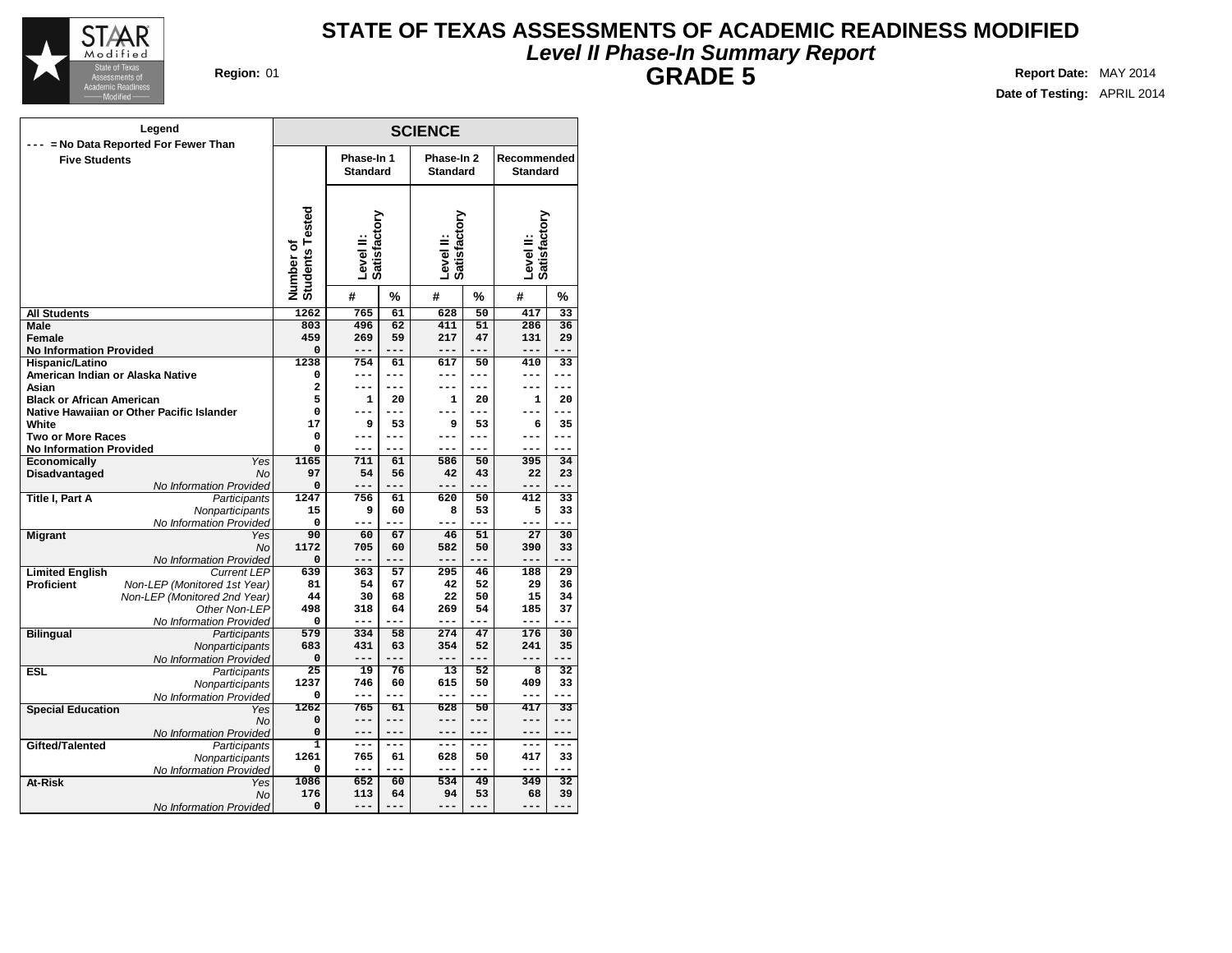

## **Level II Phase-In Summary Report STATE OF TEXAS ASSESSMENTS OF ACADEMIC READINESS MODIFIED GRADE 5 Region:** 01 **Report** Date: MAY 2014

| Legend                                                            | <b>SCIENCE</b>               |                               |                |                               |                 |                                |                 |  |  |  |
|-------------------------------------------------------------------|------------------------------|-------------------------------|----------------|-------------------------------|-----------------|--------------------------------|-----------------|--|--|--|
| --- = No Data Reported For Fewer Than                             |                              |                               |                |                               |                 |                                |                 |  |  |  |
| <b>Five Students</b>                                              |                              | Phase-In 1<br><b>Standard</b> |                | Phase-In 2<br><b>Standard</b> |                 | Recommended<br><b>Standard</b> |                 |  |  |  |
|                                                                   |                              |                               |                |                               |                 |                                |                 |  |  |  |
|                                                                   |                              |                               |                |                               |                 |                                |                 |  |  |  |
|                                                                   |                              |                               |                |                               |                 |                                |                 |  |  |  |
|                                                                   |                              | Satisfactory                  |                |                               |                 |                                |                 |  |  |  |
|                                                                   |                              | Level II:                     |                |                               |                 |                                |                 |  |  |  |
|                                                                   |                              |                               |                |                               |                 |                                |                 |  |  |  |
|                                                                   |                              |                               |                | Level II:<br>Satisfactory     |                 | Level II:<br>Satisfactory      |                 |  |  |  |
|                                                                   | Number of<br>Students Tested | #                             | %              | #                             | %               | #                              | %               |  |  |  |
| <b>All Students</b>                                               | 1262                         | 765                           | 61             | 628                           | 50              | 417                            | 33              |  |  |  |
| Male                                                              | 803                          | 496                           | 62             | 411                           | 51              | 286                            | 36              |  |  |  |
| Female                                                            | 459                          | 269                           | 59             | 217                           | 47              | 131                            | 29              |  |  |  |
| <b>No Information Provided</b>                                    | 0                            | $---$                         | $---$          | ---                           | $---$           | $---$                          | $---$           |  |  |  |
| Hispanic/Latino<br>American Indian or Alaska Native               | 1238<br>$\Omega$             | 754<br>---                    | 61<br>$---$    | 617<br>---                    | 50<br>---       | 410<br>$---$                   | 33<br>---       |  |  |  |
| Asian                                                             | 2                            | $---$                         | $---$          | ---                           | $---$           | ---                            | $---$           |  |  |  |
| <b>Black or African American</b>                                  | 5                            | $\mathbf{1}$                  | 20             | $\mathbf{1}$                  | 20              | $\mathbf{1}$                   | 20              |  |  |  |
| Native Hawaiian or Other Pacific Islander                         | 0                            | ---                           | $---$          | ---                           | ---             | ---                            |                 |  |  |  |
| White                                                             | 17                           | 9                             | 53             | 9                             | 53              | 6                              | 35              |  |  |  |
| <b>Two or More Races</b>                                          | 0                            | ---                           | $---$          | ---                           | ---             | ---                            | ---             |  |  |  |
| <b>No Information Provided</b>                                    | 0                            |                               |                |                               |                 |                                |                 |  |  |  |
| <b>Economically</b><br>Yes                                        | 1165                         | 711                           | 61             | 586                           | 50              | 395                            | 34              |  |  |  |
| Disadvantaged<br><b>No</b>                                        | 97                           | 54                            | 56             | 42                            | 43              | 22                             | 23              |  |  |  |
| No Information Provided<br><b>Title I, Part A</b><br>Participants | $\mathbf 0$<br>1247          | ---<br>756                    | 61             | ---<br>620                    | 50              | ---<br>412                     | 33              |  |  |  |
| Nonparticipants                                                   | 15                           | 9                             | 60             | 8                             | 53              | 5                              | 33              |  |  |  |
| No Information Provided                                           | 0                            | ---                           | ---            | ---                           | $\sim$          | ---                            |                 |  |  |  |
| <b>Migrant</b><br>Yes                                             | 90                           | 60                            | 67             | 46                            | 51              | 27                             | 30              |  |  |  |
| No                                                                | 1172                         | 705                           | 60             | 582                           | 50              | 390                            | 33              |  |  |  |
| No Information Provided                                           | 0                            | ---                           | $-$            | ---                           | ---             | $---$                          |                 |  |  |  |
| <b>Limited English</b><br><b>Current LEP</b>                      | 639                          | 363                           | 57             | 295                           | 46              | 188                            | 29              |  |  |  |
| <b>Proficient</b><br>Non-LEP (Monitored 1st Year)                 | 81                           | 54                            | 67             | 42                            | 52              | 29                             | 36              |  |  |  |
| Non-LEP (Monitored 2nd Year)                                      | 44<br>498                    | 30                            | 68             | 22                            | 50<br>54        | 15                             | 34<br>37        |  |  |  |
| Other Non-LEP<br>No Information Provided                          | 0                            | 318<br>---                    | 64             | 269<br>---                    |                 | 185<br>$---$                   |                 |  |  |  |
| <b>Bilingual</b><br>Participants                                  | 579                          | 334                           | 58             | 274                           | 47              | 176                            | 30              |  |  |  |
| Nonparticipants                                                   | 683                          | 431                           | 63             | 354                           | 52              | 241                            | 35              |  |  |  |
| No Information Provided                                           | $\Omega$                     | $---$                         | $---$          | ---                           |                 | $- - -$                        |                 |  |  |  |
| <b>ESL</b><br>Participants                                        | 25                           | 19                            | 76             | $\overline{13}$               | 52              | 8                              | $\overline{32}$ |  |  |  |
| Nonparticipants                                                   | 1237                         | 746                           | 60             | 615                           | 50              | 409                            | 33              |  |  |  |
| No Information Provided                                           | 0                            | $- - -$                       | $- - -$        | ---                           | ---             | $- - -$                        | ---             |  |  |  |
| <b>Special Education</b><br>Yes                                   | 1262                         | 765                           | 61             | 628                           | 50              | 417                            | $\overline{33}$ |  |  |  |
| No                                                                | 0<br>$\Omega$                | $---$<br>$---$                | $---$<br>$---$ | ---<br>---                    | $---$<br>$-- -$ | $---$<br>$---$                 | $---$<br>$-- -$ |  |  |  |
| No Information Provided<br>Gifted/Talented<br><b>Participants</b> | $\overline{1}$               | ---                           | $---$          | ---                           | $---$           | $---$                          | $---$           |  |  |  |
| Nonparticipants                                                   | 1261                         | 765                           | 61             | 628                           | 50              | 417                            | 33              |  |  |  |
| No Information Provided                                           | 0                            | $\qquad \qquad - -$           | ---            | ---                           | ---             | $\qquad \qquad - -$            | ---             |  |  |  |
| At-Risk<br>Yes                                                    | 1086                         | 652                           | 60             | 534                           | 49              | 349                            | $\overline{32}$ |  |  |  |
| No                                                                | 176                          | 113                           | 64             | 94                            | 53              | 68                             | 39              |  |  |  |
| No Information Provided                                           | 0                            | $---$                         | ---            | ---                           | $-- -$          | $---$                          | ---             |  |  |  |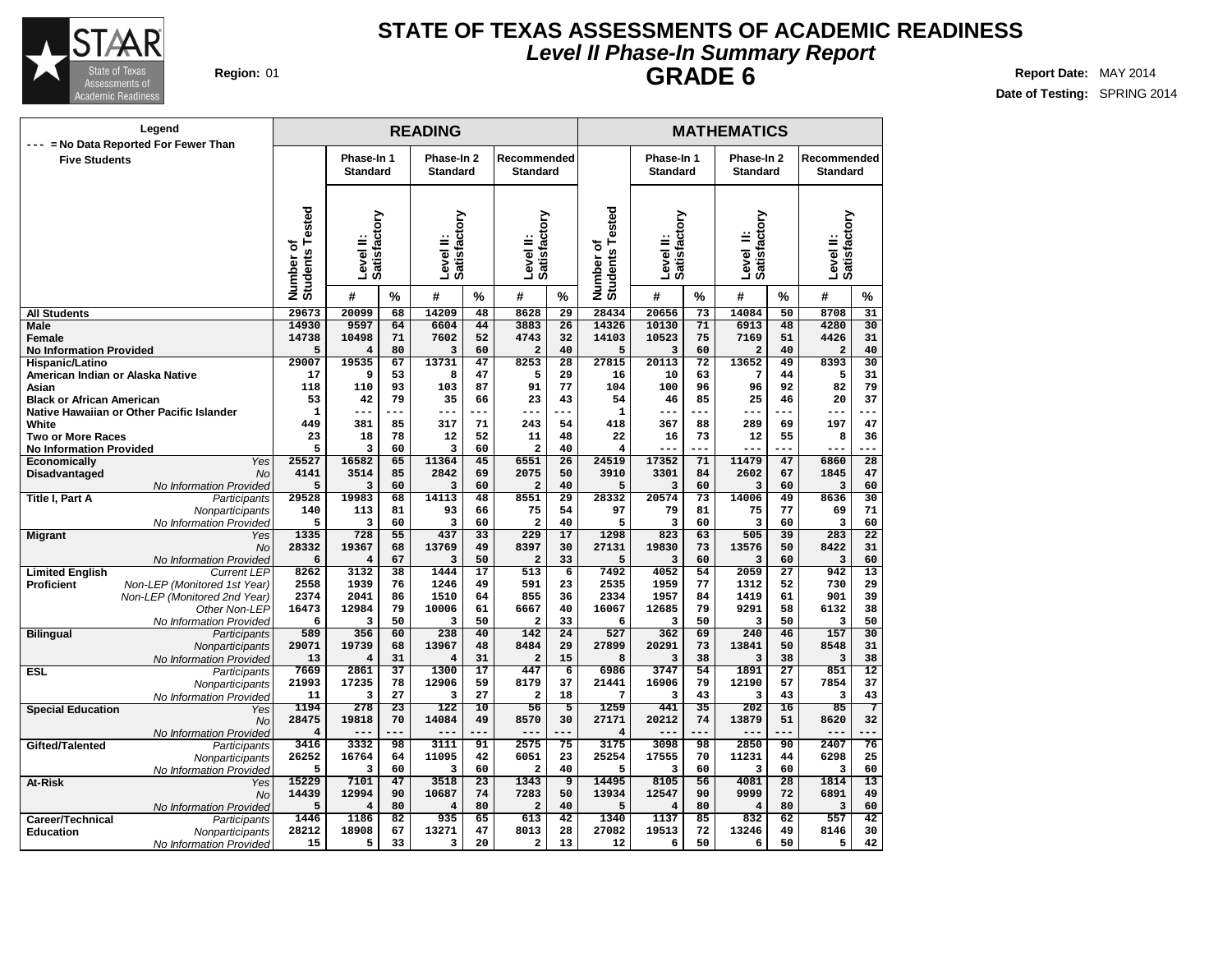

## **Level II Phase-In Summary Report STATE OF TEXAS ASSESSMENTS OF ACADEMIC READINESS GRADE 6 Region:** 01 **Report** Date: MAY 2014

|                                                               | Legend                                     |                              |                               |                 | <b>READING</b>                |                 |                                 |                       |                                    |                               |          | <b>MATHEMATICS</b>            |                 |                                |                 |
|---------------------------------------------------------------|--------------------------------------------|------------------------------|-------------------------------|-----------------|-------------------------------|-----------------|---------------------------------|-----------------------|------------------------------------|-------------------------------|----------|-------------------------------|-----------------|--------------------------------|-----------------|
| --- = No Data Reported For Fewer Than<br><b>Five Students</b> |                                            |                              | Phase-In 1<br><b>Standard</b> |                 | Phase-In 2<br><b>Standard</b> |                 | Recommended<br><b>Standard</b>  |                       |                                    | Phase-In 1<br><b>Standard</b> |          | Phase-In 2<br><b>Standard</b> |                 | Recommended<br><b>Standard</b> |                 |
|                                                               |                                            | Number of<br>Students Tested | Level II:<br>Satisfactory     |                 | Satisfactory<br>Level II:     |                 | Satisfactory<br>Level II:       |                       | Tested<br>Number of<br>Students To | Level II:<br>Satisfactory     |          | Satisfactory<br>≝<br>Level    |                 | Level II:<br>Satisfactory      |                 |
|                                                               |                                            |                              | #                             | $\%$            | #                             | %               | #                               | $\%$                  |                                    | #                             | $\%$     | #                             | $\%$            | #                              | $\%$            |
| <b>All Students</b>                                           |                                            | 29673                        | 20099                         | 68              | 14209                         | 48              | 8628                            | 29                    | 28434                              | 20656                         | 73       | 14084                         | 50              | 8708                           | 31              |
| <b>Male</b>                                                   |                                            | 14930                        | 9597                          | 64              | 6604                          | 44              | 3883                            | $\overline{26}$       | 14326                              | 10130                         | 71       | 6913                          | 48              | 4280                           | 30              |
| <b>Female</b>                                                 |                                            | 14738                        | 10498                         | 71              | 7602                          | 52              | 4743                            | 32                    | 14103                              | 10523                         | 75       | 7169                          | 51              | 4426                           | 31              |
| <b>No Information Provided</b><br>Hispanic/Latino             |                                            | 5<br>29007                   | 4<br>19535                    | 80<br>67        | 3<br>13731                    | 60<br>47        | $\mathbf{2}$<br>8253            | 40<br>28              | 5<br>27815                         | 3<br>20113                    | 60<br>72 | $\overline{a}$<br>13652       | 40<br>49        | $\overline{a}$<br>8393         | 40<br>30        |
| American Indian or Alaska Native                              |                                            | 17                           | 9                             | 53              | 8                             | 47              | 5                               | 29                    | 16                                 | 10                            | 63       | 7                             | 44              | 5                              | 31              |
| Asian                                                         |                                            | 118                          | 110                           | 93              | 103                           | 87              | 91                              | 77                    | 104                                | 100                           | 96       | 96                            | 92              | 82                             | 79              |
| <b>Black or African American</b>                              |                                            | 53                           | 42                            | 79              | 35                            | 66              | 23                              | 43                    | 54                                 | 46                            | 85       | 25                            | 46              | 20                             | 37              |
| Native Hawaiian or Other Pacific Islander                     |                                            | $\mathbf{1}$                 | ---                           | ---             | ---                           | ---             | $---$                           | ---                   | $\mathbf{1}$                       | ---                           | ---      | $---$                         | ---             | ---                            |                 |
| White                                                         |                                            | 449                          | 381                           | 85              | 317                           | 71              | 243                             | 54                    | 418                                | 367                           | 88       | 289                           | 69              | 197                            | 47              |
| <b>Two or More Races</b>                                      |                                            | 23                           | 18                            | 78              | 12                            | 52              | 11                              | 48                    | 22                                 | 16                            | 73       | 12                            | 55              | 8                              | 36              |
| <b>No Information Provided</b>                                |                                            | 5                            | 3                             | 60              | 3                             | 60              | $\mathbf{2}$                    | 40                    | $\overline{\mathbf{4}}$            |                               | ---      |                               | ---             | $- -$                          |                 |
| Economically                                                  | Yes                                        | 25527                        | 16582                         | 65              | 11364                         | 45              | 6551                            | 26                    | 24519                              | 17352                         | 71       | 11479                         | 47              | 6860                           | 28              |
| Disadvantaged                                                 | No                                         | 4141<br>5                    | 3514                          | 85<br>60        | 2842                          | 69<br>60        | 2075                            | 50<br>40              | 3910                               | 3301<br>3                     | 84       | 2602<br>3                     | 67              | 1845                           | 47<br>60        |
| <b>Title I, Part A</b>                                        | No Information Provided<br>Participants    | 29528                        | 3<br>19983                    | 68              | 3<br>14113                    | 48              | $\overline{\mathbf{c}}$<br>8551 | 29                    | 5<br>28332                         | 20574                         | 60<br>73 | 14006                         | 60<br>49        | 3<br>8636                      | 30              |
|                                                               | Nonparticipants                            | 140                          | 113                           | 81              | 93                            | 66              | 75                              | 54                    | 97                                 | 79                            | 81       | 75                            | 77              | 69                             | 71              |
|                                                               | No Information Provided                    | 5                            | 3                             | 60              | 3                             | 60              | $\mathbf{2}$                    | 40                    | 5                                  | 3                             | 60       | 3                             | 60              | 3                              | 60              |
| <b>Migrant</b>                                                | Yes                                        | 1335                         | 728                           | $\overline{55}$ | 437                           | $\overline{33}$ | 229                             | $\overline{17}$       | 1298                               | 823                           | 63       | 505                           | 39              | 283                            | $\overline{22}$ |
|                                                               | <b>No</b>                                  | 28332                        | 19367                         | 68              | 13769                         | 49              | 8397                            | 30                    | 27131                              | 19830                         | 73       | 13576                         | 50              | 8422                           | 31              |
|                                                               | No Information Provided                    | 6                            | 4                             | 67              | 3                             | 50              | $\overline{\mathbf{2}}$         | 33                    | 5                                  | 3                             | 60       | 3                             | 60              | 3                              | 60              |
| <b>Limited English</b>                                        | <b>Current LEP</b>                         | 8262                         | 3132                          | $\overline{38}$ | 1444                          | 17              | 513                             | 6                     | 7492                               | 4052                          | 54       | 2059                          | 27              | 942                            | 13              |
| <b>Proficient</b>                                             | Non-LEP (Monitored 1st Year)               | 2558                         | 1939                          | 76              | 1246                          | 49              | 591                             | 23                    | 2535                               | 1959                          | 77       | 1312                          | 52              | 730                            | 29              |
|                                                               | Non-LEP (Monitored 2nd Year)               | 2374                         | 2041                          | 86              | 1510                          | 64              | 855                             | 36                    | 2334                               | 1957                          | 84       | 1419                          | 61              | 901                            | 39              |
|                                                               | Other Non-LEP                              | 16473                        | 12984                         | 79              | 10006                         | 61              | 6667                            | 40                    | 16067                              | 12685                         | 79       | 9291                          | 58              | 6132                           | 38              |
| <b>Bilingual</b>                                              | No Information Provided<br>Participants    | 6<br>589                     | 3<br>356                      | 50<br>60        | 3<br>238                      | 50<br>40        | 2<br>142                        | 33<br>$\overline{24}$ | 6<br>527                           | 3<br>362                      | 50<br>69 | з<br>240                      | 50<br>46        | 3<br>157                       | 50<br>30        |
|                                                               | Nonparticipants                            | 29071                        | 19739                         | 68              | 13967                         | 48              | 8484                            | 29                    | 27899                              | 20291                         | 73       | 13841                         | 50              | 8548                           | 31              |
|                                                               | No Information Provided                    | 13                           | 4                             | 31              | $\overline{\mathbf{4}}$       | 31              | $\overline{\mathbf{2}}$         | 15                    | 8                                  | 3                             | 38       | 3                             | 38              | 3                              | 38              |
| <b>ESL</b>                                                    | Participants                               | 7669                         | 2861                          | $\overline{37}$ | 1300                          | 17              | 447                             | $\overline{6}$        | 6986                               | 3747                          | 54       | 1891                          | $\overline{27}$ | 851                            | $\overline{12}$ |
|                                                               | Nonparticipants                            | 21993                        | 17235                         | 78              | 12906                         | 59              | 8179                            | 37                    | 21441                              | 16906                         | 79       | 12190                         | 57              | 7854                           | 37              |
|                                                               | No Information Provided                    | 11                           | 3                             | 27              | 3                             | 27              | $\overline{\mathbf{2}}$         | 18                    | 7                                  | 3                             | 43       | 3                             | 43              | з                              | 43              |
| <b>Special Education</b>                                      | Yes                                        | 1194                         | 278                           | $\overline{23}$ | 122                           | 10              | 56                              | $\overline{5}$        | 1259                               | 441                           | 35       | 202                           | 16              | 85                             | 7               |
|                                                               | No                                         | 28475                        | 19818                         | 70              | 14084                         | 49              | 8570                            | 30                    | 27171                              | 20212                         | 74       | 13879                         | 51              | 8620                           | 32              |
|                                                               | No Information Provided                    | $\overline{4}$               |                               | ---             |                               |                 |                                 | ---                   | $\overline{4}$                     |                               |          | $- - -$                       |                 | ---                            |                 |
| Gifted/Talented                                               | Participants                               | 3416                         | 3332<br>16764                 | 98<br>64        | 3111<br>11095                 | 91<br>42        | 2575<br>6051                    | 75<br>23              | 3175                               | 3098                          | 98<br>70 | 2850                          | 90              | 2407                           | 76              |
|                                                               | Nonparticipants<br>No Information Provided | 26252<br>5                   | 3                             | 60              | 3                             | 60              | $\overline{\mathbf{2}}$         | 40                    | 25254<br>5                         | 17555<br>3                    | 60       | 11231<br>3                    | 44<br>60        | 6298<br>3                      | 25<br>60        |
| At-Risk                                                       | Yes                                        | 15229                        | 7101                          | 47              | 3518                          | $\overline{23}$ | 1343                            | $\overline{9}$        | 14495                              | 8105                          | 56       | 4081                          | 28              | 1814                           | 13              |
|                                                               | No                                         | 14439                        | 12994                         | 90              | 10687                         | 74              | 7283                            | 50                    | 13934                              | 12547                         | 90       | 9999                          | 72              | 6891                           | 49              |
|                                                               | No Information Provided                    | 5                            | 4                             | 80              | 4                             | 80              | 2                               | 40                    | 5                                  | 4                             | 80       | $\overline{4}$                | 80              | 3                              | 60              |
| Career/Technical                                              | Participants                               | 1446                         | 1186                          | 82              | 935                           | 65              | 613                             | $\overline{42}$       | 1340                               | 1137                          | 85       | 832                           | 62              | 557                            | 42              |
| <b>Education</b>                                              | Nonparticipants                            | 28212                        | 18908                         | 67              | 13271                         | 47              | 8013                            | 28                    | 27082                              | 19513                         | 72       | 13246                         | 49              | 8146                           | 30              |
|                                                               | No Information Provided                    | 15                           | 5                             | 33              | 3                             | 20              | 2                               | 13                    | 12                                 | 6                             | 50       | 6                             | 50              | 5                              | 42              |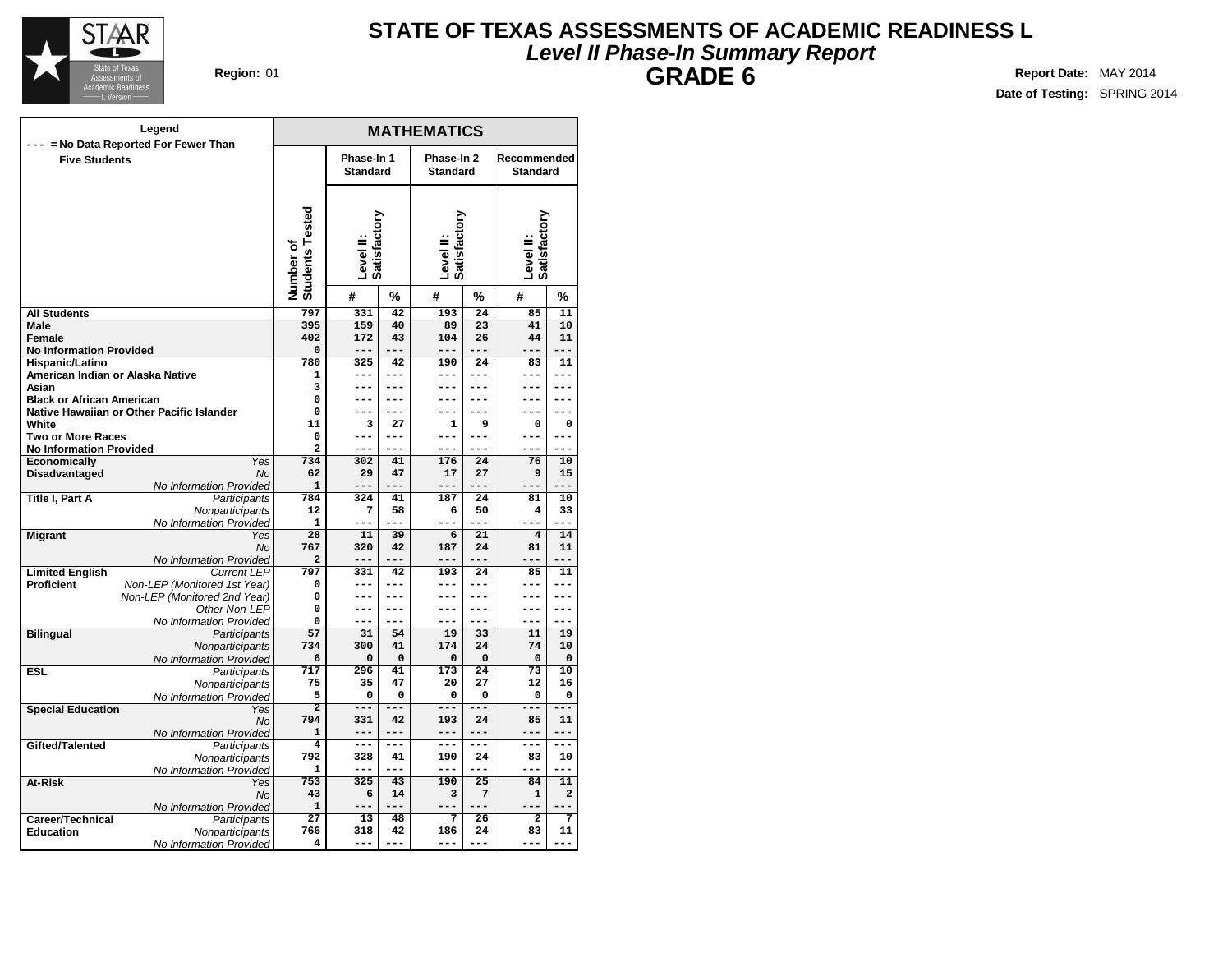

# **Level II Phase-In Summary Report STATE OF TEXAS ASSESSMENTS OF ACADEMIC READINESS L GRADE 6 Region:** 01 **Report** Date: MAY 2014

|                                                | Legend                                    |                              |                               |              | <b>MATHEMATICS</b>            |                 |                                |                |
|------------------------------------------------|-------------------------------------------|------------------------------|-------------------------------|--------------|-------------------------------|-----------------|--------------------------------|----------------|
| <b>Five Students</b>                           | --- = No Data Reported For Fewer Than     |                              | Phase-In 1<br><b>Standard</b> |              | Phase-In 2<br><b>Standard</b> |                 | Recommended<br><b>Standard</b> |                |
|                                                |                                           | Number of<br>Students Tested | Satisfactory<br>Level II:     |              | Level II:<br>Satisfactory     |                 | Level II:<br>Satisfactory      |                |
|                                                |                                           |                              | #                             | %            | #                             | %               | #                              | %              |
| <b>All Students</b>                            |                                           | 797                          | 331                           | 42           | 193                           | 24              | 85                             | 11             |
| Male                                           |                                           | 395                          | 159                           | 40           | 89                            | $\overline{23}$ | 41                             | 10             |
| Female                                         |                                           | 402                          | 172                           | 43           | 104                           | 26              | 44                             | 11             |
| <b>No Information Provided</b>                 |                                           | 0                            | $---$                         | $---$        | ---                           | $---$           | $---$                          | $---$          |
| Hispanic/Latino                                |                                           | 780                          | 325                           | 42           | 190                           | 24              | 83                             | 11             |
| American Indian or Alaska Native               |                                           | $\mathbf{1}$                 | ---                           | $---$        | ---                           | ---             | ---                            | ---            |
| Asian                                          |                                           | 3                            | ---<br>---                    | $---$<br>--- | ---<br>---                    | ---             | ---<br>---                     | ---<br>---     |
| <b>Black or African American</b>               |                                           | $\mathbf 0$<br>$\mathbf 0$   | ---                           | ---          | ---                           | $---$<br>---    | ---                            | ---            |
| White                                          | Native Hawaiian or Other Pacific Islander | 11                           | 3                             | 27           | 1                             | 9               | 0                              | 0              |
|                                                |                                           | $\mathbf 0$                  | ---                           | $---$        |                               |                 | ---                            |                |
| <b>Two or More Races</b>                       |                                           | $\overline{a}$               | ---                           | $---$        | ---<br>---                    | ---<br>$---$    | ---                            | ---<br>$---$   |
| <b>No Information Provided</b><br>Economically | Yes                                       | 734                          | 302                           | 41           | 176                           | 24              | 76                             | 10             |
| Disadvantaged                                  | <b>No</b>                                 | 62                           | 29                            | 47           | 17                            | 27              | 9                              | 15             |
|                                                | No Information Provided                   | $\mathbf{1}$                 | ---                           | ---          | ---                           | ---             | ---                            | ---            |
| Title I, Part A                                | Participants                              | 784                          | 324                           | 41           | 187                           | 24              | 81                             | 10             |
|                                                | Nonparticipants                           | 12                           | 7                             | 58           | 6                             | 50              | $\overline{\mathbf{4}}$        | 33             |
|                                                | No Information Provided                   | $\mathbf{1}$                 |                               |              |                               |                 |                                |                |
| <b>Migrant</b>                                 | Yes                                       | 28                           | 11                            | 39           | 6                             | 21              | $\overline{\mathbf{4}}$        | 14             |
|                                                | <b>No</b>                                 | 767                          | 320                           | 42           | 187                           | 24              | 81                             | 11             |
|                                                | No Information Provided                   | $\overline{a}$               | $---$                         | $---$        | ---                           | ---             | $---$                          | ---            |
| <b>Limited English</b>                         | <b>Current LEP</b>                        | 797                          | 331                           | 42           | 193                           | 24              | 85                             | 11             |
| Proficient                                     | Non-LEP (Monitored 1st Year)              | $\mathbf 0$                  | ---                           | $---$        | ---                           | $---$           | ---                            | $---$          |
|                                                | Non-LEP (Monitored 2nd Year)              | 0                            | ---                           | $---$        | ---                           | ---             | ---                            | ---            |
|                                                | Other Non-LEP                             | 0                            | ---                           | ---          | ---                           | ---             | ---                            | ---            |
|                                                | No Information Provided                   | 0                            | ---                           | ---          | ---                           | $---$           | ---                            | ---            |
| <b>Bilingual</b>                               | Participants                              | 57                           | 31                            | 54           | 19                            | 33              | 11                             | 19             |
|                                                | Nonparticipants                           | 734                          | 300                           | 41           | 174                           | 24              | 74                             | 10             |
|                                                | No Information Provided                   | 6                            | 0                             | $\Omega$     | 0                             | $\mathbf 0$     | $\mathbf 0$                    | 0              |
| <b>ESL</b>                                     | Participants                              | 717                          | 296                           | 41           | 173                           | 24              | 73                             | 10             |
|                                                | Nonparticipants                           | 75                           | 35                            | 47           | 20                            | 27              | 12                             | 16             |
|                                                | No Information Provided                   | 5                            | 0                             | $\Omega$     | 0                             | $\Omega$        | 0                              | 0              |
| <b>Special Education</b>                       | Yes                                       | $\overline{2}$               | $- - -$                       | ---          | $- - -$                       | ---             | $- - -$                        | ---            |
|                                                | No                                        | 794                          | 331<br>$---$                  | 42<br>$---$  | 193<br>---                    | 24<br>$---$     | 85<br>$---$                    | 11<br>$---$    |
| Gifted/Talented                                | No Information Provided                   | 1<br>$\overline{4}$          | ---                           | $---$        | ---                           | ---             | ---                            | ---            |
|                                                | Participants                              | 792                          | 328                           | 41           | 190                           | 24              | 83                             | 10             |
|                                                | Nonparticipants                           | 1                            | $---$                         | ---          | ---                           | $- - -$         | $- - -$                        | $---$          |
| At-Risk                                        | No Information Provided<br>Yes            | 753                          | 325                           | 43           | 190                           | 25              | 84                             | 11             |
|                                                | No                                        | 43                           | 6                             | 14           | 3                             | $\overline{7}$  | $\mathbf{1}$                   | $\overline{a}$ |
|                                                | No Information Provided                   | $\mathbf{1}$                 |                               | ---          | ---                           | ---             | ---                            |                |
| Career/Technical                               | Participants                              | $\overline{27}$              | 13                            | 48           | 7                             | 26              | $\overline{a}$                 | 7              |
| <b>Education</b>                               | Nonparticipants                           | 766                          | 318                           | 42           | 186                           | 24              | 83                             | 11             |
|                                                | No Information Provided                   | 4                            | $- - -$                       | $- - -$      | ---                           | ---             | $- - -$                        | ---            |
|                                                |                                           |                              |                               |              |                               |                 |                                |                |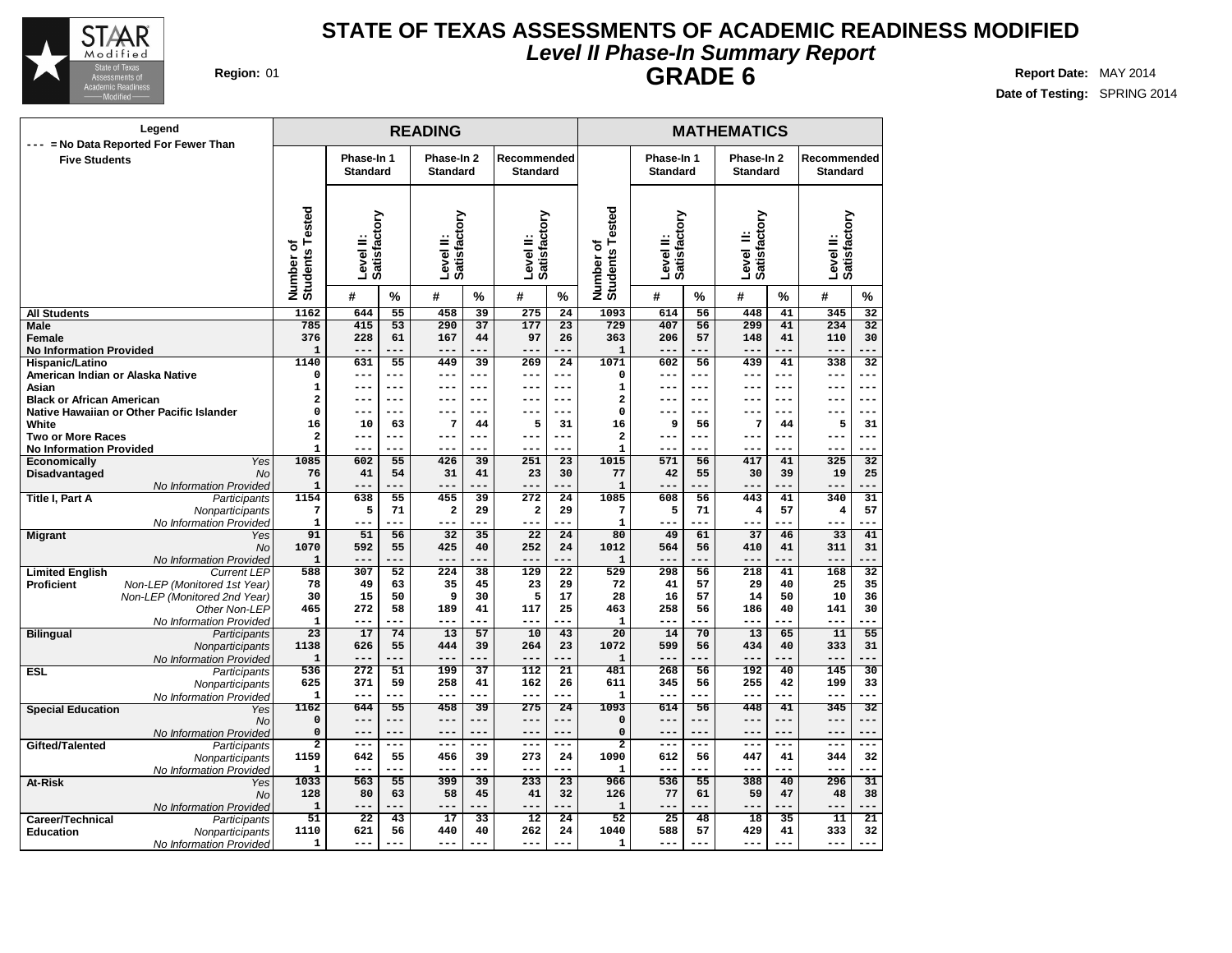

## **Level II Phase-In Summary Report STATE OF TEXAS ASSESSMENTS OF ACADEMIC READINESS MODIFIED GRADE 6 Region:** 01 **Report** Date: MAY 2014

| Region: 01 |  |
|------------|--|
|            |  |

| Legend                                                                  |                                        |                           |                       | <b>READING</b>            |                       |                           |                       |                                   |                           | <b>MATHEMATICS</b><br>Phase-In 2<br>Phase-In 1 |                                |            |                           |                       |
|-------------------------------------------------------------------------|----------------------------------------|---------------------------|-----------------------|---------------------------|-----------------------|---------------------------|-----------------------|-----------------------------------|---------------------------|------------------------------------------------|--------------------------------|------------|---------------------------|-----------------------|
| --- = No Data Reported For Fewer Than<br><b>Five Students</b>           |                                        | Phase-In 1                |                       | Phase-In 2                |                       | Recommended               |                       |                                   |                           |                                                |                                |            | Recommended               |                       |
|                                                                         |                                        | <b>Standard</b>           |                       | <b>Standard</b>           |                       | <b>Standard</b>           |                       |                                   | <b>Standard</b>           |                                                | <b>Standard</b>                |            | <b>Standard</b>           |                       |
|                                                                         |                                        |                           |                       |                           |                       |                           |                       |                                   |                           |                                                |                                |            |                           |                       |
|                                                                         | Number of<br>Students Tested           | Level II:<br>Satisfactory |                       | Satisfactory<br>Level II: |                       | Level II:<br>Satisfactory |                       | ested<br>Number of<br>Students Te | Level II:<br>Satisfactory |                                                | Level II:<br>Satisfactory<br>≝ |            | Level II:<br>Satisfactory |                       |
|                                                                         |                                        | #                         | $\%$                  | #                         | $\%$                  | #                         | %                     |                                   | #                         | $\%$                                           | #                              | %          | #                         | $\%$                  |
| <b>All Students</b>                                                     | 1162                                   | 644                       | $\overline{55}$       | 458                       | 39                    | 275                       | $\overline{24}$       | 1093                              | 614                       | 56                                             | 448                            | 41         | 345                       | $\overline{32}$       |
| Male<br>Female                                                          | 785<br>376                             | 415<br>228                | $\overline{53}$<br>61 | 290<br>167                | $\overline{37}$<br>44 | 177<br>97                 | $\overline{23}$<br>26 | 729<br>363                        | 407<br>206                | 56<br>57                                       | 299<br>148                     | 41<br>41   | 234<br>110                | $\overline{32}$<br>30 |
| <b>No Information Provided</b>                                          | $\mathbf{1}$                           | $- -$                     | ---                   | $- -$                     |                       | ---                       |                       | 1                                 | $---$                     | ---                                            | $---$                          | ---        | $- -$                     |                       |
| Hispanic/Latino                                                         | 1140                                   | 631                       | 55                    | 449                       | 39                    | 269                       | 24                    | 1071                              | 602                       | 56                                             | 439                            | 41         | 338                       | 32                    |
| American Indian or Alaska Native                                        | 0                                      | ---                       | ---                   | $---$                     | ---                   | ---                       | ---                   | 0                                 | $---$                     | ---                                            | $---$                          | ---        | ---                       | ---                   |
| Asian                                                                   | 1                                      | ---                       | $---$                 | ---                       | ---                   | ---                       | $---$                 | 1                                 | ---                       | ---                                            | $---$                          | ---        | ---                       | $--$                  |
| <b>Black or African American</b>                                        | $\overline{\mathbf{2}}$<br>$\mathbf 0$ | --<br>---                 | $---$<br>$---$        | $- -$<br>$---$            | ---<br>---            | ---<br>---                | ---<br>$---$          | $\mathbf 2$<br>$\mathbf 0$        | ---<br>---                | ---<br>---                                     | ---<br>---                     | ---<br>--- | --<br>---                 | $-$<br>---            |
| Native Hawaiian or Other Pacific Islander<br>White                      | 16                                     | 10                        | 63                    | 7                         | 44                    | 5                         | 31                    | 16                                | 9                         | 56                                             | 7                              | 44         | 5                         | 31                    |
| <b>Two or More Races</b>                                                | $\overline{\mathbf{2}}$                | ---                       | $---$                 | ---                       | ---                   | ---                       | $---$                 | $\mathbf 2$                       | ---                       | ---                                            | $--$                           | $---$      | $---$                     | $---$                 |
| <b>No Information Provided</b>                                          | $\mathbf{1}$                           | ---                       | ---                   | $- -$                     |                       | ---                       |                       | $\mathbf{1}$                      | ---                       | ---                                            | ---                            | ---        | ---                       |                       |
| Economically<br>Yes                                                     | 1085                                   | 602                       | 55                    | 426                       | 39                    | 251                       | $\overline{23}$       | 1015                              | 571                       | 56                                             | 417                            | 41         | 325                       | 32                    |
| Disadvantaged<br><b>No</b>                                              | 76                                     | 41<br>---                 | 54<br>---             | 31<br>$---$               | 41                    | 23<br>---                 | 30<br>---             | 77                                | 42                        | 55<br>---                                      | 30<br>$---$                    | 39<br>---  | 19<br>---                 | 25<br>---             |
| No Information Provided<br>Title I, Part A<br>Participants              | $\mathbf{1}$<br>1154                   | 638                       | 55                    | 455                       | 39                    | 272                       | 24                    | 1<br>1085                         | $---$<br>608              | 56                                             | 443                            | 41         | 340                       | 31                    |
| Nonparticipants                                                         | 7                                      | 5                         | 71                    | $\overline{\mathbf{2}}$   | 29                    | $\overline{\mathbf{2}}$   | 29                    | 7                                 | 5                         | 71                                             | 4                              | 57         | 4                         | 57                    |
| No Information Provided                                                 | 1                                      | ---                       | ---                   | $---$                     |                       | ---                       |                       | $\mathbf{1}$                      | $- -$                     | ---                                            | ---                            | ---        | ---                       |                       |
| <b>Migrant</b><br>Yes                                                   | 91                                     | 51                        | 56                    | 32                        | 35                    | 22                        | $\overline{24}$       | 80                                | 49                        | 61                                             | 37                             | 46         | 33                        | 41                    |
| No                                                                      | 1070                                   | 592                       | 55                    | 425                       | 40                    | 252                       | 24                    | 1012                              | 564                       | 56                                             | 410                            | 41         | 311                       | 31                    |
| No Information Provided<br><b>Limited English</b><br><b>Current LEP</b> | $\mathbf{1}$<br>588                    | ---<br>307                | ---<br>52             | $---$<br>224              | 38                    | $---$<br>129              | ---<br>22             | $\mathbf{1}$<br>529               | $---$<br>298              | ---<br>56                                      | $---$<br>218                   | ---<br>41  | $---$<br>168              | ---<br>32             |
| Proficient<br>Non-LEP (Monitored 1st Year)                              | 78                                     | 49                        | 63                    | 35                        | 45                    | 23                        | 29                    | 72                                | 41                        | 57                                             | 29                             | 40         | 25                        | 35                    |
| Non-LEP (Monitored 2nd Year)                                            | 30                                     | 15                        | 50                    | 9                         | 30                    | 5                         | 17                    | 28                                | 16                        | 57                                             | 14                             | 50         | 10                        | 36                    |
| Other Non-LEP                                                           | 465                                    | 272                       | 58                    | 189                       | 41                    | 117                       | 25                    | 463                               | 258                       | 56                                             | 186                            | 40         | 141                       | 30                    |
| No Information Provided                                                 | 1                                      | ---                       | ---                   | $---$                     |                       | ---                       |                       | 1                                 | $---$                     | ---                                            | ---                            |            | ---                       |                       |
| <b>Bilingual</b><br>Participants                                        | 23                                     | 17                        | 74<br>55              | 13<br>444                 | 57                    | 10<br>264                 | 43<br>23              | 20                                | 14                        | 70                                             | 13                             | 65         | 11<br>333                 | 55                    |
| Nonparticipants<br>No Information Provided                              | 1138<br>$\mathbf{1}$                   | 626<br>---                | ---                   |                           | 39                    | ---                       |                       | 1072<br>$\mathbf 1$               | 599<br>$---$              | 56<br>---                                      | 434<br>$---$                   | 40         | $---$                     | 31                    |
| <b>ESL</b><br>Participants                                              | 536                                    | 272                       | 51                    | 199                       | 37                    | 112                       | 21                    | 481                               | 268                       | 56                                             | 192                            | 40         | 145                       | 30                    |
| Nonparticipants                                                         | 625                                    | 371                       | 59                    | 258                       | 41                    | 162                       | 26                    | 611                               | 345                       | 56                                             | 255                            | 42         | 199                       | 33                    |
| No Information Provided                                                 | $\mathbf{1}$                           | ---                       | ---                   | $- -$                     |                       | ---                       |                       | $\mathbf{1}$                      | $---$                     | ---                                            | $---$                          | ---        | $--$                      |                       |
| <b>Special Education</b><br>Yes                                         | 1162                                   | 644<br>---                | 55<br>---             | 458<br>$---$              | 39                    | 275<br>---                | 24                    | 1093                              | 614<br>$-- -$             | 56<br>---                                      | 448<br>$---$                   | 41<br>---  | 345<br>$- -$              | 32<br>---             |
| <b>No</b><br>No Information Provided                                    | 0<br>0                                 | ---                       | ---                   | $---$                     | ---<br>---            | ---                       | $---$<br>$---$        | $\mathbf 0$<br>$\mathbf 0$        | $---$                     | ---                                            | $---$                          | ---        | $---$                     | $---$                 |
| Gifted/Talented<br>Participants                                         | $\overline{2}$                         | $---$                     | ---                   | $---$                     | ---                   | $---$                     | $---$                 | $\overline{2}$                    | $---$                     | ---                                            | $- - -$                        | ---        | ---                       | ---                   |
| Nonparticipants                                                         | 1159                                   | 642                       | 55                    | 456                       | 39                    | 273                       | 24                    | 1090                              | 612                       | 56                                             | 447                            | 41         | 344                       | 32                    |
| No Information Provided                                                 | 1                                      | ---                       | ---                   | $- - -$                   | ---                   | ---                       |                       | $\mathbf{1}$                      | ---                       | ---                                            | $- -$                          | ---        | ---                       | ---                   |
| At-Risk<br>Yes                                                          | 1033                                   | 563                       | 55                    | 399                       | 39                    | 233                       | $\overline{23}$       | 966                               | 536                       | 55                                             | 388                            | 40         | 296                       | 31                    |
| No                                                                      | 128<br>$\mathbf{1}$                    | 80<br>---                 | 63<br>---             | 58<br>$- - -$             | 45<br>---             | 41<br>---                 | 32<br>---             | 126<br>$\mathbf 1$                | 77<br>$---$               | 61<br>---                                      | 59<br>$---$                    | 47<br>---  | 48<br>$- -$               | 38<br>---             |
| No Information Provided<br>Career/Technical<br>Participants             | 51                                     | $\overline{22}$           | 43                    | 17                        | 33                    | $\overline{12}$           | 24                    | 52                                | 25                        | 48                                             | 18                             | 35         | 11                        | 21                    |
| <b>Education</b><br>Nonparticipants                                     | 1110                                   | 621                       | 56                    | 440                       | 40                    | 262                       | 24                    | 1040                              | 588                       | 57                                             | 429                            | 41         | 333                       | 32                    |
| No Information Provided                                                 | 1                                      | ---                       | ---                   | $---$                     |                       | ---                       | ---                   | $\mathbf 1$                       | $---$                     | ---                                            | ---                            |            | ---                       | ---                   |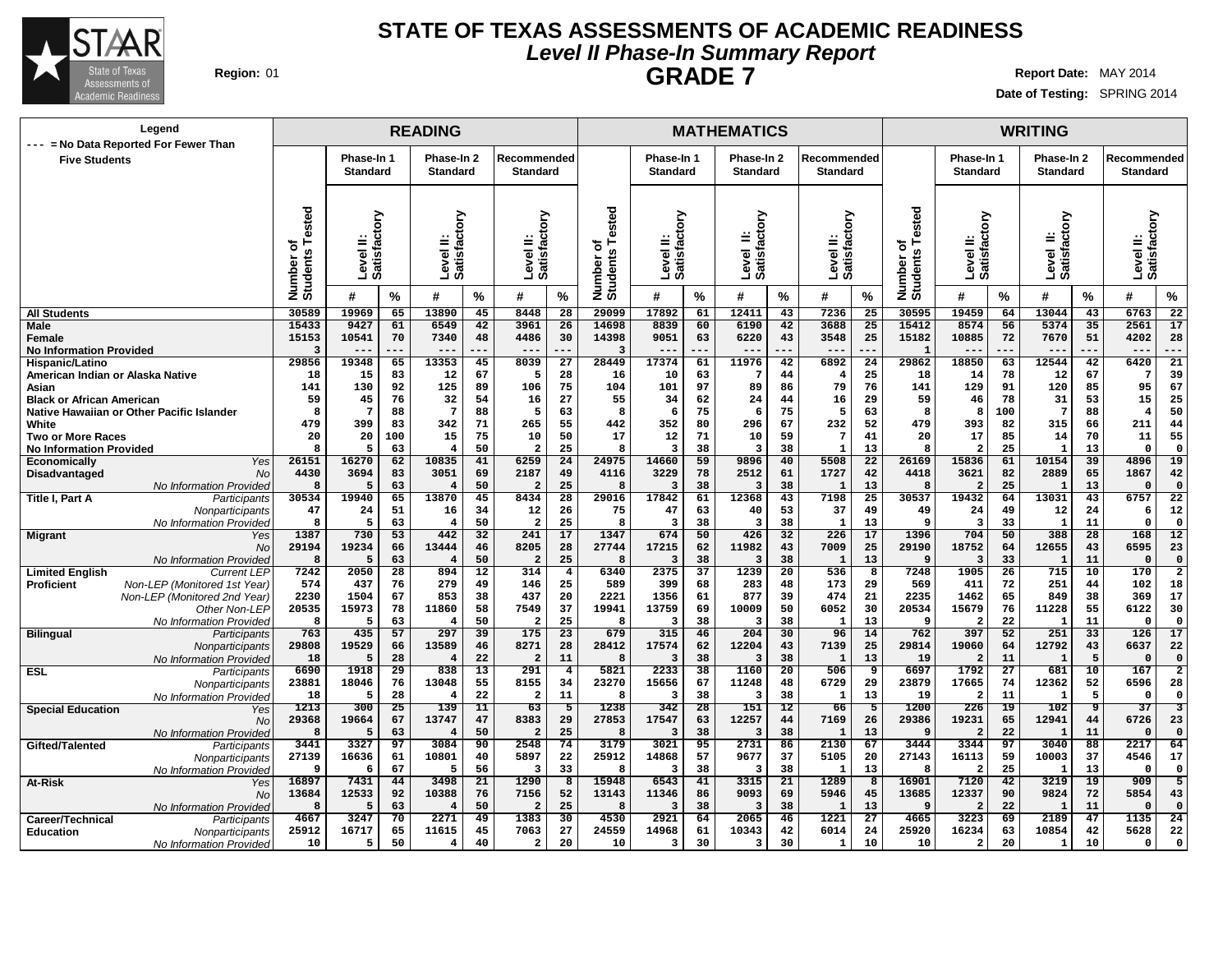

## **Level II Phase-In Summary Report STATE OF TEXAS ASSESSMENTS OF ACADEMIC READINESS GRADE 7 Region:** 01 **Report** Date: MAY 2014

|                                                            | Legend                                             |                            |                                                        |           | <b>READING</b>                |           |                                |                               |                              |                               |          | <b>MATHEMATICS</b>            |           |                                |                 |                                          |                               |          | <b>WRITING</b>                |                 |                                |                               |
|------------------------------------------------------------|----------------------------------------------------|----------------------------|--------------------------------------------------------|-----------|-------------------------------|-----------|--------------------------------|-------------------------------|------------------------------|-------------------------------|----------|-------------------------------|-----------|--------------------------------|-----------------|------------------------------------------|-------------------------------|----------|-------------------------------|-----------------|--------------------------------|-------------------------------|
|                                                            | --- = No Data Reported For Fewer Than              |                            |                                                        |           |                               |           |                                |                               |                              |                               |          |                               |           |                                |                 |                                          |                               |          |                               |                 |                                |                               |
| <b>Five Students</b>                                       |                                                    |                            | Phase-In 1<br><b>Standard</b>                          |           | Phase-In 2<br><b>Standard</b> |           | Recommended<br><b>Standard</b> |                               |                              | Phase-In 1<br><b>Standard</b> |          | Phase-In 2<br><b>Standard</b> |           | Recommended<br><b>Standard</b> |                 |                                          | Phase-In 1<br><b>Standard</b> |          | Phase-In 2<br><b>Standard</b> |                 | Recommended<br><b>Standard</b> |                               |
|                                                            |                                                    |                            |                                                        |           |                               |           |                                |                               |                              |                               |          |                               |           |                                |                 |                                          |                               |          |                               |                 |                                |                               |
|                                                            |                                                    | sted<br>ā<br>ö<br>Number o | δŅ<br><b>Satisfact</b><br>≝<br>$\overline{\Phi}$<br>ےّ |           | Level II:<br>Satisfactory     |           | Level II:<br>Satisfactory      |                               | Number of<br>Students Tested | δ<br>ಕ<br>Level<br>Satisfa    |          | Level II:<br>Satisfactory     |           | Level II:<br>Satisfactory      |                 | ested<br>۴<br>ত<br>Number of<br>Students | Satisfactory<br>Level II:     |          | Level II:<br>Satisfactory     |                 | Satisfactory<br>Level II:      |                               |
|                                                            |                                                    |                            | #                                                      | %         | #                             | %         | #                              | %                             |                              | #                             | %        | #                             | %         | #                              | %               |                                          | #                             | $\%$     | #                             | $\frac{9}{6}$   | #                              | $\%$                          |
| <b>All Students</b>                                        |                                                    | 30589                      | 19969                                                  | 65        | 13890                         | 45        | 8448                           | 28                            | 29099                        | 17892                         | 61       | 12411                         | 43        | 7236                           | 25              | 30595                                    | 19459                         | 64       | 13044                         | 43              | 6763                           | 22                            |
| <b>Male</b>                                                |                                                    | 15433                      | 9427                                                   | 61        | 6549                          | 42        | 3961                           | 26                            | 14698                        | 8839                          | 60       | 6190                          | 42        | 3688                           | 25              | 15412                                    | 8574                          | 56       | 5374                          | 35              | 2561                           | 17                            |
| Female<br><b>No Information Provided</b>                   |                                                    | 15153<br>3                 | 10541<br>---                                           | 70        | 7340<br>$- -$                 | 48<br>--- | 4486<br>$- -$                  | 30                            | 14398<br>3                   | 9051<br>$- -$                 | 63       | 6220<br>$- -$                 | 43<br>--- | 3548<br>$---$                  | 25<br>---       | 15182                                    | 10885<br>$- -$                | 72       | 7670<br>$- -$                 | 51              | 4202<br>---                    | 28<br>---                     |
| Hispanic/Latino                                            |                                                    | 29856                      | 19348                                                  | 65        | 13353                         | 45        | 8039                           | 27                            | 28449                        | 17374                         | 61       | 11976                         | 42        | 6892                           | 24              | 29862                                    | 18850                         | 63       | 12544                         | 42              | 6420                           | 21                            |
| American Indian or Alaska Native                           |                                                    | 18                         | 15                                                     | 83        | 12                            | 67        | 5                              | 28                            | 16                           | 10                            | 63       | 7                             | 44        | 4                              | 25              | 18                                       | 14                            | 78       | 12                            | 67              | -7                             | 39                            |
| Asian                                                      |                                                    | 141                        | 130                                                    | 92        | 125                           | 89        | 106                            | 75                            | 104                          | 101                           | 97       | 89                            | 86        | 79                             | 76              | 141                                      | 129                           | 91       | 120                           | 85              | 95                             | 67                            |
| <b>Black or African American</b>                           |                                                    | 59                         | 45                                                     | 76        | 32                            | 54        | 16                             | 27                            | 55                           | 34                            | 62       | 24                            | 44        | 16                             | 29              | 59                                       | 46                            | 78       | 31                            | 53              | 15                             | 25                            |
|                                                            | Native Hawaiian or Other Pacific Islander          | 8                          | $\overline{7}$                                         | 88        | 7                             | 88        | 5                              | 63                            | 8                            | 6                             | 75       | -6                            | 75        | 5                              | 63              | 8                                        | -8                            | 100      | 7                             | 88              | $\overline{4}$                 | 50                            |
| White                                                      |                                                    | 479                        | 399                                                    | 83        | 342                           | 71        | 265                            | 55                            | 442                          | 352                           | 80       | 296                           | 67        | 232                            | 52              | 479                                      | 393                           | 82       | 315                           | 66              | 211                            | 44                            |
| <b>Two or More Races</b><br><b>No Information Provided</b> |                                                    | 20<br>8                    | 20<br>5                                                | 100<br>63 | 15<br>4                       | 75<br>50  | 10<br>2                        | 50<br>25                      | 17<br>8                      | 12<br>3                       | 71<br>38 | 10<br>3                       | 59<br>38  | $\overline{7}$<br>$\mathbf{1}$ | 41<br>13        | 20                                       | 17<br>$\overline{2}$          | 85<br>25 | 14<br>1                       | 70<br>13        | 11<br>$\mathbf{0}$             | 55<br>0                       |
| <b>Economically</b>                                        | Yes                                                | 26151                      | 16270                                                  | 62        | 10835                         | 41        | 6259                           | 24                            | 24975                        | 14660                         | 59       | 9896                          | 40        | 5508                           | $\overline{22}$ | 26169                                    | 15836                         | 61       | 10154                         | $\overline{39}$ | 4896                           | 19                            |
| Disadvantaged                                              | <b>No</b>                                          | 4430                       | 3694                                                   | 83        | 3051                          | 69        | 2187                           | 49                            | 4116                         | 3229                          | 78       | 2512                          | 61        | 1727                           | 42              | 4418                                     | 3621                          | 82       | 2889                          | 65              | 1867                           | 42                            |
|                                                            | <b>No Information Provided</b>                     | 8                          | F                                                      | 63        | 4                             | 50        | 2                              | 25                            | 8                            | 3                             | 38       | 3                             | 38        | 1                              | 13              |                                          | $\overline{2}$                | 25       | 1                             | 13              | $\mathfrak{c}$                 | $\Omega$                      |
| Title I, Part A                                            | Participants                                       | 30534                      | 19940                                                  | 65        | 13870                         | 45        | 8434                           | 28                            | 29016                        | 17842                         | 61       | 12368                         | 43        | 7198                           | 25              | 30537                                    | 19432                         | 64       | 13031                         | 43              | 6757                           | $\overline{22}$               |
|                                                            | Nonparticipants                                    | 47                         | 24                                                     | 51        | 16                            | 34        | 12                             | 26                            | 75                           | 47                            | 63       | 40                            | 53        | 37                             | 49              | 49                                       | 24                            | 49       | 12                            | 24              | 6                              | 12                            |
|                                                            | No Information Provided                            | 8                          | 5                                                      | 63        | 4                             | 50        | $\overline{\mathbf{2}}$        | 25                            | 8                            | 3                             | 38       | $\overline{\mathbf{3}}$       | 38        | 1                              | 13              | 9                                        | $\overline{\mathbf{3}}$       | 33       | $\mathbf{1}$                  | 11              | $\mathbf{0}$                   | $\mathbf 0$                   |
| <b>Migrant</b>                                             | Yes                                                | 1387                       | 730                                                    | 53        | 442                           | 32        | 241                            | 17                            | 1347                         | 674                           | 50       | 426                           | 32        | 226                            | 17              | 1396                                     | 704                           | 50       | 388                           | 28              | 168                            | 12                            |
|                                                            | <b>No</b>                                          | 29194                      | 19234                                                  | 66        | 13444                         | 46        | 8205                           | 28                            | 27744                        | 17215                         | 62       | 11982                         | 43        | 7009                           | 25              | 29190                                    | 18752                         | 64       | 12655                         | 43              | 6595                           | 23                            |
|                                                            | No Information Provideo                            | 8                          | 5                                                      | 63        | 4                             | 50        | 2<br>314                       | 25                            | 8                            | 3                             | 38       | 3<br>1239                     | 38        | 1                              | 13              | -9                                       | -3<br>1905                    | 33       | $\mathbf{1}$                  | 11              | $\Omega$                       | $\mathbf{0}$                  |
| <b>Limited English</b><br><b>Proficient</b>                | <b>Current LEF</b><br>Non-LEP (Monitored 1st Year) | 7242<br>574                | 2050<br>437                                            | 28<br>76  | 894<br>279                    | 12<br>49  | 146                            | $\overline{\mathbf{4}}$<br>25 | 6340<br>589                  | 2375<br>399                   | 37<br>68 | 283                           | 20<br>48  | 536<br>173                     | 8<br>29         | 7248<br>569                              | 411                           | 26<br>72 | 715<br>251                    | 10<br>44        | 170<br>102                     | $\overline{\mathbf{2}}$<br>18 |
|                                                            | Non-LEP (Monitored 2nd Year)                       | 2230                       | 1504                                                   | 67        | 853                           | 38        | 437                            | 20                            | 2221                         | 1356                          | 61       | 877                           | 39        | 474                            | 21              | 2235                                     | 1462                          | 65       | 849                           | 38              | 369                            | 17                            |
|                                                            | Other Non-LEP                                      | 20535                      | 15973                                                  | 78        | 11860                         | 58        | 7549                           | 37                            | 19941                        | 13759                         | 69       | 10009                         | 50        | 6052                           | 30              | 20534                                    | 15679                         | 76       | 11228                         | 55              | 6122                           | 30                            |
|                                                            | No Information Provided                            | 8                          | 5                                                      | 63        | 4                             | 50        | 2                              | 25                            | 8                            | 3                             | 38       | 3                             | 38        | $\mathbf{1}$                   | 13              | 9                                        | $\overline{2}$                | 22       | $\mathbf{1}$                  | 11              | $\mathbf{0}$                   | 0                             |
| <b>Bilingual</b>                                           | Participants                                       | 763                        | 435                                                    | 57        | 297                           | 39        | 175                            | 23                            | 679                          | 315                           | 46       | 204                           | 30        | 96                             | 14              | 762                                      | 397                           | 52       | 251                           | 33              | 126                            | 17                            |
|                                                            | Nonparticipants                                    | 29808                      | 19529                                                  | 66        | 13589                         | 46        | 8271                           | 28                            | 28412                        | 17574                         | 62       | 12204                         | 43        | 7139                           | 25              | 29814                                    | 19060                         | 64       | 12792                         | 43              | 6637                           | 22                            |
|                                                            | No Information Provided                            | 18                         | 5                                                      | 28        | 4                             | 22        | $\overline{\mathbf{2}}$        | 11                            | 8                            | $\overline{3}$                | 38       | -3                            | 38        | $\mathbf{1}$                   | 13              | 19                                       | $\overline{2}$                | 11       | 1                             | 5               | $\Omega$                       | $\Omega$                      |
| <b>ESL</b>                                                 | Participants                                       | 6690                       | 1918                                                   | 29        | 838                           | 13        | 291                            | $\overline{\mathbf{4}}$       | 5821                         | 2233                          | 38       | 1160                          | 20        | 506                            | 9               | 6697                                     | 1792                          | 27       | 681                           | 10              | 167                            | $\overline{a}$                |
|                                                            | Nonparticipants                                    | 23881                      | 18046                                                  | 76        | 13048                         | 55        | 8155                           | 34                            | 23270                        | 15656                         | 67       | 11248                         | 48        | 6729                           | 29              | 23879                                    | 17665                         | 74       | 12362                         | 52              | 6596                           | 28                            |
|                                                            | No Information Provided                            | 18                         | -5                                                     | 28        | 4                             | 22        | $\overline{\mathbf{2}}$        | 11                            | 8                            | 3                             | 38       | $\overline{\mathbf{3}}$       | 38        | 1                              | 13              | 19                                       | $\overline{\mathbf{2}}$       | 11       | - 1                           | 5               | 0                              | $\mathbf 0$                   |
| <b>Special Education</b>                                   | Yes                                                | 1213<br>29368              | 300<br>19664                                           | 25<br>67  | 139<br>13747                  | 11<br>47  | 63<br>8383                     | 5<br>29                       | 1238<br>27853                | 342<br>17547                  | 28<br>63 | 151<br>12257                  | 12<br>44  | 66<br>7169                     | 5<br>26         | 1200<br>29386                            | 226<br>19231                  | 19<br>65 | 102<br>12941                  | و<br>44         | 37<br>6726                     | 3<br>23                       |
|                                                            | <b>No</b><br>No Information Provided               | 8                          | 5                                                      | 63        | 4                             | 50        | $\overline{2}$                 | 25                            | 8                            | 3                             | 38       | 3                             | 38        | $\mathbf{1}$                   | 13              | 9                                        | $\overline{\mathbf{2}}$       | 22       | $\mathbf{1}$                  | 11              | $\Omega$                       | $\mathbf 0$                   |
| Gifted/Talented                                            | Participants                                       | 3441                       | 3327                                                   | 97        | 3084                          | 90        | 2548                           | 74                            | 3179                         | 3021                          | 95       | 2731                          | 86        | 2130                           | 67              | 3444                                     | 3344                          | 97       | 3040                          | 88              | 2217                           | 64                            |
|                                                            | Nonparticipants                                    | 27139                      | 16636                                                  | 61        | 10801                         | 40        | 5897                           | 22                            | 25912                        | 14868                         | 57       | 9677                          | 37        | 5105                           | 20              | 27143                                    | 16113                         | 59       | 10003                         | 37              | 4546                           | 17                            |
|                                                            | No Information Provideo                            | 9                          | 6                                                      | 67        | 5                             | 56        | 3                              | 33                            | 8                            | 3                             | 38       | 3                             | 38        | $\mathbf{1}$                   | 13              | 8                                        | 2                             | 25       | -1                            | 13              | - 0                            | 0                             |
| At-Risk                                                    | Yes                                                | 16897                      | 7431                                                   | 44        | 3498                          | 21        | 1290                           | 8                             | 15948                        | 6543                          | 41       | 3315                          | 21        | 1289                           | 8               | 16901                                    | 7120                          | 42       | 3219                          | 19              | 909                            | $\overline{5}$                |
|                                                            | No                                                 | 13684                      | 12533                                                  | 92        | 10388                         | 76        | 7156                           | 52                            | 13143                        | 11346                         | 86       | 9093                          | 69        | 5946                           | 45              | 13685                                    | 12337                         | 90       | 9824                          | 72              | 5854                           | 43                            |
|                                                            | No Information Provideo                            | 8                          | 5                                                      | 63        | 4                             | 50        |                                | 25                            | 8                            | 3                             | 38       | 3                             | 38        | 1                              | 13              |                                          | $\overline{2}$                | 22       | 1                             | 11              | $\mathfrak{c}$                 | $\Omega$                      |
| Career/Technical                                           | Participants                                       | 4667                       | 3247                                                   | 70        | 2271                          | 49        | 1383                           | 30                            | 4530                         | 2921                          | 64       | 2065                          | 46        | 1221                           | 27              | 4665                                     | 3223                          | 69       | 2189                          | 47              | 1135                           | 24                            |
| <b>Education</b>                                           | Nonparticipants                                    | 25912                      | 16717                                                  | 65        | 11615                         | 45        | 7063                           | 27                            | 24559                        | 14968                         | 61       | 10343                         | 42        | 6014                           | 24              | 25920                                    | 16234                         | 63       | 10854                         | 42              | 5628                           | 22                            |
|                                                            | No Information Provided                            | 10                         | 5                                                      | 50        | 4                             | 40        | $\overline{2}$                 | 20                            | 10                           | 3                             | 30       | 3                             | 30        | $\mathbf{1}$                   | 10              | 10                                       | $\overline{2}$                | 20       | $\mathbf{1}$                  | 10              | $\Omega$                       | $\Omega$                      |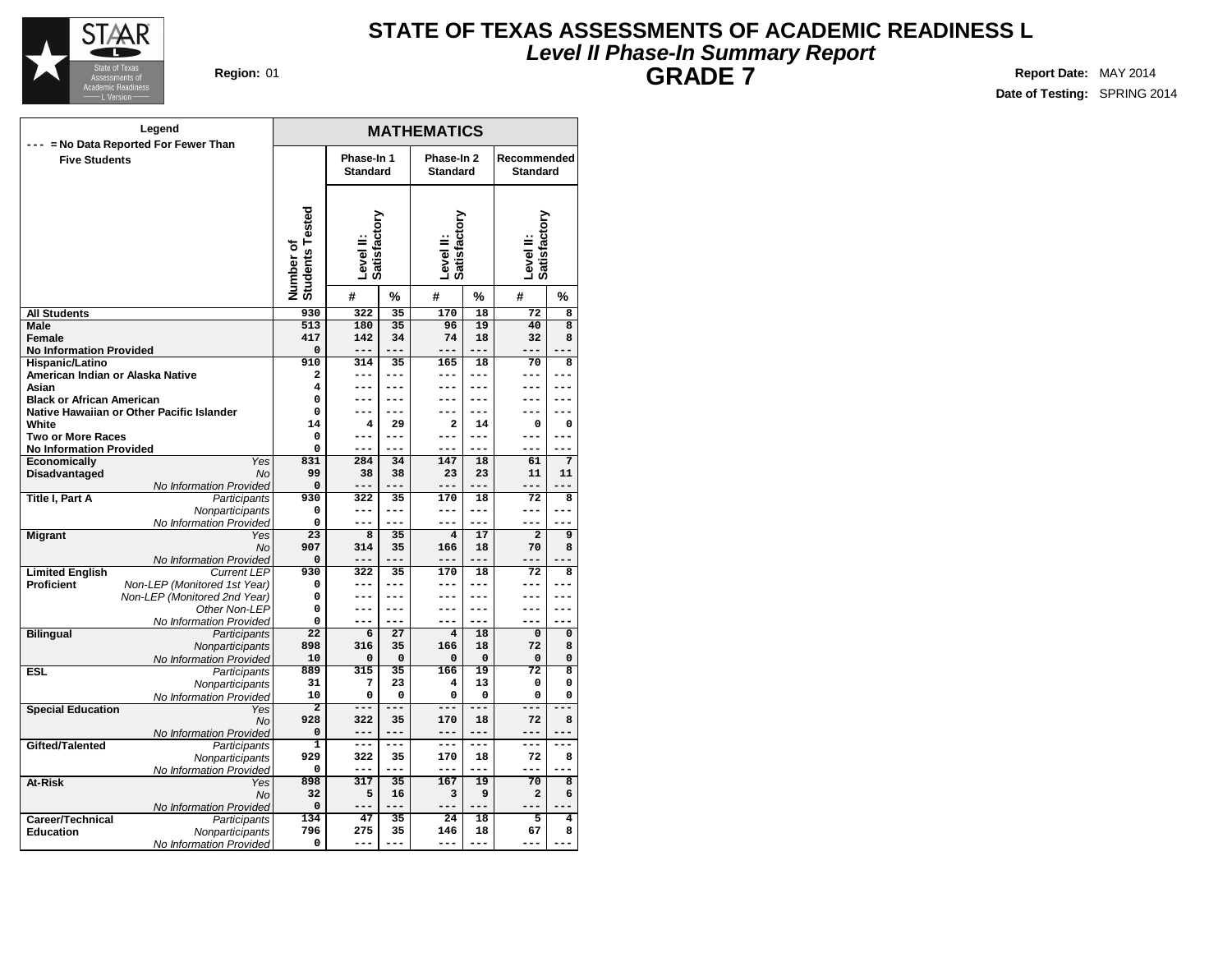

## **Level II Phase-In Summary Report STATE OF TEXAS ASSESSMENTS OF ACADEMIC READINESS L GRADE 7 Region:** 01 **Report** Date: MAY 2014

|                                                            | Legend                                        | <b>MATHEMATICS</b>           |                           |                |                           |               |                                |                         |  |  |  |  |  |
|------------------------------------------------------------|-----------------------------------------------|------------------------------|---------------------------|----------------|---------------------------|---------------|--------------------------------|-------------------------|--|--|--|--|--|
|                                                            | --- = No Data Reported For Fewer Than         | Phase-In 1<br>Phase-In 2     |                           |                |                           |               |                                |                         |  |  |  |  |  |
| <b>Five Students</b>                                       |                                               |                              | <b>Standard</b>           |                | <b>Standard</b>           |               | Recommended<br><b>Standard</b> |                         |  |  |  |  |  |
|                                                            |                                               |                              |                           |                |                           |               |                                |                         |  |  |  |  |  |
|                                                            |                                               |                              |                           |                |                           |               |                                |                         |  |  |  |  |  |
|                                                            |                                               | Number of<br>Students Tested |                           |                | Level II:<br>Satisfactory |               |                                |                         |  |  |  |  |  |
|                                                            |                                               |                              |                           |                |                           |               | Level II:<br>Satisfactory      |                         |  |  |  |  |  |
|                                                            |                                               |                              |                           |                |                           |               |                                |                         |  |  |  |  |  |
|                                                            |                                               |                              | Satisfactory<br>Level II: |                |                           |               |                                |                         |  |  |  |  |  |
|                                                            |                                               |                              |                           |                |                           |               |                                |                         |  |  |  |  |  |
|                                                            |                                               |                              | #                         | %              | #                         | %             | #                              | %                       |  |  |  |  |  |
| <b>All Students</b>                                        |                                               | 930                          | 322                       | 35             | 170                       | 18            | 72                             | 8                       |  |  |  |  |  |
| Male                                                       |                                               | 513                          | 180                       | 35             | 96                        | 19            | 40                             | $\overline{\mathbf{8}}$ |  |  |  |  |  |
| Female                                                     |                                               | 417                          | 142<br>$---$              | 34             | 74<br>$---$               | 18<br>$- - -$ | 32<br>---                      | 8                       |  |  |  |  |  |
| <b>No Information Provided</b><br>Hispanic/Latino          |                                               | $\mathbf 0$<br>910           | 314                       | 35             | 165                       | 18            | 70                             | 8                       |  |  |  |  |  |
| American Indian or Alaska Native                           |                                               | $\overline{a}$               | ---                       | ---            | ---                       | ---           | ---                            | ---                     |  |  |  |  |  |
| Asian                                                      |                                               | 4                            | ---                       | $---$          | ---                       | ---           | ---                            | ---                     |  |  |  |  |  |
| <b>Black or African American</b>                           |                                               | 0                            | ---                       | $---$          | ---                       | ---           | ---                            | ---                     |  |  |  |  |  |
|                                                            | Native Hawaiian or Other Pacific Islander     | 0                            | ---                       | ---            | ---                       | ---           | ---                            |                         |  |  |  |  |  |
| White                                                      |                                               | 14                           | 4<br>---                  | 29<br>---      | $\mathbf{2}$              | 14<br>---     | 0<br>---                       | 0                       |  |  |  |  |  |
| <b>Two or More Races</b><br><b>No Information Provided</b> |                                               | 0<br>0                       | ---                       |                | ---<br>---                | ---           | ---                            | ---<br>---              |  |  |  |  |  |
| Economically                                               | Yes                                           | 831                          | 284                       | 34             | 147                       | 18            | 61                             | 7                       |  |  |  |  |  |
| Disadvantaged                                              | <b>No</b>                                     | 99                           | 38                        | 38             | 23                        | 23            | 11                             | 11                      |  |  |  |  |  |
|                                                            | No Information Provided                       | 0                            | ---                       | $- - -$        | $---$                     | $- - -$       | ---                            | ---                     |  |  |  |  |  |
| <b>Title I, Part A</b>                                     | Participants                                  | 930                          | 322                       | 35             | 170                       | 18            | 72                             | 8                       |  |  |  |  |  |
|                                                            | Nonparticipants<br>No Information Provided    | 0<br>0                       | ---<br>---                | $---$<br>$---$ | ---<br>---                | ---<br>---    | ---<br>$---$                   | ---<br>---              |  |  |  |  |  |
| <b>Migrant</b>                                             | Yes                                           | 23                           | 8                         | 35             | $\overline{4}$            | 17            | $\overline{a}$                 | 9                       |  |  |  |  |  |
|                                                            | <b>No</b>                                     | 907                          | 314                       | 35             | 166                       | 18            | 70                             | 8                       |  |  |  |  |  |
|                                                            | No Information Provided                       | $\mathbf 0$                  | ---                       | $ -$           | ---                       | ---           | ---                            |                         |  |  |  |  |  |
| <b>Limited English</b>                                     | <b>Current LEP</b>                            | 930                          | 322                       | 35             | 170                       | 18            | $\overline{72}$                | 8                       |  |  |  |  |  |
| <b>Proficient</b>                                          | Non-LEP (Monitored 1st Year)                  | 0                            | ---                       | $---$          | ---                       | ---           | ---                            |                         |  |  |  |  |  |
|                                                            | Non-LEP (Monitored 2nd Year)<br>Other Non-LEP | 0<br>0                       | ---<br>---                | ---<br>---     | ---                       | ---           | ---<br>---                     | ---                     |  |  |  |  |  |
|                                                            | No Information Provided                       | 0                            | ---                       | $---$          | ---                       | ---           | ---                            | $---$                   |  |  |  |  |  |
| <b>Bilingual</b>                                           | Participants                                  | $\overline{22}$              | 6                         | 27             | $\overline{4}$            | 18            | $\Omega$                       | $\mathbf 0$             |  |  |  |  |  |
|                                                            | Nonparticipants                               | 898                          | 316                       | 35             | 166                       | 18            | 72                             | 8                       |  |  |  |  |  |
|                                                            | No Information Provided                       | 10                           | 0                         | $\mathbf 0$    | $\mathbf 0$               | $\mathbf 0$   | 0                              | 0                       |  |  |  |  |  |
| <b>ESL</b>                                                 | Participants                                  | 889<br>31                    | 315<br>7                  | 35<br>23       | 166<br>4                  | 19<br>13      | $\overline{72}$<br>0           | 8<br>0                  |  |  |  |  |  |
|                                                            | Nonparticipants<br>No Information Provided    | 10                           | 0                         | $\mathbf 0$    | 0                         | 0             | 0                              | 0                       |  |  |  |  |  |
| <b>Special Education</b>                                   | Yes                                           | $\overline{2}$               | ---                       | ===            | ---                       | ---           | ---                            |                         |  |  |  |  |  |
|                                                            | No                                            | 928                          | 322                       | 35             | 170                       | 18            | 72                             | 8                       |  |  |  |  |  |
|                                                            | No Information Provided                       | 0                            | $---$                     | ---            | $---$                     | $---$         | ---                            |                         |  |  |  |  |  |
| Gifted/Talented                                            | Participants                                  | $\overline{1}$               | ---                       | $---$          | $---$                     | ---           | ---                            | ---                     |  |  |  |  |  |
|                                                            | Nonparticipants                               | 929<br>0                     | 322<br>---                | 35<br>$---$    | 170<br>---                | 18<br>$---$   | 72<br>---                      | 8<br>$\blacksquare$     |  |  |  |  |  |
| At-Risk                                                    | No Information Provided<br>Yes                | 898                          | 317                       | 35             | 167                       | 19            | 70                             | $\overline{8}$          |  |  |  |  |  |
|                                                            | No                                            | 32                           | 5                         | 16             | 3                         | 9             | 2                              | 6                       |  |  |  |  |  |
|                                                            | No Information Provided                       | 0                            |                           | ---            | ---                       |               | ---                            |                         |  |  |  |  |  |
| Career/Technical                                           | Participants                                  | 134                          | 47                        | 35             | 24                        | 18            | 5                              | 4                       |  |  |  |  |  |
| <b>Education</b>                                           | Nonparticipants                               | 796                          | 275                       | 35             | 146                       | 18            | 67                             | 8                       |  |  |  |  |  |
|                                                            | No Information Provided                       | 0                            | $- - -$                   | ---            | $- - -$                   | ---           | $\frac{1}{2}$                  |                         |  |  |  |  |  |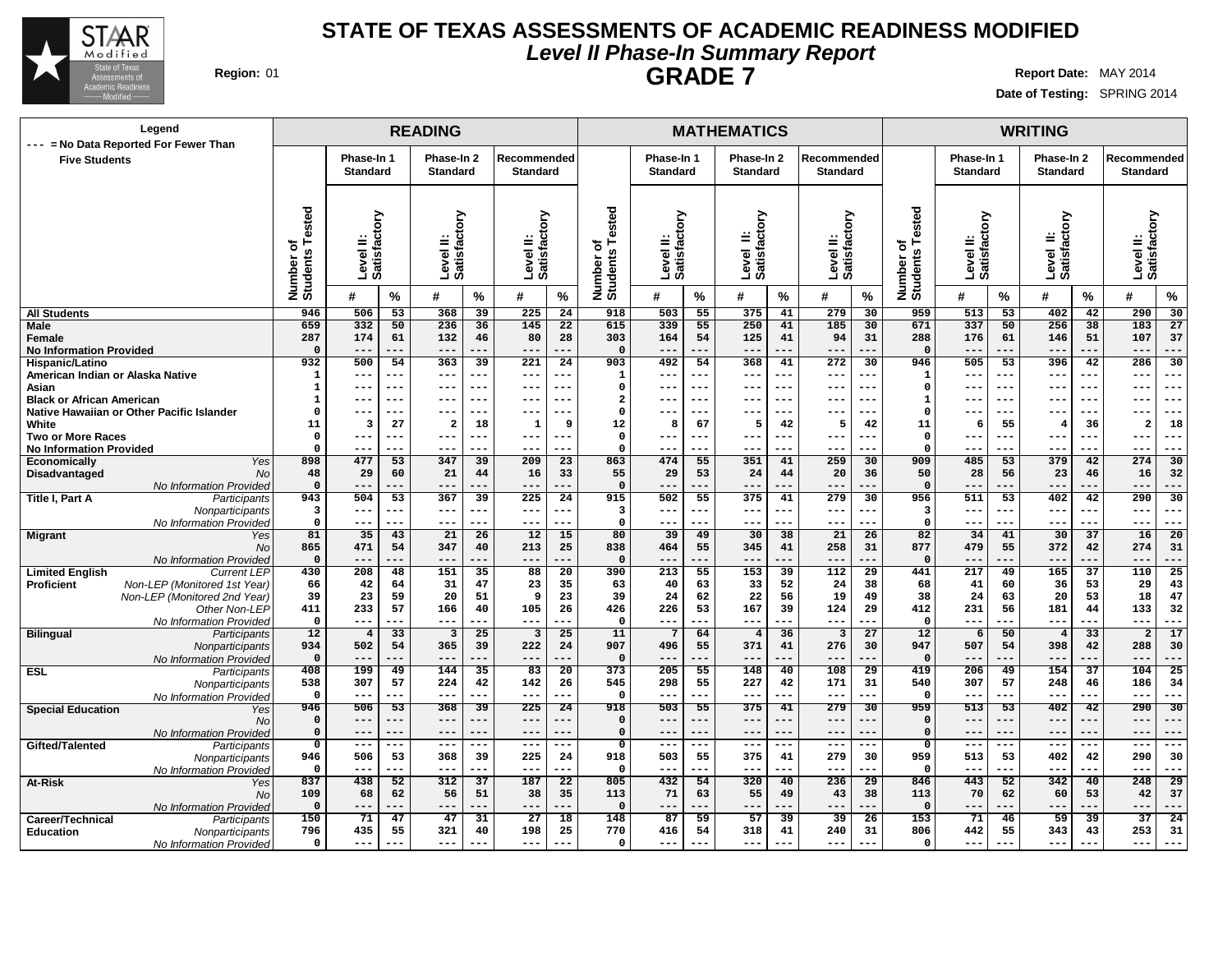

No Information Provided

No Information Provided

No Information Provided

**Nonparticipants** No Information Provided

**Education** Nonparticipants No Information Provided

No

 **--- --- --- --- --- --- 506 53 368 39 225 24 --- --- --- --- --- --- --- --- --- --- --- --- --- --- --- --- --- --- 506 53 368 39 225 24 --- --- --- --- --- --- 438 52 312 37 187 22 68 62 56 51 38 35 --- --- --- --- --- --- 71 47 47 31 27 18 435 55 321 40 198 25 --- --- --- --- --- ---**

No

**Special Education** Yes

**Gifted/Talented** Participants

**At-Risk** Yes

**Career/Technical** Participants<br> **Education** Monparticipants

## **Level II Phase-In Summary Report STATE OF TEXAS ASSESSMENTS OF ACADEMIC READINESS MODIFIED GRADE 7 Region:** 01 **Report Date:** MAY 2014

 **--- --- --- --- --- --- 503 55 375 41 279 30 --- --- --- --- --- --- --- --- --- --- --- --- --- --- --- --- --- --- 503 55 375 41 279 30 --- --- --- --- --- --- 432 54 320 40 236 29 71 63 55 49 43 38 --- --- --- --- --- --- 87 59 57 39 39 26 416 54 318 41 240 31 --- --- --- --- --- ---** **Date of Testing:** SPRING 2014

 **--- --- --- --- --- --- 513 53 402 42 290 30 --- --- --- --- --- --- --- --- --- --- --- --- --- --- --- --- --- --- 513 53 402 42 290 30 --- --- --- --- --- --- 443 52 342 40 248 29 70 62 60 53 42 37 --- --- --- --- --- --- 71 46 59 39 37 24 442 55 343 43 253 31 --- --- --- --- --- ---**

## **READING MATHEMATICS WRITING Phase-In 1 Standard Phase-In 2 Standard Recommended Standard Phase-In 1 Standard Phase-In 2 Standard Recommended Standard Phase-In 1 Standard Phase-In 2 Standard Recommended Standard Level II: Satisfactory Level II: Satisfactory Level II: Satisfactory Number of Students Tested Level II: Satisfactory Level II: Satisfactory Level II: Satisfactory Number of Students Tested Level II: Satisfactory Level II: Satisfactory Level II: Satisfactory Number of Students Tested # % # % # % # % # % # % # % # % # % All Students Male Female No Information Provided Hispanic/Latino American Indian or Alaska Native Asian Black or African American Native Hawaiian or Other Pacific Islander White Two or More Races No Information Provided Economically** Yes **Disadvantaged** No No Information Provided **Title I, Part A** Participants **Nonparticipants** No Information Provided **Migrant** Yes No No Information Provided **Limited English Proficient** Non-LEP (Monitored 1st Year) Non-LEP (Monitored 2nd Year) Other Non-LEP No Information Provided **Bilingual** Participants **Nonparticipants** No Information Provided **ESL** Participants **Nonparticipants Legend --- = No Data Reported For Fewer Than Five Students 506 53 368 39 225 24 332 50 236 36 145 22 174 61 132 46 80 28 --- --- --- --- --- --- 500 54 363 39 221 24 --- --- --- --- --- --- --- --- --- --- --- --- --- --- --- --- --- --- --- --- --- --- --- --- 3 27 2 18 1 9 --- --- --- --- --- --- --- --- --- --- --- --- 477 53 347 39 209 23 29 60 21 44 16 33 --- --- --- --- --- --- 504 53 367 39 225 24 --- --- --- --- --- --- --- --- --- --- --- --- 35 43 21 26 12 15 471 54 347 40 213 25 --- --- --- --- --- --- 208 48 151 35 88 20 42 64 31 47 23 35 23 59 20 51 9 23 233 57 166 40 105 26 --- --- --- --- --- --- 4 33 3 25 3 25 502 54 365 39 222 24 --- --- --- --- --- --- 199 49 144 35 83 20 307 57 224 42 142 26 503 55 375 41 279 30 339 55 250 41 185 30 164 54 125 41 94 31 --- --- --- --- --- --- 492 54 368 41 272 30 --- --- --- --- --- --- --- --- --- --- --- --- --- --- --- --- --- --- --- --- --- --- --- --- 8 67 5 42 5 42 --- --- --- --- --- --- --- --- --- --- --- --- 474 55 351 41 259 30 29 53 24 44 20 36 --- --- --- --- --- --- 502 55 375 41 279 30 --- --- --- --- --- --- --- --- --- --- --- --- 39 49 30 38 21 26 464 55 345 41 258 31 --- --- --- --- --- --- 213 55 153 39 112 29 40 63 33 52 24 38 24 62 22 56 19 49 226 53 167 39 124 29 --- --- --- --- --- --- 7 64 4 36 3 27 496 55 371 41 276 30 --- --- --- --- --- --- 205 55 148 40 108 29 298 55 227 42 171 31 513 53 402 42 290 30 337 50 256 38 183 27 176 61 146 51 107 37 --- --- --- --- --- --- 505 53 396 42 286 30 --- --- --- --- --- --- --- --- --- --- --- --- --- --- --- --- --- --- --- --- --- --- --- --- 6 55 4 36 2 18 --- --- --- --- --- --- --- --- --- --- --- --- 485 53 379 42 274 30 28 56 23 46 16 32 --- --- --- --- --- --- 511 53 402 42 290 30 --- --- --- --- --- --- --- --- --- --- --- --- 34 41 30 37 16 20 479 55 372 42 274 31 --- --- --- --- --- --- 217 49 165 37 110 25 41 60 36 53 29 43 24 63 20 53 18 47 231 56 181 44 133 32 --- --- --- --- --- --- 6 50 4 33 2 17 507 54 398 42 288 30 --- --- --- --- --- --- 206 49 154 37 104 25 307 57 248 46 186 34**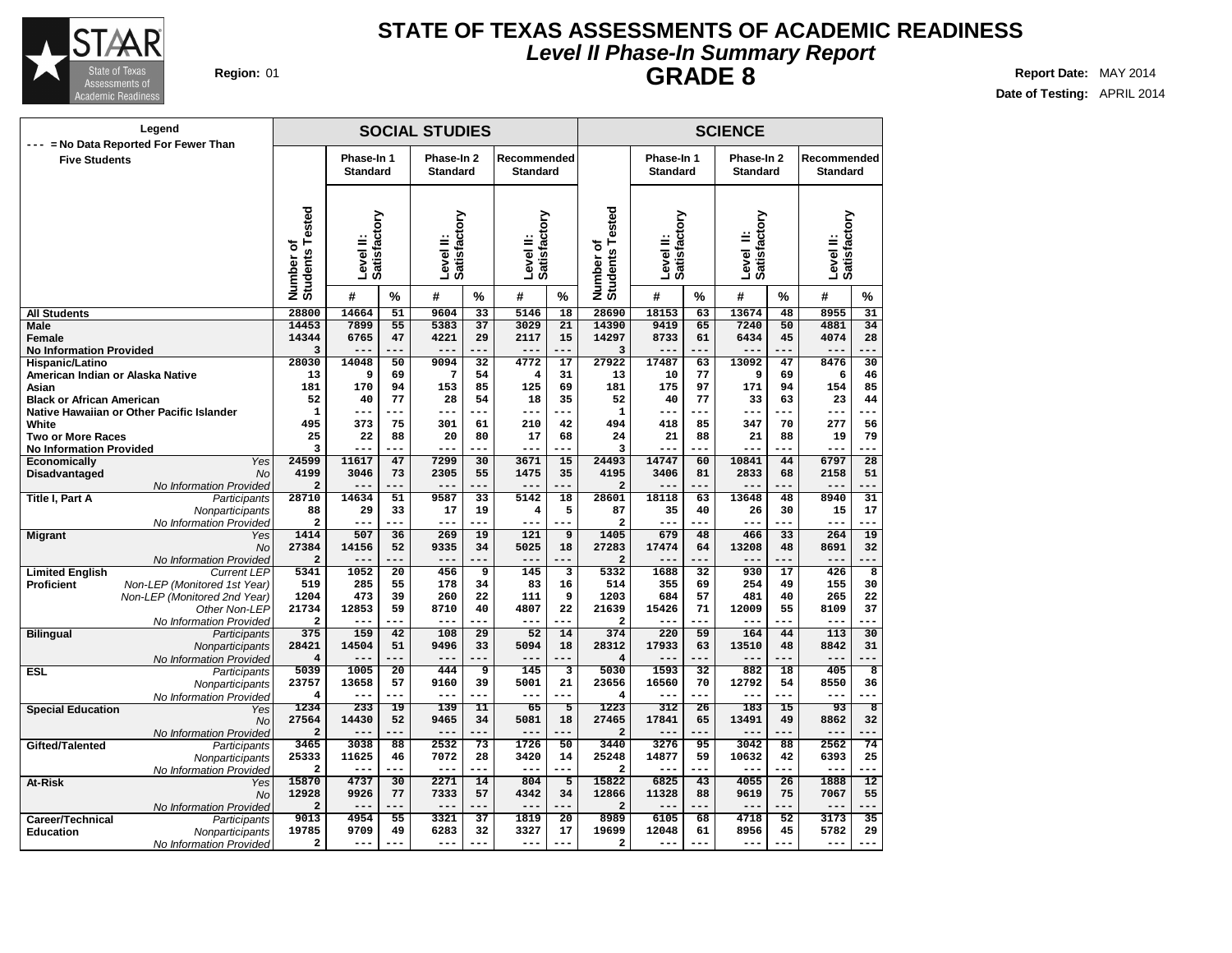

## **Level II Phase-In Summary Report STATE OF TEXAS ASSESSMENTS OF ACADEMIC READINESS GRADE 8 Region:** 01 **Report** Date: MAY 2014

| Legend<br>--- = No Data Reported For Fewer Than |                                           |                                               |                           |                               | <b>SOCIAL STUDIES</b>     |                                |                           | <b>SCIENCE</b>  |                                |                           |                               |                           |                                |                           |                         |
|-------------------------------------------------|-------------------------------------------|-----------------------------------------------|---------------------------|-------------------------------|---------------------------|--------------------------------|---------------------------|-----------------|--------------------------------|---------------------------|-------------------------------|---------------------------|--------------------------------|---------------------------|-------------------------|
| <b>Five Students</b>                            |                                           | Phase-In 1<br><b>Standard</b>                 |                           | Phase-In 2<br><b>Standard</b> |                           | Recommended<br><b>Standard</b> |                           |                 | Phase-In 1<br><b>Standard</b>  |                           | Phase-In 2<br><b>Standard</b> |                           | Recommended<br><b>Standard</b> |                           |                         |
|                                                 |                                           | ested<br>Students <sub>T</sub><br>ō<br>Number | Level II:<br>Satisfactory |                               | Level II:<br>Satisfactory |                                | Level II:<br>Satisfactory |                 | Number of<br>Students Tested   | Level II:<br>Satisfactory |                               | Level II:<br>Satisfactory |                                | Level II:<br>Satisfactory |                         |
|                                                 |                                           |                                               | #                         | %                             | #                         | %                              | #                         | %               |                                | #                         | %                             | #                         | %                              | #                         | %                       |
| <b>All Students</b>                             |                                           | 28800                                         | 14664                     | 51                            | 9604                      | $\overline{33}$                | 5146                      | $\overline{18}$ | 28690                          | 18153                     | 63                            | 13674                     | $\overline{48}$                | 8955                      | $\overline{31}$         |
| <b>Male</b>                                     |                                           | 14453                                         | 7899                      | 55                            | 5383                      | 37                             | 3029                      | 21              | 14390                          | 9419                      | 65                            | 7240                      | 50                             | 4881                      | 34                      |
| <b>Female</b>                                   |                                           | 14344                                         | 6765                      | 47                            | 4221                      | 29                             | 2117                      | 15              | 14297                          | 8733                      | 61                            | 6434                      | 45                             | 4074                      | 28                      |
| <b>No Information Provided</b>                  |                                           | 3                                             |                           |                               |                           | ---                            |                           |                 | 3                              |                           |                               |                           | $- -$                          |                           |                         |
| Hispanic/Latino                                 |                                           | 28030                                         | 14048<br>9                | 50                            | 9094                      | 32<br>54                       | $\frac{4772}{5}$          | 17<br>31        | 27922                          | 17487                     | 63<br>77                      | 13092                     | 47                             | 8476                      | 30<br>46                |
| American Indian or Alaska Native                |                                           | 13<br>181                                     | 170                       | 69<br>94                      | 7<br>153                  | 85                             | 4<br>125                  | 69              | 13<br>181                      | 10<br>175                 | 97                            | 9<br>171                  | 69<br>94                       | 6<br>154                  | 85                      |
| Asian<br><b>Black or African American</b>       |                                           | 52                                            | 40                        | 77                            | 28                        | 54                             | 18                        | 35              | 52                             | 40                        | 77                            | 33                        | 63                             | 23                        | 44                      |
|                                                 | Native Hawaiian or Other Pacific Islander | $\mathbf 1$                                   | $---$                     | ---                           | ---                       | ---                            | ---                       |                 | $\mathbf 1$                    | ---                       | ---                           | $---$                     | ---                            | ---                       |                         |
| White                                           |                                           | 495                                           | 373                       | 75                            | 301                       | 61                             | 210                       | 42              | 494                            | 418                       | 85                            | 347                       | 70                             | 277                       | 56                      |
| <b>Two or More Races</b>                        |                                           | 25                                            | 22                        | 88                            | 20                        | 80                             | 17                        | 68              | 24                             | 21                        | 88                            | 21                        | 88                             | 19                        | 79                      |
| <b>No Information Provided</b>                  |                                           | 3                                             |                           |                               |                           |                                |                           |                 | 3                              |                           |                               |                           |                                |                           |                         |
| Economically                                    | Yes                                       | 24599                                         | 11617                     | 47                            | 7299                      | 30                             | 3671                      | 15              | 24493                          | 14747                     | 60                            | 10841                     | 44                             | 6797                      | 28                      |
| Disadvantaged                                   | No                                        | 4199                                          | 3046                      | 73                            | 2305                      | 55                             | 1475                      | 35              | 4195                           | 3406                      | 81                            | 2833                      | 68                             | 2158                      | 51                      |
|                                                 | No Information Provided                   | $\overline{\mathbf{c}}$                       |                           | $- -$                         | --                        | ---                            |                           |                 | $\overline{\mathbf{c}}$        |                           | ---                           |                           |                                |                           |                         |
| <b>Title I. Part A</b>                          | Participants                              | 28710                                         | 14634                     | 51                            | 9587                      | 33                             | 5142                      | 18              | 28601                          | 18118                     | 63                            | 13648                     | 48                             | 8940                      | 31                      |
|                                                 | Nonparticipants                           | 88                                            | 29                        | 33                            | 17                        | 19                             | 4                         | 5               | 87                             | 35                        | 40                            | 26                        | 30                             | 15                        | 17                      |
|                                                 | No Information Provided                   | $\overline{\mathbf{2}}$                       | ---                       |                               | $- -$                     |                                |                           |                 | $\overline{a}$                 | ---                       |                               | ---                       |                                | ---                       |                         |
| <b>Migrant</b>                                  | Yes                                       | 1414                                          | 507                       | 36                            | 269                       | 19                             | 121                       | $\overline{9}$  | 1405                           | 679                       | 48                            | 466                       | 33                             | 264                       | 19                      |
|                                                 | No                                        | 27384                                         | 14156                     | 52                            | 9335                      | 34                             | 5025                      | 18              | 27283                          | 17474                     | 64                            | 13208                     | 48                             | 8691                      | 32                      |
|                                                 | No Information Provided                   | $\overline{a}$                                | $- -$                     |                               | $- -$                     | ---                            | $- -$                     |                 | $\overline{a}$                 | $- -$                     |                               |                           |                                | ---                       |                         |
| <b>Limited English</b>                          | <b>Current LEP</b>                        | 5341                                          | 1052                      | 20                            | 456                       | 9                              | 145                       | 3               | 5332                           | 1688                      | 32                            | 930                       | 17                             | 426                       | $\overline{8}$          |
| Proficient                                      | Non-LEP (Monitored 1st Year)              | 519                                           | 285                       | 55                            | 178                       | 34                             | 83                        | 16              | 514                            | 355                       | 69                            | 254                       | 49                             | 155                       | 30                      |
|                                                 | Non-LEP (Monitored 2nd Year)              | 1204                                          | 473                       | 39                            | 260                       | 22                             | 111                       | 9               | 1203                           | 684                       | 57                            | 481                       | 40                             | 265                       | 22                      |
|                                                 | Other Non-LEP                             | 21734                                         | 12853                     | 59                            | 8710                      | 40                             | 4807                      | 22              | 21639                          | 15426                     | 71                            | 12009                     | 55                             | 8109                      | 37                      |
|                                                 | No Information Provided                   | $\overline{\mathbf{2}}$                       | $---$                     | ---                           | $---$<br>108              | ---<br>$\overline{29}$         | $---$<br>52               | ---<br>14       | $\overline{\mathbf{2}}$<br>374 | ---                       | ---                           | $---$                     | ---                            | ---<br>113                | ---<br>30               |
| <b>Bilingual</b>                                | Participants                              | 375<br>28421                                  | 159<br>14504              | 42<br>51                      | 9496                      | 33                             | 5094                      | 18              | 28312                          | 220<br>17933              | 59                            | 164<br>13510              | 44<br>48                       | 8842                      | 31                      |
|                                                 | Nonparticipants                           | $\overline{4}$                                | ---                       | ---                           | $- -$                     | ---                            | ---                       | ---             | $\overline{\mathbf{4}}$        | ---                       | 63<br>---                     |                           | .                              | ---                       |                         |
| <b>ESL</b>                                      | No Information Provided<br>Participants   | 5039                                          | 1005                      | $\overline{20}$               | 444                       | 9                              | 145                       | з               | 5030                           | 1593                      | 32                            | 882                       | 18                             | 405                       | 8                       |
|                                                 | Nonparticipants                           | 23757                                         | 13658                     | 57                            | 9160                      | 39                             | 5001                      | 21              | 23656                          | 16560                     | 70                            | 12792                     | 54                             | 8550                      | 36                      |
|                                                 | No Information Provided                   | $\overline{4}$                                | $---$                     | ---                           | $---$                     | ---                            | $---$                     | ---             | 4                              | $---$                     | ---                           | $---$                     | ---                            | $---$                     |                         |
| <b>Special Education</b>                        | Yes                                       | 1234                                          | 233                       | 19                            | 139                       | 11                             | 65                        | $\overline{5}$  | 1223                           | 312                       | 26                            | 183                       | 15                             | 93                        | $\overline{\mathbf{8}}$ |
|                                                 | No                                        | 27564                                         | 14430                     | 52                            | 9465                      | 34                             | 5081                      | 18              | 27465                          | 17841                     | 65                            | 13491                     | 49                             | 8862                      | 32                      |
|                                                 | No Information Provided                   | $\overline{a}$                                |                           |                               | $- -$                     |                                |                           |                 | $\overline{a}$                 |                           |                               |                           |                                |                           |                         |
| Gifted/Talented                                 | Participants                              | 3465                                          | 3038                      | 88                            | 2532                      | 73                             | 1726                      | 50              | 3440                           | 3276                      | 95                            | 3042                      | 88                             | 2562                      | 74                      |
|                                                 | Nonparticipants                           | 25333                                         | 11625                     | 46                            | 7072                      | 28                             | 3420                      | 14              | 25248                          | 14877                     | 59                            | 10632                     | 42                             | 6393                      | 25                      |
|                                                 | No Information Provided                   | $\overline{a}$                                |                           | $-1$                          | $- -$                     | ---                            | ---                       | $= -$           | 2                              |                           | .                             | $- - -$                   | --                             | ---                       | ---                     |
| At-Risk                                         | Yes                                       | 15870                                         | 4737                      | 30                            | 2271                      | 14                             | 804                       | $\overline{5}$  | 15822                          | 6825                      | 43                            | 4055                      | $\overline{26}$                | 1888                      | 12                      |
|                                                 | <b>No</b>                                 | 12928                                         | 9926                      | 77                            | 7333                      | 57                             | 4342                      | 34              | 12866                          | 11328                     | 88                            | 9619                      | 75                             | 7067                      | 55                      |
|                                                 | No Information Provided                   | $\overline{\mathbf{2}}$                       |                           |                               |                           |                                |                           |                 | $\overline{2}$                 |                           |                               |                           |                                |                           |                         |
| Career/Technical                                | Participants                              | 9013                                          | 4954                      | 55                            | 3321                      | 37                             | 1819                      | $\overline{20}$ | 8989                           | 6105                      | 68                            | 4718                      | 52                             | 3173                      | 35                      |
| <b>Education</b>                                | Nonparticipants                           | 19785                                         | 9709                      | 49                            | 6283                      | 32                             | 3327                      | 17              | 19699                          | 12048                     | 61                            | 8956                      | 45                             | 5782                      | 29                      |
|                                                 | No Information Provided                   | $\overline{\mathbf{2}}$                       | $---$                     | ---                           | ---                       | ---                            | $---$                     | ---             | 2                              | ---                       | ---                           | $- - -$                   | ---                            | ---                       | ---                     |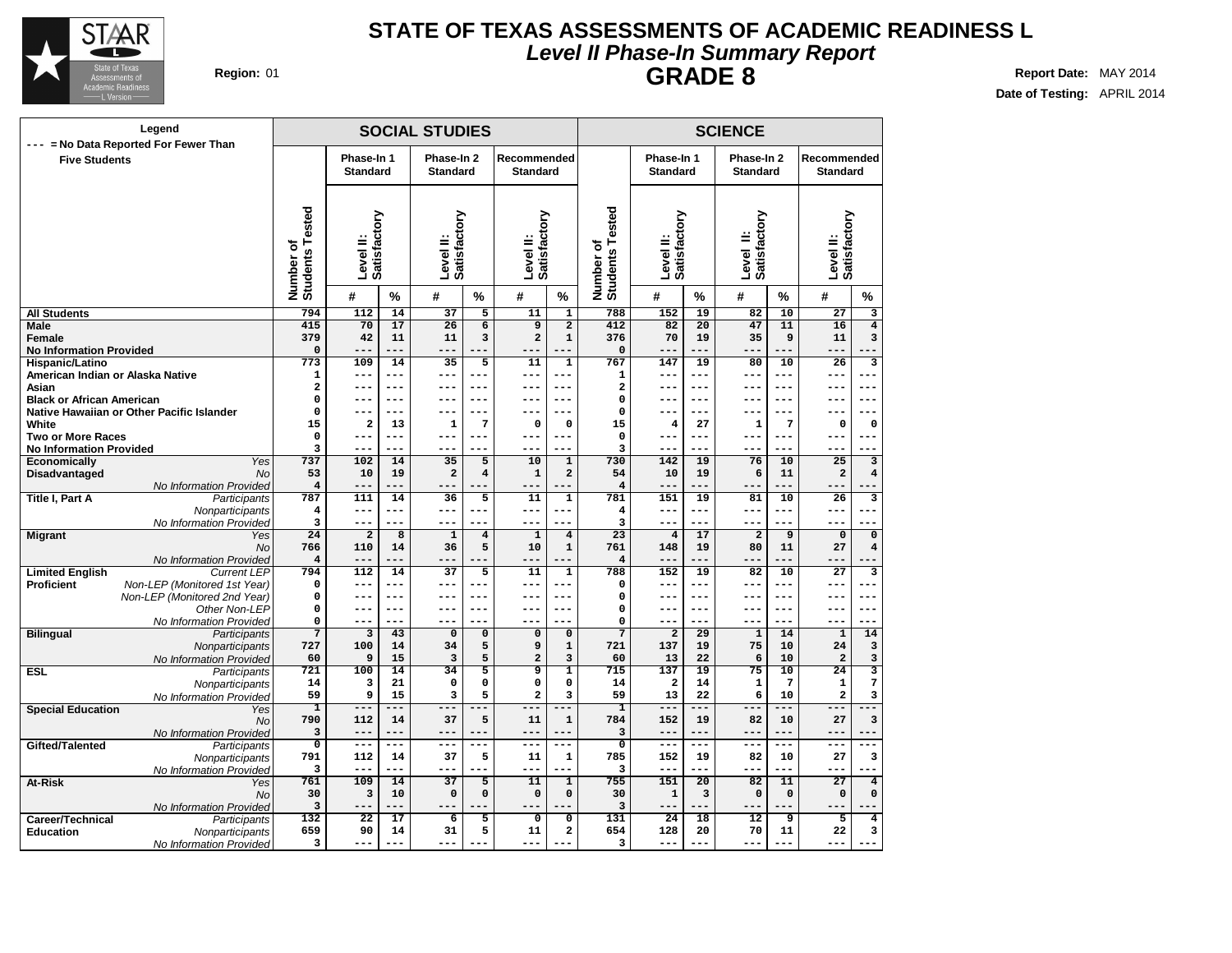

## **Level II Phase-In Summary Report STATE OF TEXAS ASSESSMENTS OF ACADEMIC READINESS L GRADE 8 Region:** 01 **Report** Date: MAY 2014

| Legend<br>--- = No Data Reported For Fewer Than                |                               |                               |                 | <b>SOCIAL STUDIES</b>         |                              |                                  | <b>SCIENCE</b>                              |                                                  |                               |                 |                                |                 |                                   |                                                    |
|----------------------------------------------------------------|-------------------------------|-------------------------------|-----------------|-------------------------------|------------------------------|----------------------------------|---------------------------------------------|--------------------------------------------------|-------------------------------|-----------------|--------------------------------|-----------------|-----------------------------------|----------------------------------------------------|
| <b>Five Students</b>                                           |                               | Phase-In 1<br><b>Standard</b> |                 | Phase-In 2<br><b>Standard</b> |                              | Recommended<br><b>Standard</b>   |                                             |                                                  | Phase-In 1<br><b>Standard</b> |                 | Phase-In 2<br><b>Standard</b>  |                 | Recommended<br><b>Standard</b>    |                                                    |
|                                                                | Number of<br>Students Tested  | Level II:<br>Satisfactory     |                 | Level II:<br>Satisfactory     |                              | <b>Satisfactory</b><br>Level II: |                                             | sted<br>قة<br>Students <sub>T</sub><br>Number of | Level II:<br>Satisfactory     |                 | Level II:<br>Satisfactory<br>≝ |                 | Level II:<br>Satisfactory         |                                                    |
|                                                                |                               | #                             | %               | #                             | %                            | #                                | $\%$                                        |                                                  | #                             | ℅               | #                              | %               | #                                 | %                                                  |
| <b>All Students</b>                                            | 794                           | 112                           | 14              | 37                            | 5                            | 11                               | $\overline{\mathbf{1}}$                     | 788                                              | 152                           | 19              | 82                             | 10              | $\overline{27}$                   | 3                                                  |
| Male                                                           | 415                           | 70                            | 17              | 26                            | $\overline{\mathbf{6}}$      | 9                                | $\overline{2}$                              | 412                                              | 82                            | 20              | 47                             | 11              | 16                                | $\overline{4}$                                     |
| Female                                                         | 379                           | 42<br>$- - -$                 | 11<br>$ -$      | 11<br>$- - -$                 | 3                            | $\mathbf 2$<br>---               | $\mathbf 1$<br>۵.                           | 376                                              | 70<br>---                     | 19<br>---       | 35                             | 9               | 11<br>---                         | 3                                                  |
| <b>No Information Provided</b><br>Hispanic/Latino              | $\pmb{0}$<br>773              | 109                           | 14              | 35                            | 5                            | 11                               | $\mathbf 1$                                 | $\mathbf 0$<br>767                               | 147                           | 19              | 80                             | 10              | 26                                | з                                                  |
| American Indian or Alaska Native                               | 1                             | $---$                         | $---$           | ---                           | $- - -$                      | ---                              | $- - -$                                     | 1                                                | ---                           | ---             | $- - -$                        | ---             | ---                               | $---$                                              |
| Asian                                                          | 2                             | $---$                         | ---             | ---                           | ---                          | ---                              | $- - -$                                     | $\overline{\mathbf{2}}$                          | ---                           | $- - -$         | $- - -$                        | $- - -$         | ---                               | $-$                                                |
| <b>Black or African American</b>                               | $\mathbf 0$                   | $---$                         | $---$           | ---                           | $- - -$                      | ---                              | $- - -$                                     | $\mathbf 0$                                      | $---$                         | ---             | $- - -$                        | ---             | ---                               | $-- -$                                             |
| Native Hawaiian or Other Pacific Islander                      | $\mathbf 0$                   | $- - -$                       | ---             | ---                           | ---                          | ---                              | $---$                                       | $\mathbf 0$                                      | ---                           | ---             | $- -$                          | $- - -$         | ---                               | $- - -$                                            |
| White                                                          | 15                            | $\mathbf{2}$                  | 13              | 1                             | 7                            | $\mathbf 0$                      | $\mathbf 0$                                 | 15                                               | 4                             | 27              | 1                              | 7               | $\mathbf 0$                       | $\mathbf 0$                                        |
| <b>Two or More Races</b>                                       | $\mathbf 0$                   | $-$                           | $---$           | $---$                         | ---                          | $--$                             | $- - -$                                     | $\mathbf 0$                                      | ---                           | $---$           | $--$                           | ---             | $- -$                             | $-$                                                |
| <b>No Information Provided</b>                                 | 3                             |                               | $---$           | ---                           |                              |                                  | $---$                                       | 3                                                | ---                           |                 |                                |                 |                                   |                                                    |
| Yes<br><b>Economically</b>                                     | 737                           | 102<br>10                     | 14<br>19        | $\overline{35}$               | 5<br>$\overline{\mathbf{4}}$ | 10                               | $\overline{1}$<br>$\overline{a}$            | 730                                              | 142                           | 19              | 76                             | 10              | $\overline{25}$<br>$\overline{a}$ | $\overline{\mathbf{3}}$<br>$\overline{\mathbf{4}}$ |
| Disadvantaged<br>No<br>No Information Provided                 | 53<br>$\overline{\mathbf{4}}$ | $- -$                         | ---             | $\mathbf{2}$<br>$-$           |                              | $\mathbf 1$<br>---               |                                             | 54<br>$\overline{4}$                             | 10<br>$---$                   | 19<br>---       | 6                              | 11              |                                   |                                                    |
| <b>Title I, Part A</b><br>Participants                         | 787                           | 111                           | 14              | 36                            | $\overline{5}$               | 11                               | $\overline{1}$                              | 781                                              | 151                           | 19              | 81                             | 10              | $\overline{26}$                   | $\overline{\mathbf{3}}$                            |
| Nonparticipants                                                | 4                             | $---$                         | $---$           | ---                           | ---                          | ---                              | $---$                                       | $\overline{4}$                                   | $---$                         | ---             | $--$                           | ---             | ---                               | $-$                                                |
| No Information Provided                                        | 3                             | $---$                         | $---$           | ---                           |                              | ---                              | ---                                         | 3                                                | $---$                         | ---             | $---$                          | ---             | ---                               |                                                    |
| <b>Migrant</b><br>Yes                                          | $\overline{24}$               | $\overline{\mathbf{2}}$       | $\overline{8}$  | $\mathbf 1$                   | $\bf{4}$                     | $\mathbf{1}$                     | $\overline{4}$                              | 23                                               | $\overline{4}$                | 17              | $\mathbf 2$                    | 9               | $\mathbf 0$                       | $\overline{\mathbf{0}}$                            |
| No                                                             | 766                           | 110                           | 14              | 36                            | 5                            | 10                               | $\mathbf 1$                                 | 761                                              | 148                           | 19              | 80                             | 11              | 27                                | $\overline{\bf 4}$                                 |
| No Information Provideo                                        | 4                             |                               |                 | ---                           |                              |                                  | --                                          | $\overline{4}$                                   | --                            |                 |                                |                 | $- -$                             |                                                    |
| <b>Limited English</b><br><b>Current LEP</b>                   | 794                           | 112                           | 14              | 37                            | 5                            | 11                               | $\overline{1}$                              | 788                                              | 152                           | 19              | 82                             | 10              | 27                                | з                                                  |
| Proficient<br>Non-LEP (Monitored 1st Year)                     | $\mathbf 0$                   | $---$                         | $---$<br>$---$  | ---                           | ---                          | ---                              | $- - -$<br>$- - -$                          | 0                                                | $---$                         | $---$           | $---$                          | $---$           | ---                               | $-$                                                |
| Non-LEP (Monitored 2nd Year)<br>Other Non-LEP                  | $\mathbf 0$<br>$\mathbf 0$    | $- - -$<br>$---$              | $---$           | ---<br>$---$                  | ---<br>---                   | ---<br>$---$                     | $- - -$                                     | $\Omega$<br>$\mathbf 0$                          | ---<br>---                    | ---<br>$---$    | $--$<br>$- - -$                | $---$<br>$---$  | ---<br>---                        | $-- -$<br>$---$                                    |
| No Information Provided                                        | $\mathbf 0$                   | $---$                         | ---             | $- - -$                       |                              | $---$                            | ---                                         | $\mathbf 0$                                      | $---$                         | ---             | $- - -$                        | ---             | ---                               | ---                                                |
| <b>Bilingual</b><br>Participants                               | $\overline{7}$                | $\overline{3}$                | 43              | $\mathbf 0$                   | $\overline{0}$               | 0                                | $\overline{0}$                              | $\overline{7}$                                   | $\overline{2}$                | 29              | $\mathbf{1}$                   | 14              | $\mathbf{1}$                      | 14                                                 |
| Nonparticipants                                                | 727                           | 100                           | 14              | 34                            | 5                            | 9                                | $\mathbf 1$                                 | 721                                              | 137                           | 19              | 75                             | 10              | 24                                | 3                                                  |
| No Information Provideo                                        | 60                            | 9                             | 15              | 3                             | 5                            | 2                                | 3                                           | 60                                               | 13                            | 22              | 6                              | 10              | $\overline{\mathbf{2}}$           | 3                                                  |
| <b>ESL</b><br>Participants                                     | 721                           | 100                           | $\overline{14}$ | $\overline{34}$               | $\overline{5}$               | ब्र                              | $\overline{1}$                              | 715                                              | 137                           | $\overline{19}$ | $\overline{75}$                | $\overline{10}$ | $\overline{24}$                   | $\overline{\mathbf{3}}$                            |
| Nonparticipants                                                | 14                            | 3                             | 21              | $\mathbf 0$                   | 0                            | 0                                | $\mathbf 0$                                 | 14                                               | $\overline{\mathbf{2}}$       | 14              | $\mathbf{1}$                   | $\overline{7}$  | $\mathbf{1}$                      | 7                                                  |
| No Information Provided                                        | 59                            | 9<br>$---$                    | 15<br>---       | 3                             | 5<br>$--$                    | $\overline{a}$                   | $\overline{\mathbf{3}}$<br>$\overline{---}$ | 59                                               | 13<br>$---$                   | 22<br>---       | 6<br>$---$                     | 10<br>---       | $\overline{a}$<br>---             | 3                                                  |
| <b>Special Education</b><br>Yes<br><b>No</b>                   | ī<br>790                      | 112                           | 14              | ---<br>37                     | 5                            | ---<br>11                        | $\mathbf 1$                                 | ı<br>784                                         | 152                           | 19              | 82                             | 10              | 27                                | $\overline{\mathbf{3}}$                            |
| No Information Provided                                        | 3                             |                               | ---             |                               |                              | ---                              |                                             | 3                                                | $---$                         | ---             | $- -$                          | $- -$           | $- -$                             |                                                    |
| Gifted/Talented<br>Participants                                | $\overline{\mathbf{0}}$       | $---$                         | ---             | $---$                         | ---                          | ---                              | $---$                                       | $\overline{0}$                                   | $--$                          | ---             | $--$                           | ---             | ---                               | ---                                                |
| Nonparticipants                                                | 791                           | 112                           | 14              | 37                            | 5                            | 11                               | $\mathbf 1$                                 | 785                                              | 152                           | 19              | 82                             | 10              | 27                                | 3                                                  |
| No Information Provideo                                        | 3                             | $---$                         | ---             | ---                           |                              | ---                              | --                                          | 3                                                | $---$                         | ---             | $--$                           | ---             | ---                               |                                                    |
| At-Risk<br>Yes                                                 | 761                           | 109                           | 14              | 37                            | $\overline{5}$               | 11                               | $\overline{1}$                              | 755                                              | 151                           | 20              | 82                             | 11              | $\overline{27}$                   | $\overline{4}$                                     |
| <b>No</b>                                                      | 30                            | 3                             | 10              | $\mathbf 0$                   | $\mathbf 0$                  | $\mathbf 0$                      | 0                                           | 30                                               | 1                             | 3               | $\Omega$                       | $\mathbf 0$     | 0                                 | 0                                                  |
| No Information Provideo                                        | 3                             |                               | ---             | ---                           |                              | ---                              | --                                          | 3                                                | ---                           | ---             | ---                            | ---             |                                   |                                                    |
| Career/Technical<br>Participants                               | $\overline{132}$<br>659       | $\overline{22}$<br>90         | 17<br>14        | 6<br>31                       | $\overline{5}$<br>5          | 0<br>11                          | $\overline{0}$<br>2                         | 131<br>654                                       | 24<br>128                     | 18<br>20        | 12<br>70                       | 9<br>11         | 5<br>22                           | 4<br>3                                             |
| <b>Education</b><br>Nonparticipants<br>No Information Provided | 3                             | $- - -$                       | $- - -$         | $- - -$                       | - -<br>٠.                    | $- - -$                          | --                                          | 3                                                | $- - -$                       | ---             | $- - -$                        | $- - -$         | $- - -$                           | $\sim$                                             |
|                                                                |                               |                               |                 |                               |                              |                                  |                                             |                                                  |                               |                 |                                |                 |                                   |                                                    |